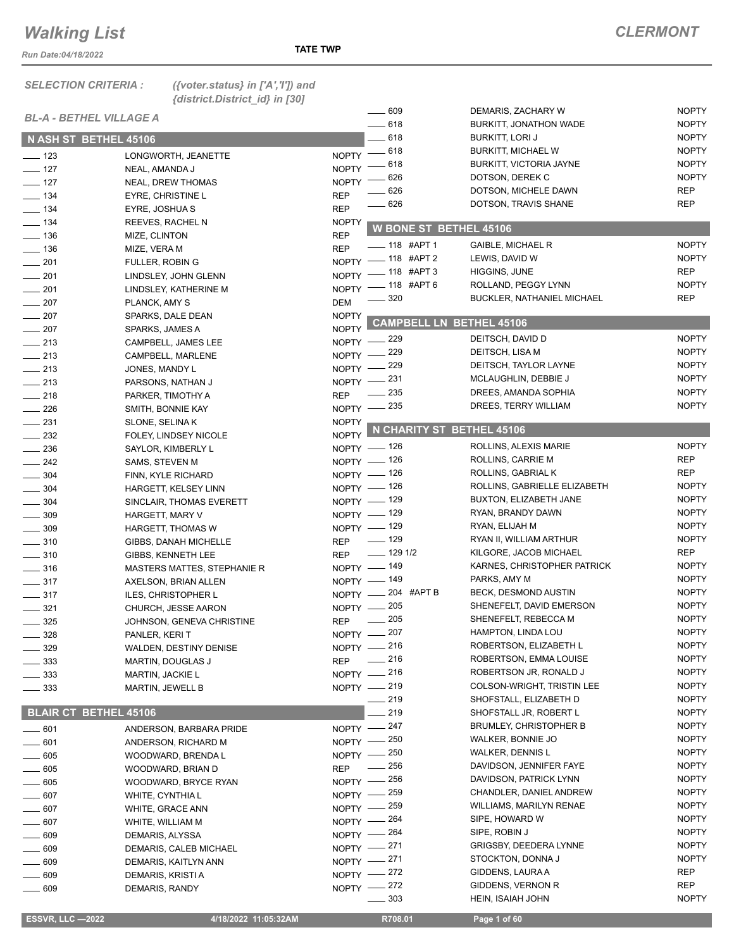*Run Date:04/18/2022*

*SELECTION CRITERIA : ({voter.status} in ['A','I']) and* 

*{district.District\_id} in [30]*

|                   |                                |              | $- 609$                         | DEMARIS, ZACHARY W                | <b>NOPTY</b> |
|-------------------|--------------------------------|--------------|---------------------------------|-----------------------------------|--------------|
|                   | <b>BL-A - BETHEL VILLAGE A</b> |              | $-618$                          | <b>BURKITT, JONATHON WADE</b>     | <b>NOPTY</b> |
|                   | N ASH ST BETHEL 45106          |              | $-618$                          | BURKITT, LORI J                   | <b>NOPTY</b> |
|                   |                                |              | NOPTY - 618                     | <b>BURKITT, MICHAEL W</b>         | <b>NOPTY</b> |
| $\frac{1}{2}$ 123 | LONGWORTH, JEANETTE            | NOPTY -      | _ 618                           | <b>BURKITT, VICTORIA JAYNE</b>    | <b>NOPTY</b> |
| $\frac{1}{2}$ 127 | NEAL, AMANDA J                 |              | 626                             | DOTSON, DEREK C                   | <b>NOPTY</b> |
| $- 127$           | <b>NEAL, DREW THOMAS</b>       | <b>NOPTY</b> | 626                             | DOTSON, MICHELE DAWN              | <b>REP</b>   |
| $\frac{1}{2}$ 134 | EYRE, CHRISTINE L              | <b>REP</b>   | 626                             | DOTSON, TRAVIS SHANE              | <b>REP</b>   |
| $- 134$           | EYRE, JOSHUA S                 | <b>REP</b>   |                                 |                                   |              |
| $\frac{1}{2}$ 134 | REEVES, RACHEL N               | <b>NOPTY</b> | <b>W BONE ST BETHEL 45106</b>   |                                   |              |
| $\frac{1}{2}$ 136 | MIZE, CLINTON                  | <b>REP</b>   |                                 |                                   |              |
| $- 136$           | MIZE, VERA M                   | <b>REP</b>   | $- 118$ #APT 1                  | <b>GAIBLE, MICHAEL R</b>          | <b>NOPTY</b> |
| $-201$            | <b>FULLER, ROBIN G</b>         |              | NOPTY - 118 #APT 2              | LEWIS, DAVID W                    | <b>NOPTY</b> |
| $\sim$ 201        | LINDSLEY, JOHN GLENN           |              | NOPTY - 118 #APT 3              | HIGGINS, JUNE                     | <b>REP</b>   |
| $- 201$           | LINDSLEY, KATHERINE M          |              | NOPTY - 118 #APT 6              | ROLLAND, PEGGY LYNN               | <b>NOPTY</b> |
| $\frac{1}{207}$   | PLANCK, AMY S                  | <b>DEM</b>   | $\frac{1}{2}$ 320               | <b>BUCKLER, NATHANIEL MICHAEL</b> | <b>REP</b>   |
| $-207$            | SPARKS, DALE DEAN              | <b>NOPTY</b> |                                 |                                   |              |
| $\frac{1}{207}$   | SPARKS, JAMES A                | <b>NOPTY</b> | <b>CAMPBELL LN_BETHEL 45106</b> |                                   |              |
| $\sim$ 213        | CAMPBELL, JAMES LEE            | $NOPTY -$    | $-229$                          | DEITSCH, DAVID D                  | <b>NOPTY</b> |
| $\frac{1}{213}$   | CAMPBELL, MARLENE              | $NOPTY -$    | _ 229                           | DEITSCH, LISA M                   | <b>NOPTY</b> |
|                   |                                | $NOPTY$ -    | 229                             | DEITSCH, TAYLOR LAYNE             | <b>NOPTY</b> |
| $\frac{1}{213}$   | JONES, MANDY L                 |              | NOPTY -231                      | MCLAUGHLIN, DEBBIE J              | <b>NOPTY</b> |
| $\frac{1}{213}$   | PARSONS, NATHAN J              |              | $\frac{1}{2}$ 235               | DREES, AMANDA SOPHIA              | <b>NOPTY</b> |
| $\frac{1}{218}$   | PARKER, TIMOTHY A              | <b>REP</b>   |                                 | DREES, TERRY WILLIAM              | <b>NOPTY</b> |
| $\frac{1}{226}$   | SMITH, BONNIE KAY              |              | NOPTY -235                      |                                   |              |
| $\frac{1}{2}$ 231 | SLONE, SELINAK                 | <b>NOPTY</b> | NOPTY N CHARITY ST BETHEL 45106 |                                   |              |
| $\frac{232}{2}$   | FOLEY, LINDSEY NICOLE          |              |                                 |                                   |              |
| $\frac{1}{236}$   | SAYLOR, KIMBERLY L             |              | NOPTY - 126                     | ROLLINS, ALEXIS MARIE             | <b>NOPTY</b> |
| $-242$            | SAMS, STEVEN M                 |              | NOPTY - 126                     | ROLLINS, CARRIE M                 | <b>REP</b>   |
| $\frac{1}{2}$ 304 | FINN, KYLE RICHARD             |              | NOPTY - 126                     | ROLLINS, GABRIAL K                | <b>REP</b>   |
| $\frac{1}{2}$ 304 | HARGETT, KELSEY LINN           |              | NOPTY - 126                     | ROLLINS, GABRIELLE ELIZABETH      | <b>NOPTY</b> |
| $- 304$           | SINCLAIR, THOMAS EVERETT       |              | NOPTY - 129                     | BUXTON, ELIZABETH JANE            | <b>NOPTY</b> |
| $\frac{1}{2}$ 309 | HARGETT, MARY V                |              | NOPTY $-$ 129                   | RYAN, BRANDY DAWN                 | <b>NOPTY</b> |
| $- 309$           | HARGETT, THOMAS W              |              | NOPTY - 129                     | RYAN, ELIJAH M                    | <b>NOPTY</b> |
| $- 310$           | GIBBS, DANAH MICHELLE          |              | REP - 129                       | RYAN II, WILLIAM ARTHUR           | <b>NOPTY</b> |
| $- 310$           | GIBBS, KENNETH LEE             |              | REP - 129 1/2                   | KILGORE, JACOB MICHAEL            | REP          |
| $\frac{1}{2}$ 316 | MASTERS MATTES, STEPHANIE R    |              | NOPTY - 149                     | KARNES, CHRISTOPHER PATRICK       | <b>NOPTY</b> |
| $- 317$           | AXELSON, BRIAN ALLEN           |              | NOPTY - 149                     | PARKS, AMY M                      | <b>NOPTY</b> |
|                   |                                |              | NOPTY -204 #APT B               | BECK, DESMOND AUSTIN              | <b>NOPTY</b> |
| $\frac{1}{2}$ 317 | ILES, CHRISTOPHER L            |              | NOPTY -205                      | SHENEFELT, DAVID EMERSON          | <b>NOPTY</b> |
| $\frac{321}{2}$   | CHURCH, JESSE AARON            |              | 205                             | SHENEFELT, REBECCA M              | <b>NOPTY</b> |
| $\frac{1}{2}$ 325 | JOHNSON, GENEVA CHRISTINE      | <b>REP</b>   |                                 |                                   | <b>NOPTY</b> |
| $- 328$           | PANLER, KERIT                  |              | NOPTY - 207                     | HAMPTON, LINDA LOU                |              |
| $-329$            | WALDEN, DESTINY DENISE         |              | NOPTY - 216                     | ROBERTSON, ELIZABETH L            | <b>NOPTY</b> |
| $\frac{1}{2}$ 333 | MARTIN, DOUGLAS J              | <b>REP</b>   | $-216$                          | ROBERTSON, EMMA LOUISE            | <b>NOPTY</b> |
| $\sim$ 333        | MARTIN, JACKIE L               |              | NOPTY -216                      | ROBERTSON JR, RONALD J            | <b>NOPTY</b> |
| $\frac{1}{2}$ 333 | <b>MARTIN, JEWELL B</b>        |              | NOPTY - 219                     | COLSON-WRIGHT, TRISTIN LEE        | <b>NOPTY</b> |
|                   |                                |              | $-219$                          | SHOFSTALL, ELIZABETH D            | <b>NOPTY</b> |
|                   | <b>BLAIR CT BETHEL 45106</b>   |              | 219                             | SHOFSTALL JR, ROBERT L            | <b>NOPTY</b> |
| $- 601$           | ANDERSON, BARBARA PRIDE        |              | NOPTY -247                      | <b>BRUMLEY, CHRISTOPHER B</b>     | <b>NOPTY</b> |
| $- 601$           | ANDERSON, RICHARD M            |              | NOPTY - 250                     | WALKER, BONNIE JO                 | <b>NOPTY</b> |
| $- 605$           | WOODWARD, BRENDA L             |              | NOPTY - 250                     | WALKER, DENNIS L                  | <b>NOPTY</b> |
| $\frac{1}{2}$ 605 | WOODWARD, BRIAN D              |              | REP - 256                       | DAVIDSON, JENNIFER FAYE           | <b>NOPTY</b> |
| $- 605$           |                                |              | NOPTY - 256                     | DAVIDSON, PATRICK LYNN            | <b>NOPTY</b> |
| $- 607$           | WOODWARD, BRYCE RYAN           |              | NOPTY -259                      | CHANDLER, DANIEL ANDREW           | <b>NOPTY</b> |
|                   | WHITE, CYNTHIA L               | $NOPTY -$    | _ 259                           | WILLIAMS, MARILYN RENAE           | <b>NOPTY</b> |
| $- 607$           | WHITE, GRACE ANN               |              | 264                             | SIPE, HOWARD W                    | <b>NOPTY</b> |
| $- 607$           | WHITE, WILLIAM M               | $NOPTY -$    |                                 |                                   |              |
| $- 609$           | DEMARIS, ALYSSA                |              | NOPTY - 264                     | SIPE, ROBIN J                     | <b>NOPTY</b> |
| $\frac{1}{2}$ 609 | DEMARIS, CALEB MICHAEL         |              | NOPTY -271                      | GRIGSBY, DEEDERA LYNNE            | <b>NOPTY</b> |
| $- 609$           | DEMARIS, KAITLYN ANN           |              | NOPTY -271                      | STOCKTON, DONNA J                 | <b>NOPTY</b> |
| $\_\_609$         | DEMARIS, KRISTI A              |              | NOPTY -272                      | GIDDENS, LAURA A                  | <b>REP</b>   |
| $\equiv$ 609      | DEMARIS, RANDY                 |              | NOPTY -272                      | GIDDENS, VERNON R                 | <b>REP</b>   |
|                   |                                |              | 303                             | HEIN, ISAIAH JOHN                 | <b>NOPTY</b> |

 **ESSVR, LLC —2022 4/18/2022 11:05:32AM R708.01 Page 1 of 60**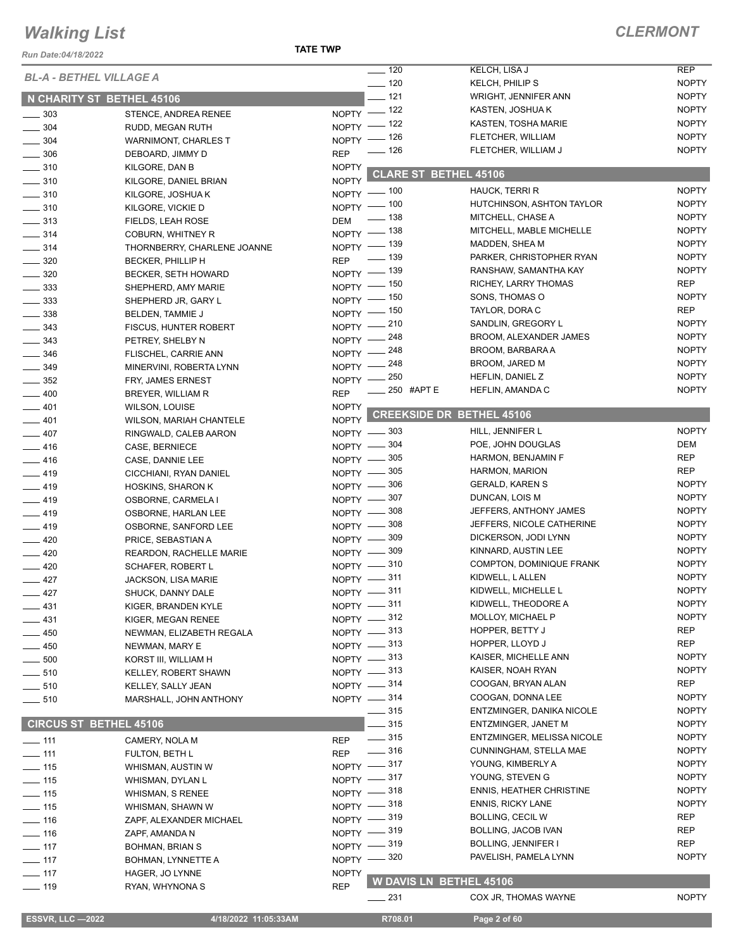#### *Run Date:04/18/2022*

#### **TATE TWP**

| <b>BL-A - BETHEL VILLAGE A</b><br>$- 120$<br><b>NOPTY</b><br>KELCH, PHILIP S<br>$\frac{1}{2}$ 121<br><b>NOPTY</b><br><b>WRIGHT, JENNIFER ANN</b><br>N CHARITY ST BETHEL 45106<br>NOPTY - 122<br><b>NOPTY</b><br>KASTEN, JOSHUA K<br>$\frac{1}{2}$ 303<br>STENCE, ANDREA RENEE<br><b>NOPTY</b><br>KASTEN, TOSHA MARIE<br>NOPTY - 122<br>$\frac{1}{2}$ 304<br>RUDD, MEGAN RUTH<br><b>NOPTY</b><br>FLETCHER, WILLIAM<br>NOPTY - 126<br>$\frac{1}{2}$ 304<br><b>WARNIMONT, CHARLES T</b><br><b>NOPTY</b><br>_ 126<br>FLETCHER, WILLIAM J<br><b>REP</b><br>$\frac{1}{2}$ 306<br>DEBOARD, JIMMY D<br>$\frac{1}{2}$ 310<br><b>NOPTY</b><br>KILGORE, DAN B<br><b>CLARE ST BETHEL 45106</b><br><b>NOPTY</b><br>$- 310$<br>KILGORE, DANIEL BRIAN<br><b>NOPTY</b><br><b>HAUCK, TERRI R</b><br>NOPTY - 100<br>$- 310$<br>KILGORE, JOSHUA K<br><b>NOPTY</b><br>NOPTY - 100<br>HUTCHINSON, ASHTON TAYLOR<br>$\frac{1}{2}$ 310<br>KILGORE, VICKIE D<br><b>NOPTY</b><br>$\frac{1}{2}$ 138<br>MITCHELL, CHASE A<br><b>DEM</b><br>$\frac{1}{2}$ 313<br>FIELDS, LEAH ROSE<br><b>NOPTY</b><br>NOPTY - 138<br>MITCHELL, MABLE MICHELLE<br>$- 314$<br><b>COBURN, WHITNEY R</b><br><b>NOPTY</b><br>NOPTY - 139<br>MADDEN, SHEA M<br>$- 314$<br>THORNBERRY, CHARLENE JOANNE<br>REP - 139<br><b>NOPTY</b><br>PARKER, CHRISTOPHER RYAN<br>$\frac{1}{2}$ 320<br>BECKER, PHILLIP H<br><b>NOPTY</b><br>NOPTY - 139<br>RANSHAW, SAMANTHA KAY<br>$\frac{1}{2}$ 320<br><b>BECKER, SETH HOWARD</b><br><b>REP</b><br>NOPTY - 150<br>RICHEY, LARRY THOMAS<br>$\frac{1}{2}$ 333<br>SHEPHERD, AMY MARIE<br>NOPTY - 150<br><b>NOPTY</b><br>SONS, THOMAS O<br>$\frac{1}{2}$ 333<br>SHEPHERD JR, GARY L<br><b>REP</b><br>TAYLOR, DORA C<br>NOPTY - 150<br>$\frac{1}{2}$ 338<br>BELDEN, TAMMIE J<br><b>NOPTY</b><br>SANDLIN, GREGORY L<br>NOPTY - 210<br>$\frac{1}{2}$ 343<br>FISCUS, HUNTER ROBERT<br><b>NOPTY</b><br><b>BROOM, ALEXANDER JAMES</b><br>NOPTY -248<br>$\frac{1}{2}$ 343<br>PETREY, SHELBY N<br><b>NOPTY</b><br>NOPTY - 248<br>BROOM, BARBARA A<br>$- 346$<br>FLISCHEL, CARRIE ANN<br><b>NOPTY</b><br>NOPTY - 248<br><b>BROOM, JARED M</b><br>$- 349$<br>MINERVINI, ROBERTA LYNN<br><b>NOPTY</b><br>NOPTY -250<br>HEFLIN, DANIEL Z<br>$\frac{1}{2}$ 352<br>FRY, JAMES ERNEST<br>$\equiv$ 250 #APT E<br><b>NOPTY</b><br>HEFLIN, AMANDA C<br><b>REP</b><br>$-400$<br>BREYER, WILLIAM R<br>$-401$<br><b>NOPTY</b><br><b>WILSON, LOUISE</b><br><b>CREEKSIDE DR BETHEL 45106</b><br><b>NOPTY</b><br>$-401$<br>WILSON, MARIAH CHANTELE<br><b>NOPTY</b><br>HILL, JENNIFER L<br>NOPTY $-$ 303<br>$-407$<br>RINGWALD, CALEB AARON<br>DEM<br>NOPTY -804<br>POE, JOHN DOUGLAS<br>$-416$<br>CASE, BERNIECE<br>NOPTY -805<br>HARMON, BENJAMIN F<br>REP<br>$-416$<br>CASE, DANNIE LEE<br>NOPTY -805<br><b>REP</b><br>HARMON, MARION<br>$-419$<br>CICCHIANI, RYAN DANIEL<br><b>NOPTY</b><br>NOPTY -806<br>GERALD, KAREN S<br>$-419$<br><b>HOSKINS, SHARON K</b><br><b>NOPTY</b><br>NOPTY -807<br>DUNCAN, LOIS M<br>$-419$<br>OSBORNE, CARMELA I<br><b>NOPTY</b><br>NOPTY -808<br>JEFFERS, ANTHONY JAMES<br>$-419$<br>OSBORNE, HARLAN LEE<br><b>NOPTY</b><br>NOPTY -808<br>JEFFERS, NICOLE CATHERINE<br>$-419$<br>OSBORNE, SANFORD LEE<br><b>NOPTY</b><br>NOPTY -809<br>DICKERSON, JODI LYNN<br>$-420$<br>PRICE, SEBASTIAN A<br><b>NOPTY</b><br>NOPTY -809<br>KINNARD, AUSTIN LEE<br>$\frac{1}{2}$ 420<br>REARDON, RACHELLE MARIE<br>NOPTY -810<br><b>NOPTY</b><br><b>COMPTON, DOMINIQUE FRANK</b><br>$-420$<br><b>SCHAFER, ROBERT L</b><br><b>NOPTY</b><br>NOPTY -811<br>KIDWELL, L ALLEN<br>$-427$<br><b>JACKSON, LISA MARIE</b><br><b>NOPTY</b><br>KIDWELL, MICHELLE L<br>NOPTY -311<br>427<br>SHUCK, DANNY DALE<br><b>NOPTY</b><br>KIDWELL, THEODORE A<br>NOPTY -811<br>$-431$<br>KIGER, BRANDEN KYLE<br>NOPTY -812<br>MOLLOY, MICHAEL P<br><b>NOPTY</b><br>KIGER, MEGAN RENEE<br><b>REP</b><br>NOPTY -813<br><b>HOPPER, BETTY J</b><br>$-450$<br>NEWMAN, ELIZABETH REGALA<br>NOPTY -813<br><b>REP</b><br>HOPPER, LLOYD J<br>$-450$<br>NEWMAN, MARY E<br>NOPTY -813<br>KAISER, MICHELLE ANN<br><b>NOPTY</b><br>$\frac{1}{2}$ 500<br>KORST III, WILLIAM H<br>NOPTY -813<br><b>NOPTY</b><br>KAISER, NOAH RYAN<br>$\sim$ 510<br>KELLEY, ROBERT SHAWN<br>COOGAN, BRYAN ALAN<br>REP<br>NOPTY $-314$<br>KELLEY, SALLY JEAN<br><b>NOPTY</b><br>NOPTY $-314$<br>COOGAN, DONNA LEE<br>MARSHALL, JOHN ANTHONY<br>$\frac{1}{2}$ 315<br>ENTZMINGER, DANIKA NICOLE<br><b>NOPTY</b><br><b>CIRCUS ST BETHEL 45106</b><br>$-315$<br>ENTZMINGER, JANET M<br><b>NOPTY</b><br>$\frac{1}{2}$ 315<br><b>NOPTY</b><br>ENTZMINGER, MELISSA NICOLE<br><b>REP</b><br>CAMERY, NOLA M<br>$\frac{1}{2}$ 316<br><b>NOPTY</b><br>CUNNINGHAM, STELLA MAE<br><b>REP</b><br>FULTON, BETH L<br>NOPTY -817<br>YOUNG, KIMBERLY A<br><b>NOPTY</b><br>WHISMAN, AUSTIN W<br>YOUNG, STEVEN G<br><b>NOPTY</b><br>NOPTY -817<br>WHISMAN, DYLAN L<br><b>ENNIS, HEATHER CHRISTINE</b><br><b>NOPTY</b><br>NOPTY -818<br>WHISMAN, S RENEE<br>NOPTY -818<br><b>ENNIS, RICKY LANE</b><br><b>NOPTY</b><br>WHISMAN, SHAWN W<br><b>REP</b><br>NOPTY -819<br><b>BOLLING, CECIL W</b><br>ZAPF, ALEXANDER MICHAEL<br>NOPTY -819<br><b>REP</b><br>BOLLING, JACOB IVAN<br>ZAPF, AMANDA N<br>NOPTY -819<br>REP<br>BOLLING, JENNIFER I<br><b>BOHMAN, BRIAN S</b><br>NOPTY -820<br>PAVELISH, PAMELA LYNN<br><b>NOPTY</b><br>BOHMAN, LYNNETTE A<br><b>NOPTY</b><br>HAGER, JO LYNNE<br>W DAVIS LN BETHEL 45106<br><b>REP</b><br>RYAN, WHYNONA S<br><b>NOPTY</b><br>____ 231<br>COX JR, THOMAS WAYNE<br><b>ESSVR, LLC-2022</b><br>4/18/2022 11:05:33AM<br>R708.01<br>Page 2 of 60 |                   |  | $\frac{1}{2}$ 120 | KELCH, LISA J | <b>REP</b> |
|-------------------------------------------------------------------------------------------------------------------------------------------------------------------------------------------------------------------------------------------------------------------------------------------------------------------------------------------------------------------------------------------------------------------------------------------------------------------------------------------------------------------------------------------------------------------------------------------------------------------------------------------------------------------------------------------------------------------------------------------------------------------------------------------------------------------------------------------------------------------------------------------------------------------------------------------------------------------------------------------------------------------------------------------------------------------------------------------------------------------------------------------------------------------------------------------------------------------------------------------------------------------------------------------------------------------------------------------------------------------------------------------------------------------------------------------------------------------------------------------------------------------------------------------------------------------------------------------------------------------------------------------------------------------------------------------------------------------------------------------------------------------------------------------------------------------------------------------------------------------------------------------------------------------------------------------------------------------------------------------------------------------------------------------------------------------------------------------------------------------------------------------------------------------------------------------------------------------------------------------------------------------------------------------------------------------------------------------------------------------------------------------------------------------------------------------------------------------------------------------------------------------------------------------------------------------------------------------------------------------------------------------------------------------------------------------------------------------------------------------------------------------------------------------------------------------------------------------------------------------------------------------------------------------------------------------------------------------------------------------------------------------------------------------------------------------------------------------------------------------------------------------------------------------------------------------------------------------------------------------------------------------------------------------------------------------------------------------------------------------------------------------------------------------------------------------------------------------------------------------------------------------------------------------------------------------------------------------------------------------------------------------------------------------------------------------------------------------------------------------------------------------------------------------------------------------------------------------------------------------------------------------------------------------------------------------------------------------------------------------------------------------------------------------------------------------------------------------------------------------------------------------------------------------------------------------------------------------------------------------------------------------------------------------------------------------------------------------------------------------------------------------------------------------------------------------------------------------------------------------------------------------------------------------------------------------------------------------------------------------------------------------------------------------------------------------------------------------------------------------------------------------------------------------------------------------------------------------------------------------------------------------------------------------------------------------------------------------------------------------------------------------------------------------------------------------------------------------------------------------------------------------------------------------------------------------------------------------------------------------------------------------------------------------------------------------------------------------------------------------------------------------------------------------------------------------------------------------------------------------------------------------------------------------------------------------------------|-------------------|--|-------------------|---------------|------------|
|                                                                                                                                                                                                                                                                                                                                                                                                                                                                                                                                                                                                                                                                                                                                                                                                                                                                                                                                                                                                                                                                                                                                                                                                                                                                                                                                                                                                                                                                                                                                                                                                                                                                                                                                                                                                                                                                                                                                                                                                                                                                                                                                                                                                                                                                                                                                                                                                                                                                                                                                                                                                                                                                                                                                                                                                                                                                                                                                                                                                                                                                                                                                                                                                                                                                                                                                                                                                                                                                                                                                                                                                                                                                                                                                                                                                                                                                                                                                                                                                                                                                                                                                                                                                                                                                                                                                                                                                                                                                                                                                                                                                                                                                                                                                                                                                                                                                                                                                                                                                                                                                                                                                                                                                                                                                                                                                                                                                                                                                                                                                                                               |                   |  |                   |               |            |
|                                                                                                                                                                                                                                                                                                                                                                                                                                                                                                                                                                                                                                                                                                                                                                                                                                                                                                                                                                                                                                                                                                                                                                                                                                                                                                                                                                                                                                                                                                                                                                                                                                                                                                                                                                                                                                                                                                                                                                                                                                                                                                                                                                                                                                                                                                                                                                                                                                                                                                                                                                                                                                                                                                                                                                                                                                                                                                                                                                                                                                                                                                                                                                                                                                                                                                                                                                                                                                                                                                                                                                                                                                                                                                                                                                                                                                                                                                                                                                                                                                                                                                                                                                                                                                                                                                                                                                                                                                                                                                                                                                                                                                                                                                                                                                                                                                                                                                                                                                                                                                                                                                                                                                                                                                                                                                                                                                                                                                                                                                                                                                               |                   |  |                   |               |            |
|                                                                                                                                                                                                                                                                                                                                                                                                                                                                                                                                                                                                                                                                                                                                                                                                                                                                                                                                                                                                                                                                                                                                                                                                                                                                                                                                                                                                                                                                                                                                                                                                                                                                                                                                                                                                                                                                                                                                                                                                                                                                                                                                                                                                                                                                                                                                                                                                                                                                                                                                                                                                                                                                                                                                                                                                                                                                                                                                                                                                                                                                                                                                                                                                                                                                                                                                                                                                                                                                                                                                                                                                                                                                                                                                                                                                                                                                                                                                                                                                                                                                                                                                                                                                                                                                                                                                                                                                                                                                                                                                                                                                                                                                                                                                                                                                                                                                                                                                                                                                                                                                                                                                                                                                                                                                                                                                                                                                                                                                                                                                                                               |                   |  |                   |               |            |
|                                                                                                                                                                                                                                                                                                                                                                                                                                                                                                                                                                                                                                                                                                                                                                                                                                                                                                                                                                                                                                                                                                                                                                                                                                                                                                                                                                                                                                                                                                                                                                                                                                                                                                                                                                                                                                                                                                                                                                                                                                                                                                                                                                                                                                                                                                                                                                                                                                                                                                                                                                                                                                                                                                                                                                                                                                                                                                                                                                                                                                                                                                                                                                                                                                                                                                                                                                                                                                                                                                                                                                                                                                                                                                                                                                                                                                                                                                                                                                                                                                                                                                                                                                                                                                                                                                                                                                                                                                                                                                                                                                                                                                                                                                                                                                                                                                                                                                                                                                                                                                                                                                                                                                                                                                                                                                                                                                                                                                                                                                                                                                               |                   |  |                   |               |            |
|                                                                                                                                                                                                                                                                                                                                                                                                                                                                                                                                                                                                                                                                                                                                                                                                                                                                                                                                                                                                                                                                                                                                                                                                                                                                                                                                                                                                                                                                                                                                                                                                                                                                                                                                                                                                                                                                                                                                                                                                                                                                                                                                                                                                                                                                                                                                                                                                                                                                                                                                                                                                                                                                                                                                                                                                                                                                                                                                                                                                                                                                                                                                                                                                                                                                                                                                                                                                                                                                                                                                                                                                                                                                                                                                                                                                                                                                                                                                                                                                                                                                                                                                                                                                                                                                                                                                                                                                                                                                                                                                                                                                                                                                                                                                                                                                                                                                                                                                                                                                                                                                                                                                                                                                                                                                                                                                                                                                                                                                                                                                                                               |                   |  |                   |               |            |
|                                                                                                                                                                                                                                                                                                                                                                                                                                                                                                                                                                                                                                                                                                                                                                                                                                                                                                                                                                                                                                                                                                                                                                                                                                                                                                                                                                                                                                                                                                                                                                                                                                                                                                                                                                                                                                                                                                                                                                                                                                                                                                                                                                                                                                                                                                                                                                                                                                                                                                                                                                                                                                                                                                                                                                                                                                                                                                                                                                                                                                                                                                                                                                                                                                                                                                                                                                                                                                                                                                                                                                                                                                                                                                                                                                                                                                                                                                                                                                                                                                                                                                                                                                                                                                                                                                                                                                                                                                                                                                                                                                                                                                                                                                                                                                                                                                                                                                                                                                                                                                                                                                                                                                                                                                                                                                                                                                                                                                                                                                                                                                               |                   |  |                   |               |            |
|                                                                                                                                                                                                                                                                                                                                                                                                                                                                                                                                                                                                                                                                                                                                                                                                                                                                                                                                                                                                                                                                                                                                                                                                                                                                                                                                                                                                                                                                                                                                                                                                                                                                                                                                                                                                                                                                                                                                                                                                                                                                                                                                                                                                                                                                                                                                                                                                                                                                                                                                                                                                                                                                                                                                                                                                                                                                                                                                                                                                                                                                                                                                                                                                                                                                                                                                                                                                                                                                                                                                                                                                                                                                                                                                                                                                                                                                                                                                                                                                                                                                                                                                                                                                                                                                                                                                                                                                                                                                                                                                                                                                                                                                                                                                                                                                                                                                                                                                                                                                                                                                                                                                                                                                                                                                                                                                                                                                                                                                                                                                                                               |                   |  |                   |               |            |
|                                                                                                                                                                                                                                                                                                                                                                                                                                                                                                                                                                                                                                                                                                                                                                                                                                                                                                                                                                                                                                                                                                                                                                                                                                                                                                                                                                                                                                                                                                                                                                                                                                                                                                                                                                                                                                                                                                                                                                                                                                                                                                                                                                                                                                                                                                                                                                                                                                                                                                                                                                                                                                                                                                                                                                                                                                                                                                                                                                                                                                                                                                                                                                                                                                                                                                                                                                                                                                                                                                                                                                                                                                                                                                                                                                                                                                                                                                                                                                                                                                                                                                                                                                                                                                                                                                                                                                                                                                                                                                                                                                                                                                                                                                                                                                                                                                                                                                                                                                                                                                                                                                                                                                                                                                                                                                                                                                                                                                                                                                                                                                               |                   |  |                   |               |            |
|                                                                                                                                                                                                                                                                                                                                                                                                                                                                                                                                                                                                                                                                                                                                                                                                                                                                                                                                                                                                                                                                                                                                                                                                                                                                                                                                                                                                                                                                                                                                                                                                                                                                                                                                                                                                                                                                                                                                                                                                                                                                                                                                                                                                                                                                                                                                                                                                                                                                                                                                                                                                                                                                                                                                                                                                                                                                                                                                                                                                                                                                                                                                                                                                                                                                                                                                                                                                                                                                                                                                                                                                                                                                                                                                                                                                                                                                                                                                                                                                                                                                                                                                                                                                                                                                                                                                                                                                                                                                                                                                                                                                                                                                                                                                                                                                                                                                                                                                                                                                                                                                                                                                                                                                                                                                                                                                                                                                                                                                                                                                                                               |                   |  |                   |               |            |
|                                                                                                                                                                                                                                                                                                                                                                                                                                                                                                                                                                                                                                                                                                                                                                                                                                                                                                                                                                                                                                                                                                                                                                                                                                                                                                                                                                                                                                                                                                                                                                                                                                                                                                                                                                                                                                                                                                                                                                                                                                                                                                                                                                                                                                                                                                                                                                                                                                                                                                                                                                                                                                                                                                                                                                                                                                                                                                                                                                                                                                                                                                                                                                                                                                                                                                                                                                                                                                                                                                                                                                                                                                                                                                                                                                                                                                                                                                                                                                                                                                                                                                                                                                                                                                                                                                                                                                                                                                                                                                                                                                                                                                                                                                                                                                                                                                                                                                                                                                                                                                                                                                                                                                                                                                                                                                                                                                                                                                                                                                                                                                               |                   |  |                   |               |            |
|                                                                                                                                                                                                                                                                                                                                                                                                                                                                                                                                                                                                                                                                                                                                                                                                                                                                                                                                                                                                                                                                                                                                                                                                                                                                                                                                                                                                                                                                                                                                                                                                                                                                                                                                                                                                                                                                                                                                                                                                                                                                                                                                                                                                                                                                                                                                                                                                                                                                                                                                                                                                                                                                                                                                                                                                                                                                                                                                                                                                                                                                                                                                                                                                                                                                                                                                                                                                                                                                                                                                                                                                                                                                                                                                                                                                                                                                                                                                                                                                                                                                                                                                                                                                                                                                                                                                                                                                                                                                                                                                                                                                                                                                                                                                                                                                                                                                                                                                                                                                                                                                                                                                                                                                                                                                                                                                                                                                                                                                                                                                                                               |                   |  |                   |               |            |
|                                                                                                                                                                                                                                                                                                                                                                                                                                                                                                                                                                                                                                                                                                                                                                                                                                                                                                                                                                                                                                                                                                                                                                                                                                                                                                                                                                                                                                                                                                                                                                                                                                                                                                                                                                                                                                                                                                                                                                                                                                                                                                                                                                                                                                                                                                                                                                                                                                                                                                                                                                                                                                                                                                                                                                                                                                                                                                                                                                                                                                                                                                                                                                                                                                                                                                                                                                                                                                                                                                                                                                                                                                                                                                                                                                                                                                                                                                                                                                                                                                                                                                                                                                                                                                                                                                                                                                                                                                                                                                                                                                                                                                                                                                                                                                                                                                                                                                                                                                                                                                                                                                                                                                                                                                                                                                                                                                                                                                                                                                                                                                               |                   |  |                   |               |            |
|                                                                                                                                                                                                                                                                                                                                                                                                                                                                                                                                                                                                                                                                                                                                                                                                                                                                                                                                                                                                                                                                                                                                                                                                                                                                                                                                                                                                                                                                                                                                                                                                                                                                                                                                                                                                                                                                                                                                                                                                                                                                                                                                                                                                                                                                                                                                                                                                                                                                                                                                                                                                                                                                                                                                                                                                                                                                                                                                                                                                                                                                                                                                                                                                                                                                                                                                                                                                                                                                                                                                                                                                                                                                                                                                                                                                                                                                                                                                                                                                                                                                                                                                                                                                                                                                                                                                                                                                                                                                                                                                                                                                                                                                                                                                                                                                                                                                                                                                                                                                                                                                                                                                                                                                                                                                                                                                                                                                                                                                                                                                                                               |                   |  |                   |               |            |
|                                                                                                                                                                                                                                                                                                                                                                                                                                                                                                                                                                                                                                                                                                                                                                                                                                                                                                                                                                                                                                                                                                                                                                                                                                                                                                                                                                                                                                                                                                                                                                                                                                                                                                                                                                                                                                                                                                                                                                                                                                                                                                                                                                                                                                                                                                                                                                                                                                                                                                                                                                                                                                                                                                                                                                                                                                                                                                                                                                                                                                                                                                                                                                                                                                                                                                                                                                                                                                                                                                                                                                                                                                                                                                                                                                                                                                                                                                                                                                                                                                                                                                                                                                                                                                                                                                                                                                                                                                                                                                                                                                                                                                                                                                                                                                                                                                                                                                                                                                                                                                                                                                                                                                                                                                                                                                                                                                                                                                                                                                                                                                               |                   |  |                   |               |            |
|                                                                                                                                                                                                                                                                                                                                                                                                                                                                                                                                                                                                                                                                                                                                                                                                                                                                                                                                                                                                                                                                                                                                                                                                                                                                                                                                                                                                                                                                                                                                                                                                                                                                                                                                                                                                                                                                                                                                                                                                                                                                                                                                                                                                                                                                                                                                                                                                                                                                                                                                                                                                                                                                                                                                                                                                                                                                                                                                                                                                                                                                                                                                                                                                                                                                                                                                                                                                                                                                                                                                                                                                                                                                                                                                                                                                                                                                                                                                                                                                                                                                                                                                                                                                                                                                                                                                                                                                                                                                                                                                                                                                                                                                                                                                                                                                                                                                                                                                                                                                                                                                                                                                                                                                                                                                                                                                                                                                                                                                                                                                                                               |                   |  |                   |               |            |
|                                                                                                                                                                                                                                                                                                                                                                                                                                                                                                                                                                                                                                                                                                                                                                                                                                                                                                                                                                                                                                                                                                                                                                                                                                                                                                                                                                                                                                                                                                                                                                                                                                                                                                                                                                                                                                                                                                                                                                                                                                                                                                                                                                                                                                                                                                                                                                                                                                                                                                                                                                                                                                                                                                                                                                                                                                                                                                                                                                                                                                                                                                                                                                                                                                                                                                                                                                                                                                                                                                                                                                                                                                                                                                                                                                                                                                                                                                                                                                                                                                                                                                                                                                                                                                                                                                                                                                                                                                                                                                                                                                                                                                                                                                                                                                                                                                                                                                                                                                                                                                                                                                                                                                                                                                                                                                                                                                                                                                                                                                                                                                               |                   |  |                   |               |            |
|                                                                                                                                                                                                                                                                                                                                                                                                                                                                                                                                                                                                                                                                                                                                                                                                                                                                                                                                                                                                                                                                                                                                                                                                                                                                                                                                                                                                                                                                                                                                                                                                                                                                                                                                                                                                                                                                                                                                                                                                                                                                                                                                                                                                                                                                                                                                                                                                                                                                                                                                                                                                                                                                                                                                                                                                                                                                                                                                                                                                                                                                                                                                                                                                                                                                                                                                                                                                                                                                                                                                                                                                                                                                                                                                                                                                                                                                                                                                                                                                                                                                                                                                                                                                                                                                                                                                                                                                                                                                                                                                                                                                                                                                                                                                                                                                                                                                                                                                                                                                                                                                                                                                                                                                                                                                                                                                                                                                                                                                                                                                                                               |                   |  |                   |               |            |
|                                                                                                                                                                                                                                                                                                                                                                                                                                                                                                                                                                                                                                                                                                                                                                                                                                                                                                                                                                                                                                                                                                                                                                                                                                                                                                                                                                                                                                                                                                                                                                                                                                                                                                                                                                                                                                                                                                                                                                                                                                                                                                                                                                                                                                                                                                                                                                                                                                                                                                                                                                                                                                                                                                                                                                                                                                                                                                                                                                                                                                                                                                                                                                                                                                                                                                                                                                                                                                                                                                                                                                                                                                                                                                                                                                                                                                                                                                                                                                                                                                                                                                                                                                                                                                                                                                                                                                                                                                                                                                                                                                                                                                                                                                                                                                                                                                                                                                                                                                                                                                                                                                                                                                                                                                                                                                                                                                                                                                                                                                                                                                               |                   |  |                   |               |            |
|                                                                                                                                                                                                                                                                                                                                                                                                                                                                                                                                                                                                                                                                                                                                                                                                                                                                                                                                                                                                                                                                                                                                                                                                                                                                                                                                                                                                                                                                                                                                                                                                                                                                                                                                                                                                                                                                                                                                                                                                                                                                                                                                                                                                                                                                                                                                                                                                                                                                                                                                                                                                                                                                                                                                                                                                                                                                                                                                                                                                                                                                                                                                                                                                                                                                                                                                                                                                                                                                                                                                                                                                                                                                                                                                                                                                                                                                                                                                                                                                                                                                                                                                                                                                                                                                                                                                                                                                                                                                                                                                                                                                                                                                                                                                                                                                                                                                                                                                                                                                                                                                                                                                                                                                                                                                                                                                                                                                                                                                                                                                                                               |                   |  |                   |               |            |
|                                                                                                                                                                                                                                                                                                                                                                                                                                                                                                                                                                                                                                                                                                                                                                                                                                                                                                                                                                                                                                                                                                                                                                                                                                                                                                                                                                                                                                                                                                                                                                                                                                                                                                                                                                                                                                                                                                                                                                                                                                                                                                                                                                                                                                                                                                                                                                                                                                                                                                                                                                                                                                                                                                                                                                                                                                                                                                                                                                                                                                                                                                                                                                                                                                                                                                                                                                                                                                                                                                                                                                                                                                                                                                                                                                                                                                                                                                                                                                                                                                                                                                                                                                                                                                                                                                                                                                                                                                                                                                                                                                                                                                                                                                                                                                                                                                                                                                                                                                                                                                                                                                                                                                                                                                                                                                                                                                                                                                                                                                                                                                               |                   |  |                   |               |            |
|                                                                                                                                                                                                                                                                                                                                                                                                                                                                                                                                                                                                                                                                                                                                                                                                                                                                                                                                                                                                                                                                                                                                                                                                                                                                                                                                                                                                                                                                                                                                                                                                                                                                                                                                                                                                                                                                                                                                                                                                                                                                                                                                                                                                                                                                                                                                                                                                                                                                                                                                                                                                                                                                                                                                                                                                                                                                                                                                                                                                                                                                                                                                                                                                                                                                                                                                                                                                                                                                                                                                                                                                                                                                                                                                                                                                                                                                                                                                                                                                                                                                                                                                                                                                                                                                                                                                                                                                                                                                                                                                                                                                                                                                                                                                                                                                                                                                                                                                                                                                                                                                                                                                                                                                                                                                                                                                                                                                                                                                                                                                                                               |                   |  |                   |               |            |
|                                                                                                                                                                                                                                                                                                                                                                                                                                                                                                                                                                                                                                                                                                                                                                                                                                                                                                                                                                                                                                                                                                                                                                                                                                                                                                                                                                                                                                                                                                                                                                                                                                                                                                                                                                                                                                                                                                                                                                                                                                                                                                                                                                                                                                                                                                                                                                                                                                                                                                                                                                                                                                                                                                                                                                                                                                                                                                                                                                                                                                                                                                                                                                                                                                                                                                                                                                                                                                                                                                                                                                                                                                                                                                                                                                                                                                                                                                                                                                                                                                                                                                                                                                                                                                                                                                                                                                                                                                                                                                                                                                                                                                                                                                                                                                                                                                                                                                                                                                                                                                                                                                                                                                                                                                                                                                                                                                                                                                                                                                                                                                               |                   |  |                   |               |            |
|                                                                                                                                                                                                                                                                                                                                                                                                                                                                                                                                                                                                                                                                                                                                                                                                                                                                                                                                                                                                                                                                                                                                                                                                                                                                                                                                                                                                                                                                                                                                                                                                                                                                                                                                                                                                                                                                                                                                                                                                                                                                                                                                                                                                                                                                                                                                                                                                                                                                                                                                                                                                                                                                                                                                                                                                                                                                                                                                                                                                                                                                                                                                                                                                                                                                                                                                                                                                                                                                                                                                                                                                                                                                                                                                                                                                                                                                                                                                                                                                                                                                                                                                                                                                                                                                                                                                                                                                                                                                                                                                                                                                                                                                                                                                                                                                                                                                                                                                                                                                                                                                                                                                                                                                                                                                                                                                                                                                                                                                                                                                                                               |                   |  |                   |               |            |
|                                                                                                                                                                                                                                                                                                                                                                                                                                                                                                                                                                                                                                                                                                                                                                                                                                                                                                                                                                                                                                                                                                                                                                                                                                                                                                                                                                                                                                                                                                                                                                                                                                                                                                                                                                                                                                                                                                                                                                                                                                                                                                                                                                                                                                                                                                                                                                                                                                                                                                                                                                                                                                                                                                                                                                                                                                                                                                                                                                                                                                                                                                                                                                                                                                                                                                                                                                                                                                                                                                                                                                                                                                                                                                                                                                                                                                                                                                                                                                                                                                                                                                                                                                                                                                                                                                                                                                                                                                                                                                                                                                                                                                                                                                                                                                                                                                                                                                                                                                                                                                                                                                                                                                                                                                                                                                                                                                                                                                                                                                                                                                               |                   |  |                   |               |            |
|                                                                                                                                                                                                                                                                                                                                                                                                                                                                                                                                                                                                                                                                                                                                                                                                                                                                                                                                                                                                                                                                                                                                                                                                                                                                                                                                                                                                                                                                                                                                                                                                                                                                                                                                                                                                                                                                                                                                                                                                                                                                                                                                                                                                                                                                                                                                                                                                                                                                                                                                                                                                                                                                                                                                                                                                                                                                                                                                                                                                                                                                                                                                                                                                                                                                                                                                                                                                                                                                                                                                                                                                                                                                                                                                                                                                                                                                                                                                                                                                                                                                                                                                                                                                                                                                                                                                                                                                                                                                                                                                                                                                                                                                                                                                                                                                                                                                                                                                                                                                                                                                                                                                                                                                                                                                                                                                                                                                                                                                                                                                                                               |                   |  |                   |               |            |
|                                                                                                                                                                                                                                                                                                                                                                                                                                                                                                                                                                                                                                                                                                                                                                                                                                                                                                                                                                                                                                                                                                                                                                                                                                                                                                                                                                                                                                                                                                                                                                                                                                                                                                                                                                                                                                                                                                                                                                                                                                                                                                                                                                                                                                                                                                                                                                                                                                                                                                                                                                                                                                                                                                                                                                                                                                                                                                                                                                                                                                                                                                                                                                                                                                                                                                                                                                                                                                                                                                                                                                                                                                                                                                                                                                                                                                                                                                                                                                                                                                                                                                                                                                                                                                                                                                                                                                                                                                                                                                                                                                                                                                                                                                                                                                                                                                                                                                                                                                                                                                                                                                                                                                                                                                                                                                                                                                                                                                                                                                                                                                               |                   |  |                   |               |            |
|                                                                                                                                                                                                                                                                                                                                                                                                                                                                                                                                                                                                                                                                                                                                                                                                                                                                                                                                                                                                                                                                                                                                                                                                                                                                                                                                                                                                                                                                                                                                                                                                                                                                                                                                                                                                                                                                                                                                                                                                                                                                                                                                                                                                                                                                                                                                                                                                                                                                                                                                                                                                                                                                                                                                                                                                                                                                                                                                                                                                                                                                                                                                                                                                                                                                                                                                                                                                                                                                                                                                                                                                                                                                                                                                                                                                                                                                                                                                                                                                                                                                                                                                                                                                                                                                                                                                                                                                                                                                                                                                                                                                                                                                                                                                                                                                                                                                                                                                                                                                                                                                                                                                                                                                                                                                                                                                                                                                                                                                                                                                                                               |                   |  |                   |               |            |
|                                                                                                                                                                                                                                                                                                                                                                                                                                                                                                                                                                                                                                                                                                                                                                                                                                                                                                                                                                                                                                                                                                                                                                                                                                                                                                                                                                                                                                                                                                                                                                                                                                                                                                                                                                                                                                                                                                                                                                                                                                                                                                                                                                                                                                                                                                                                                                                                                                                                                                                                                                                                                                                                                                                                                                                                                                                                                                                                                                                                                                                                                                                                                                                                                                                                                                                                                                                                                                                                                                                                                                                                                                                                                                                                                                                                                                                                                                                                                                                                                                                                                                                                                                                                                                                                                                                                                                                                                                                                                                                                                                                                                                                                                                                                                                                                                                                                                                                                                                                                                                                                                                                                                                                                                                                                                                                                                                                                                                                                                                                                                                               |                   |  |                   |               |            |
|                                                                                                                                                                                                                                                                                                                                                                                                                                                                                                                                                                                                                                                                                                                                                                                                                                                                                                                                                                                                                                                                                                                                                                                                                                                                                                                                                                                                                                                                                                                                                                                                                                                                                                                                                                                                                                                                                                                                                                                                                                                                                                                                                                                                                                                                                                                                                                                                                                                                                                                                                                                                                                                                                                                                                                                                                                                                                                                                                                                                                                                                                                                                                                                                                                                                                                                                                                                                                                                                                                                                                                                                                                                                                                                                                                                                                                                                                                                                                                                                                                                                                                                                                                                                                                                                                                                                                                                                                                                                                                                                                                                                                                                                                                                                                                                                                                                                                                                                                                                                                                                                                                                                                                                                                                                                                                                                                                                                                                                                                                                                                                               |                   |  |                   |               |            |
|                                                                                                                                                                                                                                                                                                                                                                                                                                                                                                                                                                                                                                                                                                                                                                                                                                                                                                                                                                                                                                                                                                                                                                                                                                                                                                                                                                                                                                                                                                                                                                                                                                                                                                                                                                                                                                                                                                                                                                                                                                                                                                                                                                                                                                                                                                                                                                                                                                                                                                                                                                                                                                                                                                                                                                                                                                                                                                                                                                                                                                                                                                                                                                                                                                                                                                                                                                                                                                                                                                                                                                                                                                                                                                                                                                                                                                                                                                                                                                                                                                                                                                                                                                                                                                                                                                                                                                                                                                                                                                                                                                                                                                                                                                                                                                                                                                                                                                                                                                                                                                                                                                                                                                                                                                                                                                                                                                                                                                                                                                                                                                               |                   |  |                   |               |            |
|                                                                                                                                                                                                                                                                                                                                                                                                                                                                                                                                                                                                                                                                                                                                                                                                                                                                                                                                                                                                                                                                                                                                                                                                                                                                                                                                                                                                                                                                                                                                                                                                                                                                                                                                                                                                                                                                                                                                                                                                                                                                                                                                                                                                                                                                                                                                                                                                                                                                                                                                                                                                                                                                                                                                                                                                                                                                                                                                                                                                                                                                                                                                                                                                                                                                                                                                                                                                                                                                                                                                                                                                                                                                                                                                                                                                                                                                                                                                                                                                                                                                                                                                                                                                                                                                                                                                                                                                                                                                                                                                                                                                                                                                                                                                                                                                                                                                                                                                                                                                                                                                                                                                                                                                                                                                                                                                                                                                                                                                                                                                                                               |                   |  |                   |               |            |
|                                                                                                                                                                                                                                                                                                                                                                                                                                                                                                                                                                                                                                                                                                                                                                                                                                                                                                                                                                                                                                                                                                                                                                                                                                                                                                                                                                                                                                                                                                                                                                                                                                                                                                                                                                                                                                                                                                                                                                                                                                                                                                                                                                                                                                                                                                                                                                                                                                                                                                                                                                                                                                                                                                                                                                                                                                                                                                                                                                                                                                                                                                                                                                                                                                                                                                                                                                                                                                                                                                                                                                                                                                                                                                                                                                                                                                                                                                                                                                                                                                                                                                                                                                                                                                                                                                                                                                                                                                                                                                                                                                                                                                                                                                                                                                                                                                                                                                                                                                                                                                                                                                                                                                                                                                                                                                                                                                                                                                                                                                                                                                               |                   |  |                   |               |            |
|                                                                                                                                                                                                                                                                                                                                                                                                                                                                                                                                                                                                                                                                                                                                                                                                                                                                                                                                                                                                                                                                                                                                                                                                                                                                                                                                                                                                                                                                                                                                                                                                                                                                                                                                                                                                                                                                                                                                                                                                                                                                                                                                                                                                                                                                                                                                                                                                                                                                                                                                                                                                                                                                                                                                                                                                                                                                                                                                                                                                                                                                                                                                                                                                                                                                                                                                                                                                                                                                                                                                                                                                                                                                                                                                                                                                                                                                                                                                                                                                                                                                                                                                                                                                                                                                                                                                                                                                                                                                                                                                                                                                                                                                                                                                                                                                                                                                                                                                                                                                                                                                                                                                                                                                                                                                                                                                                                                                                                                                                                                                                                               |                   |  |                   |               |            |
|                                                                                                                                                                                                                                                                                                                                                                                                                                                                                                                                                                                                                                                                                                                                                                                                                                                                                                                                                                                                                                                                                                                                                                                                                                                                                                                                                                                                                                                                                                                                                                                                                                                                                                                                                                                                                                                                                                                                                                                                                                                                                                                                                                                                                                                                                                                                                                                                                                                                                                                                                                                                                                                                                                                                                                                                                                                                                                                                                                                                                                                                                                                                                                                                                                                                                                                                                                                                                                                                                                                                                                                                                                                                                                                                                                                                                                                                                                                                                                                                                                                                                                                                                                                                                                                                                                                                                                                                                                                                                                                                                                                                                                                                                                                                                                                                                                                                                                                                                                                                                                                                                                                                                                                                                                                                                                                                                                                                                                                                                                                                                                               |                   |  |                   |               |            |
|                                                                                                                                                                                                                                                                                                                                                                                                                                                                                                                                                                                                                                                                                                                                                                                                                                                                                                                                                                                                                                                                                                                                                                                                                                                                                                                                                                                                                                                                                                                                                                                                                                                                                                                                                                                                                                                                                                                                                                                                                                                                                                                                                                                                                                                                                                                                                                                                                                                                                                                                                                                                                                                                                                                                                                                                                                                                                                                                                                                                                                                                                                                                                                                                                                                                                                                                                                                                                                                                                                                                                                                                                                                                                                                                                                                                                                                                                                                                                                                                                                                                                                                                                                                                                                                                                                                                                                                                                                                                                                                                                                                                                                                                                                                                                                                                                                                                                                                                                                                                                                                                                                                                                                                                                                                                                                                                                                                                                                                                                                                                                                               |                   |  |                   |               |            |
|                                                                                                                                                                                                                                                                                                                                                                                                                                                                                                                                                                                                                                                                                                                                                                                                                                                                                                                                                                                                                                                                                                                                                                                                                                                                                                                                                                                                                                                                                                                                                                                                                                                                                                                                                                                                                                                                                                                                                                                                                                                                                                                                                                                                                                                                                                                                                                                                                                                                                                                                                                                                                                                                                                                                                                                                                                                                                                                                                                                                                                                                                                                                                                                                                                                                                                                                                                                                                                                                                                                                                                                                                                                                                                                                                                                                                                                                                                                                                                                                                                                                                                                                                                                                                                                                                                                                                                                                                                                                                                                                                                                                                                                                                                                                                                                                                                                                                                                                                                                                                                                                                                                                                                                                                                                                                                                                                                                                                                                                                                                                                                               |                   |  |                   |               |            |
|                                                                                                                                                                                                                                                                                                                                                                                                                                                                                                                                                                                                                                                                                                                                                                                                                                                                                                                                                                                                                                                                                                                                                                                                                                                                                                                                                                                                                                                                                                                                                                                                                                                                                                                                                                                                                                                                                                                                                                                                                                                                                                                                                                                                                                                                                                                                                                                                                                                                                                                                                                                                                                                                                                                                                                                                                                                                                                                                                                                                                                                                                                                                                                                                                                                                                                                                                                                                                                                                                                                                                                                                                                                                                                                                                                                                                                                                                                                                                                                                                                                                                                                                                                                                                                                                                                                                                                                                                                                                                                                                                                                                                                                                                                                                                                                                                                                                                                                                                                                                                                                                                                                                                                                                                                                                                                                                                                                                                                                                                                                                                                               |                   |  |                   |               |            |
|                                                                                                                                                                                                                                                                                                                                                                                                                                                                                                                                                                                                                                                                                                                                                                                                                                                                                                                                                                                                                                                                                                                                                                                                                                                                                                                                                                                                                                                                                                                                                                                                                                                                                                                                                                                                                                                                                                                                                                                                                                                                                                                                                                                                                                                                                                                                                                                                                                                                                                                                                                                                                                                                                                                                                                                                                                                                                                                                                                                                                                                                                                                                                                                                                                                                                                                                                                                                                                                                                                                                                                                                                                                                                                                                                                                                                                                                                                                                                                                                                                                                                                                                                                                                                                                                                                                                                                                                                                                                                                                                                                                                                                                                                                                                                                                                                                                                                                                                                                                                                                                                                                                                                                                                                                                                                                                                                                                                                                                                                                                                                                               |                   |  |                   |               |            |
|                                                                                                                                                                                                                                                                                                                                                                                                                                                                                                                                                                                                                                                                                                                                                                                                                                                                                                                                                                                                                                                                                                                                                                                                                                                                                                                                                                                                                                                                                                                                                                                                                                                                                                                                                                                                                                                                                                                                                                                                                                                                                                                                                                                                                                                                                                                                                                                                                                                                                                                                                                                                                                                                                                                                                                                                                                                                                                                                                                                                                                                                                                                                                                                                                                                                                                                                                                                                                                                                                                                                                                                                                                                                                                                                                                                                                                                                                                                                                                                                                                                                                                                                                                                                                                                                                                                                                                                                                                                                                                                                                                                                                                                                                                                                                                                                                                                                                                                                                                                                                                                                                                                                                                                                                                                                                                                                                                                                                                                                                                                                                                               |                   |  |                   |               |            |
|                                                                                                                                                                                                                                                                                                                                                                                                                                                                                                                                                                                                                                                                                                                                                                                                                                                                                                                                                                                                                                                                                                                                                                                                                                                                                                                                                                                                                                                                                                                                                                                                                                                                                                                                                                                                                                                                                                                                                                                                                                                                                                                                                                                                                                                                                                                                                                                                                                                                                                                                                                                                                                                                                                                                                                                                                                                                                                                                                                                                                                                                                                                                                                                                                                                                                                                                                                                                                                                                                                                                                                                                                                                                                                                                                                                                                                                                                                                                                                                                                                                                                                                                                                                                                                                                                                                                                                                                                                                                                                                                                                                                                                                                                                                                                                                                                                                                                                                                                                                                                                                                                                                                                                                                                                                                                                                                                                                                                                                                                                                                                                               |                   |  |                   |               |            |
|                                                                                                                                                                                                                                                                                                                                                                                                                                                                                                                                                                                                                                                                                                                                                                                                                                                                                                                                                                                                                                                                                                                                                                                                                                                                                                                                                                                                                                                                                                                                                                                                                                                                                                                                                                                                                                                                                                                                                                                                                                                                                                                                                                                                                                                                                                                                                                                                                                                                                                                                                                                                                                                                                                                                                                                                                                                                                                                                                                                                                                                                                                                                                                                                                                                                                                                                                                                                                                                                                                                                                                                                                                                                                                                                                                                                                                                                                                                                                                                                                                                                                                                                                                                                                                                                                                                                                                                                                                                                                                                                                                                                                                                                                                                                                                                                                                                                                                                                                                                                                                                                                                                                                                                                                                                                                                                                                                                                                                                                                                                                                                               |                   |  |                   |               |            |
|                                                                                                                                                                                                                                                                                                                                                                                                                                                                                                                                                                                                                                                                                                                                                                                                                                                                                                                                                                                                                                                                                                                                                                                                                                                                                                                                                                                                                                                                                                                                                                                                                                                                                                                                                                                                                                                                                                                                                                                                                                                                                                                                                                                                                                                                                                                                                                                                                                                                                                                                                                                                                                                                                                                                                                                                                                                                                                                                                                                                                                                                                                                                                                                                                                                                                                                                                                                                                                                                                                                                                                                                                                                                                                                                                                                                                                                                                                                                                                                                                                                                                                                                                                                                                                                                                                                                                                                                                                                                                                                                                                                                                                                                                                                                                                                                                                                                                                                                                                                                                                                                                                                                                                                                                                                                                                                                                                                                                                                                                                                                                                               | $-431$            |  |                   |               |            |
|                                                                                                                                                                                                                                                                                                                                                                                                                                                                                                                                                                                                                                                                                                                                                                                                                                                                                                                                                                                                                                                                                                                                                                                                                                                                                                                                                                                                                                                                                                                                                                                                                                                                                                                                                                                                                                                                                                                                                                                                                                                                                                                                                                                                                                                                                                                                                                                                                                                                                                                                                                                                                                                                                                                                                                                                                                                                                                                                                                                                                                                                                                                                                                                                                                                                                                                                                                                                                                                                                                                                                                                                                                                                                                                                                                                                                                                                                                                                                                                                                                                                                                                                                                                                                                                                                                                                                                                                                                                                                                                                                                                                                                                                                                                                                                                                                                                                                                                                                                                                                                                                                                                                                                                                                                                                                                                                                                                                                                                                                                                                                                               |                   |  |                   |               |            |
|                                                                                                                                                                                                                                                                                                                                                                                                                                                                                                                                                                                                                                                                                                                                                                                                                                                                                                                                                                                                                                                                                                                                                                                                                                                                                                                                                                                                                                                                                                                                                                                                                                                                                                                                                                                                                                                                                                                                                                                                                                                                                                                                                                                                                                                                                                                                                                                                                                                                                                                                                                                                                                                                                                                                                                                                                                                                                                                                                                                                                                                                                                                                                                                                                                                                                                                                                                                                                                                                                                                                                                                                                                                                                                                                                                                                                                                                                                                                                                                                                                                                                                                                                                                                                                                                                                                                                                                                                                                                                                                                                                                                                                                                                                                                                                                                                                                                                                                                                                                                                                                                                                                                                                                                                                                                                                                                                                                                                                                                                                                                                                               |                   |  |                   |               |            |
|                                                                                                                                                                                                                                                                                                                                                                                                                                                                                                                                                                                                                                                                                                                                                                                                                                                                                                                                                                                                                                                                                                                                                                                                                                                                                                                                                                                                                                                                                                                                                                                                                                                                                                                                                                                                                                                                                                                                                                                                                                                                                                                                                                                                                                                                                                                                                                                                                                                                                                                                                                                                                                                                                                                                                                                                                                                                                                                                                                                                                                                                                                                                                                                                                                                                                                                                                                                                                                                                                                                                                                                                                                                                                                                                                                                                                                                                                                                                                                                                                                                                                                                                                                                                                                                                                                                                                                                                                                                                                                                                                                                                                                                                                                                                                                                                                                                                                                                                                                                                                                                                                                                                                                                                                                                                                                                                                                                                                                                                                                                                                                               |                   |  |                   |               |            |
|                                                                                                                                                                                                                                                                                                                                                                                                                                                                                                                                                                                                                                                                                                                                                                                                                                                                                                                                                                                                                                                                                                                                                                                                                                                                                                                                                                                                                                                                                                                                                                                                                                                                                                                                                                                                                                                                                                                                                                                                                                                                                                                                                                                                                                                                                                                                                                                                                                                                                                                                                                                                                                                                                                                                                                                                                                                                                                                                                                                                                                                                                                                                                                                                                                                                                                                                                                                                                                                                                                                                                                                                                                                                                                                                                                                                                                                                                                                                                                                                                                                                                                                                                                                                                                                                                                                                                                                                                                                                                                                                                                                                                                                                                                                                                                                                                                                                                                                                                                                                                                                                                                                                                                                                                                                                                                                                                                                                                                                                                                                                                                               |                   |  |                   |               |            |
|                                                                                                                                                                                                                                                                                                                                                                                                                                                                                                                                                                                                                                                                                                                                                                                                                                                                                                                                                                                                                                                                                                                                                                                                                                                                                                                                                                                                                                                                                                                                                                                                                                                                                                                                                                                                                                                                                                                                                                                                                                                                                                                                                                                                                                                                                                                                                                                                                                                                                                                                                                                                                                                                                                                                                                                                                                                                                                                                                                                                                                                                                                                                                                                                                                                                                                                                                                                                                                                                                                                                                                                                                                                                                                                                                                                                                                                                                                                                                                                                                                                                                                                                                                                                                                                                                                                                                                                                                                                                                                                                                                                                                                                                                                                                                                                                                                                                                                                                                                                                                                                                                                                                                                                                                                                                                                                                                                                                                                                                                                                                                                               | $\frac{1}{2}$ 510 |  |                   |               |            |
|                                                                                                                                                                                                                                                                                                                                                                                                                                                                                                                                                                                                                                                                                                                                                                                                                                                                                                                                                                                                                                                                                                                                                                                                                                                                                                                                                                                                                                                                                                                                                                                                                                                                                                                                                                                                                                                                                                                                                                                                                                                                                                                                                                                                                                                                                                                                                                                                                                                                                                                                                                                                                                                                                                                                                                                                                                                                                                                                                                                                                                                                                                                                                                                                                                                                                                                                                                                                                                                                                                                                                                                                                                                                                                                                                                                                                                                                                                                                                                                                                                                                                                                                                                                                                                                                                                                                                                                                                                                                                                                                                                                                                                                                                                                                                                                                                                                                                                                                                                                                                                                                                                                                                                                                                                                                                                                                                                                                                                                                                                                                                                               | $\frac{1}{2}$ 510 |  |                   |               |            |
|                                                                                                                                                                                                                                                                                                                                                                                                                                                                                                                                                                                                                                                                                                                                                                                                                                                                                                                                                                                                                                                                                                                                                                                                                                                                                                                                                                                                                                                                                                                                                                                                                                                                                                                                                                                                                                                                                                                                                                                                                                                                                                                                                                                                                                                                                                                                                                                                                                                                                                                                                                                                                                                                                                                                                                                                                                                                                                                                                                                                                                                                                                                                                                                                                                                                                                                                                                                                                                                                                                                                                                                                                                                                                                                                                                                                                                                                                                                                                                                                                                                                                                                                                                                                                                                                                                                                                                                                                                                                                                                                                                                                                                                                                                                                                                                                                                                                                                                                                                                                                                                                                                                                                                                                                                                                                                                                                                                                                                                                                                                                                                               |                   |  |                   |               |            |
|                                                                                                                                                                                                                                                                                                                                                                                                                                                                                                                                                                                                                                                                                                                                                                                                                                                                                                                                                                                                                                                                                                                                                                                                                                                                                                                                                                                                                                                                                                                                                                                                                                                                                                                                                                                                                                                                                                                                                                                                                                                                                                                                                                                                                                                                                                                                                                                                                                                                                                                                                                                                                                                                                                                                                                                                                                                                                                                                                                                                                                                                                                                                                                                                                                                                                                                                                                                                                                                                                                                                                                                                                                                                                                                                                                                                                                                                                                                                                                                                                                                                                                                                                                                                                                                                                                                                                                                                                                                                                                                                                                                                                                                                                                                                                                                                                                                                                                                                                                                                                                                                                                                                                                                                                                                                                                                                                                                                                                                                                                                                                                               |                   |  |                   |               |            |
|                                                                                                                                                                                                                                                                                                                                                                                                                                                                                                                                                                                                                                                                                                                                                                                                                                                                                                                                                                                                                                                                                                                                                                                                                                                                                                                                                                                                                                                                                                                                                                                                                                                                                                                                                                                                                                                                                                                                                                                                                                                                                                                                                                                                                                                                                                                                                                                                                                                                                                                                                                                                                                                                                                                                                                                                                                                                                                                                                                                                                                                                                                                                                                                                                                                                                                                                                                                                                                                                                                                                                                                                                                                                                                                                                                                                                                                                                                                                                                                                                                                                                                                                                                                                                                                                                                                                                                                                                                                                                                                                                                                                                                                                                                                                                                                                                                                                                                                                                                                                                                                                                                                                                                                                                                                                                                                                                                                                                                                                                                                                                                               | $\frac{1}{2}$ 111 |  |                   |               |            |
|                                                                                                                                                                                                                                                                                                                                                                                                                                                                                                                                                                                                                                                                                                                                                                                                                                                                                                                                                                                                                                                                                                                                                                                                                                                                                                                                                                                                                                                                                                                                                                                                                                                                                                                                                                                                                                                                                                                                                                                                                                                                                                                                                                                                                                                                                                                                                                                                                                                                                                                                                                                                                                                                                                                                                                                                                                                                                                                                                                                                                                                                                                                                                                                                                                                                                                                                                                                                                                                                                                                                                                                                                                                                                                                                                                                                                                                                                                                                                                                                                                                                                                                                                                                                                                                                                                                                                                                                                                                                                                                                                                                                                                                                                                                                                                                                                                                                                                                                                                                                                                                                                                                                                                                                                                                                                                                                                                                                                                                                                                                                                                               | $\frac{1}{2}$ 111 |  |                   |               |            |
|                                                                                                                                                                                                                                                                                                                                                                                                                                                                                                                                                                                                                                                                                                                                                                                                                                                                                                                                                                                                                                                                                                                                                                                                                                                                                                                                                                                                                                                                                                                                                                                                                                                                                                                                                                                                                                                                                                                                                                                                                                                                                                                                                                                                                                                                                                                                                                                                                                                                                                                                                                                                                                                                                                                                                                                                                                                                                                                                                                                                                                                                                                                                                                                                                                                                                                                                                                                                                                                                                                                                                                                                                                                                                                                                                                                                                                                                                                                                                                                                                                                                                                                                                                                                                                                                                                                                                                                                                                                                                                                                                                                                                                                                                                                                                                                                                                                                                                                                                                                                                                                                                                                                                                                                                                                                                                                                                                                                                                                                                                                                                                               | $\frac{1}{2}$ 115 |  |                   |               |            |
|                                                                                                                                                                                                                                                                                                                                                                                                                                                                                                                                                                                                                                                                                                                                                                                                                                                                                                                                                                                                                                                                                                                                                                                                                                                                                                                                                                                                                                                                                                                                                                                                                                                                                                                                                                                                                                                                                                                                                                                                                                                                                                                                                                                                                                                                                                                                                                                                                                                                                                                                                                                                                                                                                                                                                                                                                                                                                                                                                                                                                                                                                                                                                                                                                                                                                                                                                                                                                                                                                                                                                                                                                                                                                                                                                                                                                                                                                                                                                                                                                                                                                                                                                                                                                                                                                                                                                                                                                                                                                                                                                                                                                                                                                                                                                                                                                                                                                                                                                                                                                                                                                                                                                                                                                                                                                                                                                                                                                                                                                                                                                                               | $\frac{1}{15}$    |  |                   |               |            |
|                                                                                                                                                                                                                                                                                                                                                                                                                                                                                                                                                                                                                                                                                                                                                                                                                                                                                                                                                                                                                                                                                                                                                                                                                                                                                                                                                                                                                                                                                                                                                                                                                                                                                                                                                                                                                                                                                                                                                                                                                                                                                                                                                                                                                                                                                                                                                                                                                                                                                                                                                                                                                                                                                                                                                                                                                                                                                                                                                                                                                                                                                                                                                                                                                                                                                                                                                                                                                                                                                                                                                                                                                                                                                                                                                                                                                                                                                                                                                                                                                                                                                                                                                                                                                                                                                                                                                                                                                                                                                                                                                                                                                                                                                                                                                                                                                                                                                                                                                                                                                                                                                                                                                                                                                                                                                                                                                                                                                                                                                                                                                                               | $\frac{1}{2}$ 115 |  |                   |               |            |
|                                                                                                                                                                                                                                                                                                                                                                                                                                                                                                                                                                                                                                                                                                                                                                                                                                                                                                                                                                                                                                                                                                                                                                                                                                                                                                                                                                                                                                                                                                                                                                                                                                                                                                                                                                                                                                                                                                                                                                                                                                                                                                                                                                                                                                                                                                                                                                                                                                                                                                                                                                                                                                                                                                                                                                                                                                                                                                                                                                                                                                                                                                                                                                                                                                                                                                                                                                                                                                                                                                                                                                                                                                                                                                                                                                                                                                                                                                                                                                                                                                                                                                                                                                                                                                                                                                                                                                                                                                                                                                                                                                                                                                                                                                                                                                                                                                                                                                                                                                                                                                                                                                                                                                                                                                                                                                                                                                                                                                                                                                                                                                               | $- 115$           |  |                   |               |            |
|                                                                                                                                                                                                                                                                                                                                                                                                                                                                                                                                                                                                                                                                                                                                                                                                                                                                                                                                                                                                                                                                                                                                                                                                                                                                                                                                                                                                                                                                                                                                                                                                                                                                                                                                                                                                                                                                                                                                                                                                                                                                                                                                                                                                                                                                                                                                                                                                                                                                                                                                                                                                                                                                                                                                                                                                                                                                                                                                                                                                                                                                                                                                                                                                                                                                                                                                                                                                                                                                                                                                                                                                                                                                                                                                                                                                                                                                                                                                                                                                                                                                                                                                                                                                                                                                                                                                                                                                                                                                                                                                                                                                                                                                                                                                                                                                                                                                                                                                                                                                                                                                                                                                                                                                                                                                                                                                                                                                                                                                                                                                                                               | $- 116$           |  |                   |               |            |
|                                                                                                                                                                                                                                                                                                                                                                                                                                                                                                                                                                                                                                                                                                                                                                                                                                                                                                                                                                                                                                                                                                                                                                                                                                                                                                                                                                                                                                                                                                                                                                                                                                                                                                                                                                                                                                                                                                                                                                                                                                                                                                                                                                                                                                                                                                                                                                                                                                                                                                                                                                                                                                                                                                                                                                                                                                                                                                                                                                                                                                                                                                                                                                                                                                                                                                                                                                                                                                                                                                                                                                                                                                                                                                                                                                                                                                                                                                                                                                                                                                                                                                                                                                                                                                                                                                                                                                                                                                                                                                                                                                                                                                                                                                                                                                                                                                                                                                                                                                                                                                                                                                                                                                                                                                                                                                                                                                                                                                                                                                                                                                               | $- 116$           |  |                   |               |            |
|                                                                                                                                                                                                                                                                                                                                                                                                                                                                                                                                                                                                                                                                                                                                                                                                                                                                                                                                                                                                                                                                                                                                                                                                                                                                                                                                                                                                                                                                                                                                                                                                                                                                                                                                                                                                                                                                                                                                                                                                                                                                                                                                                                                                                                                                                                                                                                                                                                                                                                                                                                                                                                                                                                                                                                                                                                                                                                                                                                                                                                                                                                                                                                                                                                                                                                                                                                                                                                                                                                                                                                                                                                                                                                                                                                                                                                                                                                                                                                                                                                                                                                                                                                                                                                                                                                                                                                                                                                                                                                                                                                                                                                                                                                                                                                                                                                                                                                                                                                                                                                                                                                                                                                                                                                                                                                                                                                                                                                                                                                                                                                               | $- 117$           |  |                   |               |            |
|                                                                                                                                                                                                                                                                                                                                                                                                                                                                                                                                                                                                                                                                                                                                                                                                                                                                                                                                                                                                                                                                                                                                                                                                                                                                                                                                                                                                                                                                                                                                                                                                                                                                                                                                                                                                                                                                                                                                                                                                                                                                                                                                                                                                                                                                                                                                                                                                                                                                                                                                                                                                                                                                                                                                                                                                                                                                                                                                                                                                                                                                                                                                                                                                                                                                                                                                                                                                                                                                                                                                                                                                                                                                                                                                                                                                                                                                                                                                                                                                                                                                                                                                                                                                                                                                                                                                                                                                                                                                                                                                                                                                                                                                                                                                                                                                                                                                                                                                                                                                                                                                                                                                                                                                                                                                                                                                                                                                                                                                                                                                                                               | $- 117$           |  |                   |               |            |
|                                                                                                                                                                                                                                                                                                                                                                                                                                                                                                                                                                                                                                                                                                                                                                                                                                                                                                                                                                                                                                                                                                                                                                                                                                                                                                                                                                                                                                                                                                                                                                                                                                                                                                                                                                                                                                                                                                                                                                                                                                                                                                                                                                                                                                                                                                                                                                                                                                                                                                                                                                                                                                                                                                                                                                                                                                                                                                                                                                                                                                                                                                                                                                                                                                                                                                                                                                                                                                                                                                                                                                                                                                                                                                                                                                                                                                                                                                                                                                                                                                                                                                                                                                                                                                                                                                                                                                                                                                                                                                                                                                                                                                                                                                                                                                                                                                                                                                                                                                                                                                                                                                                                                                                                                                                                                                                                                                                                                                                                                                                                                                               | $- 117$           |  |                   |               |            |
|                                                                                                                                                                                                                                                                                                                                                                                                                                                                                                                                                                                                                                                                                                                                                                                                                                                                                                                                                                                                                                                                                                                                                                                                                                                                                                                                                                                                                                                                                                                                                                                                                                                                                                                                                                                                                                                                                                                                                                                                                                                                                                                                                                                                                                                                                                                                                                                                                                                                                                                                                                                                                                                                                                                                                                                                                                                                                                                                                                                                                                                                                                                                                                                                                                                                                                                                                                                                                                                                                                                                                                                                                                                                                                                                                                                                                                                                                                                                                                                                                                                                                                                                                                                                                                                                                                                                                                                                                                                                                                                                                                                                                                                                                                                                                                                                                                                                                                                                                                                                                                                                                                                                                                                                                                                                                                                                                                                                                                                                                                                                                                               | $\frac{1}{2}$ 119 |  |                   |               |            |
|                                                                                                                                                                                                                                                                                                                                                                                                                                                                                                                                                                                                                                                                                                                                                                                                                                                                                                                                                                                                                                                                                                                                                                                                                                                                                                                                                                                                                                                                                                                                                                                                                                                                                                                                                                                                                                                                                                                                                                                                                                                                                                                                                                                                                                                                                                                                                                                                                                                                                                                                                                                                                                                                                                                                                                                                                                                                                                                                                                                                                                                                                                                                                                                                                                                                                                                                                                                                                                                                                                                                                                                                                                                                                                                                                                                                                                                                                                                                                                                                                                                                                                                                                                                                                                                                                                                                                                                                                                                                                                                                                                                                                                                                                                                                                                                                                                                                                                                                                                                                                                                                                                                                                                                                                                                                                                                                                                                                                                                                                                                                                                               |                   |  |                   |               |            |
|                                                                                                                                                                                                                                                                                                                                                                                                                                                                                                                                                                                                                                                                                                                                                                                                                                                                                                                                                                                                                                                                                                                                                                                                                                                                                                                                                                                                                                                                                                                                                                                                                                                                                                                                                                                                                                                                                                                                                                                                                                                                                                                                                                                                                                                                                                                                                                                                                                                                                                                                                                                                                                                                                                                                                                                                                                                                                                                                                                                                                                                                                                                                                                                                                                                                                                                                                                                                                                                                                                                                                                                                                                                                                                                                                                                                                                                                                                                                                                                                                                                                                                                                                                                                                                                                                                                                                                                                                                                                                                                                                                                                                                                                                                                                                                                                                                                                                                                                                                                                                                                                                                                                                                                                                                                                                                                                                                                                                                                                                                                                                                               |                   |  |                   |               |            |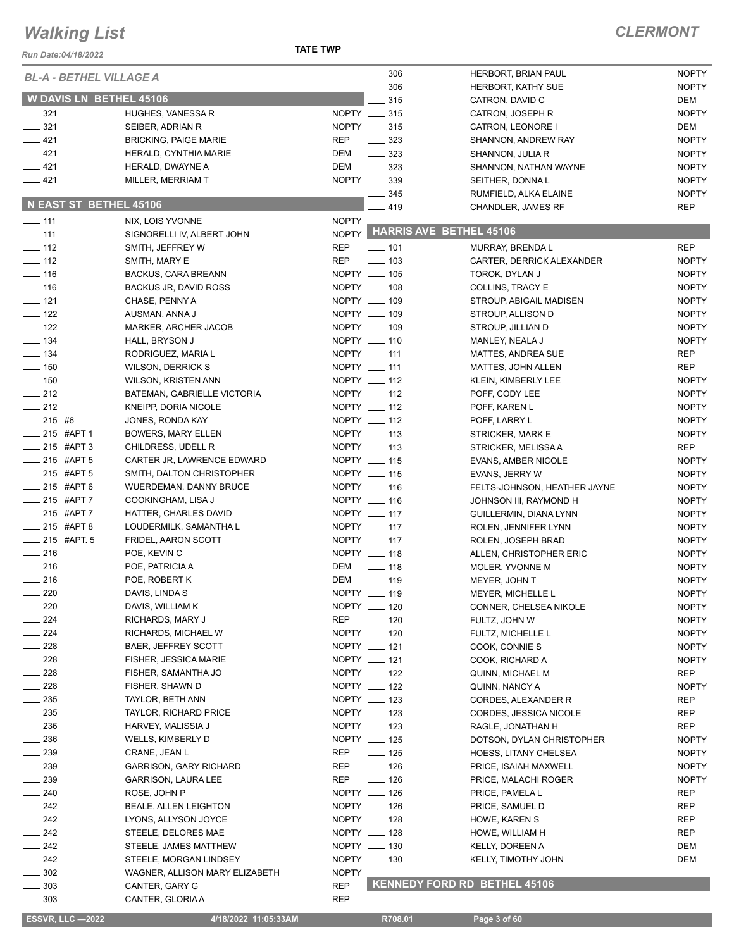**TATE TWP**

#### *CLERMONT*

| Run Date:04/18/2022            |                                           | <b>IAIC IWP</b> |                                      |                                                |                              |
|--------------------------------|-------------------------------------------|-----------------|--------------------------------------|------------------------------------------------|------------------------------|
| <b>BL-A - BETHEL VILLAGE A</b> |                                           |                 | $\frac{1}{2}$ 306                    | HERBORT, BRIAN PAUL                            | <b>NOPTY</b>                 |
|                                |                                           |                 | . 306                                | HERBORT, KATHY SUE                             | <b>NOPTY</b>                 |
| <b>W DAVIS LN BETHEL 45106</b> |                                           |                 | $-315$                               | CATRON, DAVID C                                | DEM                          |
| $\frac{1}{2}$ 321              | HUGHES, VANESSA R                         |                 | NOPTY __ 315                         | CATRON, JOSEPH R                               | <b>NOPTY</b>                 |
| $\frac{1}{2}$ 321<br>$-421$    | SEIBER, ADRIAN R                          |                 | NOPTY __ 315                         | CATRON, LEONORE I                              | DEM                          |
| $-421$                         | <b>BRICKING, PAIGE MARIE</b>              | REP<br>DEM      | $\frac{1}{2}$ 323                    | SHANNON, ANDREW RAY                            | <b>NOPTY</b>                 |
| $-421$                         | HERALD, CYNTHIA MARIE<br>HERALD, DWAYNE A | DEM             | $\frac{323}{2}$<br>$\frac{1}{2}$ 323 | SHANNON, JULIA R                               | <b>NOPTY</b><br><b>NOPTY</b> |
| $-421$                         | MILLER, MERRIAM T                         |                 | NOPTY __ 339                         | SHANNON, NATHAN WAYNE<br>SEITHER, DONNAL       | <b>NOPTY</b>                 |
|                                |                                           |                 | $- 345$                              | RUMFIELD, ALKA ELAINE                          | <b>NOPTY</b>                 |
| N EAST ST BETHEL 45106         |                                           |                 | $-419$                               | CHANDLER, JAMES RF                             | <b>REP</b>                   |
| $\frac{1}{2}$ 111              | NIX, LOIS YVONNE                          | <b>NOPTY</b>    |                                      |                                                |                              |
| $\frac{1}{2}$ 111              | SIGNORELLI IV, ALBERT JOHN                |                 |                                      | NOPTY HARRIS AVE BETHEL 45106                  |                              |
| $\frac{1}{2}$ 112              | SMITH, JEFFREY W                          | <b>REP</b>      | $- 101$                              | MURRAY, BRENDA L                               | <b>REP</b>                   |
| $\frac{1}{2}$ 112              | SMITH, MARY E                             | <b>REP</b>      | $\frac{1}{2}$ 103                    | CARTER, DERRICK ALEXANDER                      | <b>NOPTY</b>                 |
| $\frac{1}{16}$                 | BACKUS, CARA BREANN                       |                 | NOPTY __ 105                         | TOROK, DYLAN J                                 | <b>NOPTY</b>                 |
| $\frac{1}{16}$                 | BACKUS JR, DAVID ROSS                     |                 | NOPTY __ 108                         | COLLINS, TRACY E                               | <b>NOPTY</b>                 |
| $\frac{1}{2}$ 121              | CHASE, PENNY A                            |                 | NOPTY __ 109                         | STROUP, ABIGAIL MADISEN                        | <b>NOPTY</b>                 |
| $\frac{1}{2}$ 122              | AUSMAN, ANNA J                            |                 | NOPTY __ 109                         | STROUP, ALLISON D                              | <b>NOPTY</b>                 |
| $\frac{1}{2}$ 122              | <b>MARKER, ARCHER JACOB</b>               |                 | NOPTY __ 109                         | STROUP, JILLIAN D                              | <b>NOPTY</b>                 |
| $\frac{1}{2}$ 134              | HALL, BRYSON J                            |                 | NOPTY __ 110                         | MANLEY, NEALA J                                | <b>NOPTY</b>                 |
| $\frac{1}{2}$ 134              | RODRIGUEZ, MARIA L                        |                 | NOPTY __ 111                         | MATTES, ANDREA SUE                             | <b>REP</b>                   |
| $\frac{1}{2}$ 150              | <b>WILSON, DERRICK S</b>                  |                 | NOPTY __ 111                         | MATTES, JOHN ALLEN                             | <b>REP</b>                   |
| $\frac{1}{2}$ 150              | <b>WILSON, KRISTEN ANN</b>                |                 | NOPTY __ 112                         | KLEIN, KIMBERLY LEE                            | <b>NOPTY</b>                 |
| $\frac{1}{212}$                | BATEMAN, GABRIELLE VICTORIA               |                 | NOPTY __ 112                         | POFF, CODY LEE                                 | <b>NOPTY</b>                 |
| $\frac{1}{212}$<br>$-215$ #6   | KNEIPP, DORIA NICOLE                      |                 | NOPTY __ 112<br>NOPTY __ 112         | POFF, KAREN L                                  | <b>NOPTY</b><br><b>NOPTY</b> |
| $-215$ #APT 1                  | JONES, RONDA KAY<br>BOWERS, MARY ELLEN    |                 | NOPTY __ 113                         | POFF, LARRY L<br>STRICKER, MARK E              | <b>NOPTY</b>                 |
| $\frac{1}{215}$ #APT 3         | CHILDRESS, UDELL R                        |                 | NOPTY __ 113                         | STRICKER, MELISSA A                            | <b>REP</b>                   |
| $215$ #APT 5                   | CARTER JR, LAWRENCE EDWARD                |                 | NOPTY __ 115                         | <b>EVANS, AMBER NICOLE</b>                     | <b>NOPTY</b>                 |
| $-215$ #APT 5                  | SMITH, DALTON CHRISTOPHER                 |                 | NOPTY __ 115                         | EVANS, JERRY W                                 | <b>NOPTY</b>                 |
| $-215$ #APT 6                  | <b>WUERDEMAN, DANNY BRUCE</b>             |                 | NOPTY __ 116                         | FELTS-JOHNSON, HEATHER JAYNE                   | <b>NOPTY</b>                 |
| $-215$ #APT 7                  | COOKINGHAM, LISA J                        |                 | NOPTY __ 116                         | JOHNSON III, RAYMOND H                         | <b>NOPTY</b>                 |
| $-215$ #APT 7                  | HATTER, CHARLES DAVID                     |                 | NOPTY __ 117                         | GUILLERMIN, DIANA LYNN                         | <b>NOPTY</b>                 |
| $-215$ #APT 8                  | LOUDERMILK, SAMANTHA L                    |                 | NOPTY __ 117                         | ROLEN, JENNIFER LYNN                           | <b>NOPTY</b>                 |
| _____ 215 #APT. 5              | FRIDEL, AARON SCOTT                       |                 | NOPTY __ 117                         | ROLEN, JOSEPH BRAD                             | <b>NOPTY</b>                 |
| $\frac{1}{216}$                | POE, KEVIN C                              |                 | NOPTY __ 118                         | ALLEN, CHRISTOPHER ERIC                        | <b>NOPTY</b>                 |
| $\frac{1}{216}$                | POE, PATRICIA A                           | DEM             | $\frac{1}{2}$ 118                    | MOLER, YVONNE M                                | <b>NOPTY</b>                 |
| $\frac{1}{216}$                | POE, ROBERT K                             | DEM             | $\frac{1}{2}$ 119                    | MEYER, JOHN T                                  | <b>NOPTY</b>                 |
| 220                            | DAVIS, LINDA S                            |                 | NOPTY __ 119                         | MEYER, MICHELLE L                              | <b>NOPTY</b>                 |
| 220                            | DAVIS, WILLIAM K                          |                 | NOPTY __ 120                         | CONNER, CHELSEA NIKOLE                         | <b>NOPTY</b>                 |
| 224                            | RICHARDS, MARY J                          | REP             | $\frac{1}{2}$ 120                    | FULTZ, JOHN W                                  | <b>NOPTY</b>                 |
| 224                            | RICHARDS, MICHAEL W                       |                 | NOPTY __ 120                         | FULTZ, MICHELLE L                              | <b>NOPTY</b>                 |
| $-228$                         | BAER, JEFFREY SCOTT                       |                 | NOPTY __ 121                         | COOK, CONNIE S                                 | <b>NOPTY</b>                 |
| $-228$                         | FISHER, JESSICA MARIE                     |                 | NOPTY __ 121                         | COOK, RICHARD A                                | <b>NOPTY</b>                 |
| $=228$                         | FISHER, SAMANTHA JO                       |                 | NOPTY __ 122                         | QUINN, MICHAEL M                               | <b>REP</b>                   |
| $\sim$ 228                     | FISHER, SHAWN D                           |                 | NOPTY __ 122                         | QUINN, NANCY A                                 | <b>NOPTY</b>                 |
| $-235$                         | TAYLOR, BETH ANN                          |                 | NOPTY __ 123                         | CORDES, ALEXANDER R                            | REP                          |
| $\frac{1}{2}$ 235<br>$-236$    | <b>TAYLOR, RICHARD PRICE</b>              |                 | NOPTY __ 123<br>NOPTY __ 123         | CORDES, JESSICA NICOLE                         | REP                          |
| $= 236$                        | HARVEY, MALISSIA J<br>WELLS, KIMBERLY D   |                 | NOPTY __ 125                         | RAGLE, JONATHAN H<br>DOTSON, DYLAN CHRISTOPHER | REP<br><b>NOPTY</b>          |
| $\frac{1}{2}$ 239              | CRANE, JEAN L                             | REP             | $- 125$                              | HOESS, LITANY CHELSEA                          | <b>NOPTY</b>                 |
| $-239$                         | <b>GARRISON, GARY RICHARD</b>             | REP             | $\frac{1}{2}$ 126                    | PRICE, ISAIAH MAXWELL                          | <b>NOPTY</b>                 |
| $-239$                         | GARRISON, LAURA LEE                       | REP             | $\frac{1}{2}$ 126                    | PRICE, MALACHI ROGER                           | <b>NOPTY</b>                 |
| $- 240$                        | ROSE, JOHN P                              |                 | NOPTY __ 126                         | PRICE, PAMELA L                                | REP                          |
| $\frac{1}{242}$                | BEALE, ALLEN LEIGHTON                     |                 | NOPTY __ 126                         | PRICE, SAMUEL D                                | REP                          |
| $\frac{1}{242}$                | LYONS, ALLYSON JOYCE                      |                 | NOPTY __ 128                         | HOWE, KAREN S                                  | REP                          |
| $-242$                         | STEELE, DELORES MAE                       |                 | NOPTY __ 128                         | HOWE, WILLIAM H                                | REP                          |
| $\frac{1}{242}$                | STEELE, JAMES MATTHEW                     |                 | NOPTY __ 130                         | <b>KELLY, DOREEN A</b>                         | DEM                          |
| $\frac{1}{242}$                | STEELE, MORGAN LINDSEY                    |                 | NOPTY __ 130                         | KELLY, TIMOTHY JOHN                            | DEM                          |
| $\frac{1}{2}$ 302              | WAGNER, ALLISON MARY ELIZABETH            | <b>NOPTY</b>    |                                      |                                                |                              |
| $\frac{1}{2}$ 303              | CANTER, GARY G                            | <b>REP</b>      |                                      | <b>KENNEDY FORD RD BETHEL 45106</b>            |                              |
| $\frac{1}{2}$ 303              | CANTER, GLORIA A                          | <b>REP</b>      |                                      |                                                |                              |

**ESSVR, LLC -2022 4/18/2022 11:05:33AM** R708.01 **Page 3 of 60**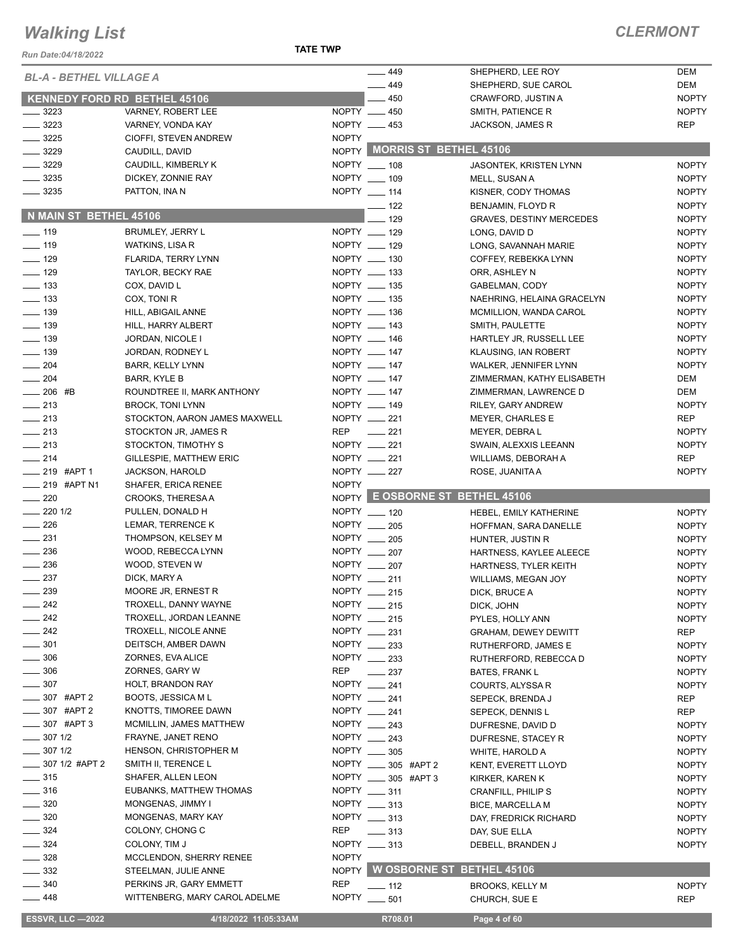**TATE TWP**

| Run Date:04/18/2022                  |                                                           | IAIE IWP     |                                   |                                                     |                              |
|--------------------------------------|-----------------------------------------------------------|--------------|-----------------------------------|-----------------------------------------------------|------------------------------|
| <b>BL-A - BETHEL VILLAGE A</b>       |                                                           |              | $\frac{1}{2}$ 449                 | SHEPHERD, LEE ROY                                   | <b>DEM</b>                   |
|                                      |                                                           |              | $-449$<br>$-450$                  | SHEPHERD, SUE CAROL                                 | DEM<br><b>NOPTY</b>          |
| 3223                                 | <b>KENNEDY FORD RD BETHEL 45106</b><br>VARNEY, ROBERT LEE |              | NOPTY __ 450                      | CRAWFORD, JUSTIN A<br>SMITH, PATIENCE R             | <b>NOPTY</b>                 |
| $\frac{1}{2}$ 3223                   | VARNEY, VONDA KAY                                         |              | NOPTY __ 453                      | JACKSON, JAMES R                                    | <b>REP</b>                   |
| 3225                                 | CIOFFI, STEVEN ANDREW                                     | <b>NOPTY</b> |                                   |                                                     |                              |
| $- 3229$                             | CAUDILL, DAVID                                            |              |                                   | NOPTY MORRIS ST BETHEL 45106                        |                              |
| $\frac{1}{2}$ 3229                   | CAUDILL, KIMBERLY K                                       |              | NOPTY __ 108                      | <b>JASONTEK, KRISTEN LYNN</b>                       | <b>NOPTY</b>                 |
| $\frac{1}{2}$ 3235                   | DICKEY, ZONNIE RAY                                        |              | NOPTY __ 109                      | MELL, SUSAN A                                       | <b>NOPTY</b>                 |
| $\frac{1}{2}$ 3235                   | PATTON, INA N                                             |              | NOPTY $-114$                      | KISNER, CODY THOMAS                                 | <b>NOPTY</b>                 |
|                                      |                                                           |              | $\frac{1}{2}$ 122                 | BENJAMIN, FLOYD R                                   | <b>NOPTY</b>                 |
| N MAIN ST BETHEL 45106               |                                                           |              | $-129$                            | <b>GRAVES, DESTINY MERCEDES</b>                     | <b>NOPTY</b>                 |
| $- 119$                              | BRUMLEY, JERRY L                                          |              | NOPTY __ 129                      | LONG, DAVID D                                       | <b>NOPTY</b>                 |
| $\frac{1}{2}$ 119                    | WATKINS, LISA R                                           |              | NOPTY __ 129                      | LONG, SAVANNAH MARIE                                | <b>NOPTY</b>                 |
| $- 129$                              | FLARIDA, TERRY LYNN                                       |              | NOPTY __ 130                      | COFFEY, REBEKKA LYNN                                | <b>NOPTY</b>                 |
| $-129$                               | TAYLOR, BECKY RAE                                         |              | NOPTY __ 133                      | ORR, ASHLEY N                                       | <b>NOPTY</b>                 |
| $\frac{1}{2}$ 133                    | COX, DAVID L                                              |              | NOPTY __ 135                      | GABELMAN, CODY                                      | <b>NOPTY</b>                 |
| $\frac{1}{2}$ 133                    | COX, TONI R                                               |              | NOPTY __ 135                      | NAEHRING, HELAINA GRACELYN                          | <b>NOPTY</b>                 |
| $\frac{1}{2}$ 139                    | HILL, ABIGAIL ANNE                                        |              | NOPTY __ 136                      | MCMILLION, WANDA CAROL                              | <b>NOPTY</b>                 |
| $\frac{1}{2}$ 139                    | HILL, HARRY ALBERT                                        |              | NOPTY __ 143                      | SMITH, PAULETTE                                     | <b>NOPTY</b>                 |
| $\frac{1}{2}$ 139                    | JORDAN, NICOLE I                                          |              | NOPTY __ 146                      | HARTLEY JR, RUSSELL LEE                             | <b>NOPTY</b><br><b>NOPTY</b> |
| $\frac{1}{2}$ 139<br>$\frac{1}{204}$ | JORDAN, RODNEY L                                          |              | NOPTY __ 147<br>NOPTY __ 147      | KLAUSING, IAN ROBERT                                |                              |
| $\frac{1}{204}$                      | <b>BARR, KELLY LYNN</b><br>BARR, KYLE B                   |              | NOPTY __ 147                      | WALKER, JENNIFER LYNN<br>ZIMMERMAN, KATHY ELISABETH | <b>NOPTY</b><br>DEM          |
| $-206$ #B                            | ROUNDTREE II, MARK ANTHONY                                |              | NOPTY __ 147                      | ZIMMERMAN, LAWRENCE D                               | DEM                          |
| $\frac{1}{213}$                      | <b>BROCK, TONI LYNN</b>                                   |              | NOPTY __ 149                      | RILEY, GARY ANDREW                                  | <b>NOPTY</b>                 |
| $\frac{1}{213}$                      | STOCKTON, AARON JAMES MAXWELL                             |              | NOPTY __ 221                      | <b>MEYER, CHARLES E</b>                             | <b>REP</b>                   |
| $\frac{1}{213}$                      | STOCKTON JR, JAMES R                                      |              | REP __ 221                        | MEYER, DEBRA L                                      | <b>NOPTY</b>                 |
| $\sim$ 213                           | STOCKTON, TIMOTHY S                                       |              | NOPTY __ 221                      | SWAIN, ALEXXIS LEEANN                               | <b>NOPTY</b>                 |
| $\frac{1}{214}$                      | <b>GILLESPIE, MATTHEW ERIC</b>                            |              | $NOPTY$ __ 221                    | WILLIAMS, DEBORAH A                                 | <b>REP</b>                   |
| $-219$ #APT 1                        | JACKSON, HAROLD                                           |              | NOPTY __ 227                      | ROSE, JUANITA A                                     | <b>NOPTY</b>                 |
| $\frac{1}{219}$ #APT N1              | SHAFER, ERICA RENEE                                       | <b>NOPTY</b> |                                   |                                                     |                              |
| $\sim$ 220                           | CROOKS, THERESA A                                         |              |                                   | NOPTY E OSBORNE ST BETHEL 45106                     |                              |
| $-2201/2$                            | PULLEN, DONALD H                                          |              | NOPTY __ 120                      | HEBEL, EMILY KATHERINE                              | <b>NOPTY</b>                 |
| $\frac{1}{226}$                      | LEMAR, TERRENCE K                                         |              | NOPTY __ 205                      | HOFFMAN, SARA DANELLE                               | <b>NOPTY</b>                 |
| $\frac{1}{2}$ 231                    | THOMPSON, KELSEY M                                        |              | NOPTY 205                         | HUNTER, JUSTIN R                                    | <b>NOPTY</b>                 |
| $\frac{1}{2}$ 236                    | WOOD, REBECCA LYNN                                        |              | NOPTY 207                         | HARTNESS, KAYLEE ALEECE                             | <b>NOPTY</b>                 |
| $\frac{1}{2}$ 236                    | WOOD, STEVEN W                                            |              | NOPTY __ 207                      | HARTNESS, TYLER KEITH                               | <b>NOPTY</b>                 |
| $\frac{237}{2}$                      | DICK, MARY A                                              |              | NOPTY __ 211                      | WILLIAMS, MEGAN JOY                                 | <b>NOPTY</b>                 |
| 239                                  | MOORE JR, ERNEST R                                        |              | NOPTY __ 215<br>NOPTY __ 215      | DICK, BRUCE A                                       | <b>NOPTY</b>                 |
| 242<br>$-242$                        | TROXELL, DANNY WAYNE<br>TROXELL, JORDAN LEANNE            |              | NOPTY __ 215                      | DICK, JOHN<br>PYLES, HOLLY ANN                      | <b>NOPTY</b><br><b>NOPTY</b> |
| $-242$                               | TROXELL, NICOLE ANNE                                      |              | NOPTY __ 231                      | <b>GRAHAM, DEWEY DEWITT</b>                         | REP                          |
| $\frac{1}{2}$ 301                    | DEITSCH, AMBER DAWN                                       |              | NOPTY __ 233                      | RUTHERFORD, JAMES E                                 | <b>NOPTY</b>                 |
| $=$ 306                              | ZORNES, EVA ALICE                                         |              | NOPTY __ 233                      | RUTHERFORD, REBECCA D                               | <b>NOPTY</b>                 |
| 306                                  | ZORNES, GARY W                                            | REP          | $\frac{1}{2}$ 237                 | <b>BATES, FRANK L</b>                               | <b>NOPTY</b>                 |
| $\frac{1}{2}$ 307                    | HOLT, BRANDON RAY                                         |              | NOPTY __ 241                      | COURTS, ALYSSA R                                    | <b>NOPTY</b>                 |
| 307 #APT 2                           | <b>BOOTS, JESSICA ML</b>                                  |              | NOPTY __ 241                      | SEPECK, BRENDA J                                    | REP                          |
| 307 #APT 2                           | KNOTTS, TIMOREE DAWN                                      |              | NOPTY __ 241                      | SEPECK, DENNIS L                                    | <b>REP</b>                   |
| $-307$ #APT 3                        | MCMILLIN, JAMES MATTHEW                                   |              | NOPTY __ 243                      | DUFRESNE, DAVID D                                   | <b>NOPTY</b>                 |
| 307 1/2                              | FRAYNE, JANET RENO                                        |              | NOPTY __ 243                      | DUFRESNE, STACEY R                                  | <b>NOPTY</b>                 |
| $-3071/2$                            | HENSON, CHRISTOPHER M                                     |              | NOPTY __ 305                      | WHITE, HAROLD A                                     | <b>NOPTY</b>                 |
| __ 307 1/2 #APT 2                    | SMITH II, TERENCE L                                       |              | NOPTY _____ 305 #APT 2            | KENT, EVERETT LLOYD                                 | <b>NOPTY</b>                 |
| $\frac{1}{2}$ 315                    | SHAFER, ALLEN LEON                                        |              | NOPTY _____ 305 #APT 3            | KIRKER, KAREN K                                     | <b>NOPTY</b>                 |
| $\frac{1}{2}$ 316                    | EUBANKS, MATTHEW THOMAS                                   |              | NOPTY __ 311                      | CRANFILL, PHILIP S                                  | <b>NOPTY</b>                 |
| $-320$                               | MONGENAS, JIMMY I                                         |              | NOPTY __ 313                      | <b>BICE, MARCELLA M</b>                             | <b>NOPTY</b>                 |
| $\frac{1}{2}$ 320                    | MONGENAS, MARY KAY                                        |              | NOPTY __ 313                      | DAY, FREDRICK RICHARD                               | <b>NOPTY</b>                 |
| $-324$                               | COLONY, CHONG C                                           | REP          | $\frac{1}{2}$ 313<br>NOPTY __ 313 | DAY, SUE ELLA                                       | <b>NOPTY</b>                 |
| $\equiv$ 324<br>328                  | COLONY, TIM J<br><b>MCCLENDON, SHERRY RENEE</b>           | <b>NOPTY</b> |                                   | DEBELL, BRANDEN J                                   | <b>NOPTY</b>                 |
| 332                                  | STEELMAN, JULIE ANNE                                      |              |                                   | NOPTY WOSBORNE ST BETHEL 45106                      |                              |
| 340                                  | PERKINS JR, GARY EMMETT                                   | <b>REP</b>   |                                   |                                                     | <b>NOPTY</b>                 |
| 448                                  | WITTENBERG, MARY CAROL ADELME                             |              | $-112$<br>NOPTY __ 501            | <b>BROOKS, KELLY M</b><br>CHURCH, SUE E             | <b>REP</b>                   |
|                                      |                                                           |              |                                   |                                                     |                              |
| <b>ESSVR, LLC -2022</b>              | 4/18/2022 11:05:33AM                                      |              | R708.01                           | Page 4 of 60                                        |                              |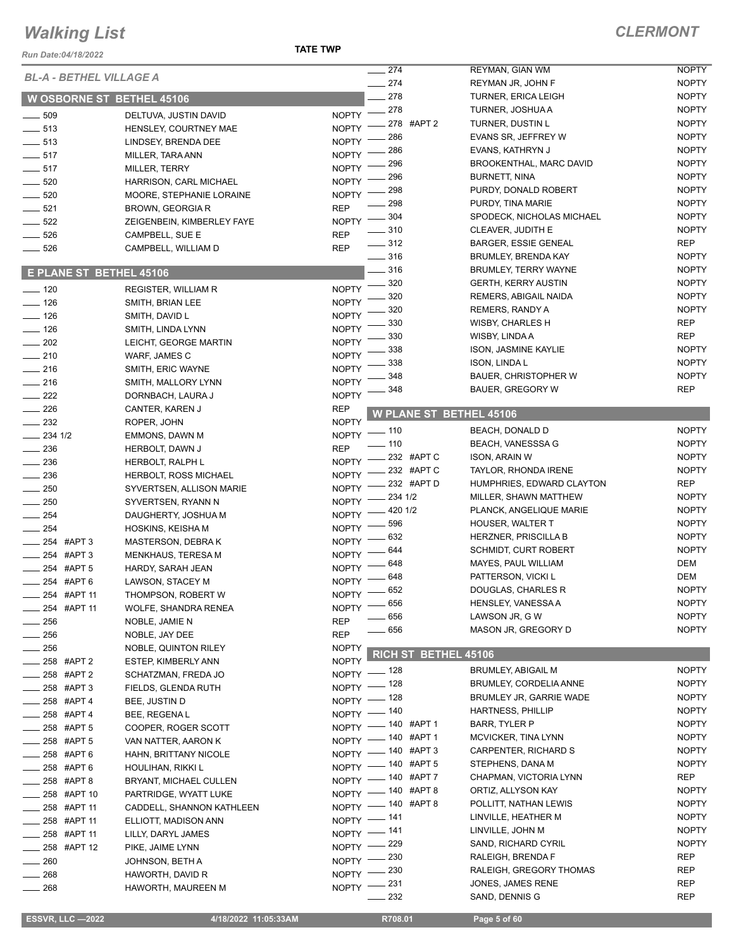#### *Run Date:04/18/2022*

**TATE TWP**

| <b>Run Date:04/18/2022</b>     |                                  |              |                                          |                                                 |                              |
|--------------------------------|----------------------------------|--------------|------------------------------------------|-------------------------------------------------|------------------------------|
| BL-A - BETHEL VILLAGE A        |                                  |              | 274                                      | REYMAN, GIAN WM                                 | <b>NOPTY</b>                 |
|                                |                                  |              | $-274$<br>278                            | REYMAN JR, JOHN F<br><b>TURNER, ERICA LEIGH</b> | <b>NOPTY</b><br><b>NOPTY</b> |
|                                | <b>W OSBORNE ST BETHEL 45106</b> |              | 278                                      | TURNER, JOSHUA A                                | <b>NOPTY</b>                 |
| $\frac{1}{2}$ 509              | DELTUVA, JUSTIN DAVID            | <b>NOPTY</b> | 278 #APT 2                               | TURNER, DUSTIN L                                | <b>NOPTY</b>                 |
| $\frac{1}{2}$ 513              | HENSLEY, COURTNEY MAE            | <b>NOPTY</b> | 286                                      | EVANS SR, JEFFREY W                             | <b>NOPTY</b>                 |
| $- 513$                        | LINDSEY, BRENDA DEE              | <b>NOPTY</b> | 286                                      | EVANS, KATHRYN J                                | <b>NOPTY</b>                 |
| $\frac{1}{2}$ 517              | MILLER, TARA ANN                 | <b>NOPTY</b> | 296                                      | BROOKENTHAL, MARC DAVID                         | <b>NOPTY</b>                 |
| $-517$                         | MILLER, TERRY                    | <b>NOPTY</b> | 296                                      | <b>BURNETT, NINA</b>                            | <b>NOPTY</b>                 |
| $- 520$                        | HARRISON, CARL MICHAEL           | <b>NOPTY</b> | 298                                      | PURDY, DONALD ROBERT                            | <b>NOPTY</b>                 |
| $\sim$ 520                     | MOORE, STEPHANIE LORAINE         | <b>NOPTY</b> | 298                                      | PURDY, TINA MARIE                               | <b>NOPTY</b>                 |
| $- 521$                        | BROWN, GEORGIA R                 | <b>REP</b>   | $-304$                                   | SPODECK, NICHOLAS MICHAEL                       | <b>NOPTY</b>                 |
| $-522$                         | ZEIGENBEIN, KIMBERLEY FAYE       | <b>NOPTY</b> | 310                                      | CLEAVER, JUDITH E                               | <b>NOPTY</b>                 |
| $- 526$                        | CAMPBELL, SUE E                  | <b>REP</b>   | $- 312$                                  | <b>BARGER, ESSIE GENEAL</b>                     | REP                          |
| $- 526$                        | CAMPBELL, WILLIAM D              | <b>REP</b>   | $- 316$                                  | <b>BRUMLEY, BRENDA KAY</b>                      | <b>NOPTY</b>                 |
| <b>E PLANE ST BETHEL 45106</b> |                                  |              | 316                                      | BRUMLEY, TERRY WAYNE                            | <b>NOPTY</b>                 |
|                                |                                  |              | 320                                      | <b>GERTH, KERRY AUSTIN</b>                      | <b>NOPTY</b>                 |
| $- 120$                        | <b>REGISTER, WILLIAM R</b>       | <b>NOPTY</b> | 320                                      | REMERS, ABIGAIL NAIDA                           | <b>NOPTY</b>                 |
| $\frac{1}{2}$ 126              | SMITH, BRIAN LEE                 | <b>NOPTY</b> | 320                                      | <b>REMERS, RANDY A</b>                          | <b>NOPTY</b>                 |
| $\frac{1}{2}$ 126              | SMITH, DAVID L                   | <b>NOPTY</b> | 330                                      | WISBY, CHARLES H                                | REP                          |
| $- 126$                        | SMITH, LINDA LYNN                | <b>NOPTY</b> | 330                                      | WISBY, LINDA A                                  | <b>REP</b>                   |
| $\frac{1}{202}$                | LEICHT, GEORGE MARTIN            | <b>NOPTY</b> | 338                                      | <b>ISON, JASMINE KAYLIE</b>                     | <b>NOPTY</b>                 |
| $-210$                         | WARF, JAMES C                    | <b>NOPTY</b> | 338                                      | <b>ISON, LINDAL</b>                             | <b>NOPTY</b>                 |
| $\frac{1}{216}$                | SMITH, ERIC WAYNE                | <b>NOPTY</b> | 348                                      | <b>BAUER, CHRISTOPHER W</b>                     | <b>NOPTY</b>                 |
| $-216$                         | SMITH, MALLORY LYNN              | <b>NOPTY</b> | 348                                      | <b>BAUER, GREGORY W</b>                         | <b>REP</b>                   |
| $\sim$ 222                     | DORNBACH, LAURA J                | <b>NOPTY</b> |                                          |                                                 |                              |
| $\frac{1}{226}$                | CANTER, KAREN J                  | <b>REP</b>   |                                          | <b>W PLANE ST BETHEL 45106</b>                  |                              |
| $\frac{232}{2}$                | ROPER, JOHN                      | <b>NOPTY</b> | $-110$                                   | BEACH, DONALD D                                 | <b>NOPTY</b>                 |
| $-234$ 1/2                     | EMMONS, DAWN M                   | <b>NOPTY</b> | .110                                     | <b>BEACH, VANESSSA G</b>                        | <b>NOPTY</b>                 |
| $\equiv$ 236                   | HERBOLT, DAWN J                  | <b>REP</b>   | 232 #APT C                               | <b>ISON, ARAIN W</b>                            | <b>NOPTY</b>                 |
| $\frac{1}{2}$ 236              | HERBOLT, RALPH L                 | <b>NOPTY</b> | 232 #APT C                               | TAYLOR, RHONDA IRENE                            | <b>NOPTY</b>                 |
| $\sim$ 236                     | <b>HERBOLT, ROSS MICHAEL</b>     | <b>NOPTY</b> | 232 #APT D                               | HUMPHRIES, EDWARD CLAYTON                       | REP                          |
| $\frac{1}{250}$                | SYVERTSEN, ALLISON MARIE         | <b>NOPTY</b> | 234 1/2                                  | MILLER, SHAWN MATTHEW                           | <b>NOPTY</b>                 |
| $\frac{1}{250}$                | SYVERTSEN, RYANN N               | <b>NOPTY</b> | 420 1/2                                  | PLANCK, ANGELIQUE MARIE                         | <b>NOPTY</b>                 |
| $\frac{1}{254}$                | DAUGHERTY, JOSHUA M              | <b>NOPTY</b> | 596                                      | <b>HOUSER, WALTER T</b>                         | <b>NOPTY</b>                 |
| $\rule{1em}{0.15mm}$ 254       | HOSKINS, KEISHA M                | <b>NOPTY</b> | 632                                      | <b>HERZNER, PRISCILLA B</b>                     | <b>NOPTY</b>                 |
| 254 #APT 3                     | MASTERSON, DEBRAK                | <b>NOPTY</b> | 644                                      | <b>SCHMIDT, CURT ROBERT</b>                     | <b>NOPTY</b>                 |
| _254 #APT3                     | MENKHAUS, TERESA M               | <b>NOPTY</b> | 648                                      | MAYES, PAUL WILLIAM                             | DEM                          |
| $-254$ #APT 5                  | HARDY, SARAH JEAN                | <b>NOPTY</b> | 648                                      | PATTERSON, VICKI L                              | DEM                          |
| _ 254 #APT 6                   | LAWSON, STACEY M                 | <b>NOPTY</b> |                                          | DOUGLAS, CHARLES R                              | <b>NOPTY</b>                 |
| $\frac{1}{254}$ #APT 11        | THOMPSON, ROBERT W               | NOPTY - 652  | _ 656                                    | HENSLEY, VANESSA A                              | <b>NOPTY</b>                 |
| $254$ #APT 11                  | WOLFE, SHANDRA RENEA             | $NOPTY$ -    | - 656                                    | LAWSON JR, G W                                  | <b>NOPTY</b>                 |
| $\frac{1}{256}$                | NOBLE, JAMIE N                   | <b>REP</b>   | $- 656$                                  | MASON JR, GREGORY D                             | <b>NOPTY</b>                 |
| $\frac{1}{256}$                | NOBLE, JAY DEE                   | <b>REP</b>   |                                          |                                                 |                              |
| $\frac{1}{256}$                | NOBLE, QUINTON RILEY             | <b>NOPTY</b> | RICH ST BETHEL 45106                     |                                                 |                              |
| $\frac{1}{258}$ #APT 2         | ESTEP, KIMBERLY ANN              | <b>NOPTY</b> |                                          | <b>BRUMLEY, ABIGAIL M</b>                       | <b>NOPTY</b>                 |
| $258$ #APT 2                   | SCHATZMAN, FREDA JO              | NOPTY - 128  |                                          | BRUMLEY, CORDELIA ANNE                          | <b>NOPTY</b>                 |
| $\frac{1}{258}$ #APT 3         | FIELDS, GLENDA RUTH              | NOPTY - 128  |                                          | BRUMLEY JR, GARRIE WADE                         | <b>NOPTY</b>                 |
| -258 #APT 4                    | BEE, JUSTIN D                    | NOPTY - 128  |                                          | HARTNESS, PHILLIP                               | <b>NOPTY</b>                 |
| $-258$ #APT 4                  | BEE, REGENA L                    | NOPTY - 140  |                                          | BARR, TYLER P                                   | <b>NOPTY</b>                 |
| $258$ #APT 5                   | COOPER, ROGER SCOTT              |              | NOPTY - 140 #APT 1<br>NOPTY - 140 #APT 1 | MCVICKER, TINA LYNN                             | <b>NOPTY</b>                 |
| $258$ #APT 5                   | VAN NATTER, AARON K              |              |                                          | CARPENTER, RICHARD S                            | <b>NOPTY</b>                 |
| $-258$ #APT 6                  | HAHN, BRITTANY NICOLE            |              | NOPTY - 140 #APT 3                       | STEPHENS, DANA M                                | <b>NOPTY</b>                 |
| $258$ #APT 6                   | HOULIHAN, RIKKI L                |              | NOPTY - 140 #APT 5                       |                                                 | REP                          |
| $-258$ #APT 8                  | BRYANT, MICHAEL CULLEN           |              | NOPTY - 140 #APT 7                       | CHAPMAN, VICTORIA LYNN                          |                              |
| $\frac{1}{258}$ #APT 10        | PARTRIDGE, WYATT LUKE            |              | NOPTY - 140 #APT 8                       | ORTIZ, ALLYSON KAY                              | <b>NOPTY</b><br><b>NOPTY</b> |
| __ 258 #APT 11                 | CADDELL, SHANNON KATHLEEN        |              | NOPTY - 140 #APT 8                       | POLLITT, NATHAN LEWIS                           |                              |
| $\frac{1}{258}$ #APT 11        | ELLIOTT, MADISON ANN             | NOPTY -141   |                                          | LINVILLE, HEATHER M                             | <b>NOPTY</b>                 |
| $\frac{1}{258}$ #APT 11        | LILLY, DARYL JAMES               | NOPTY -141   |                                          | LINVILLE, JOHN M                                | <b>NOPTY</b>                 |
| _____ 258 #APT 12              | PIKE, JAIME LYNN                 | NOPTY -229   |                                          | SAND, RICHARD CYRIL                             | <b>NOPTY</b>                 |
| $- 260$                        | JOHNSON, BETH A                  | NOPTY -      | - 230                                    | RALEIGH, BRENDA F                               | REP                          |
| $-268$                         | HAWORTH, DAVID R                 | $NOPTY$ -    | 230                                      | RALEIGH, GREGORY THOMAS                         | <b>REP</b><br><b>REP</b>     |
| $- 268$                        | <b>HAWORTH, MAUREEN M</b>        | $NOPTY$ -    | $-231$                                   | JONES, JAMES RENE                               |                              |
|                                |                                  |              | 232                                      | SAND, DENNIS G                                  | <b>REP</b>                   |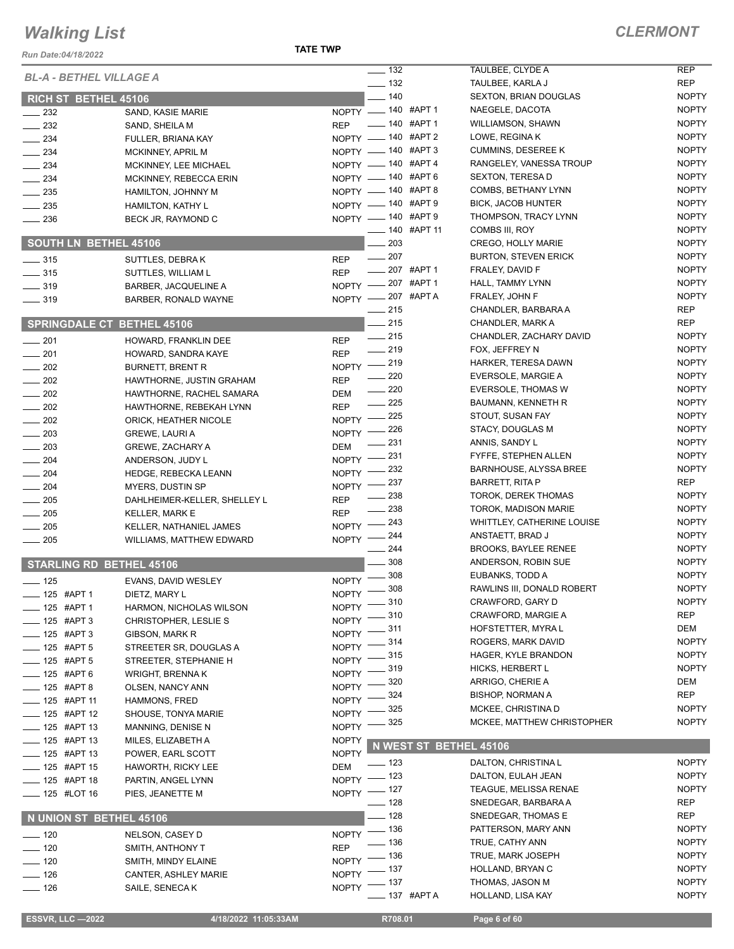#### *CLERMONT*

NOPTY NOPTY

| Run Date:04/18/2022                          |                                                 | <b>TATE TWP</b>                                              |                                                 |                              |
|----------------------------------------------|-------------------------------------------------|--------------------------------------------------------------|-------------------------------------------------|------------------------------|
| <b>BL-A - BETHEL VILLAGE A</b>               |                                                 | $\frac{1}{2}$ 132                                            | TAULBEE, CLYDE A                                | <b>REP</b>                   |
|                                              |                                                 | $\frac{1}{2}$ 132                                            | TAULBEE, KARLA J                                | <b>REP</b>                   |
| RICH ST BETHEL 45106                         |                                                 | $\frac{1}{2}$ 140                                            | <b>SEXTON, BRIAN DOUGLAS</b>                    | <b>NOPTY</b>                 |
| $\frac{232}{2}$                              | SAND, KASIE MARIE                               | $NOPTY$ - 140 #APT 1                                         | NAEGELE, DACOTA                                 | <b>NOPTY</b><br><b>NOPTY</b> |
| $\frac{232}{2}$                              | SAND, SHEILA M                                  | $\frac{1}{2}$ 140 #APT 1<br><b>REP</b><br>NOPTY - 140 #APT 2 | WILLIAMSON, SHAWN<br>LOWE, REGINA K             | <b>NOPTY</b>                 |
| $\frac{1}{2}$ 234                            | FULLER, BRIANA KAY                              | NOPTY - 140 #APT 3                                           | <b>CUMMINS, DESEREE K</b>                       | <b>NOPTY</b>                 |
| $\frac{234}{2}$                              | MCKINNEY, APRIL M                               | NOPTY - 140 #APT 4                                           | RANGELEY, VANESSA TROUP                         | <b>NOPTY</b>                 |
| $\frac{1}{2}$ 234<br>$-234$                  | MCKINNEY, LEE MICHAEL<br>MCKINNEY, REBECCA ERIN | NOPTY - 140 #APT 6                                           | <b>SEXTON, TERESA D</b>                         | <b>NOPTY</b>                 |
| $\frac{1}{2}$ 235                            | <b>HAMILTON, JOHNNY M</b>                       | NOPTY - 140 #APT 8                                           | COMBS, BETHANY LYNN                             | <b>NOPTY</b>                 |
| $\frac{1}{2}$ 235                            | <b>HAMILTON, KATHY L</b>                        | NOPTY - 140 #APT 9                                           | <b>BICK, JACOB HUNTER</b>                       | <b>NOPTY</b>                 |
| $\frac{1}{2}$ 236                            | BECK JR, RAYMOND C                              | NOPTY - 140 #APT 9                                           | THOMPSON, TRACY LYNN                            | <b>NOPTY</b>                 |
|                                              |                                                 | $\frac{1}{2}$ 140 #APT 11                                    | COMBS III, ROY                                  | <b>NOPTY</b>                 |
| <b>SOUTH LN BETHEL 45106</b>                 |                                                 | $\equiv$ 203                                                 | CREGO, HOLLY MARIE                              | <b>NOPTY</b>                 |
| $\frac{1}{2}$ 315                            | SUTTLES, DEBRAK                                 | $\frac{1}{207}$<br><b>REP</b>                                | <b>BURTON, STEVEN ERICK</b>                     | <b>NOPTY</b>                 |
| $- 315$                                      | SUTTLES, WILLIAM L                              | $-207$ #APT 1<br><b>REP</b>                                  | FRALEY, DAVID F                                 | <b>NOPTY</b>                 |
| $\frac{1}{2}$ 319                            | BARBER, JACQUELINE A                            | NOPTY -207 #APT 1                                            | HALL, TAMMY LYNN                                | <b>NOPTY</b>                 |
| $\frac{1}{2}$ 319                            | BARBER, RONALD WAYNE                            | NOPTY -207 #APTA                                             | FRALEY, JOHN F                                  | <b>NOPTY</b>                 |
|                                              |                                                 | $\frac{1}{215}$                                              | CHANDLER, BARBARA A                             | REP                          |
| <b>SPRINGDALE CT BETHEL 45106</b>            |                                                 | $-215$                                                       | CHANDLER, MARK A                                | REP                          |
| $\frac{1}{201}$                              | HOWARD, FRANKLIN DEE                            | $\frac{1}{215}$<br><b>REP</b>                                | CHANDLER, ZACHARY DAVID                         | <b>NOPTY</b>                 |
| $-201$                                       | HOWARD, SANDRA KAYE                             | $-219$<br><b>REP</b>                                         | FOX, JEFFREY N                                  | <b>NOPTY</b>                 |
| $\sim$ 202                                   | <b>BURNETT, BRENT R</b>                         | NOPTY -219<br>$\sim$ 220                                     | <b>HARKER, TERESA DAWN</b>                      | <b>NOPTY</b><br><b>NOPTY</b> |
| $-202$                                       | HAWTHORNE, JUSTIN GRAHAM                        | <b>REP</b><br>$\frac{1}{220}$                                | EVERSOLE, MARGIE A<br><b>EVERSOLE, THOMAS W</b> | <b>NOPTY</b>                 |
| $\frac{1}{202}$                              | HAWTHORNE, RACHEL SAMARA                        | DEM<br>$-225$                                                | <b>BAUMANN, KENNETH R</b>                       | <b>NOPTY</b>                 |
| $\sim$ 202                                   | HAWTHORNE, REBEKAH LYNN                         | <b>REP</b><br>$-225$                                         | STOUT, SUSAN FAY                                | <b>NOPTY</b>                 |
| $\frac{1}{202}$                              | ORICK, HEATHER NICOLE                           | NOPTY -<br>NOPTY -226                                        | STACY, DOUGLAS M                                | <b>NOPTY</b>                 |
| $\frac{1}{203}$                              | <b>GREWE, LAURI A</b>                           | $\frac{1}{2}$ 231<br><b>DEM</b>                              | ANNIS, SANDY L                                  | <b>NOPTY</b>                 |
| $\sim$ 203<br>$\frac{1}{204}$                | <b>GREWE, ZACHARY A</b><br>ANDERSON, JUDY L     | NOPTY -231                                                   | FYFFE, STEPHEN ALLEN                            | <b>NOPTY</b>                 |
| $\frac{1}{204}$                              | <b>HEDGE, REBECKA LEANN</b>                     | NOPTY -232                                                   | <b>BARNHOUSE, ALYSSA BREE</b>                   | <b>NOPTY</b>                 |
| $\frac{1}{204}$                              | MYERS, DUSTIN SP                                | 237<br>NOPTY -                                               | BARRETT, RITA P                                 | REP                          |
| $\frac{1}{205}$                              | DAHLHEIMER-KELLER, SHELLEY L                    | _ 238<br><b>REP</b>                                          | <b>TOROK, DEREK THOMAS</b>                      | <b>NOPTY</b>                 |
| $\frac{1}{205}$                              | <b>KELLER, MARK E</b>                           | 238<br><b>REP</b>                                            | TOROK, MADISON MARIE                            | <b>NOPTY</b>                 |
| $\frac{1}{205}$                              | KELLER, NATHANIEL JAMES                         | $-243$<br>$NOPTY =$                                          | WHITTLEY, CATHERINE LOUISE                      | <b>NOPTY</b>                 |
| $\sim$ 205                                   | <b>WILLIAMS, MATTHEW EDWARD</b>                 | NOPTY -244                                                   | ANSTAETT, BRAD J                                | <b>NOPTY</b>                 |
|                                              |                                                 | 244                                                          | <b>BROOKS, BAYLEE RENEE</b>                     | <b>NOPTY</b>                 |
| <b>STARLING RD BETHEL 45106</b>              |                                                 | 308                                                          | ANDERSON, ROBIN SUE                             | <b>NOPTY</b>                 |
| $-125$                                       | EVANS, DAVID WESLEY                             | 308<br>$N$ OPTY $-$                                          | EUBANKS, TODD A                                 | <b>NOPTY</b>                 |
| ____ 125 #APT 1                              | DIETZ, MARY L                                   | NOPTY -808                                                   | RAWLINS III, DONALD ROBERT                      | <b>NOPTY</b>                 |
| $- 125$ #APT 1                               | HARMON, NICHOLAS WILSON                         | $=$ 310<br>NOPTY <sup>-</sup>                                | CRAWFORD, GARY D                                | <b>NOPTY</b><br><b>REP</b>   |
| -8 125 #APT 3                                | CHRISTOPHER, LESLIE S                           | $-310$<br>NOPTY <sup>-</sup>                                 | <b>CRAWFORD, MARGIE A</b><br>HOFSTETTER, MYRA L | DEM                          |
| $\frac{1}{2}$ 125 #APT 3                     | GIBSON, MARK R                                  | NOPTY -311                                                   | ROGERS, MARK DAVID                              | <b>NOPTY</b>                 |
| ____ 125 #APT 5                              | STREETER SR, DOUGLAS A                          | NOPTY -814<br>- 315                                          | HAGER, KYLE BRANDON                             | <b>NOPTY</b>                 |
| $-125$ #APT 5                                | STREETER, STEPHANIE H                           | NOPTY <sup>-</sup><br>$-319$                                 | HICKS, HERBERT L                                | <b>NOPTY</b>                 |
| __ 125 #APT 6                                | <b>WRIGHT, BRENNAK</b>                          | NOPTY <sup>-</sup><br>320                                    | ARRIGO, CHERIE A                                | DEM                          |
| -125 #APT 8                                  | OLSEN, NANCY ANN                                | <b>NOPTY</b><br>324<br>NOPTY <sup>-</sup>                    | BISHOP, NORMAN A                                | <b>REP</b>                   |
| $\frac{1}{2}$ 125 #APT 11                    | HAMMONS, FRED                                   | _ 325<br>NOPTY -                                             | MCKEE, CHRISTINA D                              | <b>NOPTY</b>                 |
| $- 125$ #APT 12<br>$\frac{1}{2}$ 125 #APT 13 | SHOUSE, TONYA MARIE                             | - 325<br>$NOPTY =$                                           | MCKEE, MATTHEW CHRISTOPHER                      | <b>NOPTY</b>                 |
| ____ 125 #APT 13                             | MANNING, DENISE N                               | <b>NOPTY</b>                                                 |                                                 |                              |
| ____ 125 #APT 13                             | MILES, ELIZABETH A<br>POWER, EARL SCOTT         | <b>NOPTY</b>                                                 | N WEST ST BETHEL 45106                          |                              |
| ____ 125 #APT 15                             | HAWORTH, RICKY LEE                              | $- 123$<br><b>DEM</b>                                        | DALTON, CHRISTINA L                             | <b>NOPTY</b>                 |
| <b>______ 125 #APT 18</b>                    | PARTIN, ANGEL LYNN                              | NOPTY - 123                                                  | DALTON, EULAH JEAN                              | <b>NOPTY</b>                 |
| $\frac{1}{2}$ 125 #LOT 16                    | PIES, JEANETTE M                                | NOPTY - 127                                                  | TEAGUE, MELISSA RENAE                           | <b>NOPTY</b>                 |
|                                              |                                                 | $\frac{1}{2}$ 128                                            | SNEDEGAR, BARBARA A                             | REP                          |
| N UNION ST BETHEL 45106                      |                                                 | $-128$                                                       | SNEDEGAR, THOMAS E                              | REP                          |
| $- 120$                                      | NELSON, CASEY D                                 | NOPTY - 136                                                  | PATTERSON, MARY ANN                             | <b>NOPTY</b>                 |
| $-120$                                       | SMITH, ANTHONY T                                | $\frac{1}{2}$ 136<br><b>REP</b>                              | TRUE, CATHY ANN                                 | <b>NOPTY</b>                 |
| $- 120$                                      | SMITH, MINDY ELAINE                             | $=$ 136<br>NOPTY <sup>-</sup>                                | TRUE, MARK JOSEPH                               | <b>NOPTY</b>                 |
| $- 126$                                      | CANTER, ASHLEY MARIE                            | $-137$<br>NOPTY <sup>-</sup>                                 | HOLLAND, BRYAN C                                | <b>NOPTY</b>                 |
| $- 126$                                      | SAILE, SENECA K                                 | $-137$<br>NOPTY <sup>-</sup>                                 | THOMAS, JASON M                                 | <b>NOPTY</b>                 |
|                                              |                                                 | ____ 137 #APT A                                              | HOLLAND, LISA KAY                               | <b>NOPTY</b>                 |
| <b>ESSVR, LLC -2022</b>                      | 4/18/2022 11:05:33AM                            | R708.01                                                      | Page 6 of 60                                    |                              |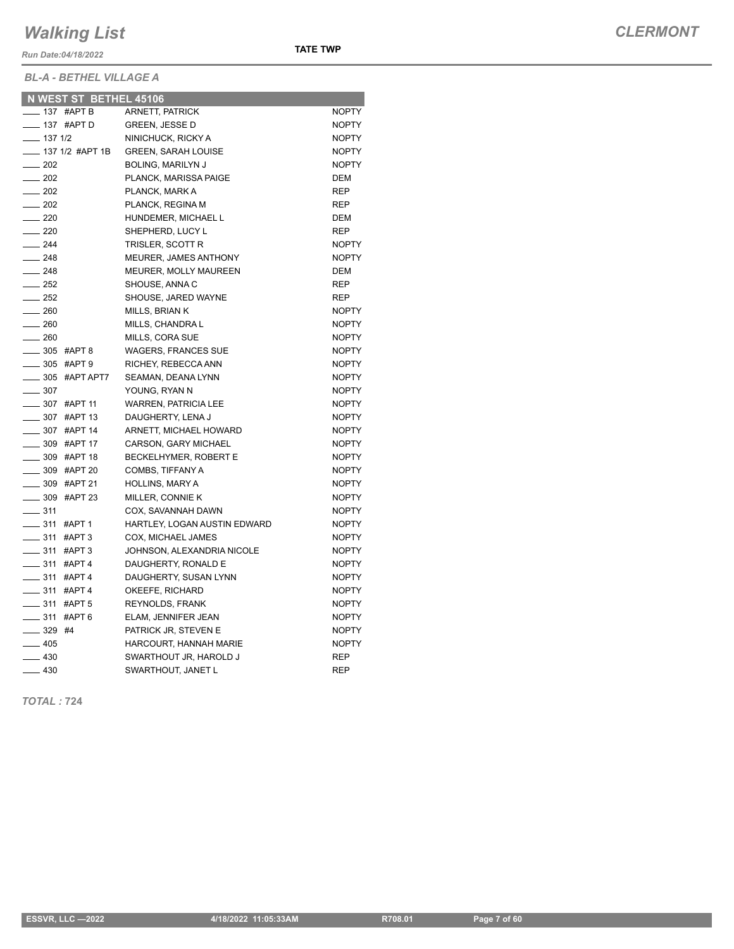*Run Date:04/18/2022*

*BL-A - BETHEL VILLAGE A*

|                   |              | N WEST ST BETHEL 45106    |                              |              |
|-------------------|--------------|---------------------------|------------------------------|--------------|
|                   |              | <sub>—</sub> 137 #АРТ В   | <b>ARNETT, PATRICK</b>       | <b>NOPTY</b> |
|                   |              | $\frac{1}{2}$ 137 #APT D  | <b>GREEN, JESSE D</b>        | <b>NOPTY</b> |
|                   | $- 1371/2$   |                           | NINICHUCK, RICKY A           | <b>NOPTY</b> |
|                   |              | ____ 137 1/2 #APT 1B      | <b>GREEN, SARAH LOUISE</b>   | <b>NOPTY</b> |
| $\frac{1}{202}$   |              |                           | <b>BOLING, MARILYN J</b>     | <b>NOPTY</b> |
| $\frac{1}{202}$   |              |                           | PLANCK, MARISSA PAIGE        | <b>DEM</b>   |
| $\frac{1}{202}$   |              |                           | PLANCK, MARK A               | REP          |
|                   | $-202$       |                           | PLANCK, REGINA M             | <b>REP</b>   |
| $\frac{1}{220}$   |              |                           | HUNDEMER, MICHAEL L          | <b>DEM</b>   |
| $\frac{1}{220}$   |              |                           | SHEPHERD, LUCY L             | <b>REP</b>   |
| $\frac{1}{244}$   |              |                           | TRISLER, SCOTT R             | <b>NOPTY</b> |
| $\frac{1}{248}$   |              |                           | MEURER, JAMES ANTHONY        | <b>NOPTY</b> |
| $-248$            |              |                           | <b>MEURER, MOLLY MAUREEN</b> | <b>DEM</b>   |
| $\frac{252}{252}$ |              |                           | SHOUSE, ANNA C               | <b>REP</b>   |
|                   | $-252$       |                           | SHOUSE, JARED WAYNE          | REP          |
| $\frac{1}{260}$   |              |                           | MILLS, BRIAN K               | <b>NOPTY</b> |
| $- 260$           |              |                           | MILLS, CHANDRA L             | <b>NOPTY</b> |
| $\sim$ 260        |              |                           | MILLS, CORA SUE              | <b>NOPTY</b> |
|                   |              | $\frac{1}{2}$ 305 #APT 8  | <b>WAGERS, FRANCES SUE</b>   | <b>NOPTY</b> |
|                   |              | <b>205 #APT 9</b>         | RICHEY, REBECCA ANN          | <b>NOPTY</b> |
|                   |              | _____ 305 #APT APT7       | SEAMAN, DEANA LYNN           | <b>NOPTY</b> |
|                   | $\equiv$ 307 |                           | YOUNG, RYAN N                | <b>NOPTY</b> |
|                   |              | -807 #APT 11              | <b>WARREN, PATRICIA LEE</b>  | <b>NOPTY</b> |
|                   |              | _____ 307 #APT 13         | DAUGHERTY, LENA J            | <b>NOPTY</b> |
|                   |              | $\frac{1}{2}$ 307 #APT 14 | ARNETT, MICHAEL HOWARD       | <b>NOPTY</b> |
|                   |              | ___ 309 #APT 17           | <b>CARSON, GARY MICHAEL</b>  | <b>NOPTY</b> |
|                   |              | <b>_____ 309 #APT 18</b>  | BECKELHYMER, ROBERT E        | <b>NOPTY</b> |
|                   |              | __ 309 #APT 20            | COMBS, TIFFANY A             | <b>NOPTY</b> |
|                   |              | $\frac{1}{2}$ 309 #APT 21 | HOLLINS, MARY A              | <b>NOPTY</b> |
|                   |              | $\frac{1}{2}$ 309 #APT 23 | MILLER, CONNIE K             | <b>NOPTY</b> |
| $\frac{1}{2}$ 311 |              |                           | COX, SAVANNAH DAWN           | <b>NOPTY</b> |
|                   |              | $\frac{1}{2}$ 311 #APT 1  | HARTLEY, LOGAN AUSTIN EDWARD | <b>NOPTY</b> |
|                   |              | -811 #APT 3               | COX, MICHAEL JAMES           | <b>NOPTY</b> |
|                   |              | $\frac{1}{2}$ 311 #APT 3  | JOHNSON, ALEXANDRIA NICOLE   | <b>NOPTY</b> |
|                   |              | $\frac{1}{2}$ 311 #APT 4  | DAUGHERTY, RONALD E          | <b>NOPTY</b> |
|                   |              | <b>LETTE 311 #APT 4</b>   | DAUGHERTY, SUSAN LYNN        | <b>NOPTY</b> |
|                   |              | $- 311$ #APT 4            | OKEEFE, RICHARD              | <b>NOPTY</b> |
|                   |              | $\frac{1}{2}$ 311 #APT 5  | <b>REYNOLDS, FRANK</b>       | <b>NOPTY</b> |
|                   |              | $\frac{1}{2}$ 311 #APT 6  | ELAM, JENNIFER JEAN          | <b>NOPTY</b> |
|                   | $- 329$ #4   |                           | PATRICK JR, STEVEN E         | <b>NOPTY</b> |
| $-405$            |              |                           | HARCOURT, HANNAH MARIE       | <b>NOPTY</b> |
|                   | $-430$       |                           | SWARTHOUT JR, HAROLD J       | <b>REP</b>   |
| $-430$            |              |                           | SWARTHOUT, JANET L           | <b>REP</b>   |
|                   |              |                           |                              |              |

**TATE TWP**

*TOTAL :* **724**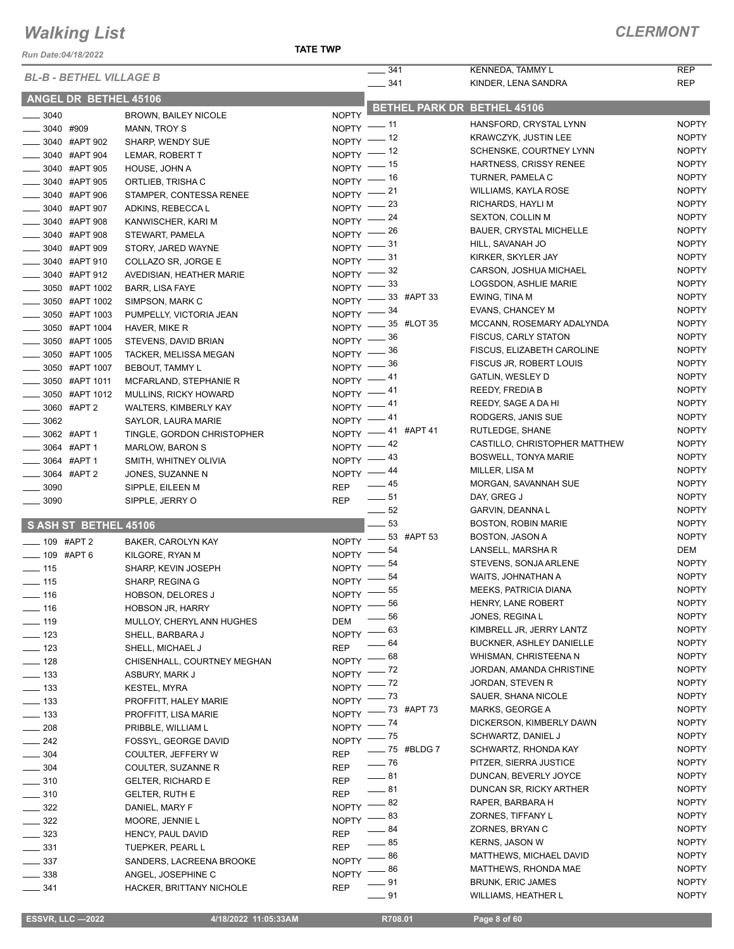*Run Date:04/18/2022*

|                                |                              |                      | 341<br>$\mathcal{L}$ |              | KENNEDA, TAMMY L                                     | <b>REP</b>                   |
|--------------------------------|------------------------------|----------------------|----------------------|--------------|------------------------------------------------------|------------------------------|
| <b>BL-B - BETHEL VILLAGE B</b> |                              |                      | $- 341$              |              | KINDER, LENA SANDRA                                  | <b>REP</b>                   |
| <b>ANGEL DR BETHEL 45106</b>   |                              |                      |                      |              |                                                      |                              |
| $- 3040$                       | <b>BROWN, BAILEY NICOLE</b>  | <b>NOPTY</b>         |                      |              | BETHEL PARK DR BETHEL 45106                          |                              |
| $- 3040$ #909                  | MANN, TROY S                 | $NOPTY$ - 11         |                      |              | HANSFORD, CRYSTAL LYNN                               | <b>NOPTY</b>                 |
| ____ 3040 #APT 902             | SHARP, WENDY SUE             | NOPTY $-$ 12         |                      |              | KRAWCZYK, JUSTIN LEE                                 | <b>NOPTY</b>                 |
| _____ 3040 #APT 904            | LEMAR, ROBERT T              | $NOPTY$ - 12         |                      |              | SCHENSKE, COURTNEY LYNN                              | <b>NOPTY</b>                 |
| _____ 3040 #APT 905            | HOUSE, JOHN A                | $NOPTY$ -- 15        |                      |              | HARTNESS, CRISSY RENEE                               | <b>NOPTY</b>                 |
| _3040 #APT 905                 | ORTLIEB, TRISHA C            | $NOPTY$ -- 16        |                      |              | TURNER, PAMELA C                                     | <b>NOPTY</b>                 |
| _____ 3040 #APT 906            | STAMPER, CONTESSA RENEE      | $NOPTY$ - 21         |                      |              | WILLIAMS, KAYLA ROSE                                 | <b>NOPTY</b>                 |
| _____ 3040 #APT 907            | ADKINS, REBECCA L            | NOPTY $-$ 23         |                      |              | RICHARDS, HAYLI M                                    | <b>NOPTY</b>                 |
| _____ 3040 #APT 908            | KANWISCHER, KARI M           | NOPTY $-24$          |                      |              | <b>SEXTON, COLLIN M</b>                              | <b>NOPTY</b>                 |
| <b>2040 #APT 908</b>           | STEWART, PAMELA              | NOPTY $-$ 26         |                      |              | <b>BAUER, CRYSTAL MICHELLE</b>                       | <b>NOPTY</b>                 |
| <b>______ 3040 #APT 909</b>    | STORY, JARED WAYNE           | $NOPTY$ - $31$       |                      |              | HILL, SAVANAH JO                                     | <b>NOPTY</b>                 |
| _____ 3040 #APT 910            | COLLAZO SR, JORGE E          | $NOPTY$ - 31         |                      |              | KIRKER, SKYLER JAY                                   | <b>NOPTY</b>                 |
| ____ 3040 #APT 912             | AVEDISIAN, HEATHER MARIE     | NOPTY $-$ 32         |                      |              | CARSON, JOSHUA MICHAEL                               | <b>NOPTY</b>                 |
| _____ 3050 #APT 1002           | BARR, LISA FAYE              | NOPTY $-33$          |                      |              | LOGSDON, ASHLIE MARIE                                | <b>NOPTY</b>                 |
| _____ 3050 #APT 1002           | SIMPSON, MARK C              | NOPTY -33 #APT 33    |                      |              | EWING, TINA M                                        | <b>NOPTY</b>                 |
| _____ 3050 #APT 1003           | PUMPELLY, VICTORIA JEAN      | NOPTY $-$ 34         |                      |              | EVANS, CHANCEY M                                     | <b>NOPTY</b>                 |
| ____ 3050 #APT 1004            | HAVER, MIKE R                | NOPTY -85 #LOT 35    |                      |              | MCCANN, ROSEMARY ADALYNDA                            | <b>NOPTY</b>                 |
| _____ 3050 #APT 1005           | STEVENS, DAVID BRIAN         | NOPTY $-$ 36         |                      |              | <b>FISCUS, CARLY STATON</b>                          | <b>NOPTY</b>                 |
| _____ 3050 #APT 1005           | TACKER, MELISSA MEGAN        | NOPTY $-$ 36         |                      |              | FISCUS, ELIZABETH CAROLINE                           | <b>NOPTY</b>                 |
| _____ 3050 #APT 1007           | <b>BEBOUT, TAMMY L</b>       | NOPTY $-$ 36         |                      |              | FISCUS JR, ROBERT LOUIS                              | <b>NOPTY</b>                 |
| _____ 3050 #APT 1011           | MCFARLAND, STEPHANIE R       | NOPTY $-41$          |                      |              | GATLIN, WESLEY D                                     | <b>NOPTY</b>                 |
| _____ 3050 #APT 1012           | <b>MULLINS, RICKY HOWARD</b> | NOPTY $-41$          |                      |              | REEDY, FREDIA B                                      | <b>NOPTY</b>                 |
| -8060 #APT 2                   | WALTERS, KIMBERLY KAY        | NOPTY $-41$          |                      |              | REEDY, SAGE A DA HI                                  | <b>NOPTY</b>                 |
| $\frac{1}{2}$ 3062             | SAYLOR, LAURA MARIE          | $NOPTY$ -41          |                      |              | RODGERS, JANIS SUE                                   | <b>NOPTY</b>                 |
| _____ 3062 #APT 1              | TINGLE, GORDON CHRISTOPHER   | NOPTY -41 #APT 41    |                      |              | RUTLEDGE, SHANE                                      | <b>NOPTY</b>                 |
| _____ 3064 #APT 1              | <b>MARLOW, BARON S</b>       | $NOPTY$ -42          |                      |              | CASTILLO, CHRISTOPHER MATTHEW                        | <b>NOPTY</b>                 |
| _____ 3064 #APT 1              | SMITH, WHITNEY OLIVIA        | $NOPTY$ -43          |                      |              | <b>BOSWELL, TONYA MARIE</b>                          | <b>NOPTY</b>                 |
| -8064 #APT 2                   | JONES, SUZANNE N             | NOPTY $-44$          |                      |              | MILLER, LISA M                                       | <b>NOPTY</b>                 |
| $\frac{1}{2}$ 3090             | SIPPLE, EILEEN M             | REP                  | $\frac{1}{2}$ 45     |              | MORGAN, SAVANNAH SUE                                 | <b>NOPTY</b>                 |
| $\frac{1}{2}$ 3090             | SIPPLE, JERRY O              | <b>REP</b>           | $\frac{1}{2}$ 51     |              | DAY, GREG J                                          | <b>NOPTY</b>                 |
|                                |                              |                      | $\frac{1}{2}$ 52     |              | GARVIN, DEANNA L                                     | <b>NOPTY</b>                 |
| S ASH ST BETHEL 45106          |                              |                      | $-53$                |              | <b>BOSTON, ROBIN MARIE</b>                           | <b>NOPTY</b>                 |
| $- 109$ #APT 2                 | BAKER, CAROLYN KAY           | NOPTY -83 #APT 53    |                      |              | BOSTON, JASON A                                      | <b>NOPTY</b>                 |
| -09 #APT 6                     | KILGORE, RYAN M              | $N$ OPTY $-$         | _ 54                 |              | LANSELL, MARSHA R                                    | DEM                          |
| $\frac{1}{2}$ 115              | SHARP, KEVIN JOSEPH          | NOPTY -              | _ 54                 |              | STEVENS, SONJA ARLENE                                | <b>NOPTY</b>                 |
| $\frac{1}{2}$ 115              | SHARP, REGINA G              | NOPTY -              | 54                   |              | WAITS, JOHNATHAN A                                   | <b>NOPTY</b>                 |
| $\frac{1}{16}$                 | <b>HOBSON, DELORES J</b>     | $N$ OPTY $-$         | - 55                 |              | <b>MEEKS, PATRICIA DIANA</b>                         | <b>NOPTY</b>                 |
| $- 116$                        | <b>HOBSON JR, HARRY</b>      | NOPTY $^-$           | _ 56                 |              | HENRY, LANE ROBERT                                   | <b>NOPTY</b>                 |
| $- 119$                        | MULLOY, CHERYL ANN HUGHES    | DEM                  | 56                   |              | JONES, REGINA L                                      | <b>NOPTY</b>                 |
| $\equiv$ 123                   | SHELL, BARBARA J             | <b>NOPTY</b>         | 63                   |              | KIMBRELL JR, JERRY LANTZ<br>BUCKNER, ASHLEY DANIELLE | <b>NOPTY</b><br><b>NOPTY</b> |
| $\equiv$ 123                   | SHELL, MICHAEL J             | <b>REP</b>           | 64                   |              |                                                      |                              |
| $\frac{1}{2}$ 128              | CHISENHALL, COURTNEY MEGHAN  | NOPTY <sup>-</sup>   | 68                   |              | WHISMAN, CHRISTEENA N                                | <b>NOPTY</b><br><b>NOPTY</b> |
| $\frac{1}{2}$ 133              | ASBURY, MARK J               | $NOPTY =$            | _ 72                 |              | JORDAN, AMANDA CHRISTINE                             | <b>NOPTY</b>                 |
| $\frac{1}{2}$ 133              | KESTEL, MYRA                 | $NOPTY =$            | $-72$                |              | JORDAN, STEVEN R<br>SAUER, SHANA NICOLE              | <b>NOPTY</b>                 |
| $\frac{1}{2}$ 133              | PROFFITT, HALEY MARIE        | NOPTY $ 73$          |                      |              | MARKS, GEORGE A                                      | <b>NOPTY</b>                 |
| $\frac{1}{2}$ 133              | PROFFITT, LISA MARIE         | NOPTY $-$ 73 #APT 73 |                      |              | DICKERSON, KIMBERLY DAWN                             | <b>NOPTY</b>                 |
| $\sim$ 208                     | PRIBBLE, WILLIAM L           | $NOPTY$ - $74$       |                      |              | SCHWARTZ, DANIEL J                                   | <b>NOPTY</b>                 |
| $\frac{1}{242}$                | FOSSYL, GEORGE DAVID         | NOPTY -75            |                      | - 75 #BLDG 7 | SCHWARTZ, RHONDA KAY                                 | <b>NOPTY</b>                 |
| $\frac{1}{2}$ 304              | COULTER, JEFFERY W           | <b>REP</b>           | $- 76$               |              | PITZER, SIERRA JUSTICE                               | <b>NOPTY</b>                 |
| $\frac{1}{2}$ 304              | COULTER, SUZANNE R           | <b>REP</b>           | $-81$                |              | DUNCAN, BEVERLY JOYCE                                | <b>NOPTY</b>                 |
| $\frac{1}{2}$ 310              | <b>GELTER, RICHARD E</b>     | <b>REP</b>           | __ 81                |              | DUNCAN SR, RICKY ARTHER                              | <b>NOPTY</b>                 |
| $\frac{1}{2}$ 310              | <b>GELTER, RUTH E</b>        | <b>REP</b>           | 82                   |              | RAPER, BARBARA H                                     | <b>NOPTY</b>                 |
| $\frac{322}{2}$                | DANIEL, MARY F               | <b>NOPTY</b>         | 83                   |              | ZORNES, TIFFANY L                                    | <b>NOPTY</b>                 |
| $- 322$                        | MOORE, JENNIE L              | <b>NOPTY</b>         | - 84                 |              | ZORNES, BRYAN C                                      | <b>NOPTY</b>                 |
| $\sim$ 323                     | HENCY, PAUL DAVID            | <b>REP</b>           | _ 85                 |              | KERNS, JASON W                                       | <b>NOPTY</b>                 |
| $\frac{1}{2}$ 331              | <b>TUEPKER, PEARL L</b>      | <b>REP</b>           | - 86                 |              | MATTHEWS, MICHAEL DAVID                              | <b>NOPTY</b>                 |
| $\frac{1}{2}$ 337              | SANDERS, LACREENA BROOKE     | <b>NOPTY</b>         | 86                   |              | MATTHEWS, RHONDA MAE                                 | <b>NOPTY</b>                 |
| $\frac{1}{2}$ 338              | ANGEL, JOSEPHINE C           | NOPTY -              | - 91                 |              | <b>BRUNK, ERIC JAMES</b>                             | <b>NOPTY</b>                 |
| $\frac{1}{2}$ 341              | HACKER, BRITTANY NICHOLE     | <b>REP</b>           |                      |              |                                                      |                              |

**201 WILLIAMS, HEATHER L** NOPTY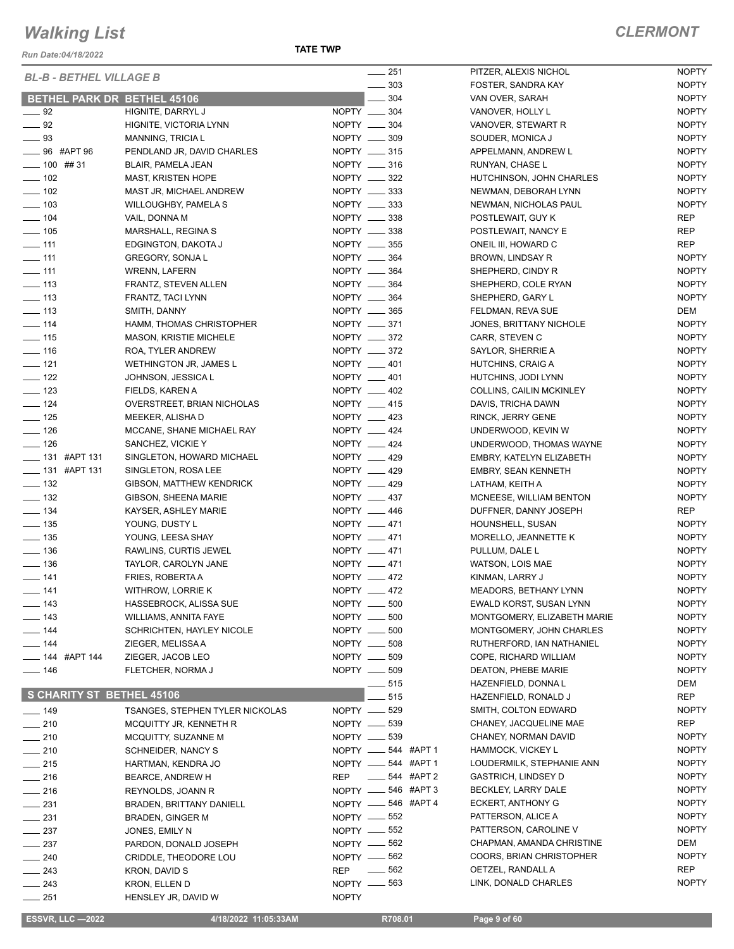*Run Date:04/18/2022*

**TATE TWP**

| <b>BL-B - BETHEL VILLAGE B</b>     |                                        | $-251$               | PITZER, ALEXIS NICHOL       | <b>NOPTY</b> |
|------------------------------------|----------------------------------------|----------------------|-----------------------------|--------------|
|                                    |                                        | 303<br>$\frac{1}{2}$ | FOSTER, SANDRA KAY          | <b>NOPTY</b> |
| <b>BETHEL PARK DR BETHEL 45106</b> |                                        | $\frac{1}{2}$ 304    | VAN OVER, SARAH             | <b>NOPTY</b> |
| $\frac{1}{2}$ 92                   | HIGNITE, DARRYL J                      | NOPTY __ 304         | VANOVER, HOLLY L            | <b>NOPTY</b> |
| $\frac{1}{2}$ 92                   | HIGNITE, VICTORIA LYNN                 | NOPTY __ 304         | VANOVER, STEWART R          | <b>NOPTY</b> |
|                                    |                                        |                      |                             |              |
| $\frac{1}{2}$ 93                   | MANNING, TRICIA L                      | NOPTY __ 309         | SOUDER, MONICA J            | <b>NOPTY</b> |
| <b>EXAMPLE 96</b> #APT 96          | PENDLAND JR, DAVID CHARLES             | NOPTY __ 315         | APPELMANN, ANDREW L         | <b>NOPTY</b> |
| $- 100$ ## 31                      | <b>BLAIR, PAMELA JEAN</b>              | NOPTY __ 316         | RUNYAN, CHASE L             | <b>NOPTY</b> |
| $\frac{1}{2}$ 102                  | <b>MAST, KRISTEN HOPE</b>              | NOPTY _____ 322      | HUTCHINSON, JOHN CHARLES    | <b>NOPTY</b> |
| $\frac{1}{2}$ 102                  | MAST JR, MICHAEL ANDREW                | NOPTY __ 333         | NEWMAN, DEBORAH LYNN        | <b>NOPTY</b> |
|                                    |                                        |                      |                             |              |
| $- 103$                            | <b>WILLOUGHBY, PAMELA S</b>            | NOPTY __ 333         | NEWMAN, NICHOLAS PAUL       | <b>NOPTY</b> |
| $- 104$                            | VAIL, DONNA M                          | NOPTY __ 338         | POSTLEWAIT, GUY K           | <b>REP</b>   |
| $\frac{1}{2}$ 105                  | MARSHALL, REGINA S                     | NOPTY __ 338         | POSTLEWAIT, NANCY E         | <b>REP</b>   |
| $\frac{1}{2}$ 111                  | EDGINGTON, DAKOTA J                    | NOPTY __ 355         | ONEIL III, HOWARD C         | <b>REP</b>   |
| $\frac{1}{2}$ 111                  | <b>GREGORY, SONJAL</b>                 | NOPTY __ 364         | BROWN, LINDSAY R            | <b>NOPTY</b> |
|                                    |                                        |                      |                             |              |
| $\frac{1}{2}$ 111                  | <b>WRENN, LAFERN</b>                   | NOPTY __ 364         | SHEPHERD, CINDY R           | <b>NOPTY</b> |
| $\frac{1}{2}$ 113                  | FRANTZ, STEVEN ALLEN                   | NOPTY __ 364         | SHEPHERD, COLE RYAN         | <b>NOPTY</b> |
| $\equiv$ 113                       | FRANTZ, TACI LYNN                      | NOPTY __ 364         | SHEPHERD, GARY L            | <b>NOPTY</b> |
| $\frac{1}{2}$ 113                  | SMITH, DANNY                           | NOPTY __ 365         | FELDMAN, REVA SUE           | DEM          |
| $- 114$                            | HAMM, THOMAS CHRISTOPHER               | NOPTY __ 371         | JONES, BRITTANY NICHOLE     | <b>NOPTY</b> |
|                                    |                                        |                      |                             |              |
| $\frac{1}{2}$ 115                  | <b>MASON, KRISTIE MICHELE</b>          | NOPTY __ 372         | CARR, STEVEN C              | <b>NOPTY</b> |
| $\frac{1}{16}$                     | ROA, TYLER ANDREW                      | NOPTY __ 372         | SAYLOR, SHERRIE A           | <b>NOPTY</b> |
| $\frac{1}{2}$ 121                  | WETHINGTON JR, JAMES L                 | NOPTY __ 401         | HUTCHINS, CRAIG A           | <b>NOPTY</b> |
| $\frac{1}{2}$ 122                  | JOHNSON, JESSICA L                     | NOPTY __ 401         | HUTCHINS, JODI LYNN         | <b>NOPTY</b> |
| $\frac{1}{2}$ 123                  | FIELDS, KAREN A                        | NOPTY __ 402         | COLLINS, CAILIN MCKINLEY    | <b>NOPTY</b> |
|                                    |                                        |                      |                             |              |
| $\frac{1}{2}$ 124                  | OVERSTREET, BRIAN NICHOLAS             | NOPTY __ 415         | DAVIS, TRICHA DAWN          | <b>NOPTY</b> |
| $\frac{1}{2}$ 125                  | MEEKER, ALISHA D                       | NOPTY __ 423         | RINCK, JERRY GENE           | <b>NOPTY</b> |
| $\frac{1}{2}$ 126                  | MCCANE, SHANE MICHAEL RAY              | NOPTY __ 424         | UNDERWOOD, KEVIN W          | <b>NOPTY</b> |
| $- 126$                            | SANCHEZ, VICKIE Y                      | NOPTY __ 424         | UNDERWOOD, THOMAS WAYNE     | <b>NOPTY</b> |
| $\frac{1}{2}$ 131 #APT 131         | SINGLETON, HOWARD MICHAEL              | NOPTY __ 429         | EMBRY, KATELYN ELIZABETH    | <b>NOPTY</b> |
|                                    |                                        |                      |                             |              |
| -81 #APT 131                       | SINGLETON, ROSA LEE                    | NOPTY __ 429         | <b>EMBRY, SEAN KENNETH</b>  | <b>NOPTY</b> |
| $\frac{1}{2}$ 132                  | GIBSON, MATTHEW KENDRICK               | NOPTY __ 429         | LATHAM, KEITH A             | <b>NOPTY</b> |
| $\frac{1}{2}$ 132                  | GIBSON, SHEENA MARIE                   | NOPTY __ 437         | MCNEESE, WILLIAM BENTON     | <b>NOPTY</b> |
| $\frac{1}{2}$ 134                  | KAYSER, ASHLEY MARIE                   | NOPTY __ 446         | DUFFNER, DANNY JOSEPH       | <b>REP</b>   |
| $\frac{1}{2}$ 135                  | YOUNG, DUSTY L                         | NOPTY __ 471         | HOUNSHELL, SUSAN            | <b>NOPTY</b> |
|                                    |                                        |                      |                             |              |
| $\frac{1}{2}$ 135                  | YOUNG, LEESA SHAY                      | NOPTY __ 471         | MORELLO, JEANNETTE K        | <b>NOPTY</b> |
| $\frac{1}{2}$ 136                  | RAWLINS, CURTIS JEWEL                  | NOPTY __ 471         | PULLUM, DALE L              | <b>NOPTY</b> |
| $\frac{1}{2}$ 136                  | TAYLOR, CAROLYN JANE                   | NOPTY __ 471         | WATSON, LOIS MAE            | <b>NOPTY</b> |
| $- 141$                            | FRIES, ROBERTA A                       | NOPTY __ 472         | KINMAN, LARRY J             | <b>NOPTY</b> |
|                                    |                                        | NOPTY __ 472         |                             |              |
| $- 141$                            | WITHROW, LORRIE K                      |                      | MEADORS, BETHANY LYNN       | <b>NOPTY</b> |
| $- 143$                            | HASSEBROCK, ALISSA SUE                 | NOPTY __ 500         | EWALD KORST, SUSAN LYNN     | <b>NOPTY</b> |
| $- 143$                            | <b>WILLIAMS, ANNITA FAYE</b>           | NOPTY __<br>500      | MONTGOMERY, ELIZABETH MARIE | <b>NOPTY</b> |
| $\equiv$ 144                       | <b>SCHRICHTEN, HAYLEY NICOLE</b>       | NOPTY __ 500         | MONTGOMERY, JOHN CHARLES    | <b>NOPTY</b> |
| $- 144$                            | ZIEGER, MELISSA A                      | NOPTY __ 508         | RUTHERFORD, IAN NATHANIEL   | <b>NOPTY</b> |
| <sub>___</sub> 144 #APT 144        | ZIEGER, JACOB LEO                      | NOPTY __ 509         | COPE, RICHARD WILLIAM       | <b>NOPTY</b> |
|                                    |                                        |                      |                             |              |
| $- 146$                            | FLETCHER, NORMA J                      | NOPTY __ 509         | DEATON, PHEBE MARIE         | <b>NOPTY</b> |
|                                    |                                        | 515                  | HAZENFIELD, DONNA L         | DEM          |
| S CHARITY ST BETHEL 45106          |                                        | 515                  | HAZENFIELD, RONALD J        | <b>REP</b>   |
| $\frac{1}{2}$ 149                  | <b>TSANGES, STEPHEN TYLER NICKOLAS</b> | 529<br>NOPTY __      | SMITH, COLTON EDWARD        | <b>NOPTY</b> |
|                                    |                                        |                      |                             |              |
| $-210$                             | MCQUITTY JR, KENNETH R                 | NOPTY __ 539         | CHANEY, JACQUELINE MAE      | REP          |
| $-210$                             | MCQUITTY, SUZANNE M                    | NOPTY -639           | CHANEY, NORMAN DAVID        | <b>NOPTY</b> |
| $-210$                             | <b>SCHNEIDER, NANCY S</b>              | NOPTY __ 544 #APT 1  | HAMMOCK, VICKEY L           | <b>NOPTY</b> |
| $-215$                             | HARTMAN, KENDRA JO                     | NOPTY __ 544 #APT 1  | LOUDERMILK, STEPHANIE ANN   | <b>NOPTY</b> |
| $-216$                             | BEARCE, ANDREW H                       | 544 #APT 2<br>REP    | GASTRICH, LINDSEY D         | <b>NOPTY</b> |
|                                    |                                        |                      |                             |              |
| $\frac{1}{216}$                    | REYNOLDS, JOANN R                      | NOPTY __ 546 #APT 3  | BECKLEY, LARRY DALE         | <b>NOPTY</b> |
| $\frac{1}{231}$                    | <b>BRADEN, BRITTANY DANIELL</b>        | NOPTY __ 546 #APT 4  | ECKERT, ANTHONY G           | <b>NOPTY</b> |
| $\frac{1}{2}$ 231                  | <b>BRADEN, GINGER M</b>                | NOPTY __ 552         | PATTERSON, ALICE A          | <b>NOPTY</b> |
| $\sim$ 237                         | JONES, EMILY N                         | NOPTY -652           | PATTERSON, CAROLINE V       | <b>NOPTY</b> |
| $-237$                             | PARDON, DONALD JOSEPH                  | NOPTY __ 562         | CHAPMAN, AMANDA CHRISTINE   | DEM          |
|                                    |                                        |                      |                             |              |
| $\sim$ 240                         | CRIDDLE, THEODORE LOU                  | NOPTY -662           | COORS, BRIAN CHRISTOPHER    | <b>NOPTY</b> |
| $-243$                             | KRON, DAVID S                          | 562<br><b>REP</b>    | OETZEL, RANDALL A           | <b>REP</b>   |
| $\sim$ 243                         | KRON, ELLEN D                          | 563<br>NOPTY __      | LINK, DONALD CHARLES        | <b>NOPTY</b> |
| $-251$                             | HENSLEY JR, DAVID W                    | <b>NOPTY</b>         |                             |              |
|                                    |                                        |                      |                             |              |

 **ESSVR, LLC —2022 4/18/2022 11:05:33AM R708.01 Page 9 of 60**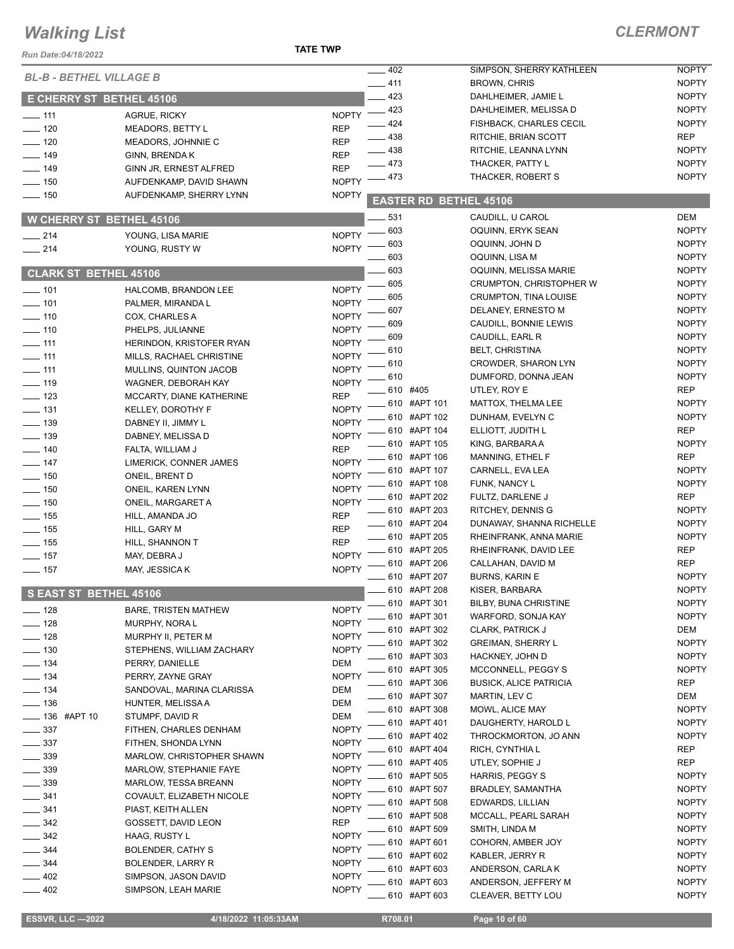| Run Date:04/18/2022             |                               | <b>TATE TWP</b>    |                   |                               |                                |              |
|---------------------------------|-------------------------------|--------------------|-------------------|-------------------------------|--------------------------------|--------------|
| <b>BL-B - BETHEL VILLAGE B</b>  |                               |                    | $\frac{1}{2}$ 402 |                               | SIMPSON, SHERRY KATHLEEN       | <b>NOPTY</b> |
|                                 |                               |                    | $-411$            |                               | <b>BROWN, CHRIS</b>            | <b>NOPTY</b> |
| <b>E CHERRY ST BETHEL 45106</b> |                               |                    | $-423$            |                               | DAHLHEIMER, JAMIE L            | <b>NOPTY</b> |
| $\frac{1}{2}$ 111               | AGRUE, RICKY                  | <b>NOPTY</b>       | $-423$            |                               | DAHLHEIMER, MELISSA D          | <b>NOPTY</b> |
| $\frac{1}{2}$ 120               | <b>MEADORS, BETTY L</b>       | <b>REP</b>         | $\frac{1}{2}$ 424 |                               | <b>FISHBACK, CHARLES CECIL</b> | <b>NOPTY</b> |
| $- 120$                         | MEADORS, JOHNNIE C            | <b>REP</b>         | $\frac{1}{2}$ 438 |                               | RITCHIE, BRIAN SCOTT           | <b>REP</b>   |
| $\frac{1}{2}$ 149               | GINN, BRENDA K                | <b>REP</b>         | $-438$            |                               | RITCHIE, LEANNA LYNN           | <b>NOPTY</b> |
| $- 149$                         | GINN JR, ERNEST ALFRED        | <b>REP</b>         | $-473$            |                               | THACKER, PATTY L               | <b>NOPTY</b> |
| $- 150$                         | AUFDENKAMP, DAVID SHAWN       | <b>NOPTY</b>       | $-473$            |                               | THACKER, ROBERT S              | <b>NOPTY</b> |
| $- 150$                         | AUFDENKAMP, SHERRY LYNN       | <b>NOPTY</b>       |                   |                               |                                |              |
|                                 |                               |                    |                   | <b>EASTER RD BETHEL 45106</b> |                                |              |
| <b>W CHERRY ST BETHEL 45106</b> |                               |                    | 531               |                               | CAUDILL, U CAROL               | DEM          |
| $\frac{1}{214}$                 | YOUNG, LISA MARIE             | NOPTY $=$          | $-603$            |                               | OQUINN, ERYK SEAN              | <b>NOPTY</b> |
| $-214$                          | YOUNG, RUSTY W                | NOPTY <sup>-</sup> | 603               |                               | OQUINN, JOHN D                 | <b>NOPTY</b> |
|                                 |                               |                    | 603               |                               | OQUINN, LISA M                 | <b>NOPTY</b> |
| <b>CLARK ST BETHEL 45106</b>    |                               |                    | 603               |                               | OQUINN, MELISSA MARIE          | <b>NOPTY</b> |
| $- 101$                         | HALCOMB, BRANDON LEE          | <b>NOPTY</b>       | 605               |                               | CRUMPTON, CHRISTOPHER W        | <b>NOPTY</b> |
| $- 101$                         | PALMER, MIRANDA L             | <b>NOPTY</b>       | 605               |                               | <b>CRUMPTON, TINA LOUISE</b>   | <b>NOPTY</b> |
| $- 110$                         | COX, CHARLES A                | <b>NOPTY</b>       | 607               |                               | DELANEY, ERNESTO M             | <b>NOPTY</b> |
| $- 110$                         | PHELPS, JULIANNE              | <b>NOPTY</b>       | 609               |                               | CAUDILL, BONNIE LEWIS          | <b>NOPTY</b> |
| $- 111$                         | HERINDON, KRISTOFER RYAN      | <b>NOPTY</b>       | 609               |                               | CAUDILL, EARL R                | <b>NOPTY</b> |
| $\frac{1}{111}$                 | MILLS, RACHAEL CHRISTINE      | <b>NOPTY</b>       | 610               |                               | <b>BELT, CHRISTINA</b>         | <b>NOPTY</b> |
| $\frac{1}{2}$ 111               | <b>MULLINS, QUINTON JACOB</b> | <b>NOPTY</b>       | 610               |                               | <b>CROWDER, SHARON LYN</b>     | <b>NOPTY</b> |
| $- 119$                         | WAGNER, DEBORAH KAY           | <b>NOPTY</b>       | _ 610             |                               | DUMFORD, DONNA JEAN            | <b>NOPTY</b> |
|                                 |                               | <b>REP</b>         | _ 610 #405        |                               | UTLEY, ROY E                   | <b>REP</b>   |
| $\frac{1}{2}$ 123               | MCCARTY, DIANE KATHERINE      | <b>NOPTY</b>       |                   | $-610$ #APT 101               | MATTOX, THELMA LEE             | <b>NOPTY</b> |
| $\frac{1}{2}$ 131               | <b>KELLEY, DOROTHY F</b>      |                    |                   | - 610 #APT 102                | DUNHAM, EVELYN C               | <b>NOPTY</b> |
| $\equiv$ 139                    | DABNEY II, JIMMY L            | <b>NOPTY</b>       |                   | 610 #APT 104                  | ELLIOTT, JUDITH L              | <b>REP</b>   |
| $\frac{1}{2}$ 139               | DABNEY, MELISSA D             | <b>NOPTY</b>       |                   | $-610$ #APT 105               | KING, BARBARA A                | <b>NOPTY</b> |
| $- 140$                         | FALTA, WILLIAM J              | <b>REP</b>         |                   | $-610$ #APT 106               | MANNING, ETHEL F               | <b>REP</b>   |
| $\frac{1}{2}$ 147               | LIMERICK, CONNER JAMES        | <b>NOPTY</b>       |                   | 610 #APT 107                  | CARNELL, EVA LEA               | <b>NOPTY</b> |
| $\frac{1}{2}$ 150               | ONEIL, BRENT D                | <b>NOPTY</b>       |                   | 610 #APT 108                  | FUNK, NANCY L                  | <b>NOPTY</b> |
| $\frac{1}{150}$                 | ONEIL, KAREN LYNN             | <b>NOPTY</b>       |                   | - 610 #APT 202                | FULTZ, DARLENE J               | <b>REP</b>   |
| $\frac{1}{2}$ 150               | ONEIL, MARGARET A             | <b>NOPTY</b>       |                   | 610 #APT 203                  | <b>RITCHEY, DENNIS G</b>       | <b>NOPTY</b> |
| $\frac{1}{2}$ 155               | HILL, AMANDA JO               | <b>REP</b>         |                   | ____ 610 #APT 204             | DUNAWAY, SHANNA RICHELLE       | <b>NOPTY</b> |
| $\frac{1}{2}$ 155               | HILL, GARY M                  | <b>REP</b>         |                   | ____ 610   #APT 205           | RHEINFRANK, ANNA MARIE         | <b>NOPTY</b> |
| $- 155$                         | HILL, SHANNON T               | <b>REP</b>         |                   | - 610 #APT 205                | RHEINFRANK, DAVID LEE          | <b>REP</b>   |
| $-157$                          | MAY, DEBRA J                  | <b>NOPTY</b>       |                   | 610 #APT 206                  | CALLAHAN, DAVID M              | <b>REP</b>   |
| $\frac{1}{2}$ 157               | MAY, JESSICA K                | <b>NOPTY</b>       |                   | ____ 610 #APT 207             | <b>BURNS, KARIN E</b>          | <b>NOPTY</b> |
|                                 |                               |                    |                   | 610 #APT 208                  | KISER, BARBARA                 | <b>NOPTY</b> |
| S EAST ST BETHEL 45106          |                               |                    |                   | 610 #APT 301                  | <b>BILBY, BUNA CHRISTINE</b>   | <b>NOPTY</b> |
| $- 128$                         | <b>BARE, TRISTEN MATHEW</b>   | <b>NOPTY</b>       |                   | 610 #APT 301                  | WARFORD, SONJA KAY             | <b>NOPTY</b> |
| $- 128$                         | MURPHY, NORA L                | <b>NOPTY</b>       |                   |                               |                                |              |
| $-128$                          | MURPHY II, PETER M            | <b>NOPTY</b>       |                   | 610 #APT 302<br>610 #APT 302  | <b>CLARK, PATRICK J</b>        | DEM          |
| $-130$                          | STEPHENS, WILLIAM ZACHARY     | <b>NOPTY</b>       |                   |                               | <b>GREIMAN, SHERRY L</b>       | <b>NOPTY</b> |
| $-134$                          | PERRY, DANIELLE               | <b>DEM</b>         |                   | 610 #APT 303                  | HACKNEY, JOHN D                | <b>NOPTY</b> |
| $- 134$                         | PERRY, ZAYNE GRAY             | <b>NOPTY</b>       |                   | 610 #APT 305                  | MCCONNELL, PEGGY S             | <b>NOPTY</b> |
| $\frac{1}{2}$ 134               | SANDOVAL, MARINA CLARISSA     | <b>DEM</b>         |                   | 610 #APT 306                  | <b>BUSICK, ALICE PATRICIA</b>  | REP          |
| $\frac{1}{2}$ 136               | HUNTER, MELISSA A             | DEM                |                   | 610 #APT 307                  | MARTIN, LEV C                  | DEM          |
| <b>LEGGE #APT 10</b>            | STUMPF, DAVID R               | DEM                |                   | ___ 610 #APT 308              | MOWL, ALICE MAY                | <b>NOPTY</b> |
| $\frac{1}{2}$ 337               | FITHEN, CHARLES DENHAM        | <b>NOPTY</b>       |                   | 610 #APT 401                  | DAUGHERTY, HAROLD L            | <b>NOPTY</b> |
| $\frac{1}{2}$ 337               | FITHEN, SHONDA LYNN           | <b>NOPTY</b>       |                   | 610 #APT 402                  | THROCKMORTON, JO ANN           | <b>NOPTY</b> |
| $\frac{1}{2}$ 339               | MARLOW, CHRISTOPHER SHAWN     | <b>NOPTY</b>       |                   | 610 #APT 404                  | RICH, CYNTHIA L                | <b>REP</b>   |
| $-339$                          | MARLOW, STEPHANIE FAYE        | <b>NOPTY</b>       |                   | 610 #APT 405                  | UTLEY, SOPHIE J                | <b>REP</b>   |
| $\frac{1}{2}$ 339               | <b>MARLOW, TESSA BREANN</b>   | <b>NOPTY</b>       |                   | 610 #APT 505                  | HARRIS, PEGGY S                | <b>NOPTY</b> |
| $- 341$                         | COVAULT, ELIZABETH NICOLE     | <b>NOPTY</b>       |                   | 610 #APT 507                  | BRADLEY, SAMANTHA              | <b>NOPTY</b> |
| 341                             | PIAST, KEITH ALLEN            | <b>NOPTY</b>       |                   | 610 #APT 508                  | EDWARDS, LILLIAN               | <b>NOPTY</b> |
| $-342$                          |                               | <b>REP</b>         |                   | 610 #APT 508                  | MCCALL, PEARL SARAH            | <b>NOPTY</b> |
| 342                             | GOSSETT, DAVID LEON           | <b>NOPTY</b>       |                   | 610 #APT 509                  | SMITH, LINDA M                 | <b>NOPTY</b> |
|                                 | HAAG, RUSTY L                 | <b>NOPTY</b>       |                   | 610 #APT 601                  | COHORN, AMBER JOY              | <b>NOPTY</b> |
| $-344$                          | BOLENDER, CATHY S             | <b>NOPTY</b>       |                   | 610 #APT 602                  | KABLER, JERRY R                | <b>NOPTY</b> |
| 344                             | <b>BOLENDER, LARRY R</b>      |                    |                   | 610 #APT 603                  | ANDERSON, CARLAK               | <b>NOPTY</b> |
| 402                             | SIMPSON, JASON DAVID          | <b>NOPTY</b>       |                   | 610 #APT 603                  | ANDERSON, JEFFERY M            | <b>NOPTY</b> |
| $-402$                          | SIMPSON, LEAH MARIE           | <b>NOPTY</b>       |                   | 610 #APT 603                  | CLEAVER, BETTY LOU             | <b>NOPTY</b> |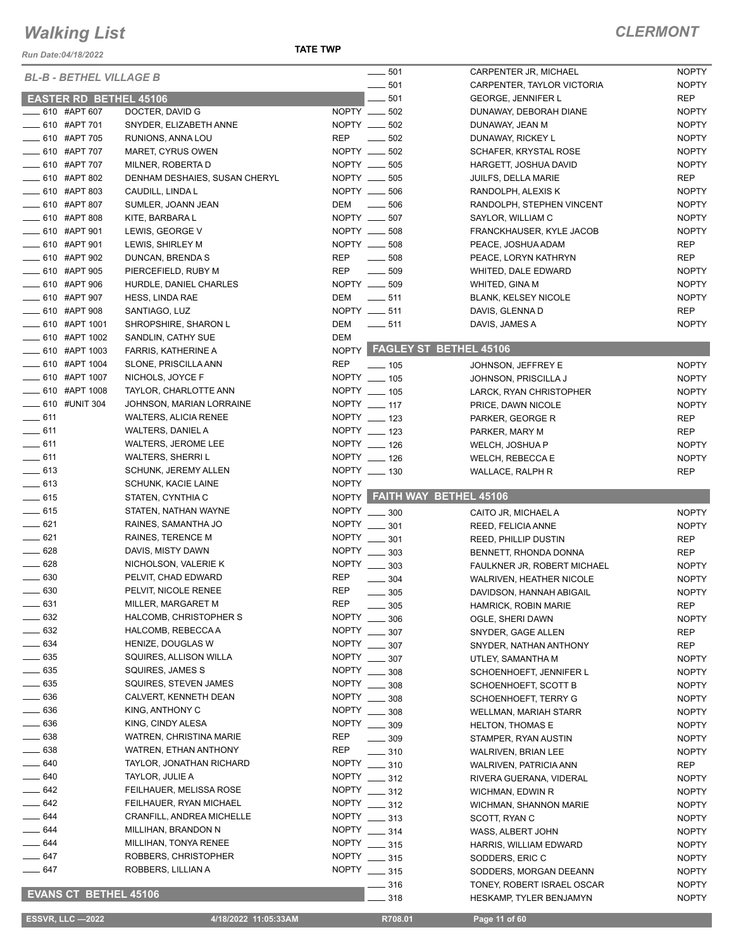*Run Date:04/18/2022*

**TATE TWP**

|                   | <b>BL-B - BETHEL VILLAGE B</b> |                               |              | 501<br>$\overline{\phantom{a}}$ | CARPENTER JR, MICHAEL         | <b>NOPTY</b> |
|-------------------|--------------------------------|-------------------------------|--------------|---------------------------------|-------------------------------|--------------|
|                   |                                |                               |              | 501<br>$\overline{\phantom{a}}$ | CARPENTER, TAYLOR VICTORIA    | <b>NOPTY</b> |
|                   | <b>EASTER RD BETHEL 45106</b>  |                               |              | 501                             | <b>GEORGE, JENNIFER L</b>     | <b>REP</b>   |
|                   | 610 #APT 607                   | DOCTER, DAVID G               |              | NOPTY __ 502                    | DUNAWAY, DEBORAH DIANE        | <b>NOPTY</b> |
|                   | ____ 610 #APT 701              | SNYDER, ELIZABETH ANNE        |              | NOPTY __ 502                    | DUNAWAY, JEAN M               | <b>NOPTY</b> |
|                   |                                |                               |              |                                 |                               |              |
|                   | -610 #APT 705                  | RUNIONS, ANNA LOU             | <b>REP</b>   | $\frac{1}{2}$<br>502            | DUNAWAY, RICKEY L             | <b>NOPTY</b> |
|                   | ___ 610 #APT 707               | MARET, CYRUS OWEN             |              | NOPTY __ 502                    | <b>SCHAFER, KRYSTAL ROSE</b>  | <b>NOPTY</b> |
|                   | <b>EXECUTE:</b> 610 #APT 707   | MILNER, ROBERTA D             |              | NOPTY __ 505                    | HARGETT, JOSHUA DAVID         | <b>NOPTY</b> |
|                   | _ 610 #APT 802                 | DENHAM DESHAIES, SUSAN CHERYL | NOPTY __     | 505                             | JUILFS, DELLA MARIE           | <b>REP</b>   |
|                   | $-610$ #APT 803                | CAUDILL, LINDA L              |              | NOPTY __ 506                    | RANDOLPH, ALEXIS K            | <b>NOPTY</b> |
|                   | ____ 610 #APT 807              |                               | DEM          | 506                             |                               | <b>NOPTY</b> |
|                   |                                | SUMLER, JOANN JEAN            |              |                                 | RANDOLPH, STEPHEN VINCENT     |              |
|                   | ____ 610 #APT 808              | KITE, BARBARA L               |              | NOPTY __ 507                    | SAYLOR, WILLIAM C             | <b>NOPTY</b> |
|                   | <b>EXAMPLE 101</b> #APT 901    | LEWIS, GEORGE V               |              | NOPTY __ 508                    | FRANCKHAUSER, KYLE JACOB      | <b>NOPTY</b> |
|                   | ____ 610 #APT 901              | LEWIS, SHIRLEY M              | NOPTY __     | 508                             | PEACE, JOSHUA ADAM            | <b>REP</b>   |
|                   | $\frac{1}{2}$ 610 #APT 902     | DUNCAN, BRENDA S              | <b>REP</b>   | $\frac{1}{2}$ 508               | PEACE, LORYN KATHRYN          | <b>REP</b>   |
|                   | 610 #APT 905                   | PIERCEFIELD, RUBY M           | REP          | 509                             | WHITED, DALE EDWARD           | <b>NOPTY</b> |
|                   | _610 #APT 906                  | HURDLE, DANIEL CHARLES        |              | NOPTY __ 509                    | WHITED, GINA M                | <b>NOPTY</b> |
|                   |                                |                               |              |                                 |                               |              |
|                   | _610 #APT 907                  | <b>HESS, LINDA RAE</b>        | DEM          | $\frac{1}{2}$ 511               | <b>BLANK, KELSEY NICOLE</b>   | <b>NOPTY</b> |
|                   | _ 610 #APT 908                 | SANTIAGO, LUZ                 |              | NOPTY __ 511                    | DAVIS, GLENNA D               | <b>REP</b>   |
|                   | $\frac{1}{2}$ 610 #APT 1001    | SHROPSHIRE, SHARON L          | DEM          | $\frac{1}{2}$ 511               | DAVIS, JAMES A                | <b>NOPTY</b> |
|                   | <b>EXALGO #APT 1002</b>        | SANDLIN, CATHY SUE            | DEM          |                                 |                               |              |
|                   | $\frac{1}{2}$ 610 #APT 1003    | <b>FARRIS, KATHERINE A</b>    |              |                                 | NOPTY FAGLEY ST BETHEL 45106  |              |
|                   | ____ 610 #APT 1004             | SLONE, PRISCILLA ANN          | <b>REP</b>   |                                 |                               |              |
|                   |                                |                               |              | $\frac{1}{2}$ 105               | JOHNSON, JEFFREY E            | <b>NOPTY</b> |
|                   | __ 610 #APT 1007               | NICHOLS, JOYCE F              |              | NOPTY __ 105                    | JOHNSON, PRISCILLA J          | <b>NOPTY</b> |
|                   | <b>EXALUTE:</b> 610 #APT 1008  | TAYLOR, CHARLOTTE ANN         |              | NOPTY __ 105                    | LARCK, RYAN CHRISTOPHER       | <b>NOPTY</b> |
|                   | -610 #UNIT 304                 | JOHNSON, MARIAN LORRAINE      |              | NOPTY __ 117                    | PRICE, DAWN NICOLE            | <b>NOPTY</b> |
| $-611$            |                                | <b>WALTERS, ALICIA RENEE</b>  |              | NOPTY __ 123                    | PARKER, GEORGE R              | REP          |
| $-611$            |                                | <b>WALTERS, DANIEL A</b>      |              | NOPTY __ 123                    | PARKER, MARY M                | <b>REP</b>   |
| $\frac{1}{2}$ 611 |                                |                               |              | NOPTY __ 126                    |                               |              |
|                   |                                | WALTERS, JEROME LEE           |              |                                 | WELCH, JOSHUA P               | <b>NOPTY</b> |
| $-611$            |                                | <b>WALTERS, SHERRI L</b>      |              | NOPTY __ 126                    | WELCH, REBECCA E              | <b>NOPTY</b> |
| $-613$            |                                | <b>SCHUNK, JEREMY ALLEN</b>   |              | NOPTY __ 130                    | WALLACE, RALPH R              | <b>REP</b>   |
|                   |                                |                               |              |                                 |                               |              |
| $-613$            |                                | <b>SCHUNK, KACIE LAINE</b>    | <b>NOPTY</b> |                                 |                               |              |
|                   |                                |                               |              |                                 |                               |              |
| $-615$            |                                | STATEN, CYNTHIA C             |              |                                 | NOPTY FAITH WAY BETHEL 45106  |              |
| $\frac{1}{2}$ 615 |                                | STATEN, NATHAN WAYNE          | <b>NOPTY</b> | 300                             | CAITO JR, MICHAEL A           | <b>NOPTY</b> |
| $-621$            |                                | RAINES, SAMANTHA JO           | NOPTY __     | 301                             | REED, FELICIA ANNE            | <b>NOPTY</b> |
| $-621$            |                                | RAINES, TERENCE M             | <b>NOPTY</b> | 301                             | REED, PHILLIP DUSTIN          | <b>REP</b>   |
| $- 628$           |                                | DAVIS, MISTY DAWN             | <b>NOPTY</b> | 303                             | BENNETT, RHONDA DONNA         | <b>REP</b>   |
| $- 628$           |                                | NICHOLSON, VALERIE K          | <b>NOPTY</b> | 303                             |                               | <b>NOPTY</b> |
| $- 630$           |                                | PELVIT, CHAD EDWARD           | <b>REP</b>   |                                 | FAULKNER JR, ROBERT MICHAEL   |              |
|                   |                                |                               |              | 304                             | WALRIVEN, HEATHER NICOLE      | <b>NOPTY</b> |
| $\frac{1}{2}$ 630 |                                | PELVIT, NICOLE RENEE          | <b>REP</b>   | $\frac{1}{2}$ 305               | DAVIDSON, HANNAH ABIGAIL      | <b>NOPTY</b> |
| $=$ 631           |                                | MILLER, MARGARET M            | <b>REP</b>   | 305                             | HAMRICK, ROBIN MARIE          | REP          |
| _ 632             |                                | HALCOMB, CHRISTOPHER S        | <b>NOPTY</b> | 306                             | OGLE, SHERI DAWN              | <b>NOPTY</b> |
| $-632$            |                                | HALCOMB, REBECCA A            | <b>NOPTY</b> | 307                             | SNYDER, GAGE ALLEN            | REP          |
| $-634$            |                                | HENIZE, DOUGLAS W             | <b>NOPTY</b> | 307                             | SNYDER, NATHAN ANTHONY        | REP          |
| $\frac{1}{2}$ 635 |                                | SQUIRES, ALLISON WILLA        | NOPTY        |                                 |                               |              |
|                   |                                |                               |              | 307                             | UTLEY, SAMANTHA M             | <b>NOPTY</b> |
| ____ 635          |                                | SQUIRES, JAMES S              | <b>NOPTY</b> | 308                             | SCHOENHOEFT, JENNIFER L       | <b>NOPTY</b> |
| $- 635$           |                                | <b>SQUIRES, STEVEN JAMES</b>  | NOPTY        | 308                             | SCHOENHOEFT, SCOTT B          | <b>NOPTY</b> |
| $\equiv$ 636      |                                | CALVERT, KENNETH DEAN         | <b>NOPTY</b> | 308                             | SCHOENHOEFT, TERRY G          | <b>NOPTY</b> |
| _ 636             |                                | KING, ANTHONY C               | <b>NOPTY</b> | 308                             | <b>WELLMAN, MARIAH STARR</b>  | <b>NOPTY</b> |
| ____ 636          |                                | KING, CINDY ALESA             | <b>NOPTY</b> | 309                             | <b>HELTON, THOMAS E</b>       | <b>NOPTY</b> |
| $\_\_638$         |                                | WATREN, CHRISTINA MARIE       | <b>REP</b>   |                                 |                               |              |
| ____ 638          |                                | WATREN, ETHAN ANTHONY         | <b>REP</b>   | 309                             | STAMPER, RYAN AUSTIN          | <b>NOPTY</b> |
|                   |                                |                               |              | 310                             | <b>WALRIVEN, BRIAN LEE</b>    | <b>NOPTY</b> |
| $- 640$           |                                | TAYLOR, JONATHAN RICHARD      |              | NOPTY __ 310                    | <b>WALRIVEN, PATRICIA ANN</b> | REP          |
| $=640$            |                                | TAYLOR, JULIE A               |              | NOPTY __ 312                    | RIVERA GUERANA, VIDERAL       | <b>NOPTY</b> |
| — 642             |                                | FEILHAUER, MELISSA ROSE       |              | NOPTY ____ 312                  | WICHMAN, EDWIN R              | <b>NOPTY</b> |
| _ 642             |                                | FEILHAUER, RYAN MICHAEL       |              | NOPTY ____ 312                  | WICHMAN, SHANNON MARIE        | <b>NOPTY</b> |
| _ 644             |                                | CRANFILL, ANDREA MICHELLE     |              |                                 | SCOTT, RYAN C                 | <b>NOPTY</b> |
| $-644$            |                                | MILLIHAN, BRANDON N           |              | NOPTY __ 313                    |                               |              |
|                   |                                |                               |              | NOPTY _____ 314                 | WASS, ALBERT JOHN             | <b>NOPTY</b> |
| _ 644             |                                | MILLIHAN, TONYA RENEE         |              | NOPTY _____ 315                 | HARRIS, WILLIAM EDWARD        | <b>NOPTY</b> |
| —— 647            |                                | ROBBERS, CHRISTOPHER          |              | NOPTY __ 315                    | SODDERS, ERIC C               | <b>NOPTY</b> |
| ____ 647          |                                | ROBBERS, LILLIAN A            |              | NOPTY __ 315                    | SODDERS, MORGAN DEEANN        | <b>NOPTY</b> |
|                   | <b>EVANS CT BETHEL 45106</b>   |                               |              | 316                             | TONEY, ROBERT ISRAEL OSCAR    | <b>NOPTY</b> |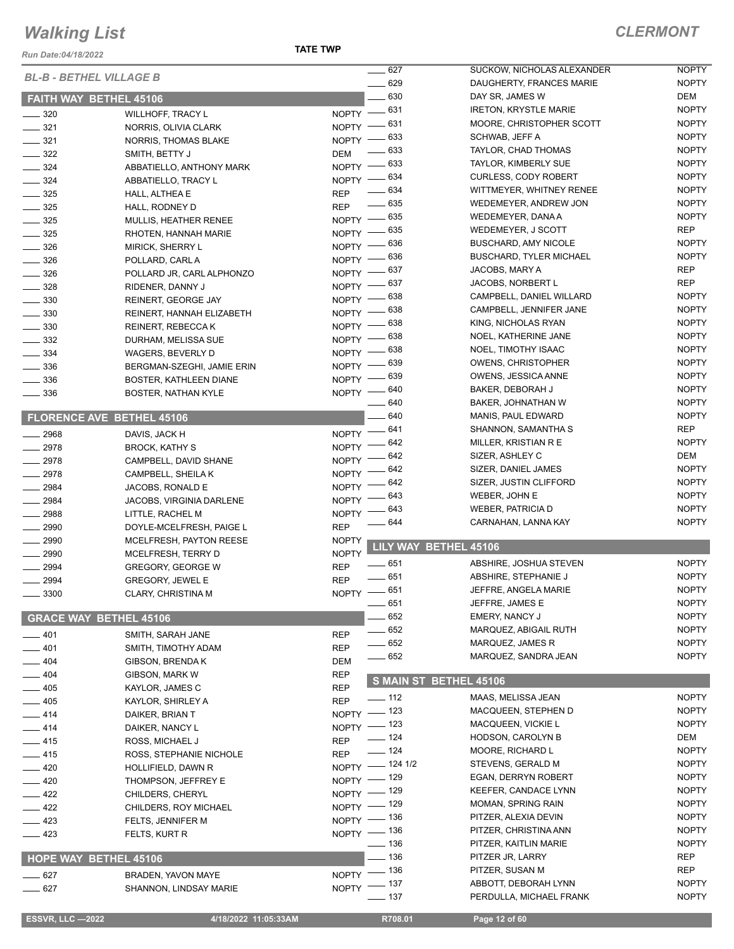*Run Date:04/18/2022*

| <b>BL-B - BETHEL VILLAGE B</b>       |                                           |                          | $- 627$                 | SUCKOW, NICHOLAS ALEXANDER                           | <b>NOPTY</b>             |
|--------------------------------------|-------------------------------------------|--------------------------|-------------------------|------------------------------------------------------|--------------------------|
|                                      |                                           |                          | $-629$                  | DAUGHERTY, FRANCES MARIE                             | <b>NOPTY</b>             |
| FAITH WAY BETHEL 45106               |                                           |                          | 630                     | DAY SR, JAMES W                                      | DEM                      |
| $\frac{1}{2}$ 320                    | <b>WILLHOFF, TRACY L</b>                  |                          | NOPTY -831              | <b>IRETON, KRYSTLE MARIE</b>                         | <b>NOPTY</b>             |
| $\frac{1}{2}$ 321                    | NORRIS, OLIVIA CLARK                      | NOPTY -                  | . 631                   | MOORE, CHRISTOPHER SCOTT                             | <b>NOPTY</b>             |
| $\frac{1}{2}$ 321                    | NORRIS, THOMAS BLAKE                      | NOPTY $-$                | . 633                   | SCHWAB, JEFF A                                       | <b>NOPTY</b>             |
| $\frac{322}{2}$                      | SMITH, BETTY J                            | <b>DEM</b>               | - 633                   | TAYLOR, CHAD THOMAS                                  | <b>NOPTY</b>             |
| $\frac{1}{2}$ 324                    | ABBATIELLO, ANTHONY MARK                  | $NOPTY$ -                | . 633                   | TAYLOR, KIMBERLY SUE                                 | <b>NOPTY</b>             |
| $\frac{324}{ }$                      | ABBATIELLO, TRACY L                       |                          | NOPTY - 634             | <b>CURLESS, CODY ROBERT</b>                          | <b>NOPTY</b>             |
| $\frac{1}{2}$ 325                    | HALL, ALTHEA E                            | <b>REP</b>               | $- 634$                 | WITTMEYER, WHITNEY RENEE                             | <b>NOPTY</b>             |
| $\frac{1}{2}$ 325                    | HALL, RODNEY D                            | <b>REP</b>               | $\frac{1}{2}$ 635       | WEDEMEYER, ANDREW JON                                | <b>NOPTY</b>             |
| $- 325$                              | MULLIS, HEATHER RENEE                     |                          | NOPTY -635              | WEDEMEYER, DANA A                                    | <b>NOPTY</b>             |
| $\frac{1}{2}$ 325                    | RHOTEN, HANNAH MARIE                      | $N$ OPTY $-$             | . 635                   | WEDEMEYER, J SCOTT                                   | <b>REP</b>               |
| $\frac{1}{2}$ 326                    | MIRICK, SHERRY L                          |                          | NOPTY - 636             | <b>BUSCHARD, AMY NICOLE</b>                          | <b>NOPTY</b>             |
| $\frac{1}{2}$ 326                    | POLLARD, CARL A                           | $NOPTY =$                | 636                     | <b>BUSCHARD, TYLER MICHAEL</b>                       | <b>NOPTY</b>             |
| $\frac{1}{2}$ 326                    | POLLARD JR, CARL ALPHONZO                 | NOPTY -                  | 637                     | JACOBS, MARY A                                       | <b>REP</b><br><b>REP</b> |
| $\frac{1}{2}$ 328                    | RIDENER, DANNY J                          | <b>NOPTY</b>             | 637<br>638              | <b>JACOBS, NORBERT L</b><br>CAMPBELL, DANIEL WILLARD | <b>NOPTY</b>             |
| $\frac{1}{2}$ 330                    | REINERT, GEORGE JAY                       | NOPTY -                  | 638                     | CAMPBELL, JENNIFER JANE                              | <b>NOPTY</b>             |
| $\frac{1}{2}$ 330                    | REINERT, HANNAH ELIZABETH                 | NOPTY $-$                | 638                     | KING, NICHOLAS RYAN                                  | <b>NOPTY</b>             |
| $\frac{1}{2}$ 330                    | REINERT, REBECCA K                        | $NOPTY =$                | 638                     | NOEL, KATHERINE JANE                                 | <b>NOPTY</b>             |
| $\frac{1}{2}$ 332                    | DURHAM, MELISSA SUE                       | $N$ OPTY $-$             | - 638                   | NOEL, TIMOTHY ISAAC                                  | <b>NOPTY</b>             |
| $\frac{1}{2}$ 334                    | WAGERS, BEVERLY D                         | NOPTY -                  | . 639                   | <b>OWENS, CHRISTOPHER</b>                            | <b>NOPTY</b>             |
| $\frac{1}{2}$ 336                    | BERGMAN-SZEGHI, JAMIE ERIN                | NOPTY -                  |                         | OWENS, JESSICA ANNE                                  | <b>NOPTY</b>             |
| $\frac{1}{2}$ 336                    | BOSTER, KATHLEEN DIANE                    |                          | NOPTY - 639             | BAKER, DEBORAH J                                     | <b>NOPTY</b>             |
| $\frac{1}{2}$ 336                    | <b>BOSTER, NATHAN KYLE</b>                |                          | NOPTY - 640<br>____ 640 | BAKER, JOHNATHAN W                                   | <b>NOPTY</b>             |
| FLORENCE AVE BETHEL 45106            |                                           |                          | $-640$                  | MANIS, PAUL EDWARD                                   | <b>NOPTY</b>             |
|                                      |                                           |                          | _ 641                   | SHANNON, SAMANTHA S                                  | <b>REP</b>               |
| 2968                                 | DAVIS, JACK H                             | $N$ OPTY $-$             | 642                     | MILLER, KRISTIAN R E                                 | <b>NOPTY</b>             |
| $-2978$                              | <b>BROCK, KATHY S</b>                     | <b>NOPTY</b>             | 642                     | SIZER, ASHLEY C                                      | DEM                      |
| $-2978$                              | CAMPBELL, DAVID SHANE                     | <b>NOPTY</b>             | . 642                   | SIZER, DANIEL JAMES                                  | <b>NOPTY</b>             |
| 2978                                 | CAMPBELL, SHEILA K                        | <b>NOPTY</b>             | 642                     | SIZER, JUSTIN CLIFFORD                               | <b>NOPTY</b>             |
| $- 2984$                             | JACOBS, RONALD E                          | <b>NOPTY</b>             | 643                     | WEBER, JOHN E                                        | <b>NOPTY</b>             |
| $-2984$                              | JACOBS, VIRGINIA DARLENE                  | <b>NOPTY</b>             | 643                     | <b>WEBER, PATRICIA D</b>                             | <b>NOPTY</b>             |
| $-2988$                              | LITTLE, RACHEL M                          | <b>NOPTY</b>             | 644                     | CARNAHAN, LANNA KAY                                  | <b>NOPTY</b>             |
| $- 2990$                             | DOYLE-MCELFRESH, PAIGE L                  | <b>REP</b>               |                         |                                                      |                          |
| 2990                                 | MCELFRESH, PAYTON REESE                   | <b>NOPTY</b>             | LILY WAY BETHEL 45106   |                                                      |                          |
| $\frac{1}{2990}$<br>$\frac{1}{2994}$ | MCELFRESH, TERRY D                        | <b>NOPTY</b>             | $-651$                  | ABSHIRE, JOSHUA STEVEN                               | <b>NOPTY</b>             |
|                                      | GREGORY, GEORGE W                         | <b>REP</b>               | $-651$                  | ABSHIRE, STEPHANIE J                                 | <b>NOPTY</b>             |
| $\frac{1}{2994}$                     | <b>GREGORY, JEWEL E</b>                   | <b>REP</b>               | NOPTY -651              | JEFFRE, ANGELA MARIE                                 | <b>NOPTY</b>             |
| $\frac{1}{2}$ 3300                   | <b>CLARY, CHRISTINA M</b>                 |                          | $\frac{1}{2}$ 651       | JEFFRE, JAMES E                                      | <b>NOPTY</b>             |
| <b>GRACE WAY BETHEL 45106</b>        |                                           |                          | 652                     | <b>EMERY, NANCY J</b>                                | <b>NOPTY</b>             |
|                                      |                                           |                          | $-652$                  | MARQUEZ, ABIGAIL RUTH                                | <b>NOPTY</b>             |
| $-401$                               | SMITH, SARAH JANE                         | <b>REP</b>               | $-652$                  | MARQUEZ, JAMES R                                     | <b>NOPTY</b>             |
| 401                                  | SMITH, TIMOTHY ADAM                       | <b>REP</b>               | $-652$                  | MARQUEZ, SANDRA JEAN                                 | <b>NOPTY</b>             |
| 404<br>404                           | <b>GIBSON, BRENDAK</b>                    | <b>DEM</b><br><b>REP</b> |                         |                                                      |                          |
| 405                                  | GIBSON, MARK W                            | <b>REP</b>               | S MAIN ST BETHEL 45106  |                                                      |                          |
|                                      | KAYLOR, JAMES C                           |                          | $\frac{1}{2}$ 112       | MAAS, MELISSA JEAN                                   | <b>NOPTY</b>             |
| $-405$<br>$-414$                     | KAYLOR, SHIRLEY A<br>DAIKER, BRIAN T      | <b>REP</b>               | NOPTY - 123             | MACQUEEN, STEPHEN D                                  | <b>NOPTY</b>             |
| $-414$                               | DAIKER, NANCY L                           |                          | NOPTY - 123             | MACQUEEN, VICKIE L                                   | <b>NOPTY</b>             |
| $-415$                               | ROSS, MICHAEL J                           | <b>REP</b>               | $\frac{1}{2}$ 124       | HODSON, CAROLYN B                                    | DEM                      |
| $-415$                               | ROSS, STEPHANIE NICHOLE                   | <b>REP</b>               | $\frac{1}{2}$ 124       | MOORE, RICHARD L                                     | <b>NOPTY</b>             |
| $-420$                               |                                           | NOPTY -                  | $-1241/2$               | STEVENS, GERALD M                                    | <b>NOPTY</b>             |
| $-420$                               | HOLLIFIELD, DAWN R<br>THOMPSON, JEFFREY E |                          | NOPTY - 129             | EGAN, DERRYN ROBERT                                  | <b>NOPTY</b>             |
| $-422$                               | CHILDERS, CHERYL                          |                          | NOPTY - 129             | KEEFER, CANDACE LYNN                                 | <b>NOPTY</b>             |
| $-422$                               | CHILDERS, ROY MICHAEL                     |                          | NOPTY - 129             | MOMAN, SPRING RAIN                                   | <b>NOPTY</b>             |
| $-423$                               | FELTS, JENNIFER M                         |                          | NOPTY - 136             | PITZER, ALEXIA DEVIN                                 | <b>NOPTY</b>             |
| $\frac{1}{2}$ 423                    | FELTS, KURT R                             |                          | NOPTY - 136             | PITZER, CHRISTINA ANN                                | <b>NOPTY</b>             |
|                                      |                                           |                          | $\frac{1}{2}$ 136       | PITZER, KAITLIN MARIE                                | <b>NOPTY</b>             |
| <b>HOPE WAY BETHEL 45106</b>         |                                           |                          | $-136$                  | PITZER JR, LARRY                                     | <b>REP</b>               |
| $- 627$                              | <b>BRADEN, YAVON MAYE</b>                 |                          | NOPTY - 136             | PITZER, SUSAN M                                      | <b>REP</b>               |
| $-627$                               | SHANNON, LINDSAY MARIE                    |                          | NOPTY - 137             | ABBOTT, DEBORAH LYNN                                 | <b>NOPTY</b>             |
|                                      |                                           |                          | —— 137                  | PERDULLA, MICHAEL FRANK                              | <b>NOPTY</b>             |
|                                      |                                           |                          |                         |                                                      |                          |
| <b>ESSVR, LLC -2022</b>              | 4/18/2022 11:05:33AM                      |                          | R708.01                 | Page 12 of 60                                        |                          |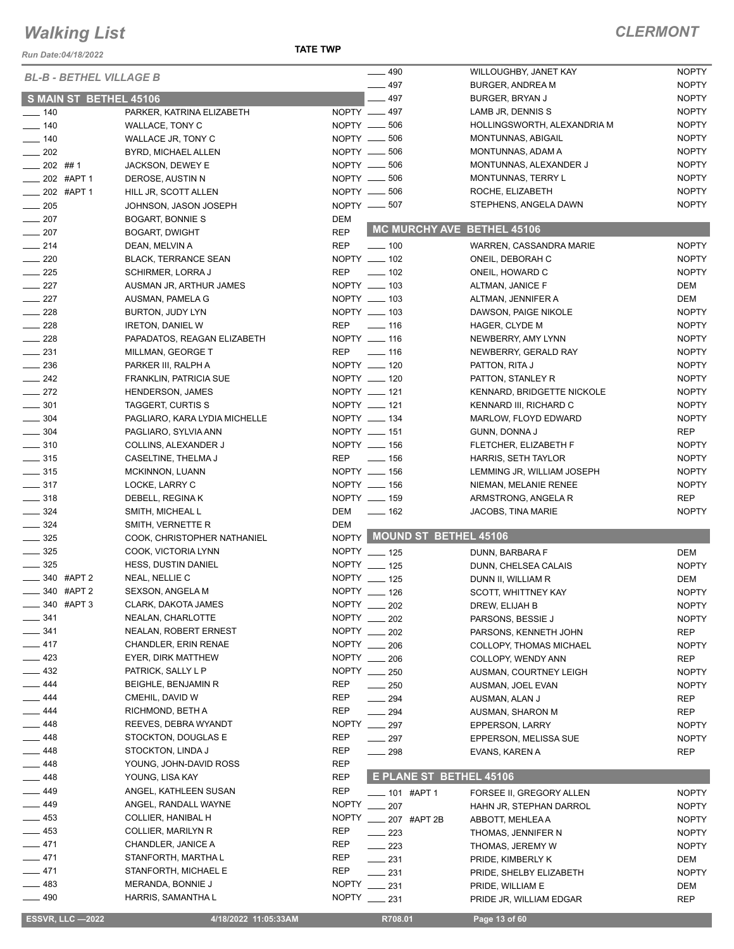#### *Run Date:04/18/2022*

**TATE TWP**

| <b>BL-B - BETHEL VILLAGE B</b> |                               |              | $-490$                         | WILLOUGHBY, JANET KAY       | <b>NOPTY</b> |
|--------------------------------|-------------------------------|--------------|--------------------------------|-----------------------------|--------------|
|                                |                               |              | $-497$                         | <b>BURGER, ANDREA M</b>     | <b>NOPTY</b> |
| S MAIN ST BETHEL 45106         |                               |              | $-497$                         | BURGER, BRYAN J             | <b>NOPTY</b> |
| $- 140$                        | PARKER, KATRINA ELIZABETH     |              | NOPTY __ 497                   | LAMB JR, DENNIS S           | <b>NOPTY</b> |
| $\frac{1}{2}$ 140              | WALLACE, TONY C               |              | NOPTY $- 506$                  | HOLLINGSWORTH, ALEXANDRIA M | <b>NOPTY</b> |
| $- 140$                        | WALLACE JR, TONY C            |              | NOPTY -606                     | MONTUNNAS, ABIGAIL          | <b>NOPTY</b> |
| $\frac{1}{202}$                | BYRD, MICHAEL ALLEN           |              | NOPTY __ 506                   | MONTUNNAS, ADAM A           | <b>NOPTY</b> |
| $-202$ ##1                     | <b>JACKSON, DEWEY E</b>       |              | NOPTY -606                     | MONTUNNAS, ALEXANDER J      | <b>NOPTY</b> |
| $\frac{1}{202}$ #APT 1         | DEROSE, AUSTIN N              |              | NOPTY __ 506                   | MONTUNNAS, TERRY L          | <b>NOPTY</b> |
| $\frac{1}{202}$ #APT 1         | HILL JR, SCOTT ALLEN          |              | NOPTY -606                     | ROCHE, ELIZABETH            | <b>NOPTY</b> |
| $\frac{1}{205}$                | JOHNSON, JASON JOSEPH         |              | NOPTY __ 507                   | STEPHENS, ANGELA DAWN       | <b>NOPTY</b> |
| $\frac{1}{207}$                | <b>BOGART, BONNIE S</b>       | <b>DEM</b>   |                                |                             |              |
| $\frac{1}{207}$                | <b>BOGART, DWIGHT</b>         | <b>REP</b>   | MC MURCHY AVE BETHEL 45106     |                             |              |
| $\frac{1}{214}$                | DEAN, MELVIN A                | <b>REP</b>   | $\frac{1}{2}$ 100              | WARREN, CASSANDRA MARIE     | <b>NOPTY</b> |
| $\sim$ 220                     | <b>BLACK, TERRANCE SEAN</b>   |              | NOPTY __ 102                   | ONEIL, DEBORAH C            | <b>NOPTY</b> |
| $\frac{1}{225}$                | <b>SCHIRMER, LORRA J</b>      | <b>REP</b>   | $\frac{1}{2}$ 102              | ONEIL, HOWARD C             | <b>NOPTY</b> |
| $\frac{227}{2}$                | AUSMAN JR, ARTHUR JAMES       |              | NOPTY __ 103                   | ALTMAN, JANICE F            | DEM          |
| $\frac{227}{2}$                | AUSMAN, PAMELA G              |              | NOPTY __ 103                   | ALTMAN, JENNIFER A          | DEM          |
| $\frac{1}{228}$                | BURTON, JUDY LYN              |              | NOPTY __ 103                   | DAWSON, PAIGE NIKOLE        | <b>NOPTY</b> |
| $\frac{228}{2}$                | <b>IRETON, DANIEL W</b>       | <b>REP</b>   |                                |                             |              |
|                                |                               |              | $\frac{1}{16}$<br>NOPTY __ 116 | HAGER, CLYDE M              | <b>NOPTY</b> |
| $\frac{1}{228}$                | PAPADATOS, REAGAN ELIZABETH   |              |                                | NEWBERRY, AMY LYNN          | <b>NOPTY</b> |
| $\frac{1}{2}$ 231              | MILLMAN, GEORGE T             |              | REP ______ 116                 | NEWBERRY, GERALD RAY        | <b>NOPTY</b> |
| $\frac{1}{2}$ 236              | PARKER III, RALPH A           |              | NOPTY __ 120                   | PATTON, RITA J              | <b>NOPTY</b> |
| $\frac{242}{2}$                | <b>FRANKLIN, PATRICIA SUE</b> |              | NOPTY __ 120                   | PATTON, STANLEY R           | <b>NOPTY</b> |
| $\frac{272}{2}$                | <b>HENDERSON, JAMES</b>       |              | NOPTY __ 121                   | KENNARD, BRIDGETTE NICKOLE  | <b>NOPTY</b> |
| $\frac{1}{2}$ 301              | TAGGERT, CURTIS S             |              | NOPTY __ 121                   | KENNARD III, RICHARD C      | <b>NOPTY</b> |
| $\frac{1}{2}$ 304              | PAGLIARO, KARA LYDIA MICHELLE |              | NOPTY __ 134                   | MARLOW, FLOYD EDWARD        | <b>NOPTY</b> |
| $- 304$                        | PAGLIARO, SYLVIA ANN          |              | NOPTY __ 151                   | GUNN, DONNA J               | <b>REP</b>   |
| $\frac{1}{2}$ 310              | COLLINS, ALEXANDER J          |              | NOPTY __ 156                   | FLETCHER, ELIZABETH F       | <b>NOPTY</b> |
| $\frac{1}{2}$ 315              | CASELTINE, THELMA J           | <b>REP</b>   | $\sim$ 156                     | HARRIS, SETH TAYLOR         | <b>NOPTY</b> |
| $\frac{1}{2}$ 315              | MCKINNON, LUANN               |              | NOPTY __ 156                   | LEMMING JR, WILLIAM JOSEPH  | <b>NOPTY</b> |
| $\frac{1}{2}$ 317              | LOCKE, LARRY C                |              | NOPTY __ 156                   | NIEMAN, MELANIE RENEE       | <b>NOPTY</b> |
| $\frac{1}{2}$ 318              | DEBELL, REGINA K              |              | NOPTY __ 159                   | ARMSTRONG, ANGELA R         | <b>REP</b>   |
| $\frac{1}{2}$ 324              | SMITH, MICHEAL L              | DEM          | $- 162$                        | <b>JACOBS, TINA MARIE</b>   | <b>NOPTY</b> |
| $\frac{1}{2}$ 324              | SMITH, VERNETTE R             | <b>DEM</b>   |                                |                             |              |
| $\frac{1}{2}$ 325              | COOK, CHRISTOPHER NATHANIEL   |              | NOPTY MOUND ST BETHEL 45106    |                             |              |
| $\frac{1}{2}$ 325              | COOK, VICTORIA LYNN           |              | NOPTY __ 125                   | DUNN, BARBARA F             | DEM          |
| $\frac{1}{2}$ 325              | <b>HESS, DUSTIN DANIEL</b>    |              | NOPTY __ 125                   | DUNN, CHELSEA CALAIS        | <b>NOPTY</b> |
| $\frac{1}{2}$ 340 #APT 2       | NEAL, NELLIE C                |              | NOPTY __ 125                   | DUNN II, WILLIAM R          | DEM          |
| -840 #APT 2                    | SEXSON, ANGELA M              |              | NOPTY __ 126                   | SCOTT, WHITTNEY KAY         | <b>NOPTY</b> |
| $-340$ #APT 3                  | CLARK, DAKOTA JAMES           |              | NOPTY __ 202                   | DREW, ELIJAH B              | <b>NOPTY</b> |
| 341                            | NEALAN, CHARLOTTE             |              | NOPTY __ 202                   | PARSONS, BESSIE J           | <b>NOPTY</b> |
| $- 341$                        | NEALAN, ROBERT ERNEST         |              | NOPTY __ 202                   | PARSONS, KENNETH JOHN       | <b>REP</b>   |
| 417                            | <b>CHANDLER, ERIN RENAE</b>   |              | NOPTY __ 206                   | COLLOPY, THOMAS MICHAEL     | <b>NOPTY</b> |
| 423                            | EYER, DIRK MATTHEW            |              | NOPTY __ 206                   | COLLOPY, WENDY ANN          | <b>REP</b>   |
| 432                            | PATRICK, SALLY L P            |              | NOPTY __ 250                   | AUSMAN, COURTNEY LEIGH      | <b>NOPTY</b> |
| $-444$                         | BEIGHLE, BENJAMIN R           | REP          | $\frac{1}{250}$                | AUSMAN, JOEL EVAN           | <b>NOPTY</b> |
| $-444$                         | CMEHIL, DAVID W               | <b>REP</b>   | $\sim$ 294                     | AUSMAN, ALAN J              | REP          |
| 444                            | RICHMOND, BETH A              | REP          | $\frac{1}{294}$                | AUSMAN, SHARON M            | <b>REP</b>   |
| __ 448                         | REEVES, DEBRA WYANDT          |              | NOPTY __ 297                   |                             | <b>NOPTY</b> |
| — 448                          | STOCKTON, DOUGLAS E           | REP          |                                | EPPERSON, LARRY             |              |
|                                |                               |              | $-297$                         | EPPERSON, MELISSA SUE       | <b>NOPTY</b> |
| _ 448                          | STOCKTON, LINDA J             | REP          | $\frac{1}{298}$                | EVANS, KAREN A              | <b>REP</b>   |
| $-448$                         | YOUNG, JOHN-DAVID ROSS        | <b>REP</b>   | E PLANE ST BETHEL 45106        |                             |              |
| 448                            | YOUNG, LISA KAY               | <b>REP</b>   |                                |                             |              |
| $-449$                         | ANGEL, KATHLEEN SUSAN         | <b>REP</b>   | ____ 101 #APT 1                | FORSEE II, GREGORY ALLEN    | <b>NOPTY</b> |
| _ 449                          | ANGEL, RANDALL WAYNE          | <b>NOPTY</b> | $\frac{1}{207}$                | HAHN JR, STEPHAN DARROL     | <b>NOPTY</b> |
| 453                            | COLLIER, HANIBAL H            | <b>NOPTY</b> | ____ 207 #APT 2B               | ABBOTT, MEHLEA A            | <b>NOPTY</b> |
| $-453$                         | COLLIER, MARILYN R            | REP          | $\sim$ 223                     | THOMAS, JENNIFER N          | <b>NOPTY</b> |
| 471                            | CHANDLER, JANICE A            | REP          | $\sim$ 223                     | THOMAS, JEREMY W            | <b>NOPTY</b> |
| $-471$                         | STANFORTH, MARTHA L           | REP          | $\frac{1}{2}$ 231              | PRIDE, KIMBERLY K           | DEM          |
| $-471$                         | STANFORTH, MICHAEL E          | REP          | $\equiv$ 231                   | PRIDE, SHELBY ELIZABETH     | <b>NOPTY</b> |
| $-483$                         | MERANDA, BONNIE J             | <b>NOPTY</b> | 231                            | PRIDE, WILLIAM E            | DEM          |
| $- 490$                        | HARRIS, SAMANTHA L            |              | NOPTY __ 231                   | PRIDE JR, WILLIAM EDGAR     | <b>REP</b>   |
| <b>ESSVR, LLC -2022</b>        | 4/18/2022 11:05:33AM          |              | R708.01                        | Page 13 of 60               |              |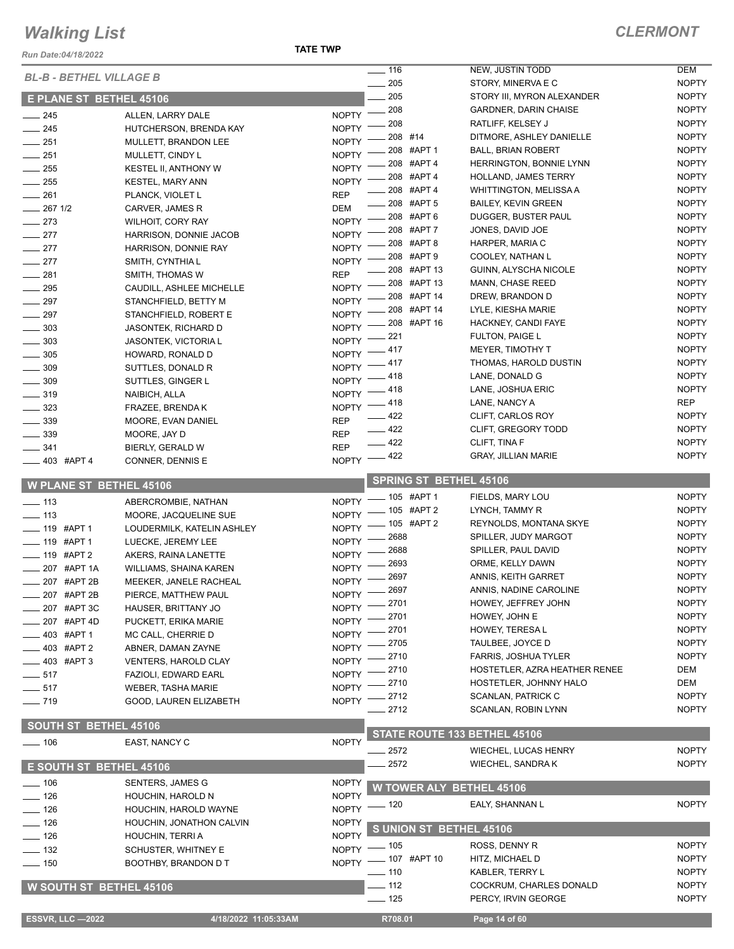*Run Date:04/18/2022*

| <b>BL-B - BETHEL VILLAGE B</b> |                             |                    | $\overline{\phantom{0}}$ 116    | NEW, JUSTIN TODD               | <b>DEM</b>   |
|--------------------------------|-----------------------------|--------------------|---------------------------------|--------------------------------|--------------|
|                                |                             |                    | 205<br>$\sim$                   | STORY, MINERVA E C             | <b>NOPTY</b> |
| <b>E PLANE ST BETHEL 45106</b> |                             |                    | 205                             | STORY III, MYRON ALEXANDER     | <b>NOPTY</b> |
| $-245$                         | ALLEN, LARRY DALE           | <b>NOPTY</b>       | 208                             | <b>GARDNER, DARIN CHAISE</b>   | <b>NOPTY</b> |
| $\frac{1}{245}$                | HUTCHERSON, BRENDA KAY      | <b>NOPTY</b>       | 208                             | RATLIFF, KELSEY J              | <b>NOPTY</b> |
| $-251$                         | MULLETT, BRANDON LEE        | <b>NOPTY</b>       | 208 #14                         | DITMORE, ASHLEY DANIELLE       | <b>NOPTY</b> |
| $\frac{1}{251}$                | MULLETT, CINDY L            | <b>NOPTY</b>       | 208 #APT 1                      | <b>BALL, BRIAN ROBERT</b>      | <b>NOPTY</b> |
|                                |                             | <b>NOPTY</b>       | 208 #APT 4                      | <b>HERRINGTON, BONNIE LYNN</b> | <b>NOPTY</b> |
| $\sim$ 255                     | KESTEL II, ANTHONY W        |                    | 208 #APT 4                      | <b>HOLLAND, JAMES TERRY</b>    | <b>NOPTY</b> |
| $\frac{1}{255}$                | <b>KESTEL, MARY ANN</b>     | <b>NOPTY</b>       | 208 #APT 4                      | <b>WHITTINGTON, MELISSA A</b>  | <b>NOPTY</b> |
| $-261$                         | PLANCK, VIOLET L            | <b>REP</b>         | 208 #APT 5                      | <b>BAILEY, KEVIN GREEN</b>     | <b>NOPTY</b> |
| $-267$ 1/2                     | CARVER, JAMES R             | <b>DEM</b>         | 208 #APT 6                      | DUGGER, BUSTER PAUL            | <b>NOPTY</b> |
| $\frac{273}{2}$                | <b>WILHOIT, CORY RAY</b>    | <b>NOPTY</b>       | 208 #APT 7                      | JONES, DAVID JOE               | <b>NOPTY</b> |
| $-277$                         | HARRISON, DONNIE JACOB      | <b>NOPTY</b>       | 208 #APT 8                      | HARPER, MARIA C                | <b>NOPTY</b> |
| $-277$                         | HARRISON, DONNIE RAY        | <b>NOPTY</b>       | 208 #APT 9                      | COOLEY, NATHAN L               | <b>NOPTY</b> |
| $-277$                         | SMITH, CYNTHIA L            | NOPTY <sup>-</sup> | 208 #APT 13                     | GUINN, ALYSCHA NICOLE          | <b>NOPTY</b> |
| $\equiv$ 281                   | SMITH, THOMAS W             | <b>REP</b>         | 208 #APT 13                     | <b>MANN, CHASE REED</b>        | <b>NOPTY</b> |
| $\sim$ 295                     | CAUDILL, ASHLEE MICHELLE    | <b>NOPTY</b>       | 208 #APT 14                     | DREW, BRANDON D                | <b>NOPTY</b> |
| $\sim$ 297                     | STANCHFIELD, BETTY M        | <b>NOPTY</b>       | 208 #APT 14                     | LYLE, KIESHA MARIE             | <b>NOPTY</b> |
| $\frac{1}{2}$ 297              | STANCHFIELD, ROBERT E       | <b>NOPTY</b>       | 208 #APT 16                     |                                | <b>NOPTY</b> |
| $\frac{1}{2}$ 303              | <b>JASONTEK, RICHARD D</b>  | <b>NOPTY</b>       |                                 | HACKNEY, CANDI FAYE            |              |
| $\frac{1}{2}$ 303              | <b>JASONTEK, VICTORIA L</b> | <b>NOPTY</b>       | 221                             | <b>FULTON, PAIGE L</b>         | <b>NOPTY</b> |
| $\frac{1}{2}$ 305              | HOWARD, RONALD D            | <b>NOPTY</b>       | 417                             | <b>MEYER, TIMOTHY T</b>        | <b>NOPTY</b> |
| $\frac{1}{2}$ 309              | SUTTLES, DONALD R           | <b>NOPTY</b>       | 417                             | THOMAS, HAROLD DUSTIN          | <b>NOPTY</b> |
| $\frac{1}{2}$ 309              | SUTTLES, GINGER L           | <b>NOPTY</b>       | 418                             | LANE, DONALD G                 | <b>NOPTY</b> |
| $- 319$                        | NAIBICH, ALLA               | <b>NOPTY</b>       | 418                             | LANE, JOSHUA ERIC              | <b>NOPTY</b> |
| $\frac{1}{2}$ 323              | FRAZEE, BRENDA K            | <b>NOPTY</b>       | 418                             | LANE, NANCY A                  | <b>REP</b>   |
| 339                            | MOORE, EVAN DANIEL          | <b>REP</b>         | 422                             | CLIFT, CARLOS ROY              | <b>NOPTY</b> |
| $\frac{1}{2}$ 339              | MOORE, JAY D                | <b>REP</b>         | 422                             | CLIFT, GREGORY TODD            | <b>NOPTY</b> |
| $-341$                         | BIERLY, GERALD W            | <b>REP</b>         | $-422$                          | CLIFT, TINA F                  | <b>NOPTY</b> |
| 403 #APT 4                     | CONNER, DENNIS E            | <b>NOPTY</b>       | _ 422                           | <b>GRAY, JILLIAN MARIE</b>     | <b>NOPTY</b> |
|                                |                             |                    |                                 |                                |              |
| <b>W PLANE ST BETHEL 45106</b> |                             |                    | <b>SPRING ST BETHEL 45106</b>   |                                |              |
| $\frac{1}{2}$ 113              | ABERCROMBIE, NATHAN         | <b>NOPTY</b>       | $-105$ #APT 1                   | FIELDS, MARY LOU               | <b>NOPTY</b> |
| $\equiv$ 113                   | MOORE, JACQUELINE SUE       | <b>NOPTY</b>       | $-105$ #APT 2                   | LYNCH, TAMMY R                 | <b>NOPTY</b> |
| ___ 119 #APT 1                 | LOUDERMILK, KATELIN ASHLEY  | <b>NOPTY</b>       | 105 #APT 2                      | REYNOLDS, MONTANA SKYE         | <b>NOPTY</b> |
| ____ 119 #APT 1                |                             | <b>NOPTY</b>       | 2688                            | SPILLER, JUDY MARGOT           | <b>NOPTY</b> |
|                                | LUECKE, JEREMY LEE          | <b>NOPTY</b>       | 2688                            | SPILLER, PAUL DAVID            | <b>NOPTY</b> |
| ____ 119 #APT 2                | AKERS, RAINA LANETTE        | <b>NOPTY</b>       | 2693                            | ORME, KELLY DAWN               | <b>NOPTY</b> |
| 207 #APT 1A                    | WILLIAMS, SHAINA KAREN      | <b>NOPTY</b>       | 2697                            | ANNIS, KEITH GARRET            | <b>NOPTY</b> |
| 207 #APT 2B                    | MEEKER, JANELE RACHEAL      | NOPTY -            | 2697                            | ANNIS, NADINE CAROLINE         | <b>NOPTY</b> |
| 207 #APT 2B                    | PIERCE, MATTHEW PAUL        |                    | NOPTY -2701                     | HOWEY, JEFFREY JOHN            | <b>NOPTY</b> |
| 207 #APT 3C                    | HAUSER, BRITTANY JO         |                    | 2701                            | HOWEY, JOHN E                  | <b>NOPTY</b> |
| 207 #APT 4D                    | PUCKETT, ERIKA MARIE        | <b>NOPTY</b>       | 2701                            | HOWEY, TERESA L                | <b>NOPTY</b> |
| 403 #APT 1                     | MC CALL, CHERRIE D          | <b>NOPTY</b>       | 2705                            | TAULBEE, JOYCE D               | <b>NOPTY</b> |
| 403 #APT 2                     | ABNER, DAMAN ZAYNE          | <b>NOPTY</b>       | 2710                            | <b>FARRIS, JOSHUA TYLER</b>    | <b>NOPTY</b> |
| _403 #APT 3                    | VENTERS, HAROLD CLAY        | <b>NOPTY</b>       | 2710                            | HOSTETLER, AZRA HEATHER RENEE  | DEM          |
| $-517$                         | FAZIOLI, EDWARD EARL        | <b>NOPTY</b>       | 2710                            | HOSTETLER, JOHNNY HALO         | DEM          |
| $-517$                         | <b>WEBER, TASHA MARIE</b>   | <b>NOPTY</b>       |                                 |                                | <b>NOPTY</b> |
| $- 719$                        | GOOD, LAUREN ELIZABETH      | NOPTY <sup>-</sup> | 2712                            | <b>SCANLAN, PATRICK C</b>      |              |
|                                |                             |                    | 2712                            | <b>SCANLAN, ROBIN LYNN</b>     | <b>NOPTY</b> |
| SOUTH ST BETHEL 45106          |                             |                    | STATE ROUTE 133 BETHEL 45106    |                                |              |
| $\equiv$ 106                   | <b>EAST, NANCY C</b>        | <b>NOPTY</b>       |                                 |                                |              |
|                                |                             |                    | $-2572$                         | WIECHEL, LUCAS HENRY           | <b>NOPTY</b> |
| <b>E SOUTH ST BETHEL 45106</b> |                             |                    | 2572                            | WIECHEL, SANDRA K              | <b>NOPTY</b> |
| $- 106$                        | <b>SENTERS, JAMES G</b>     | <b>NOPTY</b>       |                                 |                                |              |
| $- 126$                        | HOUCHIN, HAROLD N           | <b>NOPTY</b>       | <b>W TOWER ALY BETHEL 45106</b> |                                |              |
| $- 126$                        | HOUCHIN, HAROLD WAYNE       | <b>NOPTY</b>       | - 120                           | EALY, SHANNAN L                | <b>NOPTY</b> |
| $- 126$                        | HOUCHIN, JONATHON CALVIN    | <b>NOPTY</b>       |                                 |                                |              |
| $- 126$                        | HOUCHIN, TERRI A            | <b>NOPTY</b>       | S UNION ST BETHEL 45106         |                                |              |
| $- 132$                        |                             |                    | NOPTY - 105                     | ROSS, DENNY R                  | <b>NOPTY</b> |
|                                | SCHUSTER, WHITNEY E         |                    | NOPTY - 107 #APT 10             | HITZ, MICHAEL D                | <b>NOPTY</b> |
| $- 150$                        | BOOTHBY, BRANDON D T        |                    | $\frac{1}{2}$ 110               | KABLER, TERRY L                | <b>NOPTY</b> |
| <b>W SOUTH ST BETHEL 45106</b> |                             |                    | $-112$                          | COCKRUM, CHARLES DONALD        | <b>NOPTY</b> |
|                                |                             |                    | $- 125$                         | PERCY, IRVIN GEORGE            | <b>NOPTY</b> |
|                                |                             |                    |                                 |                                |              |
| <b>ESSVR, LLC -2022</b>        | 4/18/2022 11:05:33AM        |                    |                                 |                                |              |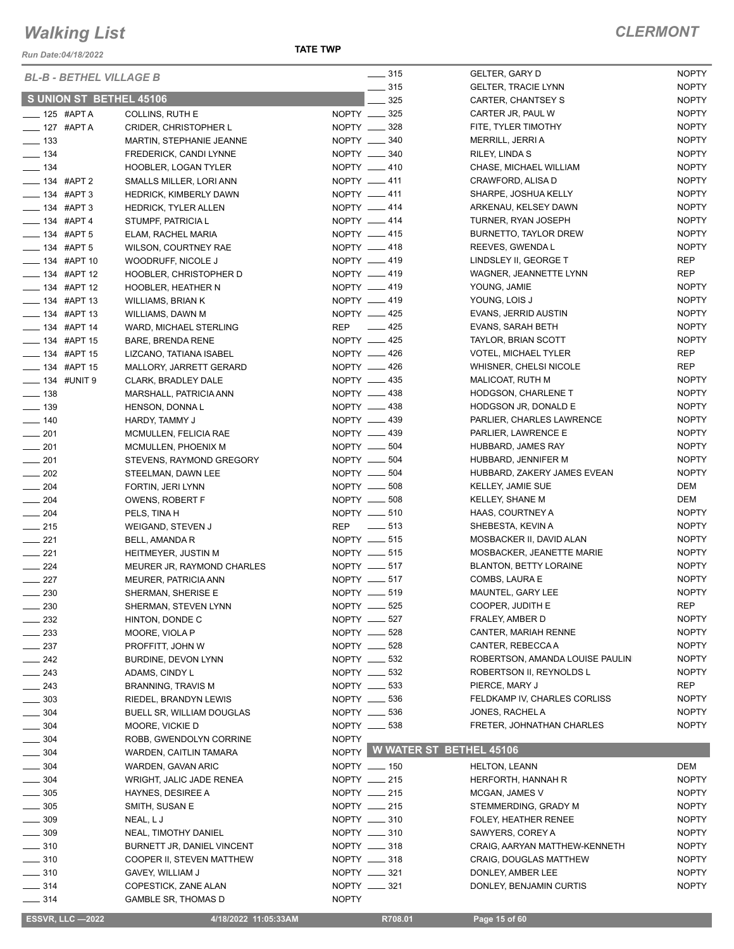*Run Date:04/18/2022*

| <b>BL-B - BETHEL VILLAGE B</b> |                               |              | $\frac{1}{2}$ 315            | <b>GELTER, GARY D</b>           | <b>NOPTY</b> |
|--------------------------------|-------------------------------|--------------|------------------------------|---------------------------------|--------------|
|                                |                               |              | $\frac{1}{2}$ 315            | <b>GELTER, TRACIE LYNN</b>      | <b>NOPTY</b> |
| S UNION ST BETHEL 45106        |                               |              | 325                          | CARTER, CHANTSEY S              | <b>NOPTY</b> |
| $-$ 125 #APT A                 | COLLINS, RUTH E               |              | NOPTY __ 325                 | CARTER JR, PAUL W               | <b>NOPTY</b> |
| $-$ 127 #APT A                 | <b>CRIDER, CHRISTOPHER L</b>  |              | NOPTY __ 328                 | FITE, TYLER TIMOTHY             | <b>NOPTY</b> |
| $\frac{1}{2}$ 133              | MARTIN, STEPHANIE JEANNE      |              | NOPTY __ 340                 | MERRILL, JERRI A                | <b>NOPTY</b> |
| $\frac{1}{2}$ 134              | FREDERICK, CANDI LYNNE        |              | NOPTY -840                   | RILEY, LINDA S                  | <b>NOPTY</b> |
| $\frac{1}{2}$ 134              | HOOBLER, LOGAN TYLER          |              | NOPTY __ 410                 | CHASE, MICHAEL WILLIAM          | <b>NOPTY</b> |
| -84 #APT 2                     | SMALLS MILLER, LORI ANN       |              | NOPTY __ 411                 | CRAWFORD, ALISA D               | <b>NOPTY</b> |
| <b>LEGGILE 134 #APT 3</b>      | <b>HEDRICK, KIMBERLY DAWN</b> |              | NOPTY __ 411                 | SHARPE, JOSHUA KELLY            | <b>NOPTY</b> |
| $- 134$ #APT 3                 | <b>HEDRICK, TYLER ALLEN</b>   |              | NOPTY __ 414                 | ARKENAU, KELSEY DAWN            | <b>NOPTY</b> |
| - 134 #APT 4                   | STUMPF, PATRICIA L            |              | NOPTY __ 414                 | TURNER, RYAN JOSEPH             | <b>NOPTY</b> |
| $\frac{1}{2}$ 134 #APT 5       | ELAM, RACHEL MARIA            |              | NOPTY __ 415                 | BURNETTO, TAYLOR DREW           | <b>NOPTY</b> |
| $\frac{1}{2}$ 134 #APT 5       | WILSON, COURTNEY RAE          |              | NOPTY __ 418                 | REEVES, GWENDA L                | <b>NOPTY</b> |
| $\frac{1}{2}$ 134 #APT 10      | WOODRUFF, NICOLE J            |              | NOPTY __ 419                 | LINDSLEY II, GEORGE T           | REP          |
| $\frac{1}{2}$ 134 #APT 12      | HOOBLER, CHRISTOPHER D        |              | NOPTY __ 419                 | WAGNER, JEANNETTE LYNN          | <b>REP</b>   |
| $\frac{1}{2}$ 134 #APT 12      | <b>HOOBLER, HEATHER N</b>     |              | NOPTY __ 419                 | YOUNG, JAMIE                    | <b>NOPTY</b> |
| $\frac{1}{2}$ 134 #APT 13      | WILLIAMS, BRIAN K             |              | NOPTY __ 419                 | YOUNG, LOIS J                   | <b>NOPTY</b> |
| $\frac{1}{2}$ 134 #APT 13      | WILLIAMS, DAWN M              |              | NOPTY __ 425                 | EVANS, JERRID AUSTIN            | <b>NOPTY</b> |
| ____ 134 #APT 14               | WARD, MICHAEL STERLING        |              | REP 425                      | EVANS, SARAH BETH               | <b>NOPTY</b> |
| $\frac{1}{2}$ 134 #APT 15      | <b>BARE, BRENDA RENE</b>      |              | NOPTY __ 425                 | TAYLOR, BRIAN SCOTT             | <b>NOPTY</b> |
| $\frac{1}{2}$ 134 #APT 15      | LIZCANO, TATIANA ISABEL       |              | NOPTY -426                   | <b>VOTEL, MICHAEL TYLER</b>     | <b>REP</b>   |
| <b>______ 134 #APT 15</b>      | MALLORY, JARRETT GERARD       |              | NOPTY __ 426                 | WHISNER, CHELSI NICOLE          | REP          |
| -8 134 #UNIT 9                 | CLARK, BRADLEY DALE           |              | NOPTY __ 435                 | MALICOAT, RUTH M                | <b>NOPTY</b> |
| $\frac{1}{2}$ 138              | MARSHALL, PATRICIA ANN        |              | NOPTY __ 438                 | HODGSON, CHARLENE T             | <b>NOPTY</b> |
| $\frac{1}{2}$ 139              | HENSON, DONNAL                |              | NOPTY __ 438                 | HODGSON JR, DONALD E            | <b>NOPTY</b> |
|                                |                               |              | NOPTY __ 439                 | PARLIER, CHARLES LAWRENCE       | <b>NOPTY</b> |
| $- 140$                        | HARDY, TAMMY J                |              | NOPTY __ 439                 |                                 | <b>NOPTY</b> |
| $\frac{1}{201}$                | MCMULLEN, FELICIA RAE         |              |                              | PARLIER, LAWRENCE E             | <b>NOPTY</b> |
| $-201$                         | MCMULLEN, PHOENIX M           |              | NOPTY __ 504                 | HUBBARD, JAMES RAY              |              |
| $-201$                         | STEVENS, RAYMOND GREGORY      |              | NOPTY __ 504                 | HUBBARD, JENNIFER M             | <b>NOPTY</b> |
| $\frac{1}{202}$                | STEELMAN, DAWN LEE            |              | NOPTY __ 504                 | HUBBARD, ZAKERY JAMES EVEAN     | <b>NOPTY</b> |
| $-204$                         | FORTIN, JERI LYNN             |              | NOPTY __ 508                 | KELLEY, JAMIE SUE               | DEM          |
| $\frac{1}{204}$                | OWENS, ROBERT F               |              | NOPTY __ 508                 | KELLEY, SHANE M                 | DEM          |
| $\frac{1}{204}$                | PELS, TINA H                  |              | NOPTY __ 510                 | HAAS, COURTNEY A                | <b>NOPTY</b> |
| $\frac{1}{215}$                | WEIGAND, STEVEN J             |              | REP __ 513                   | SHEBESTA, KEVIN A               | <b>NOPTY</b> |
| $\frac{1}{221}$                | BELL, AMANDA R                |              | NOPTY __ 515                 | MOSBACKER II, DAVID ALAN        | <b>NOPTY</b> |
| $\frac{221}{2}$                | <b>HEITMEYER, JUSTIN M</b>    |              | NOPTY __ 515                 | MOSBACKER, JEANETTE MARIE       | <b>NOPTY</b> |
| $\frac{224}{5}$                | MEURER JR, RAYMOND CHARLES    |              | NOPTY __ 517                 | <b>BLANTON, BETTY LORAINE</b>   | <b>NOPTY</b> |
| $\frac{227}{2}$                | MEURER, PATRICIA ANN          |              | NOPTY __ 517                 | COMBS, LAURA E                  | <b>NOPTY</b> |
| $-230$                         | SHERMAN, SHERISE E            |              | NOPTY __ 519                 | MAUNTEL, GARY LEE               | <b>NOPTY</b> |
| 230                            | SHERMAN, STEVEN LYNN          |              | NOPTY __ 525                 | COOPER, JUDITH E                | REP          |
| 232                            | HINTON, DONDE C               |              | NOPTY __ 527                 | FRALEY, AMBER D                 | <b>NOPTY</b> |
| $=$ 233                        | MOORE, VIOLA P                |              | NOPTY __ 528                 | CANTER, MARIAH RENNE            | <b>NOPTY</b> |
| 237                            | PROFFITT, JOHN W              |              | NOPTY __ 528                 | CANTER, REBECCA A               | <b>NOPTY</b> |
| 242                            | BURDINE, DEVON LYNN           |              | NOPTY __ 532                 | ROBERTSON, AMANDA LOUISE PAULIN | <b>NOPTY</b> |
| $\sim$ 243                     | ADAMS, CINDY L                |              | NOPTY __ 532                 | ROBERTSON II, REYNOLDS L        | <b>NOPTY</b> |
| $-243$                         | <b>BRANNING, TRAVIS M</b>     |              | NOPTY __ 533                 | PIERCE, MARY J                  | REP          |
| $\frac{1}{2}$ 303              | RIEDEL, BRANDYN LEWIS         |              | NOPTY __ 536                 | FELDKAMP IV, CHARLES CORLISS    | <b>NOPTY</b> |
| $\frac{1}{2}$ 304              | BUELL SR, WILLIAM DOUGLAS     |              | NOPTY __ 536                 | JONES, RACHEL A                 | <b>NOPTY</b> |
| $\frac{1}{2}$ 304              | MOORE, VICKIE D               |              | NOPTY __ 538                 | FRETER, JOHNATHAN CHARLES       | <b>NOPTY</b> |
| $\frac{1}{2}$ 304              | ROBB, GWENDOLYN CORRINE       | <b>NOPTY</b> |                              |                                 |              |
| $- 304$                        | WARDEN, CAITLIN TAMARA        |              | NOPTY WWATER ST BETHEL 45106 |                                 |              |
| $-304$                         | WARDEN, GAVAN ARIC            |              | NOPTY __ 150                 | <b>HELTON, LEANN</b>            | DEM          |
| $-304$                         | WRIGHT, JALIC JADE RENEA      |              | NOPTY __ 215                 | HERFORTH, HANNAH R              | <b>NOPTY</b> |
| $-305$                         | <b>HAYNES, DESIREE A</b>      |              | NOPTY __ 215                 | MCGAN, JAMES V                  | <b>NOPTY</b> |
| $\frac{1}{2}$ 305              | SMITH, SUSAN E                |              | NOPTY __ 215                 | STEMMERDING, GRADY M            | <b>NOPTY</b> |
| $\frac{1}{2}$ 309              | NEAL, LJ                      |              | NOPTY __ 310                 | FOLEY, HEATHER RENEE            | <b>NOPTY</b> |
| $\frac{1}{2}$ 309              | NEAL, TIMOTHY DANIEL          |              | NOPTY __ 310                 | SAWYERS, COREY A                | <b>NOPTY</b> |
| $\frac{1}{2}$ 310              | BURNETT JR, DANIEL VINCENT    |              | NOPTY __ 318                 | CRAIG, AARYAN MATTHEW-KENNETH   | <b>NOPTY</b> |
| $-310$                         | COOPER II, STEVEN MATTHEW     |              | NOPTY __ 318                 | <b>CRAIG, DOUGLAS MATTHEW</b>   | <b>NOPTY</b> |
| $\frac{1}{2}$ 310              | GAVEY, WILLIAM J              |              | NOPTY __ 321                 | DONLEY, AMBER LEE               | <b>NOPTY</b> |
| $- 314$                        | COPESTICK, ZANE ALAN          |              | NOPTY __ 321                 | DONLEY, BENJAMIN CURTIS         | <b>NOPTY</b> |
| $\frac{314}{2}$                | <b>GAMBLE SR, THOMAS D</b>    | <b>NOPTY</b> |                              |                                 |              |
|                                |                               |              |                              |                                 |              |
| <b>ESSVR, LLC -2022</b>        | 4/18/2022 11:05:33AM          |              | R708.01                      | Page 15 of 60                   |              |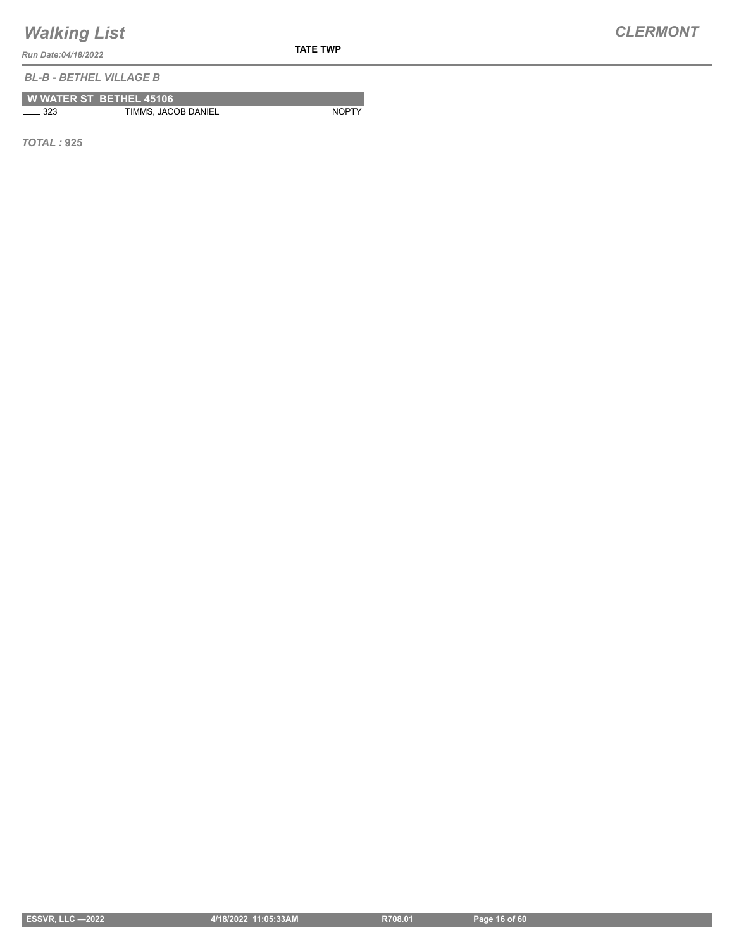*Run Date:04/18/2022*

*BL-B - BETHEL VILLAGE B*

|              | <b>W WATER ST BETHEL 45106</b> |              |
|--------------|--------------------------------|--------------|
| $\equiv$ 323 | TIMMS, JACOB DANIEL            | <b>NOPTY</b> |

*TOTAL :* **925**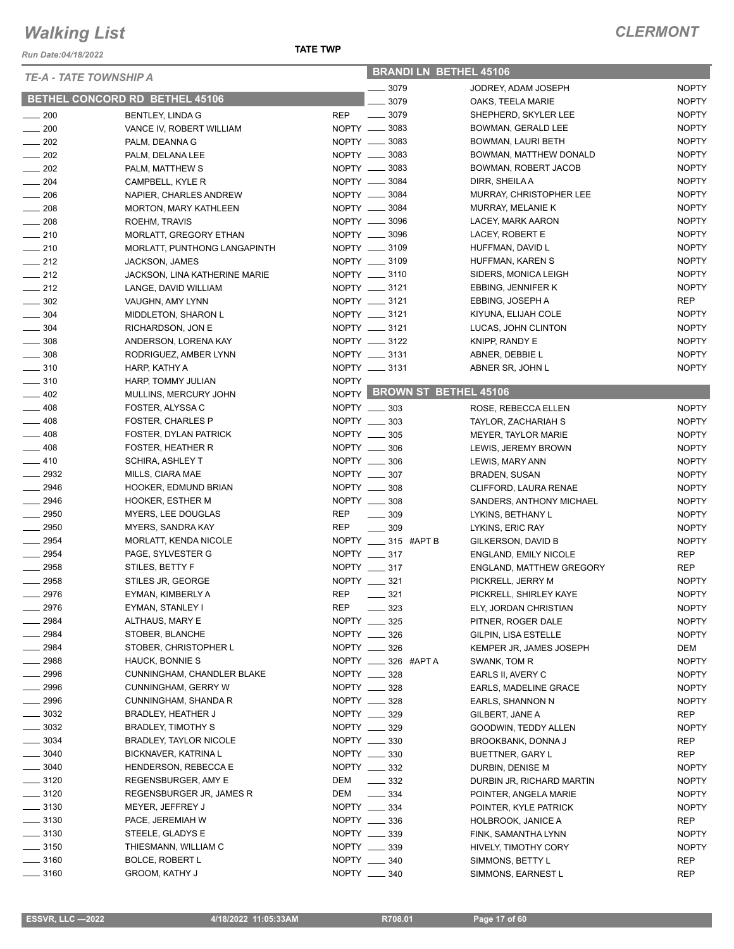*Run Date:04/18/2022*

| <b>BRANDILN BETHEL 45106</b> |  |
|------------------------------|--|
|                              |  |

| <b>TE-A - TATE TOWNSHIP A</b> |                                              |              | DRAINDI LIN DETHEL 40100          |                              |              |
|-------------------------------|----------------------------------------------|--------------|-----------------------------------|------------------------------|--------------|
|                               |                                              |              | 3079                              | JODREY, ADAM JOSEPH          | <b>NOPTY</b> |
|                               | BETHEL CONCORD RD BETHEL 45106               |              | 3079                              | OAKS, TEELA MARIE            | <b>NOPTY</b> |
| $\frac{1}{200}$               | <b>BENTLEY, LINDA G</b>                      | <b>REP</b>   | $\frac{1}{2}$ 3079                | SHEPHERD, SKYLER LEE         | <b>NOPTY</b> |
| $\sim$ 200                    | VANCE IV, ROBERT WILLIAM                     |              | NOPTY __ 3083                     | BOWMAN, GERALD LEE           | <b>NOPTY</b> |
| $\sim$ 202                    | PALM, DEANNA G                               |              | NOPTY __ 3083                     | BOWMAN, LAURI BETH           | <b>NOPTY</b> |
| $\frac{1}{202}$               | PALM, DELANA LEE                             |              | NOPTY __ 3083                     | BOWMAN, MATTHEW DONALD       | <b>NOPTY</b> |
| $\sim$ 202                    | PALM, MATTHEW S                              |              | NOPTY __ 3083                     | BOWMAN, ROBERT JACOB         | <b>NOPTY</b> |
| $\frac{1}{204}$               | CAMPBELL, KYLE R                             |              | NOPTY __ 3084                     | DIRR, SHEILA A               | <b>NOPTY</b> |
| $\sim$ 206                    | NAPIER, CHARLES ANDREW                       |              | NOPTY __ 3084                     | MURRAY, CHRISTOPHER LEE      | <b>NOPTY</b> |
| $\frac{1}{208}$               | <b>MORTON, MARY KATHLEEN</b>                 |              | NOPTY __ 3084                     | MURRAY, MELANIE K            | <b>NOPTY</b> |
| $\sim$ 208                    | ROEHM, TRAVIS                                |              | NOPTY __ 3096                     | LACEY, MARK AARON            | <b>NOPTY</b> |
| $\sim$ 210                    | MORLATT, GREGORY ETHAN                       |              | NOPTY __ 3096                     | LACEY, ROBERT E              | <b>NOPTY</b> |
| $-210$                        | MORLATT, PUNTHONG LANGAPINTH                 |              | NOPTY __ 3109                     | HUFFMAN, DAVID L             | <b>NOPTY</b> |
| $-212$                        | JACKSON, JAMES                               |              | NOPTY __ 3109                     | HUFFMAN, KAREN S             | <b>NOPTY</b> |
| $\sim$ 212                    | JACKSON, LINA KATHERINE MARIE                |              | NOPTY __ 3110                     | SIDERS, MONICA LEIGH         | <b>NOPTY</b> |
| $-212$                        | LANGE, DAVID WILLIAM                         |              | NOPTY __ 3121                     | EBBING, JENNIFER K           | <b>NOPTY</b> |
| $\frac{1}{2}$ 302             | VAUGHN, AMY LYNN                             |              | NOPTY __ 3121                     | EBBING, JOSEPH A             | REP          |
| $\frac{1}{2}$ 304             | MIDDLETON, SHARON L                          |              | NOPTY __ 3121                     | KIYUNA, ELIJAH COLE          | <b>NOPTY</b> |
| $\frac{1}{2}$ 304             | RICHARDSON, JON E                            |              | NOPTY __ 3121                     | LUCAS, JOHN CLINTON          | <b>NOPTY</b> |
| $\frac{1}{2}$ 308             | ANDERSON, LORENA KAY                         |              | NOPTY __ 3122                     | KNIPP, RANDY E               | <b>NOPTY</b> |
| $\frac{1}{2}$ 308             | RODRIGUEZ, AMBER LYNN                        |              | NOPTY __ 3131                     | ABNER, DEBBIE L              | <b>NOPTY</b> |
| $- 310$                       | HARP, KATHY A                                |              | NOPTY __ 3131                     | ABNER SR, JOHN L             | <b>NOPTY</b> |
| $- 310$                       | HARP, TOMMY JULIAN                           | <b>NOPTY</b> |                                   |                              |              |
| $-402$                        | MULLINS, MERCURY JOHN                        |              | NOPTY BROWN ST BETHEL 45106       |                              |              |
| $- 408$                       | FOSTER, ALYSSA C                             |              | NOPTY __ 303                      | ROSE, REBECCA ELLEN          | <b>NOPTY</b> |
| $-408$                        | <b>FOSTER, CHARLES P</b>                     |              | NOPTY __ 303                      | TAYLOR, ZACHARIAH S          | <b>NOPTY</b> |
| $-408$                        | FOSTER, DYLAN PATRICK                        |              | NOPTY __ 305                      | MEYER, TAYLOR MARIE          | <b>NOPTY</b> |
| $-408$                        | <b>FOSTER, HEATHER R</b>                     |              | NOPTY __ 306                      | LEWIS, JEREMY BROWN          | <b>NOPTY</b> |
| $-410$                        | SCHIRA, ASHLEY T                             |              | NOPTY __ 306                      | LEWIS, MARY ANN              | <b>NOPTY</b> |
| $- 2932$                      | MILLS, CIARA MAE                             |              | NOPTY __ 307                      | <b>BRADEN, SUSAN</b>         | <b>NOPTY</b> |
| $- 2946$                      | HOOKER, EDMUND BRIAN                         |              | NOPTY __ 308                      | CLIFFORD, LAURA RENAE        | <b>NOPTY</b> |
| $-2946$                       | <b>HOOKER, ESTHER M</b>                      |              | NOPTY __ 308                      | SANDERS, ANTHONY MICHAEL     | <b>NOPTY</b> |
| $- 2950$                      | MYERS, LEE DOUGLAS                           | <b>REP</b>   | $\frac{1}{2}$ 309                 | LYKINS, BETHANY L            | <b>NOPTY</b> |
| $\frac{1}{2950}$              | <b>MYERS, SANDRA KAY</b>                     | REP          | $- 309$                           | LYKINS, ERIC RAY             | <b>NOPTY</b> |
| $- 2954$                      | MORLATT, KENDA NICOLE                        |              | NOPTY __ 315 #APT B               | GILKERSON, DAVID B           | <b>NOPTY</b> |
| $- 2954$                      | PAGE, SYLVESTER G                            |              | NOPTY __ 317                      | <b>ENGLAND, EMILY NICOLE</b> | REP          |
| $-2958$                       | STILES, BETTY F                              |              | NOPTY __ 317                      | ENGLAND, MATTHEW GREGORY     | <b>REP</b>   |
| $- 2958$                      | STILES JR, GEORGE                            |              | NOPTY __ 321                      | PICKRELL, JERRY M            | <b>NOPTY</b> |
| $-2976$                       | EYMAN, KIMBERLY A                            | <b>REP</b>   | $\frac{1}{2}$ 321                 | PICKRELL, SHIRLEY KAYE       | <b>NOPTY</b> |
| 2976                          | EYMAN, STANLEY I                             | <b>REP</b>   | 323                               | ELY, JORDAN CHRISTIAN        | <b>NOPTY</b> |
| 2984                          | ALTHAUS, MARY E                              |              | NOPTY __ 325                      | PITNER, ROGER DALE           | <b>NOPTY</b> |
| 2984                          | STOBER, BLANCHE                              |              | NOPTY __ 326                      | GILPIN, LISA ESTELLE         | <b>NOPTY</b> |
| $-2984$                       | STOBER, CHRISTOPHER L                        |              | NOPTY __ 326                      | KEMPER JR, JAMES JOSEPH      | DEM          |
| $\_\_2$ 2988                  | HAUCK, BONNIE S                              |              | NOPTY __ 326 #APT A               | SWANK, TOM R                 | <b>NOPTY</b> |
| $\frac{1}{2996}$              | CUNNINGHAM, CHANDLER BLAKE                   |              | NOPTY __ 328                      | EARLS II, AVERY C            | <b>NOPTY</b> |
| $\frac{1}{2996}$              | <b>CUNNINGHAM, GERRY W</b>                   |              | NOPTY __ 328                      | EARLS, MADELINE GRACE        | <b>NOPTY</b> |
| $-2996$                       | CUNNINGHAM, SHANDA R                         |              | NOPTY __ 328                      | EARLS, SHANNON N             | <b>NOPTY</b> |
| $\frac{1}{2}$ 3032            | <b>BRADLEY, HEATHER J</b>                    |              | NOPTY __ 329                      | GILBERT, JANE A              | REP          |
| $\frac{1}{2}$ 3032            | <b>BRADLEY, TIMOTHY S</b>                    |              | NOPTY __ 329                      | GOODWIN, TEDDY ALLEN         | <b>NOPTY</b> |
| $\frac{1}{2}$ 3034            | <b>BRADLEY, TAYLOR NICOLE</b>                |              | NOPTY __ 330                      | BROOKBANK, DONNA J           | REP          |
| $\frac{1}{2}$ 3040            | BICKNAVER, KATRINA L                         |              | NOPTY __ 330                      |                              | <b>REP</b>   |
| $\frac{1}{2}$ 3040            | HENDERSON, REBECCA E                         |              | NOPTY _____ 332                   | <b>BUETTNER, GARY L</b>      | <b>NOPTY</b> |
| $\frac{1}{2}$ 3120            | REGENSBURGER, AMY E                          | DEM          | $\frac{332}{2}$                   | DURBIN, DENISE M             |              |
| $\frac{1}{2}$ 3120            |                                              |              |                                   | DURBIN JR, RICHARD MARTIN    | <b>NOPTY</b> |
| $\frac{1}{2}$ 3130            | REGENSBURGER JR, JAMES R<br>MEYER, JEFFREY J | DEM          | $\frac{1}{2}$ 334<br>NOPTY __ 334 | POINTER, ANGELA MARIE        | <b>NOPTY</b> |
| $\frac{1}{2}$ 3130            |                                              |              | NOPTY __ 336                      | POINTER, KYLE PATRICK        | <b>NOPTY</b> |
|                               | PACE, JEREMIAH W                             |              | NOPTY __ 339                      | HOLBROOK, JANICE A           | REP          |
| $\frac{1}{2}$ 3130            | STEELE, GLADYS E                             |              |                                   | FINK, SAMANTHA LYNN          | <b>NOPTY</b> |
| $\frac{1}{2}$ 3150            | THIESMANN, WILLIAM C                         |              | NOPTY __ 339                      | HIVELY, TIMOTHY CORY         | <b>NOPTY</b> |
| $\frac{1}{2}$ 3160            | <b>BOLCE, ROBERT L</b>                       |              | NOPTY __ 340                      | SIMMONS, BETTY L             | <b>REP</b>   |
| $\frac{1}{2}$ 3160            | <b>GROOM, KATHY J</b>                        |              | NOPTY __ 340                      | SIMMONS, EARNEST L           | <b>REP</b>   |

| :SSVR, LLC —2022 |  |  |  |
|------------------|--|--|--|
|                  |  |  |  |
|                  |  |  |  |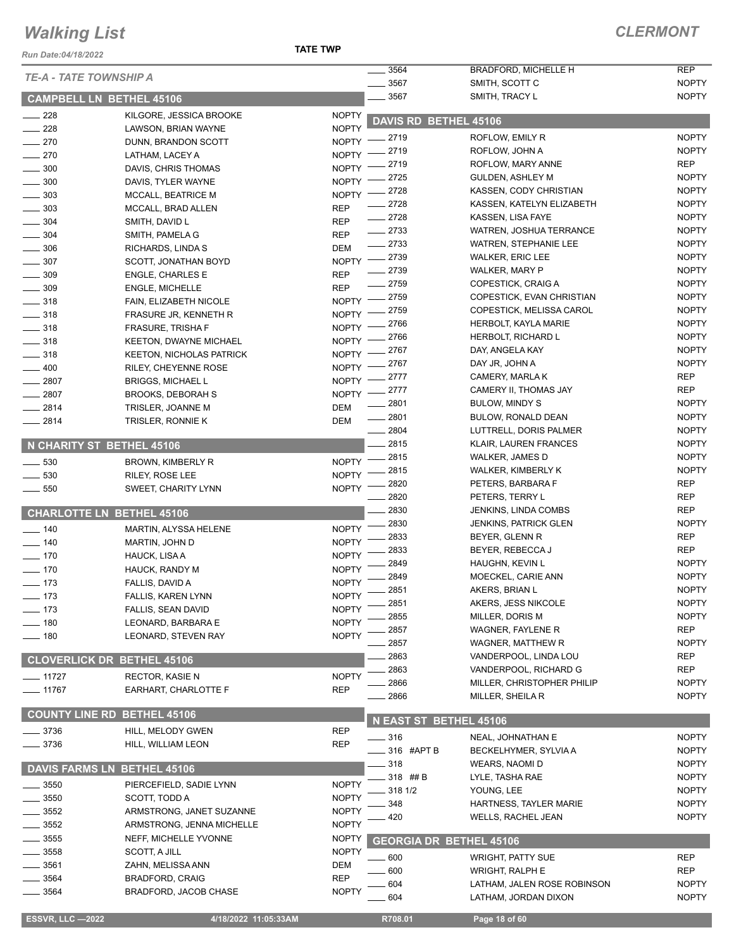#### *Run Date:04/18/2022*

**TATE TWP**

| <b>TE-A - TATE TOWNSHIP A</b>      |                                 |              | 3564                           | <b>BRADFORD, MICHELLE H</b>  | <b>REP</b>   |
|------------------------------------|---------------------------------|--------------|--------------------------------|------------------------------|--------------|
|                                    |                                 |              | 3567                           | SMITH, SCOTT C               | <b>NOPTY</b> |
| <b>CAMPBELL LN BETHEL 45106</b>    |                                 |              | 3567                           | SMITH, TRACY L               | <b>NOPTY</b> |
| $\frac{1}{228}$                    | KILGORE, JESSICA BROOKE         | <b>NOPTY</b> | DAVIS RD BETHEL 45106          |                              |              |
| 228                                | LAWSON, BRIAN WAYNE             | <b>NOPTY</b> |                                |                              |              |
| $\sim$ 270                         | DUNN, BRANDON SCOTT             | <b>NOPTY</b> | . 2719                         | ROFLOW, EMILY R              | <b>NOPTY</b> |
| $\frac{1}{270}$                    | LATHAM, LACEY A                 | <b>NOPTY</b> | 2719                           | ROFLOW, JOHN A               | <b>NOPTY</b> |
| $\frac{1}{2}$ 300                  | DAVIS, CHRIS THOMAS             | <b>NOPTY</b> | . 2719                         | ROFLOW, MARY ANNE            | <b>REP</b>   |
| 300                                | DAVIS, TYLER WAYNE              | <b>NOPTY</b> | . 2725                         | <b>GULDEN, ASHLEY M</b>      | <b>NOPTY</b> |
| 303                                | MCCALL, BEATRICE M              | <b>NOPTY</b> | 2728                           | KASSEN, CODY CHRISTIAN       | <b>NOPTY</b> |
| $-303$                             | MCCALL, BRAD ALLEN              | <b>REP</b>   | 2728                           | KASSEN, KATELYN ELIZABETH    | <b>NOPTY</b> |
| 304                                | SMITH, DAVID L                  | <b>REP</b>   | $-2728$                        | KASSEN, LISA FAYE            | <b>NOPTY</b> |
| $\frac{1}{2}$ 304                  | SMITH, PAMELA G                 | <b>REP</b>   | $-2733$                        | WATREN, JOSHUA TERRANCE      | <b>NOPTY</b> |
| $\frac{1}{2}$ 306                  | RICHARDS, LINDA S               | <b>DEM</b>   | $-2733$                        | <b>WATREN, STEPHANIE LEE</b> | <b>NOPTY</b> |
| $\frac{1}{2}$ 307                  | SCOTT, JONATHAN BOYD            |              | NOPTY -2739                    | <b>WALKER, ERIC LEE</b>      | <b>NOPTY</b> |
| 309                                | <b>ENGLE, CHARLES E</b>         | <b>REP</b>   | 2739                           | WALKER, MARY P               | <b>NOPTY</b> |
| 309                                | <b>ENGLE, MICHELLE</b>          | <b>REP</b>   | $-2759$                        | COPESTICK, CRAIG A           | <b>NOPTY</b> |
| $-318$                             | FAIN, ELIZABETH NICOLE          |              | NOPTY -2759                    | COPESTICK, EVAN CHRISTIAN    | <b>NOPTY</b> |
| $\frac{1}{2}$ 318                  | FRASURE JR, KENNETH R           | NOPTY -      | 2759                           | COPESTICK, MELISSA CAROL     | <b>NOPTY</b> |
| $\frac{1}{2}$ 318                  | <b>FRASURE, TRISHA F</b>        | <b>NOPTY</b> | 2766                           | HERBOLT, KAYLA MARIE         | <b>NOPTY</b> |
| $\frac{1}{2}$ 318                  | KEETON, DWAYNE MICHAEL          | <b>NOPTY</b> | 2766                           | <b>HERBOLT, RICHARD L</b>    | <b>NOPTY</b> |
| $\frac{1}{2}$ 318                  | <b>KEETON, NICHOLAS PATRICK</b> | NOPTY -      | _ 2767                         | DAY, ANGELA KAY              | <b>NOPTY</b> |
| $- 400$                            | RILEY, CHEYENNE ROSE            | NOPTY -      | 2767                           | DAY JR, JOHN A               | <b>NOPTY</b> |
|                                    |                                 | $NOPTY$ -    | _ 2777                         | CAMERY, MARLA K              | <b>REP</b>   |
| $- 2807$<br>2807                   | <b>BRIGGS, MICHAEL L</b>        | $N$ OPTY $-$ | $-2777$                        | CAMERY II, THOMAS JAY        | <b>REP</b>   |
|                                    | <b>BROOKS, DEBORAH S</b>        |              | 2801                           | BULOW, MINDY S               | <b>NOPTY</b> |
| $-2814$                            | TRISLER, JOANNE M               | <b>DEM</b>   | $-2801$                        | BULOW, RONALD DEAN           | <b>NOPTY</b> |
| $-2814$                            | TRISLER, RONNIE K               | <b>DEM</b>   | 2804                           | LUTTRELL, DORIS PALMER       | <b>NOPTY</b> |
| N CHARITY ST BETHEL 45106          |                                 |              | $-2815$                        | KLAIR, LAUREN FRANCES        | <b>NOPTY</b> |
|                                    |                                 |              | 2815                           | <b>WALKER, JAMES D</b>       | <b>NOPTY</b> |
| 530<br>$\frac{1}{1}$               | <b>BROWN, KIMBERLY R</b>        | $NOPTY =$    | 2815                           | WALKER, KIMBERLY K           | <b>NOPTY</b> |
| 530                                | RILEY, ROSE LEE                 | <b>NOPTY</b> | 2820                           | PETERS, BARBARA F            | <b>REP</b>   |
| $\frac{1}{2}$ 550                  | <b>SWEET, CHARITY LYNN</b>      | <b>NOPTY</b> | 2820                           | PETERS, TERRY L              | <b>REP</b>   |
|                                    |                                 |              | 2830                           | <b>JENKINS, LINDA COMBS</b>  | <b>REP</b>   |
| <b>CHARLOTTE LN BETHEL 45106</b>   |                                 |              | 2830                           | <b>JENKINS, PATRICK GLEN</b> | <b>NOPTY</b> |
| $- 140$                            | <b>MARTIN, ALYSSA HELENE</b>    | <b>NOPTY</b> | 2833                           | BEYER, GLENN R               | <b>REP</b>   |
| $\frac{1}{2}$ 140                  | MARTIN, JOHN D                  | <b>NOPTY</b> | 2833                           | BEYER, REBECCA J             | <b>REP</b>   |
| $- 170$                            | HAUCK, LISA A                   | <b>NOPTY</b> |                                |                              |              |
| $- 170$                            | HAUCK, RANDY M                  | <b>NOPTY</b> | 2849                           | HAUGHN, KEVIN L              | <b>NOPTY</b> |
| $- 173$                            | FALLIS, DAVID A                 | <b>NOPTY</b> | 2849                           | MOECKEL, CARIE ANN           | <b>NOPTY</b> |
| $-173$                             | FALLIS, KAREN LYNN              | <b>NOPTY</b> | 2851                           | AKERS, BRIAN L               | <b>NOPTY</b> |
| $=$ 173                            | FALLIS, SEAN DAVID              | <b>NOPTY</b> | 2851                           | AKERS, JESS NIKCOLE          | <b>NOPTY</b> |
| $-180$                             | LEONARD, BARBARA E              | <b>NOPTY</b> | 2855                           | MILLER, DORIS M              | <b>NOPTY</b> |
| $- 180$                            | LEONARD, STEVEN RAY             | <b>NOPTY</b> | 2857                           | WAGNER, FAYLENE R            | <b>REP</b>   |
|                                    |                                 |              | 2857                           | <b>WAGNER, MATTHEW R</b>     | <b>NOPTY</b> |
| <b>CLOVERLICK DR BETHEL 45106</b>  |                                 |              | 2863                           | VANDERPOOL, LINDA LOU        | <b>REP</b>   |
| ___ 11727                          | RECTOR, KASIE N                 | <b>NOPTY</b> | 2863                           | VANDERPOOL, RICHARD G        | <b>REP</b>   |
| $- 11767$                          | EARHART, CHARLOTTE F            | <b>REP</b>   | 2866                           | MILLER, CHRISTOPHER PHILIP   | <b>NOPTY</b> |
|                                    |                                 |              | 2866                           | MILLER, SHEILA R             | <b>NOPTY</b> |
| <b>COUNTY LINE RD BETHEL 45106</b> |                                 |              | N EAST ST BETHEL 45106         |                              |              |
| $-3736$                            | HILL, MELODY GWEN               | <b>REP</b>   |                                |                              |              |
| $- 3736$                           | HILL, WILLIAM LEON              | <b>REP</b>   | $-316$                         | NEAL, JOHNATHAN E            | <b>NOPTY</b> |
|                                    |                                 |              | —— 316 #APT B                  | BECKELHYMER, SYLVIA A        | <b>NOPTY</b> |
| <b>DAVIS FARMS LN BETHEL 45106</b> |                                 |              | 318                            | WEARS, NAOMI D               | <b>NOPTY</b> |
| 3550                               | PIERCEFIELD, SADIE LYNN         | <b>NOPTY</b> | 318 ## B                       | LYLE, TASHA RAE              | <b>NOPTY</b> |
| 3550                               | SCOTT, TODD A                   | <b>NOPTY</b> | 318 1/2                        | YOUNG, LEE                   | <b>NOPTY</b> |
| 3552                               | ARMSTRONG, JANET SUZANNE        | <b>NOPTY</b> | 348                            | HARTNESS, TAYLER MARIE       | <b>NOPTY</b> |
| 3552                               |                                 | <b>NOPTY</b> | 420                            | <b>WELLS, RACHEL JEAN</b>    | <b>NOPTY</b> |
|                                    | ARMSTRONG, JENNA MICHELLE       |              |                                |                              |              |
| 3555                               | <b>NEFF, MICHELLE YVONNE</b>    | <b>NOPTY</b> | <b>GEORGIA DR BETHEL 45106</b> |                              |              |
| 3558                               | SCOTT, A JILL                   | <b>NOPTY</b> | 600                            | <b>WRIGHT, PATTY SUE</b>     | <b>REP</b>   |
| 3561                               | ZAHN, MELISSA ANN               | <b>DEM</b>   | 600                            | <b>WRIGHT, RALPH E</b>       | <b>REP</b>   |
| 3564                               | <b>BRADFORD, CRAIG</b>          | <b>REP</b>   | 604                            | LATHAM, JALEN ROSE ROBINSON  | <b>NOPTY</b> |
| 3564                               | BRADFORD, JACOB CHASE           | <b>NOPTY</b> | 604                            | LATHAM, JORDAN DIXON         | <b>NOPTY</b> |
|                                    |                                 |              |                                |                              |              |
| <b>ESSVR, LLC -2022</b>            | 4/18/2022 11:05:33AM            |              | R708.01                        | Page 18 of 60                |              |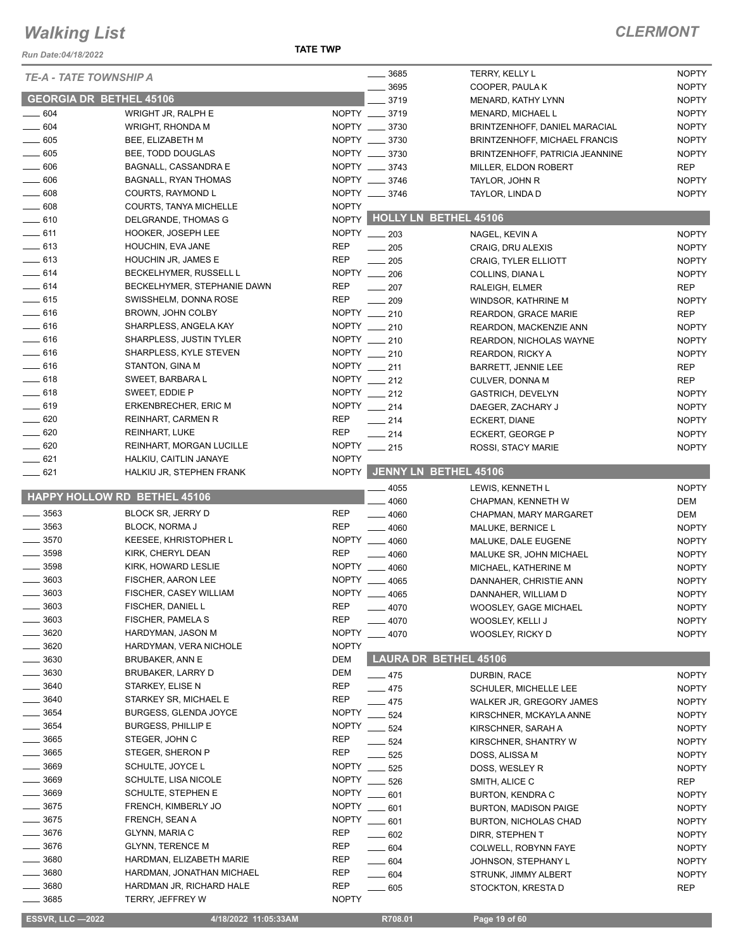*Run Date:04/18/2022*

**TATE TWP**

| <b>TE-A - TATE TOWNSHIP A</b>  |                                              |                                       | 3685<br>TERRY, KELLY L          | <b>NOPTY</b> |
|--------------------------------|----------------------------------------------|---------------------------------------|---------------------------------|--------------|
|                                |                                              |                                       | 3695<br>COOPER, PAULA K         | <b>NOPTY</b> |
| <b>GEORGIA DR BETHEL 45106</b> |                                              |                                       | 3719<br>MENARD, KATHY LYNN      | <b>NOPTY</b> |
| $\frac{1}{2}$ 604              | WRIGHT JR, RALPH E                           | NOPTY __ 3719                         | MENARD, MICHAEL L               | <b>NOPTY</b> |
| $- 604$                        | WRIGHT, RHONDA M                             | NOPTY __ 3730                         | BRINTZENHOFF, DANIEL MARACIAL   | <b>NOPTY</b> |
| $\frac{1}{2}$ 605              | BEE, ELIZABETH M                             | NOPTY __ 3730                         | BRINTZENHOFF, MICHAEL FRANCIS   | <b>NOPTY</b> |
| $\frac{1}{2}$ 605              | BEE, TODD DOUGLAS                            | NOPTY __ 3730                         | BRINTZENHOFF, PATRICIA JEANNINE | <b>NOPTY</b> |
| $\frac{1}{2}$ 606              | BAGNALL, CASSANDRA E                         | NOPTY __ 3743                         | MILLER, ELDON ROBERT            | <b>REP</b>   |
| $\frac{1}{2}$ 606              | <b>BAGNALL, RYAN THOMAS</b>                  | NOPTY __ 3746                         | TAYLOR, JOHN R                  | <b>NOPTY</b> |
| $\frac{1}{2}$ 608              | COURTS, RAYMOND L                            | NOPTY __ 3746                         | TAYLOR, LINDA D                 | <b>NOPTY</b> |
| $- 608$                        | COURTS, TANYA MICHELLE                       | <b>NOPTY</b>                          |                                 |              |
| $-610$                         | DELGRANDE, THOMAS G                          |                                       | NOPTY HOLLY LN BETHEL 45106     |              |
| $-611$                         | HOOKER, JOSEPH LEE                           | NOPTY __ 203                          | NAGEL, KEVIN A                  | <b>NOPTY</b> |
| $-613$                         | HOUCHIN, EVA JANE                            | <b>REP</b><br>$-205$                  | CRAIG, DRU ALEXIS               | <b>NOPTY</b> |
| $-613$                         | HOUCHIN JR, JAMES E                          | REP<br>$\frac{1}{205}$                | <b>CRAIG, TYLER ELLIOTT</b>     | <b>NOPTY</b> |
| $-614$                         | BECKELHYMER, RUSSELL L                       | NOPTY __ 206                          | COLLINS, DIANA L                | <b>NOPTY</b> |
| $-614$                         | BECKELHYMER, STEPHANIE DAWN                  | <b>REP</b><br>$\frac{1}{207}$         | RALEIGH, ELMER                  | <b>REP</b>   |
| $-615$                         | SWISSHELM, DONNA ROSE                        | <b>REP</b><br>$\equiv$ 209            | WINDSOR, KATHRINE M             | <b>NOPTY</b> |
| $-616$                         | BROWN, JOHN COLBY                            | NOPTY __ 210                          | <b>REARDON, GRACE MARIE</b>     | <b>REP</b>   |
| $-616$                         | SHARPLESS, ANGELA KAY                        | NOPTY __ 210                          | REARDON, MACKENZIE ANN          | <b>NOPTY</b> |
| $-616$                         | <b>SHARPLESS, JUSTIN TYLER</b>               | NOPTY __ 210                          | REARDON, NICHOLAS WAYNE         | <b>NOPTY</b> |
| $-616$                         | SHARPLESS, KYLE STEVEN                       | NOPTY __ 210                          | <b>REARDON, RICKY A</b>         | <b>NOPTY</b> |
| $-616$                         | STANTON, GINA M                              | NOPTY __ 211                          | <b>BARRETT, JENNIE LEE</b>      | <b>REP</b>   |
| $-618$                         | SWEET, BARBARA L                             | NOPTY __ 212                          | CULVER, DONNA M                 | <b>REP</b>   |
| $-618$                         | SWEET, EDDIE P                               | NOPTY __ 212                          | GASTRICH, DEVELYN               | <b>NOPTY</b> |
| $-619$                         | ERKENBRECHER, ERIC M                         | NOPTY __ 214                          | DAEGER, ZACHARY J               | <b>NOPTY</b> |
| $- 620$                        | <b>REINHART, CARMEN R</b>                    | <b>REP</b><br>$\frac{1}{214}$         | ECKERT, DIANE                   | <b>NOPTY</b> |
| $- 620$                        | <b>REINHART, LUKE</b>                        | <b>REP</b><br>$\frac{1}{214}$         | ECKERT, GEORGE P                | <b>NOPTY</b> |
| $- 620$                        | REINHART, MORGAN LUCILLE                     | NOPTY __ 215                          | ROSSI, STACY MARIE              | <b>NOPTY</b> |
| $-621$                         | HALKIU, CAITLIN JANAYE                       | <b>NOPTY</b>                          |                                 |              |
| $-621$                         | HALKIU JR, STEPHEN FRANK                     |                                       | NOPTY JENNY LN BETHEL 45106     |              |
|                                |                                              |                                       | 4055<br>LEWIS, KENNETH L        | <b>NOPTY</b> |
|                                |                                              |                                       |                                 |              |
|                                | HAPPY HOLLOW RD BETHEL 45106                 |                                       | 4060<br>CHAPMAN, KENNETH W      | DEM          |
| $\frac{1}{2}$ 3563             | <b>BLOCK SR, JERRY D</b>                     | <b>REP</b><br>$-4060$                 | CHAPMAN, MARY MARGARET          | DEM          |
| $\frac{1}{2}$ 3563             | <b>BLOCK, NORMA J</b>                        | <b>REP</b><br>$-4060$                 | MALUKE, BERNICE L               | <b>NOPTY</b> |
| $\frac{1}{2}$ 3570             | KEESEE, KHRISTOPHER L                        | <b>NOPTY</b><br>$-4060$               | MALUKE, DALE EUGENE             | <b>NOPTY</b> |
| $- 3598$                       | KIRK, CHERYL DEAN                            | <b>REP</b>                            | 4060<br>MALUKE SR, JOHN MICHAEL | <b>NOPTY</b> |
| $- 3598$                       | KIRK, HOWARD LESLIE                          | <b>NOPTY</b>                          | 4060<br>MICHAEL, KATHERINE M    | <b>NOPTY</b> |
| $- 3603$                       | FISCHER, AARON LEE                           | NOPTY __ 4065                         | DANNAHER, CHRISTIE ANN          | <b>NOPTY</b> |
| 3603                           | FISCHER, CASEY WILLIAM                       | <b>NOPTY</b><br>$-4065$               | DANNAHER, WILLIAM D             | <b>NOPTY</b> |
| $\frac{1}{2}$ 3603             | FISCHER, DANIEL L                            | <b>REP</b><br>$- 4070$                | WOOSLEY, GAGE MICHAEL           | <b>NOPTY</b> |
| $\frac{1}{2}$ 3603             | FISCHER, PAMELA S                            | <b>REP</b><br>$-4070$                 | WOOSLEY, KELLI J                | <b>NOPTY</b> |
| $-3620$                        | HARDYMAN, JASON M                            | <b>NOPTY</b><br>$-4070$               | WOOSLEY, RICKY D                | <b>NOPTY</b> |
| $-3620$                        | HARDYMAN, VERA NICHOLE                       | <b>NOPTY</b>                          |                                 |              |
| $\frac{1}{2}$ 3630             | <b>BRUBAKER, ANN E</b>                       | DEM                                   | <b>LAURA DR BETHEL 45106</b>    |              |
| $=$ 3630                       | BRUBAKER, LARRY D                            | DEM<br>$-475$                         | DURBIN, RACE                    | <b>NOPTY</b> |
| $- 3640$                       | STARKEY, ELISE N                             | <b>REP</b><br>$-475$                  | <b>SCHULER, MICHELLE LEE</b>    | <b>NOPTY</b> |
| $- 3640$                       | STARKEY SR, MICHAEL E                        | REP<br>$-475$                         | WALKER JR, GREGORY JAMES        | <b>NOPTY</b> |
| $\frac{1}{2}$ 3654             | <b>BURGESS, GLENDA JOYCE</b>                 | <b>NOPTY</b><br>$-524$                | KIRSCHNER, MCKAYLA ANNE         | <b>NOPTY</b> |
| $\frac{1}{2}$ 3654             | <b>BURGESS, PHILLIP E</b>                    | <b>NOPTY</b><br>$-524$                | KIRSCHNER, SARAH A              | <b>NOPTY</b> |
| $\frac{1}{2}$ 3665             | STEGER, JOHN C                               | REP<br>$-524$                         | KIRSCHNER, SHANTRY W            | <b>NOPTY</b> |
| $\frac{1}{2}$ 3665             | STEGER, SHERON P                             | <b>REP</b>                            | 525<br>DOSS, ALISSA M           | <b>NOPTY</b> |
| $- 3669$                       | SCHULTE, JOYCE L                             | <b>NOPTY</b>                          | 525<br>DOSS, WESLEY R           | <b>NOPTY</b> |
| $- 3669$                       | SCHULTE, LISA NICOLE                         | <b>NOPTY</b>                          | $-526$<br>SMITH, ALICE C        | <b>REP</b>   |
| $- 3669$                       | SCHULTE, STEPHEN E                           | <b>NOPTY</b>                          | 601<br><b>BURTON, KENDRA C</b>  | <b>NOPTY</b> |
| $\frac{1}{2}$ 3675             | FRENCH, KIMBERLY JO                          | <b>NOPTY</b><br>$-601$                | <b>BURTON, MADISON PAIGE</b>    | <b>NOPTY</b> |
| $- 3675$                       | FRENCH, SEAN A                               | <b>NOPTY</b><br>$- 601$               | <b>BURTON, NICHOLAS CHAD</b>    | <b>NOPTY</b> |
| $= 3676$                       | GLYNN, MARIA C                               | <b>REP</b><br>$\_\_602$               | DIRR, STEPHEN T                 | <b>NOPTY</b> |
| $-3676$                        | <b>GLYNN, TERENCE M</b>                      | REP<br>$- 604$                        | COLWELL, ROBYNN FAYE            | <b>NOPTY</b> |
| 3680                           | HARDMAN, ELIZABETH MARIE                     | <b>REP</b><br>$- 604$                 | JOHNSON, STEPHANY L             | <b>NOPTY</b> |
| _ 3680                         | HARDMAN, JONATHAN MICHAEL                    | REP<br>$- 604$                        | STRUNK, JIMMY ALBERT            | <b>NOPTY</b> |
| $-3680$<br>3685                | HARDMAN JR, RICHARD HALE<br>TERRY, JEFFREY W | <b>REP</b><br>$- 605$<br><b>NOPTY</b> | STOCKTON, KRESTA D              | <b>REP</b>   |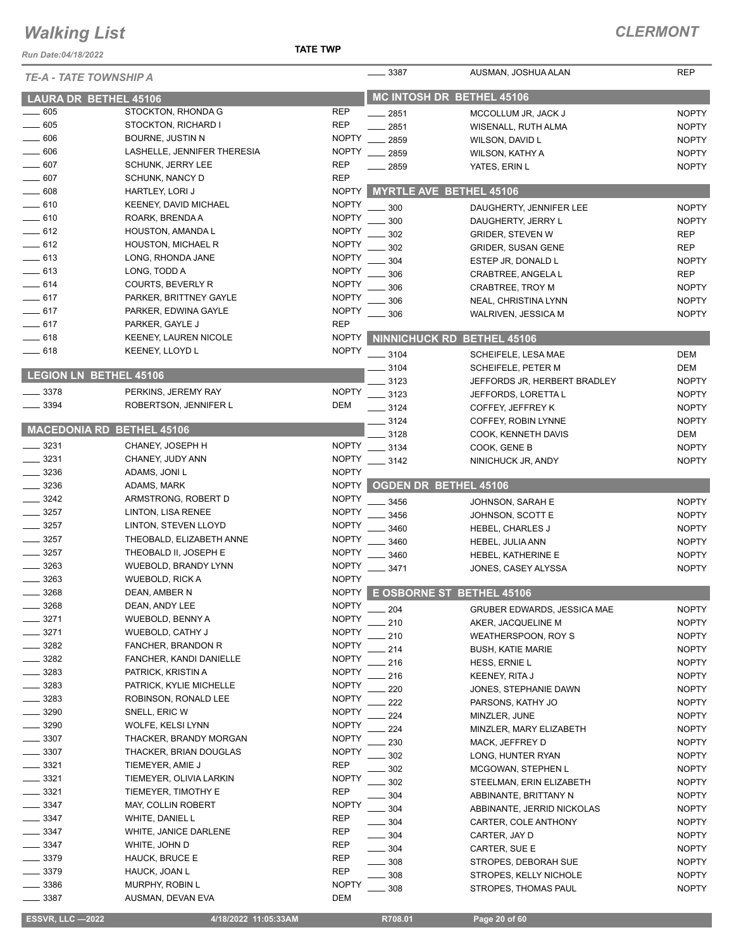*Run Date:04/18/2022*

#### **TATE TWP**

| <b>TE-A - TATE TOWNSHIP A</b> |                                             |                              | $-3387$  | AUSMAN, JOSHUA ALAN             | <b>REP</b>   |
|-------------------------------|---------------------------------------------|------------------------------|----------|---------------------------------|--------------|
|                               | <b>LAURA DR BETHEL 45106</b>                |                              |          | MC INTOSH DR BETHEL 45106       |              |
| 605                           | STOCKTON, RHONDA G                          | <b>REP</b>                   | - 2851   | MCCOLLUM JR, JACK J             | <b>NOPTY</b> |
| $- 605$                       | STOCKTON, RICHARD I                         | <b>REP</b>                   | 2851     | WISENALL, RUTH ALMA             | <b>NOPTY</b> |
| $\frac{1}{2}$ 606             | <b>BOURNE, JUSTIN N</b>                     | <b>NOPTY</b>                 | 2859     | WILSON, DAVID L                 | <b>NOPTY</b> |
| $\frac{1}{2}$ 606             | LASHELLE, JENNIFER THERESIA                 | <b>NOPTY</b>                 | 2859     | WILSON, KATHY A                 | <b>NOPTY</b> |
| $- 607$                       | <b>SCHUNK, JERRY LEE</b>                    | <b>REP</b>                   | 2859     | YATES, ERIN L                   | <b>NOPTY</b> |
| 607                           | <b>SCHUNK, NANCY D</b>                      | <b>REP</b>                   |          |                                 |              |
| $-608$                        | HARTLEY, LORI J                             | <b>NOPTY</b>                 |          | <b>MYRTLE AVE BETHEL 45106</b>  |              |
| $-610$                        | KEENEY, DAVID MICHAEL                       | <b>NOPTY</b>                 | 300      | DAUGHERTY, JENNIFER LEE         | <b>NOPTY</b> |
| $-610$                        | ROARK, BRENDA A                             | <b>NOPTY</b>                 | 300      | DAUGHERTY, JERRY L              | <b>NOPTY</b> |
| $-612$                        | HOUSTON, AMANDA L                           | <b>NOPTY</b>                 | 302      | <b>GRIDER, STEVEN W</b>         | <b>REP</b>   |
| $-612$                        | HOUSTON, MICHAEL R                          | <b>NOPTY</b>                 | 302      | <b>GRIDER, SUSAN GENE</b>       | <b>REP</b>   |
| $\frac{1}{2}$ 613             | LONG, RHONDA JANE                           | <b>NOPTY</b>                 | 304      | ESTEP JR, DONALD L              | <b>NOPTY</b> |
| $\frac{1}{2}$ 613             | LONG, TODD A                                | <b>NOPTY</b>                 | 306      | CRABTREE, ANGELA L              | <b>REP</b>   |
| $-614$                        | COURTS, BEVERLY R                           | <b>NOPTY</b>                 | 306      | CRABTREE, TROY M                | <b>NOPTY</b> |
| $-617$                        | PARKER, BRITTNEY GAYLE                      | <b>NOPTY</b>                 | 306      | NEAL, CHRISTINA LYNN            | <b>NOPTY</b> |
| $-617$                        | PARKER, EDWINA GAYLE                        | <b>NOPTY</b>                 | 306      | WALRIVEN, JESSICA M             | <b>NOPTY</b> |
| $-617$                        | PARKER, GAYLE J                             | <b>REP</b>                   |          |                                 |              |
| $-618$                        | <b>KEENEY, LAUREN NICOLE</b>                | <b>NOPTY</b>                 |          | NINNICHUCK RD BETHEL 45106      |              |
| —— 618                        | KEENEY, LLOYD L                             | <b>NOPTY</b>                 | $-3104$  | SCHEIFELE, LESA MAE             | <b>DEM</b>   |
|                               |                                             |                              | 3104     | <b>SCHEIFELE, PETER M</b>       | <b>DEM</b>   |
| LEGION LN BETHEL 45106        |                                             |                              | 3123     | JEFFORDS JR, HERBERT BRADLEY    | <b>NOPTY</b> |
| $\frac{1}{2}$ 3378            | PERKINS, JEREMY RAY                         | <b>NOPTY</b>                 | $-3123$  | JEFFORDS, LORETTA L             | <b>NOPTY</b> |
| $\frac{1}{2}$ 3394            | ROBERTSON, JENNIFER L                       | DEM                          | $-3124$  | COFFEY, JEFFREY K               | <b>NOPTY</b> |
|                               |                                             |                              | 3124     | COFFEY, ROBIN LYNNE             | <b>NOPTY</b> |
|                               | <b>MACEDONIA RD BETHEL 45106</b>            |                              | 3128     | COOK, KENNETH DAVIS             | DEM          |
| 3231                          | CHANEY, JOSEPH H                            | <b>NOPTY</b>                 | $-3134$  | COOK, GENE B                    | <b>NOPTY</b> |
| $\frac{1}{2}$ 3231            | CHANEY, JUDY ANN                            | <b>NOPTY</b>                 | $- 3142$ | NINICHUCK JR, ANDY              | <b>NOPTY</b> |
| $-3236$                       | ADAMS, JONI L                               | <b>NOPTY</b>                 |          |                                 |              |
| $-3236$                       | ADAMS, MARK                                 | <b>NOPTY</b>                 |          | <b>OGDEN DR BETHEL 45106</b>    |              |
| $\frac{1}{2}$ 3242            | ARMSTRONG, ROBERT D                         | <b>NOPTY</b>                 | 3456     | JOHNSON, SARAH E                | <b>NOPTY</b> |
| $-3257$                       | LINTON, LISA RENEE                          | <b>NOPTY</b>                 | 3456     | JOHNSON, SCOTT E                | <b>NOPTY</b> |
| $\frac{1}{2}$ 3257            | LINTON, STEVEN LLOYD                        | <b>NOPTY</b>                 | 3460     | HEBEL, CHARLES J                | <b>NOPTY</b> |
| $- 3257$                      | THEOBALD, ELIZABETH ANNE                    | <b>NOPTY</b>                 | 3460     | HEBEL, JULIA ANN                | <b>NOPTY</b> |
| 3257                          | THEOBALD II, JOSEPH E                       | <b>NOPTY</b>                 | 3460     | HEBEL, KATHERINE E              | <b>NOPTY</b> |
| $- 3263$                      | WUEBOLD, BRANDY LYNN                        | <b>NOPTY</b>                 | 3471     | JONES, CASEY ALYSSA             | <b>NOPTY</b> |
| 3263                          | <b>WUEBOLD, RICK A</b>                      | <b>NOPTY</b>                 |          |                                 |              |
| 3268                          | DEAN, AMBER N                               |                              |          | NOPTY E OSBORNE ST BETHEL 45106 |              |
| 3268                          | DEAN, ANDY LEE                              | <b>NOPTY</b>                 | - 204    | GRUBER EDWARDS, JESSICA MAE     | <b>NOPTY</b> |
| $-3271$                       | <b>WUEBOLD, BENNY A</b>                     | <b>NOPTY</b>                 | 210      | AKER, JACQUELINE M              | <b>NOPTY</b> |
| 3271                          | WUEBOLD, CATHY J                            | <b>NOPTY</b>                 | 210      | WEATHERSPOON, ROY S             | <b>NOPTY</b> |
| 3282                          | FANCHER, BRANDON R                          | <b>NOPTY</b>                 | 214      | <b>BUSH, KATIE MARIE</b>        | <b>NOPTY</b> |
| $-3282$                       | FANCHER, KANDI DANIELLE                     | <b>NOPTY</b>                 | 216      | HESS, ERNIE L                   | <b>NOPTY</b> |
| _ 3283                        | PATRICK, KRISTIN A                          | <b>NOPTY</b><br><b>NOPTY</b> | 216      | KEENEY, RITA J                  | <b>NOPTY</b> |
| _ 3283<br>$= 3283$            | PATRICK, KYLIE MICHELLE                     | <b>NOPTY</b>                 | 220      | JONES, STEPHANIE DAWN           | <b>NOPTY</b> |
| 3290                          | ROBINSON, RONALD LEE<br>SNELL, ERIC W       | <b>NOPTY</b>                 | 222      | PARSONS, KATHY JO               | <b>NOPTY</b> |
| 3290                          |                                             |                              | 224      | MINZLER, JUNE                   | <b>NOPTY</b> |
| $= 3307$                      | WOLFE, KELSI LYNN<br>THACKER, BRANDY MORGAN | NOPTY                        | 224      | MINZLER, MARY ELIZABETH         | <b>NOPTY</b> |
| $-3307$                       | THACKER, BRIAN DOUGLAS                      | <b>NOPTY</b><br><b>NOPTY</b> | 230      | MACK, JEFFREY D                 | <b>NOPTY</b> |
| $- 3321$                      | TIEMEYER, AMIE J                            | REP                          | 302      | LONG, HUNTER RYAN               | <b>NOPTY</b> |
| _ 3321                        | TIEMEYER, OLIVIA LARKIN                     | <b>NOPTY</b>                 | 302      | MCGOWAN, STEPHEN L              | <b>NOPTY</b> |
| $\frac{1}{2}$ 3321            | TIEMEYER, TIMOTHY E                         | <b>REP</b>                   | 302      | STEELMAN, ERIN ELIZABETH        | <b>NOPTY</b> |
| $-3347$                       | <b>MAY, COLLIN ROBERT</b>                   | <b>NOPTY</b>                 | 304      | ABBINANTE, BRITTANY N           | <b>NOPTY</b> |
| $=$ 3347                      | WHITE, DANIEL L                             | REP                          | 304      | ABBINANTE, JERRID NICKOLAS      | <b>NOPTY</b> |
| $-3347$                       | WHITE, JANICE DARLENE                       | REP                          | $-304$   | CARTER, COLE ANTHONY            | <b>NOPTY</b> |
| 3347                          | WHITE, JOHN D                               | <b>REP</b>                   | 304      | CARTER, JAY D                   | <b>NOPTY</b> |
| $= 3379$                      | HAUCK, BRUCE E                              | REP                          | $=$ 304  | CARTER, SUE E                   | <b>NOPTY</b> |
| 3379                          | HAUCK, JOAN L                               | <b>REP</b>                   | 308      | STROPES, DEBORAH SUE            | <b>NOPTY</b> |
| _ 3386                        | MURPHY, ROBIN L                             | <b>NOPTY</b>                 | 308      | STROPES, KELLY NICHOLE          | <b>NOPTY</b> |
| 3387                          | AUSMAN, DEVAN EVA                           | DEM                          | - 308    | STROPES, THOMAS PAUL            | <b>NOPTY</b> |
|                               |                                             |                              |          |                                 |              |

 **ESSVR, LLC —2022 4/18/2022 11:05:33AM R708.01 Page 20 of 60**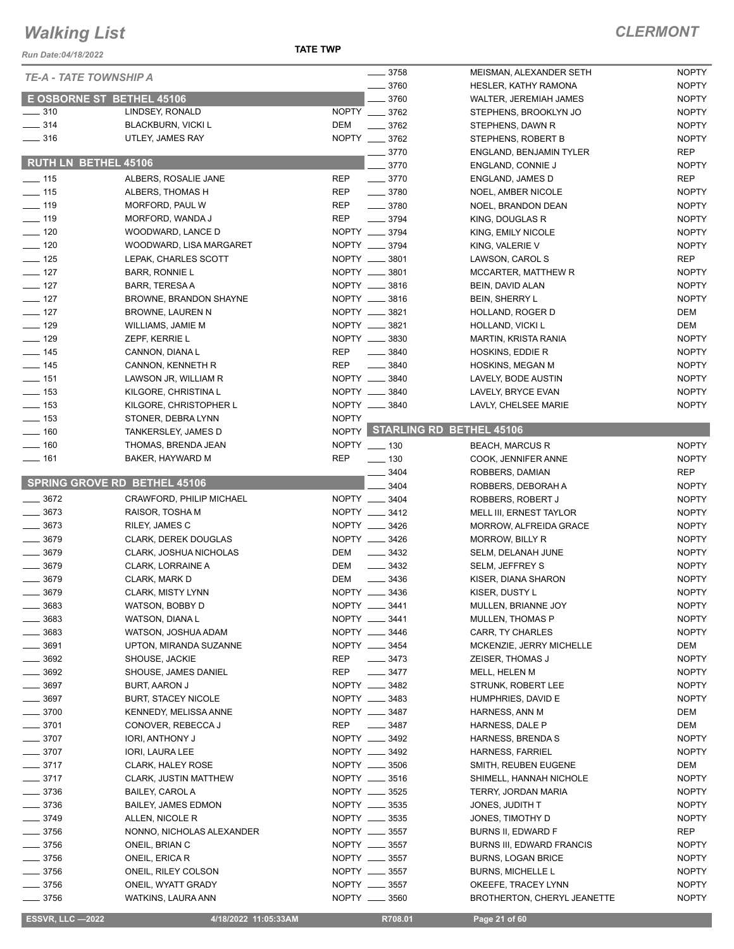**TATE TWP**

| Run Date:04/18/2022                 |                                                       | <b>TATE TWP</b> |                                |                                       |                              |
|-------------------------------------|-------------------------------------------------------|-----------------|--------------------------------|---------------------------------------|------------------------------|
| <b>TE-A - TATE TOWNSHIP A</b>       |                                                       |                 | $- 3758$                       | MEISMAN, ALEXANDER SETH               | <b>NOPTY</b>                 |
|                                     |                                                       |                 | 3760                           | <b>HESLER, KATHY RAMONA</b>           | <b>NOPTY</b>                 |
| <b>E OSBORNE ST BETHEL 45106</b>    |                                                       |                 | 3760                           | <b>WALTER, JEREMIAH JAMES</b>         | <b>NOPTY</b>                 |
| $\frac{1}{2}$ 310                   | LINDSEY, RONALD                                       |                 | NOPTY __ 3762                  | STEPHENS, BROOKLYN JO                 | <b>NOPTY</b>                 |
| $\frac{1}{2}$ 314                   | <b>BLACKBURN, VICKI L</b>                             | <b>DEM</b>      | 3762                           | STEPHENS, DAWN R                      | <b>NOPTY</b>                 |
| $\frac{1}{2}$ 316                   | UTLEY, JAMES RAY                                      |                 | NOPTY __ 3762                  | STEPHENS, ROBERT B                    | <b>NOPTY</b>                 |
| <b>RUTH LN BETHEL 45106</b>         |                                                       |                 | $-3770$                        | <b>ENGLAND, BENJAMIN TYLER</b>        | <b>REP</b>                   |
|                                     |                                                       |                 | 3770                           | ENGLAND, CONNIE J                     | <b>NOPTY</b>                 |
| $\frac{1}{2}$ 115                   | ALBERS, ROSALIE JANE                                  | <b>REP</b>      | $- 3770$                       | ENGLAND, JAMES D                      | <b>REP</b>                   |
| $\frac{1}{2}$ 115                   | ALBERS, THOMAS H                                      | <b>REP</b>      | $- 3780$                       | NOEL, AMBER NICOLE                    | <b>NOPTY</b>                 |
| $- 119$                             | MORFORD, PAUL W                                       | <b>REP</b>      | $\frac{1}{2}$ 3780             | NOEL, BRANDON DEAN                    | <b>NOPTY</b>                 |
| $\frac{1}{2}$ 119                   | MORFORD, WANDA J                                      | <b>REP</b>      | $\frac{1}{2}$ 3794             | KING, DOUGLAS R                       | <b>NOPTY</b>                 |
| $\sim$ 120                          | WOODWARD, LANCE D                                     |                 | NOPTY __ 3794                  | KING, EMILY NICOLE                    | <b>NOPTY</b>                 |
| $\frac{1}{2}$ 120                   | WOODWARD, LISA MARGARET                               |                 | NOPTY __ 3794                  | KING, VALERIE V                       | <b>NOPTY</b>                 |
| $\frac{1}{2}$ 125                   | LEPAK, CHARLES SCOTT                                  |                 | NOPTY __ 3801                  | LAWSON, CAROL S                       | <b>REP</b>                   |
| $- 127$                             | <b>BARR, RONNIE L</b>                                 |                 | NOPTY __ 3801                  | <b>MCCARTER, MATTHEW R</b>            | <b>NOPTY</b>                 |
| $- 127$                             | BARR, TERESA A                                        |                 | NOPTY __ 3816                  | BEIN, DAVID ALAN                      | <b>NOPTY</b>                 |
| $\frac{1}{2}$ 127                   | <b>BROWNE, BRANDON SHAYNE</b>                         |                 | NOPTY __ 3816                  | <b>BEIN, SHERRY L</b>                 | <b>NOPTY</b>                 |
| $-127$                              | BROWNE, LAUREN N                                      |                 | NOPTY __ 3821                  | HOLLAND, ROGER D                      | DEM                          |
| $- 129$                             | WILLIAMS, JAMIE M                                     |                 | NOPTY __ 3821                  | HOLLAND, VICKI L                      | <b>DEM</b>                   |
| $\frac{129}{2}$                     | ZEPF, KERRIE L                                        |                 | NOPTY __ 3830                  | MARTIN, KRISTA RANIA                  | <b>NOPTY</b>                 |
| $\frac{1}{2}$ 145                   | CANNON, DIANA L                                       | <b>REP</b>      | 3840                           | HOSKINS, EDDIE R                      | <b>NOPTY</b>                 |
| $\frac{1}{2}$ 145                   | CANNON, KENNETH R                                     | <b>REP</b>      | $- 3840$                       | HOSKINS, MEGAN M                      | <b>NOPTY</b>                 |
| $- 151$                             | LAWSON JR, WILLIAM R                                  |                 | NOPTY __ 3840                  | LAVELY, BODE AUSTIN                   | <b>NOPTY</b>                 |
| $\frac{1}{2}$ 153                   | KILGORE, CHRISTINA L                                  |                 | NOPTY __ 3840                  | LAVELY, BRYCE EVAN                    | <b>NOPTY</b>                 |
| $\frac{1}{2}$ 153                   | KILGORE, CHRISTOPHER L                                |                 | NOPTY __ 3840                  | LAVLY, CHELSEE MARIE                  | <b>NOPTY</b>                 |
| $\frac{1}{2}$ 153                   | STONER, DEBRA LYNN                                    | <b>NOPTY</b>    |                                | NOPTY STARLING RD BETHEL 45106        |                              |
| $\frac{1}{160}$                     | TANKERSLEY, JAMES D                                   |                 |                                |                                       |                              |
| $\frac{1}{160}$                     | THOMAS, BRENDA JEAN                                   |                 | NOPTY __ 130                   | <b>BEACH, MARCUS R</b>                | <b>NOPTY</b>                 |
| $- 161$                             | BAKER, HAYWARD M                                      | <b>REP</b>      | $\frac{1}{2}$ 130              | COOK, JENNIFER ANNE                   | <b>NOPTY</b>                 |
| <b>SPRING GROVE RD BETHEL 45106</b> |                                                       |                 | 3404                           | ROBBERS, DAMIAN                       | <b>REP</b>                   |
|                                     |                                                       |                 | 3404                           | ROBBERS, DEBORAH A                    | <b>NOPTY</b>                 |
| $- 3672$<br>3673                    | CRAWFORD, PHILIP MICHAEL                              |                 | NOPTY __ 3404                  | ROBBERS, ROBERT J                     | <b>NOPTY</b>                 |
| $- 3673$                            | RAISOR, TOSHA M                                       |                 | NOPTY __ 3412<br>NOPTY __ 3426 | MELL III, ERNEST TAYLOR               | <b>NOPTY</b><br><b>NOPTY</b> |
| $- 3679$                            | RILEY, JAMES C                                        |                 | NOPTY __ 3426                  | MORROW, ALFREIDA GRACE                |                              |
| 3679                                | <b>CLARK, DEREK DOUGLAS</b><br>CLARK, JOSHUA NICHOLAS | <b>DEM</b>      | $\frac{3432}{2}$               | MORROW, BILLY R                       | <b>NOPTY</b><br><b>NOPTY</b> |
| 3679                                | CLARK, LORRAINE A                                     | <b>DEM</b>      | $\frac{3432}{2}$               | SELM, DELANAH JUNE<br>SELM, JEFFREY S | <b>NOPTY</b>                 |
| 3679                                | CLARK, MARK D                                         | <b>DEM</b>      |                                |                                       | <b>NOPTY</b>                 |
| 3679                                | CLARK, MISTY LYNN                                     |                 | 3436<br>NOPTY __ 3436          | KISER, DIANA SHARON<br>KISER, DUSTY L | <b>NOPTY</b>                 |
| 3683                                | WATSON, BOBBY D                                       |                 | NOPTY __ 3441                  | MULLEN, BRIANNE JOY                   | <b>NOPTY</b>                 |
| $-3683$                             | WATSON, DIANA L                                       |                 | NOPTY __ 3441                  | MULLEN, THOMAS P                      | <b>NOPTY</b>                 |
| $= 3683$                            | WATSON, JOSHUA ADAM                                   |                 | NOPTY __ 3446                  | CARR, TY CHARLES                      | <b>NOPTY</b>                 |
| 3691                                | UPTON, MIRANDA SUZANNE                                |                 | NOPTY __ 3454                  | MCKENZIE, JERRY MICHELLE              | DEM                          |
| $\frac{1}{2}$ 3692                  | SHOUSE, JACKIE                                        | REP             | $- 3473$                       | ZEISER, THOMAS J                      | <b>NOPTY</b>                 |
| $\frac{1}{2}$ 3692                  | SHOUSE, JAMES DANIEL                                  | <b>REP</b>      | $\frac{3477}{2}$               | MELL, HELEN M                         | <b>NOPTY</b>                 |
| $\frac{1}{2}$ 3697                  | BURT, AARON J                                         |                 | NOPTY __ 3482                  | STRUNK, ROBERT LEE                    | <b>NOPTY</b>                 |
| $\frac{1}{2}$ 3697                  | <b>BURT, STACEY NICOLE</b>                            |                 | NOPTY __ 3483                  | HUMPHRIES, DAVID E                    | <b>NOPTY</b>                 |
| $\frac{1}{2}$ 3700                  | KENNEDY, MELISSA ANNE                                 |                 | NOPTY __ 3487                  | HARNESS, ANN M                        | DEM                          |
| $\frac{1}{2}$ 3701                  | CONOVER, REBECCA J                                    | REP             | $- 3487$                       | HARNESS, DALE P                       | DEM                          |
| $\frac{1}{2}$ 3707                  | IORI, ANTHONY J                                       |                 | NOPTY __ 3492                  | HARNESS, BRENDA S                     | <b>NOPTY</b>                 |
| $\frac{1}{2}$ 3707                  | IORI, LAURA LEE                                       |                 | NOPTY __ 3492                  | HARNESS, FARRIEL                      | <b>NOPTY</b>                 |
| $- 3717$                            | <b>CLARK, HALEY ROSE</b>                              |                 | NOPTY __ 3506                  | SMITH, REUBEN EUGENE                  | DEM                          |
| 3717                                | <b>CLARK, JUSTIN MATTHEW</b>                          |                 | NOPTY __ 3516                  | SHIMELL, HANNAH NICHOLE               | <b>NOPTY</b>                 |
| $-3736$                             | <b>BAILEY, CAROL A</b>                                |                 | NOPTY __ 3525                  | TERRY, JORDAN MARIA                   | <b>NOPTY</b>                 |
| $-3736$                             | <b>BAILEY, JAMES EDMON</b>                            |                 | NOPTY __ 3535                  | JONES, JUDITH T                       | <b>NOPTY</b>                 |
| $- 3749$                            | ALLEN, NICOLE R                                       |                 | NOPTY __ 3535                  | JONES, TIMOTHY D                      | <b>NOPTY</b>                 |
| $\frac{1}{2}$ 3756                  | NONNO, NICHOLAS ALEXANDER                             |                 | NOPTY __ 3557                  | BURNS II, EDWARD F                    | <b>REP</b>                   |
| 3756                                | ONEIL, BRIAN C                                        |                 | NOPTY __ 3557                  | <b>BURNS III, EDWARD FRANCIS</b>      | <b>NOPTY</b>                 |
| $\frac{1}{2}$ 3756                  | ONEIL, ERICA R                                        |                 | NOPTY __ 3557                  | <b>BURNS, LOGAN BRICE</b>             | <b>NOPTY</b>                 |
| $-3756$                             | ONEIL, RILEY COLSON                                   |                 | NOPTY __ 3557                  | <b>BURNS, MICHELLE L</b>              | <b>NOPTY</b>                 |
| $\frac{1}{2}$ 3756                  | ONEIL, WYATT GRADY                                    |                 | NOPTY __ 3557                  | OKEEFE, TRACEY LYNN                   | <b>NOPTY</b>                 |
| $\frac{1}{2}$ 3756                  | WATKINS, LAURA ANN                                    |                 | NOPTY __ 3560                  | BROTHERTON, CHERYL JEANETTE           | <b>NOPTY</b>                 |
|                                     |                                                       |                 |                                |                                       |                              |
| <b>ESSVR, LLC -2022</b>             | 4/18/2022 11:05:33AM                                  |                 | R708.01                        | Page 21 of 60                         |                              |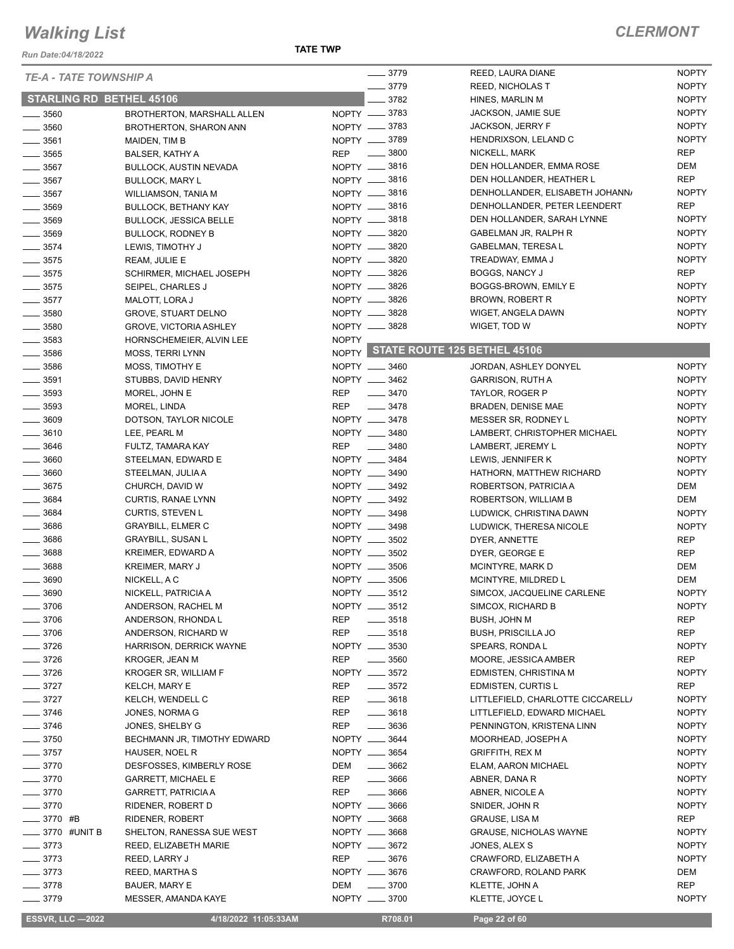*Run Date:04/18/2022*

**TATE TWP**

| <b>TE-A - TATE TOWNSHIP A</b>   |                                | $- 3779$                         |      | REED, LAURA DIANE                  | <b>NOPTY</b> |
|---------------------------------|--------------------------------|----------------------------------|------|------------------------------------|--------------|
|                                 |                                | $-3779$                          |      | <b>REED, NICHOLAS T</b>            | <b>NOPTY</b> |
| <b>STARLING RD BETHEL 45106</b> |                                |                                  | 3782 | HINES, MARLIN M                    | <b>NOPTY</b> |
| $- 3560$                        | BROTHERTON, MARSHALL ALLEN     | NOPTY -8783                      |      | JACKSON, JAMIE SUE                 | <b>NOPTY</b> |
| $\frac{1}{2}$ 3560              | <b>BROTHERTON, SHARON ANN</b>  | NOPTY __ 3783                    |      | JACKSON, JERRY F                   | <b>NOPTY</b> |
| $\frac{1}{2}$ 3561              | MAIDEN, TIM B                  | NOPTY __ 3789                    |      | HENDRIXSON, LELAND C               | <b>NOPTY</b> |
| $\frac{1}{2}$ 3565              | BALSER, KATHY A                | $\frac{1}{2}$ 3800<br><b>REP</b> |      | NICKELL, MARK                      | <b>REP</b>   |
| $\frac{1}{2}$ 3567              | <b>BULLOCK, AUSTIN NEVADA</b>  | NOPTY __ 3816                    |      | DEN HOLLANDER, EMMA ROSE           | DEM          |
| $\frac{1}{2}$ 3567              | <b>BULLOCK, MARY L</b>         | NOPTY __ 3816                    |      | DEN HOLLANDER, HEATHER L           | <b>REP</b>   |
| $-3567$                         | WILLIAMSON, TANIA M            | NOPTY __ 3816                    |      | DENHOLLANDER, ELISABETH JOHANN/    | <b>NOPTY</b> |
| $\frac{1}{2}$ 3569              | <b>BULLOCK, BETHANY KAY</b>    | NOPTY __ 3816                    |      | DENHOLLANDER, PETER LEENDERT       | <b>REP</b>   |
| $- 3569$                        | <b>BULLOCK, JESSICA BELLE</b>  | NOPTY __ 3818                    |      | DEN HOLLANDER, SARAH LYNNE         | <b>NOPTY</b> |
| $\frac{1}{2}$ 3569              | <b>BULLOCK, RODNEY B</b>       | NOPTY -8820                      |      | GABELMAN JR, RALPH R               | <b>NOPTY</b> |
| $\frac{1}{2}$ 3574              | LEWIS, TIMOTHY J               | NOPTY -8820                      |      | <b>GABELMAN, TERESAL</b>           | <b>NOPTY</b> |
| $\frac{1}{2}$ 3575              | REAM, JULIE E                  | NOPTY __ 3820                    |      | TREADWAY, EMMA J                   | <b>NOPTY</b> |
| $\frac{1}{2}$ 3575              | SCHIRMER, MICHAEL JOSEPH       | NOPTY -8826                      |      | <b>BOGGS, NANCY J</b>              | <b>REP</b>   |
|                                 |                                | NOPTY -8826                      |      | BOGGS-BROWN, EMILY E               | <b>NOPTY</b> |
| $\frac{1}{2}$ 3575              | SEIPEL, CHARLES J              |                                  |      |                                    | <b>NOPTY</b> |
| $- 3577$                        | MALOTT, LORA J                 | NOPTY __ 3826                    |      | BROWN, ROBERT R                    |              |
| $\frac{1}{2}$ 3580              | <b>GROVE, STUART DELNO</b>     | NOPTY __ 3828                    |      | WIGET, ANGELA DAWN                 | <b>NOPTY</b> |
| $\frac{1}{2}$ 3580              | <b>GROVE, VICTORIA ASHLEY</b>  | NOPTY __ 3828                    |      | WIGET, TOD W                       | <b>NOPTY</b> |
| $\frac{1}{2}$ 3583              | HORNSCHEMEIER, ALVIN LEE       | <b>NOPTY</b>                     |      |                                    |              |
| $- 3586$                        | <b>MOSS, TERRI LYNN</b>        |                                  |      | NOPTY STATE ROUTE 125 BETHEL 45106 |              |
| $\frac{1}{2}$ 3586              | MOSS, TIMOTHY E                | NOPTY __ 3460                    |      | JORDAN, ASHLEY DONYEL              | <b>NOPTY</b> |
| $\frac{1}{2}$ 3591              | STUBBS, DAVID HENRY            | NOPTY __ 3462                    |      | <b>GARRISON, RUTH A</b>            | <b>NOPTY</b> |
| $\frac{1}{2}$ 3593              | MOREL, JOHN E                  | <b>REP</b><br>$- 3470$           |      | TAYLOR, ROGER P                    | <b>NOPTY</b> |
| $\frac{1}{2}$ 3593              | MOREL, LINDA                   | <b>REP</b><br>$- 3478$           |      | BRADEN, DENISE MAE                 | <b>NOPTY</b> |
| $\frac{1}{2}$ 3609              | DOTSON, TAYLOR NICOLE          | NOPTY __ 3478                    |      | MESSER SR, RODNEY L                | <b>NOPTY</b> |
| $\frac{1}{2}$ 3610              | LEE, PEARL M                   | NOPTY __ 3480                    |      | LAMBERT, CHRISTOPHER MICHAEL       | <b>NOPTY</b> |
| $- 3646$                        | FULTZ, TAMARA KAY              | <b>REP</b><br>$\frac{1}{2}$ 3480 |      | LAMBERT, JEREMY L                  | <b>NOPTY</b> |
| $\frac{1}{2}$ 3660              | STEELMAN, EDWARD E             | NOPTY __ 3484                    |      | LEWIS, JENNIFER K                  | <b>NOPTY</b> |
| $\frac{1}{2}$ 3660              | STEELMAN, JULIA A              | NOPTY __ 3490                    |      | HATHORN, MATTHEW RICHARD           | <b>NOPTY</b> |
| $- 3675$                        | CHURCH, DAVID W                | NOPTY __ 3492                    |      | ROBERTSON, PATRICIA A              | DEM          |
| $\frac{1}{2}$ 3684              | CURTIS, RANAE LYNN             | NOPTY __ 3492                    |      | ROBERTSON, WILLIAM B               | DEM          |
| $- 3684$                        | <b>CURTIS, STEVEN L</b>        | NOPTY __ 3498                    |      | LUDWICK, CHRISTINA DAWN            | <b>NOPTY</b> |
| $\frac{1}{2}$ 3686              | <b>GRAYBILL, ELMER C</b>       | NOPTY __ 3498                    |      | LUDWICK, THERESA NICOLE            | <b>NOPTY</b> |
|                                 | <b>GRAYBILL, SUSAN L</b>       | NOPTY __ 3502                    |      |                                    |              |
| $\frac{1}{2}$ 3686              |                                | NOPTY __ 3502                    |      | DYER, ANNETTE                      | <b>REP</b>   |
| $\frac{1}{2}$ 3688              | <b>KREIMER, EDWARD A</b>       |                                  |      | DYER, GEORGE E                     | <b>REP</b>   |
| $- 3688$                        | <b>KREIMER, MARY J</b>         | NOPTY __ 3506                    |      | MCINTYRE, MARK D                   | DEM          |
| 3690                            | NICKELL, A C                   | NOPTY __ 3506                    |      | MCINTYRE, MILDRED L                | DEM          |
| 3690                            | NICKELL, PATRICIA A            | NOPTY _                          | 3512 | SIMCOX, JACQUELINE CARLENE         | <b>NOPTY</b> |
| $- 3706$                        | ANDERSON, RACHEL M             | NOPTY __ 3512                    |      | SIMCOX, RICHARD B                  | <b>NOPTY</b> |
| $- 3706$                        | ANDERSON, RHONDA L             | REP<br>$\frac{1}{2}$ 3518        |      | <b>BUSH, JOHN M</b>                | REP          |
| $- 3706$                        | ANDERSON, RICHARD W            | REP<br>$\frac{1}{2}$ 3518        |      | <b>BUSH, PRISCILLA JO</b>          | REP          |
| $- 3726$                        | <b>HARRISON, DERRICK WAYNE</b> | NOPTY __ 3530                    |      | SPEARS, RONDA L                    | <b>NOPTY</b> |
| $- 3726$                        | KROGER, JEAN M                 | REP<br>$- 3560$                  |      | MOORE, JESSICA AMBER               | REP          |
| $- 3726$                        | <b>KROGER SR, WILLIAM F</b>    | NOPTY __ 3572                    |      | EDMISTEN, CHRISTINA M              | <b>NOPTY</b> |
| $- 3727$                        | KELCH, MARY E                  | $\frac{1}{2}$ 3572<br>REP        |      | EDMISTEN, CURTIS L                 | REP          |
| $-3727$                         | KELCH, WENDELL C               | $- 3618$<br>REP                  |      | LITTLEFIELD, CHARLOTTE CICCARELL/  | <b>NOPTY</b> |
| $- 3746$                        | JONES, NORMA G                 | REP<br>$- 3618$                  |      | LITTLEFIELD, EDWARD MICHAEL        | <b>NOPTY</b> |
| $\frac{1}{2}$ 3746              | JONES, SHELBY G                | $\frac{1}{2}$ 3636<br>REP        |      | PENNINGTON, KRISTENA LINN          | <b>NOPTY</b> |
| $\frac{1}{2}$ 3750              | BECHMANN JR, TIMOTHY EDWARD    | NOPTY __ 3644                    |      | MOORHEAD, JOSEPH A                 | <b>NOPTY</b> |
| $- 3757$                        | HAUSER, NOEL R                 | NOPTY __ 3654                    |      | <b>GRIFFITH, REX M</b>             | <b>NOPTY</b> |
| $- 3770$                        | DESFOSSES, KIMBERLY ROSE       | $\frac{1}{2}$ 3662<br>DEM        |      | ELAM, AARON MICHAEL                | <b>NOPTY</b> |
| $- 3770$                        | <b>GARRETT, MICHAEL E</b>      | REP<br>$- 3666$                  |      | ABNER, DANA R                      | <b>NOPTY</b> |
| $-3770$                         | <b>GARRETT, PATRICIA A</b>     | REP<br>$- 3666$                  |      | ABNER, NICOLE A                    | <b>NOPTY</b> |
| $- 3770$                        | RIDENER, ROBERT D              | NOPTY __ 3666                    |      | SNIDER, JOHN R                     | <b>NOPTY</b> |
| $- 3770$ #B                     | RIDENER, ROBERT                | NOPTY __ 3668                    |      | <b>GRAUSE, LISA M</b>              | REP          |
| ____ 3770 #UNIT B               | SHELTON, RANESSA SUE WEST      | NOPTY __ 3668                    |      | <b>GRAUSE, NICHOLAS WAYNE</b>      | <b>NOPTY</b> |
|                                 |                                |                                  |      |                                    |              |
| $- 3773$                        | REED, ELIZABETH MARIE          | NOPTY __ 3672                    |      | JONES, ALEX S                      | <b>NOPTY</b> |
| $- 3773$                        | REED, LARRY J                  | REP<br>$- 3676$                  |      | CRAWFORD, ELIZABETH A              | <b>NOPTY</b> |
| $- 3773$                        | REED, MARTHA S                 | NOPTY __ 3676                    |      | CRAWFORD, ROLAND PARK              | DEM          |
| $- 3778$                        | BAUER, MARY E                  | DEM<br>$- 3700$                  |      | KLETTE, JOHN A                     | REP          |
| $- 3779$                        | MESSER, AMANDA KAYE            | NOPTY __ 3700                    |      | KLETTE, JOYCE L                    | <b>NOPTY</b> |

**ESSVR, LLC -2022** 4/18/2022 11:05:33AM R708.01 Page 22 of 60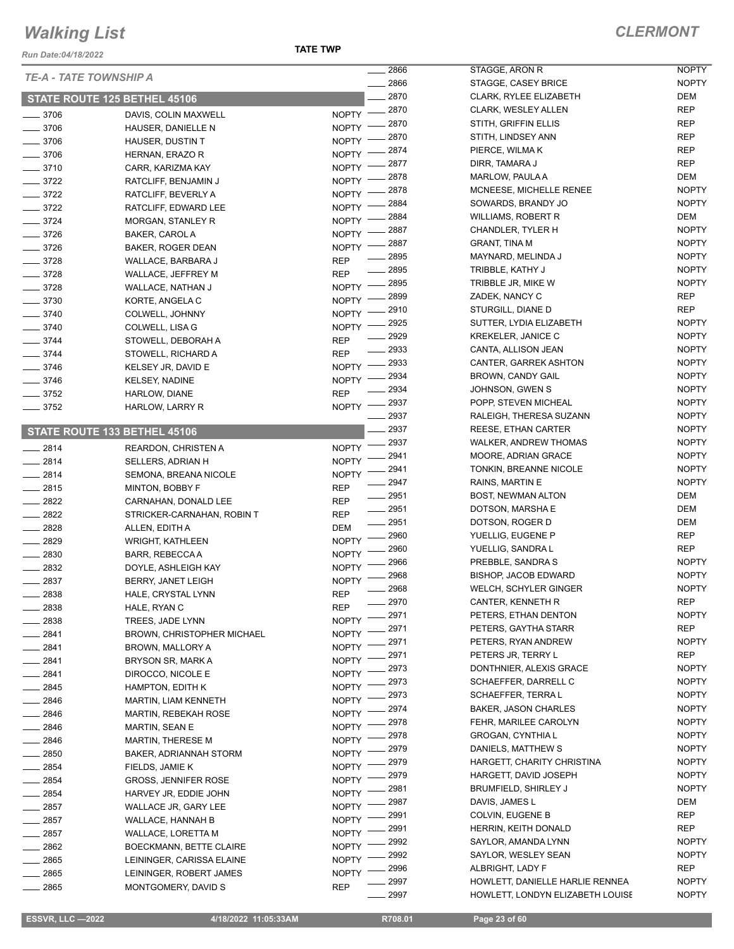*Run Date:04/18/2022*

#### **TATE TWP**

#### *CLERMONT*

| INUII DULG.VT/IU/LVLL            |                                                       | 2866                                 | STAGGE, ARON R                   | <b>NOPTY</b>        |
|----------------------------------|-------------------------------------------------------|--------------------------------------|----------------------------------|---------------------|
| TE-A - TATE TOWNSHIP A           |                                                       | 2866                                 | STAGGE, CASEY BRICE              | <b>NOPTY</b>        |
|                                  | STATE ROUTE 125 BETHEL 45106                          | 2870                                 | CLARK, RYLEE ELIZABETH           | <b>DEM</b>          |
| ____ 3706                        | DAVIS, COLIN MAXWELL                                  | 2870<br>$NOPTY$ ––                   | <b>CLARK, WESLEY ALLEN</b>       | <b>REP</b>          |
| $-3706$                          | HAUSER, DANIELLE N                                    | 2870<br><b>NOPTY</b>                 | STITH, GRIFFIN ELLIS             | <b>REP</b>          |
| $\frac{1}{2}$ 3706               | HAUSER, DUSTIN T                                      | 2870<br><b>NOPTY</b>                 | STITH, LINDSEY ANN               | <b>REP</b>          |
| $- 3706$                         | HERNAN, ERAZO R                                       | 2874<br><b>NOPTY</b>                 | PIERCE, WILMAK                   | <b>REP</b>          |
| $- 3710$                         | CARR, KARIZMA KAY                                     | 2877<br><b>NOPTY</b>                 | DIRR, TAMARA J                   | <b>REP</b>          |
| $\frac{3722}{2}$                 | RATCLIFF, BENJAMIN J                                  | 2878<br><b>NOPTY</b>                 | MARLOW, PAULA A                  | DEM                 |
| $- 3722$                         | RATCLIFF, BEVERLY A                                   | 2878<br><b>NOPTY</b>                 | MCNEESE, MICHELLE RENEE          | <b>NOPTY</b>        |
| $-3722$                          | RATCLIFF, EDWARD LEE                                  | 2884<br><b>NOPTY</b>                 | SOWARDS, BRANDY JO               | <b>NOPTY</b>        |
| $- 3724$                         | <b>MORGAN, STANLEY R</b>                              | 2884<br><b>NOPTY</b>                 | <b>WILLIAMS, ROBERT R</b>        | DEM                 |
| $- 3726$                         | BAKER, CAROL A                                        | 2887<br><b>NOPTY</b>                 | CHANDLER, TYLER H                | <b>NOPTY</b>        |
| $- 3726$                         | BAKER, ROGER DEAN                                     | 2887<br><b>NOPTY</b>                 | <b>GRANT, TINA M</b>             | <b>NOPTY</b>        |
| $- 3728$                         | WALLACE, BARBARA J                                    | 2895<br><b>REP</b>                   | MAYNARD, MELINDA J               | <b>NOPTY</b>        |
| $- 3728$                         | WALLACE, JEFFREY M                                    | 2895<br><b>REP</b>                   | TRIBBLE, KATHY J                 | <b>NOPTY</b>        |
| $- 3728$                         | WALLACE, NATHAN J                                     | 2895<br>$NOPTY$ –                    | TRIBBLE JR, MIKE W               | <b>NOPTY</b>        |
| $- 3730$                         | KORTE, ANGELA C                                       | 2899<br><b>NOPTY</b>                 | ZADEK, NANCY C                   | <b>REP</b>          |
| $- 3740$                         | COLWELL, JOHNNY                                       | 2910<br><b>NOPTY</b>                 | STURGILL, DIANE D                | <b>REP</b>          |
| $- 3740$                         | COLWELL, LISA G                                       | 2925<br><b>NOPTY</b>                 | SUTTER, LYDIA ELIZABETH          | <b>NOPTY</b>        |
| $\frac{1}{2}$ 3744               | STOWELL, DEBORAH A                                    | 2929<br><b>REP</b>                   | <b>KREKELER, JANICE C</b>        | <b>NOPTY</b>        |
| $- 3744$                         | STOWELL, RICHARD A                                    | 2933<br><b>REP</b>                   | CANTA, ALLISON JEAN              | <b>NOPTY</b>        |
| $- 3746$                         | KELSEY JR, DAVID E                                    | 2933<br><b>NOPTY</b>                 | <b>CANTER, GARREK ASHTON</b>     | <b>NOPTY</b>        |
| $-3746$                          | KELSEY, NADINE                                        | 2934<br><b>NOPTY</b>                 | BROWN, CANDY GAIL                | <b>NOPTY</b>        |
| $-3752$                          | HARLOW, DIANE                                         | 2934<br><b>REP</b>                   | JOHNSON, GWEN S                  | <b>NOPTY</b>        |
| $\frac{1}{2}$ 3752               | HARLOW, LARRY R                                       | 2937<br><b>NOPTY</b>                 | POPP, STEVEN MICHEAL             | <b>NOPTY</b>        |
|                                  |                                                       | 2937                                 | RALEIGH, THERESA SUZANN          | <b>NOPTY</b>        |
|                                  | STATE ROUTE 133 BETHEL 45106                          | 2937                                 | REESE, ETHAN CARTER              | <b>NOPTY</b>        |
| 2814<br>$\overline{\phantom{0}}$ | <b>REARDON, CHRISTEN A</b>                            | 2937<br><b>NOPTY</b>                 | <b>WALKER, ANDREW THOMAS</b>     | <b>NOPTY</b>        |
| $-2814$                          | SELLERS, ADRIAN H                                     | 2941<br><b>NOPTY</b>                 | MOORE, ADRIAN GRACE              | <b>NOPTY</b>        |
| 2814                             | SEMONA, BREANA NICOLE                                 | 2941<br><b>NOPTY</b>                 | TONKIN, BREANNE NICOLE           | <b>NOPTY</b>        |
| $-2815$                          | MINTON, BOBBY F                                       | 2947<br><b>REP</b>                   | RAINS, MARTIN E                  | <b>NOPTY</b>        |
| $-2822$                          | CARNAHAN, DONALD LEE                                  | 2951<br><b>REP</b>                   | <b>BOST, NEWMAN ALTON</b>        | DEM                 |
| $\frac{2822}{25}$                | STRICKER-CARNAHAN, ROBIN T                            | ____ 2951<br><b>REP</b>              | DOTSON, MARSHA E                 | <b>DEM</b>          |
| $-2828$                          | ALLEN, EDITH A                                        | $- 2951$<br><b>DEM</b>               | DOTSON, ROGER D                  | <b>DEM</b>          |
| $-2829$                          | WRIGHT, KATHLEEN                                      | 2960<br><b>NOPTY</b>                 | YUELLIG, EUGENE P                | <b>REP</b>          |
| $-2830$                          | BARR, REBECCA A                                       | 2960<br><b>NOPTY</b>                 | YUELLIG, SANDRA L                | <b>REP</b>          |
| 2832                             | DOYLE, ASHLEIGH KAY                                   | 2966<br><b>NOPTY</b>                 | PREBBLE, SANDRA S                | <b>NOPTY</b>        |
| 2837                             | BERRY, JANET LEIGH                                    | 2968<br><b>NOPTY</b>                 | <b>BISHOP, JACOB EDWARD</b>      | <b>NOPTY</b>        |
| 2838                             | HALE, CRYSTAL LYNN                                    | 2968<br><b>REP</b>                   | WELCH, SCHYLER GINGER            | <b>NOPTY</b>        |
| 2838                             | HALE, RYAN C                                          | 2970<br><b>REP</b>                   | CANTER, KENNETH R                | <b>REP</b>          |
| $-2838$                          |                                                       | 2971<br><b>NOPTY</b>                 | PETERS, ETHAN DENTON             | <b>NOPTY</b>        |
|                                  | TREES, JADE LYNN<br><b>BROWN, CHRISTOPHER MICHAEL</b> | 2971<br><b>NOPTY</b>                 | PETERS, GAYTHA STARR             | REP                 |
| $-2841$                          |                                                       | 2971                                 | PETERS, RYAN ANDREW              | <b>NOPTY</b>        |
| ____ 2841                        | BROWN, MALLORY A                                      | <b>NOPTY</b><br>2971<br><b>NOPTY</b> | PETERS JR, TERRY L               | REP                 |
| $-2841$                          | BRYSON SR, MARK A                                     | 2973                                 | DONTHNIER, ALEXIS GRACE          | <b>NOPTY</b>        |
| $-2841$                          | DIROCCO, NICOLE E                                     | <b>NOPTY</b><br>2973                 | SCHAEFFER, DARRELL C             | <b>NOPTY</b>        |
| $-2845$                          | <b>HAMPTON, EDITH K</b>                               | <b>NOPTY</b><br>2973                 | SCHAEFFER, TERRA L               | <b>NOPTY</b>        |
| $-2846$                          | <b>MARTIN, LIAM KENNETH</b>                           | <b>NOPTY</b><br>2974                 | <b>BAKER, JASON CHARLES</b>      | <b>NOPTY</b>        |
| ____ 2846                        | <b>MARTIN, REBEKAH ROSE</b>                           | <b>NOPTY</b><br>2978                 | FEHR, MARILEE CAROLYN            | <b>NOPTY</b>        |
| 2846                             | <b>MARTIN, SEAN E</b>                                 | <b>NOPTY</b><br>2978                 | GROGAN, CYNTHIA L                | <b>NOPTY</b>        |
| 2846                             | MARTIN, THERESE M                                     | <b>NOPTY</b><br>2979                 | DANIELS, MATTHEW S               | <b>NOPTY</b>        |
| $- 2850$                         | BAKER, ADRIANNAH STORM                                | <b>NOPTY</b><br>2979                 | HARGETT, CHARITY CHRISTINA       | <b>NOPTY</b>        |
| $-2854$                          | FIELDS, JAMIE K                                       | <b>NOPTY</b><br>2979                 | HARGETT, DAVID JOSEPH            | <b>NOPTY</b>        |
| $-2854$                          | <b>GROSS, JENNIFER ROSE</b>                           | <b>NOPTY</b><br>2981                 | <b>BRUMFIELD, SHIRLEY J</b>      | <b>NOPTY</b>        |
| $- 2854$                         | HARVEY JR, EDDIE JOHN                                 | <b>NOPTY</b><br>2987                 | DAVIS, JAMES L                   | DEM                 |
| 2857                             | WALLACE JR, GARY LEE                                  | <b>NOPTY</b><br>2991                 | COLVIN, EUGENE B                 | REP                 |
| $- 2857$                         | WALLACE, HANNAH B                                     | <b>NOPTY</b><br>2991                 | HERRIN, KEITH DONALD             | REP                 |
| 2857                             | WALLACE, LORETTA M                                    | <b>NOPTY</b><br>2992                 | SAYLOR, AMANDA LYNN              | <b>NOPTY</b>        |
| 2862                             | BOECKMANN, BETTE CLAIRE                               | <b>NOPTY</b>                         |                                  |                     |
| 2865                             | LEININGER, CARISSA ELAINE                             | 2992<br><b>NOPTY</b>                 | SAYLOR, WESLEY SEAN              | <b>NOPTY</b><br>REP |
| 2865                             | LEININGER, ROBERT JAMES                               | 2996<br><b>NOPTY</b>                 | ALBRIGHT, LADY F                 |                     |
| $-2865$                          | MONTGOMERY, DAVID S                                   | 2997<br><b>REP</b>                   | HOWLETT, DANIELLE HARLIE RENNEA  | <b>NOPTY</b>        |
|                                  |                                                       | 2997                                 | HOWLETT, LONDYN ELIZABETH LOUISE | <b>NOPTY</b>        |

 **ESSVR, LLC —2022 4/18/2022 11:05:33AM R708.01 Page 23 of 60**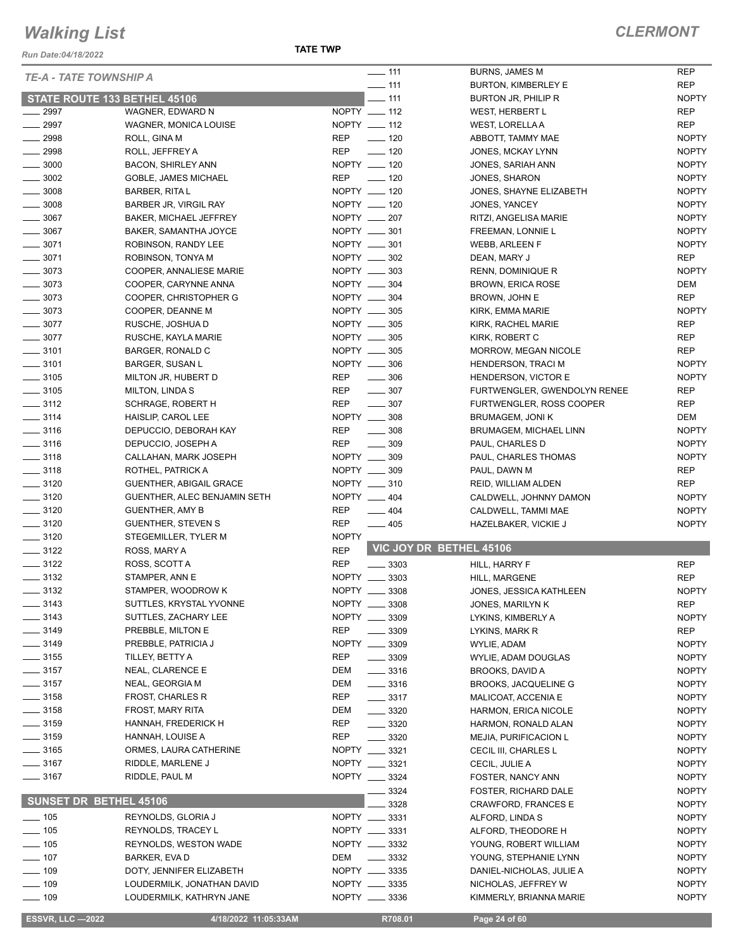*Run Date:04/18/2022*

**TATE TWP**

| <b>TE-A - TATE TOWNSHIP A</b> |                                     | $\frac{1}{2}$ 111                | <b>BURNS, JAMES M</b>         | <b>REP</b>   |
|-------------------------------|-------------------------------------|----------------------------------|-------------------------------|--------------|
|                               |                                     | $-111$                           | <b>BURTON, KIMBERLEY E</b>    | <b>REP</b>   |
|                               | <b>STATE ROUTE 133 BETHEL 45106</b> | $-111$                           | BURTON JR, PHILIP R           | <b>NOPTY</b> |
| $\frac{1}{2997}$              | WAGNER, EDWARD N                    | NOPTY _____ 112                  | WEST, HERBERT L               | REP          |
| $- 2997$                      | WAGNER, MONICA LOUISE               | NOPTY __ 112                     | WEST, LORELLA A               | <b>REP</b>   |
| $-2998$                       | ROLL, GINA M                        | REP<br>$- 120$                   | ABBOTT, TAMMY MAE             | <b>NOPTY</b> |
| $-2998$                       | ROLL, JEFFREY A                     | $\frac{1}{2}$ 120<br>REP         | JONES, MCKAY LYNN             | <b>NOPTY</b> |
| $\frac{1}{2}$ 3000            | <b>BACON, SHIRLEY ANN</b>           | NOPTY __ 120                     | JONES, SARIAH ANN             | <b>NOPTY</b> |
| $\frac{1}{2}$ 3002            | GOBLE, JAMES MICHAEL                | <b>REP</b><br>$\frac{1}{2}$ 120  | JONES, SHARON                 | <b>NOPTY</b> |
| $\frac{1}{2}$ 3008            | <b>BARBER, RITA L</b>               | NOPTY __ 120                     | JONES, SHAYNE ELIZABETH       | <b>NOPTY</b> |
| $\frac{1}{2}$ 3008            | BARBER JR, VIRGIL RAY               | NOPTY __ 120                     | JONES, YANCEY                 | <b>NOPTY</b> |
| $\frac{1}{2}$ 3067            | <b>BAKER, MICHAEL JEFFREY</b>       | NOPTY __ 207                     | RITZI, ANGELISA MARIE         | <b>NOPTY</b> |
| $- 3067$                      | BAKER, SAMANTHA JOYCE               | NOPTY __ 301                     | FREEMAN, LONNIE L             | <b>NOPTY</b> |
| $\frac{1}{2}$ 3071            | ROBINSON, RANDY LEE                 | NOPTY __ 301                     | <b>WEBB, ARLEEN F</b>         | <b>NOPTY</b> |
| $- 3071$                      | ROBINSON, TONYA M                   | NOPTY __ 302                     | DEAN, MARY J                  | <b>REP</b>   |
| $\frac{1}{2}$ 3073            | COOPER, ANNALIESE MARIE             | NOPTY __ 303                     | RENN, DOMINIQUE R             | <b>NOPTY</b> |
| $\frac{1}{2}$ 3073            | COOPER, CARYNNE ANNA                | NOPTY __ 304                     | <b>BROWN, ERICA ROSE</b>      | DEM          |
| $\frac{1}{2}$ 3073            | COOPER, CHRISTOPHER G               | NOPTY __ 304                     |                               | <b>REP</b>   |
|                               |                                     |                                  | BROWN, JOHN E                 |              |
| $\frac{1}{2}$ 3073            | COOPER, DEANNE M                    | NOPTY __ 305                     | KIRK, EMMA MARIE              | <b>NOPTY</b> |
| $- 3077$                      | RUSCHE, JOSHUA D                    | NOPTY __ 305                     | KIRK, RACHEL MARIE            | <b>REP</b>   |
| $-3077$                       | RUSCHE, KAYLA MARIE                 | NOPTY __ 305                     | KIRK, ROBERT C                | <b>REP</b>   |
| $\frac{1}{2}$ 3101            | BARGER, RONALD C                    | NOPTY __ 305                     | <b>MORROW, MEGAN NICOLE</b>   | REP          |
| $\frac{1}{2}$ 3101            | <b>BARGER, SUSAN L</b>              | NOPTY __ 306                     | <b>HENDERSON, TRACI M</b>     | <b>NOPTY</b> |
| $\frac{1}{2}$ 3105            | MILTON JR, HUBERT D                 | REP<br>$\frac{1}{2}$ 306         | HENDERSON, VICTOR E           | <b>NOPTY</b> |
| $\frac{1}{2}$ 3105            | <b>MILTON, LINDAS</b>               | REP<br>$\frac{1}{2}$ 307         | FURTWENGLER, GWENDOLYN RENEE  | REP          |
| $\frac{1}{2}$ 3112            | <b>SCHRAGE, ROBERT H</b>            | REP<br>$- 307$                   | FURTWENGLER, ROSS COOPER      | <b>REP</b>   |
| $\frac{1}{2}$ 3114            | HAISLIP, CAROL LEE                  | NOPTY __ 308                     | BRUMAGEM, JONI K              | DEM          |
| $\frac{1}{2}$ 3116            | DEPUCCIO, DEBORAH KAY               | <b>REP</b><br>$\frac{1}{2}$ 308  | <b>BRUMAGEM, MICHAEL LINN</b> | <b>NOPTY</b> |
| $- 3116$                      | DEPUCCIO, JOSEPH A                  | <b>REP</b><br>$\frac{1}{2}$ 309  | PAUL, CHARLES D               | <b>NOPTY</b> |
| $\frac{1}{2}$ 3118            | CALLAHAN, MARK JOSEPH               | NOPTY __ 309                     | PAUL, CHARLES THOMAS          | <b>NOPTY</b> |
| $- 3118$                      | ROTHEL, PATRICK A                   | NOPTY __ 309                     | PAUL, DAWN M                  | <b>REP</b>   |
| $\frac{1}{2}$ 3120            | GUENTHER, ABIGAIL GRACE             | NOPTY __ 310                     | REID, WILLIAM ALDEN           | <b>REP</b>   |
| $\frac{1}{2}$ 3120            | GUENTHER, ALEC BENJAMIN SETH        | NOPTY __ 404                     | CALDWELL, JOHNNY DAMON        | <b>NOPTY</b> |
| $\frac{1}{2}$ 3120            | <b>GUENTHER, AMY B</b>              | REP<br>$-404$                    | CALDWELL, TAMMI MAE           | <b>NOPTY</b> |
| $\frac{1}{2}$ 3120            |                                     | <b>REP</b><br>$\frac{1}{2}$ 405  |                               | <b>NOPTY</b> |
|                               | <b>GUENTHER, STEVEN S</b>           |                                  | HAZELBAKER, VICKIE J          |              |
| $\frac{1}{2}$ 3120            | STEGEMILLER, TYLER M                | <b>NOPTY</b>                     | VIC JOY DR BETHEL 45106       |              |
| $- 3122$                      | ROSS, MARY A                        | <b>REP</b>                       |                               |              |
| $- 3122$                      | ROSS, SCOTT A                       | <b>REP</b><br>$\frac{1}{2}$ 3303 | HILL, HARRY F                 | <b>REP</b>   |
| $\frac{1}{2}$ 3132            | STAMPER, ANN E                      | NOPTY __ 3303                    | HILL, MARGENE                 | <b>REP</b>   |
| $- 3132$                      | STAMPER, WOODROW K                  | NOPTY __ 3308                    | JONES, JESSICA KATHLEEN       | <b>NOPTY</b> |
| $\frac{1}{2}$ 3143            | SUTTLES, KRYSTAL YVONNE             | NOPTY __ 3308                    | JONES, MARILYN K              | <b>REP</b>   |
| $\frac{1}{2}$ 3143            | SUTTLES, ZACHARY LEE                | NOPTY ___<br>3309                | LYKINS, KIMBERLY A            | <b>NOPTY</b> |
| $\frac{1}{2}$ 3149            | PREBBLE, MILTON E                   | <b>REP</b><br>3309               | LYKINS, MARK R                | REP          |
| $\frac{1}{2}$ 3149            | PREBBLE, PATRICIA J                 | NOPTY __ 3309                    | WYLIE, ADAM                   | <b>NOPTY</b> |
| $\frac{1}{2}$ 3155            | TILLEY, BETTY A                     | REP<br>$\frac{1}{2}$ 3309        | WYLIE, ADAM DOUGLAS           | <b>NOPTY</b> |
| $- 3157$                      | NEAL, CLARENCE E                    | DEM<br>$\frac{1}{2}$ 3316        | BROOKS, DAVID A               | <b>NOPTY</b> |
| $\frac{1}{2}$ 3157            | NEAL, GEORGIA M                     | DEM<br>$\frac{3316}{2}$          | <b>BROOKS, JACQUELINE G</b>   | <b>NOPTY</b> |
| $\frac{1}{2}$ 3158            | <b>FROST, CHARLES R</b>             | <b>REP</b><br>$\frac{3317}{2}$   | MALICOAT, ACCENIA E           | <b>NOPTY</b> |
| $\frac{1}{2}$ 3158            | FROST, MARY RITA                    | DEM<br>$\frac{1}{2}$ 3320        | HARMON, ERICA NICOLE          | <b>NOPTY</b> |
| $\frac{1}{2}$ 3159            | HANNAH, FREDERICK H                 | REP<br>$\frac{1}{2}$ 3320        | HARMON, RONALD ALAN           | <b>NOPTY</b> |
| $\frac{1}{2}$ 3159            | HANNAH, LOUISE A                    | REP<br>$\frac{1}{2}$ 3320        | MEJIA, PURIFICACION L         | <b>NOPTY</b> |
| $\frac{1}{2}$ 3165            | ORMES, LAURA CATHERINE              | NOPTY __<br>3321                 |                               |              |
|                               |                                     |                                  | CECIL III, CHARLES L          | NOPTY        |
| $- 3167$                      | RIDDLE, MARLENE J                   | NOPTY __ 3321                    | CECIL, JULIE A                | <b>NOPTY</b> |
| $\frac{1}{2}$ 3167            | RIDDLE, PAUL M                      | NOPTY __ 3324                    | FOSTER, NANCY ANN             | <b>NOPTY</b> |
| <b>SUNSET DR BETHEL 45106</b> |                                     | 3324                             | FOSTER, RICHARD DALE          | <b>NOPTY</b> |
|                               |                                     | 3328                             | <b>CRAWFORD, FRANCES E</b>    | <b>NOPTY</b> |
| $- 105$                       | REYNOLDS, GLORIA J                  | NOPTY __ 3331                    | ALFORD, LINDA S               | <b>NOPTY</b> |
| $\frac{1}{2}$ 105             | REYNOLDS, TRACEY L                  | NOPTY __ 3331                    | ALFORD, THEODORE H            | <b>NOPTY</b> |
| $\frac{1}{2}$ 105             | REYNOLDS, WESTON WADE               | NOPTY __ 3332                    | YOUNG, ROBERT WILLIAM         | <b>NOPTY</b> |
| $\rule{1.5ex}{0.1ex}\n 2.107$ | BARKER, EVA D                       | $\frac{1}{2}$ 3332<br>DEM        | YOUNG, STEPHANIE LYNN         | <b>NOPTY</b> |
| $- 109$                       | DOTY, JENNIFER ELIZABETH            | NOPTY __ 3335                    | DANIEL-NICHOLAS, JULIE A      | <b>NOPTY</b> |
| $- 109$                       | LOUDERMILK, JONATHAN DAVID          | NOPTY __ 3335                    | NICHOLAS, JEFFREY W           | <b>NOPTY</b> |
| —— 109                        | LOUDERMILK, KATHRYN JANE            | NOPTY __ 3336                    | KIMMERLY, BRIANNA MARIE       | <b>NOPTY</b> |
|                               |                                     |                                  |                               |              |

 **ESSVR, LLC —2022 4/18/2022 11:05:33AM R708.01 Page 24 of 60**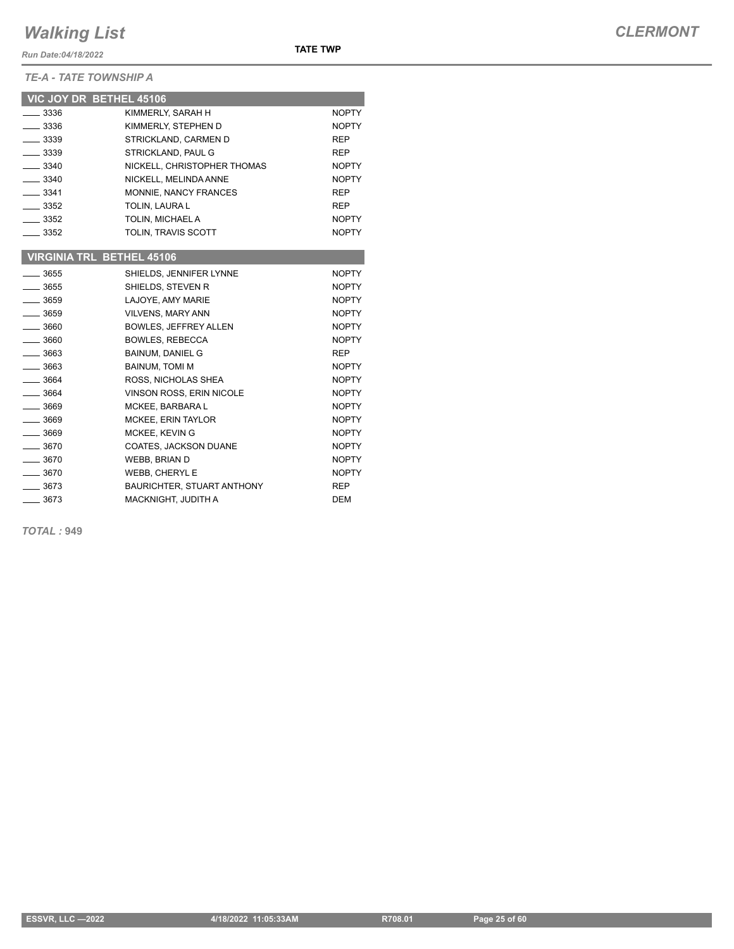*Run Date:04/18/2022*

*TE-A - TATE TOWNSHIP A*

|               | VIC JOY DR BETHEL 45106          |              |
|---------------|----------------------------------|--------------|
| $- 3336$      | KIMMERLY, SARAH H                | <b>NOPTY</b> |
| $\equiv$ 3336 | KIMMERLY, STEPHEN D              | <b>NOPTY</b> |
| $- 3339$      | STRICKLAND, CARMEN D             | <b>REP</b>   |
| $-3339$       | STRICKLAND, PAUL G               | <b>REP</b>   |
| $-3340$       | NICKELL, CHRISTOPHER THOMAS      | <b>NOPTY</b> |
| $-3340$       | NICKELL, MELINDA ANNE            | <b>NOPTY</b> |
| $-3341$       | MONNIE, NANCY FRANCES            | <b>REP</b>   |
| $- 3352$      | TOLIN, LAURA L                   | <b>REP</b>   |
| $-3352$       | TOLIN, MICHAEL A                 | <b>NOPTY</b> |
| $-3352$       | TOLIN, TRAVIS SCOTT              | <b>NOPTY</b> |
|               |                                  |              |
|               | <b>VIRGINIA TRL BETHEL 45106</b> |              |
| $-3655$       | SHIELDS, JENNIFER LYNNE          | <b>NOPTY</b> |
| $-3655$       | SHIELDS, STEVEN R                | <b>NOPTY</b> |
| $-3659$       | LAJOYE, AMY MARIE                | <b>NOPTY</b> |
| $-3659$       | <b>VILVENS, MARY ANN</b>         | <b>NOPTY</b> |
| $-3660$       | <b>BOWLES, JEFFREY ALLEN</b>     | <b>NOPTY</b> |
| $-3660$       | <b>BOWLES, REBECCA</b>           | <b>NOPTY</b> |
| $-3663$       | <b>BAINUM, DANIEL G</b>          | <b>REP</b>   |
| $\equiv$ 3663 | <b>BAINUM, TOMI M</b>            | <b>NOPTY</b> |
| $-3664$       | ROSS, NICHOLAS SHEA              | <b>NOPTY</b> |
| $-3664$       | VINSON ROSS, ERIN NICOLE         | <b>NOPTY</b> |
| $-3669$       | MCKEE, BARBARA L                 | <b>NOPTY</b> |
| $- 3669$      | MCKEE, ERIN TAYLOR               | <b>NOPTY</b> |
| $-3669$       | MCKEE, KEVIN G                   | <b>NOPTY</b> |
| $-3670$       | COATES, JACKSON DUANE            | <b>NOPTY</b> |
| $-3670$       | <b>WEBB, BRIAN D</b>             | <b>NOPTY</b> |
| $-3670$       | WEBB, CHERYL E                   | <b>NOPTY</b> |
| $-3673$       | BAURICHTER, STUART ANTHONY       | <b>REP</b>   |
| 3673          | MACKNIGHT, JUDITH A              | <b>DEM</b>   |

*TOTAL :* **949**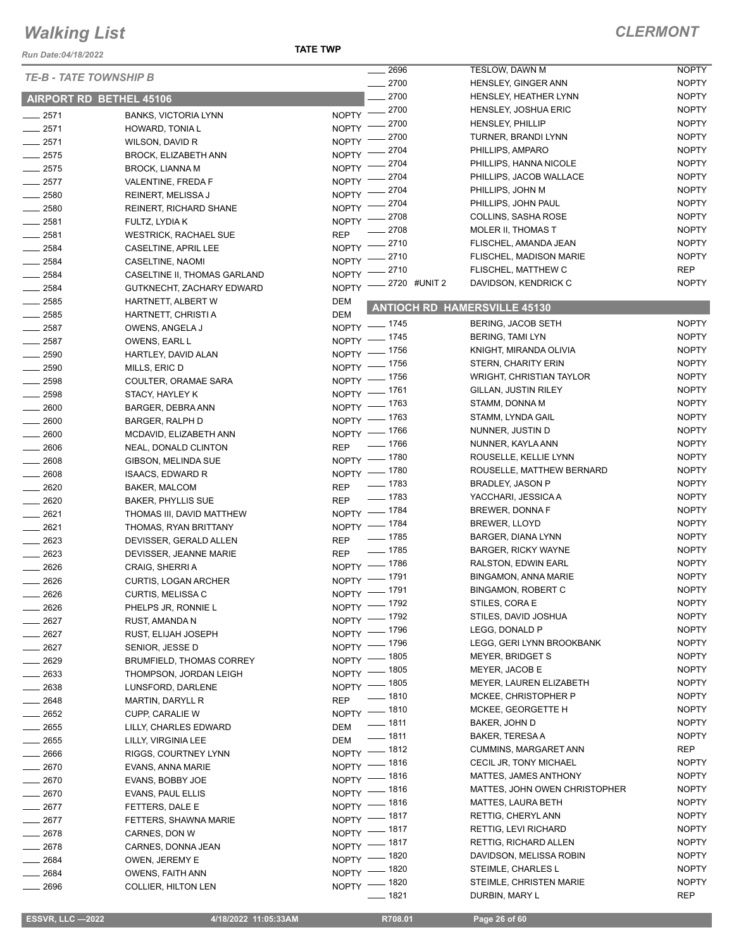*Run Date:04/18/2022*

| <b>TE-B - TATE TOWNSHIP B</b> |                                                           |                    | 2696                     | TESLOW, DAWN M                                     | <b>NOPTY</b>                 |
|-------------------------------|-----------------------------------------------------------|--------------------|--------------------------|----------------------------------------------------|------------------------------|
|                               |                                                           |                    | 2700                     | HENSLEY, GINGER ANN                                | <b>NOPTY</b>                 |
|                               | <b>AIRPORT RD BETHEL 45106</b>                            |                    | 2700                     | HENSLEY, HEATHER LYNN                              | <b>NOPTY</b>                 |
| 2571                          | <b>BANKS, VICTORIA LYNN</b>                               |                    | NOPTY -2700              | HENSLEY, JOSHUA ERIC                               | <b>NOPTY</b>                 |
| 2571                          | HOWARD, TONIA L                                           | $NOPTY$ –          | 2700                     | <b>HENSLEY, PHILLIP</b>                            | <b>NOPTY</b>                 |
| 2571                          | WILSON, DAVID R                                           | $N$ OPTY -         | $=2700$                  | TURNER, BRANDI LYNN                                | <b>NOPTY</b>                 |
| 2575                          | <b>BROCK, ELIZABETH ANN</b>                               | NOPTY <sup>-</sup> | 2704                     | PHILLIPS, AMPARO                                   | <b>NOPTY</b>                 |
| 2575                          | <b>BROCK, LIANNA M</b>                                    | NOPTY <sup>-</sup> | 2704                     | PHILLIPS, HANNA NICOLE                             | <b>NOPTY</b>                 |
| 2577                          | VALENTINE, FREDA F                                        | NOPTY -            | 2704                     | PHILLIPS, JACOB WALLACE                            | <b>NOPTY</b>                 |
| 2580                          | REINERT, MELISSA J                                        | NOPTY -            | 2704                     | PHILLIPS, JOHN M                                   | <b>NOPTY</b>                 |
| 2580                          | <b>REINERT, RICHARD SHANE</b>                             | NOPTY $^-$         | 2704                     | PHILLIPS, JOHN PAUL                                | <b>NOPTY</b>                 |
| 2581                          | FULTZ, LYDIA K                                            | $NOPTY =$          | _ 2708                   | COLLINS, SASHA ROSE                                | <b>NOPTY</b>                 |
| 2581                          | <b>WESTRICK, RACHAEL SUE</b>                              | <b>REP</b>         | 2708                     | MOLER II, THOMAS T                                 | <b>NOPTY</b>                 |
| 2584                          | CASELTINE, APRIL LEE                                      | <b>NOPTY</b>       | .2710                    | FLISCHEL, AMANDA JEAN                              | <b>NOPTY</b>                 |
| 2584                          | CASELTINE, NAOMI                                          | NOPTY -            | 2710                     | <b>FLISCHEL, MADISON MARIE</b>                     | <b>NOPTY</b><br><b>REP</b>   |
| 2584                          | CASELTINE II, THOMAS GARLAND                              | NOPTY <sup>-</sup> | 2710                     | FLISCHEL, MATTHEW C                                |                              |
| 2584                          | GUTKNECHT, ZACHARY EDWARD                                 | $NOPTY$ –          | _ 2720 #UNIT 2           | DAVIDSON, KENDRICK C                               | <b>NOPTY</b>                 |
| 2585                          | HARTNETT, ALBERT W                                        | <b>DEM</b>         |                          | <b>ANTIOCH RD HAMERSVILLE 45130</b>                |                              |
| 2585                          | HARTNETT, CHRISTI A                                       | <b>DEM</b>         |                          |                                                    |                              |
| 2587                          | OWENS, ANGELA J                                           |                    | NOPTY - 1745             | BERING, JACOB SETH                                 | <b>NOPTY</b>                 |
| 2587                          | OWENS, EARL L                                             |                    | NOPTY - 1745             | <b>BERING, TAMI LYN</b>                            | <b>NOPTY</b>                 |
| 2590                          | HARTLEY, DAVID ALAN                                       |                    | NOPTY - 1756             | KNIGHT, MIRANDA OLIVIA                             | <b>NOPTY</b>                 |
| 2590                          | MILLS, ERIC D                                             |                    | NOPTY - 1756             | <b>STERN, CHARITY ERIN</b>                         | <b>NOPTY</b>                 |
| 2598                          | COULTER, ORAMAE SARA                                      |                    | NOPTY - 1756             | <b>WRIGHT, CHRISTIAN TAYLOR</b>                    | <b>NOPTY</b>                 |
| 2598                          | STACY, HAYLEY K                                           |                    | NOPTY - 1761             | <b>GILLAN, JUSTIN RILEY</b>                        | <b>NOPTY</b>                 |
| 2600                          | BARGER, DEBRA ANN                                         |                    | NOPTY - 1763             | STAMM, DONNA M                                     | <b>NOPTY</b>                 |
| 2600                          | <b>BARGER, RALPH D</b>                                    |                    | NOPTY - 1763             | STAMM, LYNDA GAIL                                  | <b>NOPTY</b><br><b>NOPTY</b> |
| 2600                          | MCDAVID, ELIZABETH ANN                                    |                    | NOPTY - 1766<br>$- 1766$ | NUNNER, JUSTIN D                                   | <b>NOPTY</b>                 |
| 2606                          | NEAL, DONALD CLINTON                                      | <b>REP</b>         |                          | NUNNER, KAYLA ANN                                  | <b>NOPTY</b>                 |
| 2608                          | GIBSON, MELINDA SUE                                       |                    | NOPTY - 1780             | ROUSELLE, KELLIE LYNN<br>ROUSELLE, MATTHEW BERNARD | <b>NOPTY</b>                 |
| 2608                          | <b>ISAACS, EDWARD R</b>                                   |                    | NOPTY - 1780             | <b>BRADLEY, JASON P</b>                            | <b>NOPTY</b>                 |
| 2620                          | BAKER, MALCOM                                             | <b>REP</b>         | $- 1783$<br>$- 1783$     |                                                    | <b>NOPTY</b>                 |
| 2620                          | <b>BAKER, PHYLLIS SUE</b>                                 | <b>REP</b>         |                          | YACCHARI, JESSICA A<br>BREWER, DONNA F             | <b>NOPTY</b>                 |
| 2621                          | THOMAS III, DAVID MATTHEW                                 |                    | NOPTY - 1784             | BREWER, LLOYD                                      | <b>NOPTY</b>                 |
| 2621                          | THOMAS, RYAN BRITTANY                                     |                    | NOPTY - 1784<br>$- 1785$ | BARGER, DIANA LYNN                                 | <b>NOPTY</b>                 |
| 2623                          | DEVISSER, GERALD ALLEN                                    | <b>REP</b>         | $- 1785$                 | <b>BARGER, RICKY WAYNE</b>                         | <b>NOPTY</b>                 |
| 2623                          | DEVISSER, JEANNE MARIE                                    | <b>REP</b>         | NOPTY - 1786             | RALSTON, EDWIN EARL                                | <b>NOPTY</b>                 |
| 2626                          | CRAIG, SHERRI A                                           |                    | NOPTY - 1791             | <b>BINGAMON, ANNA MARIE</b>                        | <b>NOPTY</b>                 |
| 2626                          | <b>CURTIS, LOGAN ARCHER</b>                               |                    | NOPTY - 1791             | <b>BINGAMON, ROBERT C</b>                          | <b>NOPTY</b>                 |
| 2626                          | CURTIS, MELISSA C                                         |                    | NOPTY - 1792             | STILES, CORA E                                     | <b>NOPTY</b>                 |
| 2626                          | PHELPS JR, RONNIE L                                       |                    | NOPTY - 1792             | STILES, DAVID JOSHUA                               | <b>NOPTY</b>                 |
| 2627                          | RUST, AMANDA N                                            |                    | NOPTY - 1796             | LEGG, DONALD P                                     | <b>NOPTY</b>                 |
| 2627                          | RUST, ELIJAH JOSEPH                                       |                    | NOPTY - 1796             | LEGG, GERI LYNN BROOKBANK                          | <b>NOPTY</b>                 |
| 2627                          | SENIOR, JESSE D                                           |                    | NOPTY - 1805             | <b>MEYER, BRIDGET S</b>                            | <b>NOPTY</b>                 |
| 2629                          | <b>BRUMFIELD, THOMAS CORREY</b><br>THOMPSON, JORDAN LEIGH |                    | NOPTY - 1805             | MEYER, JACOB E                                     | <b>NOPTY</b>                 |
| 2633<br>2638                  |                                                           |                    | NOPTY - 1805             | MEYER, LAUREN ELIZABETH                            | <b>NOPTY</b>                 |
| 2648                          | LUNSFORD, DARLENE<br><b>MARTIN, DARYLL R</b>              | <b>REP</b>         | $- 1810$                 | MCKEE, CHRISTOPHER P                               | <b>NOPTY</b>                 |
| 2652                          | CUPP, CARALIE W                                           |                    | NOPTY - 1810             | MCKEE, GEORGETTE H                                 | <b>NOPTY</b>                 |
| 2655                          | LILLY, CHARLES EDWARD                                     | DEM                | $- 1811$                 | BAKER, JOHN D                                      | <b>NOPTY</b>                 |
| 2655                          | LILLY, VIRGINIA LEE                                       | DEM                | $- 1811$                 | BAKER, TERESA A                                    | <b>NOPTY</b>                 |
| 2666                          | RIGGS, COURTNEY LYNN                                      |                    | NOPTY - 1812             | <b>CUMMINS, MARGARET ANN</b>                       | <b>REP</b>                   |
| 2670                          | EVANS, ANNA MARIE                                         |                    | NOPTY - 1816             | CECIL JR, TONY MICHAEL                             | <b>NOPTY</b>                 |
| 2670                          | EVANS, BOBBY JOE                                          |                    | NOPTY - 1816             | MATTES, JAMES ANTHONY                              | <b>NOPTY</b>                 |
| 2670                          | EVANS, PAUL ELLIS                                         |                    | NOPTY - 1816             | MATTES, JOHN OWEN CHRISTOPHER                      | <b>NOPTY</b>                 |
| 2677                          | FETTERS, DALE E                                           |                    | NOPTY - 1816             | MATTES, LAURA BETH                                 | <b>NOPTY</b>                 |
| 2677                          | FETTERS, SHAWNA MARIE                                     |                    | NOPTY - 1817             | RETTIG, CHERYL ANN                                 | <b>NOPTY</b>                 |
| 2678                          | CARNES, DON W                                             |                    | NOPTY - 1817             | RETTIG, LEVI RICHARD                               | <b>NOPTY</b>                 |
| 2678                          | CARNES, DONNA JEAN                                        |                    | NOPTY - 1817             | RETTIG, RICHARD ALLEN                              | <b>NOPTY</b>                 |
| 2684                          | OWEN, JEREMY E                                            |                    | NOPTY - 1820             | DAVIDSON, MELISSA ROBIN                            | <b>NOPTY</b>                 |
| 2684                          | <b>OWENS, FAITH ANN</b>                                   |                    | NOPTY - 1820             | STEIMLE, CHARLES L                                 | <b>NOPTY</b>                 |
| 2696                          | <b>COLLIER, HILTON LEN</b>                                |                    | NOPTY - 1820             | STEIMLE, CHRISTEN MARIE                            | <b>NOPTY</b>                 |
|                               |                                                           |                    | $-1821$                  | DURBIN, MARY L                                     | <b>REP</b>                   |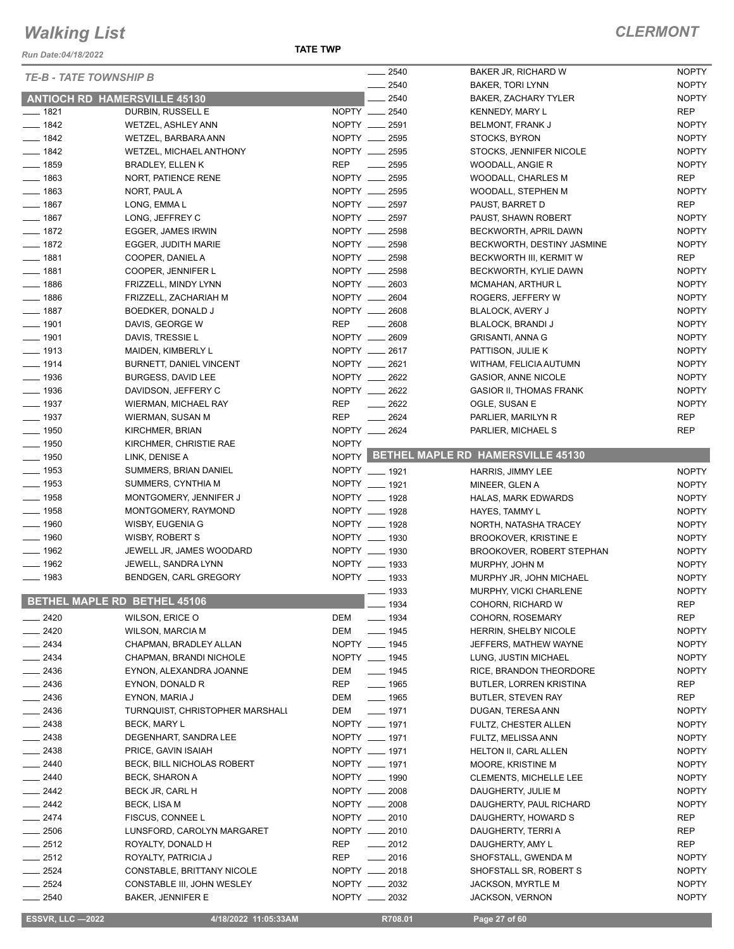*Run Date:04/18/2022*

|                                          |                                                        | $\overline{\phantom{a}}$       | 2540               | BAKER JR, RICHARD W                         | <b>NOPTY</b>                 |
|------------------------------------------|--------------------------------------------------------|--------------------------------|--------------------|---------------------------------------------|------------------------------|
|                                          | <b>TE-B - TATE TOWNSHIP B</b>                          |                                | 2540               | <b>BAKER, TORI LYNN</b>                     | <b>NOPTY</b>                 |
|                                          | <b>ANTIOCH RD HAMERSVILLE 45130</b>                    |                                | $-2540$            | <b>BAKER, ZACHARY TYLER</b>                 | <b>NOPTY</b>                 |
| $- 1821$                                 | DURBIN, RUSSELL E                                      | NOPTY __ 2540                  |                    | <b>KENNEDY, MARY L</b>                      | <b>REP</b>                   |
| $- 1842$                                 | <b>WETZEL, ASHLEY ANN</b>                              | NOPTY __ 2591                  |                    | BELMONT, FRANK J                            | <b>NOPTY</b>                 |
| $- 1842$                                 | WETZEL, BARBARA ANN                                    | NOPTY __ 2595                  |                    | STOCKS, BYRON                               | <b>NOPTY</b>                 |
| $- 1842$                                 | WETZEL, MICHAEL ANTHONY                                | NOPTY __ 2595                  |                    | STOCKS, JENNIFER NICOLE                     | <b>NOPTY</b>                 |
| $\frac{1}{2}$ 1859                       | <b>BRADLEY, ELLEN K</b>                                | REP<br>$\frac{1}{2595}$        |                    | WOODALL, ANGIE R                            | <b>NOPTY</b>                 |
| $- 1863$                                 | NORT, PATIENCE RENE                                    | NOPTY __ 2595                  |                    |                                             | <b>REP</b>                   |
|                                          |                                                        |                                |                    | WOODALL, CHARLES M                          | <b>NOPTY</b>                 |
| $- 1863$                                 | NORT, PAUL A                                           | NOPTY __ 2595                  |                    | WOODALL, STEPHEN M                          |                              |
| $- 1867$                                 | LONG, EMMA L                                           | NOPTY __ 2597<br>NOPTY __ 2597 |                    | PAUST, BARRET D                             | <b>REP</b>                   |
| $- 1867$                                 | LONG, JEFFREY C                                        |                                |                    | PAUST, SHAWN ROBERT                         | <b>NOPTY</b>                 |
| $- 1872$                                 | EGGER, JAMES IRWIN                                     | NOPTY __ 2598                  |                    | BECKWORTH, APRIL DAWN                       | <b>NOPTY</b>                 |
| $- 1872$                                 | EGGER, JUDITH MARIE                                    | NOPTY __ 2598                  |                    | BECKWORTH, DESTINY JASMINE                  | <b>NOPTY</b>                 |
| $- 1881$                                 | COOPER, DANIEL A                                       | NOPTY __ 2598                  |                    | BECKWORTH III, KERMIT W                     | REP                          |
| $- 1881$                                 | COOPER, JENNIFER L                                     | NOPTY __ 2598                  |                    | BECKWORTH, KYLIE DAWN                       | <b>NOPTY</b>                 |
| $- 1886$                                 | FRIZZELL, MINDY LYNN                                   | NOPTY __ 2603                  |                    | <b>MCMAHAN, ARTHUR L</b>                    | <b>NOPTY</b>                 |
| $- 1886$                                 | FRIZZELL, ZACHARIAH M                                  | NOPTY __ 2604                  |                    | ROGERS, JEFFERY W                           | <b>NOPTY</b>                 |
| $- 1887$                                 | BOEDKER, DONALD J                                      | NOPTY __ 2608                  |                    | BLALOCK, AVERY J                            | <b>NOPTY</b>                 |
| $- 1901$                                 | DAVIS, GEORGE W                                        | <b>REP</b><br>$\frac{1}{2608}$ |                    | BLALOCK, BRANDI J                           | <b>NOPTY</b>                 |
| $- 1901$                                 | DAVIS, TRESSIE L                                       | NOPTY __ 2609                  |                    | <b>GRISANTI, ANNA G</b>                     | <b>NOPTY</b>                 |
| $- 1913$                                 | MAIDEN, KIMBERLY L                                     | NOPTY __ 2617                  |                    | PATTISON, JULIE K                           | <b>NOPTY</b>                 |
| $- 1914$                                 | BURNETT, DANIEL VINCENT                                | NOPTY __ 2621                  |                    | WITHAM, FELICIA AUTUMN                      | <b>NOPTY</b>                 |
| $\frac{1}{2}$ 1936                       | BURGESS, DAVID LEE                                     | NOPTY __ 2622                  |                    | <b>GASIOR, ANNE NICOLE</b>                  | <b>NOPTY</b>                 |
| $- 1936$                                 | DAVIDSON, JEFFERY C                                    | NOPTY __ 2622                  |                    | <b>GASIOR II, THOMAS FRANK</b>              | <b>NOPTY</b>                 |
| $- 1937$                                 | WIERMAN, MICHAEL RAY                                   | REP                            | $-2622$            | OGLE, SUSAN E                               | <b>NOPTY</b>                 |
| $- 1937$                                 | WIERMAN, SUSAN M                                       | <b>REP</b>                     | $\frac{1}{2624}$   | PARLIER, MARILYN R                          | <b>REP</b>                   |
| $\frac{1}{2}$ 1950                       | KIRCHMER, BRIAN                                        | NOPTY __ 2624                  |                    | PARLIER, MICHAEL S                          | <b>REP</b>                   |
| $- 1950$                                 | KIRCHMER, CHRISTIE RAE                                 | <b>NOPTY</b>                   |                    |                                             |                              |
| $- 1950$                                 | LINK, DENISE A                                         |                                |                    | NOPTY BETHEL MAPLE RD HAMERSVILLE 45130     |                              |
| $- 1953$                                 | SUMMERS, BRIAN DANIEL                                  | NOPTY __ 1921                  |                    | HARRIS, JIMMY LEE                           | <b>NOPTY</b>                 |
| $- 1953$                                 | SUMMERS, CYNTHIA M                                     | NOPTY __ 1921                  |                    | MINEER, GLEN A                              | <b>NOPTY</b>                 |
| $\frac{1}{2}$ 1958                       | MONTGOMERY, JENNIFER J                                 | NOPTY __ 1928                  |                    |                                             | <b>NOPTY</b>                 |
| $\frac{1}{2}$ 1958                       | MONTGOMERY, RAYMOND                                    | NOPTY __ 1928                  |                    | HALAS, MARK EDWARDS                         |                              |
| $- 1960$                                 | WISBY, EUGENIA G                                       |                                |                    | HAYES, TAMMY L                              | <b>NOPTY</b>                 |
|                                          |                                                        | NOPTY __ 1928                  |                    | NORTH, NATASHA TRACEY                       | <b>NOPTY</b>                 |
| $- 1960$                                 | WISBY, ROBERT S                                        | NOPTY __ 1930                  |                    | <b>BROOKOVER, KRISTINE E</b>                | <b>NOPTY</b>                 |
| $- 1962$                                 | JEWELL JR, JAMES WOODARD                               | NOPTY __ 1930                  |                    | <b>BROOKOVER, ROBERT STEPHAN</b>            | <b>NOPTY</b>                 |
| $- 1962$                                 | JEWELL, SANDRA LYNN                                    | NOPTY __ 1933<br>NOPTY __ 1933 |                    | MURPHY, JOHN M                              | <b>NOPTY</b>                 |
| $- 1983$                                 | BENDGEN, CARL GREGORY                                  |                                |                    | MURPHY JR, JOHN MICHAEL                     |                              |
|                                          |                                                        |                                |                    |                                             | <b>NOPTY</b>                 |
|                                          |                                                        |                                | $\frac{1}{2}$ 1933 | MURPHY, VICKI CHARLENE                      | <b>NOPTY</b>                 |
|                                          | BETHEL MAPLE RD BETHEL 45106                           |                                | $- 1934$           | COHORN, RICHARD W                           | <b>REP</b>                   |
|                                          | WILSON, ERICE O                                        | DEM                            | $- 1934$           | COHORN, ROSEMARY                            | <b>REP</b>                   |
| $-2420$<br>$-2420$                       | <b>WILSON, MARCIA M</b>                                | DEM                            | $- 1945$           | HERRIN, SHELBY NICOLE                       | <b>NOPTY</b>                 |
| $-2434$                                  | CHAPMAN, BRADLEY ALLAN                                 | NOPTY __ 1945                  |                    | JEFFERS, MATHEW WAYNE                       | <b>NOPTY</b>                 |
| $-2434$                                  | CHAPMAN, BRANDI NICHOLE                                | NOPTY __ 1945                  |                    | LUNG, JUSTIN MICHAEL                        | <b>NOPTY</b>                 |
| $-2436$                                  | EYNON, ALEXANDRA JOANNE                                | $\frac{1}{2}$ 1945<br>DEM      |                    | RICE, BRANDON THEORDORE                     | <b>NOPTY</b>                 |
|                                          | EYNON, DONALD R                                        | REP                            | $- 1965$           | BUTLER, LORREN KRISTINA                     | REP                          |
|                                          | EYNON, MARIA J                                         | DEM                            | $- 1965$           | <b>BUTLER, STEVEN RAY</b>                   | REP                          |
| $-2436$<br>$-2436$<br>$\frac{1}{2436}$   | TURNQUIST, CHRISTOPHER MARSHALI                        | DEM<br>$\frac{1}{2}$ 1971      |                    | DUGAN, TERESA ANN                           | <b>NOPTY</b>                 |
| $-2438$                                  | <b>BECK, MARY L</b>                                    | NOPTY __ 1971                  |                    | FULTZ, CHESTER ALLEN                        | <b>NOPTY</b>                 |
| $-2438$                                  | DEGENHART, SANDRA LEE                                  | NOPTY __ 1971                  |                    | FULTZ, MELISSA ANN                          | <b>NOPTY</b>                 |
|                                          | PRICE, GAVIN ISAIAH                                    | NOPTY __ 1971                  |                    | <b>HELTON II, CARL ALLEN</b>                | <b>NOPTY</b>                 |
| $-2440$                                  | BECK, BILL NICHOLAS ROBERT                             | NOPTY __ 1971                  |                    | MOORE, KRISTINE M                           | <b>NOPTY</b>                 |
|                                          | BECK, SHARON A                                         | NOPTY __ 1990                  |                    | <b>CLEMENTS, MICHELLE LEE</b>               | <b>NOPTY</b>                 |
|                                          |                                                        |                                |                    |                                             |                              |
|                                          | BECK JR, CARL H                                        | NOPTY __ 2008                  |                    | DAUGHERTY, JULIE M                          | <b>NOPTY</b>                 |
| $-2438$<br>$-2440$<br>$-2442$<br>$-2442$ | <b>BECK, LISA M</b>                                    | NOPTY __ 2008                  |                    | DAUGHERTY, PAUL RICHARD                     | <b>NOPTY</b>                 |
|                                          | FISCUS, CONNEE L                                       | NOPTY __ 2010                  |                    | DAUGHERTY, HOWARD S                         | <b>REP</b>                   |
| $- 2506$                                 | LUNSFORD, CAROLYN MARGARET                             | NOPTY __ 2010                  |                    | DAUGHERTY, TERRI A                          | REP                          |
| $-2512$                                  | ROYALTY, DONALD H                                      | REP                            | $\frac{1}{2012}$   | DAUGHERTY, AMY L                            | <b>REP</b>                   |
| $-2474$<br>$-2512$                       | ROYALTY, PATRICIA J                                    | REP                            | $-2016$            | SHOFSTALL, GWENDA M                         | <b>NOPTY</b>                 |
| $\frac{1}{2524}$                         | CONSTABLE, BRITTANY NICOLE                             | NOPTY __ 2018                  |                    | SHOFSTALL SR, ROBERT S                      | <b>NOPTY</b>                 |
| $-2524$<br>$-2540$                       | CONSTABLE III, JOHN WESLEY<br><b>BAKER, JENNIFER E</b> | NOPTY __ 2032<br>NOPTY __ 2032 |                    | <b>JACKSON, MYRTLE M</b><br>JACKSON, VERNON | <b>NOPTY</b><br><b>NOPTY</b> |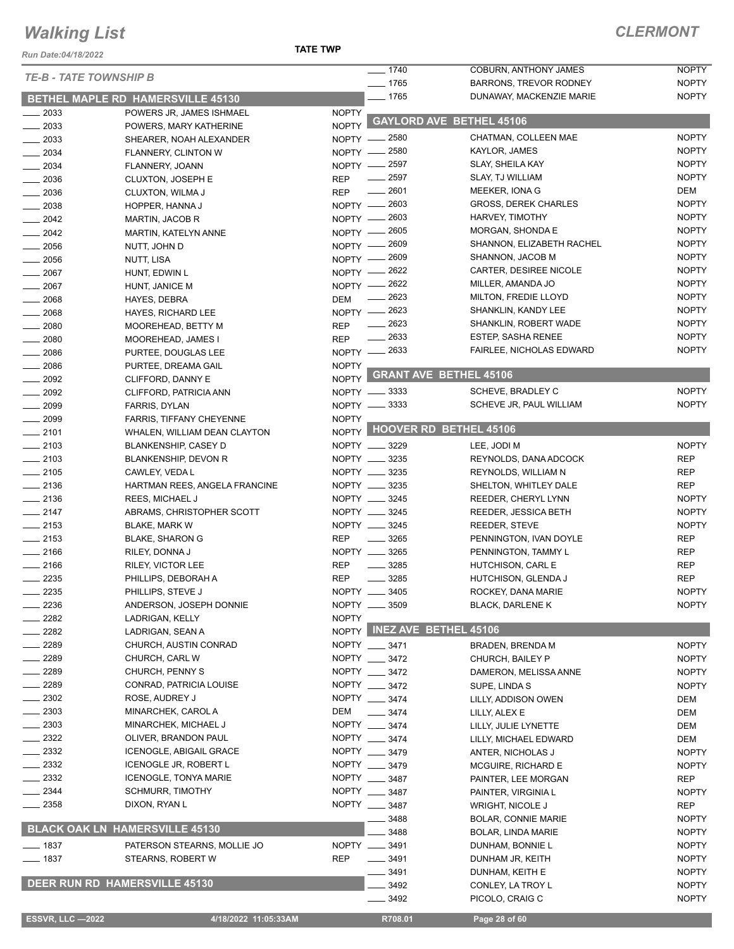*Run Date:04/18/2022*

#### **TATE TWP**

| <b>TE-B - TATE TOWNSHIP B</b> |                                       |              | $- 1740$            | <b>COBURN, ANTHONY JAMES</b>    | <b>NOPTY</b> |
|-------------------------------|---------------------------------------|--------------|---------------------|---------------------------------|--------------|
|                               |                                       |              | $- 1765$            | <b>BARRONS, TREVOR RODNEY</b>   | <b>NOPTY</b> |
|                               | BETHEL MAPLE RD HAMERSVILLE 45130     |              | $- 1765$            | DUNAWAY, MACKENZIE MARIE        | <b>NOPTY</b> |
| $\frac{1}{2033}$              | POWERS JR, JAMES ISHMAEL              | <b>NOPTY</b> |                     | <b>GAYLORD AVE BETHEL 45106</b> |              |
| $\frac{1}{2033}$              | POWERS, MARY KATHERINE                | <b>NOPTY</b> |                     |                                 |              |
| 2033                          | SHEARER, NOAH ALEXANDER               |              | NOPTY - 2580        | CHATMAN, COLLEEN MAE            | <b>NOPTY</b> |
| $- 2034$                      | <b>FLANNERY, CLINTON W</b>            | $NOPTY -$    | _ 2580              | KAYLOR, JAMES                   | <b>NOPTY</b> |
| $-2034$                       | FLANNERY, JOANN                       |              | NOPTY - 2597        | <b>SLAY, SHEILA KAY</b>         | <b>NOPTY</b> |
| $-2036$                       | <b>CLUXTON, JOSEPH E</b>              | <b>REP</b>   | $\frac{1}{2597}$    | SLAY, TJ WILLIAM                | <b>NOPTY</b> |
| $\frac{1}{2036}$              | CLUXTON, WILMA J                      | <b>REP</b>   | $- 2601$            | MEEKER, IONA G                  | DEM          |
| 2038                          | HOPPER, HANNA J                       |              | NOPTY - 2603        | <b>GROSS, DEREK CHARLES</b>     | <b>NOPTY</b> |
| $-2042$                       | <b>MARTIN, JACOB R</b>                |              | NOPTY - 2603        | <b>HARVEY, TIMOTHY</b>          | <b>NOPTY</b> |
| 2042                          | MARTIN, KATELYN ANNE                  | NOPTY -      | _ 2605              | MORGAN, SHONDA E                | <b>NOPTY</b> |
| 2056                          | NUTT, JOHN D                          | NOPTY -      | . 2609              | SHANNON, ELIZABETH RACHEL       | <b>NOPTY</b> |
| $\frac{1}{2056}$              | NUTT, LISA                            |              | NOPTY - 2609        | SHANNON, JACOB M                | <b>NOPTY</b> |
| 2067                          | HUNT, EDWIN L                         |              | NOPTY - 2622        | CARTER, DESIREE NICOLE          | <b>NOPTY</b> |
| $- 2067$                      | HUNT, JANICE M                        |              | NOPTY - 2622        | MILLER, AMANDA JO               | <b>NOPTY</b> |
| $-2068$                       | HAYES, DEBRA                          | <b>DEM</b>   | $-2623$             | MILTON, FREDIE LLOYD            | <b>NOPTY</b> |
| $- 2068$                      | HAYES, RICHARD LEE                    |              | NOPTY - 2623        | SHANKLIN, KANDY LEE             | <b>NOPTY</b> |
| 2080                          | MOOREHEAD, BETTY M                    | <b>REP</b>   | $-2623$             | SHANKLIN, ROBERT WADE           | <b>NOPTY</b> |
| $\frac{1}{2080}$              | MOOREHEAD, JAMES I                    | <b>REP</b>   | $\frac{1}{2633}$    | <b>ESTEP, SASHA RENEE</b>       | <b>NOPTY</b> |
| $- 2086$                      | PURTEE, DOUGLAS LEE                   |              | NOPTY - 2633        | FAIRLEE, NICHOLAS EDWARD        | <b>NOPTY</b> |
| $\frac{1}{2086}$              | PURTEE, DREAMA GAIL                   | <b>NOPTY</b> |                     |                                 |              |
| $\frac{1}{2092}$              | CLIFFORD, DANNY E                     |              |                     | NOPTY GRANT AVE BETHEL 45106    |              |
| $\frac{1}{2092}$              | CLIFFORD, PATRICIA ANN                |              | NOPTY __ 3333       | SCHEVE, BRADLEY C               | <b>NOPTY</b> |
| 2099                          | FARRIS, DYLAN                         |              | NOPTY __ 3333       | SCHEVE JR, PAUL WILLIAM         | <b>NOPTY</b> |
| $\frac{1}{2099}$              | FARRIS, TIFFANY CHEYENNE              | <b>NOPTY</b> |                     |                                 |              |
| $-2101$                       | WHALEN, WILLIAM DEAN CLAYTON          |              |                     | NOPTY HOOVER RD BETHEL 45106    |              |
| $-2103$                       | <b>BLANKENSHIP, CASEY D</b>           |              | NOPTY __ 3229       | LEE, JODI M                     | <b>NOPTY</b> |
| $\frac{2103}{2}$              | BLANKENSHIP, DEVON R                  |              | NOPTY __ 3235       | REYNOLDS, DANA ADCOCK           | <b>REP</b>   |
| $-2105$                       | CAWLEY, VEDA L                        |              | NOPTY __ 3235       | REYNOLDS, WILLIAM N             | <b>REP</b>   |
| $-2136$                       | HARTMAN REES, ANGELA FRANCINE         |              | NOPTY __ 3235       | SHELTON, WHITLEY DALE           | <b>REP</b>   |
| $-2136$                       | REES, MICHAEL J                       |              | NOPTY __ 3245       | REEDER, CHERYL LYNN             | <b>NOPTY</b> |
| $-2147$                       | ABRAMS, CHRISTOPHER SCOTT             |              | NOPTY __ 3245       | REEDER, JESSICA BETH            | <b>NOPTY</b> |
| $\frac{1}{2153}$              | <b>BLAKE, MARK W</b>                  |              | NOPTY __ 3245       | <b>REEDER, STEVE</b>            | <b>NOPTY</b> |
| $\frac{1}{2153}$              | <b>BLAKE, SHARON G</b>                | <b>REP</b>   | $\frac{1}{2}$ 3265  | PENNINGTON, IVAN DOYLE          | <b>REP</b>   |
| $-2166$                       | RILEY, DONNA J                        |              | NOPTY __ 3265       | PENNINGTON, TAMMY L             | <b>REP</b>   |
| $-2166$                       | RILEY, VICTOR LEE                     | <b>REP</b>   | $\frac{1}{2}$ 3285  | HUTCHISON, CARL E               | <b>REP</b>   |
| 2235                          | PHILLIPS, DEBORAH A                   | <b>REP</b>   | $\frac{1}{2}$ 3285  | HUTCHISON, GLENDA J             | <b>REP</b>   |
| 2235                          | PHILLIPS, STEVE J                     |              | NOPTY __ 3405       | ROCKEY, DANA MARIE              | <b>NOPTY</b> |
| 2236                          | ANDERSON, JOSEPH DONNIE               |              | NOPTY <u>_</u> 3509 | <b>BLACK, DARLENE K</b>         | <b>NOPTY</b> |
| 2282                          | LADRIGAN, KELLY                       | <b>NOPTY</b> |                     |                                 |              |
| 2282                          | LADRIGAN, SEAN A                      |              |                     | NOPTY INEZ AVE BETHEL 45106     |              |
| 2289                          | CHURCH, AUSTIN CONRAD                 |              | NOPTY __ 3471       | BRADEN, BRENDA M                | <b>NOPTY</b> |
| 2289                          | CHURCH, CARL W                        |              | NOPTY __ 3472       | CHURCH, BAILEY P                | <b>NOPTY</b> |
| 2289                          | CHURCH, PENNY S                       |              | NOPTY __ 3472       | DAMERON, MELISSA ANNE           | <b>NOPTY</b> |
| 2289                          | CONRAD, PATRICIA LOUISE               |              | NOPTY __ 3472       | SUPE, LINDA S                   | <b>NOPTY</b> |
| 2302                          | ROSE, AUDREY J                        |              | NOPTY __ 3474       | LILLY, ADDISON OWEN             | DEM          |
| 2303                          | MINARCHEK, CAROL A                    | DEM          | $- 3474$            | LILLY, ALEX E                   | DEM          |
| 2303                          | MINARCHEK, MICHAEL J                  |              | NOPTY __ 3474       | LILLY, JULIE LYNETTE            | DEM          |
| 2322                          | OLIVER, BRANDON PAUL                  |              | NOPTY __ 3474       | LILLY, MICHAEL EDWARD           | DEM          |
| 2332                          | <b>ICENOGLE, ABIGAIL GRACE</b>        |              | NOPTY __ 3479       | ANTER, NICHOLAS J               | <b>NOPTY</b> |
| 2332                          | <b>ICENOGLE JR, ROBERT L</b>          |              | NOPTY __ 3479       | MCGUIRE, RICHARD E              | <b>NOPTY</b> |
| 2332                          | <b>ICENOGLE, TONYA MARIE</b>          |              | NOPTY __ 3487       | PAINTER, LEE MORGAN             | <b>REP</b>   |
| 2344                          | <b>SCHMURR, TIMOTHY</b>               |              | NOPTY __ 3487       | PAINTER, VIRGINIA L             | <b>NOPTY</b> |
| 2358                          | DIXON, RYAN L                         |              | NOPTY __ 3487       | <b>WRIGHT, NICOLE J</b>         | <b>REP</b>   |
|                               |                                       |              | 3488                | <b>BOLAR, CONNIE MARIE</b>      | <b>NOPTY</b> |
|                               | <b>BLACK OAK LN HAMERSVILLE 45130</b> |              | 3488                | <b>BOLAR, LINDA MARIE</b>       | <b>NOPTY</b> |
| $- 1837$                      | PATERSON STEARNS, MOLLIE JO           |              | NOPTY __ 3491       | DUNHAM, BONNIE L                | <b>NOPTY</b> |
| $- 1837$                      | STEARNS, ROBERT W                     | <b>REP</b>   | ____ 3491           | DUNHAM JR, KEITH                | <b>NOPTY</b> |
|                               |                                       |              | 3491                | DUNHAM, KEITH E                 | <b>NOPTY</b> |
|                               | DEER RUN RD HAMERSVILLE 45130         |              | 3492                | CONLEY, LA TROY L               | <b>NOPTY</b> |
|                               |                                       |              | 3492                | PICOLO, CRAIG C                 | <b>NOPTY</b> |
|                               |                                       |              |                     |                                 |              |
| <b>ESSVR, LLC -2022</b>       | 4/18/2022 11:05:33AM                  |              | R708.01             | Page 28 of 60                   |              |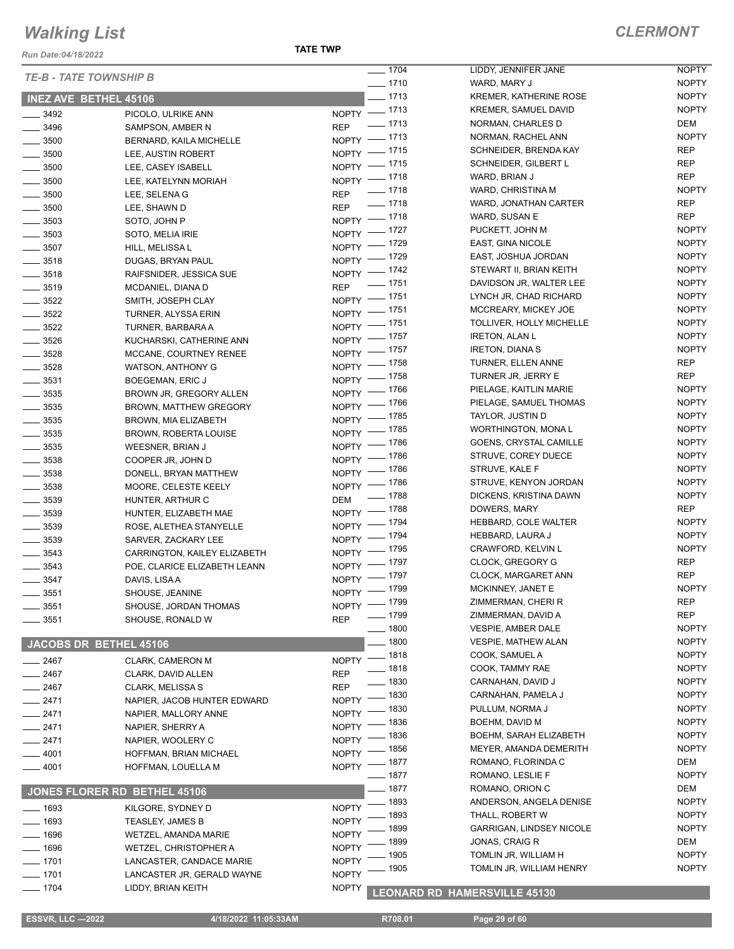*Run Date:04/18/2022*

**TATE TWP**

| <b>TE-B - TATE TOWNSHIP B</b> |                               | $- 1704$                     | LIDDY, JENNIFER JANE            | <b>NOPTY</b> |
|-------------------------------|-------------------------------|------------------------------|---------------------------------|--------------|
|                               |                               | $\frac{1}{2}$ 1710           | WARD, MARY J                    | <b>NOPTY</b> |
| <b>INEZ AVE BETHEL 45106</b>  |                               | $\frac{1}{2}$ 1713           | <b>KREMER, KATHERINE ROSE</b>   | <b>NOPTY</b> |
| $\frac{1}{2}$ 3492            | PICOLO, ULRIKE ANN            | NOPTY - 1713                 | <b>KREMER, SAMUEL DAVID</b>     | <b>NOPTY</b> |
| $\frac{1}{2}$ 3496            | SAMPSON, AMBER N              | REP - 1713                   | NORMAN, CHARLES D               | DEM          |
| $\frac{1}{2}$ 3500            | BERNARD, KAILA MICHELLE       | NOPTY - 1713                 | NORMAN, RACHEL ANN              | <b>NOPTY</b> |
| $\frac{1}{2}$ 3500            | LEE, AUSTIN ROBERT            | NOPTY - 1715                 | SCHNEIDER, BRENDA KAY           | <b>REP</b>   |
| $\frac{1}{2}$ 3500            | LEE, CASEY ISABELL            | NOPTY - 1715                 | SCHNEIDER, GILBERT L            | <b>REP</b>   |
| $\frac{1}{2}$ 3500            | LEE, KATELYNN MORIAH          | NOPTY - 1718                 | WARD, BRIAN J                   | <b>REP</b>   |
| $\frac{1}{2}$ 3500            | LEE, SELENA G                 | REP - 1718                   | WARD, CHRISTINA M               | <b>NOPTY</b> |
| $\frac{1}{2}$ 3500            | LEE, SHAWN D                  | REP - 1718                   | WARD, JONATHAN CARTER           | <b>REP</b>   |
| $\frac{1}{2}$ 3503            | SOTO, JOHN P                  | NOPTY - 1718                 | WARD, SUSAN E                   | <b>REP</b>   |
| $\frac{1}{2}$ 3503            | SOTO, MELIA IRIE              | NOPTY - 1727                 | PUCKETT, JOHN M                 | <b>NOPTY</b> |
| $\frac{1}{2}$ 3507            | HILL, MELISSA L               | NOPTY - 1729                 | EAST, GINA NICOLE               | <b>NOPTY</b> |
| $\frac{1}{2}$ 3518            | DUGAS, BRYAN PAUL             | NOPTY - 1729                 | EAST, JOSHUA JORDAN             | <b>NOPTY</b> |
| $\frac{1}{2}$ 3518            | RAIFSNIDER, JESSICA SUE       | NOPTY - 1742                 | STEWART II, BRIAN KEITH         | <b>NOPTY</b> |
| $\frac{1}{2}$ 3519            | MCDANIEL, DIANA D             | REP - 1751                   | DAVIDSON JR, WALTER LEE         | <b>NOPTY</b> |
| $\frac{1}{2}$ 3522            | SMITH, JOSEPH CLAY            | NOPTY - 1751                 | LYNCH JR, CHAD RICHARD          | <b>NOPTY</b> |
| $\frac{1}{2}$ 3522            | TURNER, ALYSSA ERIN           | NOPTY - 1751                 | MCCREARY, MICKEY JOE            | <b>NOPTY</b> |
| $\frac{1}{2}$ 3522            | TURNER, BARBARA A             | NOPTY - 1751                 | TOLLIVER, HOLLY MICHELLE        | <b>NOPTY</b> |
| $\frac{1}{2}$ 3526            | KUCHARSKI, CATHERINE ANN      | NOPTY - 1757                 | <b>IRETON, ALAN L</b>           | <b>NOPTY</b> |
| $\frac{1}{2}$ 3528            | MCCANE, COURTNEY RENEE        | NOPTY - 1757                 | <b>IRETON, DIANAS</b>           | <b>NOPTY</b> |
| $\frac{1}{2}$ 3528            | <b>WATSON, ANTHONY G</b>      | NOPTY - 1758                 | TURNER, ELLEN ANNE              | REP          |
| $\frac{1}{2}$ 3531            | BOEGEMAN, ERIC J              | NOPTY - 1758                 | TURNER JR, JERRY E              | REP          |
| $\frac{1}{2}$ 3535            | BROWN JR, GREGORY ALLEN       | NOPTY - 1766                 | PIELAGE, KAITLIN MARIE          | <b>NOPTY</b> |
| $\frac{1}{2}$ 3535            | <b>BROWN, MATTHEW GREGORY</b> | NOPTY - 1766                 | PIELAGE, SAMUEL THOMAS          | <b>NOPTY</b> |
| $\frac{1}{2}$ 3535            | BROWN, MIA ELIZABETH          | NOPTY - 1785                 | TAYLOR, JUSTIN D                | <b>NOPTY</b> |
| $\frac{1}{2}$ 3535            | BROWN, ROBERTA LOUISE         | NOPTY - 1785                 | WORTHINGTON, MONAL              | <b>NOPTY</b> |
| $\frac{1}{2}$ 3535            | WEESNER, BRIAN J              | NOPTY - 1786                 | GOENS, CRYSTAL CAMILLE          | <b>NOPTY</b> |
| $\frac{1}{2}$ 3538            | COOPER JR, JOHN D             | NOPTY - 1786                 | STRUVE, COREY DUECE             | <b>NOPTY</b> |
| $\frac{1}{2}$ 3538            | DONELL, BRYAN MATTHEW         | NOPTY - 1786                 | STRUVE, KALE F                  | <b>NOPTY</b> |
| $\frac{1}{2}$ 3538            | MOORE, CELESTE KEELY          | NOPTY - 1786                 | STRUVE, KENYON JORDAN           | <b>NOPTY</b> |
| $\frac{1}{2}$ 3539            | HUNTER, ARTHUR C              | DEM - 1788                   | DICKENS, KRISTINA DAWN          | <b>NOPTY</b> |
| $\frac{1}{2}$ 3539            | HUNTER, ELIZABETH MAE         | NOPTY - 1788                 | DOWERS, MARY                    | REP          |
| $\frac{1}{2}$ 3539            | ROSE, ALETHEA STANYELLE       | NOPTY - 1794                 | HEBBARD, COLE WALTER            | <b>NOPTY</b> |
| $\frac{1}{2}$ 3539            | SARVER, ZACKARY LEE           | NOPTY - 1794                 | <b>HEBBARD, LAURA J</b>         | <b>NOPTY</b> |
| $\frac{1}{2}$ 3543            | CARRINGTON, KAILEY ELIZABETH  | NOPTY - 1795                 | CRAWFORD, KELVIN L              | <b>NOPTY</b> |
| $\frac{1}{2}$ 3543            | POE, CLARICE ELIZABETH LEANN  | NOPTY - 1797                 | <b>CLOCK, GREGORY G</b>         | REP          |
| $\frac{1}{2}$ 3547            | DAVIS, LISA A                 | NOPTY - 1797                 | CLOCK, MARGARET ANN             | <b>REP</b>   |
| $\frac{1}{2}$ 3551            | SHOUSE, JEANINE               | NOPTY - 1799                 | MCKINNEY, JANET E               | <b>NOPTY</b> |
| 3551                          | SHOUSE, JORDAN THOMAS         | NOPTY - 1799                 | ZIMMERMAN, CHERI R              | <b>REP</b>   |
| 3551                          | SHOUSE, RONALD W              | __ 1799<br><b>REP</b>        | ZIMMERMAN, DAVID A              | <b>REP</b>   |
|                               |                               | $- 1800$                     | VESPIE, AMBER DALE              | <b>NOPTY</b> |
|                               | JACOBS DR BETHEL 45106        | . 1800                       | <b>VESPIE, MATHEW ALAN</b>      | <b>NOPTY</b> |
| 2467                          | <b>CLARK, CAMERON M</b>       | NOPTY - 1818                 | COOK, SAMUEL A                  | <b>NOPTY</b> |
| 2467                          | CLARK, DAVID ALLEN            | $- 1818$<br><b>REP</b>       | COOK, TAMMY RAE                 | <b>NOPTY</b> |
| _ 2467                        | CLARK, MELISSA S              | $=$ 1830<br>REP              | CARNAHAN, DAVID J               | <b>NOPTY</b> |
| $-2471$                       | NAPIER, JACOB HUNTER EDWARD   | NOPTY - 1830                 | CARNAHAN, PAMELA J              | <b>NOPTY</b> |
| $-2471$                       | NAPIER, MALLORY ANNE          | _ 1830<br><b>NOPTY</b>       | PULLUM, NORMA J                 | <b>NOPTY</b> |
| $-2471$                       | NAPIER, SHERRY A              | - 1836<br><b>NOPTY</b>       | BOEHM, DAVID M                  | <b>NOPTY</b> |
| $-2471$                       | NAPIER, WOOLERY C             | 1836<br><b>NOPTY</b>         | BOEHM, SARAH ELIZABETH          | <b>NOPTY</b> |
| $-4001$                       | HOFFMAN, BRIAN MICHAEL        | 1856<br><b>NOPTY</b>         | MEYER, AMANDA DEMERITH          | <b>NOPTY</b> |
| $-4001$                       | HOFFMAN, LOUELLA M            | _ 1877<br>NOPTY <sup>-</sup> | ROMANO, FLORINDA C              | DEM          |
|                               |                               | $\_$ 1877                    | ROMANO, LESLIE F                | <b>NOPTY</b> |
|                               | JONES FLORER RD BETHEL 45106  | _ 1877                       | ROMANO, ORION C                 | DEM          |
| $-1693$                       | KILGORE, SYDNEY D             | 1893<br><b>NOPTY</b>         | ANDERSON, ANGELA DENISE         | <b>NOPTY</b> |
| $-1693$                       | <b>TEASLEY, JAMES B</b>       | 1893<br><b>NOPTY</b>         | THALL, ROBERT W                 | <b>NOPTY</b> |
| $-1696$                       | WETZEL, AMANDA MARIE          | 1899<br><b>NOPTY</b>         | <b>GARRIGAN, LINDSEY NICOLE</b> | <b>NOPTY</b> |
| $- 1696$                      | WETZEL, CHRISTOPHER A         | 1899<br><b>NOPTY</b>         | JONAS, CRAIG R                  | DEM          |
| $- 1701$                      | LANCASTER, CANDACE MARIE      | . 1905<br><b>NOPTY</b>       | TOMLIN JR, WILLIAM H            | <b>NOPTY</b> |
| $- 1701$                      | LANCASTER JR, GERALD WAYNE    | 1905<br><b>NOPTY</b>         | TOMLIN JR, WILLIAM HENRY        | <b>NOPTY</b> |
| 1704                          | LIDDY, BRIAN KEITH            | NOPTY                        | LEONARD RD HAMEROVILLE 45420    |              |
|                               |                               |                              |                                 |              |

#### **LEONARD RD HAMERSVILLE 45130**

 **ESSVR, LLC —2022 4/18/2022 11:05:33AM R708.01 Page 29 of 60**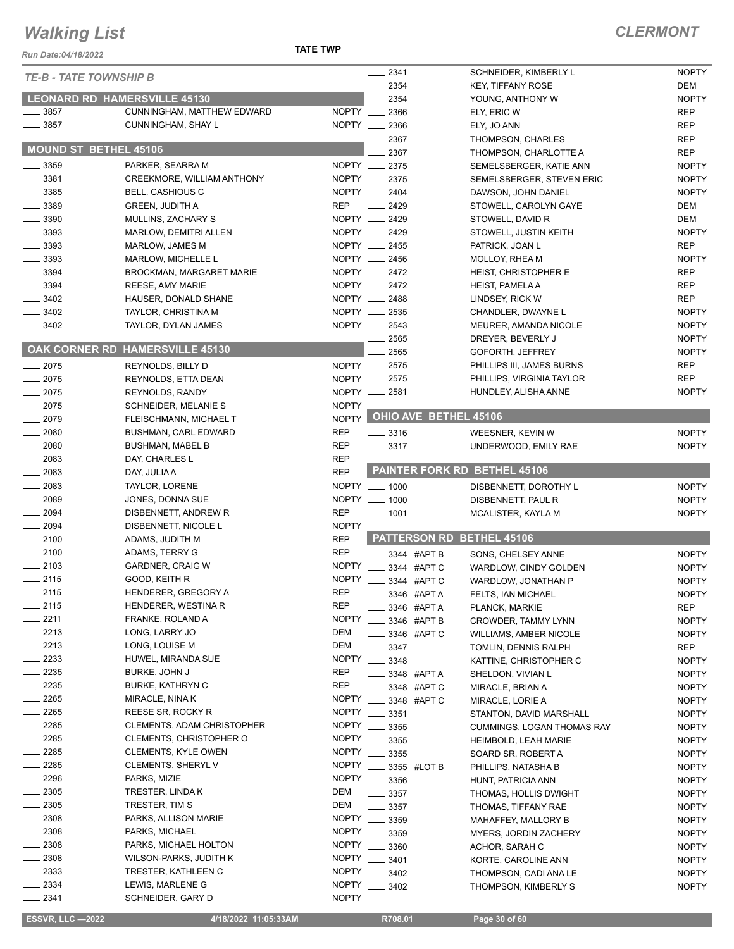#### **TATE TWP**

| <b>NOPTY</b><br>$-2341$<br>SCHNEIDER, KIMBERLY L<br><b>TE-B - TATE TOWNSHIP B</b><br>2354<br>DEM<br><b>KEY, TIFFANY ROSE</b><br><b>LEONARD RD HAMERSVILLE 45130</b><br>2354<br><b>NOPTY</b><br>YOUNG, ANTHONY W<br>3857<br>CUNNINGHAM, MATTHEW EDWARD<br>NOPTY 2366<br><b>REP</b><br>ELY, ERIC W<br>3857<br>NOPTY __ 2366<br>CUNNINGHAM, SHAY L<br><b>REP</b><br>ELY, JO ANN<br><b>REP</b><br>2367<br>THOMPSON, CHARLES<br><b>MOUND ST BETHEL 45106</b><br><b>REP</b><br>2367<br>THOMPSON, CHARLOTTE A<br>NOPTY __ 2375<br><b>NOPTY</b><br>$-3359$<br>PARKER, SEARRA M<br>SEMELSBERGER, KATIE ANN<br>$-3381$<br>NOPTY __ 2375<br>CREEKMORE, WILLIAM ANTHONY<br><b>NOPTY</b><br>SEMELSBERGER, STEVEN ERIC<br>$-3385$<br>NOPTY __ 2404<br><b>NOPTY</b><br><b>BELL, CASHIOUS C</b><br>DAWSON, JOHN DANIEL<br><b>REP</b><br>$-3389$<br>$\frac{1}{2429}$<br>DEM<br><b>GREEN, JUDITH A</b><br>STOWELL, CAROLYN GAYE<br>$-3390$<br>NOPTY __ 2429<br>DEM<br>MULLINS, ZACHARY S<br>STOWELL, DAVID R<br>NOPTY __ 2429<br>$-3393$<br><b>NOPTY</b><br>MARLOW, DEMITRI ALLEN<br>STOWELL, JUSTIN KEITH<br>NOPTY __ 2455<br>$-3393$<br><b>REP</b><br>MARLOW, JAMES M<br>PATRICK, JOAN L<br>NOPTY __ 2456<br>$-3393$<br><b>NOPTY</b><br>MARLOW, MICHELLE L<br>MOLLOY, RHEA M<br>$-3394$<br>NOPTY __ 2472<br><b>REP</b><br><b>BROCKMAN, MARGARET MARIE</b><br><b>HEIST, CHRISTOPHER E</b><br>3394<br>NOPTY __ 2472<br><b>REP</b><br><b>REESE, AMY MARIE</b><br><b>HEIST, PAMELA A</b><br>$-3402$<br>NOPTY __ 2488<br><b>REP</b><br>HAUSER, DONALD SHANE<br>LINDSEY, RICK W<br>3402<br>NOPTY __ 2535<br>TAYLOR, CHRISTINA M<br><b>NOPTY</b><br>CHANDLER, DWAYNE L<br>NOPTY __ 2543<br>$-3402$<br><b>NOPTY</b><br>TAYLOR, DYLAN JAMES<br>MEURER, AMANDA NICOLE<br><b>NOPTY</b><br>2565<br>DREYER, BEVERLY J<br>OAK CORNER RD HAMERSVILLE 45130<br>2565<br><b>NOPTY</b><br>GOFORTH, JEFFREY<br>NOPTY __ 2575<br><b>REP</b><br>PHILLIPS III, JAMES BURNS<br>$-2075$<br>REYNOLDS, BILLY D<br><b>REP</b><br>$-2075$<br>NOPTY __ 2575<br>PHILLIPS, VIRGINIA TAYLOR<br>REYNOLDS, ETTA DEAN<br><b>NOPTY</b><br>$-2075$<br>NOPTY __ 2581<br>HUNDLEY, ALISHA ANNE<br><b>REYNOLDS, RANDY</b><br>$-2075$<br><b>NOPTY</b><br><b>SCHNEIDER, MELANIE S</b><br>NOPTY OHIO AVE BETHEL 45106<br>$-2079$<br>FLEISCHMANN, MICHAEL T<br><b>NOPTY</b><br>$-2080$<br><b>REP</b><br><b>BUSHMAN, CARL EDWARD</b><br>$\equiv$ 3316<br>WEESNER, KEVIN W<br><b>NOPTY</b><br>$- 2080$<br><b>REP</b><br>$\frac{1}{2}$ 3317<br><b>BUSHMAN, MABEL B</b><br>UNDERWOOD, EMILY RAE<br>2083<br><b>REP</b><br>DAY, CHARLES L<br><b>PAINTER FORK RD BETHEL 45106</b><br><b>REP</b><br>2083<br>DAY, JULIA A<br>2083<br>NOPTY __ 1000<br>TAYLOR, LORENE<br>DISBENNETT, DOROTHY L<br><b>NOPTY</b><br>$-2089$<br>NOPTY __ 1000<br>JONES, DONNA SUE<br><b>NOPTY</b><br>DISBENNETT, PAUL R<br>$-2094$<br><b>REP</b><br>DISBENNETT, ANDREW R<br>$- 1001$<br><b>NOPTY</b><br>MCALISTER, KAYLA M<br><b>NOPTY</b><br>$-2094$<br>DISBENNETT, NICOLE L<br>PATTERSON RD BETHEL 45106<br><b>REP</b><br>$-2100$<br>ADAMS, JUDITH M<br>$-2100$<br><b>REP</b><br>ADAMS, TERRY G<br><b>NOPTY</b><br>3344 #APT B<br>SONS, CHELSEY ANNE<br>$-2103$<br><b>GARDNER, CRAIG W</b><br><b>NOPTY</b><br>3344 #APT C<br>WARDLOW, CINDY GOLDEN<br><b>NOPTY</b><br><b>NOPTY</b><br>$\frac{1}{2115}$<br>GOOD, KEITH R<br><b>NOPTY</b><br>3344 #APT C<br>WARDLOW, JONATHAN P<br>$-2115$<br><b>REP</b><br>HENDERER, GREGORY A<br>3346 #APT A<br>FELTS, IAN MICHAEL<br><b>NOPTY</b><br>$-2115$<br><b>REP</b><br>HENDERER, WESTINA R<br>3346 #APT A<br>REP<br>PLANCK, MARKIE<br>$-2211$<br><b>NOPTY</b><br>FRANKE, ROLAND A<br>3346 #APT B<br><b>NOPTY</b><br><b>CROWDER, TAMMY LYNN</b><br>$-2213$<br>LONG, LARRY JO<br>DEM<br>3346 #APT C<br><b>NOPTY</b><br><b>WILLIAMS, AMBER NICOLE</b><br>$-2213$<br><b>DEM</b><br>LONG, LOUISE M<br>3347<br>REP<br>TOMLIN, DENNIS RALPH<br>2233<br>HUWEL, MIRANDA SUE<br><b>NOPTY</b><br>3348<br><b>NOPTY</b><br>KATTINE, CHRISTOPHER C<br>$-2235$<br><b>REP</b><br><b>BURKE, JOHN J</b><br>3348 #APT A<br><b>NOPTY</b><br>SHELDON, VIVIAN L<br>$-2235$<br><b>REP</b><br><b>BURKE, KATHRYN C</b><br>3348 #APT C<br><b>NOPTY</b><br>MIRACLE, BRIAN A<br><b>NOPTY</b><br>_ 2265<br>MIRACLE, NINA K<br>3348 #APT C<br>MIRACLE, LORIE A<br><b>NOPTY</b><br>$-2265$<br><b>NOPTY</b><br>REESE SR, ROCKY R<br>3351<br><b>NOPTY</b><br>STANTON, DAVID MARSHALL<br>2285<br>CLEMENTS, ADAM CHRISTOPHER<br><b>NOPTY</b><br>3355<br><b>NOPTY</b><br><b>CUMMINGS, LOGAN THOMAS RAY</b><br>2285<br>CLEMENTS, CHRISTOPHER O<br><b>NOPTY</b><br>3355<br><b>NOPTY</b><br>HEIMBOLD, LEAH MARIE<br>2285<br><b>NOPTY</b><br><b>CLEMENTS, KYLE OWEN</b><br>3355<br><b>NOPTY</b><br>SOARD SR, ROBERT A<br>- 2285<br><b>CLEMENTS, SHERYL V</b><br><b>NOPTY</b><br>3355 #LOT B<br>PHILLIPS, NATASHA B<br><b>NOPTY</b><br>2296<br>PARKS, MIZIE<br><b>NOPTY</b><br>3356<br><b>NOPTY</b><br>HUNT, PATRICIA ANN<br>2305<br>DEM<br>TRESTER, LINDA K<br>3357<br>THOMAS, HOLLIS DWIGHT<br><b>NOPTY</b><br>$-2305$<br><b>DEM</b><br>TRESTER, TIM S<br>3357<br><b>NOPTY</b><br>THOMAS, TIFFANY RAE<br>2308<br><b>NOPTY</b><br>PARKS, ALLISON MARIE<br>3359<br><b>NOPTY</b><br>MAHAFFEY, MALLORY B<br>2308<br>PARKS, MICHAEL<br><b>NOPTY</b><br>3359<br><b>NOPTY</b><br>MYERS, JORDIN ZACHERY<br>$-2308$<br><b>NOPTY</b><br>PARKS, MICHAEL HOLTON<br>3360<br><b>NOPTY</b><br>ACHOR, SARAH C<br>. 2308<br>WILSON-PARKS, JUDITH K<br><b>NOPTY</b><br>3401<br><b>NOPTY</b><br>KORTE, CAROLINE ANN<br>2333<br><b>NOPTY</b><br>TRESTER, KATHLEEN C<br>3402<br><b>NOPTY</b><br>THOMPSON, CADI ANA LE<br>2334<br><b>NOPTY</b><br>LEWIS, MARLENE G<br>3402<br><b>NOPTY</b><br>THOMPSON, KIMBERLY S<br><b>NOPTY</b><br>_ 2341<br>SCHNEIDER, GARY D<br><b>ESSVR, LLC -2022</b><br>R708.01<br>4/18/2022 11:05:33AM<br>Page 30 of 60 | <b>Run Date:04/18/2022</b> | <b>TATE TWP</b> |  |  |
|------------------------------------------------------------------------------------------------------------------------------------------------------------------------------------------------------------------------------------------------------------------------------------------------------------------------------------------------------------------------------------------------------------------------------------------------------------------------------------------------------------------------------------------------------------------------------------------------------------------------------------------------------------------------------------------------------------------------------------------------------------------------------------------------------------------------------------------------------------------------------------------------------------------------------------------------------------------------------------------------------------------------------------------------------------------------------------------------------------------------------------------------------------------------------------------------------------------------------------------------------------------------------------------------------------------------------------------------------------------------------------------------------------------------------------------------------------------------------------------------------------------------------------------------------------------------------------------------------------------------------------------------------------------------------------------------------------------------------------------------------------------------------------------------------------------------------------------------------------------------------------------------------------------------------------------------------------------------------------------------------------------------------------------------------------------------------------------------------------------------------------------------------------------------------------------------------------------------------------------------------------------------------------------------------------------------------------------------------------------------------------------------------------------------------------------------------------------------------------------------------------------------------------------------------------------------------------------------------------------------------------------------------------------------------------------------------------------------------------------------------------------------------------------------------------------------------------------------------------------------------------------------------------------------------------------------------------------------------------------------------------------------------------------------------------------------------------------------------------------------------------------------------------------------------------------------------------------------------------------------------------------------------------------------------------------------------------------------------------------------------------------------------------------------------------------------------------------------------------------------------------------------------------------------------------------------------------------------------------------------------------------------------------------------------------------------------------------------------------------------------------------------------------------------------------------------------------------------------------------------------------------------------------------------------------------------------------------------------------------------------------------------------------------------------------------------------------------------------------------------------------------------------------------------------------------------------------------------------------------------------------------------------------------------------------------------------------------------------------------------------------------------------------------------------------------------------------------------------------------------------------------------------------------------------------------------------------------------------------------------------------------------------------------------------------------------------------------------------------------------------------------------------------------------------------------------------------------------------------------------------------------------------------------------------------------------------------------------------------------------------------------------------------------------------------------------------------------------------------------------------------------------------------------------------------------------------------------------------------------------------------------------------------------------------------------------------------------------------------------------------------------------------------------------------------------------------------------------------------------------------------------------------------------------------------------------------------------------------------------------------------------------------------------------------------------------------------------------------------------------------------------------------------------------------------------------------------|----------------------------|-----------------|--|--|
|                                                                                                                                                                                                                                                                                                                                                                                                                                                                                                                                                                                                                                                                                                                                                                                                                                                                                                                                                                                                                                                                                                                                                                                                                                                                                                                                                                                                                                                                                                                                                                                                                                                                                                                                                                                                                                                                                                                                                                                                                                                                                                                                                                                                                                                                                                                                                                                                                                                                                                                                                                                                                                                                                                                                                                                                                                                                                                                                                                                                                                                                                                                                                                                                                                                                                                                                                                                                                                                                                                                                                                                                                                                                                                                                                                                                                                                                                                                                                                                                                                                                                                                                                                                                                                                                                                                                                                                                                                                                                                                                                                                                                                                                                                                                                                                                                                                                                                                                                                                                                                                                                                                                                                                                                                                                                                                                                                                                                                                                                                                                                                                                                                                                                                                                                                                                                                    |                            |                 |  |  |
|                                                                                                                                                                                                                                                                                                                                                                                                                                                                                                                                                                                                                                                                                                                                                                                                                                                                                                                                                                                                                                                                                                                                                                                                                                                                                                                                                                                                                                                                                                                                                                                                                                                                                                                                                                                                                                                                                                                                                                                                                                                                                                                                                                                                                                                                                                                                                                                                                                                                                                                                                                                                                                                                                                                                                                                                                                                                                                                                                                                                                                                                                                                                                                                                                                                                                                                                                                                                                                                                                                                                                                                                                                                                                                                                                                                                                                                                                                                                                                                                                                                                                                                                                                                                                                                                                                                                                                                                                                                                                                                                                                                                                                                                                                                                                                                                                                                                                                                                                                                                                                                                                                                                                                                                                                                                                                                                                                                                                                                                                                                                                                                                                                                                                                                                                                                                                                    |                            |                 |  |  |
|                                                                                                                                                                                                                                                                                                                                                                                                                                                                                                                                                                                                                                                                                                                                                                                                                                                                                                                                                                                                                                                                                                                                                                                                                                                                                                                                                                                                                                                                                                                                                                                                                                                                                                                                                                                                                                                                                                                                                                                                                                                                                                                                                                                                                                                                                                                                                                                                                                                                                                                                                                                                                                                                                                                                                                                                                                                                                                                                                                                                                                                                                                                                                                                                                                                                                                                                                                                                                                                                                                                                                                                                                                                                                                                                                                                                                                                                                                                                                                                                                                                                                                                                                                                                                                                                                                                                                                                                                                                                                                                                                                                                                                                                                                                                                                                                                                                                                                                                                                                                                                                                                                                                                                                                                                                                                                                                                                                                                                                                                                                                                                                                                                                                                                                                                                                                                                    |                            |                 |  |  |
|                                                                                                                                                                                                                                                                                                                                                                                                                                                                                                                                                                                                                                                                                                                                                                                                                                                                                                                                                                                                                                                                                                                                                                                                                                                                                                                                                                                                                                                                                                                                                                                                                                                                                                                                                                                                                                                                                                                                                                                                                                                                                                                                                                                                                                                                                                                                                                                                                                                                                                                                                                                                                                                                                                                                                                                                                                                                                                                                                                                                                                                                                                                                                                                                                                                                                                                                                                                                                                                                                                                                                                                                                                                                                                                                                                                                                                                                                                                                                                                                                                                                                                                                                                                                                                                                                                                                                                                                                                                                                                                                                                                                                                                                                                                                                                                                                                                                                                                                                                                                                                                                                                                                                                                                                                                                                                                                                                                                                                                                                                                                                                                                                                                                                                                                                                                                                                    |                            |                 |  |  |
|                                                                                                                                                                                                                                                                                                                                                                                                                                                                                                                                                                                                                                                                                                                                                                                                                                                                                                                                                                                                                                                                                                                                                                                                                                                                                                                                                                                                                                                                                                                                                                                                                                                                                                                                                                                                                                                                                                                                                                                                                                                                                                                                                                                                                                                                                                                                                                                                                                                                                                                                                                                                                                                                                                                                                                                                                                                                                                                                                                                                                                                                                                                                                                                                                                                                                                                                                                                                                                                                                                                                                                                                                                                                                                                                                                                                                                                                                                                                                                                                                                                                                                                                                                                                                                                                                                                                                                                                                                                                                                                                                                                                                                                                                                                                                                                                                                                                                                                                                                                                                                                                                                                                                                                                                                                                                                                                                                                                                                                                                                                                                                                                                                                                                                                                                                                                                                    |                            |                 |  |  |
|                                                                                                                                                                                                                                                                                                                                                                                                                                                                                                                                                                                                                                                                                                                                                                                                                                                                                                                                                                                                                                                                                                                                                                                                                                                                                                                                                                                                                                                                                                                                                                                                                                                                                                                                                                                                                                                                                                                                                                                                                                                                                                                                                                                                                                                                                                                                                                                                                                                                                                                                                                                                                                                                                                                                                                                                                                                                                                                                                                                                                                                                                                                                                                                                                                                                                                                                                                                                                                                                                                                                                                                                                                                                                                                                                                                                                                                                                                                                                                                                                                                                                                                                                                                                                                                                                                                                                                                                                                                                                                                                                                                                                                                                                                                                                                                                                                                                                                                                                                                                                                                                                                                                                                                                                                                                                                                                                                                                                                                                                                                                                                                                                                                                                                                                                                                                                                    |                            |                 |  |  |
|                                                                                                                                                                                                                                                                                                                                                                                                                                                                                                                                                                                                                                                                                                                                                                                                                                                                                                                                                                                                                                                                                                                                                                                                                                                                                                                                                                                                                                                                                                                                                                                                                                                                                                                                                                                                                                                                                                                                                                                                                                                                                                                                                                                                                                                                                                                                                                                                                                                                                                                                                                                                                                                                                                                                                                                                                                                                                                                                                                                                                                                                                                                                                                                                                                                                                                                                                                                                                                                                                                                                                                                                                                                                                                                                                                                                                                                                                                                                                                                                                                                                                                                                                                                                                                                                                                                                                                                                                                                                                                                                                                                                                                                                                                                                                                                                                                                                                                                                                                                                                                                                                                                                                                                                                                                                                                                                                                                                                                                                                                                                                                                                                                                                                                                                                                                                                                    |                            |                 |  |  |
|                                                                                                                                                                                                                                                                                                                                                                                                                                                                                                                                                                                                                                                                                                                                                                                                                                                                                                                                                                                                                                                                                                                                                                                                                                                                                                                                                                                                                                                                                                                                                                                                                                                                                                                                                                                                                                                                                                                                                                                                                                                                                                                                                                                                                                                                                                                                                                                                                                                                                                                                                                                                                                                                                                                                                                                                                                                                                                                                                                                                                                                                                                                                                                                                                                                                                                                                                                                                                                                                                                                                                                                                                                                                                                                                                                                                                                                                                                                                                                                                                                                                                                                                                                                                                                                                                                                                                                                                                                                                                                                                                                                                                                                                                                                                                                                                                                                                                                                                                                                                                                                                                                                                                                                                                                                                                                                                                                                                                                                                                                                                                                                                                                                                                                                                                                                                                                    |                            |                 |  |  |
|                                                                                                                                                                                                                                                                                                                                                                                                                                                                                                                                                                                                                                                                                                                                                                                                                                                                                                                                                                                                                                                                                                                                                                                                                                                                                                                                                                                                                                                                                                                                                                                                                                                                                                                                                                                                                                                                                                                                                                                                                                                                                                                                                                                                                                                                                                                                                                                                                                                                                                                                                                                                                                                                                                                                                                                                                                                                                                                                                                                                                                                                                                                                                                                                                                                                                                                                                                                                                                                                                                                                                                                                                                                                                                                                                                                                                                                                                                                                                                                                                                                                                                                                                                                                                                                                                                                                                                                                                                                                                                                                                                                                                                                                                                                                                                                                                                                                                                                                                                                                                                                                                                                                                                                                                                                                                                                                                                                                                                                                                                                                                                                                                                                                                                                                                                                                                                    |                            |                 |  |  |
|                                                                                                                                                                                                                                                                                                                                                                                                                                                                                                                                                                                                                                                                                                                                                                                                                                                                                                                                                                                                                                                                                                                                                                                                                                                                                                                                                                                                                                                                                                                                                                                                                                                                                                                                                                                                                                                                                                                                                                                                                                                                                                                                                                                                                                                                                                                                                                                                                                                                                                                                                                                                                                                                                                                                                                                                                                                                                                                                                                                                                                                                                                                                                                                                                                                                                                                                                                                                                                                                                                                                                                                                                                                                                                                                                                                                                                                                                                                                                                                                                                                                                                                                                                                                                                                                                                                                                                                                                                                                                                                                                                                                                                                                                                                                                                                                                                                                                                                                                                                                                                                                                                                                                                                                                                                                                                                                                                                                                                                                                                                                                                                                                                                                                                                                                                                                                                    |                            |                 |  |  |
|                                                                                                                                                                                                                                                                                                                                                                                                                                                                                                                                                                                                                                                                                                                                                                                                                                                                                                                                                                                                                                                                                                                                                                                                                                                                                                                                                                                                                                                                                                                                                                                                                                                                                                                                                                                                                                                                                                                                                                                                                                                                                                                                                                                                                                                                                                                                                                                                                                                                                                                                                                                                                                                                                                                                                                                                                                                                                                                                                                                                                                                                                                                                                                                                                                                                                                                                                                                                                                                                                                                                                                                                                                                                                                                                                                                                                                                                                                                                                                                                                                                                                                                                                                                                                                                                                                                                                                                                                                                                                                                                                                                                                                                                                                                                                                                                                                                                                                                                                                                                                                                                                                                                                                                                                                                                                                                                                                                                                                                                                                                                                                                                                                                                                                                                                                                                                                    |                            |                 |  |  |
|                                                                                                                                                                                                                                                                                                                                                                                                                                                                                                                                                                                                                                                                                                                                                                                                                                                                                                                                                                                                                                                                                                                                                                                                                                                                                                                                                                                                                                                                                                                                                                                                                                                                                                                                                                                                                                                                                                                                                                                                                                                                                                                                                                                                                                                                                                                                                                                                                                                                                                                                                                                                                                                                                                                                                                                                                                                                                                                                                                                                                                                                                                                                                                                                                                                                                                                                                                                                                                                                                                                                                                                                                                                                                                                                                                                                                                                                                                                                                                                                                                                                                                                                                                                                                                                                                                                                                                                                                                                                                                                                                                                                                                                                                                                                                                                                                                                                                                                                                                                                                                                                                                                                                                                                                                                                                                                                                                                                                                                                                                                                                                                                                                                                                                                                                                                                                                    |                            |                 |  |  |
|                                                                                                                                                                                                                                                                                                                                                                                                                                                                                                                                                                                                                                                                                                                                                                                                                                                                                                                                                                                                                                                                                                                                                                                                                                                                                                                                                                                                                                                                                                                                                                                                                                                                                                                                                                                                                                                                                                                                                                                                                                                                                                                                                                                                                                                                                                                                                                                                                                                                                                                                                                                                                                                                                                                                                                                                                                                                                                                                                                                                                                                                                                                                                                                                                                                                                                                                                                                                                                                                                                                                                                                                                                                                                                                                                                                                                                                                                                                                                                                                                                                                                                                                                                                                                                                                                                                                                                                                                                                                                                                                                                                                                                                                                                                                                                                                                                                                                                                                                                                                                                                                                                                                                                                                                                                                                                                                                                                                                                                                                                                                                                                                                                                                                                                                                                                                                                    |                            |                 |  |  |
|                                                                                                                                                                                                                                                                                                                                                                                                                                                                                                                                                                                                                                                                                                                                                                                                                                                                                                                                                                                                                                                                                                                                                                                                                                                                                                                                                                                                                                                                                                                                                                                                                                                                                                                                                                                                                                                                                                                                                                                                                                                                                                                                                                                                                                                                                                                                                                                                                                                                                                                                                                                                                                                                                                                                                                                                                                                                                                                                                                                                                                                                                                                                                                                                                                                                                                                                                                                                                                                                                                                                                                                                                                                                                                                                                                                                                                                                                                                                                                                                                                                                                                                                                                                                                                                                                                                                                                                                                                                                                                                                                                                                                                                                                                                                                                                                                                                                                                                                                                                                                                                                                                                                                                                                                                                                                                                                                                                                                                                                                                                                                                                                                                                                                                                                                                                                                                    |                            |                 |  |  |
|                                                                                                                                                                                                                                                                                                                                                                                                                                                                                                                                                                                                                                                                                                                                                                                                                                                                                                                                                                                                                                                                                                                                                                                                                                                                                                                                                                                                                                                                                                                                                                                                                                                                                                                                                                                                                                                                                                                                                                                                                                                                                                                                                                                                                                                                                                                                                                                                                                                                                                                                                                                                                                                                                                                                                                                                                                                                                                                                                                                                                                                                                                                                                                                                                                                                                                                                                                                                                                                                                                                                                                                                                                                                                                                                                                                                                                                                                                                                                                                                                                                                                                                                                                                                                                                                                                                                                                                                                                                                                                                                                                                                                                                                                                                                                                                                                                                                                                                                                                                                                                                                                                                                                                                                                                                                                                                                                                                                                                                                                                                                                                                                                                                                                                                                                                                                                                    |                            |                 |  |  |
|                                                                                                                                                                                                                                                                                                                                                                                                                                                                                                                                                                                                                                                                                                                                                                                                                                                                                                                                                                                                                                                                                                                                                                                                                                                                                                                                                                                                                                                                                                                                                                                                                                                                                                                                                                                                                                                                                                                                                                                                                                                                                                                                                                                                                                                                                                                                                                                                                                                                                                                                                                                                                                                                                                                                                                                                                                                                                                                                                                                                                                                                                                                                                                                                                                                                                                                                                                                                                                                                                                                                                                                                                                                                                                                                                                                                                                                                                                                                                                                                                                                                                                                                                                                                                                                                                                                                                                                                                                                                                                                                                                                                                                                                                                                                                                                                                                                                                                                                                                                                                                                                                                                                                                                                                                                                                                                                                                                                                                                                                                                                                                                                                                                                                                                                                                                                                                    |                            |                 |  |  |
|                                                                                                                                                                                                                                                                                                                                                                                                                                                                                                                                                                                                                                                                                                                                                                                                                                                                                                                                                                                                                                                                                                                                                                                                                                                                                                                                                                                                                                                                                                                                                                                                                                                                                                                                                                                                                                                                                                                                                                                                                                                                                                                                                                                                                                                                                                                                                                                                                                                                                                                                                                                                                                                                                                                                                                                                                                                                                                                                                                                                                                                                                                                                                                                                                                                                                                                                                                                                                                                                                                                                                                                                                                                                                                                                                                                                                                                                                                                                                                                                                                                                                                                                                                                                                                                                                                                                                                                                                                                                                                                                                                                                                                                                                                                                                                                                                                                                                                                                                                                                                                                                                                                                                                                                                                                                                                                                                                                                                                                                                                                                                                                                                                                                                                                                                                                                                                    |                            |                 |  |  |
|                                                                                                                                                                                                                                                                                                                                                                                                                                                                                                                                                                                                                                                                                                                                                                                                                                                                                                                                                                                                                                                                                                                                                                                                                                                                                                                                                                                                                                                                                                                                                                                                                                                                                                                                                                                                                                                                                                                                                                                                                                                                                                                                                                                                                                                                                                                                                                                                                                                                                                                                                                                                                                                                                                                                                                                                                                                                                                                                                                                                                                                                                                                                                                                                                                                                                                                                                                                                                                                                                                                                                                                                                                                                                                                                                                                                                                                                                                                                                                                                                                                                                                                                                                                                                                                                                                                                                                                                                                                                                                                                                                                                                                                                                                                                                                                                                                                                                                                                                                                                                                                                                                                                                                                                                                                                                                                                                                                                                                                                                                                                                                                                                                                                                                                                                                                                                                    |                            |                 |  |  |
|                                                                                                                                                                                                                                                                                                                                                                                                                                                                                                                                                                                                                                                                                                                                                                                                                                                                                                                                                                                                                                                                                                                                                                                                                                                                                                                                                                                                                                                                                                                                                                                                                                                                                                                                                                                                                                                                                                                                                                                                                                                                                                                                                                                                                                                                                                                                                                                                                                                                                                                                                                                                                                                                                                                                                                                                                                                                                                                                                                                                                                                                                                                                                                                                                                                                                                                                                                                                                                                                                                                                                                                                                                                                                                                                                                                                                                                                                                                                                                                                                                                                                                                                                                                                                                                                                                                                                                                                                                                                                                                                                                                                                                                                                                                                                                                                                                                                                                                                                                                                                                                                                                                                                                                                                                                                                                                                                                                                                                                                                                                                                                                                                                                                                                                                                                                                                                    |                            |                 |  |  |
|                                                                                                                                                                                                                                                                                                                                                                                                                                                                                                                                                                                                                                                                                                                                                                                                                                                                                                                                                                                                                                                                                                                                                                                                                                                                                                                                                                                                                                                                                                                                                                                                                                                                                                                                                                                                                                                                                                                                                                                                                                                                                                                                                                                                                                                                                                                                                                                                                                                                                                                                                                                                                                                                                                                                                                                                                                                                                                                                                                                                                                                                                                                                                                                                                                                                                                                                                                                                                                                                                                                                                                                                                                                                                                                                                                                                                                                                                                                                                                                                                                                                                                                                                                                                                                                                                                                                                                                                                                                                                                                                                                                                                                                                                                                                                                                                                                                                                                                                                                                                                                                                                                                                                                                                                                                                                                                                                                                                                                                                                                                                                                                                                                                                                                                                                                                                                                    |                            |                 |  |  |
|                                                                                                                                                                                                                                                                                                                                                                                                                                                                                                                                                                                                                                                                                                                                                                                                                                                                                                                                                                                                                                                                                                                                                                                                                                                                                                                                                                                                                                                                                                                                                                                                                                                                                                                                                                                                                                                                                                                                                                                                                                                                                                                                                                                                                                                                                                                                                                                                                                                                                                                                                                                                                                                                                                                                                                                                                                                                                                                                                                                                                                                                                                                                                                                                                                                                                                                                                                                                                                                                                                                                                                                                                                                                                                                                                                                                                                                                                                                                                                                                                                                                                                                                                                                                                                                                                                                                                                                                                                                                                                                                                                                                                                                                                                                                                                                                                                                                                                                                                                                                                                                                                                                                                                                                                                                                                                                                                                                                                                                                                                                                                                                                                                                                                                                                                                                                                                    |                            |                 |  |  |
|                                                                                                                                                                                                                                                                                                                                                                                                                                                                                                                                                                                                                                                                                                                                                                                                                                                                                                                                                                                                                                                                                                                                                                                                                                                                                                                                                                                                                                                                                                                                                                                                                                                                                                                                                                                                                                                                                                                                                                                                                                                                                                                                                                                                                                                                                                                                                                                                                                                                                                                                                                                                                                                                                                                                                                                                                                                                                                                                                                                                                                                                                                                                                                                                                                                                                                                                                                                                                                                                                                                                                                                                                                                                                                                                                                                                                                                                                                                                                                                                                                                                                                                                                                                                                                                                                                                                                                                                                                                                                                                                                                                                                                                                                                                                                                                                                                                                                                                                                                                                                                                                                                                                                                                                                                                                                                                                                                                                                                                                                                                                                                                                                                                                                                                                                                                                                                    |                            |                 |  |  |
|                                                                                                                                                                                                                                                                                                                                                                                                                                                                                                                                                                                                                                                                                                                                                                                                                                                                                                                                                                                                                                                                                                                                                                                                                                                                                                                                                                                                                                                                                                                                                                                                                                                                                                                                                                                                                                                                                                                                                                                                                                                                                                                                                                                                                                                                                                                                                                                                                                                                                                                                                                                                                                                                                                                                                                                                                                                                                                                                                                                                                                                                                                                                                                                                                                                                                                                                                                                                                                                                                                                                                                                                                                                                                                                                                                                                                                                                                                                                                                                                                                                                                                                                                                                                                                                                                                                                                                                                                                                                                                                                                                                                                                                                                                                                                                                                                                                                                                                                                                                                                                                                                                                                                                                                                                                                                                                                                                                                                                                                                                                                                                                                                                                                                                                                                                                                                                    |                            |                 |  |  |
|                                                                                                                                                                                                                                                                                                                                                                                                                                                                                                                                                                                                                                                                                                                                                                                                                                                                                                                                                                                                                                                                                                                                                                                                                                                                                                                                                                                                                                                                                                                                                                                                                                                                                                                                                                                                                                                                                                                                                                                                                                                                                                                                                                                                                                                                                                                                                                                                                                                                                                                                                                                                                                                                                                                                                                                                                                                                                                                                                                                                                                                                                                                                                                                                                                                                                                                                                                                                                                                                                                                                                                                                                                                                                                                                                                                                                                                                                                                                                                                                                                                                                                                                                                                                                                                                                                                                                                                                                                                                                                                                                                                                                                                                                                                                                                                                                                                                                                                                                                                                                                                                                                                                                                                                                                                                                                                                                                                                                                                                                                                                                                                                                                                                                                                                                                                                                                    |                            |                 |  |  |
|                                                                                                                                                                                                                                                                                                                                                                                                                                                                                                                                                                                                                                                                                                                                                                                                                                                                                                                                                                                                                                                                                                                                                                                                                                                                                                                                                                                                                                                                                                                                                                                                                                                                                                                                                                                                                                                                                                                                                                                                                                                                                                                                                                                                                                                                                                                                                                                                                                                                                                                                                                                                                                                                                                                                                                                                                                                                                                                                                                                                                                                                                                                                                                                                                                                                                                                                                                                                                                                                                                                                                                                                                                                                                                                                                                                                                                                                                                                                                                                                                                                                                                                                                                                                                                                                                                                                                                                                                                                                                                                                                                                                                                                                                                                                                                                                                                                                                                                                                                                                                                                                                                                                                                                                                                                                                                                                                                                                                                                                                                                                                                                                                                                                                                                                                                                                                                    |                            |                 |  |  |
|                                                                                                                                                                                                                                                                                                                                                                                                                                                                                                                                                                                                                                                                                                                                                                                                                                                                                                                                                                                                                                                                                                                                                                                                                                                                                                                                                                                                                                                                                                                                                                                                                                                                                                                                                                                                                                                                                                                                                                                                                                                                                                                                                                                                                                                                                                                                                                                                                                                                                                                                                                                                                                                                                                                                                                                                                                                                                                                                                                                                                                                                                                                                                                                                                                                                                                                                                                                                                                                                                                                                                                                                                                                                                                                                                                                                                                                                                                                                                                                                                                                                                                                                                                                                                                                                                                                                                                                                                                                                                                                                                                                                                                                                                                                                                                                                                                                                                                                                                                                                                                                                                                                                                                                                                                                                                                                                                                                                                                                                                                                                                                                                                                                                                                                                                                                                                                    |                            |                 |  |  |
|                                                                                                                                                                                                                                                                                                                                                                                                                                                                                                                                                                                                                                                                                                                                                                                                                                                                                                                                                                                                                                                                                                                                                                                                                                                                                                                                                                                                                                                                                                                                                                                                                                                                                                                                                                                                                                                                                                                                                                                                                                                                                                                                                                                                                                                                                                                                                                                                                                                                                                                                                                                                                                                                                                                                                                                                                                                                                                                                                                                                                                                                                                                                                                                                                                                                                                                                                                                                                                                                                                                                                                                                                                                                                                                                                                                                                                                                                                                                                                                                                                                                                                                                                                                                                                                                                                                                                                                                                                                                                                                                                                                                                                                                                                                                                                                                                                                                                                                                                                                                                                                                                                                                                                                                                                                                                                                                                                                                                                                                                                                                                                                                                                                                                                                                                                                                                                    |                            |                 |  |  |
|                                                                                                                                                                                                                                                                                                                                                                                                                                                                                                                                                                                                                                                                                                                                                                                                                                                                                                                                                                                                                                                                                                                                                                                                                                                                                                                                                                                                                                                                                                                                                                                                                                                                                                                                                                                                                                                                                                                                                                                                                                                                                                                                                                                                                                                                                                                                                                                                                                                                                                                                                                                                                                                                                                                                                                                                                                                                                                                                                                                                                                                                                                                                                                                                                                                                                                                                                                                                                                                                                                                                                                                                                                                                                                                                                                                                                                                                                                                                                                                                                                                                                                                                                                                                                                                                                                                                                                                                                                                                                                                                                                                                                                                                                                                                                                                                                                                                                                                                                                                                                                                                                                                                                                                                                                                                                                                                                                                                                                                                                                                                                                                                                                                                                                                                                                                                                                    |                            |                 |  |  |
|                                                                                                                                                                                                                                                                                                                                                                                                                                                                                                                                                                                                                                                                                                                                                                                                                                                                                                                                                                                                                                                                                                                                                                                                                                                                                                                                                                                                                                                                                                                                                                                                                                                                                                                                                                                                                                                                                                                                                                                                                                                                                                                                                                                                                                                                                                                                                                                                                                                                                                                                                                                                                                                                                                                                                                                                                                                                                                                                                                                                                                                                                                                                                                                                                                                                                                                                                                                                                                                                                                                                                                                                                                                                                                                                                                                                                                                                                                                                                                                                                                                                                                                                                                                                                                                                                                                                                                                                                                                                                                                                                                                                                                                                                                                                                                                                                                                                                                                                                                                                                                                                                                                                                                                                                                                                                                                                                                                                                                                                                                                                                                                                                                                                                                                                                                                                                                    |                            |                 |  |  |
|                                                                                                                                                                                                                                                                                                                                                                                                                                                                                                                                                                                                                                                                                                                                                                                                                                                                                                                                                                                                                                                                                                                                                                                                                                                                                                                                                                                                                                                                                                                                                                                                                                                                                                                                                                                                                                                                                                                                                                                                                                                                                                                                                                                                                                                                                                                                                                                                                                                                                                                                                                                                                                                                                                                                                                                                                                                                                                                                                                                                                                                                                                                                                                                                                                                                                                                                                                                                                                                                                                                                                                                                                                                                                                                                                                                                                                                                                                                                                                                                                                                                                                                                                                                                                                                                                                                                                                                                                                                                                                                                                                                                                                                                                                                                                                                                                                                                                                                                                                                                                                                                                                                                                                                                                                                                                                                                                                                                                                                                                                                                                                                                                                                                                                                                                                                                                                    |                            |                 |  |  |
|                                                                                                                                                                                                                                                                                                                                                                                                                                                                                                                                                                                                                                                                                                                                                                                                                                                                                                                                                                                                                                                                                                                                                                                                                                                                                                                                                                                                                                                                                                                                                                                                                                                                                                                                                                                                                                                                                                                                                                                                                                                                                                                                                                                                                                                                                                                                                                                                                                                                                                                                                                                                                                                                                                                                                                                                                                                                                                                                                                                                                                                                                                                                                                                                                                                                                                                                                                                                                                                                                                                                                                                                                                                                                                                                                                                                                                                                                                                                                                                                                                                                                                                                                                                                                                                                                                                                                                                                                                                                                                                                                                                                                                                                                                                                                                                                                                                                                                                                                                                                                                                                                                                                                                                                                                                                                                                                                                                                                                                                                                                                                                                                                                                                                                                                                                                                                                    |                            |                 |  |  |
|                                                                                                                                                                                                                                                                                                                                                                                                                                                                                                                                                                                                                                                                                                                                                                                                                                                                                                                                                                                                                                                                                                                                                                                                                                                                                                                                                                                                                                                                                                                                                                                                                                                                                                                                                                                                                                                                                                                                                                                                                                                                                                                                                                                                                                                                                                                                                                                                                                                                                                                                                                                                                                                                                                                                                                                                                                                                                                                                                                                                                                                                                                                                                                                                                                                                                                                                                                                                                                                                                                                                                                                                                                                                                                                                                                                                                                                                                                                                                                                                                                                                                                                                                                                                                                                                                                                                                                                                                                                                                                                                                                                                                                                                                                                                                                                                                                                                                                                                                                                                                                                                                                                                                                                                                                                                                                                                                                                                                                                                                                                                                                                                                                                                                                                                                                                                                                    |                            |                 |  |  |
|                                                                                                                                                                                                                                                                                                                                                                                                                                                                                                                                                                                                                                                                                                                                                                                                                                                                                                                                                                                                                                                                                                                                                                                                                                                                                                                                                                                                                                                                                                                                                                                                                                                                                                                                                                                                                                                                                                                                                                                                                                                                                                                                                                                                                                                                                                                                                                                                                                                                                                                                                                                                                                                                                                                                                                                                                                                                                                                                                                                                                                                                                                                                                                                                                                                                                                                                                                                                                                                                                                                                                                                                                                                                                                                                                                                                                                                                                                                                                                                                                                                                                                                                                                                                                                                                                                                                                                                                                                                                                                                                                                                                                                                                                                                                                                                                                                                                                                                                                                                                                                                                                                                                                                                                                                                                                                                                                                                                                                                                                                                                                                                                                                                                                                                                                                                                                                    |                            |                 |  |  |
|                                                                                                                                                                                                                                                                                                                                                                                                                                                                                                                                                                                                                                                                                                                                                                                                                                                                                                                                                                                                                                                                                                                                                                                                                                                                                                                                                                                                                                                                                                                                                                                                                                                                                                                                                                                                                                                                                                                                                                                                                                                                                                                                                                                                                                                                                                                                                                                                                                                                                                                                                                                                                                                                                                                                                                                                                                                                                                                                                                                                                                                                                                                                                                                                                                                                                                                                                                                                                                                                                                                                                                                                                                                                                                                                                                                                                                                                                                                                                                                                                                                                                                                                                                                                                                                                                                                                                                                                                                                                                                                                                                                                                                                                                                                                                                                                                                                                                                                                                                                                                                                                                                                                                                                                                                                                                                                                                                                                                                                                                                                                                                                                                                                                                                                                                                                                                                    |                            |                 |  |  |
|                                                                                                                                                                                                                                                                                                                                                                                                                                                                                                                                                                                                                                                                                                                                                                                                                                                                                                                                                                                                                                                                                                                                                                                                                                                                                                                                                                                                                                                                                                                                                                                                                                                                                                                                                                                                                                                                                                                                                                                                                                                                                                                                                                                                                                                                                                                                                                                                                                                                                                                                                                                                                                                                                                                                                                                                                                                                                                                                                                                                                                                                                                                                                                                                                                                                                                                                                                                                                                                                                                                                                                                                                                                                                                                                                                                                                                                                                                                                                                                                                                                                                                                                                                                                                                                                                                                                                                                                                                                                                                                                                                                                                                                                                                                                                                                                                                                                                                                                                                                                                                                                                                                                                                                                                                                                                                                                                                                                                                                                                                                                                                                                                                                                                                                                                                                                                                    |                            |                 |  |  |
|                                                                                                                                                                                                                                                                                                                                                                                                                                                                                                                                                                                                                                                                                                                                                                                                                                                                                                                                                                                                                                                                                                                                                                                                                                                                                                                                                                                                                                                                                                                                                                                                                                                                                                                                                                                                                                                                                                                                                                                                                                                                                                                                                                                                                                                                                                                                                                                                                                                                                                                                                                                                                                                                                                                                                                                                                                                                                                                                                                                                                                                                                                                                                                                                                                                                                                                                                                                                                                                                                                                                                                                                                                                                                                                                                                                                                                                                                                                                                                                                                                                                                                                                                                                                                                                                                                                                                                                                                                                                                                                                                                                                                                                                                                                                                                                                                                                                                                                                                                                                                                                                                                                                                                                                                                                                                                                                                                                                                                                                                                                                                                                                                                                                                                                                                                                                                                    |                            |                 |  |  |
|                                                                                                                                                                                                                                                                                                                                                                                                                                                                                                                                                                                                                                                                                                                                                                                                                                                                                                                                                                                                                                                                                                                                                                                                                                                                                                                                                                                                                                                                                                                                                                                                                                                                                                                                                                                                                                                                                                                                                                                                                                                                                                                                                                                                                                                                                                                                                                                                                                                                                                                                                                                                                                                                                                                                                                                                                                                                                                                                                                                                                                                                                                                                                                                                                                                                                                                                                                                                                                                                                                                                                                                                                                                                                                                                                                                                                                                                                                                                                                                                                                                                                                                                                                                                                                                                                                                                                                                                                                                                                                                                                                                                                                                                                                                                                                                                                                                                                                                                                                                                                                                                                                                                                                                                                                                                                                                                                                                                                                                                                                                                                                                                                                                                                                                                                                                                                                    |                            |                 |  |  |
|                                                                                                                                                                                                                                                                                                                                                                                                                                                                                                                                                                                                                                                                                                                                                                                                                                                                                                                                                                                                                                                                                                                                                                                                                                                                                                                                                                                                                                                                                                                                                                                                                                                                                                                                                                                                                                                                                                                                                                                                                                                                                                                                                                                                                                                                                                                                                                                                                                                                                                                                                                                                                                                                                                                                                                                                                                                                                                                                                                                                                                                                                                                                                                                                                                                                                                                                                                                                                                                                                                                                                                                                                                                                                                                                                                                                                                                                                                                                                                                                                                                                                                                                                                                                                                                                                                                                                                                                                                                                                                                                                                                                                                                                                                                                                                                                                                                                                                                                                                                                                                                                                                                                                                                                                                                                                                                                                                                                                                                                                                                                                                                                                                                                                                                                                                                                                                    |                            |                 |  |  |
|                                                                                                                                                                                                                                                                                                                                                                                                                                                                                                                                                                                                                                                                                                                                                                                                                                                                                                                                                                                                                                                                                                                                                                                                                                                                                                                                                                                                                                                                                                                                                                                                                                                                                                                                                                                                                                                                                                                                                                                                                                                                                                                                                                                                                                                                                                                                                                                                                                                                                                                                                                                                                                                                                                                                                                                                                                                                                                                                                                                                                                                                                                                                                                                                                                                                                                                                                                                                                                                                                                                                                                                                                                                                                                                                                                                                                                                                                                                                                                                                                                                                                                                                                                                                                                                                                                                                                                                                                                                                                                                                                                                                                                                                                                                                                                                                                                                                                                                                                                                                                                                                                                                                                                                                                                                                                                                                                                                                                                                                                                                                                                                                                                                                                                                                                                                                                                    |                            |                 |  |  |
|                                                                                                                                                                                                                                                                                                                                                                                                                                                                                                                                                                                                                                                                                                                                                                                                                                                                                                                                                                                                                                                                                                                                                                                                                                                                                                                                                                                                                                                                                                                                                                                                                                                                                                                                                                                                                                                                                                                                                                                                                                                                                                                                                                                                                                                                                                                                                                                                                                                                                                                                                                                                                                                                                                                                                                                                                                                                                                                                                                                                                                                                                                                                                                                                                                                                                                                                                                                                                                                                                                                                                                                                                                                                                                                                                                                                                                                                                                                                                                                                                                                                                                                                                                                                                                                                                                                                                                                                                                                                                                                                                                                                                                                                                                                                                                                                                                                                                                                                                                                                                                                                                                                                                                                                                                                                                                                                                                                                                                                                                                                                                                                                                                                                                                                                                                                                                                    |                            |                 |  |  |
|                                                                                                                                                                                                                                                                                                                                                                                                                                                                                                                                                                                                                                                                                                                                                                                                                                                                                                                                                                                                                                                                                                                                                                                                                                                                                                                                                                                                                                                                                                                                                                                                                                                                                                                                                                                                                                                                                                                                                                                                                                                                                                                                                                                                                                                                                                                                                                                                                                                                                                                                                                                                                                                                                                                                                                                                                                                                                                                                                                                                                                                                                                                                                                                                                                                                                                                                                                                                                                                                                                                                                                                                                                                                                                                                                                                                                                                                                                                                                                                                                                                                                                                                                                                                                                                                                                                                                                                                                                                                                                                                                                                                                                                                                                                                                                                                                                                                                                                                                                                                                                                                                                                                                                                                                                                                                                                                                                                                                                                                                                                                                                                                                                                                                                                                                                                                                                    |                            |                 |  |  |
|                                                                                                                                                                                                                                                                                                                                                                                                                                                                                                                                                                                                                                                                                                                                                                                                                                                                                                                                                                                                                                                                                                                                                                                                                                                                                                                                                                                                                                                                                                                                                                                                                                                                                                                                                                                                                                                                                                                                                                                                                                                                                                                                                                                                                                                                                                                                                                                                                                                                                                                                                                                                                                                                                                                                                                                                                                                                                                                                                                                                                                                                                                                                                                                                                                                                                                                                                                                                                                                                                                                                                                                                                                                                                                                                                                                                                                                                                                                                                                                                                                                                                                                                                                                                                                                                                                                                                                                                                                                                                                                                                                                                                                                                                                                                                                                                                                                                                                                                                                                                                                                                                                                                                                                                                                                                                                                                                                                                                                                                                                                                                                                                                                                                                                                                                                                                                                    |                            |                 |  |  |
|                                                                                                                                                                                                                                                                                                                                                                                                                                                                                                                                                                                                                                                                                                                                                                                                                                                                                                                                                                                                                                                                                                                                                                                                                                                                                                                                                                                                                                                                                                                                                                                                                                                                                                                                                                                                                                                                                                                                                                                                                                                                                                                                                                                                                                                                                                                                                                                                                                                                                                                                                                                                                                                                                                                                                                                                                                                                                                                                                                                                                                                                                                                                                                                                                                                                                                                                                                                                                                                                                                                                                                                                                                                                                                                                                                                                                                                                                                                                                                                                                                                                                                                                                                                                                                                                                                                                                                                                                                                                                                                                                                                                                                                                                                                                                                                                                                                                                                                                                                                                                                                                                                                                                                                                                                                                                                                                                                                                                                                                                                                                                                                                                                                                                                                                                                                                                                    |                            |                 |  |  |
|                                                                                                                                                                                                                                                                                                                                                                                                                                                                                                                                                                                                                                                                                                                                                                                                                                                                                                                                                                                                                                                                                                                                                                                                                                                                                                                                                                                                                                                                                                                                                                                                                                                                                                                                                                                                                                                                                                                                                                                                                                                                                                                                                                                                                                                                                                                                                                                                                                                                                                                                                                                                                                                                                                                                                                                                                                                                                                                                                                                                                                                                                                                                                                                                                                                                                                                                                                                                                                                                                                                                                                                                                                                                                                                                                                                                                                                                                                                                                                                                                                                                                                                                                                                                                                                                                                                                                                                                                                                                                                                                                                                                                                                                                                                                                                                                                                                                                                                                                                                                                                                                                                                                                                                                                                                                                                                                                                                                                                                                                                                                                                                                                                                                                                                                                                                                                                    |                            |                 |  |  |
|                                                                                                                                                                                                                                                                                                                                                                                                                                                                                                                                                                                                                                                                                                                                                                                                                                                                                                                                                                                                                                                                                                                                                                                                                                                                                                                                                                                                                                                                                                                                                                                                                                                                                                                                                                                                                                                                                                                                                                                                                                                                                                                                                                                                                                                                                                                                                                                                                                                                                                                                                                                                                                                                                                                                                                                                                                                                                                                                                                                                                                                                                                                                                                                                                                                                                                                                                                                                                                                                                                                                                                                                                                                                                                                                                                                                                                                                                                                                                                                                                                                                                                                                                                                                                                                                                                                                                                                                                                                                                                                                                                                                                                                                                                                                                                                                                                                                                                                                                                                                                                                                                                                                                                                                                                                                                                                                                                                                                                                                                                                                                                                                                                                                                                                                                                                                                                    |                            |                 |  |  |
|                                                                                                                                                                                                                                                                                                                                                                                                                                                                                                                                                                                                                                                                                                                                                                                                                                                                                                                                                                                                                                                                                                                                                                                                                                                                                                                                                                                                                                                                                                                                                                                                                                                                                                                                                                                                                                                                                                                                                                                                                                                                                                                                                                                                                                                                                                                                                                                                                                                                                                                                                                                                                                                                                                                                                                                                                                                                                                                                                                                                                                                                                                                                                                                                                                                                                                                                                                                                                                                                                                                                                                                                                                                                                                                                                                                                                                                                                                                                                                                                                                                                                                                                                                                                                                                                                                                                                                                                                                                                                                                                                                                                                                                                                                                                                                                                                                                                                                                                                                                                                                                                                                                                                                                                                                                                                                                                                                                                                                                                                                                                                                                                                                                                                                                                                                                                                                    |                            |                 |  |  |
|                                                                                                                                                                                                                                                                                                                                                                                                                                                                                                                                                                                                                                                                                                                                                                                                                                                                                                                                                                                                                                                                                                                                                                                                                                                                                                                                                                                                                                                                                                                                                                                                                                                                                                                                                                                                                                                                                                                                                                                                                                                                                                                                                                                                                                                                                                                                                                                                                                                                                                                                                                                                                                                                                                                                                                                                                                                                                                                                                                                                                                                                                                                                                                                                                                                                                                                                                                                                                                                                                                                                                                                                                                                                                                                                                                                                                                                                                                                                                                                                                                                                                                                                                                                                                                                                                                                                                                                                                                                                                                                                                                                                                                                                                                                                                                                                                                                                                                                                                                                                                                                                                                                                                                                                                                                                                                                                                                                                                                                                                                                                                                                                                                                                                                                                                                                                                                    |                            |                 |  |  |
|                                                                                                                                                                                                                                                                                                                                                                                                                                                                                                                                                                                                                                                                                                                                                                                                                                                                                                                                                                                                                                                                                                                                                                                                                                                                                                                                                                                                                                                                                                                                                                                                                                                                                                                                                                                                                                                                                                                                                                                                                                                                                                                                                                                                                                                                                                                                                                                                                                                                                                                                                                                                                                                                                                                                                                                                                                                                                                                                                                                                                                                                                                                                                                                                                                                                                                                                                                                                                                                                                                                                                                                                                                                                                                                                                                                                                                                                                                                                                                                                                                                                                                                                                                                                                                                                                                                                                                                                                                                                                                                                                                                                                                                                                                                                                                                                                                                                                                                                                                                                                                                                                                                                                                                                                                                                                                                                                                                                                                                                                                                                                                                                                                                                                                                                                                                                                                    |                            |                 |  |  |
|                                                                                                                                                                                                                                                                                                                                                                                                                                                                                                                                                                                                                                                                                                                                                                                                                                                                                                                                                                                                                                                                                                                                                                                                                                                                                                                                                                                                                                                                                                                                                                                                                                                                                                                                                                                                                                                                                                                                                                                                                                                                                                                                                                                                                                                                                                                                                                                                                                                                                                                                                                                                                                                                                                                                                                                                                                                                                                                                                                                                                                                                                                                                                                                                                                                                                                                                                                                                                                                                                                                                                                                                                                                                                                                                                                                                                                                                                                                                                                                                                                                                                                                                                                                                                                                                                                                                                                                                                                                                                                                                                                                                                                                                                                                                                                                                                                                                                                                                                                                                                                                                                                                                                                                                                                                                                                                                                                                                                                                                                                                                                                                                                                                                                                                                                                                                                                    |                            |                 |  |  |
|                                                                                                                                                                                                                                                                                                                                                                                                                                                                                                                                                                                                                                                                                                                                                                                                                                                                                                                                                                                                                                                                                                                                                                                                                                                                                                                                                                                                                                                                                                                                                                                                                                                                                                                                                                                                                                                                                                                                                                                                                                                                                                                                                                                                                                                                                                                                                                                                                                                                                                                                                                                                                                                                                                                                                                                                                                                                                                                                                                                                                                                                                                                                                                                                                                                                                                                                                                                                                                                                                                                                                                                                                                                                                                                                                                                                                                                                                                                                                                                                                                                                                                                                                                                                                                                                                                                                                                                                                                                                                                                                                                                                                                                                                                                                                                                                                                                                                                                                                                                                                                                                                                                                                                                                                                                                                                                                                                                                                                                                                                                                                                                                                                                                                                                                                                                                                                    |                            |                 |  |  |
|                                                                                                                                                                                                                                                                                                                                                                                                                                                                                                                                                                                                                                                                                                                                                                                                                                                                                                                                                                                                                                                                                                                                                                                                                                                                                                                                                                                                                                                                                                                                                                                                                                                                                                                                                                                                                                                                                                                                                                                                                                                                                                                                                                                                                                                                                                                                                                                                                                                                                                                                                                                                                                                                                                                                                                                                                                                                                                                                                                                                                                                                                                                                                                                                                                                                                                                                                                                                                                                                                                                                                                                                                                                                                                                                                                                                                                                                                                                                                                                                                                                                                                                                                                                                                                                                                                                                                                                                                                                                                                                                                                                                                                                                                                                                                                                                                                                                                                                                                                                                                                                                                                                                                                                                                                                                                                                                                                                                                                                                                                                                                                                                                                                                                                                                                                                                                                    |                            |                 |  |  |
|                                                                                                                                                                                                                                                                                                                                                                                                                                                                                                                                                                                                                                                                                                                                                                                                                                                                                                                                                                                                                                                                                                                                                                                                                                                                                                                                                                                                                                                                                                                                                                                                                                                                                                                                                                                                                                                                                                                                                                                                                                                                                                                                                                                                                                                                                                                                                                                                                                                                                                                                                                                                                                                                                                                                                                                                                                                                                                                                                                                                                                                                                                                                                                                                                                                                                                                                                                                                                                                                                                                                                                                                                                                                                                                                                                                                                                                                                                                                                                                                                                                                                                                                                                                                                                                                                                                                                                                                                                                                                                                                                                                                                                                                                                                                                                                                                                                                                                                                                                                                                                                                                                                                                                                                                                                                                                                                                                                                                                                                                                                                                                                                                                                                                                                                                                                                                                    |                            |                 |  |  |
|                                                                                                                                                                                                                                                                                                                                                                                                                                                                                                                                                                                                                                                                                                                                                                                                                                                                                                                                                                                                                                                                                                                                                                                                                                                                                                                                                                                                                                                                                                                                                                                                                                                                                                                                                                                                                                                                                                                                                                                                                                                                                                                                                                                                                                                                                                                                                                                                                                                                                                                                                                                                                                                                                                                                                                                                                                                                                                                                                                                                                                                                                                                                                                                                                                                                                                                                                                                                                                                                                                                                                                                                                                                                                                                                                                                                                                                                                                                                                                                                                                                                                                                                                                                                                                                                                                                                                                                                                                                                                                                                                                                                                                                                                                                                                                                                                                                                                                                                                                                                                                                                                                                                                                                                                                                                                                                                                                                                                                                                                                                                                                                                                                                                                                                                                                                                                                    |                            |                 |  |  |
|                                                                                                                                                                                                                                                                                                                                                                                                                                                                                                                                                                                                                                                                                                                                                                                                                                                                                                                                                                                                                                                                                                                                                                                                                                                                                                                                                                                                                                                                                                                                                                                                                                                                                                                                                                                                                                                                                                                                                                                                                                                                                                                                                                                                                                                                                                                                                                                                                                                                                                                                                                                                                                                                                                                                                                                                                                                                                                                                                                                                                                                                                                                                                                                                                                                                                                                                                                                                                                                                                                                                                                                                                                                                                                                                                                                                                                                                                                                                                                                                                                                                                                                                                                                                                                                                                                                                                                                                                                                                                                                                                                                                                                                                                                                                                                                                                                                                                                                                                                                                                                                                                                                                                                                                                                                                                                                                                                                                                                                                                                                                                                                                                                                                                                                                                                                                                                    |                            |                 |  |  |
|                                                                                                                                                                                                                                                                                                                                                                                                                                                                                                                                                                                                                                                                                                                                                                                                                                                                                                                                                                                                                                                                                                                                                                                                                                                                                                                                                                                                                                                                                                                                                                                                                                                                                                                                                                                                                                                                                                                                                                                                                                                                                                                                                                                                                                                                                                                                                                                                                                                                                                                                                                                                                                                                                                                                                                                                                                                                                                                                                                                                                                                                                                                                                                                                                                                                                                                                                                                                                                                                                                                                                                                                                                                                                                                                                                                                                                                                                                                                                                                                                                                                                                                                                                                                                                                                                                                                                                                                                                                                                                                                                                                                                                                                                                                                                                                                                                                                                                                                                                                                                                                                                                                                                                                                                                                                                                                                                                                                                                                                                                                                                                                                                                                                                                                                                                                                                                    |                            |                 |  |  |
|                                                                                                                                                                                                                                                                                                                                                                                                                                                                                                                                                                                                                                                                                                                                                                                                                                                                                                                                                                                                                                                                                                                                                                                                                                                                                                                                                                                                                                                                                                                                                                                                                                                                                                                                                                                                                                                                                                                                                                                                                                                                                                                                                                                                                                                                                                                                                                                                                                                                                                                                                                                                                                                                                                                                                                                                                                                                                                                                                                                                                                                                                                                                                                                                                                                                                                                                                                                                                                                                                                                                                                                                                                                                                                                                                                                                                                                                                                                                                                                                                                                                                                                                                                                                                                                                                                                                                                                                                                                                                                                                                                                                                                                                                                                                                                                                                                                                                                                                                                                                                                                                                                                                                                                                                                                                                                                                                                                                                                                                                                                                                                                                                                                                                                                                                                                                                                    |                            |                 |  |  |
|                                                                                                                                                                                                                                                                                                                                                                                                                                                                                                                                                                                                                                                                                                                                                                                                                                                                                                                                                                                                                                                                                                                                                                                                                                                                                                                                                                                                                                                                                                                                                                                                                                                                                                                                                                                                                                                                                                                                                                                                                                                                                                                                                                                                                                                                                                                                                                                                                                                                                                                                                                                                                                                                                                                                                                                                                                                                                                                                                                                                                                                                                                                                                                                                                                                                                                                                                                                                                                                                                                                                                                                                                                                                                                                                                                                                                                                                                                                                                                                                                                                                                                                                                                                                                                                                                                                                                                                                                                                                                                                                                                                                                                                                                                                                                                                                                                                                                                                                                                                                                                                                                                                                                                                                                                                                                                                                                                                                                                                                                                                                                                                                                                                                                                                                                                                                                                    |                            |                 |  |  |
|                                                                                                                                                                                                                                                                                                                                                                                                                                                                                                                                                                                                                                                                                                                                                                                                                                                                                                                                                                                                                                                                                                                                                                                                                                                                                                                                                                                                                                                                                                                                                                                                                                                                                                                                                                                                                                                                                                                                                                                                                                                                                                                                                                                                                                                                                                                                                                                                                                                                                                                                                                                                                                                                                                                                                                                                                                                                                                                                                                                                                                                                                                                                                                                                                                                                                                                                                                                                                                                                                                                                                                                                                                                                                                                                                                                                                                                                                                                                                                                                                                                                                                                                                                                                                                                                                                                                                                                                                                                                                                                                                                                                                                                                                                                                                                                                                                                                                                                                                                                                                                                                                                                                                                                                                                                                                                                                                                                                                                                                                                                                                                                                                                                                                                                                                                                                                                    |                            |                 |  |  |
|                                                                                                                                                                                                                                                                                                                                                                                                                                                                                                                                                                                                                                                                                                                                                                                                                                                                                                                                                                                                                                                                                                                                                                                                                                                                                                                                                                                                                                                                                                                                                                                                                                                                                                                                                                                                                                                                                                                                                                                                                                                                                                                                                                                                                                                                                                                                                                                                                                                                                                                                                                                                                                                                                                                                                                                                                                                                                                                                                                                                                                                                                                                                                                                                                                                                                                                                                                                                                                                                                                                                                                                                                                                                                                                                                                                                                                                                                                                                                                                                                                                                                                                                                                                                                                                                                                                                                                                                                                                                                                                                                                                                                                                                                                                                                                                                                                                                                                                                                                                                                                                                                                                                                                                                                                                                                                                                                                                                                                                                                                                                                                                                                                                                                                                                                                                                                                    |                            |                 |  |  |
|                                                                                                                                                                                                                                                                                                                                                                                                                                                                                                                                                                                                                                                                                                                                                                                                                                                                                                                                                                                                                                                                                                                                                                                                                                                                                                                                                                                                                                                                                                                                                                                                                                                                                                                                                                                                                                                                                                                                                                                                                                                                                                                                                                                                                                                                                                                                                                                                                                                                                                                                                                                                                                                                                                                                                                                                                                                                                                                                                                                                                                                                                                                                                                                                                                                                                                                                                                                                                                                                                                                                                                                                                                                                                                                                                                                                                                                                                                                                                                                                                                                                                                                                                                                                                                                                                                                                                                                                                                                                                                                                                                                                                                                                                                                                                                                                                                                                                                                                                                                                                                                                                                                                                                                                                                                                                                                                                                                                                                                                                                                                                                                                                                                                                                                                                                                                                                    |                            |                 |  |  |
|                                                                                                                                                                                                                                                                                                                                                                                                                                                                                                                                                                                                                                                                                                                                                                                                                                                                                                                                                                                                                                                                                                                                                                                                                                                                                                                                                                                                                                                                                                                                                                                                                                                                                                                                                                                                                                                                                                                                                                                                                                                                                                                                                                                                                                                                                                                                                                                                                                                                                                                                                                                                                                                                                                                                                                                                                                                                                                                                                                                                                                                                                                                                                                                                                                                                                                                                                                                                                                                                                                                                                                                                                                                                                                                                                                                                                                                                                                                                                                                                                                                                                                                                                                                                                                                                                                                                                                                                                                                                                                                                                                                                                                                                                                                                                                                                                                                                                                                                                                                                                                                                                                                                                                                                                                                                                                                                                                                                                                                                                                                                                                                                                                                                                                                                                                                                                                    |                            |                 |  |  |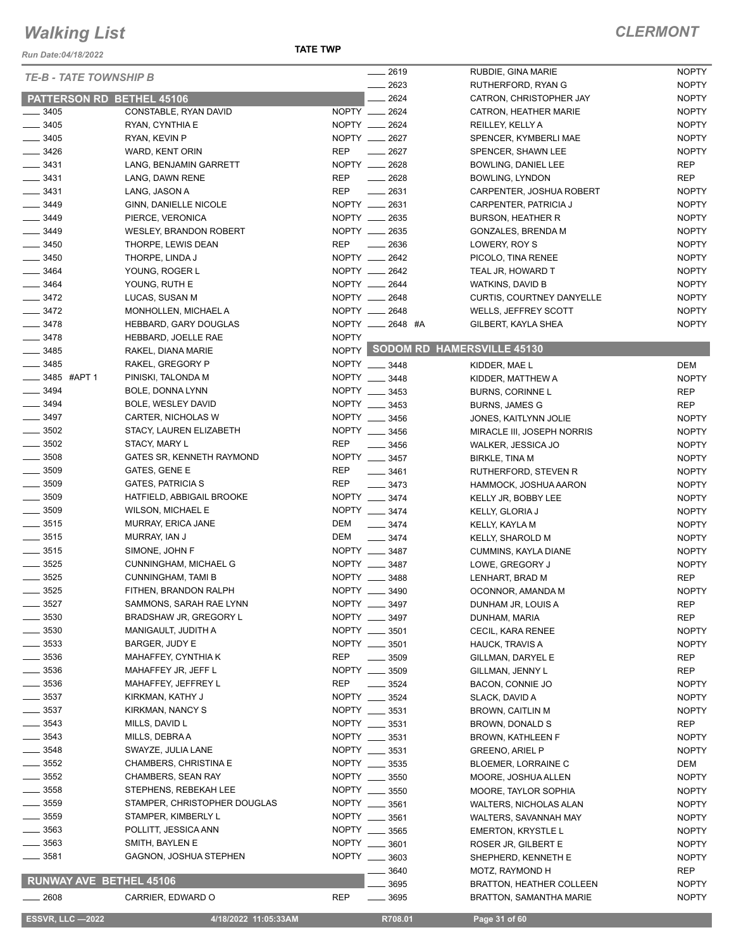*Run Date:04/18/2022*

| 2623<br><b>NOPTY</b><br>RUTHERFORD, RYAN G<br>2624<br>CATRON, CHRISTOPHER JAY<br><b>NOPTY</b><br><b>PATTERSON RD BETHEL 45106</b><br>CONSTABLE, RYAN DAVID<br>NOPTY __<br>2624<br><b>NOPTY</b><br>$\frac{1}{2}$ 3405<br>CATRON, HEATHER MARIE<br>$-3405$<br>NOPTY __ 2624<br><b>NOPTY</b><br>RYAN, CYNTHIA E<br>REILLEY, KELLY A<br>NOPTY __ 2627<br>$\frac{1}{2}$ 3405<br><b>NOPTY</b><br>RYAN, KEVIN P<br>SPENCER, KYMBERLI MAE<br>$- 3426$<br><b>REP</b><br>2627<br><b>NOPTY</b><br>WARD, KENT ORIN<br>SPENCER, SHAWN LEE<br>NOPTY __ 2628<br>$\frac{1}{2}$ 3431<br><b>REP</b><br>LANG, BENJAMIN GARRETT<br>BOWLING, DANIEL LEE<br>2628<br>$\frac{1}{2}$ 3431<br><b>REP</b><br><b>REP</b><br>LANG, DAWN RENE<br>$\frac{1}{2}$<br><b>BOWLING, LYNDON</b><br>$\frac{1}{2}$ 3431<br><b>REP</b><br>$-2631$<br><b>NOPTY</b><br>LANG, JASON A<br>CARPENTER, JOSHUA ROBERT<br>NOPTY __<br>3449<br>2631<br>GINN, DANIELLE NICOLE<br><b>NOPTY</b><br>CARPENTER, PATRICIA J<br>NOPTY __ 2635<br>$- 3449$<br><b>NOPTY</b><br>PIERCE, VERONICA<br><b>BURSON, HEATHER R</b><br>NOPTY __ 2635<br>$- 3449$<br><b>NOPTY</b><br><b>WESLEY, BRANDON ROBERT</b><br><b>GONZALES, BRENDA M</b><br><b>REP</b><br><b>NOPTY</b><br>$\frac{1}{2}$ 3450<br>2636<br>THORPE, LEWIS DEAN<br>LOWERY, ROY S<br>$\frac{1}{2}$ 3450<br>NOPTY __ 2642<br><b>NOPTY</b><br>THORPE, LINDA J<br>PICOLO, TINA RENEE<br>3464<br>NOPTY __ 2642<br><b>NOPTY</b><br>YOUNG, ROGER L<br>TEAL JR, HOWARD T<br>$- 3464$<br>NOPTY __ 2644<br><b>NOPTY</b><br>YOUNG, RUTH E<br>WATKINS, DAVID B<br>NOPTY __ 2648<br>$\frac{3472}{2}$<br><b>NOPTY</b><br>LUCAS, SUSAN M<br><b>CURTIS, COURTNEY DANYELLE</b><br>$-3472$<br>NOPTY __ 2648<br><b>NOPTY</b><br>MONHOLLEN, MICHAEL A<br>WELLS, JEFFREY SCOTT<br>NOPTY __ 2648 #A<br>$- 3478$<br><b>NOPTY</b><br>HEBBARD, GARY DOUGLAS<br>GILBERT, KAYLA SHEA<br>$- 3478$<br><b>NOPTY</b><br>HEBBARD, JOELLE RAE<br>NOPTY SODOM RD HAMERSVILLE 45130<br>$\frac{1}{2}$ 3485<br>RAKEL, DIANA MARIE<br>$\frac{1}{2}$ 3485<br>NOPTY __ 3448<br>RAKEL, GREGORY P<br>DEM<br>KIDDER, MAE L<br>_____ 3485 #APT 1<br>NOPTY __ 3448<br>PINISKI, TALONDA M<br><b>NOPTY</b><br>KIDDER, MATTHEW A<br>$\frac{1}{2}$ 3494<br>NOPTY __ 3453<br>BOLE, DONNA LYNN<br><b>REP</b><br><b>BURNS, CORINNE L</b><br>$\frac{1}{2}$ 3494<br>NOPTY __ 3453<br>BOLE, WESLEY DAVID<br><b>REP</b><br><b>BURNS, JAMES G</b><br>$\frac{1}{2}$ 3497<br>NOPTY ___<br>CARTER, NICHOLAS W<br>3456<br><b>NOPTY</b><br>JONES, KAITLYNN JOLIE<br>$\frac{1}{2}$ 3502<br>NOPTY __ 3456<br>STACY, LAUREN ELIZABETH<br><b>NOPTY</b><br>MIRACLE III, JOSEPH NORRIS<br>$\frac{1}{2}$ 3502<br><b>REP</b><br>STACY, MARY L<br>$\frac{1}{2}$ 3456<br><b>NOPTY</b><br>WALKER, JESSICA JO<br>$\frac{1}{2}$ 3508<br>GATES SR, KENNETH RAYMOND<br>NOPTY __ 3457<br><b>NOPTY</b><br>BIRKLE, TINA M<br>$\frac{1}{2}$ 3509<br><b>REP</b><br>GATES, GENE E<br>$- 3461$<br><b>NOPTY</b><br>RUTHERFORD, STEVEN R<br>3509<br><b>REP</b><br><b>GATES, PATRICIA S</b><br>3473<br><b>NOPTY</b><br>HAMMOCK, JOSHUA AARON<br>NOPTY __ 3474<br>$\frac{1}{2}$ 3509<br>HATFIELD, ABBIGAIL BROOKE<br><b>NOPTY</b><br>KELLY JR, BOBBY LEE<br>3509<br>NOPTY __ 3474<br>WILSON, MICHAEL E<br><b>NOPTY</b><br>KELLY, GLORIA J<br>$- 3515$<br>DEM<br>$- 3474$<br>MURRAY, ERICA JANE<br><b>NOPTY</b><br>KELLY, KAYLA M<br>$\frac{1}{2}$ 3515<br>DEM<br>MURRAY, IAN J<br>$\frac{1}{2}$ 3474<br><b>NOPTY</b><br><b>KELLY, SHAROLD M</b><br>$\frac{1}{2}$ 3515<br>NOPTY __ 3487<br>SIMONE, JOHN F<br><b>NOPTY</b><br><b>CUMMINS, KAYLA DIANE</b><br>$\frac{1}{2}$ 3525<br>NOPTY __ 3487<br>CUNNINGHAM, MICHAEL G<br><b>NOPTY</b><br>LOWE, GREGORY J<br>$-3525$<br>NOPTY __ 3488<br><b>CUNNINGHAM, TAMI B</b><br><b>REP</b><br>LENHART, BRAD M<br>$-3525$<br>NOPTY __ 3490<br>FITHEN, BRANDON RALPH<br><b>NOPTY</b><br>OCONNOR, AMANDA M<br>3527<br>SAMMONS, SARAH RAE LYNN<br>NOPTY __ 3497<br><b>REP</b><br>DUNHAM JR, LOUIS A<br>3530<br>BRADSHAW JR, GREGORY L<br><b>NOPTY</b><br>3497<br><b>REP</b><br>DUNHAM, MARIA<br>3530<br>MANIGAULT, JUDITH A<br>NOPTY __ 3501<br><b>NOPTY</b><br>CECIL, KARA RENEE<br>3533<br>NOPTY __<br>BARGER, JUDY E<br>3501<br>HAUCK, TRAVIS A<br><b>NOPTY</b><br>3536<br><b>REP</b><br>MAHAFFEY, CYNTHIA K<br>3509<br>GILLMAN, DARYEL E<br>REP<br>3536<br><b>NOPTY</b><br>MAHAFFEY JR, JEFF L<br>3509<br><b>REP</b><br>GILLMAN, JENNY L<br><b>REP</b><br>_ 3536<br>MAHAFFEY, JEFFREY L<br>3524<br><b>NOPTY</b><br>BACON, CONNIE JO<br>$= 3537$<br>NOPTY ___<br>KIRKMAN, KATHY J<br>3524<br>SLACK, DAVID A<br><b>NOPTY</b><br>3537<br>NOPTY __ 3531<br>KIRKMAN, NANCY S<br><b>NOPTY</b><br><b>BROWN, CAITLIN M</b><br>3543<br>MILLS, DAVID L<br>NOPTY __ 3531<br><b>REP</b><br>BROWN, DONALD S<br>3543<br>NOPTY __<br>MILLS, DEBRAA<br>3531<br>BROWN, KATHLEEN F<br><b>NOPTY</b><br>3548<br>SWAYZE, JULIA LANE<br>NOPTY __<br>3531<br><b>NOPTY</b><br>GREENO, ARIEL P<br>NOPTY __<br>3552<br><b>CHAMBERS, CHRISTINA E</b><br>3535<br>BLOEMER, LORRAINE C<br>DEM<br>3552<br>NOPTY ___<br>CHAMBERS, SEAN RAY<br>3550<br><b>NOPTY</b><br>MOORE, JOSHUA ALLEN<br>3558<br>NOPTY __<br>STEPHENS, REBEKAH LEE<br>3550<br><b>NOPTY</b><br>MOORE, TAYLOR SOPHIA<br>3559<br>STAMPER, CHRISTOPHER DOUGLAS<br>NOPTY __ 3561<br><b>NOPTY</b><br><b>WALTERS, NICHOLAS ALAN</b><br>3559<br>STAMPER, KIMBERLY L<br>NOPTY __<br>3561<br><b>NOPTY</b><br>WALTERS, SAVANNAH MAY<br>3563<br>NOPTY __<br>POLLITT, JESSICA ANN<br>3565<br><b>EMERTON, KRYSTLE L</b><br><b>NOPTY</b><br>3563<br>NOPTY __ 3601<br>SMITH, BAYLEN E<br><b>NOPTY</b><br>ROSER JR, GILBERT E<br>$=$ 3581<br>GAGNON, JOSHUA STEPHEN<br>NOPTY __ 3603<br><b>NOPTY</b><br>SHEPHERD, KENNETH E<br><b>REP</b><br>3640<br>MOTZ, RAYMOND H<br><b>RUNWAY AVE BETHEL 45106</b><br>3695<br><b>NOPTY</b><br><b>BRATTON, HEATHER COLLEEN</b><br><b>REP</b><br><b>NOPTY</b><br>$- 2608$<br>CARRIER, EDWARD O<br>3695<br><b>BRATTON, SAMANTHA MARIE</b><br><b>ESSVR, LLC -2022</b><br>4/18/2022 11:05:33AM<br>R708.01<br>Page 31 of 60 | <b>TE-B - TATE TOWNSHIP B</b> |  | 2619 | RUBDIE, GINA MARIE | <b>NOPTY</b> |
|----------------------------------------------------------------------------------------------------------------------------------------------------------------------------------------------------------------------------------------------------------------------------------------------------------------------------------------------------------------------------------------------------------------------------------------------------------------------------------------------------------------------------------------------------------------------------------------------------------------------------------------------------------------------------------------------------------------------------------------------------------------------------------------------------------------------------------------------------------------------------------------------------------------------------------------------------------------------------------------------------------------------------------------------------------------------------------------------------------------------------------------------------------------------------------------------------------------------------------------------------------------------------------------------------------------------------------------------------------------------------------------------------------------------------------------------------------------------------------------------------------------------------------------------------------------------------------------------------------------------------------------------------------------------------------------------------------------------------------------------------------------------------------------------------------------------------------------------------------------------------------------------------------------------------------------------------------------------------------------------------------------------------------------------------------------------------------------------------------------------------------------------------------------------------------------------------------------------------------------------------------------------------------------------------------------------------------------------------------------------------------------------------------------------------------------------------------------------------------------------------------------------------------------------------------------------------------------------------------------------------------------------------------------------------------------------------------------------------------------------------------------------------------------------------------------------------------------------------------------------------------------------------------------------------------------------------------------------------------------------------------------------------------------------------------------------------------------------------------------------------------------------------------------------------------------------------------------------------------------------------------------------------------------------------------------------------------------------------------------------------------------------------------------------------------------------------------------------------------------------------------------------------------------------------------------------------------------------------------------------------------------------------------------------------------------------------------------------------------------------------------------------------------------------------------------------------------------------------------------------------------------------------------------------------------------------------------------------------------------------------------------------------------------------------------------------------------------------------------------------------------------------------------------------------------------------------------------------------------------------------------------------------------------------------------------------------------------------------------------------------------------------------------------------------------------------------------------------------------------------------------------------------------------------------------------------------------------------------------------------------------------------------------------------------------------------------------------------------------------------------------------------------------------------------------------------------------------------------------------------------------------------------------------------------------------------------------------------------------------------------------------------------------------------------------------------------------------------------------------------------------------------------------------------------------------------------------------------------------------------------------------------------------------------------------------------------------------------------------------------------------------------------------------------------------------------------------------------------------------------------------------------------------------------------------------------------------------------------------------------------------------------------------------------------------------------------------------------------------------------------------------------------------------------------------------------------------------------------------------------------------------------------------------------------------------------------------------------------------------------------------------------------|-------------------------------|--|------|--------------------|--------------|
|                                                                                                                                                                                                                                                                                                                                                                                                                                                                                                                                                                                                                                                                                                                                                                                                                                                                                                                                                                                                                                                                                                                                                                                                                                                                                                                                                                                                                                                                                                                                                                                                                                                                                                                                                                                                                                                                                                                                                                                                                                                                                                                                                                                                                                                                                                                                                                                                                                                                                                                                                                                                                                                                                                                                                                                                                                                                                                                                                                                                                                                                                                                                                                                                                                                                                                                                                                                                                                                                                                                                                                                                                                                                                                                                                                                                                                                                                                                                                                                                                                                                                                                                                                                                                                                                                                                                                                                                                                                                                                                                                                                                                                                                                                                                                                                                                                                                                                                                                                                                                                                                                                                                                                                                                                                                                                                                                                                                                                                                                                                                                                                                                                                                                                                                                                                                                                                                                                                                                                                                                            |                               |  |      |                    |              |
|                                                                                                                                                                                                                                                                                                                                                                                                                                                                                                                                                                                                                                                                                                                                                                                                                                                                                                                                                                                                                                                                                                                                                                                                                                                                                                                                                                                                                                                                                                                                                                                                                                                                                                                                                                                                                                                                                                                                                                                                                                                                                                                                                                                                                                                                                                                                                                                                                                                                                                                                                                                                                                                                                                                                                                                                                                                                                                                                                                                                                                                                                                                                                                                                                                                                                                                                                                                                                                                                                                                                                                                                                                                                                                                                                                                                                                                                                                                                                                                                                                                                                                                                                                                                                                                                                                                                                                                                                                                                                                                                                                                                                                                                                                                                                                                                                                                                                                                                                                                                                                                                                                                                                                                                                                                                                                                                                                                                                                                                                                                                                                                                                                                                                                                                                                                                                                                                                                                                                                                                                            |                               |  |      |                    |              |
|                                                                                                                                                                                                                                                                                                                                                                                                                                                                                                                                                                                                                                                                                                                                                                                                                                                                                                                                                                                                                                                                                                                                                                                                                                                                                                                                                                                                                                                                                                                                                                                                                                                                                                                                                                                                                                                                                                                                                                                                                                                                                                                                                                                                                                                                                                                                                                                                                                                                                                                                                                                                                                                                                                                                                                                                                                                                                                                                                                                                                                                                                                                                                                                                                                                                                                                                                                                                                                                                                                                                                                                                                                                                                                                                                                                                                                                                                                                                                                                                                                                                                                                                                                                                                                                                                                                                                                                                                                                                                                                                                                                                                                                                                                                                                                                                                                                                                                                                                                                                                                                                                                                                                                                                                                                                                                                                                                                                                                                                                                                                                                                                                                                                                                                                                                                                                                                                                                                                                                                                                            |                               |  |      |                    |              |
|                                                                                                                                                                                                                                                                                                                                                                                                                                                                                                                                                                                                                                                                                                                                                                                                                                                                                                                                                                                                                                                                                                                                                                                                                                                                                                                                                                                                                                                                                                                                                                                                                                                                                                                                                                                                                                                                                                                                                                                                                                                                                                                                                                                                                                                                                                                                                                                                                                                                                                                                                                                                                                                                                                                                                                                                                                                                                                                                                                                                                                                                                                                                                                                                                                                                                                                                                                                                                                                                                                                                                                                                                                                                                                                                                                                                                                                                                                                                                                                                                                                                                                                                                                                                                                                                                                                                                                                                                                                                                                                                                                                                                                                                                                                                                                                                                                                                                                                                                                                                                                                                                                                                                                                                                                                                                                                                                                                                                                                                                                                                                                                                                                                                                                                                                                                                                                                                                                                                                                                                                            |                               |  |      |                    |              |
|                                                                                                                                                                                                                                                                                                                                                                                                                                                                                                                                                                                                                                                                                                                                                                                                                                                                                                                                                                                                                                                                                                                                                                                                                                                                                                                                                                                                                                                                                                                                                                                                                                                                                                                                                                                                                                                                                                                                                                                                                                                                                                                                                                                                                                                                                                                                                                                                                                                                                                                                                                                                                                                                                                                                                                                                                                                                                                                                                                                                                                                                                                                                                                                                                                                                                                                                                                                                                                                                                                                                                                                                                                                                                                                                                                                                                                                                                                                                                                                                                                                                                                                                                                                                                                                                                                                                                                                                                                                                                                                                                                                                                                                                                                                                                                                                                                                                                                                                                                                                                                                                                                                                                                                                                                                                                                                                                                                                                                                                                                                                                                                                                                                                                                                                                                                                                                                                                                                                                                                                                            |                               |  |      |                    |              |
|                                                                                                                                                                                                                                                                                                                                                                                                                                                                                                                                                                                                                                                                                                                                                                                                                                                                                                                                                                                                                                                                                                                                                                                                                                                                                                                                                                                                                                                                                                                                                                                                                                                                                                                                                                                                                                                                                                                                                                                                                                                                                                                                                                                                                                                                                                                                                                                                                                                                                                                                                                                                                                                                                                                                                                                                                                                                                                                                                                                                                                                                                                                                                                                                                                                                                                                                                                                                                                                                                                                                                                                                                                                                                                                                                                                                                                                                                                                                                                                                                                                                                                                                                                                                                                                                                                                                                                                                                                                                                                                                                                                                                                                                                                                                                                                                                                                                                                                                                                                                                                                                                                                                                                                                                                                                                                                                                                                                                                                                                                                                                                                                                                                                                                                                                                                                                                                                                                                                                                                                                            |                               |  |      |                    |              |
|                                                                                                                                                                                                                                                                                                                                                                                                                                                                                                                                                                                                                                                                                                                                                                                                                                                                                                                                                                                                                                                                                                                                                                                                                                                                                                                                                                                                                                                                                                                                                                                                                                                                                                                                                                                                                                                                                                                                                                                                                                                                                                                                                                                                                                                                                                                                                                                                                                                                                                                                                                                                                                                                                                                                                                                                                                                                                                                                                                                                                                                                                                                                                                                                                                                                                                                                                                                                                                                                                                                                                                                                                                                                                                                                                                                                                                                                                                                                                                                                                                                                                                                                                                                                                                                                                                                                                                                                                                                                                                                                                                                                                                                                                                                                                                                                                                                                                                                                                                                                                                                                                                                                                                                                                                                                                                                                                                                                                                                                                                                                                                                                                                                                                                                                                                                                                                                                                                                                                                                                                            |                               |  |      |                    |              |
|                                                                                                                                                                                                                                                                                                                                                                                                                                                                                                                                                                                                                                                                                                                                                                                                                                                                                                                                                                                                                                                                                                                                                                                                                                                                                                                                                                                                                                                                                                                                                                                                                                                                                                                                                                                                                                                                                                                                                                                                                                                                                                                                                                                                                                                                                                                                                                                                                                                                                                                                                                                                                                                                                                                                                                                                                                                                                                                                                                                                                                                                                                                                                                                                                                                                                                                                                                                                                                                                                                                                                                                                                                                                                                                                                                                                                                                                                                                                                                                                                                                                                                                                                                                                                                                                                                                                                                                                                                                                                                                                                                                                                                                                                                                                                                                                                                                                                                                                                                                                                                                                                                                                                                                                                                                                                                                                                                                                                                                                                                                                                                                                                                                                                                                                                                                                                                                                                                                                                                                                                            |                               |  |      |                    |              |
|                                                                                                                                                                                                                                                                                                                                                                                                                                                                                                                                                                                                                                                                                                                                                                                                                                                                                                                                                                                                                                                                                                                                                                                                                                                                                                                                                                                                                                                                                                                                                                                                                                                                                                                                                                                                                                                                                                                                                                                                                                                                                                                                                                                                                                                                                                                                                                                                                                                                                                                                                                                                                                                                                                                                                                                                                                                                                                                                                                                                                                                                                                                                                                                                                                                                                                                                                                                                                                                                                                                                                                                                                                                                                                                                                                                                                                                                                                                                                                                                                                                                                                                                                                                                                                                                                                                                                                                                                                                                                                                                                                                                                                                                                                                                                                                                                                                                                                                                                                                                                                                                                                                                                                                                                                                                                                                                                                                                                                                                                                                                                                                                                                                                                                                                                                                                                                                                                                                                                                                                                            |                               |  |      |                    |              |
|                                                                                                                                                                                                                                                                                                                                                                                                                                                                                                                                                                                                                                                                                                                                                                                                                                                                                                                                                                                                                                                                                                                                                                                                                                                                                                                                                                                                                                                                                                                                                                                                                                                                                                                                                                                                                                                                                                                                                                                                                                                                                                                                                                                                                                                                                                                                                                                                                                                                                                                                                                                                                                                                                                                                                                                                                                                                                                                                                                                                                                                                                                                                                                                                                                                                                                                                                                                                                                                                                                                                                                                                                                                                                                                                                                                                                                                                                                                                                                                                                                                                                                                                                                                                                                                                                                                                                                                                                                                                                                                                                                                                                                                                                                                                                                                                                                                                                                                                                                                                                                                                                                                                                                                                                                                                                                                                                                                                                                                                                                                                                                                                                                                                                                                                                                                                                                                                                                                                                                                                                            |                               |  |      |                    |              |
|                                                                                                                                                                                                                                                                                                                                                                                                                                                                                                                                                                                                                                                                                                                                                                                                                                                                                                                                                                                                                                                                                                                                                                                                                                                                                                                                                                                                                                                                                                                                                                                                                                                                                                                                                                                                                                                                                                                                                                                                                                                                                                                                                                                                                                                                                                                                                                                                                                                                                                                                                                                                                                                                                                                                                                                                                                                                                                                                                                                                                                                                                                                                                                                                                                                                                                                                                                                                                                                                                                                                                                                                                                                                                                                                                                                                                                                                                                                                                                                                                                                                                                                                                                                                                                                                                                                                                                                                                                                                                                                                                                                                                                                                                                                                                                                                                                                                                                                                                                                                                                                                                                                                                                                                                                                                                                                                                                                                                                                                                                                                                                                                                                                                                                                                                                                                                                                                                                                                                                                                                            |                               |  |      |                    |              |
|                                                                                                                                                                                                                                                                                                                                                                                                                                                                                                                                                                                                                                                                                                                                                                                                                                                                                                                                                                                                                                                                                                                                                                                                                                                                                                                                                                                                                                                                                                                                                                                                                                                                                                                                                                                                                                                                                                                                                                                                                                                                                                                                                                                                                                                                                                                                                                                                                                                                                                                                                                                                                                                                                                                                                                                                                                                                                                                                                                                                                                                                                                                                                                                                                                                                                                                                                                                                                                                                                                                                                                                                                                                                                                                                                                                                                                                                                                                                                                                                                                                                                                                                                                                                                                                                                                                                                                                                                                                                                                                                                                                                                                                                                                                                                                                                                                                                                                                                                                                                                                                                                                                                                                                                                                                                                                                                                                                                                                                                                                                                                                                                                                                                                                                                                                                                                                                                                                                                                                                                                            |                               |  |      |                    |              |
|                                                                                                                                                                                                                                                                                                                                                                                                                                                                                                                                                                                                                                                                                                                                                                                                                                                                                                                                                                                                                                                                                                                                                                                                                                                                                                                                                                                                                                                                                                                                                                                                                                                                                                                                                                                                                                                                                                                                                                                                                                                                                                                                                                                                                                                                                                                                                                                                                                                                                                                                                                                                                                                                                                                                                                                                                                                                                                                                                                                                                                                                                                                                                                                                                                                                                                                                                                                                                                                                                                                                                                                                                                                                                                                                                                                                                                                                                                                                                                                                                                                                                                                                                                                                                                                                                                                                                                                                                                                                                                                                                                                                                                                                                                                                                                                                                                                                                                                                                                                                                                                                                                                                                                                                                                                                                                                                                                                                                                                                                                                                                                                                                                                                                                                                                                                                                                                                                                                                                                                                                            |                               |  |      |                    |              |
|                                                                                                                                                                                                                                                                                                                                                                                                                                                                                                                                                                                                                                                                                                                                                                                                                                                                                                                                                                                                                                                                                                                                                                                                                                                                                                                                                                                                                                                                                                                                                                                                                                                                                                                                                                                                                                                                                                                                                                                                                                                                                                                                                                                                                                                                                                                                                                                                                                                                                                                                                                                                                                                                                                                                                                                                                                                                                                                                                                                                                                                                                                                                                                                                                                                                                                                                                                                                                                                                                                                                                                                                                                                                                                                                                                                                                                                                                                                                                                                                                                                                                                                                                                                                                                                                                                                                                                                                                                                                                                                                                                                                                                                                                                                                                                                                                                                                                                                                                                                                                                                                                                                                                                                                                                                                                                                                                                                                                                                                                                                                                                                                                                                                                                                                                                                                                                                                                                                                                                                                                            |                               |  |      |                    |              |
|                                                                                                                                                                                                                                                                                                                                                                                                                                                                                                                                                                                                                                                                                                                                                                                                                                                                                                                                                                                                                                                                                                                                                                                                                                                                                                                                                                                                                                                                                                                                                                                                                                                                                                                                                                                                                                                                                                                                                                                                                                                                                                                                                                                                                                                                                                                                                                                                                                                                                                                                                                                                                                                                                                                                                                                                                                                                                                                                                                                                                                                                                                                                                                                                                                                                                                                                                                                                                                                                                                                                                                                                                                                                                                                                                                                                                                                                                                                                                                                                                                                                                                                                                                                                                                                                                                                                                                                                                                                                                                                                                                                                                                                                                                                                                                                                                                                                                                                                                                                                                                                                                                                                                                                                                                                                                                                                                                                                                                                                                                                                                                                                                                                                                                                                                                                                                                                                                                                                                                                                                            |                               |  |      |                    |              |
|                                                                                                                                                                                                                                                                                                                                                                                                                                                                                                                                                                                                                                                                                                                                                                                                                                                                                                                                                                                                                                                                                                                                                                                                                                                                                                                                                                                                                                                                                                                                                                                                                                                                                                                                                                                                                                                                                                                                                                                                                                                                                                                                                                                                                                                                                                                                                                                                                                                                                                                                                                                                                                                                                                                                                                                                                                                                                                                                                                                                                                                                                                                                                                                                                                                                                                                                                                                                                                                                                                                                                                                                                                                                                                                                                                                                                                                                                                                                                                                                                                                                                                                                                                                                                                                                                                                                                                                                                                                                                                                                                                                                                                                                                                                                                                                                                                                                                                                                                                                                                                                                                                                                                                                                                                                                                                                                                                                                                                                                                                                                                                                                                                                                                                                                                                                                                                                                                                                                                                                                                            |                               |  |      |                    |              |
|                                                                                                                                                                                                                                                                                                                                                                                                                                                                                                                                                                                                                                                                                                                                                                                                                                                                                                                                                                                                                                                                                                                                                                                                                                                                                                                                                                                                                                                                                                                                                                                                                                                                                                                                                                                                                                                                                                                                                                                                                                                                                                                                                                                                                                                                                                                                                                                                                                                                                                                                                                                                                                                                                                                                                                                                                                                                                                                                                                                                                                                                                                                                                                                                                                                                                                                                                                                                                                                                                                                                                                                                                                                                                                                                                                                                                                                                                                                                                                                                                                                                                                                                                                                                                                                                                                                                                                                                                                                                                                                                                                                                                                                                                                                                                                                                                                                                                                                                                                                                                                                                                                                                                                                                                                                                                                                                                                                                                                                                                                                                                                                                                                                                                                                                                                                                                                                                                                                                                                                                                            |                               |  |      |                    |              |
|                                                                                                                                                                                                                                                                                                                                                                                                                                                                                                                                                                                                                                                                                                                                                                                                                                                                                                                                                                                                                                                                                                                                                                                                                                                                                                                                                                                                                                                                                                                                                                                                                                                                                                                                                                                                                                                                                                                                                                                                                                                                                                                                                                                                                                                                                                                                                                                                                                                                                                                                                                                                                                                                                                                                                                                                                                                                                                                                                                                                                                                                                                                                                                                                                                                                                                                                                                                                                                                                                                                                                                                                                                                                                                                                                                                                                                                                                                                                                                                                                                                                                                                                                                                                                                                                                                                                                                                                                                                                                                                                                                                                                                                                                                                                                                                                                                                                                                                                                                                                                                                                                                                                                                                                                                                                                                                                                                                                                                                                                                                                                                                                                                                                                                                                                                                                                                                                                                                                                                                                                            |                               |  |      |                    |              |
|                                                                                                                                                                                                                                                                                                                                                                                                                                                                                                                                                                                                                                                                                                                                                                                                                                                                                                                                                                                                                                                                                                                                                                                                                                                                                                                                                                                                                                                                                                                                                                                                                                                                                                                                                                                                                                                                                                                                                                                                                                                                                                                                                                                                                                                                                                                                                                                                                                                                                                                                                                                                                                                                                                                                                                                                                                                                                                                                                                                                                                                                                                                                                                                                                                                                                                                                                                                                                                                                                                                                                                                                                                                                                                                                                                                                                                                                                                                                                                                                                                                                                                                                                                                                                                                                                                                                                                                                                                                                                                                                                                                                                                                                                                                                                                                                                                                                                                                                                                                                                                                                                                                                                                                                                                                                                                                                                                                                                                                                                                                                                                                                                                                                                                                                                                                                                                                                                                                                                                                                                            |                               |  |      |                    |              |
|                                                                                                                                                                                                                                                                                                                                                                                                                                                                                                                                                                                                                                                                                                                                                                                                                                                                                                                                                                                                                                                                                                                                                                                                                                                                                                                                                                                                                                                                                                                                                                                                                                                                                                                                                                                                                                                                                                                                                                                                                                                                                                                                                                                                                                                                                                                                                                                                                                                                                                                                                                                                                                                                                                                                                                                                                                                                                                                                                                                                                                                                                                                                                                                                                                                                                                                                                                                                                                                                                                                                                                                                                                                                                                                                                                                                                                                                                                                                                                                                                                                                                                                                                                                                                                                                                                                                                                                                                                                                                                                                                                                                                                                                                                                                                                                                                                                                                                                                                                                                                                                                                                                                                                                                                                                                                                                                                                                                                                                                                                                                                                                                                                                                                                                                                                                                                                                                                                                                                                                                                            |                               |  |      |                    |              |
|                                                                                                                                                                                                                                                                                                                                                                                                                                                                                                                                                                                                                                                                                                                                                                                                                                                                                                                                                                                                                                                                                                                                                                                                                                                                                                                                                                                                                                                                                                                                                                                                                                                                                                                                                                                                                                                                                                                                                                                                                                                                                                                                                                                                                                                                                                                                                                                                                                                                                                                                                                                                                                                                                                                                                                                                                                                                                                                                                                                                                                                                                                                                                                                                                                                                                                                                                                                                                                                                                                                                                                                                                                                                                                                                                                                                                                                                                                                                                                                                                                                                                                                                                                                                                                                                                                                                                                                                                                                                                                                                                                                                                                                                                                                                                                                                                                                                                                                                                                                                                                                                                                                                                                                                                                                                                                                                                                                                                                                                                                                                                                                                                                                                                                                                                                                                                                                                                                                                                                                                                            |                               |  |      |                    |              |
|                                                                                                                                                                                                                                                                                                                                                                                                                                                                                                                                                                                                                                                                                                                                                                                                                                                                                                                                                                                                                                                                                                                                                                                                                                                                                                                                                                                                                                                                                                                                                                                                                                                                                                                                                                                                                                                                                                                                                                                                                                                                                                                                                                                                                                                                                                                                                                                                                                                                                                                                                                                                                                                                                                                                                                                                                                                                                                                                                                                                                                                                                                                                                                                                                                                                                                                                                                                                                                                                                                                                                                                                                                                                                                                                                                                                                                                                                                                                                                                                                                                                                                                                                                                                                                                                                                                                                                                                                                                                                                                                                                                                                                                                                                                                                                                                                                                                                                                                                                                                                                                                                                                                                                                                                                                                                                                                                                                                                                                                                                                                                                                                                                                                                                                                                                                                                                                                                                                                                                                                                            |                               |  |      |                    |              |
|                                                                                                                                                                                                                                                                                                                                                                                                                                                                                                                                                                                                                                                                                                                                                                                                                                                                                                                                                                                                                                                                                                                                                                                                                                                                                                                                                                                                                                                                                                                                                                                                                                                                                                                                                                                                                                                                                                                                                                                                                                                                                                                                                                                                                                                                                                                                                                                                                                                                                                                                                                                                                                                                                                                                                                                                                                                                                                                                                                                                                                                                                                                                                                                                                                                                                                                                                                                                                                                                                                                                                                                                                                                                                                                                                                                                                                                                                                                                                                                                                                                                                                                                                                                                                                                                                                                                                                                                                                                                                                                                                                                                                                                                                                                                                                                                                                                                                                                                                                                                                                                                                                                                                                                                                                                                                                                                                                                                                                                                                                                                                                                                                                                                                                                                                                                                                                                                                                                                                                                                                            |                               |  |      |                    |              |
|                                                                                                                                                                                                                                                                                                                                                                                                                                                                                                                                                                                                                                                                                                                                                                                                                                                                                                                                                                                                                                                                                                                                                                                                                                                                                                                                                                                                                                                                                                                                                                                                                                                                                                                                                                                                                                                                                                                                                                                                                                                                                                                                                                                                                                                                                                                                                                                                                                                                                                                                                                                                                                                                                                                                                                                                                                                                                                                                                                                                                                                                                                                                                                                                                                                                                                                                                                                                                                                                                                                                                                                                                                                                                                                                                                                                                                                                                                                                                                                                                                                                                                                                                                                                                                                                                                                                                                                                                                                                                                                                                                                                                                                                                                                                                                                                                                                                                                                                                                                                                                                                                                                                                                                                                                                                                                                                                                                                                                                                                                                                                                                                                                                                                                                                                                                                                                                                                                                                                                                                                            |                               |  |      |                    |              |
|                                                                                                                                                                                                                                                                                                                                                                                                                                                                                                                                                                                                                                                                                                                                                                                                                                                                                                                                                                                                                                                                                                                                                                                                                                                                                                                                                                                                                                                                                                                                                                                                                                                                                                                                                                                                                                                                                                                                                                                                                                                                                                                                                                                                                                                                                                                                                                                                                                                                                                                                                                                                                                                                                                                                                                                                                                                                                                                                                                                                                                                                                                                                                                                                                                                                                                                                                                                                                                                                                                                                                                                                                                                                                                                                                                                                                                                                                                                                                                                                                                                                                                                                                                                                                                                                                                                                                                                                                                                                                                                                                                                                                                                                                                                                                                                                                                                                                                                                                                                                                                                                                                                                                                                                                                                                                                                                                                                                                                                                                                                                                                                                                                                                                                                                                                                                                                                                                                                                                                                                                            |                               |  |      |                    |              |
|                                                                                                                                                                                                                                                                                                                                                                                                                                                                                                                                                                                                                                                                                                                                                                                                                                                                                                                                                                                                                                                                                                                                                                                                                                                                                                                                                                                                                                                                                                                                                                                                                                                                                                                                                                                                                                                                                                                                                                                                                                                                                                                                                                                                                                                                                                                                                                                                                                                                                                                                                                                                                                                                                                                                                                                                                                                                                                                                                                                                                                                                                                                                                                                                                                                                                                                                                                                                                                                                                                                                                                                                                                                                                                                                                                                                                                                                                                                                                                                                                                                                                                                                                                                                                                                                                                                                                                                                                                                                                                                                                                                                                                                                                                                                                                                                                                                                                                                                                                                                                                                                                                                                                                                                                                                                                                                                                                                                                                                                                                                                                                                                                                                                                                                                                                                                                                                                                                                                                                                                                            |                               |  |      |                    |              |
|                                                                                                                                                                                                                                                                                                                                                                                                                                                                                                                                                                                                                                                                                                                                                                                                                                                                                                                                                                                                                                                                                                                                                                                                                                                                                                                                                                                                                                                                                                                                                                                                                                                                                                                                                                                                                                                                                                                                                                                                                                                                                                                                                                                                                                                                                                                                                                                                                                                                                                                                                                                                                                                                                                                                                                                                                                                                                                                                                                                                                                                                                                                                                                                                                                                                                                                                                                                                                                                                                                                                                                                                                                                                                                                                                                                                                                                                                                                                                                                                                                                                                                                                                                                                                                                                                                                                                                                                                                                                                                                                                                                                                                                                                                                                                                                                                                                                                                                                                                                                                                                                                                                                                                                                                                                                                                                                                                                                                                                                                                                                                                                                                                                                                                                                                                                                                                                                                                                                                                                                                            |                               |  |      |                    |              |
|                                                                                                                                                                                                                                                                                                                                                                                                                                                                                                                                                                                                                                                                                                                                                                                                                                                                                                                                                                                                                                                                                                                                                                                                                                                                                                                                                                                                                                                                                                                                                                                                                                                                                                                                                                                                                                                                                                                                                                                                                                                                                                                                                                                                                                                                                                                                                                                                                                                                                                                                                                                                                                                                                                                                                                                                                                                                                                                                                                                                                                                                                                                                                                                                                                                                                                                                                                                                                                                                                                                                                                                                                                                                                                                                                                                                                                                                                                                                                                                                                                                                                                                                                                                                                                                                                                                                                                                                                                                                                                                                                                                                                                                                                                                                                                                                                                                                                                                                                                                                                                                                                                                                                                                                                                                                                                                                                                                                                                                                                                                                                                                                                                                                                                                                                                                                                                                                                                                                                                                                                            |                               |  |      |                    |              |
|                                                                                                                                                                                                                                                                                                                                                                                                                                                                                                                                                                                                                                                                                                                                                                                                                                                                                                                                                                                                                                                                                                                                                                                                                                                                                                                                                                                                                                                                                                                                                                                                                                                                                                                                                                                                                                                                                                                                                                                                                                                                                                                                                                                                                                                                                                                                                                                                                                                                                                                                                                                                                                                                                                                                                                                                                                                                                                                                                                                                                                                                                                                                                                                                                                                                                                                                                                                                                                                                                                                                                                                                                                                                                                                                                                                                                                                                                                                                                                                                                                                                                                                                                                                                                                                                                                                                                                                                                                                                                                                                                                                                                                                                                                                                                                                                                                                                                                                                                                                                                                                                                                                                                                                                                                                                                                                                                                                                                                                                                                                                                                                                                                                                                                                                                                                                                                                                                                                                                                                                                            |                               |  |      |                    |              |
|                                                                                                                                                                                                                                                                                                                                                                                                                                                                                                                                                                                                                                                                                                                                                                                                                                                                                                                                                                                                                                                                                                                                                                                                                                                                                                                                                                                                                                                                                                                                                                                                                                                                                                                                                                                                                                                                                                                                                                                                                                                                                                                                                                                                                                                                                                                                                                                                                                                                                                                                                                                                                                                                                                                                                                                                                                                                                                                                                                                                                                                                                                                                                                                                                                                                                                                                                                                                                                                                                                                                                                                                                                                                                                                                                                                                                                                                                                                                                                                                                                                                                                                                                                                                                                                                                                                                                                                                                                                                                                                                                                                                                                                                                                                                                                                                                                                                                                                                                                                                                                                                                                                                                                                                                                                                                                                                                                                                                                                                                                                                                                                                                                                                                                                                                                                                                                                                                                                                                                                                                            |                               |  |      |                    |              |
|                                                                                                                                                                                                                                                                                                                                                                                                                                                                                                                                                                                                                                                                                                                                                                                                                                                                                                                                                                                                                                                                                                                                                                                                                                                                                                                                                                                                                                                                                                                                                                                                                                                                                                                                                                                                                                                                                                                                                                                                                                                                                                                                                                                                                                                                                                                                                                                                                                                                                                                                                                                                                                                                                                                                                                                                                                                                                                                                                                                                                                                                                                                                                                                                                                                                                                                                                                                                                                                                                                                                                                                                                                                                                                                                                                                                                                                                                                                                                                                                                                                                                                                                                                                                                                                                                                                                                                                                                                                                                                                                                                                                                                                                                                                                                                                                                                                                                                                                                                                                                                                                                                                                                                                                                                                                                                                                                                                                                                                                                                                                                                                                                                                                                                                                                                                                                                                                                                                                                                                                                            |                               |  |      |                    |              |
|                                                                                                                                                                                                                                                                                                                                                                                                                                                                                                                                                                                                                                                                                                                                                                                                                                                                                                                                                                                                                                                                                                                                                                                                                                                                                                                                                                                                                                                                                                                                                                                                                                                                                                                                                                                                                                                                                                                                                                                                                                                                                                                                                                                                                                                                                                                                                                                                                                                                                                                                                                                                                                                                                                                                                                                                                                                                                                                                                                                                                                                                                                                                                                                                                                                                                                                                                                                                                                                                                                                                                                                                                                                                                                                                                                                                                                                                                                                                                                                                                                                                                                                                                                                                                                                                                                                                                                                                                                                                                                                                                                                                                                                                                                                                                                                                                                                                                                                                                                                                                                                                                                                                                                                                                                                                                                                                                                                                                                                                                                                                                                                                                                                                                                                                                                                                                                                                                                                                                                                                                            |                               |  |      |                    |              |
|                                                                                                                                                                                                                                                                                                                                                                                                                                                                                                                                                                                                                                                                                                                                                                                                                                                                                                                                                                                                                                                                                                                                                                                                                                                                                                                                                                                                                                                                                                                                                                                                                                                                                                                                                                                                                                                                                                                                                                                                                                                                                                                                                                                                                                                                                                                                                                                                                                                                                                                                                                                                                                                                                                                                                                                                                                                                                                                                                                                                                                                                                                                                                                                                                                                                                                                                                                                                                                                                                                                                                                                                                                                                                                                                                                                                                                                                                                                                                                                                                                                                                                                                                                                                                                                                                                                                                                                                                                                                                                                                                                                                                                                                                                                                                                                                                                                                                                                                                                                                                                                                                                                                                                                                                                                                                                                                                                                                                                                                                                                                                                                                                                                                                                                                                                                                                                                                                                                                                                                                                            |                               |  |      |                    |              |
|                                                                                                                                                                                                                                                                                                                                                                                                                                                                                                                                                                                                                                                                                                                                                                                                                                                                                                                                                                                                                                                                                                                                                                                                                                                                                                                                                                                                                                                                                                                                                                                                                                                                                                                                                                                                                                                                                                                                                                                                                                                                                                                                                                                                                                                                                                                                                                                                                                                                                                                                                                                                                                                                                                                                                                                                                                                                                                                                                                                                                                                                                                                                                                                                                                                                                                                                                                                                                                                                                                                                                                                                                                                                                                                                                                                                                                                                                                                                                                                                                                                                                                                                                                                                                                                                                                                                                                                                                                                                                                                                                                                                                                                                                                                                                                                                                                                                                                                                                                                                                                                                                                                                                                                                                                                                                                                                                                                                                                                                                                                                                                                                                                                                                                                                                                                                                                                                                                                                                                                                                            |                               |  |      |                    |              |
|                                                                                                                                                                                                                                                                                                                                                                                                                                                                                                                                                                                                                                                                                                                                                                                                                                                                                                                                                                                                                                                                                                                                                                                                                                                                                                                                                                                                                                                                                                                                                                                                                                                                                                                                                                                                                                                                                                                                                                                                                                                                                                                                                                                                                                                                                                                                                                                                                                                                                                                                                                                                                                                                                                                                                                                                                                                                                                                                                                                                                                                                                                                                                                                                                                                                                                                                                                                                                                                                                                                                                                                                                                                                                                                                                                                                                                                                                                                                                                                                                                                                                                                                                                                                                                                                                                                                                                                                                                                                                                                                                                                                                                                                                                                                                                                                                                                                                                                                                                                                                                                                                                                                                                                                                                                                                                                                                                                                                                                                                                                                                                                                                                                                                                                                                                                                                                                                                                                                                                                                                            |                               |  |      |                    |              |
|                                                                                                                                                                                                                                                                                                                                                                                                                                                                                                                                                                                                                                                                                                                                                                                                                                                                                                                                                                                                                                                                                                                                                                                                                                                                                                                                                                                                                                                                                                                                                                                                                                                                                                                                                                                                                                                                                                                                                                                                                                                                                                                                                                                                                                                                                                                                                                                                                                                                                                                                                                                                                                                                                                                                                                                                                                                                                                                                                                                                                                                                                                                                                                                                                                                                                                                                                                                                                                                                                                                                                                                                                                                                                                                                                                                                                                                                                                                                                                                                                                                                                                                                                                                                                                                                                                                                                                                                                                                                                                                                                                                                                                                                                                                                                                                                                                                                                                                                                                                                                                                                                                                                                                                                                                                                                                                                                                                                                                                                                                                                                                                                                                                                                                                                                                                                                                                                                                                                                                                                                            |                               |  |      |                    |              |
|                                                                                                                                                                                                                                                                                                                                                                                                                                                                                                                                                                                                                                                                                                                                                                                                                                                                                                                                                                                                                                                                                                                                                                                                                                                                                                                                                                                                                                                                                                                                                                                                                                                                                                                                                                                                                                                                                                                                                                                                                                                                                                                                                                                                                                                                                                                                                                                                                                                                                                                                                                                                                                                                                                                                                                                                                                                                                                                                                                                                                                                                                                                                                                                                                                                                                                                                                                                                                                                                                                                                                                                                                                                                                                                                                                                                                                                                                                                                                                                                                                                                                                                                                                                                                                                                                                                                                                                                                                                                                                                                                                                                                                                                                                                                                                                                                                                                                                                                                                                                                                                                                                                                                                                                                                                                                                                                                                                                                                                                                                                                                                                                                                                                                                                                                                                                                                                                                                                                                                                                                            |                               |  |      |                    |              |
|                                                                                                                                                                                                                                                                                                                                                                                                                                                                                                                                                                                                                                                                                                                                                                                                                                                                                                                                                                                                                                                                                                                                                                                                                                                                                                                                                                                                                                                                                                                                                                                                                                                                                                                                                                                                                                                                                                                                                                                                                                                                                                                                                                                                                                                                                                                                                                                                                                                                                                                                                                                                                                                                                                                                                                                                                                                                                                                                                                                                                                                                                                                                                                                                                                                                                                                                                                                                                                                                                                                                                                                                                                                                                                                                                                                                                                                                                                                                                                                                                                                                                                                                                                                                                                                                                                                                                                                                                                                                                                                                                                                                                                                                                                                                                                                                                                                                                                                                                                                                                                                                                                                                                                                                                                                                                                                                                                                                                                                                                                                                                                                                                                                                                                                                                                                                                                                                                                                                                                                                                            |                               |  |      |                    |              |
|                                                                                                                                                                                                                                                                                                                                                                                                                                                                                                                                                                                                                                                                                                                                                                                                                                                                                                                                                                                                                                                                                                                                                                                                                                                                                                                                                                                                                                                                                                                                                                                                                                                                                                                                                                                                                                                                                                                                                                                                                                                                                                                                                                                                                                                                                                                                                                                                                                                                                                                                                                                                                                                                                                                                                                                                                                                                                                                                                                                                                                                                                                                                                                                                                                                                                                                                                                                                                                                                                                                                                                                                                                                                                                                                                                                                                                                                                                                                                                                                                                                                                                                                                                                                                                                                                                                                                                                                                                                                                                                                                                                                                                                                                                                                                                                                                                                                                                                                                                                                                                                                                                                                                                                                                                                                                                                                                                                                                                                                                                                                                                                                                                                                                                                                                                                                                                                                                                                                                                                                                            |                               |  |      |                    |              |
|                                                                                                                                                                                                                                                                                                                                                                                                                                                                                                                                                                                                                                                                                                                                                                                                                                                                                                                                                                                                                                                                                                                                                                                                                                                                                                                                                                                                                                                                                                                                                                                                                                                                                                                                                                                                                                                                                                                                                                                                                                                                                                                                                                                                                                                                                                                                                                                                                                                                                                                                                                                                                                                                                                                                                                                                                                                                                                                                                                                                                                                                                                                                                                                                                                                                                                                                                                                                                                                                                                                                                                                                                                                                                                                                                                                                                                                                                                                                                                                                                                                                                                                                                                                                                                                                                                                                                                                                                                                                                                                                                                                                                                                                                                                                                                                                                                                                                                                                                                                                                                                                                                                                                                                                                                                                                                                                                                                                                                                                                                                                                                                                                                                                                                                                                                                                                                                                                                                                                                                                                            |                               |  |      |                    |              |
|                                                                                                                                                                                                                                                                                                                                                                                                                                                                                                                                                                                                                                                                                                                                                                                                                                                                                                                                                                                                                                                                                                                                                                                                                                                                                                                                                                                                                                                                                                                                                                                                                                                                                                                                                                                                                                                                                                                                                                                                                                                                                                                                                                                                                                                                                                                                                                                                                                                                                                                                                                                                                                                                                                                                                                                                                                                                                                                                                                                                                                                                                                                                                                                                                                                                                                                                                                                                                                                                                                                                                                                                                                                                                                                                                                                                                                                                                                                                                                                                                                                                                                                                                                                                                                                                                                                                                                                                                                                                                                                                                                                                                                                                                                                                                                                                                                                                                                                                                                                                                                                                                                                                                                                                                                                                                                                                                                                                                                                                                                                                                                                                                                                                                                                                                                                                                                                                                                                                                                                                                            |                               |  |      |                    |              |
|                                                                                                                                                                                                                                                                                                                                                                                                                                                                                                                                                                                                                                                                                                                                                                                                                                                                                                                                                                                                                                                                                                                                                                                                                                                                                                                                                                                                                                                                                                                                                                                                                                                                                                                                                                                                                                                                                                                                                                                                                                                                                                                                                                                                                                                                                                                                                                                                                                                                                                                                                                                                                                                                                                                                                                                                                                                                                                                                                                                                                                                                                                                                                                                                                                                                                                                                                                                                                                                                                                                                                                                                                                                                                                                                                                                                                                                                                                                                                                                                                                                                                                                                                                                                                                                                                                                                                                                                                                                                                                                                                                                                                                                                                                                                                                                                                                                                                                                                                                                                                                                                                                                                                                                                                                                                                                                                                                                                                                                                                                                                                                                                                                                                                                                                                                                                                                                                                                                                                                                                                            |                               |  |      |                    |              |
|                                                                                                                                                                                                                                                                                                                                                                                                                                                                                                                                                                                                                                                                                                                                                                                                                                                                                                                                                                                                                                                                                                                                                                                                                                                                                                                                                                                                                                                                                                                                                                                                                                                                                                                                                                                                                                                                                                                                                                                                                                                                                                                                                                                                                                                                                                                                                                                                                                                                                                                                                                                                                                                                                                                                                                                                                                                                                                                                                                                                                                                                                                                                                                                                                                                                                                                                                                                                                                                                                                                                                                                                                                                                                                                                                                                                                                                                                                                                                                                                                                                                                                                                                                                                                                                                                                                                                                                                                                                                                                                                                                                                                                                                                                                                                                                                                                                                                                                                                                                                                                                                                                                                                                                                                                                                                                                                                                                                                                                                                                                                                                                                                                                                                                                                                                                                                                                                                                                                                                                                                            |                               |  |      |                    |              |
|                                                                                                                                                                                                                                                                                                                                                                                                                                                                                                                                                                                                                                                                                                                                                                                                                                                                                                                                                                                                                                                                                                                                                                                                                                                                                                                                                                                                                                                                                                                                                                                                                                                                                                                                                                                                                                                                                                                                                                                                                                                                                                                                                                                                                                                                                                                                                                                                                                                                                                                                                                                                                                                                                                                                                                                                                                                                                                                                                                                                                                                                                                                                                                                                                                                                                                                                                                                                                                                                                                                                                                                                                                                                                                                                                                                                                                                                                                                                                                                                                                                                                                                                                                                                                                                                                                                                                                                                                                                                                                                                                                                                                                                                                                                                                                                                                                                                                                                                                                                                                                                                                                                                                                                                                                                                                                                                                                                                                                                                                                                                                                                                                                                                                                                                                                                                                                                                                                                                                                                                                            |                               |  |      |                    |              |
|                                                                                                                                                                                                                                                                                                                                                                                                                                                                                                                                                                                                                                                                                                                                                                                                                                                                                                                                                                                                                                                                                                                                                                                                                                                                                                                                                                                                                                                                                                                                                                                                                                                                                                                                                                                                                                                                                                                                                                                                                                                                                                                                                                                                                                                                                                                                                                                                                                                                                                                                                                                                                                                                                                                                                                                                                                                                                                                                                                                                                                                                                                                                                                                                                                                                                                                                                                                                                                                                                                                                                                                                                                                                                                                                                                                                                                                                                                                                                                                                                                                                                                                                                                                                                                                                                                                                                                                                                                                                                                                                                                                                                                                                                                                                                                                                                                                                                                                                                                                                                                                                                                                                                                                                                                                                                                                                                                                                                                                                                                                                                                                                                                                                                                                                                                                                                                                                                                                                                                                                                            |                               |  |      |                    |              |
|                                                                                                                                                                                                                                                                                                                                                                                                                                                                                                                                                                                                                                                                                                                                                                                                                                                                                                                                                                                                                                                                                                                                                                                                                                                                                                                                                                                                                                                                                                                                                                                                                                                                                                                                                                                                                                                                                                                                                                                                                                                                                                                                                                                                                                                                                                                                                                                                                                                                                                                                                                                                                                                                                                                                                                                                                                                                                                                                                                                                                                                                                                                                                                                                                                                                                                                                                                                                                                                                                                                                                                                                                                                                                                                                                                                                                                                                                                                                                                                                                                                                                                                                                                                                                                                                                                                                                                                                                                                                                                                                                                                                                                                                                                                                                                                                                                                                                                                                                                                                                                                                                                                                                                                                                                                                                                                                                                                                                                                                                                                                                                                                                                                                                                                                                                                                                                                                                                                                                                                                                            |                               |  |      |                    |              |
|                                                                                                                                                                                                                                                                                                                                                                                                                                                                                                                                                                                                                                                                                                                                                                                                                                                                                                                                                                                                                                                                                                                                                                                                                                                                                                                                                                                                                                                                                                                                                                                                                                                                                                                                                                                                                                                                                                                                                                                                                                                                                                                                                                                                                                                                                                                                                                                                                                                                                                                                                                                                                                                                                                                                                                                                                                                                                                                                                                                                                                                                                                                                                                                                                                                                                                                                                                                                                                                                                                                                                                                                                                                                                                                                                                                                                                                                                                                                                                                                                                                                                                                                                                                                                                                                                                                                                                                                                                                                                                                                                                                                                                                                                                                                                                                                                                                                                                                                                                                                                                                                                                                                                                                                                                                                                                                                                                                                                                                                                                                                                                                                                                                                                                                                                                                                                                                                                                                                                                                                                            |                               |  |      |                    |              |
|                                                                                                                                                                                                                                                                                                                                                                                                                                                                                                                                                                                                                                                                                                                                                                                                                                                                                                                                                                                                                                                                                                                                                                                                                                                                                                                                                                                                                                                                                                                                                                                                                                                                                                                                                                                                                                                                                                                                                                                                                                                                                                                                                                                                                                                                                                                                                                                                                                                                                                                                                                                                                                                                                                                                                                                                                                                                                                                                                                                                                                                                                                                                                                                                                                                                                                                                                                                                                                                                                                                                                                                                                                                                                                                                                                                                                                                                                                                                                                                                                                                                                                                                                                                                                                                                                                                                                                                                                                                                                                                                                                                                                                                                                                                                                                                                                                                                                                                                                                                                                                                                                                                                                                                                                                                                                                                                                                                                                                                                                                                                                                                                                                                                                                                                                                                                                                                                                                                                                                                                                            |                               |  |      |                    |              |
|                                                                                                                                                                                                                                                                                                                                                                                                                                                                                                                                                                                                                                                                                                                                                                                                                                                                                                                                                                                                                                                                                                                                                                                                                                                                                                                                                                                                                                                                                                                                                                                                                                                                                                                                                                                                                                                                                                                                                                                                                                                                                                                                                                                                                                                                                                                                                                                                                                                                                                                                                                                                                                                                                                                                                                                                                                                                                                                                                                                                                                                                                                                                                                                                                                                                                                                                                                                                                                                                                                                                                                                                                                                                                                                                                                                                                                                                                                                                                                                                                                                                                                                                                                                                                                                                                                                                                                                                                                                                                                                                                                                                                                                                                                                                                                                                                                                                                                                                                                                                                                                                                                                                                                                                                                                                                                                                                                                                                                                                                                                                                                                                                                                                                                                                                                                                                                                                                                                                                                                                                            |                               |  |      |                    |              |
|                                                                                                                                                                                                                                                                                                                                                                                                                                                                                                                                                                                                                                                                                                                                                                                                                                                                                                                                                                                                                                                                                                                                                                                                                                                                                                                                                                                                                                                                                                                                                                                                                                                                                                                                                                                                                                                                                                                                                                                                                                                                                                                                                                                                                                                                                                                                                                                                                                                                                                                                                                                                                                                                                                                                                                                                                                                                                                                                                                                                                                                                                                                                                                                                                                                                                                                                                                                                                                                                                                                                                                                                                                                                                                                                                                                                                                                                                                                                                                                                                                                                                                                                                                                                                                                                                                                                                                                                                                                                                                                                                                                                                                                                                                                                                                                                                                                                                                                                                                                                                                                                                                                                                                                                                                                                                                                                                                                                                                                                                                                                                                                                                                                                                                                                                                                                                                                                                                                                                                                                                            |                               |  |      |                    |              |
|                                                                                                                                                                                                                                                                                                                                                                                                                                                                                                                                                                                                                                                                                                                                                                                                                                                                                                                                                                                                                                                                                                                                                                                                                                                                                                                                                                                                                                                                                                                                                                                                                                                                                                                                                                                                                                                                                                                                                                                                                                                                                                                                                                                                                                                                                                                                                                                                                                                                                                                                                                                                                                                                                                                                                                                                                                                                                                                                                                                                                                                                                                                                                                                                                                                                                                                                                                                                                                                                                                                                                                                                                                                                                                                                                                                                                                                                                                                                                                                                                                                                                                                                                                                                                                                                                                                                                                                                                                                                                                                                                                                                                                                                                                                                                                                                                                                                                                                                                                                                                                                                                                                                                                                                                                                                                                                                                                                                                                                                                                                                                                                                                                                                                                                                                                                                                                                                                                                                                                                                                            |                               |  |      |                    |              |
|                                                                                                                                                                                                                                                                                                                                                                                                                                                                                                                                                                                                                                                                                                                                                                                                                                                                                                                                                                                                                                                                                                                                                                                                                                                                                                                                                                                                                                                                                                                                                                                                                                                                                                                                                                                                                                                                                                                                                                                                                                                                                                                                                                                                                                                                                                                                                                                                                                                                                                                                                                                                                                                                                                                                                                                                                                                                                                                                                                                                                                                                                                                                                                                                                                                                                                                                                                                                                                                                                                                                                                                                                                                                                                                                                                                                                                                                                                                                                                                                                                                                                                                                                                                                                                                                                                                                                                                                                                                                                                                                                                                                                                                                                                                                                                                                                                                                                                                                                                                                                                                                                                                                                                                                                                                                                                                                                                                                                                                                                                                                                                                                                                                                                                                                                                                                                                                                                                                                                                                                                            |                               |  |      |                    |              |
|                                                                                                                                                                                                                                                                                                                                                                                                                                                                                                                                                                                                                                                                                                                                                                                                                                                                                                                                                                                                                                                                                                                                                                                                                                                                                                                                                                                                                                                                                                                                                                                                                                                                                                                                                                                                                                                                                                                                                                                                                                                                                                                                                                                                                                                                                                                                                                                                                                                                                                                                                                                                                                                                                                                                                                                                                                                                                                                                                                                                                                                                                                                                                                                                                                                                                                                                                                                                                                                                                                                                                                                                                                                                                                                                                                                                                                                                                                                                                                                                                                                                                                                                                                                                                                                                                                                                                                                                                                                                                                                                                                                                                                                                                                                                                                                                                                                                                                                                                                                                                                                                                                                                                                                                                                                                                                                                                                                                                                                                                                                                                                                                                                                                                                                                                                                                                                                                                                                                                                                                                            |                               |  |      |                    |              |
|                                                                                                                                                                                                                                                                                                                                                                                                                                                                                                                                                                                                                                                                                                                                                                                                                                                                                                                                                                                                                                                                                                                                                                                                                                                                                                                                                                                                                                                                                                                                                                                                                                                                                                                                                                                                                                                                                                                                                                                                                                                                                                                                                                                                                                                                                                                                                                                                                                                                                                                                                                                                                                                                                                                                                                                                                                                                                                                                                                                                                                                                                                                                                                                                                                                                                                                                                                                                                                                                                                                                                                                                                                                                                                                                                                                                                                                                                                                                                                                                                                                                                                                                                                                                                                                                                                                                                                                                                                                                                                                                                                                                                                                                                                                                                                                                                                                                                                                                                                                                                                                                                                                                                                                                                                                                                                                                                                                                                                                                                                                                                                                                                                                                                                                                                                                                                                                                                                                                                                                                                            |                               |  |      |                    |              |
|                                                                                                                                                                                                                                                                                                                                                                                                                                                                                                                                                                                                                                                                                                                                                                                                                                                                                                                                                                                                                                                                                                                                                                                                                                                                                                                                                                                                                                                                                                                                                                                                                                                                                                                                                                                                                                                                                                                                                                                                                                                                                                                                                                                                                                                                                                                                                                                                                                                                                                                                                                                                                                                                                                                                                                                                                                                                                                                                                                                                                                                                                                                                                                                                                                                                                                                                                                                                                                                                                                                                                                                                                                                                                                                                                                                                                                                                                                                                                                                                                                                                                                                                                                                                                                                                                                                                                                                                                                                                                                                                                                                                                                                                                                                                                                                                                                                                                                                                                                                                                                                                                                                                                                                                                                                                                                                                                                                                                                                                                                                                                                                                                                                                                                                                                                                                                                                                                                                                                                                                                            |                               |  |      |                    |              |
|                                                                                                                                                                                                                                                                                                                                                                                                                                                                                                                                                                                                                                                                                                                                                                                                                                                                                                                                                                                                                                                                                                                                                                                                                                                                                                                                                                                                                                                                                                                                                                                                                                                                                                                                                                                                                                                                                                                                                                                                                                                                                                                                                                                                                                                                                                                                                                                                                                                                                                                                                                                                                                                                                                                                                                                                                                                                                                                                                                                                                                                                                                                                                                                                                                                                                                                                                                                                                                                                                                                                                                                                                                                                                                                                                                                                                                                                                                                                                                                                                                                                                                                                                                                                                                                                                                                                                                                                                                                                                                                                                                                                                                                                                                                                                                                                                                                                                                                                                                                                                                                                                                                                                                                                                                                                                                                                                                                                                                                                                                                                                                                                                                                                                                                                                                                                                                                                                                                                                                                                                            |                               |  |      |                    |              |
|                                                                                                                                                                                                                                                                                                                                                                                                                                                                                                                                                                                                                                                                                                                                                                                                                                                                                                                                                                                                                                                                                                                                                                                                                                                                                                                                                                                                                                                                                                                                                                                                                                                                                                                                                                                                                                                                                                                                                                                                                                                                                                                                                                                                                                                                                                                                                                                                                                                                                                                                                                                                                                                                                                                                                                                                                                                                                                                                                                                                                                                                                                                                                                                                                                                                                                                                                                                                                                                                                                                                                                                                                                                                                                                                                                                                                                                                                                                                                                                                                                                                                                                                                                                                                                                                                                                                                                                                                                                                                                                                                                                                                                                                                                                                                                                                                                                                                                                                                                                                                                                                                                                                                                                                                                                                                                                                                                                                                                                                                                                                                                                                                                                                                                                                                                                                                                                                                                                                                                                                                            |                               |  |      |                    |              |
|                                                                                                                                                                                                                                                                                                                                                                                                                                                                                                                                                                                                                                                                                                                                                                                                                                                                                                                                                                                                                                                                                                                                                                                                                                                                                                                                                                                                                                                                                                                                                                                                                                                                                                                                                                                                                                                                                                                                                                                                                                                                                                                                                                                                                                                                                                                                                                                                                                                                                                                                                                                                                                                                                                                                                                                                                                                                                                                                                                                                                                                                                                                                                                                                                                                                                                                                                                                                                                                                                                                                                                                                                                                                                                                                                                                                                                                                                                                                                                                                                                                                                                                                                                                                                                                                                                                                                                                                                                                                                                                                                                                                                                                                                                                                                                                                                                                                                                                                                                                                                                                                                                                                                                                                                                                                                                                                                                                                                                                                                                                                                                                                                                                                                                                                                                                                                                                                                                                                                                                                                            |                               |  |      |                    |              |
|                                                                                                                                                                                                                                                                                                                                                                                                                                                                                                                                                                                                                                                                                                                                                                                                                                                                                                                                                                                                                                                                                                                                                                                                                                                                                                                                                                                                                                                                                                                                                                                                                                                                                                                                                                                                                                                                                                                                                                                                                                                                                                                                                                                                                                                                                                                                                                                                                                                                                                                                                                                                                                                                                                                                                                                                                                                                                                                                                                                                                                                                                                                                                                                                                                                                                                                                                                                                                                                                                                                                                                                                                                                                                                                                                                                                                                                                                                                                                                                                                                                                                                                                                                                                                                                                                                                                                                                                                                                                                                                                                                                                                                                                                                                                                                                                                                                                                                                                                                                                                                                                                                                                                                                                                                                                                                                                                                                                                                                                                                                                                                                                                                                                                                                                                                                                                                                                                                                                                                                                                            |                               |  |      |                    |              |
|                                                                                                                                                                                                                                                                                                                                                                                                                                                                                                                                                                                                                                                                                                                                                                                                                                                                                                                                                                                                                                                                                                                                                                                                                                                                                                                                                                                                                                                                                                                                                                                                                                                                                                                                                                                                                                                                                                                                                                                                                                                                                                                                                                                                                                                                                                                                                                                                                                                                                                                                                                                                                                                                                                                                                                                                                                                                                                                                                                                                                                                                                                                                                                                                                                                                                                                                                                                                                                                                                                                                                                                                                                                                                                                                                                                                                                                                                                                                                                                                                                                                                                                                                                                                                                                                                                                                                                                                                                                                                                                                                                                                                                                                                                                                                                                                                                                                                                                                                                                                                                                                                                                                                                                                                                                                                                                                                                                                                                                                                                                                                                                                                                                                                                                                                                                                                                                                                                                                                                                                                            |                               |  |      |                    |              |
|                                                                                                                                                                                                                                                                                                                                                                                                                                                                                                                                                                                                                                                                                                                                                                                                                                                                                                                                                                                                                                                                                                                                                                                                                                                                                                                                                                                                                                                                                                                                                                                                                                                                                                                                                                                                                                                                                                                                                                                                                                                                                                                                                                                                                                                                                                                                                                                                                                                                                                                                                                                                                                                                                                                                                                                                                                                                                                                                                                                                                                                                                                                                                                                                                                                                                                                                                                                                                                                                                                                                                                                                                                                                                                                                                                                                                                                                                                                                                                                                                                                                                                                                                                                                                                                                                                                                                                                                                                                                                                                                                                                                                                                                                                                                                                                                                                                                                                                                                                                                                                                                                                                                                                                                                                                                                                                                                                                                                                                                                                                                                                                                                                                                                                                                                                                                                                                                                                                                                                                                                            |                               |  |      |                    |              |
|                                                                                                                                                                                                                                                                                                                                                                                                                                                                                                                                                                                                                                                                                                                                                                                                                                                                                                                                                                                                                                                                                                                                                                                                                                                                                                                                                                                                                                                                                                                                                                                                                                                                                                                                                                                                                                                                                                                                                                                                                                                                                                                                                                                                                                                                                                                                                                                                                                                                                                                                                                                                                                                                                                                                                                                                                                                                                                                                                                                                                                                                                                                                                                                                                                                                                                                                                                                                                                                                                                                                                                                                                                                                                                                                                                                                                                                                                                                                                                                                                                                                                                                                                                                                                                                                                                                                                                                                                                                                                                                                                                                                                                                                                                                                                                                                                                                                                                                                                                                                                                                                                                                                                                                                                                                                                                                                                                                                                                                                                                                                                                                                                                                                                                                                                                                                                                                                                                                                                                                                                            |                               |  |      |                    |              |
|                                                                                                                                                                                                                                                                                                                                                                                                                                                                                                                                                                                                                                                                                                                                                                                                                                                                                                                                                                                                                                                                                                                                                                                                                                                                                                                                                                                                                                                                                                                                                                                                                                                                                                                                                                                                                                                                                                                                                                                                                                                                                                                                                                                                                                                                                                                                                                                                                                                                                                                                                                                                                                                                                                                                                                                                                                                                                                                                                                                                                                                                                                                                                                                                                                                                                                                                                                                                                                                                                                                                                                                                                                                                                                                                                                                                                                                                                                                                                                                                                                                                                                                                                                                                                                                                                                                                                                                                                                                                                                                                                                                                                                                                                                                                                                                                                                                                                                                                                                                                                                                                                                                                                                                                                                                                                                                                                                                                                                                                                                                                                                                                                                                                                                                                                                                                                                                                                                                                                                                                                            |                               |  |      |                    |              |
|                                                                                                                                                                                                                                                                                                                                                                                                                                                                                                                                                                                                                                                                                                                                                                                                                                                                                                                                                                                                                                                                                                                                                                                                                                                                                                                                                                                                                                                                                                                                                                                                                                                                                                                                                                                                                                                                                                                                                                                                                                                                                                                                                                                                                                                                                                                                                                                                                                                                                                                                                                                                                                                                                                                                                                                                                                                                                                                                                                                                                                                                                                                                                                                                                                                                                                                                                                                                                                                                                                                                                                                                                                                                                                                                                                                                                                                                                                                                                                                                                                                                                                                                                                                                                                                                                                                                                                                                                                                                                                                                                                                                                                                                                                                                                                                                                                                                                                                                                                                                                                                                                                                                                                                                                                                                                                                                                                                                                                                                                                                                                                                                                                                                                                                                                                                                                                                                                                                                                                                                                            |                               |  |      |                    |              |
|                                                                                                                                                                                                                                                                                                                                                                                                                                                                                                                                                                                                                                                                                                                                                                                                                                                                                                                                                                                                                                                                                                                                                                                                                                                                                                                                                                                                                                                                                                                                                                                                                                                                                                                                                                                                                                                                                                                                                                                                                                                                                                                                                                                                                                                                                                                                                                                                                                                                                                                                                                                                                                                                                                                                                                                                                                                                                                                                                                                                                                                                                                                                                                                                                                                                                                                                                                                                                                                                                                                                                                                                                                                                                                                                                                                                                                                                                                                                                                                                                                                                                                                                                                                                                                                                                                                                                                                                                                                                                                                                                                                                                                                                                                                                                                                                                                                                                                                                                                                                                                                                                                                                                                                                                                                                                                                                                                                                                                                                                                                                                                                                                                                                                                                                                                                                                                                                                                                                                                                                                            |                               |  |      |                    |              |
|                                                                                                                                                                                                                                                                                                                                                                                                                                                                                                                                                                                                                                                                                                                                                                                                                                                                                                                                                                                                                                                                                                                                                                                                                                                                                                                                                                                                                                                                                                                                                                                                                                                                                                                                                                                                                                                                                                                                                                                                                                                                                                                                                                                                                                                                                                                                                                                                                                                                                                                                                                                                                                                                                                                                                                                                                                                                                                                                                                                                                                                                                                                                                                                                                                                                                                                                                                                                                                                                                                                                                                                                                                                                                                                                                                                                                                                                                                                                                                                                                                                                                                                                                                                                                                                                                                                                                                                                                                                                                                                                                                                                                                                                                                                                                                                                                                                                                                                                                                                                                                                                                                                                                                                                                                                                                                                                                                                                                                                                                                                                                                                                                                                                                                                                                                                                                                                                                                                                                                                                                            |                               |  |      |                    |              |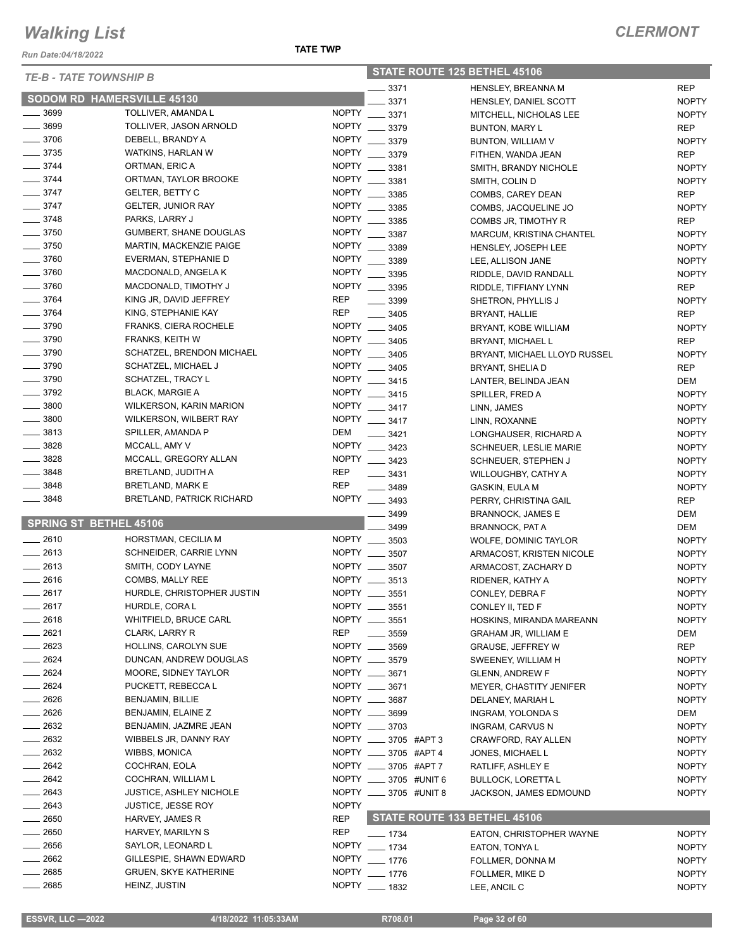*Run Date:04/18/2022*

| <b>TE-B - TATE TOWNSHIP B</b> |                                   |              | STATE ROUTE 125 BETHEL 45106 |  |                                |              |
|-------------------------------|-----------------------------------|--------------|------------------------------|--|--------------------------------|--------------|
|                               |                                   |              | 3371                         |  | <b>HENSLEY, BREANNA M</b>      | <b>REP</b>   |
|                               | <b>SODOM RD HAMERSVILLE 45130</b> |              | 3371                         |  | HENSLEY, DANIEL SCOTT          | <b>NOPTY</b> |
| $\frac{1}{2}$ 3699            | TOLLIVER, AMANDA L                | <b>NOPTY</b> | 3371                         |  | MITCHELL, NICHOLAS LEE         | <b>NOPTY</b> |
| $\frac{1}{2}$ 3699            | TOLLIVER, JASON ARNOLD            | <b>NOPTY</b> | 3379                         |  | <b>BUNTON, MARY L</b>          | <b>REP</b>   |
| $- 3706$                      | DEBELL, BRANDY A                  | <b>NOPTY</b> | 3379                         |  | BUNTON, WILLIAM V              | <b>NOPTY</b> |
| $\frac{1}{2}$ 3735            | WATKINS, HARLAN W                 | <b>NOPTY</b> | 3379                         |  | FITHEN, WANDA JEAN             | <b>REP</b>   |
| $- 3744$                      | ORTMAN, ERIC A                    | NOPTY __     | 3381                         |  | SMITH, BRANDY NICHOLE          | <b>NOPTY</b> |
| $\frac{1}{2}$ 3744            | ORTMAN, TAYLOR BROOKE             | <b>NOPTY</b> | 3381                         |  | SMITH, COLIN D                 | <b>NOPTY</b> |
| $- 3747$                      | <b>GELTER, BETTY C</b>            | NOPTY __     | 3385                         |  | COMBS, CAREY DEAN              | <b>REP</b>   |
| $- 3747$                      | <b>GELTER, JUNIOR RAY</b>         | <b>NOPTY</b> | 3385                         |  | COMBS, JACQUELINE JO           | <b>NOPTY</b> |
| $- 3748$                      | PARKS, LARRY J                    | <b>NOPTY</b> | 3385                         |  | COMBS JR, TIMOTHY R            | <b>REP</b>   |
| $\frac{1}{2}$ 3750            | <b>GUMBERT, SHANE DOUGLAS</b>     | <b>NOPTY</b> | 3387                         |  | MARCUM, KRISTINA CHANTEL       | <b>NOPTY</b> |
| $\frac{1}{2}$ 3750            | MARTIN, MACKENZIE PAIGE           | <b>NOPTY</b> | 3389                         |  | HENSLEY, JOSEPH LEE            | <b>NOPTY</b> |
| $- 3760$                      | EVERMAN, STEPHANIE D              | <b>NOPTY</b> | 3389                         |  | LEE, ALLISON JANE              | <b>NOPTY</b> |
| $\frac{1}{2}$ 3760            | MACDONALD, ANGELA K               | <b>NOPTY</b> | 3395                         |  | RIDDLE, DAVID RANDALL          | <b>NOPTY</b> |
| $- 3760$                      | MACDONALD, TIMOTHY J              | NOPTY        | 3395                         |  | RIDDLE, TIFFIANY LYNN          | <b>REP</b>   |
| $- 3764$                      | KING JR, DAVID JEFFREY            | <b>REP</b>   | 3399                         |  | SHETRON, PHYLLIS J             | <b>NOPTY</b> |
| $-3764$                       | KING, STEPHANIE KAY               | <b>REP</b>   | 3405                         |  | BRYANT, HALLIE                 | <b>REP</b>   |
| $\frac{1}{2}$ 3790            | FRANKS, CIERA ROCHELE             | <b>NOPTY</b> | 3405                         |  | BRYANT, KOBE WILLIAM           | <b>NOPTY</b> |
| $- 3790$                      | <b>FRANKS, KEITH W</b>            | NOPTY __     | 3405                         |  | BRYANT, MICHAEL L              | <b>REP</b>   |
| $\frac{1}{2}$ 3790            | SCHATZEL, BRENDON MICHAEL         | NOPTY __     | 3405                         |  | BRYANT, MICHAEL LLOYD RUSSEL   | <b>NOPTY</b> |
| $- 3790$                      | SCHATZEL, MICHAEL J               |              | NOPTY __ 3405                |  | BRYANT, SHELIA D               | <b>REP</b>   |
| $\frac{1}{2}$ 3790            | SCHATZEL, TRACY L                 |              | NOPTY __ 3415                |  | LANTER, BELINDA JEAN           | DEM          |
| $\frac{1}{2}$ 3792            | <b>BLACK, MARGIE A</b>            |              | NOPTY __ 3415                |  | SPILLER, FRED A                | <b>NOPTY</b> |
| $\frac{1}{2}$ 3800            | <b>WILKERSON, KARIN MARION</b>    |              | NOPTY __ 3417                |  | LINN, JAMES                    | <b>NOPTY</b> |
| $\frac{1}{2}$ 3800            | WILKERSON, WILBERT RAY            |              | NOPTY __ 3417                |  |                                |              |
| $\frac{1}{2}$ 3813            | SPILLER, AMANDA P                 | DEM          |                              |  | LINN, ROXANNE                  | <b>NOPTY</b> |
| 3828                          | MCCALL, AMY V                     |              | 3421<br>NOPTY __ 3423        |  | LONGHAUSER, RICHARD A          | <b>NOPTY</b> |
| 3828                          | MCCALL, GREGORY ALLAN             |              | NOPTY __ 3423                |  | <b>SCHNEUER, LESLIE MARIE</b>  | <b>NOPTY</b> |
| 3848                          | BRETLAND, JUDITH A                | <b>REP</b>   |                              |  | SCHNEUER, STEPHEN J            | <b>NOPTY</b> |
| 3848                          | BRETLAND, MARK E                  | <b>REP</b>   | $- 3431$                     |  | WILLOUGHBY, CATHY A            | <b>NOPTY</b> |
| 3848                          | <b>BRETLAND, PATRICK RICHARD</b>  |              | 3489<br>NOPTY __ 3493        |  | GASKIN, EULA M                 | <b>NOPTY</b> |
|                               |                                   |              |                              |  | PERRY, CHRISTINA GAIL          | <b>REP</b>   |
|                               | <b>SPRING ST BETHEL 45106</b>     |              | 3499                         |  | <b>BRANNOCK, JAMES E</b>       | <b>DEM</b>   |
| $-2610$                       |                                   |              | 3499<br>NOPTY __ 3503        |  | <b>BRANNOCK, PAT A</b>         | DEM          |
|                               | HORSTMAN, CECILIA M               |              |                              |  | <b>WOLFE, DOMINIC TAYLOR</b>   | <b>NOPTY</b> |
| 2613                          | SCHNEIDER, CARRIE LYNN            |              | NOPTY __ 3507                |  | ARMACOST, KRISTEN NICOLE       | <b>NOPTY</b> |
| $-2613$                       | SMITH, CODY LAYNE                 |              | NOPTY __ 3507                |  | ARMACOST, ZACHARY D            | <b>NOPTY</b> |
| 2616                          | COMBS, MALLY REE                  |              | NOPTY __ 3513                |  | RIDENER, KATHY A               | <b>NOPTY</b> |
| 2617                          | HURDLE, CHRISTOPHER JUSTIN        |              | NOPTY __ 3551                |  | CONLEY, DEBRA F                | <b>NOPTY</b> |
| 2617                          | HURDLE, CORA L                    |              | NOPTY __ 3551                |  | CONLEY II, TED F               | <b>NOPTY</b> |
| 2618                          | WHITFIELD, BRUCE CARL             |              | NOPTY __ 3551                |  | HOSKINS, MIRANDA MAREANN       | <b>NOPTY</b> |
| $-2621$                       | CLARK, LARRY R                    | REP          | $\frac{1}{2}$ 3559           |  | <b>GRAHAM JR, WILLIAM E</b>    | DEM          |
| 2623                          | HOLLINS, CAROLYN SUE              |              | NOPTY __ 3569                |  | <b>GRAUSE, JEFFREY W</b>       | <b>REP</b>   |
| 2624                          | DUNCAN, ANDREW DOUGLAS            |              | NOPTY __ 3579                |  | SWEENEY, WILLIAM H             | <b>NOPTY</b> |
| $-2624$                       | MOORE, SIDNEY TAYLOR              |              | NOPTY __ 3671                |  | <b>GLENN, ANDREW F</b>         | <b>NOPTY</b> |
| $-2624$                       | PUCKETT, REBECCAL                 |              | NOPTY __ 3671                |  | <b>MEYER, CHASTITY JENIFER</b> | <b>NOPTY</b> |
| $-2626$                       | BENJAMIN, BILLIE                  |              | NOPTY __ 3687                |  | DELANEY, MARIAH L              | <b>NOPTY</b> |
| $= 2626$                      | BENJAMIN, ELAINE Z                |              | NOPTY __ 3699                |  | <b>INGRAM, YOLONDA S</b>       | DEM          |
| 2632                          | BENJAMIN, JAZMRE JEAN             |              | NOPTY __ 3703                |  | INGRAM, CARVUS N               | <b>NOPTY</b> |
| $\frac{1}{2632}$              | WIBBELS JR, DANNY RAY             |              | NOPTY _____ 3705 #APT 3      |  | CRAWFORD, RAY ALLEN            | <b>NOPTY</b> |
| 2632                          | <b>WIBBS, MONICA</b>              |              | NOPTY __ 3705 #APT 4         |  | JONES, MICHAEL L               | <b>NOPTY</b> |
| $-2642$                       | COCHRAN, EOLA                     |              | NOPTY __ 3705 #APT 7         |  | RATLIFF, ASHLEY E              | <b>NOPTY</b> |
| 2642                          | COCHRAN, WILLIAM L                |              | NOPTY _____ 3705 #UNIT 6     |  | <b>BULLOCK, LORETTA L</b>      | <b>NOPTY</b> |
| 2643                          | <b>JUSTICE, ASHLEY NICHOLE</b>    |              | NOPTY _____ 3705 #UNIT 8     |  | JACKSON, JAMES EDMOUND         | <b>NOPTY</b> |
| $-2643$                       | <b>JUSTICE, JESSE ROY</b>         | <b>NOPTY</b> |                              |  |                                |              |
| 2650                          | HARVEY, JAMES R                   | <b>REP</b>   |                              |  | STATE ROUTE 133 BETHEL 45106   |              |
| $\frac{1}{2650}$              | HARVEY, MARILYN S                 | REP          | ___ 1734                     |  | EATON, CHRISTOPHER WAYNE       | <b>NOPTY</b> |
| $-2656$                       | SAYLOR, LEONARD L                 |              | NOPTY __ 1734                |  | EATON, TONYA L                 | <b>NOPTY</b> |
| $-2662$                       | GILLESPIE, SHAWN EDWARD           |              | NOPTY __ 1776                |  | FOLLMER, DONNA M               | <b>NOPTY</b> |
| $= 2685$                      | <b>GRUEN, SKYE KATHERINE</b>      |              | NOPTY __ 1776                |  | FOLLMER, MIKE D                | <b>NOPTY</b> |
| 2685                          | HEINZ, JUSTIN                     |              | NOPTY __ 1832                |  | LEE, ANCIL C                   | <b>NOPTY</b> |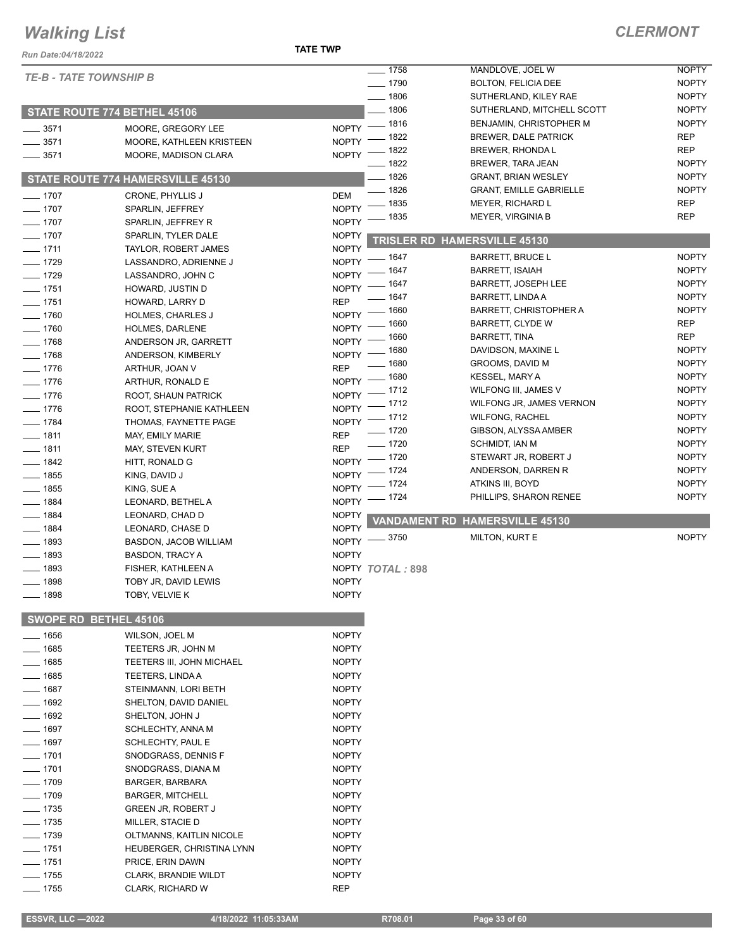#### **TATE TWP**

| <b>Run Date:04/18/2022</b>    |                                              |                                  |                     |                                                    |                            |
|-------------------------------|----------------------------------------------|----------------------------------|---------------------|----------------------------------------------------|----------------------------|
| <b>TE-B - TATE TOWNSHIP B</b> |                                              |                                  | $- 1758$            | MANDLOVE, JOEL W                                   | <b>NOPTY</b>               |
|                               |                                              |                                  | $- 1790$            | <b>BOLTON, FELICIA DEE</b>                         | <b>NOPTY</b>               |
|                               |                                              |                                  | $- 1806$            | SUTHERLAND, KILEY RAE                              | <b>NOPTY</b>               |
|                               | <b>STATE ROUTE 774 BETHEL 45106</b>          |                                  | $- 1806$            | SUTHERLAND, MITCHELL SCOTT                         | <b>NOPTY</b>               |
| $- 3571$                      | MOORE, GREGORY LEE                           | NOPTY - 1816                     |                     | BENJAMIN, CHRISTOPHER M                            | <b>NOPTY</b>               |
| $- 3571$                      | MOORE, KATHLEEN KRISTEEN                     | $N$ OPTY $-$                     | __ 1822             | <b>BREWER, DALE PATRICK</b>                        | <b>REP</b>                 |
| $\frac{1}{2}$ 3571            | MOORE, MADISON CLARA                         | NOPTY - 1822                     |                     | BREWER, RHONDA L                                   | <b>REP</b>                 |
|                               |                                              |                                  | $- 1822$            | BREWER, TARA JEAN                                  | <b>NOPTY</b>               |
|                               | STATE ROUTE 774 HAMERSVILLE 45130            |                                  | $- 1826$            | <b>GRANT, BRIAN WESLEY</b>                         | <b>NOPTY</b>               |
| $- 1707$                      | CRONE, PHYLLIS J                             | DEM                              | $- 1826$<br>_ 1835  | <b>GRANT, EMILLE GABRIELLE</b><br>MEYER, RICHARD L | <b>NOPTY</b><br><b>REP</b> |
| $- 1707$                      | SPARLIN, JEFFREY                             | <b>NOPTY</b>                     |                     | <b>MEYER, VIRGINIA B</b>                           | <b>REP</b>                 |
| $- 1707$                      | SPARLIN, JEFFREY R                           | <b>NOPTY</b>                     | 1835                |                                                    |                            |
| $- 1707$                      | SPARLIN, TYLER DALE                          | <b>NOPTY</b>                     |                     | <b>TRISLER RD HAMERSVILLE 45130</b>                |                            |
| $-1711$                       | TAYLOR, ROBERT JAMES                         | <b>NOPTY</b>                     | _ 1647              | <b>BARRETT, BRUCE L</b>                            | <b>NOPTY</b>               |
| $- 1729$                      | LASSANDRO, ADRIENNE J                        | <b>NOPTY</b>                     | _ 1647              | <b>BARRETT, ISAIAH</b>                             | <b>NOPTY</b>               |
| $\frac{1}{2}$ 1729            | LASSANDRO, JOHN C                            | NOPTY -                          |                     | <b>BARRETT, JOSEPH LEE</b>                         | <b>NOPTY</b>               |
| $- 1751$                      | HOWARD, JUSTIN D                             | NOPTY - 1647                     | $- 1647$            | <b>BARRETT, LINDA A</b>                            | <b>NOPTY</b>               |
| $- 1751$                      | HOWARD, LARRY D                              | <b>REP</b>                       |                     | <b>BARRETT, CHRISTOPHER A</b>                      | <b>NOPTY</b>               |
| $- 1760$                      | HOLMES, CHARLES J                            | NOPTY - 1660                     | _ 1660              | <b>BARRETT, CLYDE W</b>                            | <b>REP</b>                 |
| $- 1760$                      | HOLMES, DARLENE                              | $N$ OPTY $-$                     | _ 1660              | <b>BARRETT, TINA</b>                               | <b>REP</b>                 |
| $\frac{1}{2}$ 1768            | ANDERSON JR, GARRETT                         | NOPTY $^-$                       |                     | DAVIDSON, MAXINE L                                 | <b>NOPTY</b>               |
| $- 1768$                      | ANDERSON, KIMBERLY                           | NOPTY - 1680                     | $- 1680$            | GROOMS, DAVID M                                    | <b>NOPTY</b>               |
| $- 1776$                      | ARTHUR, JOAN V                               | <b>REP</b><br>NOPTY - 1680       |                     | <b>KESSEL, MARY A</b>                              | <b>NOPTY</b>               |
| $- 1776$                      | ARTHUR, RONALD E                             | NOPTY - 1712                     |                     | WILFONG III, JAMES V                               | <b>NOPTY</b>               |
| $- 1776$                      | ROOT, SHAUN PATRICK                          | NOPTY - 1712                     |                     | WILFONG JR, JAMES VERNON                           | <b>NOPTY</b>               |
| $- 1776$                      | ROOT, STEPHANIE KATHLEEN                     | NOPTY - 1712                     |                     | <b>WILFONG, RACHEL</b>                             | <b>NOPTY</b>               |
| $- 1784$                      | THOMAS, FAYNETTE PAGE                        |                                  | $- 1720$            | GIBSON, ALYSSA AMBER                               | <b>NOPTY</b>               |
| $- 1811$                      | MAY, EMILY MARIE                             | <b>REP</b>                       | $- 1720$            | SCHMIDT, IAN M                                     | <b>NOPTY</b>               |
| $- 1811$                      | MAY, STEVEN KURT                             | <b>REP</b><br>NOPTY - 1720       |                     | STEWART JR, ROBERT J                               | <b>NOPTY</b>               |
| $- 1842$                      | HITT, RONALD G                               | NOPTY - 1724                     |                     | ANDERSON, DARREN R                                 | <b>NOPTY</b>               |
| $- 1855$                      | KING, DAVID J                                | NOPTY - 1724                     |                     | ATKINS III, BOYD                                   | <b>NOPTY</b>               |
| $- 1855$                      | KING, SUE A                                  | NOPTY - 1724                     |                     | PHILLIPS, SHARON RENEE                             | <b>NOPTY</b>               |
| $- 1884$                      | LEONARD, BETHEL A                            |                                  |                     |                                                    |                            |
| $- 1884$                      | LEONARD, CHAD D                              | <b>NOPTY</b>                     | <b>VANDAMENT RD</b> | <b>HAMERSVILLE 45130</b>                           |                            |
| $- 1884$                      | LEONARD, CHASE D                             | <b>NOPTY</b><br>NOPTY -8750      |                     | MILTON, KURT E                                     | <b>NOPTY</b>               |
| $\frac{1}{2}$ 1893            | BASDON, JACOB WILLIAM                        | <b>NOPTY</b>                     |                     |                                                    |                            |
| $- 1893$<br>$- 1893$          | <b>BASDON, TRACY A</b><br>FISHER, KATHLEEN A |                                  |                     |                                                    |                            |
| $- 1898$                      | TOBY JR, DAVID LEWIS                         | NOPTY TOTAL: 898<br><b>NOPTY</b> |                     |                                                    |                            |
| $- 1898$                      |                                              |                                  |                     |                                                    |                            |
|                               | TOBY, VELVIE K                               | <b>NOPTY</b>                     |                     |                                                    |                            |
|                               | SWOPE RD BETHEL 45106                        |                                  |                     |                                                    |                            |
| $- 1656$                      | WILSON, JOEL M                               | <b>NOPTY</b>                     |                     |                                                    |                            |
| $- 1685$                      | TEETERS JR, JOHN M                           | <b>NOPTY</b>                     |                     |                                                    |                            |
| $- 1685$                      | <b>TEETERS III, JOHN MICHAEL</b>             | <b>NOPTY</b>                     |                     |                                                    |                            |
| $- 1685$                      | <b>TEETERS, LINDA A</b>                      | <b>NOPTY</b>                     |                     |                                                    |                            |
| $- 1687$                      | STEINMANN, LORI BETH                         | <b>NOPTY</b>                     |                     |                                                    |                            |
| $- 1692$                      | SHELTON, DAVID DANIEL                        | <b>NOPTY</b>                     |                     |                                                    |                            |
| $- 1692$                      | SHELTON, JOHN J                              | <b>NOPTY</b>                     |                     |                                                    |                            |
| $- 1697$                      | SCHLECHTY, ANNA M                            | <b>NOPTY</b>                     |                     |                                                    |                            |
| —— 1697                       | SCHLECHTY, PAUL E                            | <b>NOPTY</b>                     |                     |                                                    |                            |
| $- 1701$                      | SNODGRASS, DENNIS F                          | <b>NOPTY</b>                     |                     |                                                    |                            |
| $- 1701$                      | SNODGRASS, DIANA M                           | <b>NOPTY</b>                     |                     |                                                    |                            |
| $- 1709$                      | BARGER, BARBARA                              | <b>NOPTY</b>                     |                     |                                                    |                            |
| $- 1709$                      | <b>BARGER, MITCHELL</b>                      | <b>NOPTY</b>                     |                     |                                                    |                            |
| $- 1735$                      | <b>GREEN JR, ROBERT J</b>                    | <b>NOPTY</b>                     |                     |                                                    |                            |
| $\frac{1}{2}$ 1735            | MILLER, STACIE D                             | <b>NOPTY</b>                     |                     |                                                    |                            |
| $- 1739$                      | OLTMANNS, KAITLIN NICOLE                     | <b>NOPTY</b>                     |                     |                                                    |                            |
| $- 1751$                      | HEUBERGER, CHRISTINA LYNN                    | <b>NOPTY</b>                     |                     |                                                    |                            |
| $- 1751$                      | PRICE, ERIN DAWN                             | <b>NOPTY</b>                     |                     |                                                    |                            |
| $- 1755$                      | <b>CLARK, BRANDIE WILDT</b>                  | <b>NOPTY</b>                     |                     |                                                    |                            |
| $- 1755$                      | CLARK, RICHARD W                             | REP                              |                     |                                                    |                            |
|                               |                                              |                                  |                     |                                                    |                            |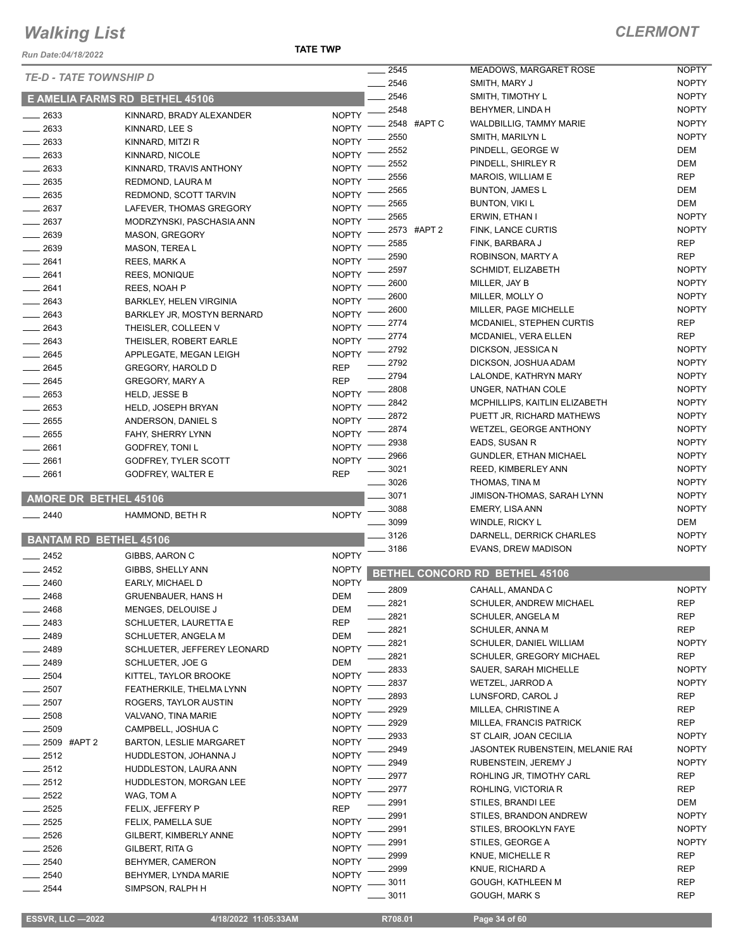#### **TATE TWP**

#### *CLERMONT*

| Run Date:04/18/2022 |                                                     | <b>TATE TWP</b>            |              |             |                                                |                              |
|---------------------|-----------------------------------------------------|----------------------------|--------------|-------------|------------------------------------------------|------------------------------|
|                     | <b>TE-D - TATE TOWNSHIP D</b>                       |                            | 2545<br>2546 |             | <b>MEADOWS, MARGARET ROSE</b><br>SMITH, MARY J | <b>NOPTY</b><br><b>NOPTY</b> |
|                     |                                                     |                            | 2546         |             | SMITH, TIMOTHY L                               | <b>NOPTY</b>                 |
|                     | E AMELIA FARMS RD BETHEL 45106                      |                            | 2548         |             | BEHYMER, LINDA H                               | <b>NOPTY</b>                 |
| 2633                | KINNARD, BRADY ALEXANDER                            | <b>NOPTY</b>               |              | 2548 #APT C | <b>WALDBILLIG. TAMMY MARIE</b>                 | <b>NOPTY</b>                 |
| 2633                | KINNARD, LEE S                                      | <b>NOPTY</b>               | 2550         |             | SMITH, MARILYN L                               | <b>NOPTY</b>                 |
| $-2633$             | KINNARD, MITZI R                                    | <b>NOPTY</b>               | 2552         |             | PINDELL, GEORGE W                              | DEM                          |
| $-2633$             | KINNARD, NICOLE                                     | <b>NOPTY</b>               | 2552         |             | PINDELL, SHIRLEY R                             | DEM                          |
| - 2633              | KINNARD, TRAVIS ANTHONY                             | <b>NOPTY</b>               | 2556         |             | MAROIS, WILLIAM E                              | <b>REP</b>                   |
| $-2635$             | REDMOND, LAURA M                                    | <b>NOPTY</b>               | 2565         |             | <b>BUNTON, JAMES L</b>                         | DEM                          |
| $-2635$             | REDMOND, SCOTT TARVIN                               | <b>NOPTY</b>               | 2565         |             | <b>BUNTON, VIKI L</b>                          | DEM                          |
| $= 2637$            | LAFEVER, THOMAS GREGORY                             | <b>NOPTY</b>               | 2565         |             | ERWIN, ETHAN I                                 | <b>NOPTY</b>                 |
| 2637                | MODRZYNSKI, PASCHASIA ANN                           | <b>NOPTY</b>               |              | 2573 #APT 2 | FINK, LANCE CURTIS                             | <b>NOPTY</b>                 |
| $-2639$             | <b>MASON, GREGORY</b>                               | <b>NOPTY</b>               | 2585         |             | FINK, BARBARA J                                | <b>REP</b>                   |
| 2639                | MASON, TEREAL                                       | <b>NOPTY</b>               | 2590         |             | ROBINSON, MARTY A                              | <b>REP</b>                   |
| _ 2641              | REES, MARK A                                        | <b>NOPTY</b>               | 2597         |             | SCHMIDT, ELIZABETH                             | <b>NOPTY</b>                 |
| $-2641$             | <b>REES, MONIQUE</b>                                | <b>NOPTY</b>               | 2600         |             | MILLER, JAY B                                  | <b>NOPTY</b>                 |
| $-2641$             | REES, NOAH P                                        | <b>NOPTY</b>               | 2600         |             | MILLER, MOLLY O                                | <b>NOPTY</b>                 |
| $= 2643$            | <b>BARKLEY, HELEN VIRGINIA</b>                      | <b>NOPTY</b>               | 2600         |             | MILLER, PAGE MICHELLE                          | <b>NOPTY</b>                 |
| $-2643$             | BARKLEY JR, MOSTYN BERNARD                          | <b>NOPTY</b>               | 2774         |             | MCDANIEL, STEPHEN CURTIS                       | <b>REP</b>                   |
| $-2643$             | THEISLER, COLLEEN V                                 | <b>NOPTY</b>               | 2774         |             | MCDANIEL, VERA ELLEN                           | <b>REP</b>                   |
| 2643                | THEISLER, ROBERT EARLE                              | <b>NOPTY</b>               | 2792         |             | DICKSON, JESSICA N                             | <b>NOPTY</b>                 |
| 2645                | APPLEGATE, MEGAN LEIGH                              | <b>NOPTY</b>               | 2792         |             | DICKSON, JOSHUA ADAM                           | <b>NOPTY</b>                 |
| $-2645$             | <b>GREGORY, HAROLD D</b>                            | <b>REP</b>                 | 2794         |             | LALONDE, KATHRYN MARY                          | <b>NOPTY</b>                 |
| $-2645$             | <b>GREGORY, MARY A</b>                              | <b>REP</b>                 | 2808         |             | UNGER, NATHAN COLE                             | <b>NOPTY</b>                 |
| $= 2653$            | <b>HELD, JESSE B</b>                                | <b>NOPTY</b>               | 2842         |             | MCPHILLIPS, KAITLIN ELIZABETH                  | <b>NOPTY</b>                 |
| $= 2653$            | <b>HELD, JOSEPH BRYAN</b>                           | <b>NOPTY</b>               | 2872         |             | PUETT JR, RICHARD MATHEWS                      | <b>NOPTY</b>                 |
| 2655                | ANDERSON, DANIEL S                                  | <b>NOPTY</b>               | 2874         |             | WETZEL, GEORGE ANTHONY                         | <b>NOPTY</b>                 |
| $-2655$             | FAHY, SHERRY LYNN                                   | <b>NOPTY</b>               | 2938         |             | EADS, SUSAN R                                  | <b>NOPTY</b>                 |
| 2661                | GODFREY, TONI L                                     | <b>NOPTY</b>               | 2966         |             | <b>GUNDLER, ETHAN MICHAEL</b>                  | <b>NOPTY</b>                 |
| $-2661$             | GODFREY, TYLER SCOTT                                | <b>NOPTY</b><br><b>REP</b> | 3021         |             | REED, KIMBERLEY ANN                            | <b>NOPTY</b>                 |
| $-2661$             | GODFREY, WALTER E                                   |                            | 3026         |             | THOMAS, TINA M                                 | <b>NOPTY</b>                 |
|                     | <b>AMORE DR BETHEL 45106</b>                        |                            | 3071         |             | JIMISON-THOMAS, SARAH LYNN                     | <b>NOPTY</b>                 |
| $-2440$             | HAMMOND, BETH R                                     | <b>NOPTY</b>               | 3088         |             | EMERY, LISA ANN                                | <b>NOPTY</b>                 |
|                     |                                                     |                            | 3099         |             | WINDLE, RICKY L                                | DEM                          |
|                     | <b>BANTAM RD BETHEL 45106</b>                       |                            | 3126         |             | DARNELL, DERRICK CHARLES                       | <b>NOPTY</b>                 |
| 2452                | GIBBS, AARON C                                      | <b>NOPTY</b>               | 3186         |             | EVANS, DREW MADISON                            | <b>NOPTY</b>                 |
| 2452                | GIBBS, SHELLY ANN                                   | <b>NOPTY</b>               |              |             |                                                |                              |
| 2460                | EARLY, MICHAEL D                                    | <b>NOPTY</b>               |              |             | BETHEL CONCORD RD BETHEL 45106                 |                              |
| 2468                | <b>GRUENBAUER, HANS H</b>                           | <b>DEM</b>                 | 2809         |             | CAHALL, AMANDA C                               | <b>NOPTY</b>                 |
| 2468                | MENGES, DELOUISE J                                  | DEM                        | 2821         |             | <b>SCHULER, ANDREW MICHAEL</b>                 | REP                          |
| - 2483              | SCHLUETER, LAURETTA E                               | <b>REP</b>                 | 2821         |             | SCHULER, ANGELA M                              | <b>REP</b>                   |
| 2489                | SCHLUETER, ANGELA M                                 | DEM                        | 2821         |             | <b>SCHULER, ANNA M</b>                         | REP                          |
| _ 2489              | SCHLUETER, JEFFEREY LEONARD                         | <b>NOPTY</b>               | 2821         |             | SCHULER, DANIEL WILLIAM                        | <b>NOPTY</b>                 |
| _ 2489              | SCHLUETER, JOE G                                    | DEM                        | 2821         |             | SCHULER, GREGORY MICHAEL                       | REP                          |
| 2504                | KITTEL, TAYLOR BROOKE                               | <b>NOPTY</b>               | 2833         |             | SAUER, SARAH MICHELLE                          | <b>NOPTY</b>                 |
| $-2507$             | FEATHERKILE, THELMA LYNN                            | <b>NOPTY</b>               | 2837         |             | WETZEL, JARROD A                               | <b>NOPTY</b>                 |
| $-2507$             | ROGERS, TAYLOR AUSTIN                               | <b>NOPTY</b>               | 2893         |             | LUNSFORD, CAROL J                              | REP                          |
| 2508                | VALVANO, TINA MARIE                                 | <b>NOPTY</b>               | 2929         |             | MILLEA, CHRISTINE A                            | REP                          |
| 2509                | CAMPBELL, JOSHUA C                                  | <b>NOPTY</b>               | 2929         |             | MILLEA, FRANCIS PATRICK                        | REP                          |
|                     | <sub>-</sub> 2509 #APT 2<br>BARTON, LESLIE MARGARET | <b>NOPTY</b>               | 2933         |             | ST CLAIR, JOAN CECILIA                         | <b>NOPTY</b>                 |
| $=$ 2512            | HUDDLESTON, JOHANNA J                               | <b>NOPTY</b>               | 2949         |             | JASONTEK RUBENSTEIN, MELANIE RAE               | <b>NOPTY</b>                 |
| $-2512$             | HUDDLESTON, LAURA ANN                               | <b>NOPTY</b>               | 2949         |             | RUBENSTEIN, JEREMY J                           | <b>NOPTY</b>                 |
| _ 2512              | HUDDLESTON, MORGAN LEE                              | <b>NOPTY</b>               | 2977         |             | ROHLING JR, TIMOTHY CARL                       | REP                          |
| $-2522$             | WAG, TOM A                                          | <b>NOPTY</b>               | 2977         |             | ROHLING, VICTORIA R                            | REP                          |
| 2525                | FELIX, JEFFERY P                                    | <b>REP</b>                 | 2991         |             | STILES, BRANDI LEE                             | DEM                          |
| - 2525              | FELIX, PAMELLA SUE                                  | <b>NOPTY</b>               | 2991         |             | STILES, BRANDON ANDREW                         | <b>NOPTY</b>                 |
| 2526                | GILBERT, KIMBERLY ANNE                              | <b>NOPTY</b>               | 2991         |             | STILES, BROOKLYN FAYE                          | <b>NOPTY</b>                 |
| 2526                | GILBERT, RITA G                                     | <b>NOPTY</b>               | 2991         |             | STILES, GEORGE A                               | <b>NOPTY</b>                 |
| 2540                | BEHYMER, CAMERON                                    | <b>NOPTY</b>               | 2999         |             | KNUE, MICHELLE R                               | REP                          |
| 2540                | BEHYMER, LYNDA MARIE                                | <b>NOPTY</b>               | 2999         |             | KNUE, RICHARD A                                | REP                          |
| 2544                | SIMPSON, RALPH H                                    | <b>NOPTY</b>               | 3011         |             | GOUGH, KATHLEEN M                              | REP                          |
|                     |                                                     |                            | 3011         |             | GOUGH, MARK S                                  | <b>REP</b>                   |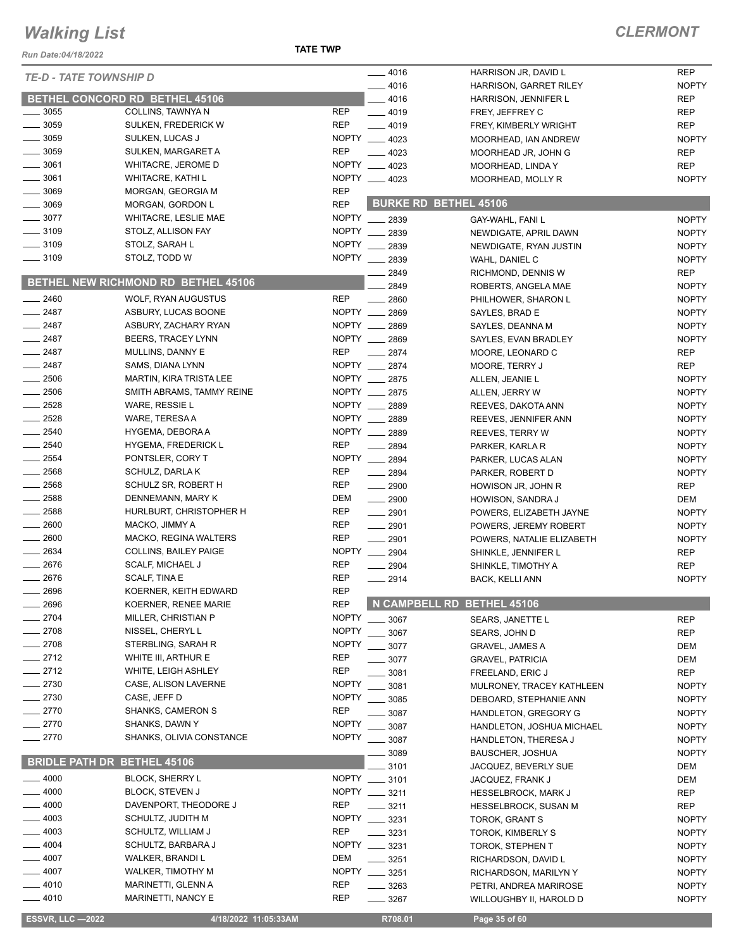#### **TATE TWP**

| Run Date:04/18/2022                |                                            | <b>IAIL IWP</b> |                  |                              |              |
|------------------------------------|--------------------------------------------|-----------------|------------------|------------------------------|--------------|
| <b>TE-D - TATE TOWNSHIP D</b>      |                                            |                 | $- 4016$         | HARRISON JR, DAVID L         | <b>REP</b>   |
|                                    |                                            |                 | 4016             | HARRISON, GARRET RILEY       | <b>NOPTY</b> |
|                                    | <b>BETHEL CONCORD RD BETHEL 45106</b>      |                 | _ 4016           | HARRISON, JENNIFER L         | <b>REP</b>   |
| 3055                               | COLLINS, TAWNYA N                          | <b>REP</b>      | $- 4019$         | FREY, JEFFREY C              | <b>REP</b>   |
| $\frac{1}{2}$ 3059                 | SULKEN, FREDERICK W                        | <b>REP</b>      | $-4019$          | FREY, KIMBERLY WRIGHT        | <b>REP</b>   |
| $-3059$                            | SULKEN, LUCAS J                            |                 | NOPTY __ 4023    | MOORHEAD, IAN ANDREW         | <b>NOPTY</b> |
| $\frac{1}{2}$ 3059                 | SULKEN, MARGARET A                         | <b>REP</b>      | $-4023$          | MOORHEAD JR, JOHN G          | <b>REP</b>   |
| $\frac{1}{2}$ 3061                 | <b>WHITACRE, JEROME D</b>                  |                 | NOPTY __ 4023    | MOORHEAD, LINDA Y            | <b>REP</b>   |
| __ 3061                            | <b>WHITACRE, KATHI L</b>                   |                 | NOPTY 4023       | MOORHEAD, MOLLY R            | <b>NOPTY</b> |
| $-3069$                            | MORGAN, GEORGIA M                          | <b>REP</b>      |                  |                              |              |
| $=3069$                            | MORGAN, GORDON L                           | <b>REP</b>      |                  | <b>BURKE RD BETHEL 45106</b> |              |
| $- 3077$                           | <b>WHITACRE, LESLIE MAE</b>                |                 | NOPTY __ 2839    | GAY-WAHL, FANI L             | <b>NOPTY</b> |
| $- 3109$                           | STOLZ, ALLISON FAY                         | <b>NOPTY</b>    | 2839             | NEWDIGATE, APRIL DAWN        | <b>NOPTY</b> |
| $\frac{1}{2}$ 3109                 | STOLZ, SARAH L                             | <b>NOPTY</b>    | 2839             | NEWDIGATE, RYAN JUSTIN       | <b>NOPTY</b> |
| $\frac{1}{2}$ 3109                 | STOLZ, TODD W                              | <b>NOPTY</b>    | 2839             | WAHL, DANIEL C               | <b>NOPTY</b> |
|                                    |                                            |                 | 2849             | RICHMOND, DENNIS W           | <b>REP</b>   |
|                                    | <b>BETHEL NEW RICHMOND RD BETHEL 45106</b> |                 | 2849             | ROBERTS, ANGELA MAE          | <b>NOPTY</b> |
| $-2460$                            | <b>WOLF, RYAN AUGUSTUS</b>                 | <b>REP</b>      | 2860             | PHILHOWER, SHARON L          | <b>NOPTY</b> |
| $-2487$                            | ASBURY, LUCAS BOONE                        | <b>NOPTY</b>    | 2869             | SAYLES, BRAD E               | <b>NOPTY</b> |
| $-2487$                            | ASBURY, ZACHARY RYAN                       |                 | NOPTY __ 2869    | SAYLES, DEANNA M             | <b>NOPTY</b> |
| $\frac{1}{2487}$                   | BEERS, TRACEY LYNN                         |                 | NOPTY __ 2869    | SAYLES, EVAN BRADLEY         | <b>NOPTY</b> |
| $-2487$                            | MULLINS, DANNY E                           | <b>REP</b>      | 2874             | MOORE, LEONARD C             | <b>REP</b>   |
| $-2487$                            | SAMS, DIANA LYNN                           | NOPTY ___       | 2874             | MOORE, TERRY J               | <b>REP</b>   |
| $\frac{1}{2506}$                   | <b>MARTIN, KIRA TRISTA LEE</b>             |                 | NOPTY __ 2875    | ALLEN, JEANIE L              | <b>NOPTY</b> |
| $\frac{1}{2506}$                   | SMITH ABRAMS, TAMMY REINE                  |                 | NOPTY __ 2875    | ALLEN, JERRY W               | <b>NOPTY</b> |
| $\frac{2528}{2528}$                | WARE, RESSIE L                             |                 | NOPTY __ 2889    | REEVES, DAKOTA ANN           | <b>NOPTY</b> |
| 2528                               | WARE, TERESA A                             |                 | NOPTY __ 2889    | REEVES, JENNIFER ANN         | <b>NOPTY</b> |
| 2540                               | HYGEMA, DEBORA A                           |                 | NOPTY __ 2889    | <b>REEVES, TERRY W</b>       | <b>NOPTY</b> |
| $-2540$                            | <b>HYGEMA, FREDERICK L</b>                 | <b>REP</b>      | 2894             | PARKER, KARLA R              | <b>NOPTY</b> |
| $-2554$                            | PONTSLER, CORY T                           |                 | NOPTY __ 2894    | PARKER, LUCAS ALAN           | <b>NOPTY</b> |
| $\frac{1}{2568}$                   | SCHULZ, DARLAK                             | <b>REP</b>      | $-2894$          | PARKER, ROBERT D             | <b>NOPTY</b> |
| $-2568$                            | SCHULZ SR, ROBERT H                        | <b>REP</b>      | $- 2900$         | HOWISON JR, JOHN R           | <b>REP</b>   |
| $-2588$                            | DENNEMANN, MARY K                          | <b>DEM</b>      | $\frac{1}{2900}$ | HOWISON, SANDRA J            | <b>DEM</b>   |
| 2588                               | HURLBURT, CHRISTOPHER H                    | <b>REP</b>      | $-2901$          | POWERS, ELIZABETH JAYNE      | <b>NOPTY</b> |
| 2600                               | MACKO, JIMMY A                             | <b>REP</b>      | $-2901$          | POWERS, JEREMY ROBERT        | <b>NOPTY</b> |
| $- 2600$                           | MACKO, REGINA WALTERS                      | <b>REP</b>      | $-2901$          | POWERS, NATALIE ELIZABETH    | <b>NOPTY</b> |
| 2634                               | <b>COLLINS, BAILEY PAIGE</b>               |                 | NOPTY __ 2904    | SHINKLE, JENNIFER L          | <b>REP</b>   |
| 2676                               | <b>SCALF, MICHAEL J</b>                    | <b>REP</b>      | $\frac{1}{2904}$ | SHINKLE, TIMOTHY A           | <b>REP</b>   |
| $-2676$                            | SCALF, TINA E                              | <b>REP</b>      | $-2914$          | <b>BACK, KELLI ANN</b>       | <b>NOPTY</b> |
| 2696                               | KOERNER, KEITH EDWARD                      | <b>REP</b>      |                  |                              |              |
| 2696                               | <b>KOERNER, RENEE MARIE</b>                | <b>REP</b>      |                  | N CAMPBELL RD BETHEL 45106   |              |
| 2704                               | MILLER, CHRISTIAN P                        | <b>NOPTY</b>    | 3067             | <b>SEARS, JANETTE L</b>      | <b>REP</b>   |
| $-2708$                            | NISSEL, CHERYL L                           | <b>NOPTY</b>    | 3067             | SEARS, JOHN D                | <b>REP</b>   |
| $-2708$                            | STERBLING, SARAH R                         | <b>NOPTY</b>    | 3077             | <b>GRAVEL, JAMES A</b>       | <b>DEM</b>   |
| $-2712$                            | WHITE III, ARTHUR E                        | <b>REP</b>      | 3077             | <b>GRAVEL, PATRICIA</b>      | <b>DEM</b>   |
| $-2712$                            | WHITE, LEIGH ASHLEY                        | <b>REP</b>      | 3081             | FREELAND, ERIC J             | <b>REP</b>   |
| 2730                               | CASE, ALISON LAVERNE                       | <b>NOPTY</b>    | 3081             | MULRONEY, TRACEY KATHLEEN    | <b>NOPTY</b> |
| 2730                               | CASE, JEFF D                               | <b>NOPTY</b>    | 3085             | DEBOARD, STEPHANIE ANN       | <b>NOPTY</b> |
| 2770                               | SHANKS, CAMERON S                          | <b>REP</b>      | 3087             | HANDLETON, GREGORY G         | <b>NOPTY</b> |
| 2770                               | SHANKS, DAWN Y                             | <b>NOPTY</b>    | 3087             | HANDLETON, JOSHUA MICHAEL    | <b>NOPTY</b> |
| 2770                               | SHANKS, OLIVIA CONSTANCE                   |                 | NOPTY _____ 3087 | HANDLETON, THERESA J         | <b>NOPTY</b> |
|                                    |                                            |                 | 3089             | <b>BAUSCHER, JOSHUA</b>      | <b>NOPTY</b> |
| <b>BRIDLE PATH DR BETHEL 45106</b> |                                            |                 | 3101             | JACQUEZ, BEVERLY SUE         | DEM          |
| 4000                               | <b>BLOCK, SHERRY L</b>                     |                 | NOPTY __ 3101    | JACQUEZ, FRANK J             | <b>DEM</b>   |
| 4000                               | <b>BLOCK, STEVEN J</b>                     |                 | NOPTY __ 3211    | <b>HESSELBROCK, MARK J</b>   | REP          |
| 4000                               | DAVENPORT, THEODORE J                      | <b>REP</b>      | $- 3211$         | <b>HESSELBROCK, SUSAN M</b>  | <b>REP</b>   |
| 4003                               | SCHULTZ, JUDITH M                          | <b>NOPTY</b>    | 3231             | TOROK, GRANT S               | <b>NOPTY</b> |
| 4003                               | SCHULTZ, WILLIAM J                         | <b>REP</b>      | 3231             | TOROK, KIMBERLY S            | <b>NOPTY</b> |
| 4004                               | SCHULTZ, BARBARA J                         |                 | NOPTY __ 3231    | TOROK, STEPHEN T             | <b>NOPTY</b> |
| 4007                               | WALKER, BRANDI L                           | <b>DEM</b>      | 3251             | RICHARDSON, DAVID L          | <b>NOPTY</b> |
| 4007                               | <b>WALKER, TIMOTHY M</b>                   |                 | NOPTY __ 3251    | RICHARDSON, MARILYN Y        | <b>NOPTY</b> |
| 4010                               | MARINETTI, GLENN A                         | <b>REP</b>      | $- 3263$         | PETRI, ANDREA MARIROSE       | <b>NOPTY</b> |
| 4010                               | MARINETTI, NANCY E                         | <b>REP</b>      | $- 3267$         | WILLOUGHBY II, HAROLD D      | <b>NOPTY</b> |
|                                    |                                            |                 |                  |                              |              |
| <b>ESSVR, LLC -2022</b>            | 4/18/2022 11:05:33AM                       |                 | R708.01          | Page 35 of 60                |              |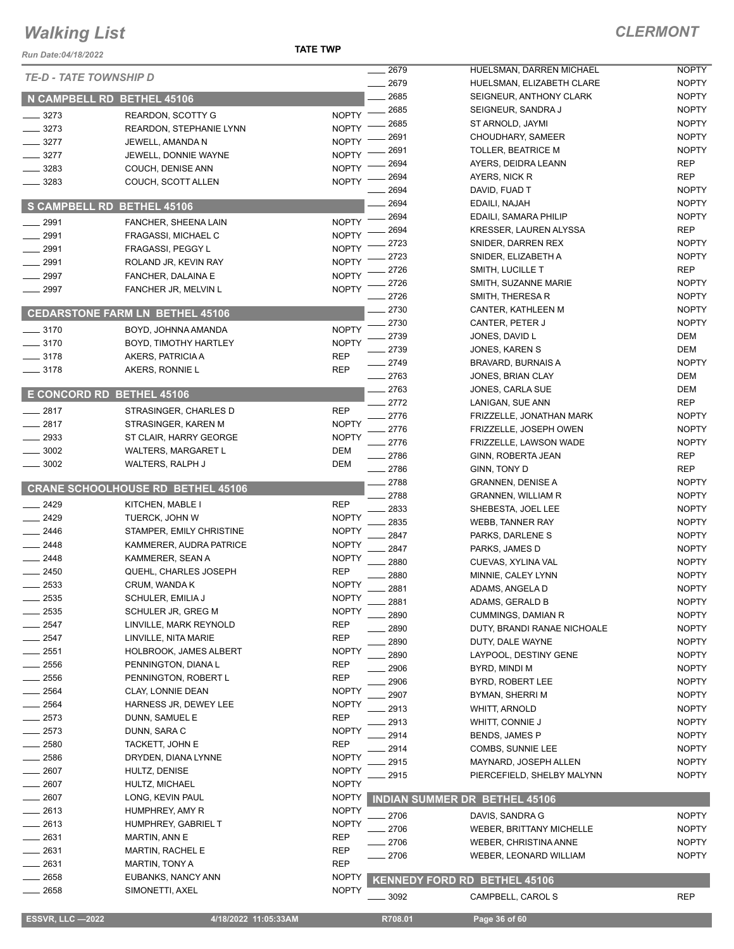| Run Date:04/18/2022           |                                            | <b>TATE TWP</b>              |                |                                                      |                              |
|-------------------------------|--------------------------------------------|------------------------------|----------------|------------------------------------------------------|------------------------------|
| <b>TE-D - TATE TOWNSHIP D</b> |                                            |                              | 2679           | HUELSMAN, DARREN MICHAEL                             | <b>NOPTY</b>                 |
|                               |                                            |                              | . 2679<br>2685 | HUELSMAN, ELIZABETH CLARE<br>SEIGNEUR, ANTHONY CLARK | <b>NOPTY</b><br><b>NOPTY</b> |
| N CAMPBELL RD BETHEL 45106    |                                            |                              | 2685           | SEIGNEUR, SANDRA J                                   | <b>NOPTY</b>                 |
| 3273                          | <b>REARDON, SCOTTY G</b>                   | <b>NOPTY</b>                 | 2685           | ST ARNOLD, JAYMI                                     | <b>NOPTY</b>                 |
| 3273                          | REARDON, STEPHANIE LYNN                    | <b>NOPTY</b>                 | 2691           | CHOUDHARY, SAMEER                                    | <b>NOPTY</b>                 |
| $-3277$                       | JEWELL, AMANDA N                           | <b>NOPTY</b>                 | 2691           | <b>TOLLER, BEATRICE M</b>                            | <b>NOPTY</b>                 |
| 3277                          | JEWELL, DONNIE WAYNE                       | <b>NOPTY</b>                 | 2694           | AYERS, DEIDRA LEANN                                  | <b>REP</b>                   |
| 3283                          | COUCH, DENISE ANN                          | <b>NOPTY</b>                 | 2694           | AYERS, NICK R                                        | <b>REP</b>                   |
| 3283                          | COUCH, SCOTT ALLEN                         | <b>NOPTY</b>                 | 2694           | DAVID, FUAD T                                        | <b>NOPTY</b>                 |
| <b>S CAMPBELL RD</b>          | <b>BETHEL 45106</b>                        |                              | 2694           | EDAILI, NAJAH                                        | <b>NOPTY</b>                 |
|                               |                                            |                              | 2694           | EDAILI, SAMARA PHILIP                                | <b>NOPTY</b>                 |
| 2991                          | FANCHER, SHEENA LAIN                       | <b>NOPTY</b>                 | 2694           | KRESSER, LAUREN ALYSSA                               | <b>REP</b>                   |
| 2991                          | FRAGASSI, MICHAEL C                        | <b>NOPTY</b>                 | 2723           | SNIDER, DARREN REX                                   | <b>NOPTY</b>                 |
| 2991                          | FRAGASSI, PEGGY L                          | <b>NOPTY</b>                 | 2723           | SNIDER, ELIZABETH A                                  | <b>NOPTY</b>                 |
| 2991                          | ROLAND JR, KEVIN RAY                       | <b>NOPTY</b><br><b>NOPTY</b> | 2726           | SMITH, LUCILLE T                                     | REP                          |
| 2997<br>2997                  | FANCHER, DALAINA E<br>FANCHER JR, MELVIN L | <b>NOPTY</b>                 | 2726           | SMITH, SUZANNE MARIE                                 | <b>NOPTY</b>                 |
|                               |                                            |                              | 2726           | SMITH, THERESA R                                     | <b>NOPTY</b>                 |
|                               | <b>CEDARSTONE FARM LN BETHEL 45106</b>     |                              | 2730           | CANTER, KATHLEEN M                                   | <b>NOPTY</b>                 |
| $- 3170$                      | BOYD, JOHNNA AMANDA                        | <b>NOPTY</b>                 | 2730           | CANTER, PETER J                                      | <b>NOPTY</b>                 |
| $- 3170$                      | BOYD, TIMOTHY HARTLEY                      | <b>NOPTY</b>                 | 2739           | JONES, DAVID L                                       | DEM                          |
| $- 3178$                      | AKERS, PATRICIA A                          | <b>REP</b>                   | 2739           | JONES, KAREN S                                       | DEM                          |
| $- 3178$                      | AKERS, RONNIE L                            | <b>REP</b>                   | 2749           | BRAVARD, BURNAIS A                                   | <b>NOPTY</b>                 |
|                               |                                            |                              | $-2763$        | JONES, BRIAN CLAY                                    | DEM                          |
| E CONCORD RD BETHEL 45106     |                                            |                              | 2763           | JONES, CARLA SUE                                     | DEM                          |
| 2817                          | STRASINGER, CHARLES D                      | <b>REP</b>                   | . 2772         | LANIGAN, SUE ANN                                     | <b>REP</b>                   |
| 2817                          | STRASINGER, KAREN M                        | <b>NOPTY</b>                 | 2776           | FRIZZELLE, JONATHAN MARK                             | <b>NOPTY</b>                 |
| 2933                          | ST CLAIR, HARRY GEORGE                     | <b>NOPTY</b>                 | 2776           | FRIZZELLE, JOSEPH OWEN                               | <b>NOPTY</b>                 |
| 3002                          | <b>WALTERS, MARGARET L</b>                 | <b>DEM</b>                   | 2776           | FRIZZELLE, LAWSON WADE                               | <b>NOPTY</b>                 |
| 3002                          | WALTERS, RALPH J                           | <b>DEM</b>                   | 2786           | GINN, ROBERTA JEAN                                   | REP                          |
|                               |                                            |                              | 2786           | GINN, TONY D                                         | <b>REP</b>                   |
|                               | <b>CRANE SCHOOLHOUSE RD BETHEL 45106</b>   |                              | 2788           | <b>GRANNEN, DENISE A</b>                             | <b>NOPTY</b><br><b>NOPTY</b> |
| 2429                          | KITCHEN, MABLE I                           | <b>REP</b>                   | 2788<br>2833   | GRANNEN, WILLIAM R                                   | <b>NOPTY</b>                 |
| $-2429$                       | TUERCK, JOHN W                             | <b>NOPTY</b>                 | 2835           | SHEBESTA, JOEL LEE<br><b>WEBB, TANNER RAY</b>        | <b>NOPTY</b>                 |
| $-2446$                       | STAMPER, EMILY CHRISTINE                   | <b>NOPTY</b>                 | 2847           | PARKS, DARLENE S                                     | <b>NOPTY</b>                 |
| 2448                          | KAMMERER, AUDRA PATRICE                    | <b>NOPTY</b>                 | 2847           | PARKS, JAMES D                                       | <b>NOPTY</b>                 |
| 2448                          | KAMMERER, SEAN A                           | <b>NOPTY</b>                 | 2880           | CUEVAS, XYLINA VAL                                   | <b>NOPTY</b>                 |
| 2450                          | QUEHL, CHARLES JOSEPH                      | <b>REP</b>                   | 2880           | MINNIE, CALEY LYNN                                   | <b>NOPTY</b>                 |
| $-2533$                       | CRUM, WANDA K                              | <b>NOPTY</b>                 | 2881           | ADAMS, ANGELA D                                      | <b>NOPTY</b>                 |
| 2535                          | SCHULER, EMILIA J                          | <b>NOPTY</b>                 | 2881           | ADAMS, GERALD B                                      | <b>NOPTY</b>                 |
| 2535                          | SCHULER JR, GREG M                         | <b>NOPTY</b>                 | 2890           | <b>CUMMINGS, DAMIAN R</b>                            | <b>NOPTY</b>                 |
| 2547                          | LINVILLE, MARK REYNOLD                     | <b>REP</b>                   | 2890           | DUTY, BRANDI RANAE NICHOALE                          | <b>NOPTY</b>                 |
| 2547                          | LINVILLE, NITA MARIE                       | <b>REP</b>                   | 2890           | DUTY, DALE WAYNE                                     | <b>NOPTY</b>                 |
| 2551                          | <b>HOLBROOK, JAMES ALBERT</b>              | <b>NOPTY</b>                 | 2890           | LAYPOOL, DESTINY GENE                                | <b>NOPTY</b>                 |
| 2556                          | PENNINGTON, DIANA L                        | <b>REP</b>                   | 2906           | BYRD, MINDI M                                        | <b>NOPTY</b>                 |
| 2556                          | PENNINGTON, ROBERT L                       | <b>REP</b>                   | 2906           | BYRD, ROBERT LEE                                     | <b>NOPTY</b>                 |
| 2564                          | CLAY, LONNIE DEAN                          | <b>NOPTY</b>                 | 2907           | BYMAN, SHERRI M                                      | <b>NOPTY</b>                 |
| 2564                          | HARNESS JR, DEWEY LEE                      | <b>NOPTY</b>                 | 2913           | <b>WHITT, ARNOLD</b>                                 | <b>NOPTY</b>                 |
| 2573                          | DUNN, SAMUEL E                             | <b>REP</b>                   | 2913           | WHITT, CONNIE J                                      | <b>NOPTY</b>                 |
| 2573                          | DUNN, SARA C                               | <b>NOPTY</b>                 | 2914           | BENDS, JAMES P                                       | <b>NOPTY</b>                 |
| 2580                          | TACKETT, JOHN E                            | <b>REP</b>                   | 2914           | COMBS, SUNNIE LEE                                    | <b>NOPTY</b>                 |
| 2586                          | DRYDEN, DIANA LYNNE                        | <b>NOPTY</b>                 | 2915           | MAYNARD, JOSEPH ALLEN                                | <b>NOPTY</b>                 |
| 2607                          | HULTZ, DENISE                              | <b>NOPTY</b>                 | 2915           | PIERCEFIELD, SHELBY MALYNN                           | <b>NOPTY</b>                 |
| 2607                          | HULTZ, MICHAEL                             | <b>NOPTY</b>                 |                |                                                      |                              |
| 2607<br>2613                  | LONG, KEVIN PAUL                           | <b>NOPTY</b><br><b>NOPTY</b> |                | <b>INDIAN SUMMER DR BETHEL 45106</b>                 |                              |
| 2613                          | HUMPHREY, AMY R<br>HUMPHREY, GABRIEL T     | <b>NOPTY</b>                 | 2706           | DAVIS, SANDRA G                                      | <b>NOPTY</b>                 |
| 2631                          | MARTIN, ANN E                              | <b>REP</b>                   | 2706           | <b>WEBER, BRITTANY MICHELLE</b>                      | <b>NOPTY</b>                 |
| 2631                          | MARTIN, RACHEL E                           | REP                          | 2706           | WEBER, CHRISTINA ANNE                                | <b>NOPTY</b>                 |
| 2631                          | <b>MARTIN, TONY A</b>                      | <b>REP</b>                   | . 2706         | WEBER, LEONARD WILLIAM                               | <b>NOPTY</b>                 |
| 2658                          | EUBANKS, NANCY ANN                         | <b>NOPTY</b>                 |                |                                                      |                              |
| 2658                          | SIMONETTI, AXEL                            | <b>NOPTY</b>                 |                | <b>KENNEDY FORD RD BETHEL 45106</b>                  |                              |
|                               |                                            |                              | $-3092$        | CAMPBELL, CAROL S                                    | <b>REP</b>                   |
| <b>ESSVR, LLC -2022</b>       | 4/18/2022 11:05:33AM                       |                              | R708.01        | Page 36 of 60                                        |                              |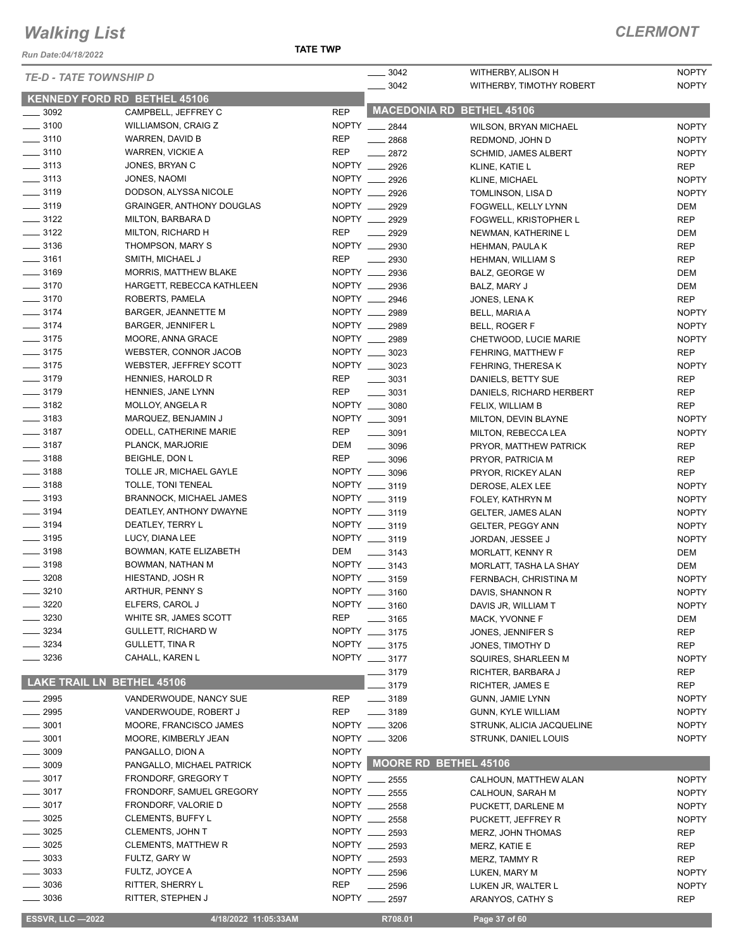*Run Date:04/18/2022*

| <b>TE-D - TATE TOWNSHIP D</b>       |                                  |              | 3042               | WITHERBY, ALISON H               | <b>NOPTY</b> |
|-------------------------------------|----------------------------------|--------------|--------------------|----------------------------------|--------------|
|                                     |                                  |              | $- 3042$           | WITHERBY, TIMOTHY ROBERT         | <b>NOPTY</b> |
| <b>KENNEDY FORD RD BETHEL 45106</b> |                                  |              |                    |                                  |              |
| $\frac{1}{2}$ 3092                  | CAMPBELL, JEFFREY C              | <b>REP</b>   |                    | <b>MACEDONIA RD BETHEL 45106</b> |              |
| $\frac{1}{2}$ 3100                  | <b>WILLIAMSON, CRAIG Z</b>       |              | NOPTY __ 2844      | <b>WILSON, BRYAN MICHAEL</b>     | <b>NOPTY</b> |
| $\frac{1}{2}$ 3110                  | WARREN, DAVID B                  | <b>REP</b>   | $-2868$            | REDMOND, JOHN D                  | <b>NOPTY</b> |
| $\frac{1}{2}$ 3110                  | WARREN, VICKIE A                 | <b>REP</b>   | 2872               | <b>SCHMID, JAMES ALBERT</b>      | <b>NOPTY</b> |
| $\frac{1}{2}$ 3113                  | JONES, BRYAN C                   | NOPTY __     | 2926               | KLINE, KATIE L                   | <b>REP</b>   |
| $\frac{1}{2}$ 3113                  | JONES, NAOMI                     |              | NOPTY __ 2926      | KLINE, MICHAEL                   | <b>NOPTY</b> |
| $\frac{1}{2}$ 3119                  | DODSON, ALYSSA NICOLE            | NOPTY __     | 2926               | TOMLINSON, LISA D                | <b>NOPTY</b> |
| $\frac{1}{2}$ 3119                  | <b>GRAINGER, ANTHONY DOUGLAS</b> | NOPTY __     | 2929               | FOGWELL, KELLY LYNN              | DEM          |
| $\frac{3122}{2}$                    | MILTON, BARBARA D                | NOPTY __     | 2929               | FOGWELL, KRISTOPHER L            | <b>REP</b>   |
| $- 3122$                            | MILTON, RICHARD H                | <b>REP</b>   | 2929               | NEWMAN, KATHERINE L              | DEM          |
| $\frac{1}{2}$ 3136                  | THOMPSON, MARY S                 |              | NOPTY __ 2930      | <b>HEHMAN, PAULA K</b>           | <b>REP</b>   |
| $\frac{1}{2}$ 3161                  | SMITH, MICHAEL J                 | <b>REP</b>   | 2930               | HEHMAN, WILLIAM S                | <b>REP</b>   |
| $- 3169$                            | MORRIS, MATTHEW BLAKE            |              | NOPTY __ 2936      | BALZ, GEORGE W                   | DEM          |
| $\frac{1}{2}$ 3170                  | HARGETT, REBECCA KATHLEEN        | NOPTY ___    | 2936               | BALZ, MARY J                     | <b>DEM</b>   |
| $- 3170$                            | ROBERTS, PAMELA                  | NOPTY ___    | 2946               | JONES, LENAK                     | <b>REP</b>   |
| $- 3174$                            | BARGER, JEANNETTE M              |              | NOPTY __ 2989      | BELL, MARIA A                    | <b>NOPTY</b> |
| $- 3174$                            | <b>BARGER, JENNIFER L</b>        | NOPTY        | 2989               | BELL, ROGER F                    | <b>NOPTY</b> |
| $\frac{1}{2}$ 3175                  | MOORE, ANNA GRACE                |              | NOPTY __ 2989      | CHETWOOD, LUCIE MARIE            | <b>NOPTY</b> |
| $\frac{1}{2}$ 3175                  | WEBSTER, CONNOR JACOB            |              | NOPTY __ 3023      | FEHRING, MATTHEW F               | <b>REP</b>   |
| $\frac{1}{2}$ 3175                  | WEBSTER, JEFFREY SCOTT           |              | NOPTY __ 3023      | FEHRING, THERESA K               | <b>NOPTY</b> |
| $\frac{1}{2}$ 3179                  | HENNIES, HAROLD R                | <b>REP</b>   | $- 3031$           | DANIELS, BETTY SUE               | <b>REP</b>   |
| $- 3179$                            | HENNIES, JANE LYNN               | <b>REP</b>   | 3031               | DANIELS, RICHARD HERBERT         | <b>REP</b>   |
| $\frac{1}{2}$ 3182                  | MOLLOY, ANGELA R                 |              | NOPTY __ 3080      | FELIX, WILLIAM B                 | <b>REP</b>   |
| $\frac{1}{2}$ 3183                  | MARQUEZ, BENJAMIN J              |              | NOPTY __ 3091      | MILTON, DEVIN BLAYNE             | <b>NOPTY</b> |
| $\frac{1}{2}$ 3187                  | <b>ODELL, CATHERINE MARIE</b>    | REP          | $- 3091$           | MILTON, REBECCA LEA              | <b>NOPTY</b> |
| $\frac{1}{2}$ 3187                  | PLANCK, MARJORIE                 | DEM          | $\frac{1}{2}$ 3096 | PRYOR, MATTHEW PATRICK           | <b>REP</b>   |
| $\frac{1}{2}$ 3188                  | <b>BEIGHLE, DON L</b>            | REP          | $\frac{1}{2}$ 3096 | PRYOR, PATRICIA M                | <b>REP</b>   |
| $\frac{1}{2}$ 3188                  | TOLLE JR, MICHAEL GAYLE          |              | NOPTY __ 3096      | PRYOR, RICKEY ALAN               | <b>REP</b>   |
| $\frac{1}{2}$ 3188                  | TOLLE, TONI TENEAL               |              | NOPTY __ 3119      | DEROSE, ALEX LEE                 | <b>NOPTY</b> |
| $\frac{1}{2}$ 3193                  | <b>BRANNOCK, MICHAEL JAMES</b>   |              | NOPTY __ 3119      | FOLEY, KATHRYN M                 | <b>NOPTY</b> |
| $\frac{1}{2}$ 3194                  | DEATLEY, ANTHONY DWAYNE          |              | NOPTY __ 3119      | <b>GELTER, JAMES ALAN</b>        | <b>NOPTY</b> |
| $\frac{1}{2}$ 3194                  | DEATLEY, TERRY L                 |              | NOPTY __ 3119      | GELTER, PEGGY ANN                | <b>NOPTY</b> |
| $\frac{1}{2}$ 3195                  | LUCY, DIANA LEE                  |              | NOPTY __ 3119      | JORDAN, JESSEE J                 | <b>NOPTY</b> |
| $\frac{1}{2}$ 3198                  | BOWMAN, KATE ELIZABETH           | DEM          | $\frac{1}{2}$ 3143 | <b>MORLATT, KENNY R</b>          | DEM          |
| $- 3198$                            | BOWMAN, NATHAN M                 |              | NOPTY __ 3143      | MORLATT, TASHA LA SHAY           | DEM          |
| $\frac{1}{2}$ 3208                  | HIESTAND, JOSH R                 |              | NOPTY __ 3159      | FERNBACH, CHRISTINA M            | <b>NOPTY</b> |
| $\frac{1}{2}$ 3210                  | ARTHUR, PENNY S                  |              | NOPTY __ 3160      | DAVIS, SHANNON R                 | <b>NOPTY</b> |
| 3220                                | ELFERS, CAROL J                  |              | NOPTY __ 3160      | DAVIS JR, WILLIAM T              | <b>NOPTY</b> |
| 3230                                | WHITE SR, JAMES SCOTT            | <b>REP</b>   | 3165               | MACK, YVONNE F                   | DEM          |
| 3234                                | <b>GULLETT, RICHARD W</b>        |              | NOPTY __ 3175      | JONES, JENNIFER S                | <b>REP</b>   |
| 3234                                | GULLETT, TINA R                  |              | NOPTY __ 3175      | JONES, TIMOTHY D                 | <b>REP</b>   |
| 3236                                | CAHALL, KAREN L                  |              | NOPTY __ 3177      | SQUIRES, SHARLEEN M              | <b>NOPTY</b> |
|                                     |                                  |              | 3179               | RICHTER, BARBARA J               | <b>REP</b>   |
| <b>LAKE TRAIL LN BETHEL 45106</b>   |                                  |              | 3179               | RICHTER, JAMES E                 | <b>REP</b>   |
| $=$ 2995                            | VANDERWOUDE, NANCY SUE           | <b>REP</b>   | $\frac{1}{2}$ 3189 | GUNN, JAMIE LYNN                 | <b>NOPTY</b> |
| $-2995$                             | VANDERWOUDE, ROBERT J            | <b>REP</b>   | $- 3189$           | GUNN, KYLE WILLIAM               | <b>NOPTY</b> |
| 3001                                | MOORE, FRANCISCO JAMES           | NOPTY __     | 3206               | STRUNK, ALICIA JACQUELINE        | <b>NOPTY</b> |
| 3001                                | MOORE, KIMBERLY JEAN             | NOPTY __     | 3206               | STRUNK, DANIEL LOUIS             | <b>NOPTY</b> |
| 3009                                | PANGALLO, DION A                 | <b>NOPTY</b> |                    |                                  |              |
| 3009                                | PANGALLO, MICHAEL PATRICK        | <b>NOPTY</b> |                    | <b>MOORE RD BETHEL 45106</b>     |              |
| 3017                                | FRONDORF, GREGORY T              |              | NOPTY __ 2555      | CALHOUN, MATTHEW ALAN            | <b>NOPTY</b> |
| _ 3017                              | FRONDORF, SAMUEL GREGORY         | NOPTY __     | 2555               | CALHOUN, SARAH M                 | <b>NOPTY</b> |
| $-3017$                             | FRONDORF, VALORIE D              | NOPTY __     | 2558               | PUCKETT, DARLENE M               | <b>NOPTY</b> |
| 3025                                | <b>CLEMENTS, BUFFY L</b>         | NOPTY ___    | 2558               | PUCKETT, JEFFREY R               | <b>NOPTY</b> |
| 3025                                | CLEMENTS, JOHN T                 | NOPTY __     | 2593               | MERZ, JOHN THOMAS                | <b>REP</b>   |
| - 3025                              | <b>CLEMENTS, MATTHEW R</b>       | NOPTY _      | 2593               | MERZ, KATIE E                    | REP          |
| - 3033                              | FULTZ, GARY W                    | NOPTY ___    | 2593               | MERZ, TAMMY R                    | <b>REP</b>   |
| _ 3033                              | FULTZ, JOYCE A                   | NOPTY __     | 2596               | LUKEN, MARY M                    | <b>NOPTY</b> |
| 3036                                | RITTER, SHERRY L                 | <b>REP</b>   | 2596               | LUKEN JR, WALTER L               | <b>NOPTY</b> |
| _ 3036                              | RITTER, STEPHEN J                | NOPTY __     | 2597               | ARANYOS, CATHY S                 | <b>REP</b>   |
| <b>ESSVR, LLC -2022</b>             | 4/18/2022 11:05:33AM             |              | R708.01            | Page 37 of 60                    |              |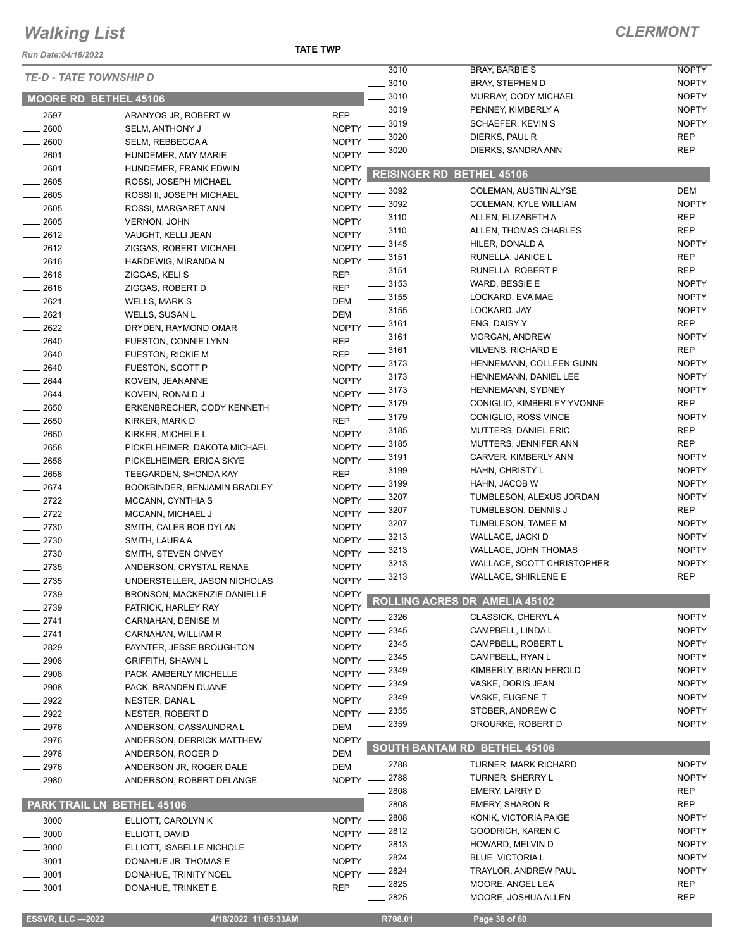*Run Date:04/18/2022*

**TATE TWP**

|                               |                                                |                      | 3010                             | <b>BRAY, BARBIE S</b>               | <b>NOPTY</b> |
|-------------------------------|------------------------------------------------|----------------------|----------------------------------|-------------------------------------|--------------|
| <b>TE-D - TATE TOWNSHIP D</b> |                                                |                      | 3010<br>$\overline{\phantom{a}}$ | <b>BRAY, STEPHEN D</b>              | <b>NOPTY</b> |
| MOORE RD BETHEL 45106         |                                                |                      | 3010                             | MURRAY, CODY MICHAEL                | <b>NOPTY</b> |
| $\frac{1}{2597}$              | ARANYOS JR, ROBERT W                           | <b>REP</b>           | $\frac{1}{2}$ 3019               | PENNEY, KIMBERLY A                  | <b>NOPTY</b> |
| 2600                          | <b>SELM, ANTHONY J</b>                         | <b>NOPTY</b>         | 3019                             | SCHAEFER, KEVIN S                   | <b>NOPTY</b> |
| $- 2600$                      | SELM, REBBECCAA                                | <b>NOPTY</b>         | 3020                             | DIERKS, PAUL R                      | <b>REP</b>   |
| 2601                          | HUNDEMER, AMY MARIE                            | <b>NOPTY</b>         | 3020                             | DIERKS, SANDRA ANN                  | <b>REP</b>   |
| 2601                          |                                                | <b>NOPTY</b>         |                                  |                                     |              |
| $-2605$                       | HUNDEMER, FRANK EDWIN<br>ROSSI. JOSEPH MICHAEL | <b>NOPTY</b>         |                                  | <b>REISINGER RD BETHEL 45106</b>    |              |
| 2605                          |                                                | $N$ OPTY $-$         | 3092                             | COLEMAN, AUSTIN ALYSE               | <b>DEM</b>   |
|                               | ROSSI II, JOSEPH MICHAEL                       | NOPTY -              | 3092                             | COLEMAN, KYLE WILLIAM               | <b>NOPTY</b> |
| $- 2605$<br>$-2605$           | ROSSI, MARGARET ANN                            | $N$ OPTY $-$         | $=$ 3110                         | ALLEN, ELIZABETH A                  | <b>REP</b>   |
| $-2612$                       | <b>VERNON, JOHN</b>                            | $N$ OPTY -           | $-3110$                          | ALLEN, THOMAS CHARLES               | <b>REP</b>   |
| $-2612$                       | VAUGHT, KELLI JEAN                             |                      | NOPTY -8145                      | HILER, DONALD A                     | <b>NOPTY</b> |
| $-2616$                       | ZIGGAS, ROBERT MICHAEL                         |                      | NOPTY -8151                      | RUNELLA, JANICE L                   | <b>REP</b>   |
|                               | HARDEWIG, MIRANDA N                            | <b>REP</b>           | $\frac{1}{2}$ 3151               | RUNELLA, ROBERT P                   | <b>REP</b>   |
| $-2616$                       | ZIGGAS, KELI S                                 | <b>REP</b>           | $\frac{1}{2}$ 3153               | WARD, BESSIE E                      | <b>NOPTY</b> |
| $-2616$                       | ZIGGAS, ROBERT D                               |                      | $\frac{1}{2}$ 3155               | LOCKARD, EVA MAE                    | <b>NOPTY</b> |
| $-2621$                       | <b>WELLS, MARK S</b>                           | DEM                  | $\frac{1}{2}$ 3155               | LOCKARD, JAY                        | <b>NOPTY</b> |
| $-2621$                       | <b>WELLS, SUSAN L</b>                          | <b>DEM</b>           | NOPTY -3161                      | ENG, DAISY Y                        | <b>REP</b>   |
| 2622                          | DRYDEN, RAYMOND OMAR                           |                      | $\frac{1}{2}$ 3161               | MORGAN, ANDREW                      | <b>NOPTY</b> |
| 2640                          | FUESTON, CONNIE LYNN                           | <b>REP</b>           | $\frac{1}{2}$ 3161               | <b>VILVENS, RICHARD E</b>           | <b>REP</b>   |
| 2640                          | FUESTON, RICKIE M                              | <b>REP</b>           | NOPTY -3173                      | HENNEMANN, COLLEEN GUNN             | <b>NOPTY</b> |
| $-2640$                       | FUESTON, SCOTT P                               |                      | NOPTY -3173                      | HENNEMANN, DANIEL LEE               | <b>NOPTY</b> |
| 2644                          | KOVEIN, JEANANNE                               |                      | NOPTY -8173                      | HENNEMANN, SYDNEY                   | <b>NOPTY</b> |
| 2644                          | KOVEIN, RONALD J                               |                      | NOPTY -8179                      | CONIGLIO, KIMBERLEY YVONNE          | <b>REP</b>   |
| $- 2650$                      | ERKENBRECHER, CODY KENNETH                     |                      | $\frac{1}{2}$ 3179               | CONIGLIO, ROSS VINCE                | <b>NOPTY</b> |
| 2650                          | KIRKER, MARK D                                 | <b>REP</b>           | NOPTY -8185                      | <b>MUTTERS, DANIEL ERIC</b>         | <b>REP</b>   |
| $\frac{1}{2650}$              | KIRKER, MICHELE L                              |                      | NOPTY -8185                      | MUTTERS, JENNIFER ANN               | <b>REP</b>   |
| $-2658$                       | PICKELHEIMER, DAKOTA MICHAEL                   |                      | NOPTY -3191                      | CARVER, KIMBERLY ANN                | <b>NOPTY</b> |
| $-2658$                       | PICKELHEIMER, ERICA SKYE                       |                      | 3199                             | HAHN, CHRISTY L                     | <b>NOPTY</b> |
| $-2658$                       | TEEGARDEN, SHONDA KAY                          | <b>REP</b>           | NOPTY -8199                      | HAHN, JACOB W                       | <b>NOPTY</b> |
| $-2674$                       | BOOKBINDER, BENJAMIN BRADLEY                   |                      | 3207                             | TUMBLESON, ALEXUS JORDAN            | <b>NOPTY</b> |
| $-2722$                       | MCCANN, CYNTHIA S                              | NOPTY -              | 3207                             | TUMBLESON, DENNIS J                 | <b>REP</b>   |
| $-2722$                       | MCCANN, MICHAEL J                              | $NOPTY =$            | 3207                             | TUMBLESON, TAMEE M                  | <b>NOPTY</b> |
| $-2730$                       | SMITH, CALEB BOB DYLAN                         | NOPTY -              | 3213                             | WALLACE, JACKI D                    | <b>NOPTY</b> |
| $-2730$                       | SMITH, LAURA A                                 | NOPTY -              | 3213                             | WALLACE, JOHN THOMAS                | <b>NOPTY</b> |
| $-2730$                       | SMITH, STEVEN ONVEY                            | $NOPTY$ ––           | 3213                             | WALLACE, SCOTT CHRISTOPHER          | <b>NOPTY</b> |
| $-2735$                       | ANDERSON, CRYSTAL RENAE                        | $N$ OPTY $-$         | NOPTY -3213                      | <b>WALLACE, SHIRLENE E</b>          | <b>REP</b>   |
| $-2735$                       | UNDERSTELLER, JASON NICHOLAS                   |                      |                                  |                                     |              |
| 2739                          | BRONSON, MACKENZIE DANIELLE                    | NOPTY $\blacksquare$ |                                  | ROLLING ACRES DR AMELIA 45102       |              |
| 2739                          | PATRICK, HARLEY RAY                            | <b>NOPTY</b>         | 2326                             | <b>CLASSICK, CHERYL A</b>           | <b>NOPTY</b> |
| 2741                          | CARNAHAN, DENISE M                             | $NOPTY -$            | 2345                             | CAMPBELL, LINDA L                   | <b>NOPTY</b> |
| 2741                          | CARNAHAN, WILLIAM R                            | NOPTY -              | 2345                             | CAMPBELL, ROBERT L                  | <b>NOPTY</b> |
| 2829                          | PAYNTER, JESSE BROUGHTON                       | NOPTY -              | 2345                             | CAMPBELL, RYAN L                    | <b>NOPTY</b> |
| 2908                          | <b>GRIFFITH, SHAWN L</b>                       | NOPTY -              | 2349                             | KIMBERLY, BRIAN HEROLD              | <b>NOPTY</b> |
| 2908                          | PACK, AMBERLY MICHELLE                         | NOPTY -              | 2349                             | VASKE, DORIS JEAN                   | <b>NOPTY</b> |
| 2908                          | PACK, BRANDEN DUANE                            | $NOPTY -$            | 2349                             | VASKE, EUGENE T                     | <b>NOPTY</b> |
| 2922                          | NESTER, DANA L                                 | $NOPTY =$            | 2355                             | STOBER, ANDREW C                    | <b>NOPTY</b> |
| $-2922$                       | NESTER, ROBERT D                               | $NOPTY -$            |                                  | OROURKE, ROBERT D                   | <b>NOPTY</b> |
| 2976                          | ANDERSON, CASSAUNDRA L                         | DEM                  | - 2359                           |                                     |              |
| $-2976$                       | ANDERSON, DERRICK MATTHEW                      | <b>NOPTY</b>         |                                  | <b>SOUTH BANTAM RD BETHEL 45106</b> |              |
| 2976                          | ANDERSON, ROGER D                              | DEM                  |                                  |                                     |              |
| 2976                          | ANDERSON JR, ROGER DALE                        | DEM                  | ____ 2788                        | <b>TURNER, MARK RICHARD</b>         | <b>NOPTY</b> |
| $-2980$                       | ANDERSON, ROBERT DELANGE                       | $NOPTY -$            | _ 2788                           | TURNER, SHERRY L                    | <b>NOPTY</b> |
|                               |                                                |                      | 2808                             | EMERY, LARRY D                      | REP          |
| PARK TRAIL LN BETHEL 45106    |                                                |                      | 2808                             | <b>EMERY, SHARON R</b>              | REP          |
| 3000                          | ELLIOTT, CAROLYN K                             | $N$ OPTY $-$         | 2808                             | KONIK, VICTORIA PAIGE               | <b>NOPTY</b> |
| 3000                          | ELLIOTT, DAVID                                 | NOPTY -              | 2812                             | GOODRICH, KAREN C                   | <b>NOPTY</b> |
| 3000                          | ELLIOTT, ISABELLE NICHOLE                      | $NOPTY -$            | 2813                             | HOWARD, MELVIN D                    | <b>NOPTY</b> |
| 3001                          | DONAHUE JR, THOMAS E                           | $N$ OPTY $-$         | 2824                             | <b>BLUE, VICTORIA L</b>             | <b>NOPTY</b> |
| 3001                          | DONAHUE, TRINITY NOEL                          | $NOPTY =$            | _ 2824                           | TRAYLOR, ANDREW PAUL                | <b>NOPTY</b> |
| $\frac{1}{2}$ 3001            | DONAHUE, TRINKET E                             | <b>REP</b>           | 2825                             | MOORE, ANGEL LEA                    | <b>REP</b>   |
|                               |                                                |                      | 2825                             | MOORE, JOSHUA ALLEN                 | <b>REP</b>   |
| <b>ESSVR, LLC -2022</b>       | 4/18/2022 11:05:33AM                           |                      | R708.01                          | Page 38 of 60                       |              |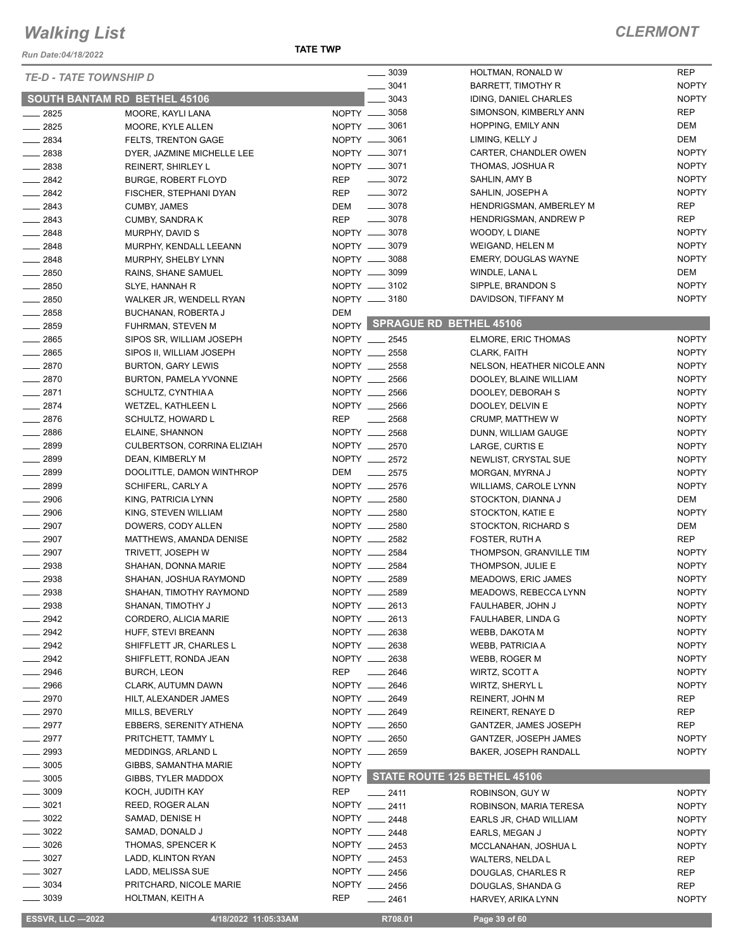*Run Date:04/18/2022*

| <b>TE-D - TATE TOWNSHIP D</b> |                                |              | 3039               | HOLTMAN, RONALD W             | <b>REP</b>   |
|-------------------------------|--------------------------------|--------------|--------------------|-------------------------------|--------------|
|                               |                                |              | 3041               | <b>BARRETT, TIMOTHY R</b>     | <b>NOPTY</b> |
| SOUTH BANTAM RD BETHEL 45106  |                                |              | 3043               | IDING, DANIEL CHARLES         | <b>NOPTY</b> |
| 2825                          | MOORE, KAYLI LANA              |              | NOPTY __ 3058      | SIMONSON, KIMBERLY ANN        | <b>REP</b>   |
| 2825                          | MOORE, KYLE ALLEN              |              | NOPTY __ 3061      | <b>HOPPING, EMILY ANN</b>     | <b>DEM</b>   |
| $-2834$                       | <b>FELTS, TRENTON GAGE</b>     |              | NOPTY -8061        | LIMING, KELLY J               | <b>DEM</b>   |
| 2838                          | DYER, JAZMINE MICHELLE LEE     |              | NOPTY __ 3071      | CARTER, CHANDLER OWEN         | <b>NOPTY</b> |
| $\frac{1}{2838}$              | <b>REINERT, SHIRLEY L</b>      |              | NOPTY -8071        | THOMAS, JOSHUA R              | <b>NOPTY</b> |
| $\frac{2842}{5}$              | <b>BURGE, ROBERT FLOYD</b>     | REP          | $\frac{1}{2}$ 3072 | SAHLIN, AMY B                 | <b>NOPTY</b> |
| 2842                          | FISCHER, STEPHANI DYAN         | <b>REP</b>   | $\frac{1}{2}$ 3072 | SAHLIN, JOSEPH A              | <b>NOPTY</b> |
| $-2843$                       | <b>CUMBY, JAMES</b>            | DEM          | $\frac{1}{2}$ 3078 | HENDRIGSMAN, AMBERLEY M       | <b>REP</b>   |
| $\frac{2843}{2}$              | CUMBY, SANDRA K                | <b>REP</b>   | $- 3078$           | HENDRIGSMAN, ANDREW P         | <b>REP</b>   |
| $-2848$                       | MURPHY, DAVID S                |              | NOPTY -8078        | WOODY, L DIANE                | <b>NOPTY</b> |
| $\frac{1}{2848}$              | MURPHY, KENDALL LEEANN         |              | NOPTY -8079        | WEIGAND, HELEN M              | <b>NOPTY</b> |
| 2848                          | MURPHY, SHELBY LYNN            |              | NOPTY __ 3088      | EMERY, DOUGLAS WAYNE          | <b>NOPTY</b> |
| $- 2850$                      | RAINS, SHANE SAMUEL            |              | NOPTY -8099        | WINDLE, LANA L                | DEM          |
| 2850                          | SLYE, HANNAH R                 |              | NOPTY __ 3102      | SIPPLE, BRANDON S             | <b>NOPTY</b> |
|                               |                                |              | NOPTY __ 3180      | DAVIDSON, TIFFANY M           | <b>NOPTY</b> |
| 2850                          | WALKER JR, WENDELL RYAN        |              |                    |                               |              |
| $-2858$                       | BUCHANAN, ROBERTA J            | DEM          |                    | NOPTY SPRAGUE RD BETHEL 45106 |              |
| 2859                          | FUHRMAN, STEVEN M              |              |                    |                               |              |
| $-2865$                       | SIPOS SR, WILLIAM JOSEPH       |              | NOPTY __ 2545      | ELMORE, ERIC THOMAS           | <b>NOPTY</b> |
| 2865                          | SIPOS II, WILLIAM JOSEPH       |              | NOPTY __ 2558      | CLARK, FAITH                  | <b>NOPTY</b> |
| $-2870$                       | <b>BURTON, GARY LEWIS</b>      |              | NOPTY __ 2558      | NELSON, HEATHER NICOLE ANN    | <b>NOPTY</b> |
| $-2870$                       | BURTON, PAMELA YVONNE          |              | NOPTY __ 2566      | DOOLEY, BLAINE WILLIAM        | <b>NOPTY</b> |
| 2871                          | SCHULTZ, CYNTHIA A             | NOPTY __     | 2566               | DOOLEY, DEBORAH S             | <b>NOPTY</b> |
| $-2874$                       | <b>WETZEL, KATHLEEN L</b>      |              | NOPTY __ 2566      | DOOLEY, DELVIN E              | <b>NOPTY</b> |
| $-2876$                       | SCHULTZ, HOWARD L              | <b>REP</b>   | 2568               | CRUMP, MATTHEW W              | <b>NOPTY</b> |
| $-2886$                       | ELAINE, SHANNON                |              | NOPTY __ 2568      | DUNN, WILLIAM GAUGE           | <b>NOPTY</b> |
| $- 2899$                      | CULBERTSON, CORRINA ELIZIAH    |              | NOPTY __ 2570      | LARGE, CURTIS E               | <b>NOPTY</b> |
| 2899                          | DEAN, KIMBERLY M               |              | NOPTY __ 2572      | NEWLIST, CRYSTAL SUE          | <b>NOPTY</b> |
| 2899                          | DOOLITTLE, DAMON WINTHROP      | DEM          | $-2575$            | MORGAN, MYRNA J               | <b>NOPTY</b> |
| 2899                          | SCHIFERL, CARLY A              |              | NOPTY __ 2576      | WILLIAMS, CAROLE LYNN         | <b>NOPTY</b> |
| $-2906$                       | KING, PATRICIA LYNN            |              | NOPTY __ 2580      | STOCKTON, DIANNA J            | DEM          |
| $- 2906$                      | KING, STEVEN WILLIAM           |              | NOPTY __ 2580      | STOCKTON, KATIE E             | <b>NOPTY</b> |
| 2907                          | DOWERS, CODY ALLEN             |              | NOPTY __ 2580      |                               |              |
|                               |                                |              |                    | STOCKTON, RICHARD S           | DEM          |
| $-2907$                       | MATTHEWS, AMANDA DENISE        |              | NOPTY __ 2582      | FOSTER, RUTH A                | <b>REP</b>   |
| 2907                          | TRIVETT, JOSEPH W              |              | NOPTY __ 2584      | THOMPSON, GRANVILLE TIM       | <b>NOPTY</b> |
| 2938                          | SHAHAN, DONNA MARIE            |              | NOPTY __ 2584      | THOMPSON, JULIE E             | <b>NOPTY</b> |
| 2938                          | SHAHAN, JOSHUA RAYMOND         | NOPTY ___    | 2589               | MEADOWS, ERIC JAMES           | <b>NOPTY</b> |
| 2938                          | SHAHAN, TIMOTHY RAYMOND        | NOPTY _      | 2589               | MEADOWS, REBECCA LYNN         | <b>NOPTY</b> |
| 2938                          | SHANAN, TIMOTHY J              |              | NOPTY __ 2613      | FAULHABER, JOHN J             | <b>NOPTY</b> |
| 2942                          | CORDERO, ALICIA MARIE          | NOPTY __     | 2613               | FAULHABER, LINDA G            | <b>NOPTY</b> |
| 2942                          | HUFF, STEVI BREANN             |              | NOPTY __ 2638      | WEBB, DAKOTA M                | <b>NOPTY</b> |
| 2942                          | SHIFFLETT JR, CHARLES L        | NOPTY ___    | 2638               | <b>WEBB, PATRICIA A</b>       | <b>NOPTY</b> |
| 2942                          | SHIFFLETT, RONDA JEAN          | NOPTY _      | 2638               | WEBB, ROGER M                 | <b>NOPTY</b> |
| - 2946                        | <b>BURCH, LEON</b>             | <b>REP</b>   | 2646               | WIRTZ, SCOTT A                | <b>NOPTY</b> |
| 2966                          | CLARK, AUTUMN DAWN             | NOPTY __     | 2646               | WIRTZ, SHERYL L               | <b>NOPTY</b> |
| _ 2970                        | HILT, ALEXANDER JAMES          |              | NOPTY __ 2649      | REINERT, JOHN M               | REP          |
| $-2970$                       | MILLS, BEVERLY                 |              | NOPTY __ 2649      | REINERT, RENAYE D             | <b>REP</b>   |
| 2977                          | <b>EBBERS, SERENITY ATHENA</b> | NOPTY __     | 2650               | GANTZER, JAMES JOSEPH         | REP          |
| 2977                          | PRITCHETT, TAMMY L             | NOPTY __     | 2650               | <b>GANTZER, JOSEPH JAMES</b>  | <b>NOPTY</b> |
| 2993                          |                                | NOPTY __     |                    |                               |              |
|                               | MEDDINGS, ARLAND L             |              | 2659               | <b>BAKER, JOSEPH RANDALL</b>  | <b>NOPTY</b> |
| 3005                          | GIBBS, SAMANTHA MARIE          | <b>NOPTY</b> |                    |                               |              |
| 3005                          | GIBBS, TYLER MADDOX            | NOPTY        |                    | STATE ROUTE 125 BETHEL 45106  |              |
| 3009                          | KOCH, JUDITH KAY               | <b>REP</b>   | 2411               | ROBINSON, GUY W               | <b>NOPTY</b> |
| 3021                          | REED, ROGER ALAN               |              | NOPTY __ 2411      | ROBINSON, MARIA TERESA        | <b>NOPTY</b> |
| 3022                          | SAMAD, DENISE H                |              | NOPTY __ 2448      | EARLS JR, CHAD WILLIAM        | <b>NOPTY</b> |
| 3022                          | SAMAD, DONALD J                |              | NOPTY __ 2448      | EARLS, MEGAN J                | <b>NOPTY</b> |
| 3026                          | THOMAS, SPENCER K              |              | NOPTY __ 2453      | MCCLANAHAN, JOSHUA L          | <b>NOPTY</b> |
| 3027                          | LADD, KLINTON RYAN             |              | NOPTY __ 2453      | WALTERS, NELDA L              | REP          |
| 3027                          | LADD, MELISSA SUE              |              | NOPTY __ 2456      | DOUGLAS, CHARLES R            | REP          |
| 3034                          | PRITCHARD, NICOLE MARIE        |              | NOPTY __ 2456      | DOUGLAS, SHANDA G             | REP          |
| $= 3039$                      | HOLTMAN, KEITH A               | REP          | 2461               | HARVEY, ARIKA LYNN            | <b>NOPTY</b> |
|                               |                                |              |                    |                               |              |
| <b>ESSVR, LLC -2022</b>       | 4/18/2022 11:05:33AM           |              | R708.01            | Page 39 of 60                 |              |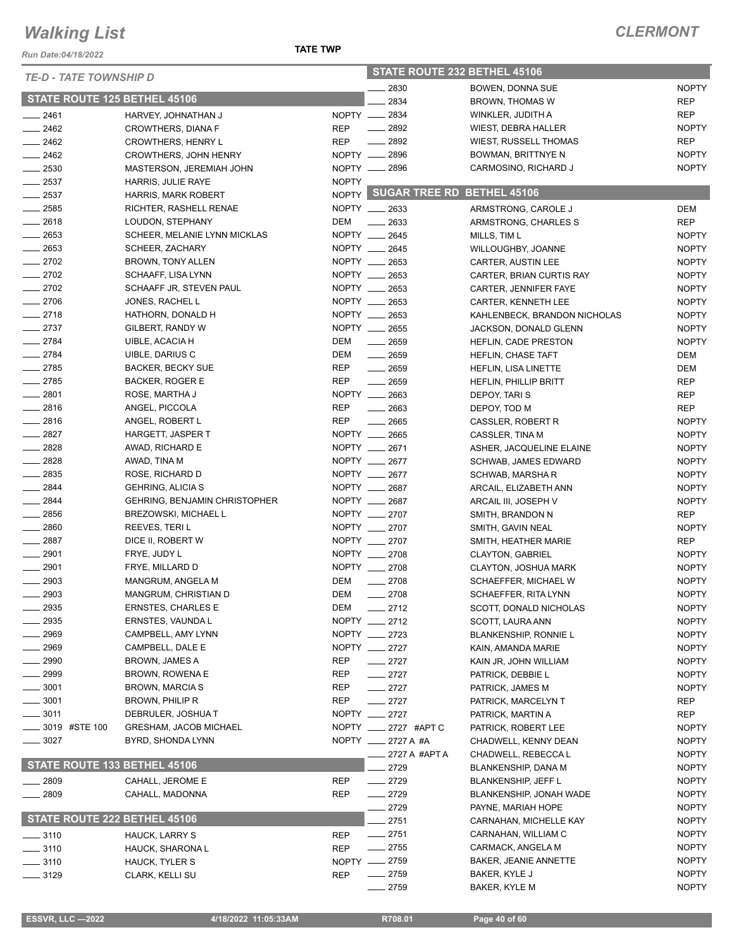*Run Date:04/18/2022*

#### *TE-D - TATE TOWNSHIP D*

#### **TATE TWP**

| <b>TE-D - TATE TOWNSHIP D</b>       |                                      |                   | STATE ROUTE 232 BETHEL 45106     |                                             |                              |  |
|-------------------------------------|--------------------------------------|-------------------|----------------------------------|---------------------------------------------|------------------------------|--|
|                                     |                                      |                   | 2830                             | BOWEN, DONNA SUE                            | <b>NOPTY</b>                 |  |
| <b>STATE ROUTE 125 BETHEL 45106</b> |                                      |                   | 2834                             | <b>BROWN, THOMAS W</b>                      | <b>REP</b>                   |  |
| $-2461$                             | HARVEY, JOHNATHAN J                  |                   | NOPTY __ 2834                    | WINKLER, JUDITH A                           | <b>REP</b>                   |  |
| $\frac{2462}{2}$                    | CROWTHERS, DIANA F                   | <b>REP</b>        | $\frac{1}{2892}$                 | <b>WIEST, DEBRA HALLER</b>                  | <b>NOPTY</b>                 |  |
| $\frac{1}{2462}$                    | <b>CROWTHERS, HENRY L</b>            | <b>REP</b>        | $\frac{1}{2892}$                 | <b>WIEST, RUSSELL THOMAS</b>                | <b>REP</b>                   |  |
| $-2462$                             | <b>CROWTHERS, JOHN HENRY</b>         |                   | NOPTY __ 2896                    | <b>BOWMAN, BRITTNYE N</b>                   | <b>NOPTY</b>                 |  |
| $\frac{1}{2530}$                    | MASTERSON, JEREMIAH JOHN             |                   | NOPTY __ 2896                    | CARMOSINO, RICHARD J                        | <b>NOPTY</b>                 |  |
| $-2537$                             | HARRIS, JULIE RAYE                   | <b>NOPTY</b>      |                                  |                                             |                              |  |
| $\frac{1}{2537}$                    | <b>HARRIS, MARK ROBERT</b>           |                   | NOPTY SUGAR TREE RD BETHEL 45106 |                                             |                              |  |
| $-2585$                             | RICHTER, RASHELL RENAE               |                   | NOPTY __ 2633                    | ARMSTRONG, CAROLE J                         | DEM                          |  |
| $-2618$                             | LOUDON, STEPHANY                     | DEM               | $\frac{1}{2633}$                 | ARMSTRONG, CHARLES S                        | <b>REP</b>                   |  |
| $-2653$                             | SCHEER, MELANIE LYNN MICKLAS         |                   | NOPTY __ 2645                    | MILLS, TIM L                                | <b>NOPTY</b>                 |  |
| $\frac{1}{2653}$                    | SCHEER, ZACHARY                      |                   | NOPTY __ 2645                    | WILLOUGHBY, JOANNE                          | <b>NOPTY</b>                 |  |
| $-2702$                             | BROWN, TONY ALLEN                    | NOPTY __          | 2653                             | CARTER, AUSTIN LEE                          | <b>NOPTY</b>                 |  |
| $-2702$                             | SCHAAFF, LISA LYNN                   |                   | NOPTY __ 2653                    | CARTER, BRIAN CURTIS RAY                    | <b>NOPTY</b>                 |  |
| $\frac{2702}{250}$                  | SCHAAFF JR, STEVEN PAUL              |                   | NOPTY __ 2653                    | CARTER, JENNIFER FAYE                       | <b>NOPTY</b>                 |  |
| $-2706$                             | JONES, RACHEL L                      |                   | NOPTY __ 2653                    | CARTER, KENNETH LEE                         | <b>NOPTY</b>                 |  |
| $-2718$                             | HATHORN, DONALD H                    |                   | NOPTY __ 2653                    | KAHLENBECK, BRANDON NICHOLAS                | <b>NOPTY</b>                 |  |
| $-2737$                             | GILBERT, RANDY W                     |                   | NOPTY __ 2655                    | JACKSON, DONALD GLENN                       | <b>NOPTY</b>                 |  |
| $-2784$                             | UIBLE, ACACIA H                      | DEM               | $\frac{1}{2659}$                 | <b>HEFLIN, CADE PRESTON</b>                 | <b>NOPTY</b>                 |  |
| $-2784$                             | UIBLE, DARIUS C                      | DEM               | $- 2659$                         | HEFLIN, CHASE TAFT                          | DEM                          |  |
| $-2785$                             | <b>BACKER, BECKY SUE</b>             | <b>REP</b>        | $-2659$                          | <b>HEFLIN, LISA LINETTE</b>                 | DEM                          |  |
| $-2785$                             | <b>BACKER, ROGER E</b>               | <b>REP</b>        | $-2659$                          | <b>HEFLIN, PHILLIP BRITT</b>                | <b>REP</b>                   |  |
| $-2801$                             | ROSE, MARTHA J                       |                   | NOPTY __ 2663                    | DEPOY, TARI S                               | <b>REP</b>                   |  |
| $-2816$                             | ANGEL, PICCOLA                       | <b>REP</b>        | $\frac{1}{2663}$                 | DEPOY, TOD M                                | <b>REP</b>                   |  |
| $-2816$                             | ANGEL, ROBERT L                      | <b>REP</b>        | $- 2665$                         | CASSLER, ROBERT R                           | <b>NOPTY</b>                 |  |
| $-2827$                             | HARGETT, JASPER T                    |                   | NOPTY __ 2665                    | CASSLER, TINA M                             | <b>NOPTY</b>                 |  |
| $-2828$                             | AWAD, RICHARD E                      |                   | NOPTY __ 2671                    | ASHER, JACQUELINE ELAINE                    | <b>NOPTY</b>                 |  |
| $-2828$                             | AWAD, TINA M                         |                   | NOPTY __ 2677                    | <b>SCHWAB, JAMES EDWARD</b>                 | <b>NOPTY</b>                 |  |
| $-2835$                             | ROSE, RICHARD D                      |                   | NOPTY __ 2677                    | SCHWAB, MARSHA R                            | <b>NOPTY</b>                 |  |
| $-2844$                             | <b>GEHRING, ALICIA S</b>             |                   | NOPTY __ 2687                    | ARCAIL, ELIZABETH ANN                       | <b>NOPTY</b>                 |  |
| $- 2844$                            | <b>GEHRING, BENJAMIN CHRISTOPHER</b> |                   | NOPTY __ 2687                    | ARCAIL III, JOSEPH V                        | <b>NOPTY</b>                 |  |
| $\frac{1}{2856}$                    | <b>BREZOWSKI, MICHAEL L</b>          |                   | NOPTY __ 2707                    | SMITH, BRANDON N                            | <b>REP</b>                   |  |
| $- 2860$                            | REEVES, TERI L                       |                   | NOPTY __ 2707                    | SMITH, GAVIN NEAL                           | <b>NOPTY</b>                 |  |
| $-2887$                             | DICE II, ROBERT W                    |                   | NOPTY __ 2707                    | SMITH, HEATHER MARIE                        | <b>REP</b>                   |  |
| $\frac{1}{2901}$                    | FRYE, JUDY L                         |                   | NOPTY __ 2708                    | <b>CLAYTON, GABRIEL</b>                     | <b>NOPTY</b>                 |  |
| $-2901$                             | FRYE, MILLARD D                      |                   | NOPTY __ 2708                    | CLAYTON, JOSHUA MARK                        | <b>NOPTY</b>                 |  |
| $-2903$                             | MANGRUM, ANGELA M                    | DEM               | $-2708$                          | SCHAEFFER, MICHAEL W                        | <b>NOPTY</b>                 |  |
| 2903                                | MANGRUM, CHRISTIAN D                 | DEM               | 2708                             | SCHAEFFER, RITA LYNN                        | <b>NOPTY</b>                 |  |
| 2935                                | <b>ERNSTES, CHARLES E</b>            | DEM               | $-2712$                          | SCOTT, DONALD NICHOLAS                      | <b>NOPTY</b>                 |  |
| 2935                                | ERNSTES, VAUNDA L                    |                   | NOPTY __ 2712                    | SCOTT, LAURA ANN                            | <b>NOPTY</b>                 |  |
| 2969                                | CAMPBELL, AMY LYNN                   |                   | NOPTY __ 2723<br>NOPTY __ 2727   | <b>BLANKENSHIP, RONNIE L</b>                | <b>NOPTY</b>                 |  |
| $-2969$                             | CAMPBELL, DALE E                     |                   |                                  | KAIN, AMANDA MARIE                          | <b>NOPTY</b>                 |  |
| $-2990$                             | BROWN, JAMES A<br>BROWN, ROWENA E    | <b>REP</b>        | $-2727$                          | KAIN JR, JOHN WILLIAM                       | <b>NOPTY</b>                 |  |
| _ 2999<br>$-3001$                   | <b>BROWN, MARCIA S</b>               | REP               | $-2727$                          | PATRICK, DEBBIE L                           | <b>NOPTY</b>                 |  |
| $-3001$                             |                                      | REP<br><b>REP</b> | $-2727$                          | PATRICK, JAMES M                            | <b>NOPTY</b>                 |  |
| $-3011$                             | BROWN, PHILIP R<br>DEBRULER, JOSHUAT |                   | $-2727$<br>NOPTY __ 2727         | PATRICK, MARCELYN T<br>PATRICK, MARTIN A    | REP                          |  |
| ____ 3019 #STE 100                  | GRESHAM, JACOB MICHAEL               |                   | NOPTY __ 2727 #APT C             |                                             | REP                          |  |
| $=$ 3027                            | BYRD, SHONDA LYNN                    |                   | NOPTY _____ 2727 A #A            | PATRICK, ROBERT LEE<br>CHADWELL, KENNY DEAN | <b>NOPTY</b><br><b>NOPTY</b> |  |
|                                     |                                      |                   |                                  |                                             | <b>NOPTY</b>                 |  |
| STATE ROUTE 133 BETHEL 45106        |                                      |                   | 2727 A #APT A<br>2729            | CHADWELL, REBECCA L<br>BLANKENSHIP, DANA M  | <b>NOPTY</b>                 |  |
| $-2809$                             | CAHALL, JEROME E                     | <b>REP</b>        | $-2729$                          | <b>BLANKENSHIP, JEFF L</b>                  | <b>NOPTY</b>                 |  |
| $=$ 2809                            | CAHALL, MADONNA                      | <b>REP</b>        | $-2729$                          | BLANKENSHIP, JONAH WADE                     | <b>NOPTY</b>                 |  |
|                                     |                                      |                   | 2729                             | PAYNE, MARIAH HOPE                          | <b>NOPTY</b>                 |  |
| STATE ROUTE 222 BETHEL 45106        |                                      |                   | 2751                             | CARNAHAN, MICHELLE KAY                      | <b>NOPTY</b>                 |  |
| $-3110$                             | <b>HAUCK, LARRY S</b>                | <b>REP</b>        | $-2751$                          | CARNAHAN, WILLIAM C                         | <b>NOPTY</b>                 |  |
| $- 3110$                            | HAUCK, SHARONA L                     | <b>REP</b>        | $-2755$                          | CARMACK, ANGELA M                           | <b>NOPTY</b>                 |  |
| $\frac{1}{2}$ 3110                  | HAUCK, TYLER S                       |                   | NOPTY __ 2759                    | <b>BAKER, JEANIE ANNETTE</b>                | <b>NOPTY</b>                 |  |
| $- 3129$                            | CLARK, KELLI SU                      | <b>REP</b>        | $-2759$                          | BAKER, KYLE J                               | <b>NOPTY</b>                 |  |
|                                     |                                      |                   | 2759                             | BAKER, KYLE M                               | <b>NOPTY</b>                 |  |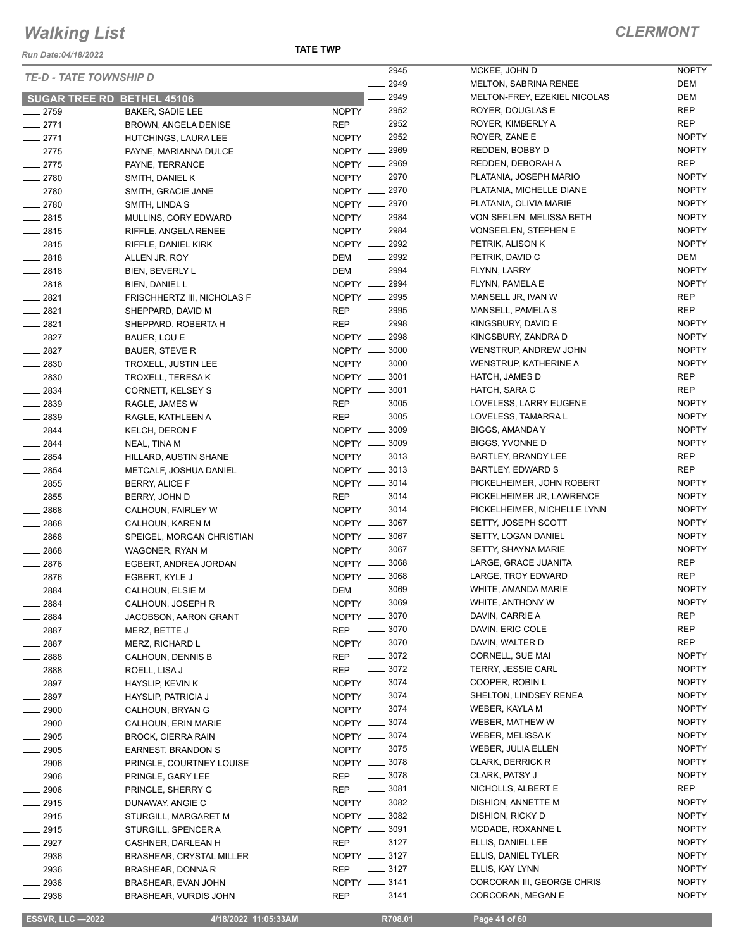*Run Date:04/18/2022*

|                    |                                   | 2945                             | MCKEE, JOHN D                | <b>NOPTY</b> |
|--------------------|-----------------------------------|----------------------------------|------------------------------|--------------|
|                    | <b>TE-D - TATE TOWNSHIP D</b>     | $-2949$                          | <b>MELTON, SABRINA RENEE</b> | DEM          |
|                    | <b>SUGAR TREE RD BETHEL 45106</b> | 2949                             | MELTON-FREY, EZEKIEL NICOLAS | DEM          |
| $-2759$            | <b>BAKER, SADIE LEE</b>           | NOPTY __ 2952                    | ROYER, DOUGLAS E             | <b>REP</b>   |
| $-2771$            | BROWN, ANGELA DENISE              | REP __ 2952                      | ROYER, KIMBERLY A            | <b>REP</b>   |
| $-2771$            | HUTCHINGS, LAURA LEE              | NOPTY __ 2952                    | ROYER, ZANE E                | <b>NOPTY</b> |
| $-2775$            | PAYNE, MARIANNA DULCE             | NOPTY __ 2969                    | REDDEN, BOBBY D              | <b>NOPTY</b> |
| $-2775$            | PAYNE, TERRANCE                   | NOPTY __ 2969                    | REDDEN, DEBORAH A            | REP          |
| $-2780$            | SMITH, DANIEL K                   | NOPTY __ 2970                    | PLATANIA, JOSEPH MARIO       | <b>NOPTY</b> |
| $-2780$            | SMITH, GRACIE JANE                | NOPTY -2970                      | PLATANIA, MICHELLE DIANE     | <b>NOPTY</b> |
| $-2780$            | SMITH, LINDA S                    | NOPTY __ 2970                    | PLATANIA, OLIVIA MARIE       | <b>NOPTY</b> |
| $-2815$            | MULLINS, CORY EDWARD              | NOPTY __ 2984                    | VON SEELEN, MELISSA BETH     | <b>NOPTY</b> |
| $-2815$            |                                   | NOPTY __ 2984                    | <b>VONSEELEN, STEPHEN E</b>  | <b>NOPTY</b> |
|                    | RIFFLE, ANGELA RENEE              | NOPTY __ 2992                    | PETRIK, ALISON K             | <b>NOPTY</b> |
| 2815               | RIFFLE, DANIEL KIRK               | $\frac{1}{2992}$                 |                              | DEM          |
| $-2818$            | ALLEN JR, ROY                     | DEM                              | PETRIK, DAVID C              |              |
| $-2818$            | BIEN, BEVERLY L                   | $\frac{1}{2994}$<br>DEM          | FLYNN, LARRY                 | <b>NOPTY</b> |
| $-2818$            | BIEN, DANIEL L                    | NOPTY - 2994                     | FLYNN, PAMELA E              | <b>NOPTY</b> |
| $-2821$            | FRISCHHERTZ III, NICHOLAS F       | NOPTY __ 2995                    | MANSELL JR, IVAN W           | <b>REP</b>   |
| $-2821$            | SHEPPARD, DAVID M                 | $\frac{1}{2995}$<br><b>REP</b>   | MANSELL, PAMELA S            | <b>REP</b>   |
| $-2821$            | SHEPPARD, ROBERTA H               | $\frac{1}{2998}$<br>REP          | KINGSBURY, DAVID E           | <b>NOPTY</b> |
| $-2827$            | BAUER, LOU E                      | NOPTY __ 2998                    | KINGSBURY, ZANDRA D          | <b>NOPTY</b> |
| $-2827$            | <b>BAUER, STEVE R</b>             | NOPTY -8000                      | WENSTRUP, ANDREW JOHN        | <b>NOPTY</b> |
| $-2830$            | TROXELL, JUSTIN LEE               | NOPTY __ 3000                    | WENSTRUP, KATHERINE A        | <b>NOPTY</b> |
| $\frac{2830}{256}$ | TROXELL, TERESA K                 | NOPTY __ 3001                    | HATCH, JAMES D               | REP          |
| $-2834$            | CORNETT, KELSEY S                 | NOPTY -8001                      | HATCH, SARA C                | <b>REP</b>   |
| $-2839$            | RAGLE, JAMES W                    | REP __ 3005                      | LOVELESS, LARRY EUGENE       | <b>NOPTY</b> |
| $-2839$            | RAGLE, KATHLEEN A                 | REP - 3005                       | LOVELESS, TAMARRA L          | <b>NOPTY</b> |
| $-2844$            | <b>KELCH, DERON F</b>             | NOPTY __ 3009                    | BIGGS, AMANDA Y              | <b>NOPTY</b> |
| $-2844$            | NEAL, TINA M                      | NOPTY __ 3009                    | BIGGS, YVONNE D              | <b>NOPTY</b> |
| $-2854$            | HILLARD, AUSTIN SHANE             | NOPTY -8013                      | BARTLEY, BRANDY LEE          | <b>REP</b>   |
| 2854               | METCALF, JOSHUA DANIEL            | NOPTY __ 3013                    | BARTLEY, EDWARD S            | <b>REP</b>   |
| $\frac{1}{2855}$   | BERRY, ALICE F                    | NOPTY -8014                      | PICKELHEIMER, JOHN ROBERT    | <b>NOPTY</b> |
| $-2855$            | BERRY, JOHN D                     | REP __ 3014                      | PICKELHEIMER JR, LAWRENCE    | <b>NOPTY</b> |
| $-2868$            | CALHOUN, FAIRLEY W                | NOPTY __ 3014                    | PICKELHEIMER, MICHELLE LYNN  | <b>NOPTY</b> |
| $-2868$            | CALHOUN, KAREN M                  | NOPTY -8067                      | SETTY, JOSEPH SCOTT          | <b>NOPTY</b> |
| $-2868$            | SPEIGEL, MORGAN CHRISTIAN         | NOPTY __ 3067                    | SETTY, LOGAN DANIEL          | <b>NOPTY</b> |
| $-2868$            | WAGONER, RYAN M                   | NOPTY __ 3067                    | SETTY, SHAYNA MARIE          | <b>NOPTY</b> |
| $-2876$            | EGBERT, ANDREA JORDAN             | NOPTY __ 3068                    | LARGE, GRACE JUANITA         | REP          |
| $-2876$            | EGBERT, KYLE J                    | NOPTY __ 3068                    | LARGE, TROY EDWARD           | REP          |
| $- 2884$           | CALHOUN, ELSIE M                  | $\frac{1}{2}$ 3069<br>DEM        | WHITE, AMANDA MARIE          | <b>NOPTY</b> |
| 2884               | CALHOUN, JOSEPH R                 | NOPTY __ 3069                    | WHITE, ANTHONY W             | <b>NOPTY</b> |
| 2884               | JACOBSON, AARON GRANT             | NOPTY __ 3070                    | DAVIN, CARRIE A              | REP          |
| $-2887$            | MERZ, BETTE J                     | <b>REP</b><br>$\frac{1}{2}$ 3070 | DAVIN, ERIC COLE             | REP          |
| $-2887$            | <b>MERZ, RICHARD L</b>            | NOPTY __ 3070                    | DAVIN, WALTER D              | REP          |
| $- 2888$           | CALHOUN, DENNIS B                 | $\frac{1}{2}$ 3072<br>REP        | CORNELL, SUE MAI             | <b>NOPTY</b> |
| $-2888$            | ROELL, LISA J                     | $\frac{1}{2}$ 3072<br>REP        | <b>TERRY, JESSIE CARL</b>    | <b>NOPTY</b> |
| __ 2897            | HAYSLIP, KEVIN K                  | NOPTY -8074                      | COOPER, ROBIN L              | <b>NOPTY</b> |
| 2897               | HAYSLIP, PATRICIA J               | NOPTY __ 3074                    | SHELTON, LINDSEY RENEA       | <b>NOPTY</b> |
| 2900               | CALHOUN, BRYAN G                  | NOPTY __ 3074                    | WEBER, KAYLA M               | <b>NOPTY</b> |
| 2900               | CALHOUN, ERIN MARIE               | NOPTY -8074                      | WEBER, MATHEW W              | <b>NOPTY</b> |
| 2905               | <b>BROCK, CIERRA RAIN</b>         | NOPTY __ 3074                    | WEBER, MELISSA K             | <b>NOPTY</b> |
| 2905               | EARNEST, BRANDON S                | NOPTY -8075                      | WEBER, JULIA ELLEN           | <b>NOPTY</b> |
| $-2906$            |                                   | NOPTY -8078                      | <b>CLARK, DERRICK R</b>      | <b>NOPTY</b> |
|                    | PRINGLE, COURTNEY LOUISE          |                                  |                              | <b>NOPTY</b> |
| 2906               | PRINGLE, GARY LEE                 | $\frac{1}{2}$ 3078<br>REP        | CLARK, PATSY J               |              |
| $- 2906$           | PRINGLE, SHERRY G                 | $\frac{1}{2}$ 3081<br>REP        | NICHOLLS, ALBERT E           | REP          |
| $-2915$            | DUNAWAY, ANGIE C                  | NOPTY __ 3082                    | DISHION, ANNETTE M           | <b>NOPTY</b> |
| __ 2915            | STURGILL, MARGARET M              | NOPTY __ 3082                    | DISHION, RICKY D             | <b>NOPTY</b> |
| $-2915$            | STURGILL, SPENCER A               | NOPTY __ 3091                    | MCDADE, ROXANNE L            | <b>NOPTY</b> |
| $-2927$            | CASHNER, DARLEAN H                | $\frac{3127}{2}$<br>REP          | ELLIS, DANIEL LEE            | <b>NOPTY</b> |
| $-2936$            | <b>BRASHEAR, CRYSTAL MILLER</b>   | NOPTY -8127                      | ELLIS, DANIEL TYLER          | <b>NOPTY</b> |
| 2936               | BRASHEAR, DONNA R                 | $\frac{1}{2}$ 3127<br>REP        | ELLIS, KAY LYNN              | <b>NOPTY</b> |
| 2936               | BRASHEAR, EVAN JOHN               | NOPTY -8141                      | CORCORAN III, GEORGE CHRIS   | <b>NOPTY</b> |
| 2936               | BRASHEAR, VURDIS JOHN             | $\frac{1}{2}$ 3141<br>REP        | CORCORAN, MEGAN E            | <b>NOPTY</b> |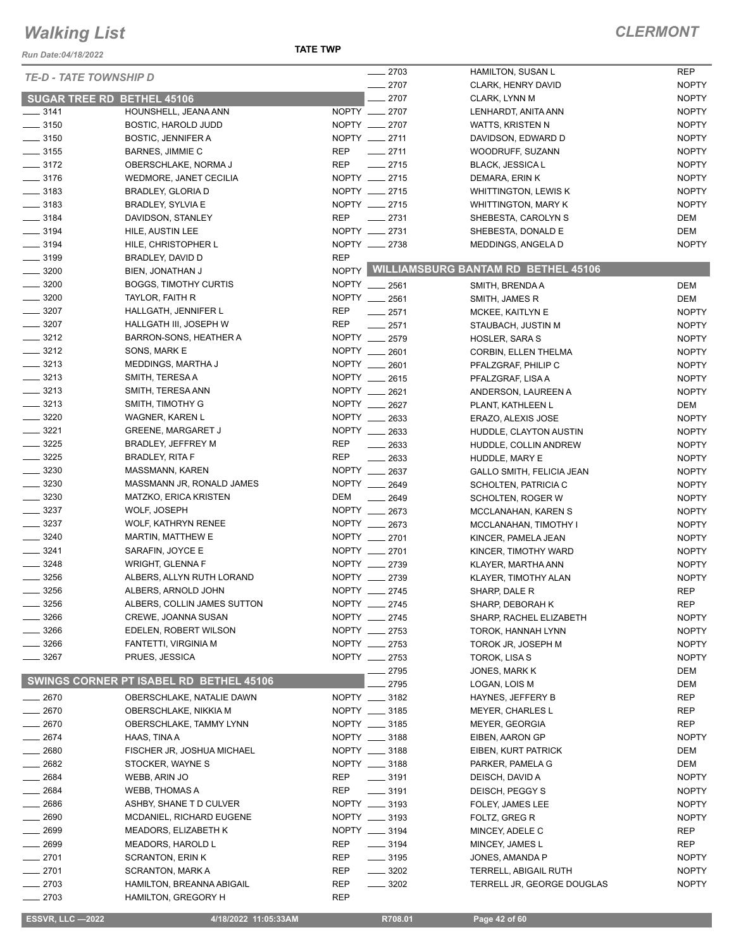*Run Date:04/18/2022*

| <b>TE-D - TATE TOWNSHIP D</b>     |                                         |            | $-2703$            | HAMILTON, SUSAN L                         | <b>REP</b>   |
|-----------------------------------|-----------------------------------------|------------|--------------------|-------------------------------------------|--------------|
|                                   |                                         |            | $-2707$            | CLARK, HENRY DAVID                        | <b>NOPTY</b> |
| <b>SUGAR TREE RD BETHEL 45106</b> |                                         |            | 2707               | CLARK, LYNN M                             | <b>NOPTY</b> |
| $\frac{1}{2}$ 3141                | HOUNSHELL, JEANA ANN                    |            | NOPTY __ 2707      | LENHARDT, ANITA ANN                       | <b>NOPTY</b> |
| $\frac{1}{2}$ 3150                | <b>BOSTIC, HAROLD JUDD</b>              |            | NOPTY __ 2707      | WATTS, KRISTEN N                          | <b>NOPTY</b> |
| $\frac{1}{2}$ 3150                | <b>BOSTIC, JENNIFER A</b>               |            | NOPTY __ 2711      | DAVIDSON, EDWARD D                        | <b>NOPTY</b> |
| $\frac{1}{2}$ 3155                | BARNES, JIMMIE C                        | <b>REP</b> | $-2711$            | WOODRUFF, SUZANN                          | <b>NOPTY</b> |
| $- 3172$                          | OBERSCHLAKE, NORMA J                    | <b>REP</b> | $-2715$            | <b>BLACK, JESSICA L</b>                   | <b>NOPTY</b> |
| $- 3176$                          | WEDMORE, JANET CECILIA                  |            | NOPTY __ 2715      | DEMARA, ERIN K                            | <b>NOPTY</b> |
| $\frac{1}{2}$ 3183                | BRADLEY, GLORIA D                       |            | NOPTY __ 2715      | <b>WHITTINGTON, LEWIS K</b>               | <b>NOPTY</b> |
| $\frac{1}{2}$ 3183                | BRADLEY, SYLVIA E                       |            | NOPTY __ 2715      | WHITTINGTON, MARY K                       | <b>NOPTY</b> |
| $\frac{1}{2}$ 3184                | DAVIDSON, STANLEY                       | <b>REP</b> | $-2731$            | SHEBESTA, CAROLYN S                       | DEM          |
| $\frac{1}{2}$ 3194                | HILE, AUSTIN LEE                        |            | NOPTY __ 2731      | SHEBESTA, DONALD E                        | <b>DEM</b>   |
| $\frac{1}{2}$ 3194                | HILE, CHRISTOPHER L                     |            | NOPTY __ 2738      | MEDDINGS, ANGELA D                        | <b>NOPTY</b> |
| $\frac{1}{2}$ 3199                | BRADLEY, DAVID D                        | <b>REP</b> |                    |                                           |              |
| $\frac{1}{2}$ 3200                | BIEN, JONATHAN J                        |            |                    | NOPTY WILLIAMSBURG BANTAM RD BETHEL 45106 |              |
| $\frac{1}{2}$ 3200                | <b>BOGGS, TIMOTHY CURTIS</b>            |            | NOPTY __ 2561      |                                           |              |
|                                   |                                         |            |                    | SMITH, BRENDA A                           | DEM          |
| $\frac{1}{2}$ 3200                | TAYLOR, FAITH R                         |            | NOPTY __ 2561      | SMITH, JAMES R                            | DEM          |
| $\frac{1}{2}$ 3207                | HALLGATH, JENNIFER L                    | <b>REP</b> | 2571               | MCKEE, KAITLYN E                          | <b>NOPTY</b> |
| $- 3207$                          | HALLGATH III, JOSEPH W                  | <b>REP</b> | $-2571$            | STAUBACH, JUSTIN M                        | <b>NOPTY</b> |
| $\frac{3212}{2}$                  | BARRON-SONS, HEATHER A                  |            | NOPTY __ 2579      | <b>HOSLER, SARA S</b>                     | <b>NOPTY</b> |
| $\frac{3212}{ }$                  | SONS, MARK E                            |            | NOPTY __ 2601      | CORBIN, ELLEN THELMA                      | <b>NOPTY</b> |
| $- 3213$                          | MEDDINGS, MARTHA J                      |            | NOPTY __ 2601      | PFALZGRAF, PHILIP C                       | <b>NOPTY</b> |
| $\frac{3213}{2}$                  | SMITH, TERESA A                         |            | NOPTY __ 2615      | PFALZGRAF, LISA A                         | <b>NOPTY</b> |
| $- 3213$                          | SMITH, TERESA ANN                       |            | NOPTY __ 2621      | ANDERSON, LAUREEN A                       | <b>NOPTY</b> |
| $\frac{1}{2}$ 3213                | SMITH, TIMOTHY G                        |            | NOPTY __ 2627      | PLANT, KATHLEEN L                         | DEM          |
| $- 3220$                          | WAGNER, KAREN L                         |            | NOPTY __ 2633      | ERAZO, ALEXIS JOSE                        | <b>NOPTY</b> |
| $- 3221$                          | <b>GREENE, MARGARET J</b>               |            | NOPTY __ 2633      | HUDDLE, CLAYTON AUSTIN                    | <b>NOPTY</b> |
| $\frac{3225}{2}$                  | BRADLEY, JEFFREY M                      | REP        | $\frac{1}{2633}$   | HUDDLE, COLLIN ANDREW                     | <b>NOPTY</b> |
| $- 3225$                          | <b>BRADLEY, RITA F</b>                  | <b>REP</b> | $\frac{1}{2633}$   | HUDDLE, MARY E                            | <b>NOPTY</b> |
| $\frac{1}{2}$ 3230                | MASSMANN, KAREN                         |            | NOPTY __ 2637      | GALLO SMITH, FELICIA JEAN                 | <b>NOPTY</b> |
| $\frac{1}{2}$ 3230                | MASSMANN JR, RONALD JAMES               | NOPTY __   | 2649               | SCHOLTEN, PATRICIA C                      | <b>NOPTY</b> |
| $\frac{1}{2}$ 3230                | MATZKO, ERICA KRISTEN                   | DEM        | 2649               | SCHOLTEN, ROGER W                         | <b>NOPTY</b> |
| $\frac{3237}{ }$                  | WOLF, JOSEPH                            |            | NOPTY __ 2673      | MCCLANAHAN, KAREN S                       | <b>NOPTY</b> |
| $\frac{1}{2}$ 3237                | <b>WOLF, KATHRYN RENEE</b>              |            | NOPTY __ 2673      | MCCLANAHAN, TIMOTHY I                     | <b>NOPTY</b> |
| $- 3240$                          | MARTIN, MATTHEW E                       |            | NOPTY __ 2701      |                                           | <b>NOPTY</b> |
| $- 3241$                          | SARAFIN, JOYCE E                        |            | NOPTY __ 2701      | KINCER, PAMELA JEAN                       | <b>NOPTY</b> |
| $- 3248$                          |                                         |            | NOPTY __ 2739      | KINCER, TIMOTHY WARD                      |              |
|                                   | <b>WRIGHT, GLENNA F</b>                 |            |                    | KLAYER, MARTHA ANN                        | <b>NOPTY</b> |
| $\frac{1}{2}$ 3256                | ALBERS, ALLYN RUTH LORAND               |            | NOPTY 2739         | KLAYER, TIMOTHY ALAN                      | <b>NOPTY</b> |
| $-3256$                           | ALBERS, ARNOLD JOHN                     |            | NOPTY __ 2745      | SHARP, DALE R                             | <b>REP</b>   |
| 3256                              | ALBERS, COLLIN JAMES SUTTON             |            | NOPTY __ 2745      | SHARP, DEBORAH K                          | <b>REP</b>   |
| $-3266$                           | CREWE, JOANNA SUSAN                     |            | NOPTY __ 2745      | SHARP, RACHEL ELIZABETH                   | <b>NOPTY</b> |
| $-3266$                           | EDELEN, ROBERT WILSON                   |            | NOPTY __ 2753      | TOROK, HANNAH LYNN                        | <b>NOPTY</b> |
| _ 3266                            | FANTETTI, VIRGINIA M                    |            | NOPTY __ 2753      | TOROK JR, JOSEPH M                        | <b>NOPTY</b> |
| $- 3267$                          | PRUES, JESSICA                          |            | NOPTY __ 2753      | TOROK, LISA S                             | <b>NOPTY</b> |
|                                   |                                         |            | $-2795$            | JONES, MARK K                             | DEM          |
|                                   | SWINGS CORNER PT ISABEL RD BETHEL 45106 |            | 2795               | LOGAN, LOIS M                             | DEM          |
| $-2670$                           | OBERSCHLAKE, NATALIE DAWN               |            | NOPTY __ 3182      | HAYNES, JEFFERY B                         | REP          |
| $-2670$                           | OBERSCHLAKE, NIKKIA M                   |            | NOPTY __ 3185      | MEYER, CHARLES L                          | REP          |
| $-2670$                           | OBERSCHLAKE, TAMMY LYNN                 |            | NOPTY __ 3185      | <b>MEYER, GEORGIA</b>                     | REP          |
| $-2674$                           | HAAS, TINA A                            |            | NOPTY __ 3188      | EIBEN, AARON GP                           | <b>NOPTY</b> |
| $-2680$                           | FISCHER JR, JOSHUA MICHAEL              |            | NOPTY __ 3188      | EIBEN, KURT PATRICK                       | DEM          |
| $-2682$                           | STOCKER, WAYNE S                        |            | NOPTY __ 3188      | PARKER, PAMELA G                          | DEM          |
| $- 2684$                          | WEBB, ARIN JO                           | REP        | $\frac{1}{2}$ 3191 | DEISCH, DAVID A                           | <b>NOPTY</b> |
| $-2684$                           | WEBB, THOMAS A                          | REP        | $\frac{1}{2}$ 3191 | DEISCH, PEGGY S                           | <b>NOPTY</b> |
| $- 2686$                          | ASHBY, SHANE T D CULVER                 |            | NOPTY __ 3193      | FOLEY, JAMES LEE                          | <b>NOPTY</b> |
| $-2690$                           |                                         |            | NOPTY __ 3193      |                                           |              |
|                                   | MCDANIEL, RICHARD EUGENE                |            |                    | FOLTZ, GREG R                             | <b>NOPTY</b> |
| $- 2699$                          | MEADORS, ELIZABETH K                    |            | NOPTY __ 3194      | MINCEY, ADELE C                           | REP          |
| $-2699$                           | MEADORS, HAROLD L                       | REP        | $\frac{1}{2}$ 3194 | MINCEY, JAMES L                           | REP          |
| $-2701$                           | <b>SCRANTON, ERIN K</b>                 | REP        | $\frac{1}{2}$ 3195 | JONES, AMANDA P                           | <b>NOPTY</b> |
| $-2701$                           | <b>SCRANTON, MARK A</b>                 | REP        | $\frac{1}{2}$ 3202 | <b>TERRELL, ABIGAIL RUTH</b>              | <b>NOPTY</b> |
| $-2703$                           | HAMILTON, BREANNA ABIGAIL               | <b>REP</b> | $\frac{1}{2}$ 3202 | TERRELL JR, GEORGE DOUGLAS                | <b>NOPTY</b> |
| $= 2703$                          | <b>HAMILTON, GREGORY H</b>              | <b>REP</b> |                    |                                           |              |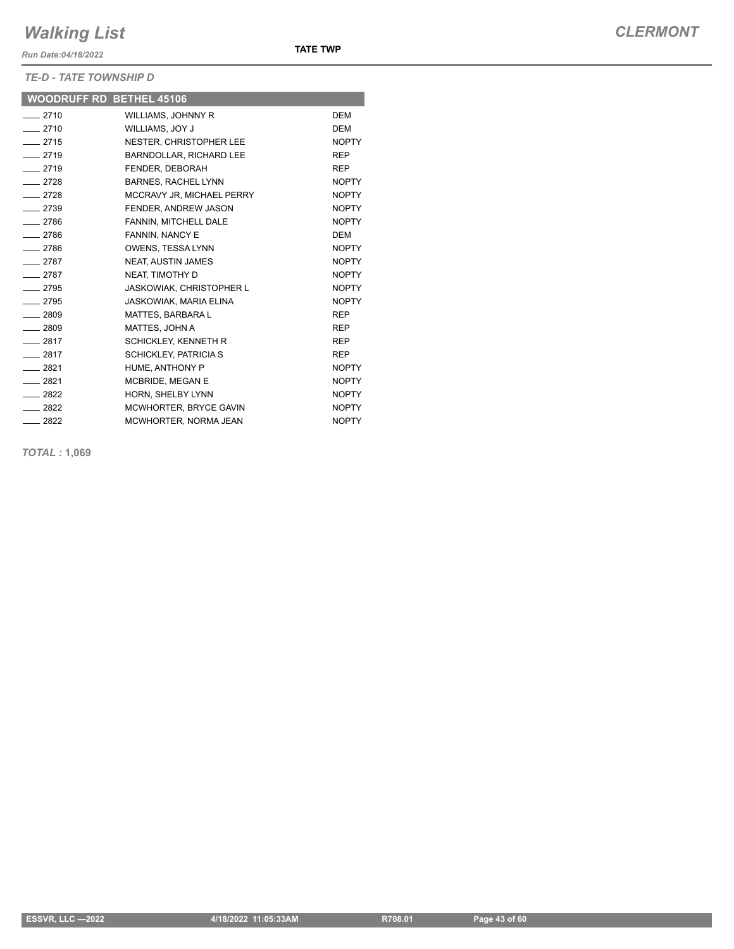*Run Date:04/18/2022*

#### *TE-D - TATE TOWNSHIP D*

|                  | <b>WOODRUFF RD BETHEL 45106</b> |              |
|------------------|---------------------------------|--------------|
| $-2710$          | <b>WILLIAMS, JOHNNY R</b>       | <b>DEM</b>   |
| $-2710$          | WILLIAMS, JOY J                 | <b>DEM</b>   |
| $-2715$          | NESTER, CHRISTOPHER LEE         | <b>NOPTY</b> |
| $-2719$          | BARNDOLLAR, RICHARD LEE         | <b>REP</b>   |
| $-2719$          | FENDER, DEBORAH                 | <b>REP</b>   |
| $-2728$          | <b>BARNES, RACHEL LYNN</b>      | <b>NOPTY</b> |
| $-2728$          | MCCRAVY JR, MICHAEL PERRY       | <b>NOPTY</b> |
| $-2739$          | FENDER, ANDREW JASON            | <b>NOPTY</b> |
| $-2786$          | FANNIN, MITCHELL DALE           | <b>NOPTY</b> |
| $-2786$          | FANNIN, NANCY E                 | <b>DEM</b>   |
| $-2786$          | OWENS, TESSA LYNN               | <b>NOPTY</b> |
| $-2787$          | <b>NEAT, AUSTIN JAMES</b>       | <b>NOPTY</b> |
| $-2787$          | NEAT, TIMOTHY D                 | <b>NOPTY</b> |
| $-2795$          | JASKOWIAK, CHRISTOPHER L        | <b>NOPTY</b> |
| $-2795$          | JASKOWIAK, MARIA ELINA          | <b>NOPTY</b> |
| $\frac{1}{2809}$ | <b>MATTES, BARBARAL</b>         | <b>REP</b>   |
| $-2809$          | MATTES, JOHN A                  | <b>REP</b>   |
| $-2817$          | <b>SCHICKLEY, KENNETH R</b>     | <b>REP</b>   |
| $-2817$          | <b>SCHICKLEY, PATRICIA S</b>    | <b>REP</b>   |
| $-2821$          | HUME, ANTHONY P                 | <b>NOPTY</b> |
| $-2821$          | MCBRIDE. MEGAN E                | <b>NOPTY</b> |
| $-2822$          | HORN, SHELBY LYNN               | <b>NOPTY</b> |
| $-2822$          | MCWHORTER, BRYCE GAVIN          | <b>NOPTY</b> |
| $-2822$          | MCWHORTER, NORMA JEAN           | <b>NOPTY</b> |

**TATE TWP**

*TOTAL :* **1,069**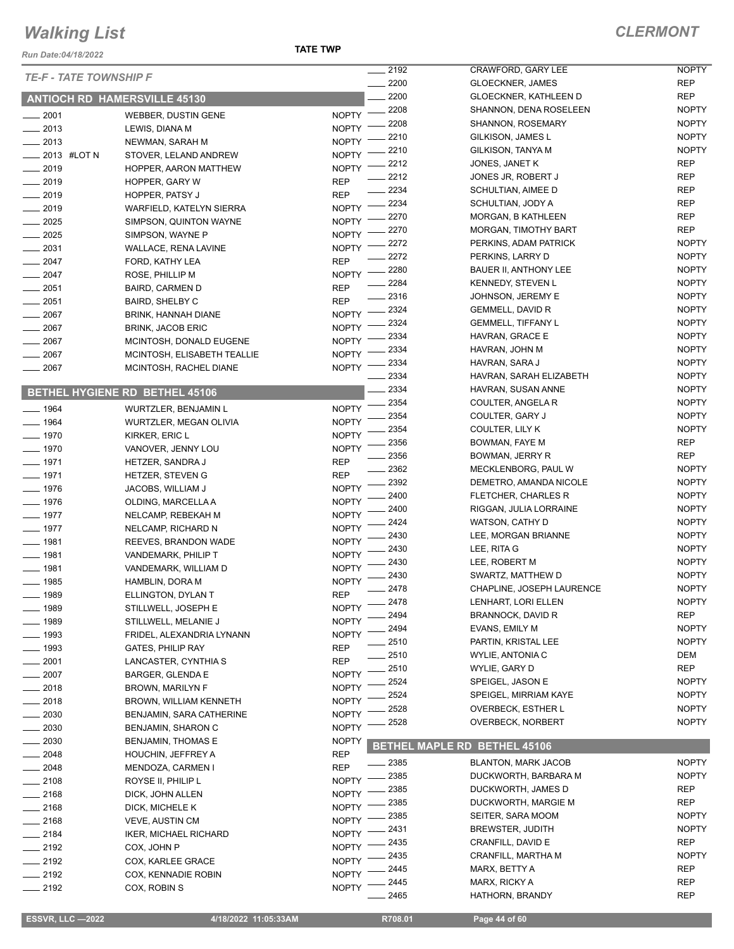*Run Date:04/18/2022*

#### **TATE TWP**

|                                     |                                       |                              | 2192         | CRAWFORD, GARY LEE                            | <b>NOPTY</b>                 |
|-------------------------------------|---------------------------------------|------------------------------|--------------|-----------------------------------------------|------------------------------|
| <b>TE-F - TATE TOWNSHIP F</b>       |                                       |                              | 2200         | <b>GLOECKNER, JAMES</b>                       | <b>REP</b>                   |
| <b>ANTIOCH RD HAMERSVILLE 45130</b> |                                       |                              | 2200         | <b>GLOECKNER, KATHLEEN D</b>                  | <b>REP</b>                   |
| 2001                                | WEBBER, DUSTIN GENE                   | <b>NOPTY</b>                 | 2208         | SHANNON, DENA ROSELEEN                        | <b>NOPTY</b>                 |
| 2013                                | LEWIS, DIANA M                        | <b>NOPTY</b>                 | 2208         | SHANNON, ROSEMARY                             | <b>NOPTY</b>                 |
| $-2013$                             | NEWMAN, SARAH M                       | <b>NOPTY</b>                 | 2210         | GILKISON, JAMES L                             | <b>NOPTY</b>                 |
| 2013 #LOT N                         | STOVER, LELAND ANDREW                 | <b>NOPTY</b>                 | 2210         | GILKISON, TANYA M                             | <b>NOPTY</b>                 |
| 2019                                | HOPPER, AARON MATTHEW                 | <b>NOPTY</b>                 | 2212         | JONES, JANET K                                | <b>REP</b>                   |
| 2019                                | HOPPER, GARY W                        | <b>REP</b>                   | 2212         | JONES JR, ROBERT J                            | <b>REP</b>                   |
| 2019                                | HOPPER, PATSY J                       | <b>REP</b>                   | 2234         | SCHULTIAN, AIMEE D                            | <b>REP</b>                   |
| 2019                                | WARFIELD, KATELYN SIERRA              | <b>NOPTY</b>                 | 2234         | SCHULTIAN, JODY A                             | <b>REP</b>                   |
| 2025                                | SIMPSON, QUINTON WAYNE                | <b>NOPTY</b>                 | 2270         | <b>MORGAN, B KATHLEEN</b>                     | <b>REP</b>                   |
| 2025                                | SIMPSON, WAYNE P                      | <b>NOPTY</b>                 | 2270         | MORGAN, TIMOTHY BART                          | <b>REP</b>                   |
| 2031                                | <b>WALLACE, RENA LAVINE</b>           | <b>NOPTY</b>                 | 2272         | PERKINS, ADAM PATRICK                         | <b>NOPTY</b>                 |
| 2047                                | FORD, KATHY LEA                       | <b>REP</b>                   | 2272         | PERKINS, LARRY D                              | <b>NOPTY</b>                 |
| $-2047$                             | ROSE, PHILLIP M                       | <b>NOPTY</b>                 | 2280         | BAUER II, ANTHONY LEE                         | <b>NOPTY</b>                 |
| 2051                                | <b>BAIRD, CARMEN D</b>                | <b>REP</b>                   | 2284         | <b>KENNEDY, STEVEN L</b>                      | <b>NOPTY</b>                 |
| 2051                                | <b>BAIRD, SHELBY C</b>                | <b>REP</b>                   | 2316         | JOHNSON, JEREMY E                             | <b>NOPTY</b>                 |
| 2067                                | <b>BRINK, HANNAH DIANE</b>            | <b>NOPTY</b>                 | 2324         | GEMMELL, DAVID R                              | <b>NOPTY</b>                 |
| 2067                                | <b>BRINK, JACOB ERIC</b>              | <b>NOPTY</b>                 | 2324         | <b>GEMMELL, TIFFANY L</b>                     | <b>NOPTY</b>                 |
| 2067                                | MCINTOSH, DONALD EUGENE               | <b>NOPTY</b>                 | 2334         | HAVRAN, GRACE E                               | <b>NOPTY</b>                 |
| 2067                                | MCINTOSH, ELISABETH TEALLIE           | <b>NOPTY</b>                 | 2334         | HAVRAN, JOHN M                                | <b>NOPTY</b>                 |
| 2067                                | MCINTOSH, RACHEL DIANE                | <b>NOPTY</b>                 | 2334         | HAVRAN, SARA J                                | <b>NOPTY</b>                 |
|                                     |                                       |                              | 2334         | HAVRAN, SARAH ELIZABETH                       | <b>NOPTY</b>                 |
|                                     | <b>BETHEL HYGIENE RD BETHEL 45106</b> |                              | 2334         | HAVRAN, SUSAN ANNE                            | <b>NOPTY</b>                 |
| $-1964$                             | <b>WURTZLER, BENJAMIN L</b>           | <b>NOPTY</b>                 | 2354         | COULTER, ANGELA R                             | <b>NOPTY</b>                 |
| $-1964$                             | WURTZLER, MEGAN OLIVIA                | <b>NOPTY</b>                 | 2354         | COULTER, GARY J                               | <b>NOPTY</b>                 |
| $-1970$                             | KIRKER, ERIC L                        | <b>NOPTY</b>                 | 2354         | COULTER, LILY K                               | <b>NOPTY</b>                 |
| $-1970$                             | VANOVER, JENNY LOU                    | <b>NOPTY</b>                 | 2356         | BOWMAN, FAYE M                                | <b>REP</b>                   |
| $-1971$                             | HETZER, SANDRA J                      | <b>REP</b>                   | 2356<br>2362 | BOWMAN, JERRY R                               | <b>REP</b>                   |
| . 1971                              | HETZER, STEVEN G                      | <b>REP</b>                   | 2392         | MECKLENBORG, PAUL W                           | <b>NOPTY</b>                 |
| $-1976$                             | JACOBS, WILLIAM J                     | <b>NOPTY</b>                 | 2400         | DEMETRO, AMANDA NICOLE<br>FLETCHER, CHARLES R | <b>NOPTY</b><br><b>NOPTY</b> |
| $-1976$                             | OLDING, MARCELLA A                    | <b>NOPTY</b>                 | 2400         | RIGGAN, JULIA LORRAINE                        | <b>NOPTY</b>                 |
| $- 1977$                            | NELCAMP, REBEKAH M                    | <b>NOPTY</b>                 | 2424         | WATSON, CATHY D                               | <b>NOPTY</b>                 |
| $- 1977$                            | NELCAMP, RICHARD N                    | <b>NOPTY</b>                 | 2430         | LEE, MORGAN BRIANNE                           | <b>NOPTY</b>                 |
| 1981                                | REEVES, BRANDON WADE                  | <b>NOPTY</b>                 | 2430         | LEE, RITA G                                   | <b>NOPTY</b>                 |
| 1981                                | VANDEMARK, PHILIP T                   | <b>NOPTY</b>                 | 2430         | LEE, ROBERT M                                 | <b>NOPTY</b>                 |
| 1981                                | VANDEMARK, WILLIAM D                  | <b>NOPTY</b>                 | 2430         | SWARTZ, MATTHEW D                             | <b>NOPTY</b>                 |
| 1985                                | HAMBLIN, DORA M                       | <b>NOPTY</b>                 | 2478         | CHAPLINE, JOSEPH LAURENCE                     | <b>NOPTY</b>                 |
| 1989                                | ELLINGTON, DYLAN T                    | <b>REP</b>                   | 2478         | LENHART, LORI ELLEN                           | <b>NOPTY</b>                 |
| _ 1989                              | STILLWELL, JOSEPH E                   | <b>NOPTY</b>                 | 2494         | BRANNOCK, DAVID R                             | <b>REP</b>                   |
| 1989                                | STILLWELL, MELANIE J                  | <b>NOPTY</b>                 | 2494         | EVANS, EMILY M                                | <b>NOPTY</b>                 |
| 1993                                | FRIDEL, ALEXANDRIA LYNANN             | <b>NOPTY</b>                 | 2510         | PARTIN, KRISTAL LEE                           | <b>NOPTY</b>                 |
| 1993                                | <b>GATES, PHILIP RAY</b>              | <b>REP</b>                   | 2510         | WYLIE, ANTONIA C                              | DEM                          |
| 2001                                | LANCASTER, CYNTHIA S                  | <b>REP</b>                   | 2510         | WYLIE, GARY D                                 | <b>REP</b>                   |
| 2007                                | <b>BARGER, GLENDA E</b>               | <b>NOPTY</b>                 | 2524         | SPEIGEL, JASON E                              | <b>NOPTY</b>                 |
| 2018                                | <b>BROWN, MARILYN F</b>               | <b>NOPTY</b>                 | 2524         | SPEIGEL, MIRRIAM KAYE                         | <b>NOPTY</b>                 |
| 2018                                | BROWN, WILLIAM KENNETH                | <b>NOPTY</b>                 | 2528         | <b>OVERBECK, ESTHER L</b>                     | <b>NOPTY</b>                 |
| 2030                                | BENJAMIN, SARA CATHERINE              | <b>NOPTY</b>                 | 2528         | <b>OVERBECK, NORBERT</b>                      | <b>NOPTY</b>                 |
| 2030                                | BENJAMIN, SHARON C                    | <b>NOPTY</b>                 |              |                                               |                              |
| _ 2030                              | BENJAMIN, THOMAS E                    | <b>NOPTY</b>                 |              | <b>BETHEL MAPLE RD BETHEL 45106</b>           |                              |
| $-2048$<br>2048                     | <b>HOUCHIN, JEFFREY A</b>             | <b>REP</b><br><b>REP</b>     | . 2385       | <b>BLANTON, MARK JACOB</b>                    | <b>NOPTY</b>                 |
|                                     | MENDOZA, CARMEN I                     |                              | 2385         | DUCKWORTH, BARBARA M                          | <b>NOPTY</b>                 |
| $-2108$<br>2168                     | ROYSE II, PHILIP L                    | <b>NOPTY</b><br><b>NOPTY</b> | 2385         | DUCKWORTH, JAMES D                            | <b>REP</b>                   |
| _ 2168                              | DICK, JOHN ALLEN<br>DICK, MICHELE K   | <b>NOPTY</b>                 | 2385         | DUCKWORTH, MARGIE M                           | REP                          |
| $-2168$                             | <b>VEVE, AUSTIN CM</b>                | <b>NOPTY</b>                 | 2385         | SEITER, SARA MOOM                             | <b>NOPTY</b>                 |
| 2184                                | IKER, MICHAEL RICHARD                 | <b>NOPTY</b>                 | 2431         | <b>BREWSTER, JUDITH</b>                       | <b>NOPTY</b>                 |
| $-2192$                             | COX, JOHN P                           | <b>NOPTY</b>                 | 2435         | CRANFILL, DAVID E                             | <b>REP</b>                   |
| $-2192$                             | COX, KARLEE GRACE                     | <b>NOPTY</b>                 | 2435         | CRANFILL, MARTHA M                            | <b>NOPTY</b>                 |
| $-2192$                             | COX, KENNADIE ROBIN                   | <b>NOPTY</b>                 | 2445         | MARX, BETTY A                                 | REP                          |
| $-2192$                             | COX, ROBIN S                          | <b>NOPTY</b>                 | 2445         | MARX, RICKY A                                 | <b>REP</b>                   |
|                                     |                                       |                              | 2465         | HATHORN, BRANDY                               | <b>REP</b>                   |
|                                     |                                       |                              |              |                                               |                              |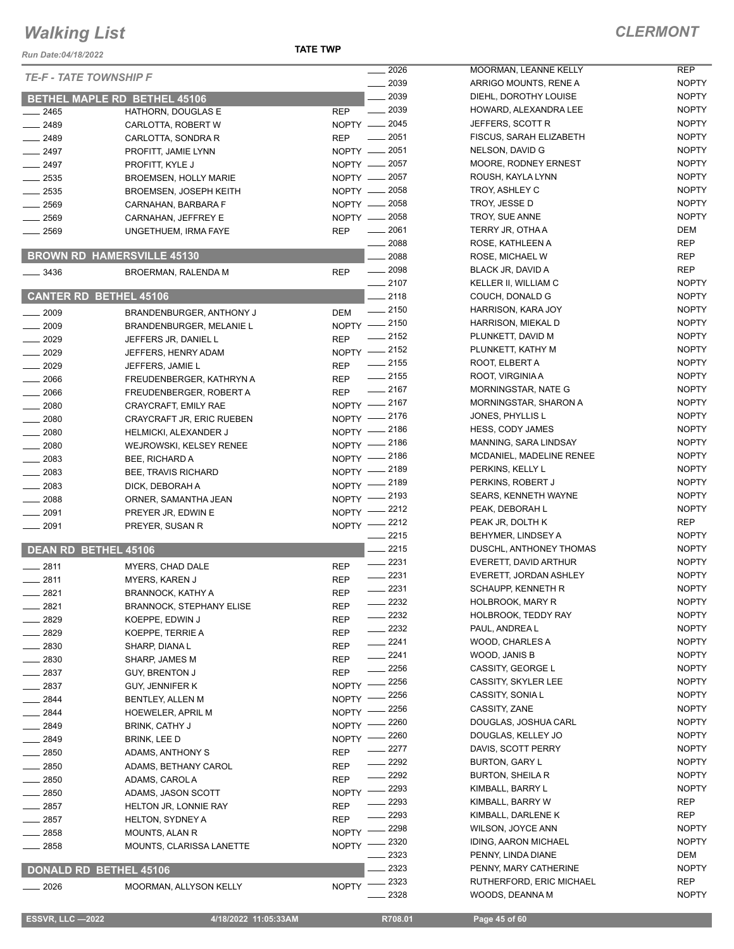**TATE TWP**

| $\equiv$ 2026<br><b>TE-F - TATE TOWNSHIP F</b><br>2039<br>2039<br><b>BETHEL MAPLE RD BETHEL 45106</b><br>2039<br><b>REP</b><br>$\overline{\phantom{a}}$<br>$\frac{1}{2465}$<br>HATHORN, DOUGLAS E<br>NOPTY -2045<br>$-2489$<br>CARLOTTA, ROBERT W<br>$\frac{1}{2051}$<br>$- 2489$<br><b>REP</b><br>CARLOTTA, SONDRA R<br>$=2051$<br>$-2497$<br>NOPTY -<br>PROFITT, JAMIE LYNN<br>NOPTY - 2057<br>$-2497$<br>PROFITT, KYLE J<br>NOPTY -2057<br>2535<br><b>BROEMSEN, HOLLY MARIE</b><br>NOPTY - 2058<br>$\frac{1}{2535}$<br><b>BROEMSEN, JOSEPH KEITH</b><br>NOPTY - 2058<br>$-2569$<br>CARNAHAN, BARBARA F<br>NOPTY - 2058<br>$-2569$<br>CARNAHAN, JEFFREY E<br>$=2061$ | MOORMAN, LEANN<br>ARRIGO MOUNTS,<br>DIEHL, DOROTHY I<br>HOWARD, ALEXAN<br>JEFFERS, SCOTT I<br><b>FISCUS, SARAH EL</b><br>NELSON, DAVID G<br>MOORE, RODNEY<br>ROUSH, KAYLA LYI<br>TROY, ASHLEY C<br>TROY, JESSE D |
|------------------------------------------------------------------------------------------------------------------------------------------------------------------------------------------------------------------------------------------------------------------------------------------------------------------------------------------------------------------------------------------------------------------------------------------------------------------------------------------------------------------------------------------------------------------------------------------------------------------------------------------------------------------------|------------------------------------------------------------------------------------------------------------------------------------------------------------------------------------------------------------------|
|                                                                                                                                                                                                                                                                                                                                                                                                                                                                                                                                                                                                                                                                        |                                                                                                                                                                                                                  |
|                                                                                                                                                                                                                                                                                                                                                                                                                                                                                                                                                                                                                                                                        |                                                                                                                                                                                                                  |
|                                                                                                                                                                                                                                                                                                                                                                                                                                                                                                                                                                                                                                                                        |                                                                                                                                                                                                                  |
|                                                                                                                                                                                                                                                                                                                                                                                                                                                                                                                                                                                                                                                                        |                                                                                                                                                                                                                  |
|                                                                                                                                                                                                                                                                                                                                                                                                                                                                                                                                                                                                                                                                        |                                                                                                                                                                                                                  |
|                                                                                                                                                                                                                                                                                                                                                                                                                                                                                                                                                                                                                                                                        |                                                                                                                                                                                                                  |
|                                                                                                                                                                                                                                                                                                                                                                                                                                                                                                                                                                                                                                                                        |                                                                                                                                                                                                                  |
|                                                                                                                                                                                                                                                                                                                                                                                                                                                                                                                                                                                                                                                                        |                                                                                                                                                                                                                  |
|                                                                                                                                                                                                                                                                                                                                                                                                                                                                                                                                                                                                                                                                        |                                                                                                                                                                                                                  |
|                                                                                                                                                                                                                                                                                                                                                                                                                                                                                                                                                                                                                                                                        |                                                                                                                                                                                                                  |
|                                                                                                                                                                                                                                                                                                                                                                                                                                                                                                                                                                                                                                                                        | TROY, SUE ANNE                                                                                                                                                                                                   |
| <b>REP</b><br>__ 2569<br>UNGETHUEM, IRMA FAYE                                                                                                                                                                                                                                                                                                                                                                                                                                                                                                                                                                                                                          | <b>TERRY JR, OTHA A</b>                                                                                                                                                                                          |
| 2088                                                                                                                                                                                                                                                                                                                                                                                                                                                                                                                                                                                                                                                                   | ROSE, KATHLEEN.                                                                                                                                                                                                  |
| <b>BROWN RD HAMERSVILLE 45130</b><br>2088                                                                                                                                                                                                                                                                                                                                                                                                                                                                                                                                                                                                                              | ROSE, MICHAEL W                                                                                                                                                                                                  |
| $-2098$<br>3436<br><b>REP</b><br>BROERMAN, RALENDA M                                                                                                                                                                                                                                                                                                                                                                                                                                                                                                                                                                                                                   | BLACK JR, DAVID A                                                                                                                                                                                                |
| $-2107$                                                                                                                                                                                                                                                                                                                                                                                                                                                                                                                                                                                                                                                                | <b>KELLER II, WILLIAN</b>                                                                                                                                                                                        |
| <b>CANTER RD BETHEL 45106</b><br>$\_$ 2118                                                                                                                                                                                                                                                                                                                                                                                                                                                                                                                                                                                                                             | COUCH, DONALD (                                                                                                                                                                                                  |
| $\frac{1}{2150}$<br>$\frac{1}{2009}$<br>BRANDENBURGER, ANTHONY J<br><b>DEM</b>                                                                                                                                                                                                                                                                                                                                                                                                                                                                                                                                                                                         | HARRISON, KARA,                                                                                                                                                                                                  |
| $-2150$<br>$-2009$<br>NOPTY -<br>BRANDENBURGER, MELANIE L                                                                                                                                                                                                                                                                                                                                                                                                                                                                                                                                                                                                              | <b>HARRISON, MIEKA</b>                                                                                                                                                                                           |
| $\frac{1}{2152}$<br>$-2029$<br><b>REP</b><br>JEFFERS JR, DANIEL L                                                                                                                                                                                                                                                                                                                                                                                                                                                                                                                                                                                                      | PLUNKETT, DAVID                                                                                                                                                                                                  |
| NOPTY -2152<br>$-2029$<br>JEFFERS, HENRY ADAM                                                                                                                                                                                                                                                                                                                                                                                                                                                                                                                                                                                                                          | PLUNKETT, KATHY                                                                                                                                                                                                  |
| $-2155$<br>$-2029$<br>JEFFERS, JAMIE L<br><b>REP</b>                                                                                                                                                                                                                                                                                                                                                                                                                                                                                                                                                                                                                   | ROOT, ELBERT A                                                                                                                                                                                                   |
| $-2155$<br>$-2066$<br>FREUDENBERGER, KATHRYN A<br>REP                                                                                                                                                                                                                                                                                                                                                                                                                                                                                                                                                                                                                  | ROOT, VIRGINIA A                                                                                                                                                                                                 |
| $- 2167$<br>$-2066$<br><b>REP</b><br>FREUDENBERGER, ROBERT A                                                                                                                                                                                                                                                                                                                                                                                                                                                                                                                                                                                                           | MORNINGSTAR, NA                                                                                                                                                                                                  |
| NOPTY -2167<br>$-2080$<br>CRAYCRAFT, EMILY RAE                                                                                                                                                                                                                                                                                                                                                                                                                                                                                                                                                                                                                         | MORNINGSTAR, SI                                                                                                                                                                                                  |
| 2176<br>$- 2080$<br><b>NOPTY</b><br>CRAYCRAFT JR, ERIC RUEBEN                                                                                                                                                                                                                                                                                                                                                                                                                                                                                                                                                                                                          | JONES, PHYLLIS L                                                                                                                                                                                                 |
| _ 2186<br>$\frac{1}{2080}$<br>NOPTY -<br><b>HELMICKI, ALEXANDER J</b>                                                                                                                                                                                                                                                                                                                                                                                                                                                                                                                                                                                                  | HESS, CODY JAME                                                                                                                                                                                                  |
| $-2186$<br>NOPTY $-$<br>$-2080$<br>WEJROWSKI, KELSEY RENEE                                                                                                                                                                                                                                                                                                                                                                                                                                                                                                                                                                                                             | MANNING, SARA LI                                                                                                                                                                                                 |
| $-2186$<br>$-2083$<br>NOPTY -<br>BEE, RICHARD A                                                                                                                                                                                                                                                                                                                                                                                                                                                                                                                                                                                                                        | MCDANIEL, MADEL                                                                                                                                                                                                  |
| NOPTY -2189<br>$-2083$<br><b>BEE, TRAVIS RICHARD</b>                                                                                                                                                                                                                                                                                                                                                                                                                                                                                                                                                                                                                   | PERKINS, KELLY L                                                                                                                                                                                                 |
| NOPTY -2189<br>$\frac{1}{2083}$<br>DICK, DEBORAH A                                                                                                                                                                                                                                                                                                                                                                                                                                                                                                                                                                                                                     | PERKINS, ROBERT                                                                                                                                                                                                  |
| _ 2193<br>$\frac{1}{2088}$<br>$N$ OPTY $-$<br>ORNER, SAMANTHA JEAN                                                                                                                                                                                                                                                                                                                                                                                                                                                                                                                                                                                                     | <b>SEARS, KENNETH</b>                                                                                                                                                                                            |
| _ 2212<br>$N$ OPTY $-$<br>$-2091$<br>PREYER JR, EDWIN E                                                                                                                                                                                                                                                                                                                                                                                                                                                                                                                                                                                                                | PEAK, DEBORAH L                                                                                                                                                                                                  |
| _ 2212<br>NOPTY -<br>$- 2091$<br>PREYER, SUSAN R                                                                                                                                                                                                                                                                                                                                                                                                                                                                                                                                                                                                                       | PEAK JR, DOLTH K                                                                                                                                                                                                 |
| $=2215$                                                                                                                                                                                                                                                                                                                                                                                                                                                                                                                                                                                                                                                                | <b>BEHYMER, LINDSE</b>                                                                                                                                                                                           |
| 2215<br><b>DEAN RD BETHEL 45106</b>                                                                                                                                                                                                                                                                                                                                                                                                                                                                                                                                                                                                                                    | DUSCHL, ANTHON                                                                                                                                                                                                   |
| 2231<br>$-2811$<br>MYERS, CHAD DALE<br><b>REP</b>                                                                                                                                                                                                                                                                                                                                                                                                                                                                                                                                                                                                                      | EVERETT, DAVID A                                                                                                                                                                                                 |
| $-2231$<br>$-2811$<br><b>REP</b><br><b>MYERS, KAREN J</b><br>$-2231$                                                                                                                                                                                                                                                                                                                                                                                                                                                                                                                                                                                                   | EVERETT, JORDAN                                                                                                                                                                                                  |
| _ 2821<br><b>BRANNOCK, KATHY A</b><br>REP                                                                                                                                                                                                                                                                                                                                                                                                                                                                                                                                                                                                                              | SCHAUPP, KENNET<br><b>HOLBROOK, MARY</b>                                                                                                                                                                         |
| $=$ 2232<br>2821<br><b>BRANNOCK, STEPHANY ELISE</b><br>REP<br>2232                                                                                                                                                                                                                                                                                                                                                                                                                                                                                                                                                                                                     |                                                                                                                                                                                                                  |
| 2829<br>KOEPPE, EDWIN J<br>REP<br>2232                                                                                                                                                                                                                                                                                                                                                                                                                                                                                                                                                                                                                                 | <b>HOLBROOK, TEDD</b><br>PAUL, ANDREA L                                                                                                                                                                          |
| 2829<br>KOEPPE, TERRIE A<br>REP<br>2241                                                                                                                                                                                                                                                                                                                                                                                                                                                                                                                                                                                                                                | WOOD, CHARLES                                                                                                                                                                                                    |
| - 2830<br>SHARP, DIANA L<br>REP<br>2241                                                                                                                                                                                                                                                                                                                                                                                                                                                                                                                                                                                                                                | WOOD, JANIS B                                                                                                                                                                                                    |
| $-2830$<br>SHARP, JAMES M<br>REP<br>2256                                                                                                                                                                                                                                                                                                                                                                                                                                                                                                                                                                                                                               | <b>CASSITY, GEORGE</b>                                                                                                                                                                                           |
| $-2837$<br>REP<br><b>GUY, BRENTON J</b><br>2256                                                                                                                                                                                                                                                                                                                                                                                                                                                                                                                                                                                                                        | CASSITY, SKYLER                                                                                                                                                                                                  |
| $-2837$<br>GUY, JENNIFER K<br><b>NOPTY</b><br>2256                                                                                                                                                                                                                                                                                                                                                                                                                                                                                                                                                                                                                     | CASSITY, SONIA L                                                                                                                                                                                                 |
| $-2844$<br><b>NOPTY</b><br>BENTLEY, ALLEN M<br>2256                                                                                                                                                                                                                                                                                                                                                                                                                                                                                                                                                                                                                    | CASSITY, ZANE                                                                                                                                                                                                    |
| _ 2844<br><b>HOEWELER, APRIL M</b><br><b>NOPTY</b><br>2260                                                                                                                                                                                                                                                                                                                                                                                                                                                                                                                                                                                                             | DOUGLAS, JOSHU.                                                                                                                                                                                                  |
| __ 2849<br><b>BRINK, CATHY J</b><br>NOPTY<br>2260                                                                                                                                                                                                                                                                                                                                                                                                                                                                                                                                                                                                                      | DOUGLAS, KELLEY                                                                                                                                                                                                  |
| _ 2849<br>BRINK, LEE D<br><b>NOPTY</b><br>2277                                                                                                                                                                                                                                                                                                                                                                                                                                                                                                                                                                                                                         | DAVIS, SCOTT PEF                                                                                                                                                                                                 |
| __ 2850<br>ADAMS, ANTHONY S<br>REP<br>2292                                                                                                                                                                                                                                                                                                                                                                                                                                                                                                                                                                                                                             | BURTON, GARY L                                                                                                                                                                                                   |
| $-2850$<br><b>REP</b><br>ADAMS, BETHANY CAROL<br>2292                                                                                                                                                                                                                                                                                                                                                                                                                                                                                                                                                                                                                  | <b>BURTON, SHEILA F</b>                                                                                                                                                                                          |
| - 2850<br>ADAMS, CAROL A<br>REP<br>2293                                                                                                                                                                                                                                                                                                                                                                                                                                                                                                                                                                                                                                | KIMBALL, BARRY L                                                                                                                                                                                                 |
| $\equiv$ 2850<br>ADAMS, JASON SCOTT<br><b>NOPTY</b><br>2293                                                                                                                                                                                                                                                                                                                                                                                                                                                                                                                                                                                                            | KIMBALL, BARRY V                                                                                                                                                                                                 |
| _ 2857<br>HELTON JR, LONNIE RAY<br>REP<br>2293<br>HELTON, SYDNEY A                                                                                                                                                                                                                                                                                                                                                                                                                                                                                                                                                                                                     | KIMBALL, DARLEN                                                                                                                                                                                                  |
| $=2857$<br>REP<br>2298<br>_ 2858<br><b>NOPTY</b><br>MOUNTS, ALAN R                                                                                                                                                                                                                                                                                                                                                                                                                                                                                                                                                                                                     | WILSON, JOYCE AI                                                                                                                                                                                                 |
| 2320<br>2858<br>MOUNTS, CLARISSA LANETTE<br><b>NOPTY</b>                                                                                                                                                                                                                                                                                                                                                                                                                                                                                                                                                                                                               | <b>IDING, AARON MIC</b>                                                                                                                                                                                          |
| 2323                                                                                                                                                                                                                                                                                                                                                                                                                                                                                                                                                                                                                                                                   | PENNY, LINDA DIAI                                                                                                                                                                                                |
| 2323<br><b>DONALD RD BETHEL 45106</b>                                                                                                                                                                                                                                                                                                                                                                                                                                                                                                                                                                                                                                  | PENNY, MARY CAT                                                                                                                                                                                                  |
| 2323<br><b>NOPTY</b><br>2026<br>MOORMAN, ALLYSON KELLY                                                                                                                                                                                                                                                                                                                                                                                                                                                                                                                                                                                                                 | RUTHERFORD, ER                                                                                                                                                                                                   |
| 2328                                                                                                                                                                                                                                                                                                                                                                                                                                                                                                                                                                                                                                                                   | WOODS, DEANNA                                                                                                                                                                                                    |

**2026 MEXELLY** REP RENE A NOPTY LOUISE NOPTY VERALEE NOPTY 2045 JEFFERS, SCOTT R NOPTY LIZABETH NOPTY 2051 NELSON, DAVID G NOPTY ERNEST NOPTY 2057 ROUSH, KAYLA LYNN NOPTY 2058 TROY, ASHLEY C NOPTY 2058 TROY, JESSE D NOPTY 2058 TROY, SUE ANNE NOPTY 2061 TERRY JR, OTHA A DEM 2088 ROSE, KATHLEEN A REP 2088 ROSE, MICHAEL W REP 2098 BLACK JR, DAVID A REP 2107 KELLER II, WILLIAM C NOPTY **2118 COUCH, DONALD G NOPTY** 2150 HARRISON, KARA JOY NOPTY 2150 HARRISON, MIEKAL D NOPTY 2152 PLUNKETT, DAVID M NOPTY  $215$  NOPTY NOPTY 2155 ROOT, VIRGINIA A NOPTY 2167 MORNINGSTAR, NATE G NOPTY **2167 MORTY** MORTY 2176 JONES, PHYLLIS L NOPTY 2218 HESS, CONTRACT AND A ROPTY **INDSAY NOPTY 2186 MCDANIEL RENEE NOPTY** 2189 PERKINS, KELLY L NOPTY 2189 PERKINS, ROBERT J NOPTY WAYNE NOPTY 2212 PEAK, DEBORAH L NOPTY 2212 **PEAK JR, DOLTH K** REP 2215 BEHYMER, LINDSEY A NOPTY **2215 IEY THOMAS** NOPTY **EXTENDED ARTHUR NOPTY** N ASHLEY NOPTY 2231 SCHAUPP, KENNETH R NOPTY 2232 HOLBROOK, MARY R NOPTY 2232 HOLBROOK, TEDDY RAY NOPTY NOPTY 2241 WOOD, CHARLES A NOPTY 2241 WOOD, JANIS B NOPTY 2256 CASSITY, GEORGE L NOPTY 2256 CASSITY, SKYLER LEE NOPTY NOPTY 2256 CASSITY, ZANE NOPTY 2260 DOUGLAS, JOSHUA CARL NOPTY 2260 DOUGLAS, KELLEY JO NOPTY **227 RRY NOPTY** NOPTY 2292 BURTON, SHEILA R NOPTY 2293 KIMBALL, BARRY L NOPTY 2293 KIMBALL, BARRY W REP 2293 KIMBALL, DARLENE K REP NN NOPTY 2320 IDING, AARON MICHAEL NOPTY 2323 PENNY, LINDA DIANE DEM THERINE NOPTY **2323** RIC MICHAEL **REP** 2328 WOODS, DEANNA M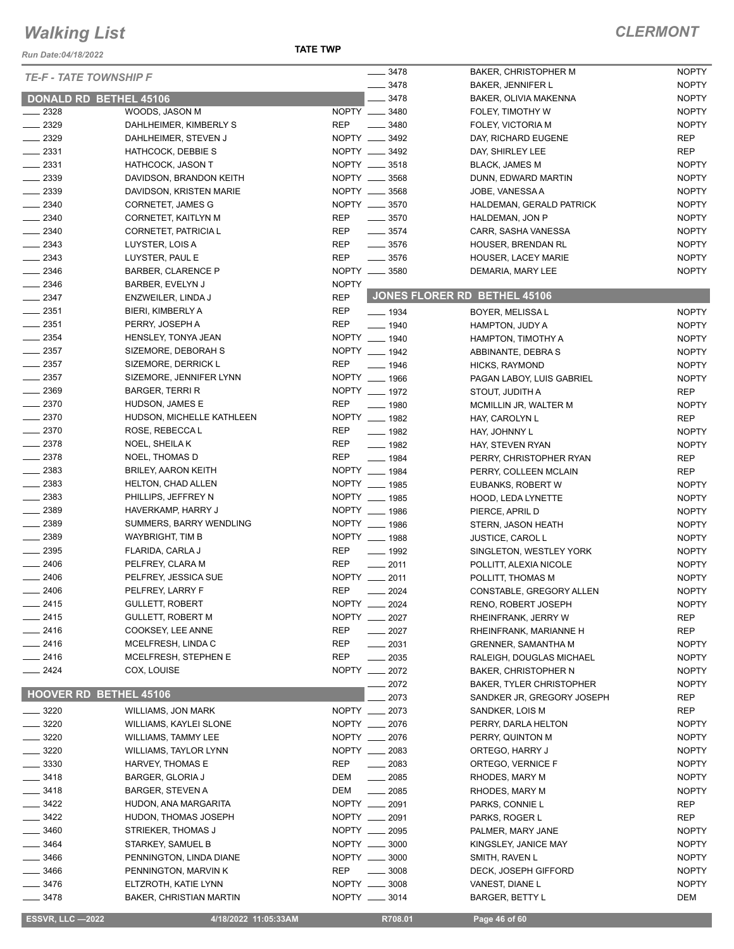*Run Date:04/18/2022*

| <b>TE-F - TATE TOWNSHIP F</b><br>$- 3478$<br><b>NOPTY</b><br><b>BAKER, JENNIFER L</b><br>3478<br><b>NOPTY</b><br>DONALD RD BETHEL 45106<br>BAKER, OLIVIA MAKENNA<br>NOPTY __ 3480<br><b>NOPTY</b><br>$\frac{2328}{2}$<br>WOODS, JASON M<br>FOLEY, TIMOTHY W<br>$\frac{2329}{2}$<br><b>REP</b><br>$- 3480$<br><b>NOPTY</b><br>DAHLHEIMER, KIMBERLY S<br>FOLEY, VICTORIA M<br>2329<br>NOPTY __ 3492<br><b>REP</b><br>DAHLHEIMER, STEVEN J<br>DAY, RICHARD EUGENE<br>NOPTY __ 3492<br><b>REP</b><br>$\frac{1}{2}$ 2331<br>HATHCOCK, DEBBIE S<br>DAY, SHIRLEY LEE<br>NOPTY __ 3518<br>$\frac{1}{2}$ 2331<br><b>NOPTY</b><br><b>HATHCOCK, JASON T</b><br><b>BLACK, JAMES M</b><br>$\frac{1}{2}$ 2339<br>NOPTY __ 3568<br><b>NOPTY</b><br>DAVIDSON, BRANDON KEITH<br>DUNN, EDWARD MARTIN<br>$\frac{1}{2339}$<br>NOPTY __ 3568<br><b>NOPTY</b><br>DAVIDSON, KRISTEN MARIE<br>JOBE, VANESSA A<br>2340<br>NOPTY __ 3570<br>CORNETET, JAMES G<br><b>NOPTY</b><br>HALDEMAN, GERALD PATRICK<br>$-2340$<br><b>REP</b><br>$\frac{1}{2}$ 3570<br><b>NOPTY</b><br>CORNETET, KAITLYN M<br>HALDEMAN, JON P<br>$-2340$<br>CORNETET, PATRICIA L<br><b>REP</b><br>$\frac{1}{2}$ 3574<br><b>NOPTY</b><br>CARR, SASHA VANESSA<br>$\frac{2343}{2}$<br><b>REP</b><br>$- 3576$<br><b>NOPTY</b><br>LUYSTER, LOIS A<br>HOUSER, BRENDAN RL<br>$\frac{1}{2}$ 2343<br><b>REP</b><br><b>NOPTY</b><br>$- 3576$<br>LUYSTER, PAUL E<br>HOUSER, LACEY MARIE<br>2346<br>NOPTY __ 3580<br><b>BARBER, CLARENCE P</b><br><b>NOPTY</b><br>DEMARIA, MARY LEE<br>$\frac{1}{2}$ 2346<br><b>NOPTY</b><br>BARBER, EVELYN J<br>JONES FLORER RD BETHEL 45106<br>$-2347$<br><b>REP</b><br>ENZWEILER, LINDA J<br>$\frac{1}{2}$ 2351<br><b>REP</b><br>BIERI, KIMBERLY A<br>$\frac{1}{2}$ 1934<br>BOYER, MELISSA L<br><b>NOPTY</b><br>$-2351$<br><b>REP</b><br>PERRY, JOSEPH A<br>$- 1940$<br><b>NOPTY</b><br>HAMPTON, JUDY A<br>2354<br>NOPTY __ 1940<br>HENSLEY, TONYA JEAN<br>HAMPTON, TIMOTHY A<br><b>NOPTY</b><br>NOPTY __ 1942<br>$\frac{1}{2}$ 2357<br>SIZEMORE, DEBORAH S<br><b>NOPTY</b><br>ABBINANTE, DEBRA S<br>$\frac{1}{2}$ 2357<br><b>REP</b><br>SIZEMORE, DERRICK L<br><b>NOPTY</b><br>$- 1946$<br>HICKS, RAYMOND<br>$\frac{1}{2}$ 2357<br>NOPTY __ 1966<br>SIZEMORE, JENNIFER LYNN<br><b>NOPTY</b><br>PAGAN LABOY, LUIS GABRIEL<br>$-2369$<br>NOPTY __ 1972<br><b>BARGER, TERRI R</b><br><b>REP</b><br>STOUT, JUDITH A<br>$-2370$<br><b>REP</b><br>HUDSON, JAMES E<br>$- 1980$<br><b>NOPTY</b><br>MCMILLIN JR, WALTER M<br>$-2370$<br>NOPTY __ 1982<br>HUDSON, MICHELLE KATHLEEN<br><b>REP</b><br>HAY, CAROLYN L<br>$\frac{1}{2}$ 2370<br><b>REP</b><br>ROSE, REBECCA L<br>$- 1982$<br><b>NOPTY</b><br>HAY, JOHNNY L<br>$-2378$<br>REP<br>NOEL, SHEILAK<br>$\frac{1}{2}$ 1982<br><b>NOPTY</b><br>HAY, STEVEN RYAN<br>$-2378$<br><b>REP</b><br>NOEL, THOMAS D<br>$\frac{1}{2}$ 1984<br><b>REP</b><br>PERRY, CHRISTOPHER RYAN<br>2383<br>NOPTY __ 1984<br><b>BRILEY, AARON KEITH</b><br>PERRY, COLLEEN MCLAIN<br><b>REP</b><br>$\frac{1}{2}$ 2383<br>NOPTY __ 1985<br><b>HELTON, CHAD ALLEN</b><br><b>NOPTY</b><br>EUBANKS, ROBERT W<br>$-2383$<br>NOPTY __ 1985<br>PHILLIPS, JEFFREY N<br><b>NOPTY</b><br>HOOD, LEDA LYNETTE<br>NOPTY __ 1986<br>$\frac{1}{2}$ 2389<br>HAVERKAMP, HARRY J<br>PIERCE, APRIL D<br><b>NOPTY</b><br>$\frac{1}{2}$ 2389<br>NOPTY __ 1986<br>SUMMERS, BARRY WENDLING<br><b>NOPTY</b><br>STERN, JASON HEATH<br>2389<br>NOPTY __ 1988<br>WAYBRIGHT, TIM B<br><b>NOPTY</b><br>JUSTICE, CAROL L<br>$\frac{1}{2}$ 2395<br><b>REP</b><br>FLARIDA, CARLA J<br>$- 1992$<br><b>NOPTY</b><br>SINGLETON, WESTLEY YORK<br>$- 2406$<br><b>REP</b><br>PELFREY, CLARA M<br>$-2011$<br><b>NOPTY</b><br>POLLITT, ALEXIA NICOLE<br>$-2406$<br>NOPTY __ 2011<br>PELFREY, JESSICA SUE<br><b>NOPTY</b><br>POLLITT, THOMAS M<br><b>REP</b><br>$-2406$<br>PELFREY, LARRY F<br>$-2024$<br><b>NOPTY</b><br>CONSTABLE, GREGORY ALLEN<br>2415<br>NOPTY __ 2024<br>GULLETT, ROBERT<br><b>NOPTY</b><br>RENO, ROBERT JOSEPH<br>$-2415$<br>NOPTY ___<br><b>GULLETT, ROBERT M</b><br>2027<br><b>REP</b><br>RHEINFRANK, JERRY W<br>$-2416$<br>COOKSEY, LEE ANNE<br>REP<br>$-2027$<br><b>REP</b><br>RHEINFRANK, MARIANNE H<br>__ 2416<br>MCELFRESH, LINDA C<br>REP<br>$\frac{1}{2031}$<br><b>NOPTY</b><br><b>GRENNER, SAMANTHA M</b><br><b>REP</b><br>_ 2416<br>MCELFRESH, STEPHEN E<br>$\frac{1}{2035}$<br>RALEIGH, DOUGLAS MICHAEL<br><b>NOPTY</b><br>2424<br>NOPTY __ 2072<br>COX, LOUISE<br><b>NOPTY</b><br><b>BAKER, CHRISTOPHER N</b><br>2072<br><b>BAKER, TYLER CHRISTOPHER</b><br><b>NOPTY</b><br><b>HOOVER RD BETHEL 45106</b><br>2073<br>SANDKER JR, GREGORY JOSEPH<br>REP<br>$-3220$<br>NOPTY __ 2073<br>REP<br>WILLIAMS, JON MARK<br>SANDKER, LOIS M<br>NOPTY __ 2076<br>$-3220$<br>WILLIAMS, KAYLEI SLONE<br>PERRY, DARLA HELTON<br><b>NOPTY</b><br>3220<br>NOPTY __ 2076<br><b>NOPTY</b><br>WILLIAMS, TAMMY LEE<br>PERRY, QUINTON M<br>3220<br>NOPTY __ 2083<br><b>NOPTY</b><br>WILLIAMS, TAYLOR LYNN<br>ORTEGO, HARRY J<br>3330<br><b>REP</b><br>$-2083$<br><b>NOPTY</b><br>HARVEY, THOMAS E<br>ORTEGO, VERNICE F<br>3418<br>DEM<br>$\frac{1}{2085}$<br><b>NOPTY</b><br><b>BARGER, GLORIA J</b><br>RHODES, MARY M<br>DEM<br>$\frac{1}{2085}$<br>_ 3418<br><b>BARGER, STEVEN A</b><br>RHODES, MARY M<br><b>NOPTY</b><br>NOPTY __ 2091<br>$-3422$<br><b>REP</b><br>HUDON, ANA MARGARITA<br>PARKS, CONNIE L<br>3422<br>NOPTY __ 2091<br><b>REP</b><br><b>HUDON, THOMAS JOSEPH</b><br>PARKS, ROGER L<br>3460<br>STRIEKER, THOMAS J<br>NOPTY __ 2095<br>PALMER, MARY JANE<br><b>NOPTY</b><br>NOPTY __ 3000<br><b>NOPTY</b><br>3464<br>KINGSLEY, JANICE MAY<br>STARKEY, SAMUEL B<br>_ 3466<br>PENNINGTON, LINDA DIANE<br>NOPTY __ 3000<br>SMITH, RAVEN L<br><b>NOPTY</b><br><b>REP</b><br>$\frac{1}{2}$ 3008<br><b>NOPTY</b><br>_ 3466<br>PENNINGTON, MARVIN K<br>DECK, JOSEPH GIFFORD<br>NOPTY __ 3008<br><b>NOPTY</b><br>_ 3476<br>ELTZROTH, KATIE LYNN<br>VANEST, DIANE L<br>NOPTY __ 3014<br>__ 3478<br><b>BAKER, CHRISTIAN MARTIN</b><br><b>BARGER, BETTY L</b><br>DEM<br><b>ESSVR, LLC -2022</b><br>R708.01<br>4/18/2022 11:05:33AM<br>Page 46 of 60 |  | $- 3478$ | BAKER, CHRISTOPHER M | <b>NOPTY</b> |
|------------------------------------------------------------------------------------------------------------------------------------------------------------------------------------------------------------------------------------------------------------------------------------------------------------------------------------------------------------------------------------------------------------------------------------------------------------------------------------------------------------------------------------------------------------------------------------------------------------------------------------------------------------------------------------------------------------------------------------------------------------------------------------------------------------------------------------------------------------------------------------------------------------------------------------------------------------------------------------------------------------------------------------------------------------------------------------------------------------------------------------------------------------------------------------------------------------------------------------------------------------------------------------------------------------------------------------------------------------------------------------------------------------------------------------------------------------------------------------------------------------------------------------------------------------------------------------------------------------------------------------------------------------------------------------------------------------------------------------------------------------------------------------------------------------------------------------------------------------------------------------------------------------------------------------------------------------------------------------------------------------------------------------------------------------------------------------------------------------------------------------------------------------------------------------------------------------------------------------------------------------------------------------------------------------------------------------------------------------------------------------------------------------------------------------------------------------------------------------------------------------------------------------------------------------------------------------------------------------------------------------------------------------------------------------------------------------------------------------------------------------------------------------------------------------------------------------------------------------------------------------------------------------------------------------------------------------------------------------------------------------------------------------------------------------------------------------------------------------------------------------------------------------------------------------------------------------------------------------------------------------------------------------------------------------------------------------------------------------------------------------------------------------------------------------------------------------------------------------------------------------------------------------------------------------------------------------------------------------------------------------------------------------------------------------------------------------------------------------------------------------------------------------------------------------------------------------------------------------------------------------------------------------------------------------------------------------------------------------------------------------------------------------------------------------------------------------------------------------------------------------------------------------------------------------------------------------------------------------------------------------------------------------------------------------------------------------------------------------------------------------------------------------------------------------------------------------------------------------------------------------------------------------------------------------------------------------------------------------------------------------------------------------------------------------------------------------------------------------------------------------------------------------------------------------------------------------------------------------------------------------------------------------------------------------------------------------------------------------------------------------------------------------------------------------------------------------------------------------------------------------------------------------------------------------------------------------------------------------------------------------------------------------------------------------------------------------------------------------------------------------------------------------------------------------------------------------------------------------------------------------------------------------------------------------------------------------------------------------------------------------------------------------------------------------------------------------------------------------------------------------------------------------------------------------------------------------------------------------------------------------------------------------------------------------------------------------------------------------------------------------------------------------------------------------------------------------------------------------------------|--|----------|----------------------|--------------|
|                                                                                                                                                                                                                                                                                                                                                                                                                                                                                                                                                                                                                                                                                                                                                                                                                                                                                                                                                                                                                                                                                                                                                                                                                                                                                                                                                                                                                                                                                                                                                                                                                                                                                                                                                                                                                                                                                                                                                                                                                                                                                                                                                                                                                                                                                                                                                                                                                                                                                                                                                                                                                                                                                                                                                                                                                                                                                                                                                                                                                                                                                                                                                                                                                                                                                                                                                                                                                                                                                                                                                                                                                                                                                                                                                                                                                                                                                                                                                                                                                                                                                                                                                                                                                                                                                                                                                                                                                                                                                                                                                                                                                                                                                                                                                                                                                                                                                                                                                                                                                                                                                                                                                                                                                                                                                                                                                                                                                                                                                                                                                                                                                                                                                                                                                                                                                                                                                                                                                                                                                                                                                                                        |  |          |                      |              |
|                                                                                                                                                                                                                                                                                                                                                                                                                                                                                                                                                                                                                                                                                                                                                                                                                                                                                                                                                                                                                                                                                                                                                                                                                                                                                                                                                                                                                                                                                                                                                                                                                                                                                                                                                                                                                                                                                                                                                                                                                                                                                                                                                                                                                                                                                                                                                                                                                                                                                                                                                                                                                                                                                                                                                                                                                                                                                                                                                                                                                                                                                                                                                                                                                                                                                                                                                                                                                                                                                                                                                                                                                                                                                                                                                                                                                                                                                                                                                                                                                                                                                                                                                                                                                                                                                                                                                                                                                                                                                                                                                                                                                                                                                                                                                                                                                                                                                                                                                                                                                                                                                                                                                                                                                                                                                                                                                                                                                                                                                                                                                                                                                                                                                                                                                                                                                                                                                                                                                                                                                                                                                                                        |  |          |                      |              |
|                                                                                                                                                                                                                                                                                                                                                                                                                                                                                                                                                                                                                                                                                                                                                                                                                                                                                                                                                                                                                                                                                                                                                                                                                                                                                                                                                                                                                                                                                                                                                                                                                                                                                                                                                                                                                                                                                                                                                                                                                                                                                                                                                                                                                                                                                                                                                                                                                                                                                                                                                                                                                                                                                                                                                                                                                                                                                                                                                                                                                                                                                                                                                                                                                                                                                                                                                                                                                                                                                                                                                                                                                                                                                                                                                                                                                                                                                                                                                                                                                                                                                                                                                                                                                                                                                                                                                                                                                                                                                                                                                                                                                                                                                                                                                                                                                                                                                                                                                                                                                                                                                                                                                                                                                                                                                                                                                                                                                                                                                                                                                                                                                                                                                                                                                                                                                                                                                                                                                                                                                                                                                                                        |  |          |                      |              |
|                                                                                                                                                                                                                                                                                                                                                                                                                                                                                                                                                                                                                                                                                                                                                                                                                                                                                                                                                                                                                                                                                                                                                                                                                                                                                                                                                                                                                                                                                                                                                                                                                                                                                                                                                                                                                                                                                                                                                                                                                                                                                                                                                                                                                                                                                                                                                                                                                                                                                                                                                                                                                                                                                                                                                                                                                                                                                                                                                                                                                                                                                                                                                                                                                                                                                                                                                                                                                                                                                                                                                                                                                                                                                                                                                                                                                                                                                                                                                                                                                                                                                                                                                                                                                                                                                                                                                                                                                                                                                                                                                                                                                                                                                                                                                                                                                                                                                                                                                                                                                                                                                                                                                                                                                                                                                                                                                                                                                                                                                                                                                                                                                                                                                                                                                                                                                                                                                                                                                                                                                                                                                                                        |  |          |                      |              |
|                                                                                                                                                                                                                                                                                                                                                                                                                                                                                                                                                                                                                                                                                                                                                                                                                                                                                                                                                                                                                                                                                                                                                                                                                                                                                                                                                                                                                                                                                                                                                                                                                                                                                                                                                                                                                                                                                                                                                                                                                                                                                                                                                                                                                                                                                                                                                                                                                                                                                                                                                                                                                                                                                                                                                                                                                                                                                                                                                                                                                                                                                                                                                                                                                                                                                                                                                                                                                                                                                                                                                                                                                                                                                                                                                                                                                                                                                                                                                                                                                                                                                                                                                                                                                                                                                                                                                                                                                                                                                                                                                                                                                                                                                                                                                                                                                                                                                                                                                                                                                                                                                                                                                                                                                                                                                                                                                                                                                                                                                                                                                                                                                                                                                                                                                                                                                                                                                                                                                                                                                                                                                                                        |  |          |                      |              |
|                                                                                                                                                                                                                                                                                                                                                                                                                                                                                                                                                                                                                                                                                                                                                                                                                                                                                                                                                                                                                                                                                                                                                                                                                                                                                                                                                                                                                                                                                                                                                                                                                                                                                                                                                                                                                                                                                                                                                                                                                                                                                                                                                                                                                                                                                                                                                                                                                                                                                                                                                                                                                                                                                                                                                                                                                                                                                                                                                                                                                                                                                                                                                                                                                                                                                                                                                                                                                                                                                                                                                                                                                                                                                                                                                                                                                                                                                                                                                                                                                                                                                                                                                                                                                                                                                                                                                                                                                                                                                                                                                                                                                                                                                                                                                                                                                                                                                                                                                                                                                                                                                                                                                                                                                                                                                                                                                                                                                                                                                                                                                                                                                                                                                                                                                                                                                                                                                                                                                                                                                                                                                                                        |  |          |                      |              |
|                                                                                                                                                                                                                                                                                                                                                                                                                                                                                                                                                                                                                                                                                                                                                                                                                                                                                                                                                                                                                                                                                                                                                                                                                                                                                                                                                                                                                                                                                                                                                                                                                                                                                                                                                                                                                                                                                                                                                                                                                                                                                                                                                                                                                                                                                                                                                                                                                                                                                                                                                                                                                                                                                                                                                                                                                                                                                                                                                                                                                                                                                                                                                                                                                                                                                                                                                                                                                                                                                                                                                                                                                                                                                                                                                                                                                                                                                                                                                                                                                                                                                                                                                                                                                                                                                                                                                                                                                                                                                                                                                                                                                                                                                                                                                                                                                                                                                                                                                                                                                                                                                                                                                                                                                                                                                                                                                                                                                                                                                                                                                                                                                                                                                                                                                                                                                                                                                                                                                                                                                                                                                                                        |  |          |                      |              |
|                                                                                                                                                                                                                                                                                                                                                                                                                                                                                                                                                                                                                                                                                                                                                                                                                                                                                                                                                                                                                                                                                                                                                                                                                                                                                                                                                                                                                                                                                                                                                                                                                                                                                                                                                                                                                                                                                                                                                                                                                                                                                                                                                                                                                                                                                                                                                                                                                                                                                                                                                                                                                                                                                                                                                                                                                                                                                                                                                                                                                                                                                                                                                                                                                                                                                                                                                                                                                                                                                                                                                                                                                                                                                                                                                                                                                                                                                                                                                                                                                                                                                                                                                                                                                                                                                                                                                                                                                                                                                                                                                                                                                                                                                                                                                                                                                                                                                                                                                                                                                                                                                                                                                                                                                                                                                                                                                                                                                                                                                                                                                                                                                                                                                                                                                                                                                                                                                                                                                                                                                                                                                                                        |  |          |                      |              |
|                                                                                                                                                                                                                                                                                                                                                                                                                                                                                                                                                                                                                                                                                                                                                                                                                                                                                                                                                                                                                                                                                                                                                                                                                                                                                                                                                                                                                                                                                                                                                                                                                                                                                                                                                                                                                                                                                                                                                                                                                                                                                                                                                                                                                                                                                                                                                                                                                                                                                                                                                                                                                                                                                                                                                                                                                                                                                                                                                                                                                                                                                                                                                                                                                                                                                                                                                                                                                                                                                                                                                                                                                                                                                                                                                                                                                                                                                                                                                                                                                                                                                                                                                                                                                                                                                                                                                                                                                                                                                                                                                                                                                                                                                                                                                                                                                                                                                                                                                                                                                                                                                                                                                                                                                                                                                                                                                                                                                                                                                                                                                                                                                                                                                                                                                                                                                                                                                                                                                                                                                                                                                                                        |  |          |                      |              |
|                                                                                                                                                                                                                                                                                                                                                                                                                                                                                                                                                                                                                                                                                                                                                                                                                                                                                                                                                                                                                                                                                                                                                                                                                                                                                                                                                                                                                                                                                                                                                                                                                                                                                                                                                                                                                                                                                                                                                                                                                                                                                                                                                                                                                                                                                                                                                                                                                                                                                                                                                                                                                                                                                                                                                                                                                                                                                                                                                                                                                                                                                                                                                                                                                                                                                                                                                                                                                                                                                                                                                                                                                                                                                                                                                                                                                                                                                                                                                                                                                                                                                                                                                                                                                                                                                                                                                                                                                                                                                                                                                                                                                                                                                                                                                                                                                                                                                                                                                                                                                                                                                                                                                                                                                                                                                                                                                                                                                                                                                                                                                                                                                                                                                                                                                                                                                                                                                                                                                                                                                                                                                                                        |  |          |                      |              |
|                                                                                                                                                                                                                                                                                                                                                                                                                                                                                                                                                                                                                                                                                                                                                                                                                                                                                                                                                                                                                                                                                                                                                                                                                                                                                                                                                                                                                                                                                                                                                                                                                                                                                                                                                                                                                                                                                                                                                                                                                                                                                                                                                                                                                                                                                                                                                                                                                                                                                                                                                                                                                                                                                                                                                                                                                                                                                                                                                                                                                                                                                                                                                                                                                                                                                                                                                                                                                                                                                                                                                                                                                                                                                                                                                                                                                                                                                                                                                                                                                                                                                                                                                                                                                                                                                                                                                                                                                                                                                                                                                                                                                                                                                                                                                                                                                                                                                                                                                                                                                                                                                                                                                                                                                                                                                                                                                                                                                                                                                                                                                                                                                                                                                                                                                                                                                                                                                                                                                                                                                                                                                                                        |  |          |                      |              |
|                                                                                                                                                                                                                                                                                                                                                                                                                                                                                                                                                                                                                                                                                                                                                                                                                                                                                                                                                                                                                                                                                                                                                                                                                                                                                                                                                                                                                                                                                                                                                                                                                                                                                                                                                                                                                                                                                                                                                                                                                                                                                                                                                                                                                                                                                                                                                                                                                                                                                                                                                                                                                                                                                                                                                                                                                                                                                                                                                                                                                                                                                                                                                                                                                                                                                                                                                                                                                                                                                                                                                                                                                                                                                                                                                                                                                                                                                                                                                                                                                                                                                                                                                                                                                                                                                                                                                                                                                                                                                                                                                                                                                                                                                                                                                                                                                                                                                                                                                                                                                                                                                                                                                                                                                                                                                                                                                                                                                                                                                                                                                                                                                                                                                                                                                                                                                                                                                                                                                                                                                                                                                                                        |  |          |                      |              |
|                                                                                                                                                                                                                                                                                                                                                                                                                                                                                                                                                                                                                                                                                                                                                                                                                                                                                                                                                                                                                                                                                                                                                                                                                                                                                                                                                                                                                                                                                                                                                                                                                                                                                                                                                                                                                                                                                                                                                                                                                                                                                                                                                                                                                                                                                                                                                                                                                                                                                                                                                                                                                                                                                                                                                                                                                                                                                                                                                                                                                                                                                                                                                                                                                                                                                                                                                                                                                                                                                                                                                                                                                                                                                                                                                                                                                                                                                                                                                                                                                                                                                                                                                                                                                                                                                                                                                                                                                                                                                                                                                                                                                                                                                                                                                                                                                                                                                                                                                                                                                                                                                                                                                                                                                                                                                                                                                                                                                                                                                                                                                                                                                                                                                                                                                                                                                                                                                                                                                                                                                                                                                                                        |  |          |                      |              |
|                                                                                                                                                                                                                                                                                                                                                                                                                                                                                                                                                                                                                                                                                                                                                                                                                                                                                                                                                                                                                                                                                                                                                                                                                                                                                                                                                                                                                                                                                                                                                                                                                                                                                                                                                                                                                                                                                                                                                                                                                                                                                                                                                                                                                                                                                                                                                                                                                                                                                                                                                                                                                                                                                                                                                                                                                                                                                                                                                                                                                                                                                                                                                                                                                                                                                                                                                                                                                                                                                                                                                                                                                                                                                                                                                                                                                                                                                                                                                                                                                                                                                                                                                                                                                                                                                                                                                                                                                                                                                                                                                                                                                                                                                                                                                                                                                                                                                                                                                                                                                                                                                                                                                                                                                                                                                                                                                                                                                                                                                                                                                                                                                                                                                                                                                                                                                                                                                                                                                                                                                                                                                                                        |  |          |                      |              |
|                                                                                                                                                                                                                                                                                                                                                                                                                                                                                                                                                                                                                                                                                                                                                                                                                                                                                                                                                                                                                                                                                                                                                                                                                                                                                                                                                                                                                                                                                                                                                                                                                                                                                                                                                                                                                                                                                                                                                                                                                                                                                                                                                                                                                                                                                                                                                                                                                                                                                                                                                                                                                                                                                                                                                                                                                                                                                                                                                                                                                                                                                                                                                                                                                                                                                                                                                                                                                                                                                                                                                                                                                                                                                                                                                                                                                                                                                                                                                                                                                                                                                                                                                                                                                                                                                                                                                                                                                                                                                                                                                                                                                                                                                                                                                                                                                                                                                                                                                                                                                                                                                                                                                                                                                                                                                                                                                                                                                                                                                                                                                                                                                                                                                                                                                                                                                                                                                                                                                                                                                                                                                                                        |  |          |                      |              |
|                                                                                                                                                                                                                                                                                                                                                                                                                                                                                                                                                                                                                                                                                                                                                                                                                                                                                                                                                                                                                                                                                                                                                                                                                                                                                                                                                                                                                                                                                                                                                                                                                                                                                                                                                                                                                                                                                                                                                                                                                                                                                                                                                                                                                                                                                                                                                                                                                                                                                                                                                                                                                                                                                                                                                                                                                                                                                                                                                                                                                                                                                                                                                                                                                                                                                                                                                                                                                                                                                                                                                                                                                                                                                                                                                                                                                                                                                                                                                                                                                                                                                                                                                                                                                                                                                                                                                                                                                                                                                                                                                                                                                                                                                                                                                                                                                                                                                                                                                                                                                                                                                                                                                                                                                                                                                                                                                                                                                                                                                                                                                                                                                                                                                                                                                                                                                                                                                                                                                                                                                                                                                                                        |  |          |                      |              |
|                                                                                                                                                                                                                                                                                                                                                                                                                                                                                                                                                                                                                                                                                                                                                                                                                                                                                                                                                                                                                                                                                                                                                                                                                                                                                                                                                                                                                                                                                                                                                                                                                                                                                                                                                                                                                                                                                                                                                                                                                                                                                                                                                                                                                                                                                                                                                                                                                                                                                                                                                                                                                                                                                                                                                                                                                                                                                                                                                                                                                                                                                                                                                                                                                                                                                                                                                                                                                                                                                                                                                                                                                                                                                                                                                                                                                                                                                                                                                                                                                                                                                                                                                                                                                                                                                                                                                                                                                                                                                                                                                                                                                                                                                                                                                                                                                                                                                                                                                                                                                                                                                                                                                                                                                                                                                                                                                                                                                                                                                                                                                                                                                                                                                                                                                                                                                                                                                                                                                                                                                                                                                                                        |  |          |                      |              |
|                                                                                                                                                                                                                                                                                                                                                                                                                                                                                                                                                                                                                                                                                                                                                                                                                                                                                                                                                                                                                                                                                                                                                                                                                                                                                                                                                                                                                                                                                                                                                                                                                                                                                                                                                                                                                                                                                                                                                                                                                                                                                                                                                                                                                                                                                                                                                                                                                                                                                                                                                                                                                                                                                                                                                                                                                                                                                                                                                                                                                                                                                                                                                                                                                                                                                                                                                                                                                                                                                                                                                                                                                                                                                                                                                                                                                                                                                                                                                                                                                                                                                                                                                                                                                                                                                                                                                                                                                                                                                                                                                                                                                                                                                                                                                                                                                                                                                                                                                                                                                                                                                                                                                                                                                                                                                                                                                                                                                                                                                                                                                                                                                                                                                                                                                                                                                                                                                                                                                                                                                                                                                                                        |  |          |                      |              |
|                                                                                                                                                                                                                                                                                                                                                                                                                                                                                                                                                                                                                                                                                                                                                                                                                                                                                                                                                                                                                                                                                                                                                                                                                                                                                                                                                                                                                                                                                                                                                                                                                                                                                                                                                                                                                                                                                                                                                                                                                                                                                                                                                                                                                                                                                                                                                                                                                                                                                                                                                                                                                                                                                                                                                                                                                                                                                                                                                                                                                                                                                                                                                                                                                                                                                                                                                                                                                                                                                                                                                                                                                                                                                                                                                                                                                                                                                                                                                                                                                                                                                                                                                                                                                                                                                                                                                                                                                                                                                                                                                                                                                                                                                                                                                                                                                                                                                                                                                                                                                                                                                                                                                                                                                                                                                                                                                                                                                                                                                                                                                                                                                                                                                                                                                                                                                                                                                                                                                                                                                                                                                                                        |  |          |                      |              |
|                                                                                                                                                                                                                                                                                                                                                                                                                                                                                                                                                                                                                                                                                                                                                                                                                                                                                                                                                                                                                                                                                                                                                                                                                                                                                                                                                                                                                                                                                                                                                                                                                                                                                                                                                                                                                                                                                                                                                                                                                                                                                                                                                                                                                                                                                                                                                                                                                                                                                                                                                                                                                                                                                                                                                                                                                                                                                                                                                                                                                                                                                                                                                                                                                                                                                                                                                                                                                                                                                                                                                                                                                                                                                                                                                                                                                                                                                                                                                                                                                                                                                                                                                                                                                                                                                                                                                                                                                                                                                                                                                                                                                                                                                                                                                                                                                                                                                                                                                                                                                                                                                                                                                                                                                                                                                                                                                                                                                                                                                                                                                                                                                                                                                                                                                                                                                                                                                                                                                                                                                                                                                                                        |  |          |                      |              |
|                                                                                                                                                                                                                                                                                                                                                                                                                                                                                                                                                                                                                                                                                                                                                                                                                                                                                                                                                                                                                                                                                                                                                                                                                                                                                                                                                                                                                                                                                                                                                                                                                                                                                                                                                                                                                                                                                                                                                                                                                                                                                                                                                                                                                                                                                                                                                                                                                                                                                                                                                                                                                                                                                                                                                                                                                                                                                                                                                                                                                                                                                                                                                                                                                                                                                                                                                                                                                                                                                                                                                                                                                                                                                                                                                                                                                                                                                                                                                                                                                                                                                                                                                                                                                                                                                                                                                                                                                                                                                                                                                                                                                                                                                                                                                                                                                                                                                                                                                                                                                                                                                                                                                                                                                                                                                                                                                                                                                                                                                                                                                                                                                                                                                                                                                                                                                                                                                                                                                                                                                                                                                                                        |  |          |                      |              |
|                                                                                                                                                                                                                                                                                                                                                                                                                                                                                                                                                                                                                                                                                                                                                                                                                                                                                                                                                                                                                                                                                                                                                                                                                                                                                                                                                                                                                                                                                                                                                                                                                                                                                                                                                                                                                                                                                                                                                                                                                                                                                                                                                                                                                                                                                                                                                                                                                                                                                                                                                                                                                                                                                                                                                                                                                                                                                                                                                                                                                                                                                                                                                                                                                                                                                                                                                                                                                                                                                                                                                                                                                                                                                                                                                                                                                                                                                                                                                                                                                                                                                                                                                                                                                                                                                                                                                                                                                                                                                                                                                                                                                                                                                                                                                                                                                                                                                                                                                                                                                                                                                                                                                                                                                                                                                                                                                                                                                                                                                                                                                                                                                                                                                                                                                                                                                                                                                                                                                                                                                                                                                                                        |  |          |                      |              |
|                                                                                                                                                                                                                                                                                                                                                                                                                                                                                                                                                                                                                                                                                                                                                                                                                                                                                                                                                                                                                                                                                                                                                                                                                                                                                                                                                                                                                                                                                                                                                                                                                                                                                                                                                                                                                                                                                                                                                                                                                                                                                                                                                                                                                                                                                                                                                                                                                                                                                                                                                                                                                                                                                                                                                                                                                                                                                                                                                                                                                                                                                                                                                                                                                                                                                                                                                                                                                                                                                                                                                                                                                                                                                                                                                                                                                                                                                                                                                                                                                                                                                                                                                                                                                                                                                                                                                                                                                                                                                                                                                                                                                                                                                                                                                                                                                                                                                                                                                                                                                                                                                                                                                                                                                                                                                                                                                                                                                                                                                                                                                                                                                                                                                                                                                                                                                                                                                                                                                                                                                                                                                                                        |  |          |                      |              |
|                                                                                                                                                                                                                                                                                                                                                                                                                                                                                                                                                                                                                                                                                                                                                                                                                                                                                                                                                                                                                                                                                                                                                                                                                                                                                                                                                                                                                                                                                                                                                                                                                                                                                                                                                                                                                                                                                                                                                                                                                                                                                                                                                                                                                                                                                                                                                                                                                                                                                                                                                                                                                                                                                                                                                                                                                                                                                                                                                                                                                                                                                                                                                                                                                                                                                                                                                                                                                                                                                                                                                                                                                                                                                                                                                                                                                                                                                                                                                                                                                                                                                                                                                                                                                                                                                                                                                                                                                                                                                                                                                                                                                                                                                                                                                                                                                                                                                                                                                                                                                                                                                                                                                                                                                                                                                                                                                                                                                                                                                                                                                                                                                                                                                                                                                                                                                                                                                                                                                                                                                                                                                                                        |  |          |                      |              |
|                                                                                                                                                                                                                                                                                                                                                                                                                                                                                                                                                                                                                                                                                                                                                                                                                                                                                                                                                                                                                                                                                                                                                                                                                                                                                                                                                                                                                                                                                                                                                                                                                                                                                                                                                                                                                                                                                                                                                                                                                                                                                                                                                                                                                                                                                                                                                                                                                                                                                                                                                                                                                                                                                                                                                                                                                                                                                                                                                                                                                                                                                                                                                                                                                                                                                                                                                                                                                                                                                                                                                                                                                                                                                                                                                                                                                                                                                                                                                                                                                                                                                                                                                                                                                                                                                                                                                                                                                                                                                                                                                                                                                                                                                                                                                                                                                                                                                                                                                                                                                                                                                                                                                                                                                                                                                                                                                                                                                                                                                                                                                                                                                                                                                                                                                                                                                                                                                                                                                                                                                                                                                                                        |  |          |                      |              |
|                                                                                                                                                                                                                                                                                                                                                                                                                                                                                                                                                                                                                                                                                                                                                                                                                                                                                                                                                                                                                                                                                                                                                                                                                                                                                                                                                                                                                                                                                                                                                                                                                                                                                                                                                                                                                                                                                                                                                                                                                                                                                                                                                                                                                                                                                                                                                                                                                                                                                                                                                                                                                                                                                                                                                                                                                                                                                                                                                                                                                                                                                                                                                                                                                                                                                                                                                                                                                                                                                                                                                                                                                                                                                                                                                                                                                                                                                                                                                                                                                                                                                                                                                                                                                                                                                                                                                                                                                                                                                                                                                                                                                                                                                                                                                                                                                                                                                                                                                                                                                                                                                                                                                                                                                                                                                                                                                                                                                                                                                                                                                                                                                                                                                                                                                                                                                                                                                                                                                                                                                                                                                                                        |  |          |                      |              |
|                                                                                                                                                                                                                                                                                                                                                                                                                                                                                                                                                                                                                                                                                                                                                                                                                                                                                                                                                                                                                                                                                                                                                                                                                                                                                                                                                                                                                                                                                                                                                                                                                                                                                                                                                                                                                                                                                                                                                                                                                                                                                                                                                                                                                                                                                                                                                                                                                                                                                                                                                                                                                                                                                                                                                                                                                                                                                                                                                                                                                                                                                                                                                                                                                                                                                                                                                                                                                                                                                                                                                                                                                                                                                                                                                                                                                                                                                                                                                                                                                                                                                                                                                                                                                                                                                                                                                                                                                                                                                                                                                                                                                                                                                                                                                                                                                                                                                                                                                                                                                                                                                                                                                                                                                                                                                                                                                                                                                                                                                                                                                                                                                                                                                                                                                                                                                                                                                                                                                                                                                                                                                                                        |  |          |                      |              |
|                                                                                                                                                                                                                                                                                                                                                                                                                                                                                                                                                                                                                                                                                                                                                                                                                                                                                                                                                                                                                                                                                                                                                                                                                                                                                                                                                                                                                                                                                                                                                                                                                                                                                                                                                                                                                                                                                                                                                                                                                                                                                                                                                                                                                                                                                                                                                                                                                                                                                                                                                                                                                                                                                                                                                                                                                                                                                                                                                                                                                                                                                                                                                                                                                                                                                                                                                                                                                                                                                                                                                                                                                                                                                                                                                                                                                                                                                                                                                                                                                                                                                                                                                                                                                                                                                                                                                                                                                                                                                                                                                                                                                                                                                                                                                                                                                                                                                                                                                                                                                                                                                                                                                                                                                                                                                                                                                                                                                                                                                                                                                                                                                                                                                                                                                                                                                                                                                                                                                                                                                                                                                                                        |  |          |                      |              |
|                                                                                                                                                                                                                                                                                                                                                                                                                                                                                                                                                                                                                                                                                                                                                                                                                                                                                                                                                                                                                                                                                                                                                                                                                                                                                                                                                                                                                                                                                                                                                                                                                                                                                                                                                                                                                                                                                                                                                                                                                                                                                                                                                                                                                                                                                                                                                                                                                                                                                                                                                                                                                                                                                                                                                                                                                                                                                                                                                                                                                                                                                                                                                                                                                                                                                                                                                                                                                                                                                                                                                                                                                                                                                                                                                                                                                                                                                                                                                                                                                                                                                                                                                                                                                                                                                                                                                                                                                                                                                                                                                                                                                                                                                                                                                                                                                                                                                                                                                                                                                                                                                                                                                                                                                                                                                                                                                                                                                                                                                                                                                                                                                                                                                                                                                                                                                                                                                                                                                                                                                                                                                                                        |  |          |                      |              |
|                                                                                                                                                                                                                                                                                                                                                                                                                                                                                                                                                                                                                                                                                                                                                                                                                                                                                                                                                                                                                                                                                                                                                                                                                                                                                                                                                                                                                                                                                                                                                                                                                                                                                                                                                                                                                                                                                                                                                                                                                                                                                                                                                                                                                                                                                                                                                                                                                                                                                                                                                                                                                                                                                                                                                                                                                                                                                                                                                                                                                                                                                                                                                                                                                                                                                                                                                                                                                                                                                                                                                                                                                                                                                                                                                                                                                                                                                                                                                                                                                                                                                                                                                                                                                                                                                                                                                                                                                                                                                                                                                                                                                                                                                                                                                                                                                                                                                                                                                                                                                                                                                                                                                                                                                                                                                                                                                                                                                                                                                                                                                                                                                                                                                                                                                                                                                                                                                                                                                                                                                                                                                                                        |  |          |                      |              |
|                                                                                                                                                                                                                                                                                                                                                                                                                                                                                                                                                                                                                                                                                                                                                                                                                                                                                                                                                                                                                                                                                                                                                                                                                                                                                                                                                                                                                                                                                                                                                                                                                                                                                                                                                                                                                                                                                                                                                                                                                                                                                                                                                                                                                                                                                                                                                                                                                                                                                                                                                                                                                                                                                                                                                                                                                                                                                                                                                                                                                                                                                                                                                                                                                                                                                                                                                                                                                                                                                                                                                                                                                                                                                                                                                                                                                                                                                                                                                                                                                                                                                                                                                                                                                                                                                                                                                                                                                                                                                                                                                                                                                                                                                                                                                                                                                                                                                                                                                                                                                                                                                                                                                                                                                                                                                                                                                                                                                                                                                                                                                                                                                                                                                                                                                                                                                                                                                                                                                                                                                                                                                                                        |  |          |                      |              |
|                                                                                                                                                                                                                                                                                                                                                                                                                                                                                                                                                                                                                                                                                                                                                                                                                                                                                                                                                                                                                                                                                                                                                                                                                                                                                                                                                                                                                                                                                                                                                                                                                                                                                                                                                                                                                                                                                                                                                                                                                                                                                                                                                                                                                                                                                                                                                                                                                                                                                                                                                                                                                                                                                                                                                                                                                                                                                                                                                                                                                                                                                                                                                                                                                                                                                                                                                                                                                                                                                                                                                                                                                                                                                                                                                                                                                                                                                                                                                                                                                                                                                                                                                                                                                                                                                                                                                                                                                                                                                                                                                                                                                                                                                                                                                                                                                                                                                                                                                                                                                                                                                                                                                                                                                                                                                                                                                                                                                                                                                                                                                                                                                                                                                                                                                                                                                                                                                                                                                                                                                                                                                                                        |  |          |                      |              |
|                                                                                                                                                                                                                                                                                                                                                                                                                                                                                                                                                                                                                                                                                                                                                                                                                                                                                                                                                                                                                                                                                                                                                                                                                                                                                                                                                                                                                                                                                                                                                                                                                                                                                                                                                                                                                                                                                                                                                                                                                                                                                                                                                                                                                                                                                                                                                                                                                                                                                                                                                                                                                                                                                                                                                                                                                                                                                                                                                                                                                                                                                                                                                                                                                                                                                                                                                                                                                                                                                                                                                                                                                                                                                                                                                                                                                                                                                                                                                                                                                                                                                                                                                                                                                                                                                                                                                                                                                                                                                                                                                                                                                                                                                                                                                                                                                                                                                                                                                                                                                                                                                                                                                                                                                                                                                                                                                                                                                                                                                                                                                                                                                                                                                                                                                                                                                                                                                                                                                                                                                                                                                                                        |  |          |                      |              |
|                                                                                                                                                                                                                                                                                                                                                                                                                                                                                                                                                                                                                                                                                                                                                                                                                                                                                                                                                                                                                                                                                                                                                                                                                                                                                                                                                                                                                                                                                                                                                                                                                                                                                                                                                                                                                                                                                                                                                                                                                                                                                                                                                                                                                                                                                                                                                                                                                                                                                                                                                                                                                                                                                                                                                                                                                                                                                                                                                                                                                                                                                                                                                                                                                                                                                                                                                                                                                                                                                                                                                                                                                                                                                                                                                                                                                                                                                                                                                                                                                                                                                                                                                                                                                                                                                                                                                                                                                                                                                                                                                                                                                                                                                                                                                                                                                                                                                                                                                                                                                                                                                                                                                                                                                                                                                                                                                                                                                                                                                                                                                                                                                                                                                                                                                                                                                                                                                                                                                                                                                                                                                                                        |  |          |                      |              |
|                                                                                                                                                                                                                                                                                                                                                                                                                                                                                                                                                                                                                                                                                                                                                                                                                                                                                                                                                                                                                                                                                                                                                                                                                                                                                                                                                                                                                                                                                                                                                                                                                                                                                                                                                                                                                                                                                                                                                                                                                                                                                                                                                                                                                                                                                                                                                                                                                                                                                                                                                                                                                                                                                                                                                                                                                                                                                                                                                                                                                                                                                                                                                                                                                                                                                                                                                                                                                                                                                                                                                                                                                                                                                                                                                                                                                                                                                                                                                                                                                                                                                                                                                                                                                                                                                                                                                                                                                                                                                                                                                                                                                                                                                                                                                                                                                                                                                                                                                                                                                                                                                                                                                                                                                                                                                                                                                                                                                                                                                                                                                                                                                                                                                                                                                                                                                                                                                                                                                                                                                                                                                                                        |  |          |                      |              |
|                                                                                                                                                                                                                                                                                                                                                                                                                                                                                                                                                                                                                                                                                                                                                                                                                                                                                                                                                                                                                                                                                                                                                                                                                                                                                                                                                                                                                                                                                                                                                                                                                                                                                                                                                                                                                                                                                                                                                                                                                                                                                                                                                                                                                                                                                                                                                                                                                                                                                                                                                                                                                                                                                                                                                                                                                                                                                                                                                                                                                                                                                                                                                                                                                                                                                                                                                                                                                                                                                                                                                                                                                                                                                                                                                                                                                                                                                                                                                                                                                                                                                                                                                                                                                                                                                                                                                                                                                                                                                                                                                                                                                                                                                                                                                                                                                                                                                                                                                                                                                                                                                                                                                                                                                                                                                                                                                                                                                                                                                                                                                                                                                                                                                                                                                                                                                                                                                                                                                                                                                                                                                                                        |  |          |                      |              |
|                                                                                                                                                                                                                                                                                                                                                                                                                                                                                                                                                                                                                                                                                                                                                                                                                                                                                                                                                                                                                                                                                                                                                                                                                                                                                                                                                                                                                                                                                                                                                                                                                                                                                                                                                                                                                                                                                                                                                                                                                                                                                                                                                                                                                                                                                                                                                                                                                                                                                                                                                                                                                                                                                                                                                                                                                                                                                                                                                                                                                                                                                                                                                                                                                                                                                                                                                                                                                                                                                                                                                                                                                                                                                                                                                                                                                                                                                                                                                                                                                                                                                                                                                                                                                                                                                                                                                                                                                                                                                                                                                                                                                                                                                                                                                                                                                                                                                                                                                                                                                                                                                                                                                                                                                                                                                                                                                                                                                                                                                                                                                                                                                                                                                                                                                                                                                                                                                                                                                                                                                                                                                                                        |  |          |                      |              |
|                                                                                                                                                                                                                                                                                                                                                                                                                                                                                                                                                                                                                                                                                                                                                                                                                                                                                                                                                                                                                                                                                                                                                                                                                                                                                                                                                                                                                                                                                                                                                                                                                                                                                                                                                                                                                                                                                                                                                                                                                                                                                                                                                                                                                                                                                                                                                                                                                                                                                                                                                                                                                                                                                                                                                                                                                                                                                                                                                                                                                                                                                                                                                                                                                                                                                                                                                                                                                                                                                                                                                                                                                                                                                                                                                                                                                                                                                                                                                                                                                                                                                                                                                                                                                                                                                                                                                                                                                                                                                                                                                                                                                                                                                                                                                                                                                                                                                                                                                                                                                                                                                                                                                                                                                                                                                                                                                                                                                                                                                                                                                                                                                                                                                                                                                                                                                                                                                                                                                                                                                                                                                                                        |  |          |                      |              |
|                                                                                                                                                                                                                                                                                                                                                                                                                                                                                                                                                                                                                                                                                                                                                                                                                                                                                                                                                                                                                                                                                                                                                                                                                                                                                                                                                                                                                                                                                                                                                                                                                                                                                                                                                                                                                                                                                                                                                                                                                                                                                                                                                                                                                                                                                                                                                                                                                                                                                                                                                                                                                                                                                                                                                                                                                                                                                                                                                                                                                                                                                                                                                                                                                                                                                                                                                                                                                                                                                                                                                                                                                                                                                                                                                                                                                                                                                                                                                                                                                                                                                                                                                                                                                                                                                                                                                                                                                                                                                                                                                                                                                                                                                                                                                                                                                                                                                                                                                                                                                                                                                                                                                                                                                                                                                                                                                                                                                                                                                                                                                                                                                                                                                                                                                                                                                                                                                                                                                                                                                                                                                                                        |  |          |                      |              |
|                                                                                                                                                                                                                                                                                                                                                                                                                                                                                                                                                                                                                                                                                                                                                                                                                                                                                                                                                                                                                                                                                                                                                                                                                                                                                                                                                                                                                                                                                                                                                                                                                                                                                                                                                                                                                                                                                                                                                                                                                                                                                                                                                                                                                                                                                                                                                                                                                                                                                                                                                                                                                                                                                                                                                                                                                                                                                                                                                                                                                                                                                                                                                                                                                                                                                                                                                                                                                                                                                                                                                                                                                                                                                                                                                                                                                                                                                                                                                                                                                                                                                                                                                                                                                                                                                                                                                                                                                                                                                                                                                                                                                                                                                                                                                                                                                                                                                                                                                                                                                                                                                                                                                                                                                                                                                                                                                                                                                                                                                                                                                                                                                                                                                                                                                                                                                                                                                                                                                                                                                                                                                                                        |  |          |                      |              |
|                                                                                                                                                                                                                                                                                                                                                                                                                                                                                                                                                                                                                                                                                                                                                                                                                                                                                                                                                                                                                                                                                                                                                                                                                                                                                                                                                                                                                                                                                                                                                                                                                                                                                                                                                                                                                                                                                                                                                                                                                                                                                                                                                                                                                                                                                                                                                                                                                                                                                                                                                                                                                                                                                                                                                                                                                                                                                                                                                                                                                                                                                                                                                                                                                                                                                                                                                                                                                                                                                                                                                                                                                                                                                                                                                                                                                                                                                                                                                                                                                                                                                                                                                                                                                                                                                                                                                                                                                                                                                                                                                                                                                                                                                                                                                                                                                                                                                                                                                                                                                                                                                                                                                                                                                                                                                                                                                                                                                                                                                                                                                                                                                                                                                                                                                                                                                                                                                                                                                                                                                                                                                                                        |  |          |                      |              |
|                                                                                                                                                                                                                                                                                                                                                                                                                                                                                                                                                                                                                                                                                                                                                                                                                                                                                                                                                                                                                                                                                                                                                                                                                                                                                                                                                                                                                                                                                                                                                                                                                                                                                                                                                                                                                                                                                                                                                                                                                                                                                                                                                                                                                                                                                                                                                                                                                                                                                                                                                                                                                                                                                                                                                                                                                                                                                                                                                                                                                                                                                                                                                                                                                                                                                                                                                                                                                                                                                                                                                                                                                                                                                                                                                                                                                                                                                                                                                                                                                                                                                                                                                                                                                                                                                                                                                                                                                                                                                                                                                                                                                                                                                                                                                                                                                                                                                                                                                                                                                                                                                                                                                                                                                                                                                                                                                                                                                                                                                                                                                                                                                                                                                                                                                                                                                                                                                                                                                                                                                                                                                                                        |  |          |                      |              |
|                                                                                                                                                                                                                                                                                                                                                                                                                                                                                                                                                                                                                                                                                                                                                                                                                                                                                                                                                                                                                                                                                                                                                                                                                                                                                                                                                                                                                                                                                                                                                                                                                                                                                                                                                                                                                                                                                                                                                                                                                                                                                                                                                                                                                                                                                                                                                                                                                                                                                                                                                                                                                                                                                                                                                                                                                                                                                                                                                                                                                                                                                                                                                                                                                                                                                                                                                                                                                                                                                                                                                                                                                                                                                                                                                                                                                                                                                                                                                                                                                                                                                                                                                                                                                                                                                                                                                                                                                                                                                                                                                                                                                                                                                                                                                                                                                                                                                                                                                                                                                                                                                                                                                                                                                                                                                                                                                                                                                                                                                                                                                                                                                                                                                                                                                                                                                                                                                                                                                                                                                                                                                                                        |  |          |                      |              |
|                                                                                                                                                                                                                                                                                                                                                                                                                                                                                                                                                                                                                                                                                                                                                                                                                                                                                                                                                                                                                                                                                                                                                                                                                                                                                                                                                                                                                                                                                                                                                                                                                                                                                                                                                                                                                                                                                                                                                                                                                                                                                                                                                                                                                                                                                                                                                                                                                                                                                                                                                                                                                                                                                                                                                                                                                                                                                                                                                                                                                                                                                                                                                                                                                                                                                                                                                                                                                                                                                                                                                                                                                                                                                                                                                                                                                                                                                                                                                                                                                                                                                                                                                                                                                                                                                                                                                                                                                                                                                                                                                                                                                                                                                                                                                                                                                                                                                                                                                                                                                                                                                                                                                                                                                                                                                                                                                                                                                                                                                                                                                                                                                                                                                                                                                                                                                                                                                                                                                                                                                                                                                                                        |  |          |                      |              |
|                                                                                                                                                                                                                                                                                                                                                                                                                                                                                                                                                                                                                                                                                                                                                                                                                                                                                                                                                                                                                                                                                                                                                                                                                                                                                                                                                                                                                                                                                                                                                                                                                                                                                                                                                                                                                                                                                                                                                                                                                                                                                                                                                                                                                                                                                                                                                                                                                                                                                                                                                                                                                                                                                                                                                                                                                                                                                                                                                                                                                                                                                                                                                                                                                                                                                                                                                                                                                                                                                                                                                                                                                                                                                                                                                                                                                                                                                                                                                                                                                                                                                                                                                                                                                                                                                                                                                                                                                                                                                                                                                                                                                                                                                                                                                                                                                                                                                                                                                                                                                                                                                                                                                                                                                                                                                                                                                                                                                                                                                                                                                                                                                                                                                                                                                                                                                                                                                                                                                                                                                                                                                                                        |  |          |                      |              |
|                                                                                                                                                                                                                                                                                                                                                                                                                                                                                                                                                                                                                                                                                                                                                                                                                                                                                                                                                                                                                                                                                                                                                                                                                                                                                                                                                                                                                                                                                                                                                                                                                                                                                                                                                                                                                                                                                                                                                                                                                                                                                                                                                                                                                                                                                                                                                                                                                                                                                                                                                                                                                                                                                                                                                                                                                                                                                                                                                                                                                                                                                                                                                                                                                                                                                                                                                                                                                                                                                                                                                                                                                                                                                                                                                                                                                                                                                                                                                                                                                                                                                                                                                                                                                                                                                                                                                                                                                                                                                                                                                                                                                                                                                                                                                                                                                                                                                                                                                                                                                                                                                                                                                                                                                                                                                                                                                                                                                                                                                                                                                                                                                                                                                                                                                                                                                                                                                                                                                                                                                                                                                                                        |  |          |                      |              |
|                                                                                                                                                                                                                                                                                                                                                                                                                                                                                                                                                                                                                                                                                                                                                                                                                                                                                                                                                                                                                                                                                                                                                                                                                                                                                                                                                                                                                                                                                                                                                                                                                                                                                                                                                                                                                                                                                                                                                                                                                                                                                                                                                                                                                                                                                                                                                                                                                                                                                                                                                                                                                                                                                                                                                                                                                                                                                                                                                                                                                                                                                                                                                                                                                                                                                                                                                                                                                                                                                                                                                                                                                                                                                                                                                                                                                                                                                                                                                                                                                                                                                                                                                                                                                                                                                                                                                                                                                                                                                                                                                                                                                                                                                                                                                                                                                                                                                                                                                                                                                                                                                                                                                                                                                                                                                                                                                                                                                                                                                                                                                                                                                                                                                                                                                                                                                                                                                                                                                                                                                                                                                                                        |  |          |                      |              |
|                                                                                                                                                                                                                                                                                                                                                                                                                                                                                                                                                                                                                                                                                                                                                                                                                                                                                                                                                                                                                                                                                                                                                                                                                                                                                                                                                                                                                                                                                                                                                                                                                                                                                                                                                                                                                                                                                                                                                                                                                                                                                                                                                                                                                                                                                                                                                                                                                                                                                                                                                                                                                                                                                                                                                                                                                                                                                                                                                                                                                                                                                                                                                                                                                                                                                                                                                                                                                                                                                                                                                                                                                                                                                                                                                                                                                                                                                                                                                                                                                                                                                                                                                                                                                                                                                                                                                                                                                                                                                                                                                                                                                                                                                                                                                                                                                                                                                                                                                                                                                                                                                                                                                                                                                                                                                                                                                                                                                                                                                                                                                                                                                                                                                                                                                                                                                                                                                                                                                                                                                                                                                                                        |  |          |                      |              |
|                                                                                                                                                                                                                                                                                                                                                                                                                                                                                                                                                                                                                                                                                                                                                                                                                                                                                                                                                                                                                                                                                                                                                                                                                                                                                                                                                                                                                                                                                                                                                                                                                                                                                                                                                                                                                                                                                                                                                                                                                                                                                                                                                                                                                                                                                                                                                                                                                                                                                                                                                                                                                                                                                                                                                                                                                                                                                                                                                                                                                                                                                                                                                                                                                                                                                                                                                                                                                                                                                                                                                                                                                                                                                                                                                                                                                                                                                                                                                                                                                                                                                                                                                                                                                                                                                                                                                                                                                                                                                                                                                                                                                                                                                                                                                                                                                                                                                                                                                                                                                                                                                                                                                                                                                                                                                                                                                                                                                                                                                                                                                                                                                                                                                                                                                                                                                                                                                                                                                                                                                                                                                                                        |  |          |                      |              |
|                                                                                                                                                                                                                                                                                                                                                                                                                                                                                                                                                                                                                                                                                                                                                                                                                                                                                                                                                                                                                                                                                                                                                                                                                                                                                                                                                                                                                                                                                                                                                                                                                                                                                                                                                                                                                                                                                                                                                                                                                                                                                                                                                                                                                                                                                                                                                                                                                                                                                                                                                                                                                                                                                                                                                                                                                                                                                                                                                                                                                                                                                                                                                                                                                                                                                                                                                                                                                                                                                                                                                                                                                                                                                                                                                                                                                                                                                                                                                                                                                                                                                                                                                                                                                                                                                                                                                                                                                                                                                                                                                                                                                                                                                                                                                                                                                                                                                                                                                                                                                                                                                                                                                                                                                                                                                                                                                                                                                                                                                                                                                                                                                                                                                                                                                                                                                                                                                                                                                                                                                                                                                                                        |  |          |                      |              |
|                                                                                                                                                                                                                                                                                                                                                                                                                                                                                                                                                                                                                                                                                                                                                                                                                                                                                                                                                                                                                                                                                                                                                                                                                                                                                                                                                                                                                                                                                                                                                                                                                                                                                                                                                                                                                                                                                                                                                                                                                                                                                                                                                                                                                                                                                                                                                                                                                                                                                                                                                                                                                                                                                                                                                                                                                                                                                                                                                                                                                                                                                                                                                                                                                                                                                                                                                                                                                                                                                                                                                                                                                                                                                                                                                                                                                                                                                                                                                                                                                                                                                                                                                                                                                                                                                                                                                                                                                                                                                                                                                                                                                                                                                                                                                                                                                                                                                                                                                                                                                                                                                                                                                                                                                                                                                                                                                                                                                                                                                                                                                                                                                                                                                                                                                                                                                                                                                                                                                                                                                                                                                                                        |  |          |                      |              |
|                                                                                                                                                                                                                                                                                                                                                                                                                                                                                                                                                                                                                                                                                                                                                                                                                                                                                                                                                                                                                                                                                                                                                                                                                                                                                                                                                                                                                                                                                                                                                                                                                                                                                                                                                                                                                                                                                                                                                                                                                                                                                                                                                                                                                                                                                                                                                                                                                                                                                                                                                                                                                                                                                                                                                                                                                                                                                                                                                                                                                                                                                                                                                                                                                                                                                                                                                                                                                                                                                                                                                                                                                                                                                                                                                                                                                                                                                                                                                                                                                                                                                                                                                                                                                                                                                                                                                                                                                                                                                                                                                                                                                                                                                                                                                                                                                                                                                                                                                                                                                                                                                                                                                                                                                                                                                                                                                                                                                                                                                                                                                                                                                                                                                                                                                                                                                                                                                                                                                                                                                                                                                                                        |  |          |                      |              |
|                                                                                                                                                                                                                                                                                                                                                                                                                                                                                                                                                                                                                                                                                                                                                                                                                                                                                                                                                                                                                                                                                                                                                                                                                                                                                                                                                                                                                                                                                                                                                                                                                                                                                                                                                                                                                                                                                                                                                                                                                                                                                                                                                                                                                                                                                                                                                                                                                                                                                                                                                                                                                                                                                                                                                                                                                                                                                                                                                                                                                                                                                                                                                                                                                                                                                                                                                                                                                                                                                                                                                                                                                                                                                                                                                                                                                                                                                                                                                                                                                                                                                                                                                                                                                                                                                                                                                                                                                                                                                                                                                                                                                                                                                                                                                                                                                                                                                                                                                                                                                                                                                                                                                                                                                                                                                                                                                                                                                                                                                                                                                                                                                                                                                                                                                                                                                                                                                                                                                                                                                                                                                                                        |  |          |                      |              |
|                                                                                                                                                                                                                                                                                                                                                                                                                                                                                                                                                                                                                                                                                                                                                                                                                                                                                                                                                                                                                                                                                                                                                                                                                                                                                                                                                                                                                                                                                                                                                                                                                                                                                                                                                                                                                                                                                                                                                                                                                                                                                                                                                                                                                                                                                                                                                                                                                                                                                                                                                                                                                                                                                                                                                                                                                                                                                                                                                                                                                                                                                                                                                                                                                                                                                                                                                                                                                                                                                                                                                                                                                                                                                                                                                                                                                                                                                                                                                                                                                                                                                                                                                                                                                                                                                                                                                                                                                                                                                                                                                                                                                                                                                                                                                                                                                                                                                                                                                                                                                                                                                                                                                                                                                                                                                                                                                                                                                                                                                                                                                                                                                                                                                                                                                                                                                                                                                                                                                                                                                                                                                                                        |  |          |                      |              |
|                                                                                                                                                                                                                                                                                                                                                                                                                                                                                                                                                                                                                                                                                                                                                                                                                                                                                                                                                                                                                                                                                                                                                                                                                                                                                                                                                                                                                                                                                                                                                                                                                                                                                                                                                                                                                                                                                                                                                                                                                                                                                                                                                                                                                                                                                                                                                                                                                                                                                                                                                                                                                                                                                                                                                                                                                                                                                                                                                                                                                                                                                                                                                                                                                                                                                                                                                                                                                                                                                                                                                                                                                                                                                                                                                                                                                                                                                                                                                                                                                                                                                                                                                                                                                                                                                                                                                                                                                                                                                                                                                                                                                                                                                                                                                                                                                                                                                                                                                                                                                                                                                                                                                                                                                                                                                                                                                                                                                                                                                                                                                                                                                                                                                                                                                                                                                                                                                                                                                                                                                                                                                                                        |  |          |                      |              |
|                                                                                                                                                                                                                                                                                                                                                                                                                                                                                                                                                                                                                                                                                                                                                                                                                                                                                                                                                                                                                                                                                                                                                                                                                                                                                                                                                                                                                                                                                                                                                                                                                                                                                                                                                                                                                                                                                                                                                                                                                                                                                                                                                                                                                                                                                                                                                                                                                                                                                                                                                                                                                                                                                                                                                                                                                                                                                                                                                                                                                                                                                                                                                                                                                                                                                                                                                                                                                                                                                                                                                                                                                                                                                                                                                                                                                                                                                                                                                                                                                                                                                                                                                                                                                                                                                                                                                                                                                                                                                                                                                                                                                                                                                                                                                                                                                                                                                                                                                                                                                                                                                                                                                                                                                                                                                                                                                                                                                                                                                                                                                                                                                                                                                                                                                                                                                                                                                                                                                                                                                                                                                                                        |  |          |                      |              |
|                                                                                                                                                                                                                                                                                                                                                                                                                                                                                                                                                                                                                                                                                                                                                                                                                                                                                                                                                                                                                                                                                                                                                                                                                                                                                                                                                                                                                                                                                                                                                                                                                                                                                                                                                                                                                                                                                                                                                                                                                                                                                                                                                                                                                                                                                                                                                                                                                                                                                                                                                                                                                                                                                                                                                                                                                                                                                                                                                                                                                                                                                                                                                                                                                                                                                                                                                                                                                                                                                                                                                                                                                                                                                                                                                                                                                                                                                                                                                                                                                                                                                                                                                                                                                                                                                                                                                                                                                                                                                                                                                                                                                                                                                                                                                                                                                                                                                                                                                                                                                                                                                                                                                                                                                                                                                                                                                                                                                                                                                                                                                                                                                                                                                                                                                                                                                                                                                                                                                                                                                                                                                                                        |  |          |                      |              |
|                                                                                                                                                                                                                                                                                                                                                                                                                                                                                                                                                                                                                                                                                                                                                                                                                                                                                                                                                                                                                                                                                                                                                                                                                                                                                                                                                                                                                                                                                                                                                                                                                                                                                                                                                                                                                                                                                                                                                                                                                                                                                                                                                                                                                                                                                                                                                                                                                                                                                                                                                                                                                                                                                                                                                                                                                                                                                                                                                                                                                                                                                                                                                                                                                                                                                                                                                                                                                                                                                                                                                                                                                                                                                                                                                                                                                                                                                                                                                                                                                                                                                                                                                                                                                                                                                                                                                                                                                                                                                                                                                                                                                                                                                                                                                                                                                                                                                                                                                                                                                                                                                                                                                                                                                                                                                                                                                                                                                                                                                                                                                                                                                                                                                                                                                                                                                                                                                                                                                                                                                                                                                                                        |  |          |                      |              |
|                                                                                                                                                                                                                                                                                                                                                                                                                                                                                                                                                                                                                                                                                                                                                                                                                                                                                                                                                                                                                                                                                                                                                                                                                                                                                                                                                                                                                                                                                                                                                                                                                                                                                                                                                                                                                                                                                                                                                                                                                                                                                                                                                                                                                                                                                                                                                                                                                                                                                                                                                                                                                                                                                                                                                                                                                                                                                                                                                                                                                                                                                                                                                                                                                                                                                                                                                                                                                                                                                                                                                                                                                                                                                                                                                                                                                                                                                                                                                                                                                                                                                                                                                                                                                                                                                                                                                                                                                                                                                                                                                                                                                                                                                                                                                                                                                                                                                                                                                                                                                                                                                                                                                                                                                                                                                                                                                                                                                                                                                                                                                                                                                                                                                                                                                                                                                                                                                                                                                                                                                                                                                                                        |  |          |                      |              |
|                                                                                                                                                                                                                                                                                                                                                                                                                                                                                                                                                                                                                                                                                                                                                                                                                                                                                                                                                                                                                                                                                                                                                                                                                                                                                                                                                                                                                                                                                                                                                                                                                                                                                                                                                                                                                                                                                                                                                                                                                                                                                                                                                                                                                                                                                                                                                                                                                                                                                                                                                                                                                                                                                                                                                                                                                                                                                                                                                                                                                                                                                                                                                                                                                                                                                                                                                                                                                                                                                                                                                                                                                                                                                                                                                                                                                                                                                                                                                                                                                                                                                                                                                                                                                                                                                                                                                                                                                                                                                                                                                                                                                                                                                                                                                                                                                                                                                                                                                                                                                                                                                                                                                                                                                                                                                                                                                                                                                                                                                                                                                                                                                                                                                                                                                                                                                                                                                                                                                                                                                                                                                                                        |  |          |                      |              |
|                                                                                                                                                                                                                                                                                                                                                                                                                                                                                                                                                                                                                                                                                                                                                                                                                                                                                                                                                                                                                                                                                                                                                                                                                                                                                                                                                                                                                                                                                                                                                                                                                                                                                                                                                                                                                                                                                                                                                                                                                                                                                                                                                                                                                                                                                                                                                                                                                                                                                                                                                                                                                                                                                                                                                                                                                                                                                                                                                                                                                                                                                                                                                                                                                                                                                                                                                                                                                                                                                                                                                                                                                                                                                                                                                                                                                                                                                                                                                                                                                                                                                                                                                                                                                                                                                                                                                                                                                                                                                                                                                                                                                                                                                                                                                                                                                                                                                                                                                                                                                                                                                                                                                                                                                                                                                                                                                                                                                                                                                                                                                                                                                                                                                                                                                                                                                                                                                                                                                                                                                                                                                                                        |  |          |                      |              |
|                                                                                                                                                                                                                                                                                                                                                                                                                                                                                                                                                                                                                                                                                                                                                                                                                                                                                                                                                                                                                                                                                                                                                                                                                                                                                                                                                                                                                                                                                                                                                                                                                                                                                                                                                                                                                                                                                                                                                                                                                                                                                                                                                                                                                                                                                                                                                                                                                                                                                                                                                                                                                                                                                                                                                                                                                                                                                                                                                                                                                                                                                                                                                                                                                                                                                                                                                                                                                                                                                                                                                                                                                                                                                                                                                                                                                                                                                                                                                                                                                                                                                                                                                                                                                                                                                                                                                                                                                                                                                                                                                                                                                                                                                                                                                                                                                                                                                                                                                                                                                                                                                                                                                                                                                                                                                                                                                                                                                                                                                                                                                                                                                                                                                                                                                                                                                                                                                                                                                                                                                                                                                                                        |  |          |                      |              |
|                                                                                                                                                                                                                                                                                                                                                                                                                                                                                                                                                                                                                                                                                                                                                                                                                                                                                                                                                                                                                                                                                                                                                                                                                                                                                                                                                                                                                                                                                                                                                                                                                                                                                                                                                                                                                                                                                                                                                                                                                                                                                                                                                                                                                                                                                                                                                                                                                                                                                                                                                                                                                                                                                                                                                                                                                                                                                                                                                                                                                                                                                                                                                                                                                                                                                                                                                                                                                                                                                                                                                                                                                                                                                                                                                                                                                                                                                                                                                                                                                                                                                                                                                                                                                                                                                                                                                                                                                                                                                                                                                                                                                                                                                                                                                                                                                                                                                                                                                                                                                                                                                                                                                                                                                                                                                                                                                                                                                                                                                                                                                                                                                                                                                                                                                                                                                                                                                                                                                                                                                                                                                                                        |  |          |                      |              |
|                                                                                                                                                                                                                                                                                                                                                                                                                                                                                                                                                                                                                                                                                                                                                                                                                                                                                                                                                                                                                                                                                                                                                                                                                                                                                                                                                                                                                                                                                                                                                                                                                                                                                                                                                                                                                                                                                                                                                                                                                                                                                                                                                                                                                                                                                                                                                                                                                                                                                                                                                                                                                                                                                                                                                                                                                                                                                                                                                                                                                                                                                                                                                                                                                                                                                                                                                                                                                                                                                                                                                                                                                                                                                                                                                                                                                                                                                                                                                                                                                                                                                                                                                                                                                                                                                                                                                                                                                                                                                                                                                                                                                                                                                                                                                                                                                                                                                                                                                                                                                                                                                                                                                                                                                                                                                                                                                                                                                                                                                                                                                                                                                                                                                                                                                                                                                                                                                                                                                                                                                                                                                                                        |  |          |                      |              |
|                                                                                                                                                                                                                                                                                                                                                                                                                                                                                                                                                                                                                                                                                                                                                                                                                                                                                                                                                                                                                                                                                                                                                                                                                                                                                                                                                                                                                                                                                                                                                                                                                                                                                                                                                                                                                                                                                                                                                                                                                                                                                                                                                                                                                                                                                                                                                                                                                                                                                                                                                                                                                                                                                                                                                                                                                                                                                                                                                                                                                                                                                                                                                                                                                                                                                                                                                                                                                                                                                                                                                                                                                                                                                                                                                                                                                                                                                                                                                                                                                                                                                                                                                                                                                                                                                                                                                                                                                                                                                                                                                                                                                                                                                                                                                                                                                                                                                                                                                                                                                                                                                                                                                                                                                                                                                                                                                                                                                                                                                                                                                                                                                                                                                                                                                                                                                                                                                                                                                                                                                                                                                                                        |  |          |                      |              |
|                                                                                                                                                                                                                                                                                                                                                                                                                                                                                                                                                                                                                                                                                                                                                                                                                                                                                                                                                                                                                                                                                                                                                                                                                                                                                                                                                                                                                                                                                                                                                                                                                                                                                                                                                                                                                                                                                                                                                                                                                                                                                                                                                                                                                                                                                                                                                                                                                                                                                                                                                                                                                                                                                                                                                                                                                                                                                                                                                                                                                                                                                                                                                                                                                                                                                                                                                                                                                                                                                                                                                                                                                                                                                                                                                                                                                                                                                                                                                                                                                                                                                                                                                                                                                                                                                                                                                                                                                                                                                                                                                                                                                                                                                                                                                                                                                                                                                                                                                                                                                                                                                                                                                                                                                                                                                                                                                                                                                                                                                                                                                                                                                                                                                                                                                                                                                                                                                                                                                                                                                                                                                                                        |  |          |                      |              |
|                                                                                                                                                                                                                                                                                                                                                                                                                                                                                                                                                                                                                                                                                                                                                                                                                                                                                                                                                                                                                                                                                                                                                                                                                                                                                                                                                                                                                                                                                                                                                                                                                                                                                                                                                                                                                                                                                                                                                                                                                                                                                                                                                                                                                                                                                                                                                                                                                                                                                                                                                                                                                                                                                                                                                                                                                                                                                                                                                                                                                                                                                                                                                                                                                                                                                                                                                                                                                                                                                                                                                                                                                                                                                                                                                                                                                                                                                                                                                                                                                                                                                                                                                                                                                                                                                                                                                                                                                                                                                                                                                                                                                                                                                                                                                                                                                                                                                                                                                                                                                                                                                                                                                                                                                                                                                                                                                                                                                                                                                                                                                                                                                                                                                                                                                                                                                                                                                                                                                                                                                                                                                                                        |  |          |                      |              |
|                                                                                                                                                                                                                                                                                                                                                                                                                                                                                                                                                                                                                                                                                                                                                                                                                                                                                                                                                                                                                                                                                                                                                                                                                                                                                                                                                                                                                                                                                                                                                                                                                                                                                                                                                                                                                                                                                                                                                                                                                                                                                                                                                                                                                                                                                                                                                                                                                                                                                                                                                                                                                                                                                                                                                                                                                                                                                                                                                                                                                                                                                                                                                                                                                                                                                                                                                                                                                                                                                                                                                                                                                                                                                                                                                                                                                                                                                                                                                                                                                                                                                                                                                                                                                                                                                                                                                                                                                                                                                                                                                                                                                                                                                                                                                                                                                                                                                                                                                                                                                                                                                                                                                                                                                                                                                                                                                                                                                                                                                                                                                                                                                                                                                                                                                                                                                                                                                                                                                                                                                                                                                                                        |  |          |                      |              |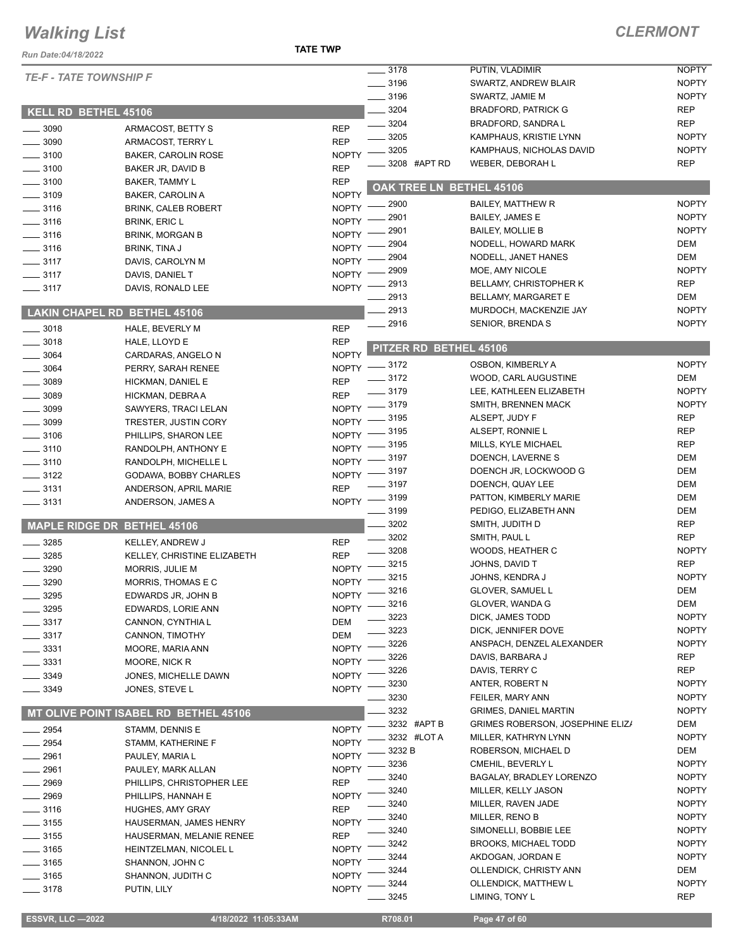#### **TATE TWP**

| Run Date:04/18/2022                |                                                    | <b>TATE TWP</b>              |                          |                                         |              |
|------------------------------------|----------------------------------------------------|------------------------------|--------------------------|-----------------------------------------|--------------|
|                                    |                                                    |                              | 3178                     | PUTIN, VLADIMIR                         | <b>NOPTY</b> |
| <b>TE-F - TATE TOWNSHIP F</b>      |                                                    |                              | $\frac{1}{2}$ 3196       | SWARTZ, ANDREW BLAIR                    | <b>NOPTY</b> |
|                                    |                                                    |                              | $- 3196$                 | SWARTZ, JAMIE M                         | <b>NOPTY</b> |
| <b>KELL RD BETHEL 45106</b>        |                                                    |                              | $-3204$                  | <b>BRADFORD, PATRICK G</b>              | <b>REP</b>   |
|                                    |                                                    |                              | $- 3204$                 | BRADFORD, SANDRA L                      | <b>REP</b>   |
| $-3090$                            | ARMACOST, BETTY S                                  | <b>REP</b>                   | 3205                     | KAMPHAUS, KRISTIE LYNN                  | <b>NOPTY</b> |
| $-3090$                            | ARMACOST, TERRY L                                  | <b>REP</b>                   | 3205                     | KAMPHAUS, NICHOLAS DAVID                | <b>NOPTY</b> |
| $-3100$                            | <b>BAKER, CAROLIN ROSE</b>                         | <b>NOPTY</b>                 | 3208 #APT RD             | WEBER, DEBORAH L                        | <b>REP</b>   |
| $-3100$<br>3100                    | BAKER JR, DAVID B                                  | <b>REP</b>                   |                          |                                         |              |
| $-3109$                            | <b>BAKER, TAMMY L</b>                              | <b>REP</b>                   | OAK TREE LN BETHEL 45106 |                                         |              |
| $-3116$                            | <b>BAKER, CAROLIN A</b>                            | <b>NOPTY</b><br><b>NOPTY</b> | 2900                     | <b>BAILEY, MATTHEW R</b>                | <b>NOPTY</b> |
| $\frac{1}{2}$ 3116                 | <b>BRINK, CALEB ROBERT</b><br><b>BRINK, ERIC L</b> | <b>NOPTY</b>                 | 2901                     | <b>BAILEY, JAMES E</b>                  | <b>NOPTY</b> |
| $- 3116$                           | <b>BRINK, MORGAN B</b>                             | NOPTY -                      | 2901                     | <b>BAILEY, MOLLIE B</b>                 | <b>NOPTY</b> |
| $-3116$                            | BRINK, TINA J                                      | $NOPTY =$                    | 2904                     | NODELL, HOWARD MARK                     | DEM          |
| $\frac{1}{2}$ 3117                 | DAVIS, CAROLYN M                                   | $N$ OPTY $-$                 | . 2904                   | NODELL, JANET HANES                     | <b>DEM</b>   |
| $- 3117$                           | DAVIS, DANIEL T                                    | $NOPTY$ ––                   | 2909                     | MOE, AMY NICOLE                         | <b>NOPTY</b> |
| $\frac{1}{2}$ 3117                 | DAVIS, RONALD LEE                                  | $NOPTY$ -                    | 2913                     | <b>BELLAMY, CHRISTOPHER K</b>           | <b>REP</b>   |
|                                    |                                                    |                              | 2913                     | <b>BELLAMY, MARGARET E</b>              | DEM          |
|                                    | <b>LAKIN CHAPEL RD BETHEL 45106</b>                |                              | 2913                     | MURDOCH, MACKENZIE JAY                  | <b>NOPTY</b> |
| $- 3018$                           | HALE, BEVERLY M                                    | <b>REP</b>                   | $-2916$                  | <b>SENIOR, BRENDA S</b>                 | <b>NOPTY</b> |
| $-3018$                            | HALE, LLOYD E                                      | <b>REP</b>                   |                          |                                         |              |
| 3064                               | CARDARAS, ANGELO N                                 | <b>NOPTY</b>                 | PITZER RD BETHEL 45106   |                                         |              |
| 3064                               | PERRY, SARAH RENEE                                 |                              | NOPTY -8172              | OSBON, KIMBERLY A                       | <b>NOPTY</b> |
| 3089                               | HICKMAN, DANIEL E                                  | <b>REP</b>                   | $\frac{3172}{2}$         | WOOD, CARL AUGUSTINE                    | DEM          |
| 3089                               | HICKMAN, DEBRA A                                   | <b>REP</b>                   | $- 3179$                 | LEE, KATHLEEN ELIZABETH                 | <b>NOPTY</b> |
| 3099                               | SAWYERS, TRACI LELAN                               | NOPTY $-$                    | _ 3179                   | SMITH, BRENNEN MACK                     | <b>NOPTY</b> |
| 3099                               | TRESTER, JUSTIN CORY                               |                              | NOPTY -8195              | ALSEPT, JUDY F                          | <b>REP</b>   |
| $= 3106$                           | PHILLIPS, SHARON LEE                               |                              | NOPTY -8195              | ALSEPT, RONNIE L                        | <b>REP</b>   |
| $-3110$                            | RANDOLPH, ANTHONY E                                |                              | NOPTY -8195              | MILLS, KYLE MICHAEL                     | <b>REP</b>   |
| $-3110$                            | RANDOLPH, MICHELLE L                               |                              | NOPTY -8197              | DOENCH, LAVERNE S                       | <b>DEM</b>   |
| $- 3122$                           | GODAWA, BOBBY CHARLES                              | $N$ OPTY $-$                 | __ 3197                  | DOENCH JR, LOCKWOOD G                   | DEM          |
| $\frac{1}{2}$ 3131                 | ANDERSON, APRIL MARIE                              | <b>REP</b>                   | $\frac{1}{2}$ 3197       | DOENCH, QUAY LEE                        | <b>DEM</b>   |
| $\frac{1}{2}$ 3131                 | ANDERSON, JAMES A                                  |                              | NOPTY -8199              | PATTON, KIMBERLY MARIE                  | <b>DEM</b>   |
|                                    |                                                    |                              | $\frac{1}{2}$ 3199       | PEDIGO, ELIZABETH ANN                   | DEM          |
| <b>MAPLE RIDGE DR BETHEL 45106</b> |                                                    |                              | $- 3202$                 | SMITH, JUDITH D                         | <b>REP</b>   |
| $-3285$                            | KELLEY, ANDREW J                                   | <b>REP</b>                   | $\frac{1}{2}$ 3202       | SMITH, PAUL L                           | <b>REP</b>   |
| 3285                               | KELLEY, CHRISTINE ELIZABETH                        | <b>REP</b>                   | $- 3208$                 | WOODS, HEATHER C                        | <b>NOPTY</b> |
| 3290                               | MORRIS, JULIE M                                    | $N$ OPTY $-$                 | $-3215$                  | JOHNS, DAVID T                          | <b>REP</b>   |
| 3290                               | MORRIS, THOMAS E C                                 |                              | NOPTY -8215              | JOHNS, KENDRA J                         | <b>NOPTY</b> |
| 3295                               | EDWARDS JR, JOHN B                                 | <b>NOPTY</b>                 | $-3216$                  | GLOVER, SAMUEL L                        | DEM          |
| 3295                               | EDWARDS, LORIE ANN                                 | <b>NOPTY</b>                 | 3216                     | GLOVER, WANDA G                         | DEM          |
| 3317                               | CANNON, CYNTHIA L                                  | DEM                          | 3223                     | DICK, JAMES TODD                        | <b>NOPTY</b> |
| 3317                               | CANNON, TIMOTHY                                    | <b>DEM</b>                   | 3223                     | DICK, JENNIFER DOVE                     | <b>NOPTY</b> |
| 3331                               | MOORE, MARIA ANN                                   | <b>NOPTY</b>                 | 3226                     | ANSPACH, DENZEL ALEXANDER               | <b>NOPTY</b> |
| 3331                               | MOORE, NICK R                                      | <b>NOPTY</b>                 | 3226                     | DAVIS, BARBARA J                        | <b>REP</b>   |
| 3349                               | JONES, MICHELLE DAWN                               | <b>NOPTY</b>                 | 3226                     | DAVIS, TERRY C                          | <b>REP</b>   |
| 3349                               | JONES, STEVE L                                     | <b>NOPTY</b>                 | 3230                     | ANTER, ROBERT N                         | <b>NOPTY</b> |
|                                    |                                                    |                              | 3230                     | FEILER, MARY ANN                        | <b>NOPTY</b> |
|                                    | MT OLIVE POINT ISABEL RD BETHEL 45106              |                              | 3232                     | <b>GRIMES, DANIEL MARTIN</b>            | <b>NOPTY</b> |
| 2954                               | STAMM, DENNIS E                                    | <b>NOPTY</b>                 | 3232 #APT B              | <b>GRIMES ROBERSON, JOSEPHINE ELIZA</b> | DEM          |
| 2954                               | STAMM, KATHERINE F                                 | <b>NOPTY</b>                 | 3232 #LOTA               | MILLER, KATHRYN LYNN                    | <b>NOPTY</b> |
| $-2961$                            | PAULEY, MARIA L                                    | <b>NOPTY</b>                 | 3232 B                   | ROBERSON, MICHAEL D                     | DEM          |
| 2961                               | PAULEY, MARK ALLAN                                 | <b>NOPTY</b>                 | 3236                     | CMEHIL, BEVERLY L                       | <b>NOPTY</b> |
| 2969                               | PHILLIPS, CHRISTOPHER LEE                          | <b>REP</b>                   | 3240                     | BAGALAY, BRADLEY LORENZO                | <b>NOPTY</b> |
| 2969                               | PHILLIPS, HANNAH E                                 | <b>NOPTY</b>                 | 3240                     | MILLER, KELLY JASON                     | <b>NOPTY</b> |
| $=$ 3116                           | HUGHES, AMY GRAY                                   | <b>REP</b>                   | 3240                     | MILLER, RAVEN JADE                      | <b>NOPTY</b> |
| $-3155$                            | HAUSERMAN, JAMES HENRY                             | <b>NOPTY</b>                 | 3240                     | MILLER, RENO B                          | <b>NOPTY</b> |
| 3155                               | HAUSERMAN, MELANIE RENEE                           | REP                          | 3240                     | SIMONELLI, BOBBIE LEE                   | <b>NOPTY</b> |
| 3165                               | HEINTZELMAN, NICOLEL L                             | <b>NOPTY</b>                 | 3242                     | <b>BROOKS, MICHAEL TODD</b>             | <b>NOPTY</b> |
| 3165                               | SHANNON, JOHN C                                    | <b>NOPTY</b>                 | 3244                     | AKDOGAN, JORDAN E                       | <b>NOPTY</b> |
| $-3165$                            | SHANNON, JUDITH C                                  | <b>NOPTY</b>                 | 3244                     | OLLENDICK, CHRISTY ANN                  | DEM          |
| $-3178$                            | PUTIN, LILY                                        | <b>NOPTY</b>                 | 3244                     | OLLENDICK, MATTHEW L                    | <b>NOPTY</b> |
|                                    |                                                    |                              | 3245                     | LIMING, TONY L                          | <b>REP</b>   |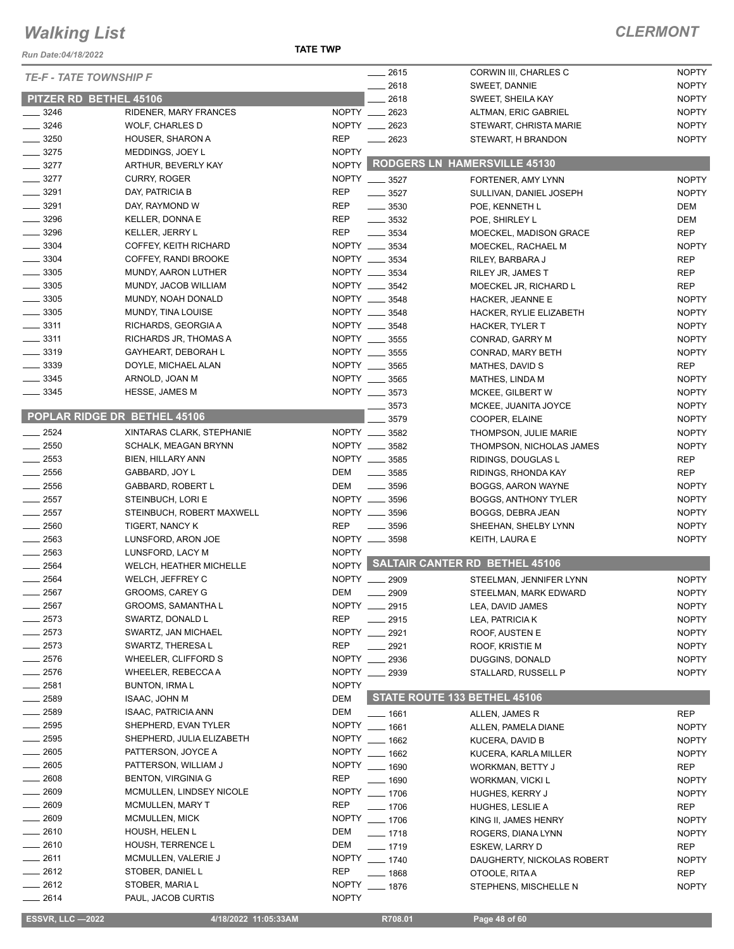#### *Run Date:04/18/2022*

**TATE TWP**

#### *CLERMONT*

|                        |                              |               |                    |                                        | <b>NOPTY</b> |
|------------------------|------------------------------|---------------|--------------------|----------------------------------------|--------------|
| TE-F - TATE TOWNSHIP F |                              |               | __ 2615<br>2618    | CORWIN III, CHARLES C<br>SWEET, DANNIE | <b>NOPTY</b> |
|                        | PITZER RD BETHEL 45106       |               | 2618               | SWEET, SHEILA KAY                      | <b>NOPTY</b> |
| $- 3246$               | RIDENER, MARY FRANCES        | NOPTY __ 2623 |                    | ALTMAN, ERIC GABRIEL                   | <b>NOPTY</b> |
| $\frac{3246}{5}$       | <b>WOLF, CHARLES D</b>       | NOPTY __      | 2623               | STEWART, CHRISTA MARIE                 | <b>NOPTY</b> |
| $\frac{1}{2}$ 3250     | HOUSER, SHARON A             | <b>REP</b>    | 2623               | STEWART, H BRANDON                     | <b>NOPTY</b> |
| $- 3275$               | MEDDINGS, JOEY L             | <b>NOPTY</b>  |                    |                                        |              |
| $-3277$                | ARTHUR, BEVERLY KAY          | NOPTY         |                    | <b>RODGERS LN HAMERSVILLE 45130</b>    |              |
| $- 3277$               | <b>CURRY, ROGER</b>          | NOPTY __ 3527 |                    | FORTENER, AMY LYNN                     | <b>NOPTY</b> |
| $- 3291$               | DAY, PATRICIA B              | <b>REP</b>    | $\frac{1}{2}$ 3527 | SULLIVAN, DANIEL JOSEPH                | <b>NOPTY</b> |
| $\frac{1}{2}$ 3291     | DAY, RAYMOND W               | <b>REP</b>    | $\frac{1}{2}$ 3530 | POE, KENNETH L                         | DEM          |
| $\frac{1}{2}$ 3296     | KELLER, DONNA E              | <b>REP</b>    | $\frac{1}{2}$ 3532 | POE, SHIRLEY L                         | <b>DEM</b>   |
| _ 3296                 | <b>KELLER, JERRY L</b>       | REP           | $\frac{1}{2}$ 3534 | MOECKEL, MADISON GRACE                 | <b>REP</b>   |
| $\frac{1}{2}$ 3304     | COFFEY, KEITH RICHARD        | NOPTY __ 3534 |                    | MOECKEL, RACHAEL M                     | <b>NOPTY</b> |
| $\frac{1}{2}$ 3304     | COFFEY, RANDI BROOKE         | NOPTY __ 3534 |                    | RILEY, BARBARA J                       | <b>REP</b>   |
| $\frac{1}{2}$ 3305     | MUNDY, AARON LUTHER          | NOPTY ___     | 3534               | RILEY JR, JAMES T                      | <b>REP</b>   |
| $\frac{1}{2}$ 3305     | MUNDY, JACOB WILLIAM         | NOPTY __ 3542 |                    | MOECKEL JR, RICHARD L                  | REP          |
| $\frac{1}{2}$ 3305     | MUNDY, NOAH DONALD           | NOPTY __ 3548 |                    | HACKER, JEANNE E                       | <b>NOPTY</b> |
| $\frac{1}{2}$ 3305     | MUNDY, TINA LOUISE           | NOPTY __ 3548 |                    | HACKER, RYLIE ELIZABETH                | <b>NOPTY</b> |
| $\frac{1}{2}$ 3311     | RICHARDS, GEORGIA A          | NOPTY __      | 3548               | HACKER, TYLER T                        | <b>NOPTY</b> |
| $-3311$                | RICHARDS JR, THOMAS A        | NOPTY ___     | 3555               | CONRAD, GARRY M                        | <b>NOPTY</b> |
| $\frac{1}{2}$ 3319     | GAYHEART, DEBORAH L          | NOPTY ___     | 3555               | CONRAD, MARY BETH                      | <b>NOPTY</b> |
| $-3339$                | DOYLE, MICHAEL ALAN          | NOPTY __ 3565 |                    | MATHES, DAVID S                        | REP          |
| $-3345$                | ARNOLD, JOAN M               | NOPTY __ 3565 |                    | MATHES, LINDA M                        | <b>NOPTY</b> |
| $\frac{1}{2}$ 3345     | <b>HESSE, JAMES M</b>        | NOPTY __ 3573 |                    | <b>MCKEE, GILBERT W</b>                | <b>NOPTY</b> |
|                        |                              |               | 3573               | MCKEE, JUANITA JOYCE                   | <b>NOPTY</b> |
|                        | POPLAR RIDGE DR BETHEL 45106 |               | 3579               | COOPER, ELAINE                         | <b>NOPTY</b> |
| $-2524$                | XINTARAS CLARK, STEPHANIE    | NOPTY __ 3582 |                    | THOMPSON, JULIE MARIE                  | <b>NOPTY</b> |
| $-2550$                | <b>SCHALK, MEAGAN BRYNN</b>  | NOPTY __ 3582 |                    | THOMPSON, NICHOLAS JAMES               | <b>NOPTY</b> |
| $\frac{1}{2553}$       | <b>BIEN, HILLARY ANN</b>     | NOPTY __ 3585 |                    | RIDINGS, DOUGLAS L                     | REP          |
| $-2556$                | GABBARD, JOY L               | DEM           | $\frac{1}{2}$ 3585 | RIDINGS, RHONDA KAY                    | <b>REP</b>   |
| $\frac{1}{2556}$       | GABBARD, ROBERT L            | DEM           | $- 3596$           | BOGGS, AARON WAYNE                     | <b>NOPTY</b> |
| $\frac{1}{2557}$       | STEINBUCH, LORI E            | NOPTY __ 3596 |                    | BOGGS, ANTHONY TYLER                   | <b>NOPTY</b> |
| $-2557$                | STEINBUCH, ROBERT MAXWELL    | NOPTY ____    | 3596               | BOGGS, DEBRA JEAN                      | <b>NOPTY</b> |
| $\frac{1}{2560}$       | TIGERT, NANCY K              | <b>REP</b>    | 3596               | SHEEHAN, SHELBY LYNN                   | <b>NOPTY</b> |
| $-2563$                | LUNSFORD, ARON JOE           | NOPTY __ 3598 |                    | KEITH, LAURA E                         | <b>NOPTY</b> |
| $\frac{1}{2563}$       | LUNSFORD, LACY M             | <b>NOPTY</b>  |                    |                                        |              |
| $-2564$                | WELCH, HEATHER MICHELLE      |               |                    | NOPTY SALTAIR CANTER RD BETHEL 45106   |              |
| $-2564$                | WELCH, JEFFREY C             | NOPTY __      | 2909               | STEELMAN, JENNIFER LYNN                | <b>NOPTY</b> |
| 2567                   | GROOMS, CAREY G              | DEM           | 2909               | STEELMAN, MARK EDWARD                  | <b>NOPTY</b> |
| 2567                   | <b>GROOMS, SAMANTHA L</b>    | NOPTY __ 2915 |                    | LEA, DAVID JAMES                       | <b>NOPTY</b> |
| 2573                   | SWARTZ, DONALD L             | <b>REP</b>    | 2915               | LEA, PATRICIA K                        | <b>NOPTY</b> |
| $-2573$                | SWARTZ, JAN MICHAEL          | NOPTY __      | 2921               | ROOF, AUSTEN E                         | <b>NOPTY</b> |
| $-2573$                | SWARTZ, THERESA L            | <b>REP</b>    | 2921               | ROOF, KRISTIE M                        | <b>NOPTY</b> |
| $-2576$                | WHEELER, CLIFFORD S          | NOPTY __      | 2936               | DUGGINS, DONALD                        | <b>NOPTY</b> |
| $= 2576$               | WHEELER, REBECCA A           | NOPTY __ 2939 |                    | STALLARD, RUSSELL P                    | <b>NOPTY</b> |
| $=$ 2581 $\,$          | <b>BUNTON, IRMAL</b>         | <b>NOPTY</b>  |                    |                                        |              |
| $-2589$                | <b>ISAAC, JOHN M</b>         | <b>DEM</b>    |                    | STATE ROUTE 133 BETHEL 45106           |              |
| $-2589$                | <b>ISAAC, PATRICIA ANN</b>   | DEM           | ___ 1661           | ALLEN, JAMES R                         | REP          |
| $\frac{1}{2595}$       | SHEPHERD, EVAN TYLER         | <b>NOPTY</b>  | $- 1661$           | ALLEN, PAMELA DIANE                    | <b>NOPTY</b> |
| $- 2595$               | SHEPHERD, JULIA ELIZABETH    | <b>NOPTY</b>  | $- 1662$           | KUCERA, DAVID B                        | <b>NOPTY</b> |
| $-2605$                | PATTERSON, JOYCE A           | <b>NOPTY</b>  | $- 1662$           | KUCERA, KARLA MILLER                   | <b>NOPTY</b> |
| $\frac{1}{2605}$       | PATTERSON, WILLIAM J         | NOPTY __ 1690 |                    | WORKMAN, BETTY J                       | REP          |
| _ 2608                 | <b>BENTON, VIRGINIA G</b>    | REP           | $- 1690$           | <b>WORKMAN, VICKI L</b>                | <b>NOPTY</b> |
| $-2609$                | MCMULLEN, LINDSEY NICOLE     | <b>NOPTY</b>  | $- 1706$           | HUGHES, KERRY J                        | <b>NOPTY</b> |
| $-2609$                | MCMULLEN, MARY T             | <b>REP</b>    | $- 1706$           | HUGHES, LESLIE A                       | REP          |
| $-2609$                | MCMULLEN, MICK               | <b>NOPTY</b>  | $- 1706$           | KING II, JAMES HENRY                   | <b>NOPTY</b> |
| $-2610$                | HOUSH, HELEN L               | DEM           | $- 1718$           | ROGERS, DIANA LYNN                     | <b>NOPTY</b> |
| $-2610$                | HOUSH, TERRENCE L            | DEM           | $- 1719$           | ESKEW, LARRY D                         | <b>REP</b>   |
| $-2611$                | MCMULLEN, VALERIE J          | <b>NOPTY</b>  | $- 1740$           | DAUGHERTY, NICKOLAS ROBERT             | <b>NOPTY</b> |
| $-2612$                | STOBER, DANIEL L             | REP           | $-1868$            | OTOOLE, RITA A                         | REP          |
| $-2612$                | STOBER, MARIA L              | <b>NOPTY</b>  | $- 1876$           | STEPHENS, MISCHELLE N                  | <b>NOPTY</b> |
| $-2614$                | PAUL, JACOB CURTIS           | <b>NOPTY</b>  |                    |                                        |              |

**ESSVR, LLC -2022** 4/18/2022 11:05:33AM R708.01 Page 48 of 60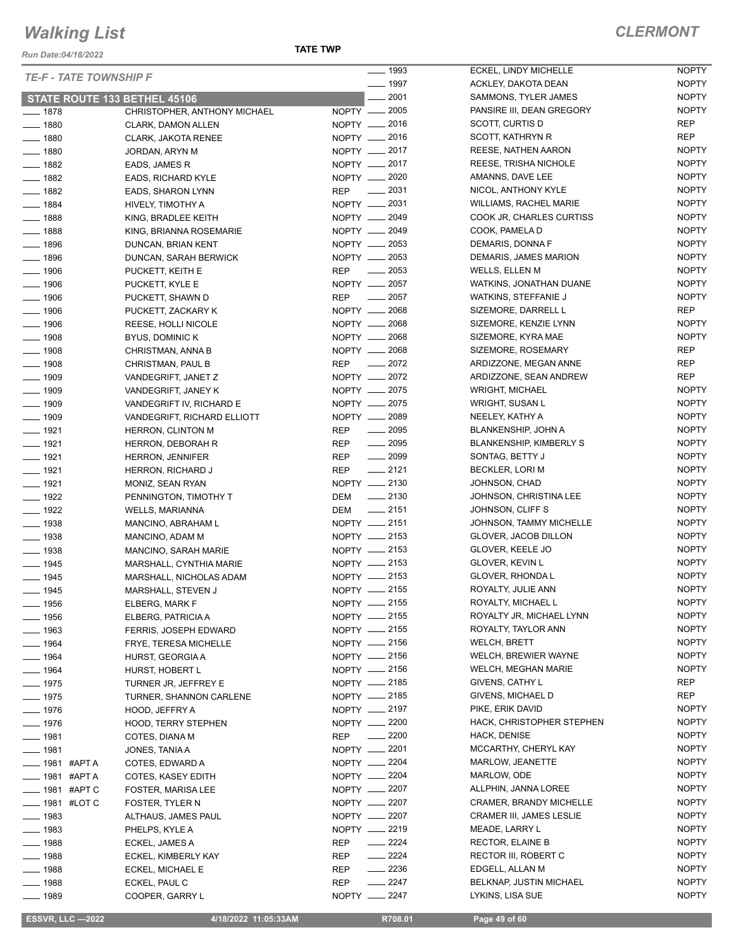*Run Date:04/18/2022*

#### **TATE TWP**

#### *CLERMONT*

NOPTY

| <b>TE-F - TATE TOWNSHIP F</b>       |                              | $\frac{1}{2}$ 1993                          | ECKEL, LINDY MICHELLE           | <b>NOPTY</b> |
|-------------------------------------|------------------------------|---------------------------------------------|---------------------------------|--------------|
|                                     |                              | $- 1997$                                    | ACKLEY, DAKOTA DEAN             | <b>NOPTY</b> |
| <b>STATE ROUTE 133 BETHEL 45106</b> |                              | $-2001$                                     | SAMMONS, TYLER JAMES            | <b>NOPTY</b> |
| $- 1878$                            | CHRISTOPHER, ANTHONY MICHAEL | NOPTY __ 2005                               | PANSIRE III, DEAN GREGORY       | <b>NOPTY</b> |
| $- 1880$                            | CLARK, DAMON ALLEN           | NOPTY -2016                                 | SCOTT, CURTIS D                 | <b>REP</b>   |
| $- 1880$                            | <b>CLARK, JAKOTA RENEE</b>   | NOPTY __ 2016                               | SCOTT, KATHRYN R                | <b>REP</b>   |
| $- 1880$                            | JORDAN, ARYN M               | NOPTY __ 2017                               | REESE, NATHEN AARON             | <b>NOPTY</b> |
| $\frac{1}{2}$ 1882                  | EADS, JAMES R                | NOPTY __ 2017                               | REESE, TRISHA NICHOLE           | <b>NOPTY</b> |
| $- 1882$                            | <b>EADS, RICHARD KYLE</b>    | NOPTY __ 2020                               | AMANNS, DAVE LEE                | <b>NOPTY</b> |
| $- 1882$                            | EADS, SHARON LYNN            | $\sim$ 2031<br>REP                          | NICOL, ANTHONY KYLE             | <b>NOPTY</b> |
| $- 1884$                            | HIVELY, TIMOTHY A            | NOPTY __ 2031                               | WILLIAMS, RACHEL MARIE          | <b>NOPTY</b> |
| $- 1888$                            | KING, BRADLEE KEITH          | NOPTY - 2049                                | COOK JR, CHARLES CURTISS        | <b>NOPTY</b> |
| $- 1888$                            | KING, BRIANNA ROSEMARIE      | NOPTY - 2049                                | COOK, PAMELA D                  | <b>NOPTY</b> |
| $- 1896$                            | DUNCAN, BRIAN KENT           | NOPTY __ 2053                               | DEMARIS, DONNA F                | <b>NOPTY</b> |
| $- 1896$                            | DUNCAN, SARAH BERWICK        | NOPTY -2053                                 | DEMARIS, JAMES MARION           | <b>NOPTY</b> |
| $- 1906$                            | PUCKETT, KEITH E             | $\frac{2053}{200}$<br>REP                   | WELLS, ELLEN M                  | <b>NOPTY</b> |
| $- 1906$                            | PUCKETT, KYLE E              | NOPTY -2057                                 | WATKINS, JONATHAN DUANE         | <b>NOPTY</b> |
| $- 1906$                            | PUCKETT, SHAWN D             | $-2057$<br><b>REP</b>                       | WATKINS, STEFFANIE J            | <b>NOPTY</b> |
| $- 1906$                            | PUCKETT, ZACKARY K           | NOPTY __ 2068                               | SIZEMORE, DARRELL L             | <b>REP</b>   |
| $- 1906$                            | REESE, HOLLI NICOLE          | NOPTY -2068                                 | SIZEMORE, KENZIE LYNN           | <b>NOPTY</b> |
| $\frac{1}{2}$ 1908                  | <b>BYUS, DOMINIC K</b>       | NOPTY __ 2068                               | SIZEMORE, KYRA MAE              | <b>NOPTY</b> |
| $- 1908$                            | CHRISTMAN, ANNA B            | NOPTY - 2068                                | SIZEMORE, ROSEMARY              | <b>REP</b>   |
| $- 1908$                            | CHRISTMAN, PAUL B            | $-2072$<br><b>REP</b>                       | ARDIZZONE, MEGAN ANNE           | <b>REP</b>   |
| $\frac{1}{2}$ 1909                  | VANDEGRIFT, JANET Z          | NOPTY 2072                                  | ARDIZZONE, SEAN ANDREW          | <b>REP</b>   |
| $- 1909$                            | VANDEGRIFT, JANEY K          | NOPTY -2075                                 | <b>WRIGHT, MICHAEL</b>          | <b>NOPTY</b> |
| $- 1909$                            | VANDEGRIFT IV, RICHARD E     | NOPTY __ 2075                               | WRIGHT, SUSAN L                 | <b>NOPTY</b> |
|                                     |                              | NOPTY - 2089                                | NEELEY, KATHY A                 | <b>NOPTY</b> |
| $- 1909$                            | VANDEGRIFT, RICHARD ELLIOTT  | $\frac{1}{2095}$                            |                                 | <b>NOPTY</b> |
| $- 1921$                            | <b>HERRON, CLINTON M</b>     | REP                                         | <b>BLANKENSHIP, JOHN A</b>      | <b>NOPTY</b> |
| $- 1921$                            | HERRON, DEBORAH R            | $\frac{1}{2095}$<br>REP<br>$\frac{1}{2099}$ | <b>BLANKENSHIP, KIMBERLY S</b>  | <b>NOPTY</b> |
| $- 1921$                            | <b>HERRON, JENNIFER</b>      | REP<br>$-2121$                              | SONTAG, BETTY J                 | <b>NOPTY</b> |
| $- 1921$                            | HERRON, RICHARD J            | <b>REP</b>                                  | BECKLER, LORI M                 |              |
| $- 1921$                            | MONIZ, SEAN RYAN             | NOPTY -2130                                 | JOHNSON, CHAD                   | <b>NOPTY</b> |
| $- 1922$                            | PENNINGTON, TIMOTHY T        | $\frac{1}{2130}$<br>DEM                     | JOHNSON, CHRISTINA LEE          | <b>NOPTY</b> |
| $- 1922$                            | <b>WELLS, MARIANNA</b>       | $\frac{1}{2151}$<br>DEM                     | JOHNSON, CLIFF S                | <b>NOPTY</b> |
| $- 1938$                            | MANCINO, ABRAHAM L           | NOPTY __ 2151                               | JOHNSON, TAMMY MICHELLE         | <b>NOPTY</b> |
| $- 1938$                            | MANCINO, ADAM M              | NOPTY __ 2153                               | GLOVER, JACOB DILLON            | <b>NOPTY</b> |
| $- 1938$                            | MANCINO, SARAH MARIE         | NOPTY -2153                                 | GLOVER, KEELE JO                | <b>NOPTY</b> |
| $- 1945$                            | MARSHALL, CYNTHIA MARIE      | NOPTY -2153                                 | GLOVER, KEVIN L                 | <b>NOPTY</b> |
| $- 1945$                            | MARSHALL, NICHOLAS ADAM      | NOPTY __ 2153                               | GLOVER, RHONDA L                | <b>NOPTY</b> |
| $- 1945$                            | MARSHALL, STEVEN J           | NOPTY -2155                                 | ROYALTY, JULIE ANN              | <b>NOPTY</b> |
| $\frac{1}{2}$ 1956                  | ELBERG, MARK F               | NOPTY <u>_</u> 2155                         | ROYALTY, MICHAEL L              | <b>NOPTY</b> |
| $- 1956$                            | ELBERG, PATRICIA A           | NOPTY - 2155                                | ROYALTY JR, MICHAEL LYNN        | <b>NOPTY</b> |
| $- 1963$                            | FERRIS, JOSEPH EDWARD        | NOPTY - 2155                                | ROYALTY, TAYLOR ANN             | <b>NOPTY</b> |
| $- 1964$                            | FRYE, TERESA MICHELLE        | NOPTY __ 2156                               | <b>WELCH, BRETT</b>             | <b>NOPTY</b> |
| $- 1964$                            | HURST, GEORGIA A             | NOPTY -2156                                 | WELCH, BREWIER WAYNE            | <b>NOPTY</b> |
| $- 1964$                            | HURST, HOBERT L              | NOPTY __ 2156                               | <b>WELCH, MEGHAN MARIE</b>      | <b>NOPTY</b> |
| $- 1975$                            | TURNER JR, JEFFREY E         | NOPTY __ 2185                               | GIVENS, CATHY L                 | REP          |
| $- 1975$                            | TURNER, SHANNON CARLENE      | NOPTY - 2185                                | GIVENS, MICHAEL D               | <b>REP</b>   |
| $- 1976$                            | HOOD, JEFFRY A               | NOPTY __ 2197                               | PIKE, ERIK DAVID                | <b>NOPTY</b> |
| $- 1976$                            | <b>HOOD, TERRY STEPHEN</b>   | NOPTY -2200                                 | HACK, CHRISTOPHER STEPHEN       | <b>NOPTY</b> |
| $- 1981$                            | COTES, DIANA M               | $-2200$<br>REP                              | HACK, DENISE                    | <b>NOPTY</b> |
| $- 1981$                            | JONES, TANIA A               | NOPTY -2201                                 | MCCARTHY, CHERYL KAY            | <b>NOPTY</b> |
| <b>_____ 1981 #APT A</b>            | COTES, EDWARD A              | NOPTY -2204                                 | MARLOW, JEANETTE                | <b>NOPTY</b> |
| $\frac{1}{2}$ 1981 #APTA            | COTES, KASEY EDITH           | NOPTY __ 2204                               | MARLOW, ODE                     | <b>NOPTY</b> |
| ____ 1981 #APT C                    | <b>FOSTER, MARISA LEE</b>    | NOPTY -2207                                 | ALLPHIN, JANNA LOREE            | <b>NOPTY</b> |
| $\frac{1}{2}$ 1981 #LOTC            | FOSTER, TYLER N              | NOPTY __ 2207                               | CRAMER, BRANDY MICHELLE         | <b>NOPTY</b> |
| $- 1983$                            | ALTHAUS, JAMES PAUL          | NOPTY -2207                                 | <b>CRAMER III, JAMES LESLIE</b> | <b>NOPTY</b> |
|                                     | PHELPS, KYLE A               | NOPTY -2219                                 | MEADE, LARRY L                  | <b>NOPTY</b> |
| $- 1983$                            |                              | $-2224$<br>REP                              | RECTOR, ELAINE B                | <b>NOPTY</b> |
| $- 1988$                            | ECKEL, JAMES A               |                                             |                                 |              |
| $- 1988$                            | ECKEL, KIMBERLY KAY          | $-2224$<br>REP                              | RECTOR III, ROBERT C            | <b>NOPTY</b> |
|                                     | ECKEL, MICHAEL E             | $-2236$<br>REP                              | EDGELL, ALLAN M                 | <b>NOPTY</b> |
| $\frac{1}{2}$ 1988<br>$- 1988$      | ECKEL, PAUL C                | $-2247$<br>REP                              | BELKNAP, JUSTIN MICHAEL         | <b>NOPTY</b> |

 **ESSVR, LLC —2022 4/18/2022 11:05:33AM R708.01 Page 49 of 60**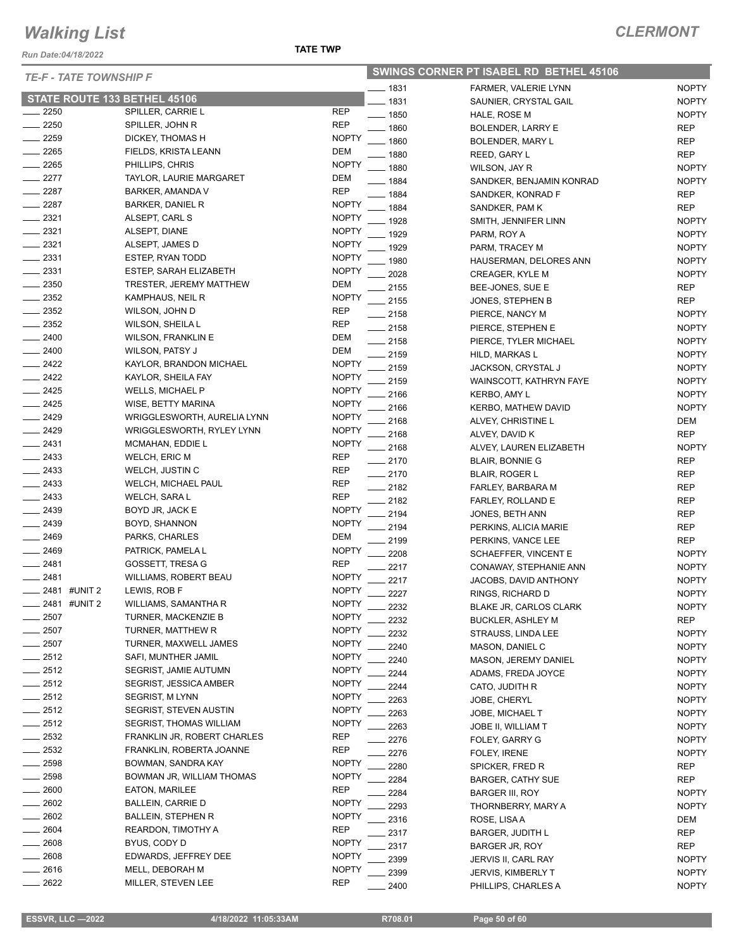*Run Date:04/18/2022*

| <b>SWINGS CORNER PT ISABEL RD BETHEL 45106</b> |  |  |
|------------------------------------------------|--|--|
|------------------------------------------------|--|--|

| <b>TE-F - TATE TOWNSHIP F</b>    |                                |              |         | SWINGS CORNER PT ISABEL RD BETHEL 45106 |              |
|----------------------------------|--------------------------------|--------------|---------|-----------------------------------------|--------------|
|                                  |                                |              | __ 1831 | FARMER, VALERIE LYNN                    | <b>NOPTY</b> |
| STATE ROUTE 133 BETHEL 45106     |                                |              | 1831    | SAUNIER, CRYSTAL GAIL                   | <b>NOPTY</b> |
| 2250                             | SPILLER, CARRIE L              | <b>REP</b>   | $-1850$ | HALE, ROSE M                            | <b>NOPTY</b> |
| $-2250$                          | SPILLER, JOHN R                | <b>REP</b>   | 1860    | <b>BOLENDER, LARRY E</b>                | <b>REP</b>   |
| 2259                             | DICKEY, THOMAS H               | <b>NOPTY</b> | 1860    | BOLENDER, MARY L                        | <b>REP</b>   |
| $= 2265$                         | FIELDS, KRISTA LEANN           | <b>DEM</b>   | 1880    | REED, GARY L                            | <b>REP</b>   |
| $-2265$                          | PHILLIPS, CHRIS                | <b>NOPTY</b> | 1880    | WILSON, JAY R                           | <b>NOPTY</b> |
| $-2277$                          | TAYLOR, LAURIE MARGARET        | <b>DEM</b>   | 1884    | SANDKER, BENJAMIN KONRAD                | <b>NOPTY</b> |
| $-2287$                          | BARKER, AMANDA V               | <b>REP</b>   | 1884    | SANDKER, KONRAD F                       | REP          |
| 2287<br>$\overline{\phantom{0}}$ | <b>BARKER, DANIEL R</b>        | <b>NOPTY</b> | 1884    | SANDKER, PAM K                          | <b>REP</b>   |
| $-2321$                          | ALSEPT, CARL S                 | <b>NOPTY</b> | 1928    | SMITH, JENNIFER LINN                    | <b>NOPTY</b> |
| $-2321$                          | ALSEPT, DIANE                  | <b>NOPTY</b> | 1929    | PARM, ROY A                             | <b>NOPTY</b> |
| $-2321$                          | ALSEPT, JAMES D                | <b>NOPTY</b> | 1929    | PARM, TRACEY M                          | <b>NOPTY</b> |
| $\frac{1}{2331}$                 | ESTEP, RYAN TODD               | <b>NOPTY</b> | 1980    | HAUSERMAN, DELORES ANN                  | <b>NOPTY</b> |
| $-2331$                          | ESTEP, SARAH ELIZABETH         | <b>NOPTY</b> | 2028    | CREAGER, KYLE M                         | <b>NOPTY</b> |
| $\frac{1}{2}$ 2350               | TRESTER, JEREMY MATTHEW        | <b>DEM</b>   | 2155    | BEE-JONES, SUE E                        | REP          |
| $-2352$                          | KAMPHAUS, NEIL R               | <b>NOPTY</b> | 2155    | JONES, STEPHEN B                        | <b>REP</b>   |
| $\sim$ 2352                      | WILSON, JOHN D                 | <b>REP</b>   | 2158    | PIERCE, NANCY M                         | <b>NOPTY</b> |
| $-2352$                          | WILSON, SHEILA L               | <b>REP</b>   | $-2158$ | PIERCE, STEPHEN E                       | <b>NOPTY</b> |
| 2400                             | <b>WILSON, FRANKLIN E</b>      | <b>DEM</b>   | 2158    | PIERCE, TYLER MICHAEL                   | <b>NOPTY</b> |
| $-2400$                          | <b>WILSON, PATSY J</b>         | <b>DEM</b>   | 2159    | HILD, MARKAS L                          | <b>NOPTY</b> |
| $-2422$                          | KAYLOR, BRANDON MICHAEL        | <b>NOPTY</b> | 2159    | JACKSON, CRYSTAL J                      | <b>NOPTY</b> |
| $-2422$                          | KAYLOR, SHEILA FAY             | <b>NOPTY</b> | 2159    | WAINSCOTT, KATHRYN FAYE                 | <b>NOPTY</b> |
| $-2425$                          | <b>WELLS, MICHAEL P</b>        | <b>NOPTY</b> | 2166    | KERBO, AMY L                            | <b>NOPTY</b> |
| $-2425$                          | WISE, BETTY MARINA             | <b>NOPTY</b> | 2166    | KERBO, MATHEW DAVID                     | <b>NOPTY</b> |
| $-2429$                          | WRIGGLESWORTH, AURELIA LYNN    | <b>NOPTY</b> | 2168    | ALVEY, CHRISTINE L                      | DEM          |
| $-2429$                          | WRIGGLESWORTH, RYLEY LYNN      | <b>NOPTY</b> | 2168    | ALVEY, DAVID K                          | <b>REP</b>   |
| $-2431$                          | MCMAHAN, EDDIE L               | <b>NOPTY</b> | 2168    | ALVEY, LAUREN ELIZABETH                 | <b>NOPTY</b> |
| $\equiv$ 2433                    | <b>WELCH, ERIC M</b>           | <b>REP</b>   | 2170    | <b>BLAIR, BONNIE G</b>                  | <b>REP</b>   |
| $\frac{2433}{2}$                 | WELCH, JUSTIN C                | <b>REP</b>   | 2170    | <b>BLAIR, ROGER L</b>                   | <b>REP</b>   |
| $-2433$                          | WELCH, MICHAEL PAUL            | <b>REP</b>   | 2182    | FARLEY, BARBARA M                       | <b>REP</b>   |
| $-2433$                          | WELCH, SARA L                  | <b>REP</b>   | 2182    | FARLEY, ROLLAND E                       | <b>REP</b>   |
| $-2439$                          | BOYD JR, JACK E                | <b>NOPTY</b> | 2194    | JONES, BETH ANN                         | REP          |
| $-2439$                          | BOYD, SHANNON                  | <b>NOPTY</b> | 2194    | PERKINS, ALICIA MARIE                   | <b>REP</b>   |
| $-2469$                          | PARKS, CHARLES                 | <b>DEM</b>   | 2199    | PERKINS, VANCE LEE                      | <b>REP</b>   |
| $-2469$                          | PATRICK, PAMELA L              | <b>NOPTY</b> | 2208    | SCHAEFFER, VINCENT E                    | <b>NOPTY</b> |
| $-2481$                          | GOSSETT, TRESA G               | <b>REP</b>   | 2217    | CONAWAY, STEPHANIE ANN                  | <b>NOPTY</b> |
| ____ 2481                        | WILLIAMS, ROBERT BEAU          | <b>NOPTY</b> | 2217    | JACOBS, DAVID ANTHONY                   | <b>NOPTY</b> |
| __ 2481 #UNIT 2                  | LEWIS, ROB F                   | <b>NOPTY</b> | 2227    | RINGS, RICHARD D                        | <b>NOPTY</b> |
| 2481 #UNIT 2                     | WILLIAMS, SAMANTHA R           | <b>NOPTY</b> | 2232    | BLAKE JR, CARLOS CLARK                  | <b>NOPTY</b> |
| 2507                             | TURNER, MACKENZIE B            | <b>NOPTY</b> | 2232    | <b>BUCKLER, ASHLEY M</b>                | <b>REP</b>   |
| 2507                             | TURNER, MATTHEW R              | <b>NOPTY</b> | 2232    | STRAUSS, LINDA LEE                      | <b>NOPTY</b> |
| 2507                             | TURNER, MAXWELL JAMES          | <b>NOPTY</b> | 2240    | MASON, DANIEL C                         | <b>NOPTY</b> |
| $-2512$                          | SAFI, MUNTHER JAMIL            | <b>NOPTY</b> | 2240    | MASON, JEREMY DANIEL                    | <b>NOPTY</b> |
| $-2512$                          | SEGRIST, JAMIE AUTUMN          | <b>NOPTY</b> | 2244    | ADAMS, FREDA JOYCE                      | <b>NOPTY</b> |
| $-2512$                          | SEGRIST, JESSICA AMBER         | <b>NOPTY</b> | 2244    | CATO, JUDITH R                          | <b>NOPTY</b> |
| $-2512$                          | <b>SEGRIST, M LYNN</b>         | <b>NOPTY</b> | 2263    | JOBE, CHERYL                            | <b>NOPTY</b> |
| $\frac{2512}{255}$               | SEGRIST, STEVEN AUSTIN         | <b>NOPTY</b> | 2263    | JOBE, MICHAEL T                         | <b>NOPTY</b> |
| $-2512$                          | <b>SEGRIST, THOMAS WILLIAM</b> | <b>NOPTY</b> | 2263    | JOBE II, WILLIAM T                      | <b>NOPTY</b> |
| 2532                             | FRANKLIN JR, ROBERT CHARLES    | <b>REP</b>   | 2276    | FOLEY, GARRY G                          | <b>NOPTY</b> |
| 2532                             | FRANKLIN, ROBERTA JOANNE       | <b>REP</b>   | 2276    | FOLEY, IRENE                            | <b>NOPTY</b> |
| 2598                             | BOWMAN, SANDRA KAY             | <b>NOPTY</b> | 2280    | SPICKER, FRED R                         | REP          |
| 2598                             | BOWMAN JR, WILLIAM THOMAS      | <b>NOPTY</b> | 2284    | <b>BARGER, CATHY SUE</b>                | <b>REP</b>   |
| 2600                             | <b>EATON, MARILEE</b>          | <b>REP</b>   | 2284    | <b>BARGER III, ROY</b>                  | <b>NOPTY</b> |
| 2602                             | BALLEIN, CARRIE D              | <b>NOPTY</b> | 2293    | THORNBERRY, MARY A                      | <b>NOPTY</b> |
| 2602                             | BALLEIN, STEPHEN R             | <b>NOPTY</b> | 2316    | ROSE, LISA A                            | DEM          |
| 2604                             | REARDON, TIMOTHY A             | <b>REP</b>   | 2317    | <b>BARGER, JUDITH L</b>                 | <b>REP</b>   |
| 2608                             | BYUS, CODY D                   | <b>NOPTY</b> | 2317    | BARGER JR, ROY                          | <b>REP</b>   |
| 2608                             | EDWARDS, JEFFREY DEE           | <b>NOPTY</b> | 2399    | JERVIS II, CARL RAY                     | <b>NOPTY</b> |
| 2616                             | MELL, DEBORAH M                | <b>NOPTY</b> | 2399    | <b>JERVIS, KIMBERLY T</b>               | <b>NOPTY</b> |
| 2622                             | MILLER, STEVEN LEE             | <b>REP</b>   | 2400    | PHILLIPS, CHARLES A                     | <b>NOPTY</b> |

| 1831 | SAUNIER, CRYSTAL GAIL          | <b>NOPTY</b> |
|------|--------------------------------|--------------|
| 1850 | HALE, ROSE M                   | <b>NOPTY</b> |
| 1860 | <b>BOLENDER, LARRY E</b>       | REP          |
| 1860 | BOLENDER, MARY L               | REP          |
| 1880 | REED, GARY L                   | REP          |
| 1880 | WILSON, JAY R                  | <b>NOPTY</b> |
| 1884 | SANDKER, BENJAMIN KONRAD       | <b>NOPTY</b> |
| 1884 | SANDKER, KONRAD F              | <b>REP</b>   |
| 1884 | SANDKER, PAM K                 | <b>REP</b>   |
| 1928 | SMITH, JENNIFER LINN           | <b>NOPTY</b> |
| 1929 | PARM, ROY A                    | <b>NOPTY</b> |
| 1929 | PARM, TRACEY M                 | <b>NOPTY</b> |
| 1980 | HAUSERMAN, DELORES ANN         | <b>NOPTY</b> |
| 2028 | <b>CREAGER, KYLE M</b>         | <b>NOPTY</b> |
| 2155 | BEE-JONES, SUE E               | <b>REP</b>   |
| 2155 | JONES, STEPHEN B               | <b>REP</b>   |
| 2158 | PIERCE, NANCY M                | <b>NOPTY</b> |
| 2158 | PIERCE, STEPHEN E              | <b>NOPTY</b> |
| 2158 | PIERCE, TYLER MICHAEL          | <b>NOPTY</b> |
| 2159 | <b>HILD. MARKAS L</b>          | <b>NOPTY</b> |
| 2159 | JACKSON, CRYSTAL J             | <b>NOPTY</b> |
| 2159 | <b>WAINSCOTT, KATHRYN FAYE</b> | <b>NOPTY</b> |
| 2166 | KERBO, AMY L                   | <b>NOPTY</b> |
| 2166 | <b>KERBO, MATHEW DAVID</b>     | <b>NOPTY</b> |
| 2168 | ALVEY, CHRISTINE L             | <b>DEM</b>   |
| 2168 | ALVEY, DAVID K                 | <b>REP</b>   |
| 2168 | ALVEY, LAUREN ELIZABETH        | <b>NOPTY</b> |
| 2170 | <b>BLAIR, BONNIE G</b>         | REP          |
| 2170 | <b>BLAIR, ROGER L</b>          | <b>REP</b>   |
| 2182 | FARLEY, BARBARA M              | REP          |
| 2182 | FARLEY, ROLLAND E              | <b>REP</b>   |
| 2194 | JONES, BETH ANN                | <b>REP</b>   |
| 2194 | PERKINS, ALICIA MARIE          | <b>REP</b>   |
| 2199 | PERKINS, VANCE LEE             | <b>REP</b>   |
| 2208 | SCHAEFFER, VINCENT E           | <b>NOPTY</b> |
| 2217 | CONAWAY, STEPHANIE ANN         | <b>NOPTY</b> |
| 2217 | JACOBS, DAVID ANTHONY          | <b>NOPTY</b> |
| 2227 | RINGS, RICHARD D               | <b>NOPTY</b> |
| 2232 | <b>BLAKE JR, CARLOS CLARK</b>  | <b>NOPTY</b> |
| 2232 | <b>BUCKLER, ASHLEY M</b>       | <b>REP</b>   |
| 2232 | STRAUSS, LINDA LEE             | <b>NOPTY</b> |
| 2240 | MASON, DANIEL C                | <b>NOPTY</b> |
| 2240 | <b>MASON, JEREMY DANIEL</b>    | <b>NOPTY</b> |
| 2244 | ADAMS, FREDA JOYCE             | <b>NOPTY</b> |
| 2244 | CATO, JUDITH R                 | <b>NOPTY</b> |
| 2263 | JOBE, CHERYL                   | <b>NOPTY</b> |
| 2263 | <b>JOBE, MICHAEL T</b>         | <b>NOPTY</b> |
| 2263 | JOBE II, WILLIAM T             | <b>NOPTY</b> |
| 2276 | FOLEY, GARRY G                 | <b>NOPTY</b> |
| 2276 | FOLEY, IRENE                   | <b>NOPTY</b> |
| 2280 | SPICKER, FRED R                | REP          |
| 2284 | <b>BARGER, CATHY SUE</b>       | REP          |
| 2284 | <b>BARGER III, ROY</b>         | <b>NOPTY</b> |
| 2293 | THORNBERRY, MARY A             | <b>NOPTY</b> |
| 2316 | ROSE, LISA A                   | DEM          |
| 2317 | <b>BARGER, JUDITH L</b>        | REP          |
| 2317 | <b>BARGER JR, ROY</b>          | REP          |
| 2399 | JERVIS II, CARL RAY            | <b>NOPTY</b> |
| 2399 | <b>JERVIS, KIMBERLY T</b>      | <b>NOPTY</b> |
|      |                                |              |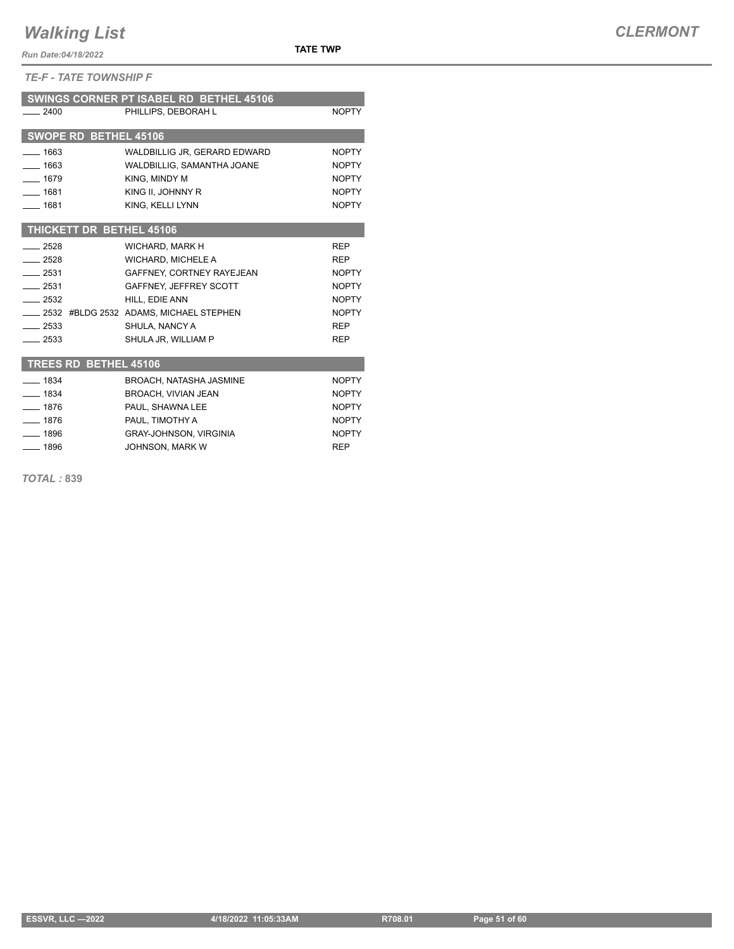*Run Date:04/18/2022*

*TE-F - TATE TOWNSHIP F*

|          |                              | SWINGS CORNER PT ISABEL RD BETHEL 45106   |              |
|----------|------------------------------|-------------------------------------------|--------------|
| 2400     |                              | PHILLIPS, DEBORAH L                       | <b>NOPTY</b> |
|          |                              |                                           |              |
|          | SWOPE RD BETHEL 45106        |                                           |              |
| $-1663$  |                              | WALDBILLIG JR, GERARD EDWARD              | <b>NOPTY</b> |
| $- 1663$ |                              | <b>WALDBILLIG. SAMANTHA JOANE</b>         | <b>NOPTY</b> |
| $-1679$  |                              | KING, MINDY M                             | <b>NOPTY</b> |
| $- 1681$ |                              | KING II, JOHNNY R                         | <b>NOPTY</b> |
| $- 1681$ |                              | KING, KELLI LYNN                          | <b>NOPTY</b> |
|          |                              |                                           |              |
|          |                              | THICKETT DR BETHEL 45106                  |              |
| $-2528$  |                              | WICHARD, MARK H                           | <b>REP</b>   |
| $-2528$  |                              | <b>WICHARD, MICHELE A</b>                 | <b>REP</b>   |
| $-2531$  |                              | GAFFNEY, CORTNEY RAYEJEAN                 | <b>NOPTY</b> |
| $-2531$  |                              | GAFFNEY, JEFFREY SCOTT                    | <b>NOPTY</b> |
| $-2532$  |                              | HILL, EDIE ANN                            | <b>NOPTY</b> |
|          |                              | __ 2532 #BLDG 2532 ADAMS, MICHAEL STEPHEN | <b>NOPTY</b> |
| $-2533$  |                              | SHULA, NANCY A                            | <b>REP</b>   |
| $-2533$  |                              | SHULA JR. WILLIAM P                       | <b>REP</b>   |
|          |                              |                                           |              |
|          | <b>TREES RD BETHEL 45106</b> |                                           |              |
| $- 1834$ |                              | BROACH, NATASHA JASMINE                   | <b>NOPTY</b> |
| $- 1834$ |                              | <b>BROACH, VIVIAN JEAN</b>                | <b>NOPTY</b> |
| $- 1876$ |                              | PAUL. SHAWNA LEE                          | <b>NOPTY</b> |
| $-1876$  |                              | PAUL, TIMOTHY A                           | <b>NOPTY</b> |
| $-1896$  |                              | <b>GRAY-JOHNSON, VIRGINIA</b>             | <b>NOPTY</b> |
| $- 1896$ |                              | JOHNSON, MARK W                           | <b>REP</b>   |

*TOTAL :* **839**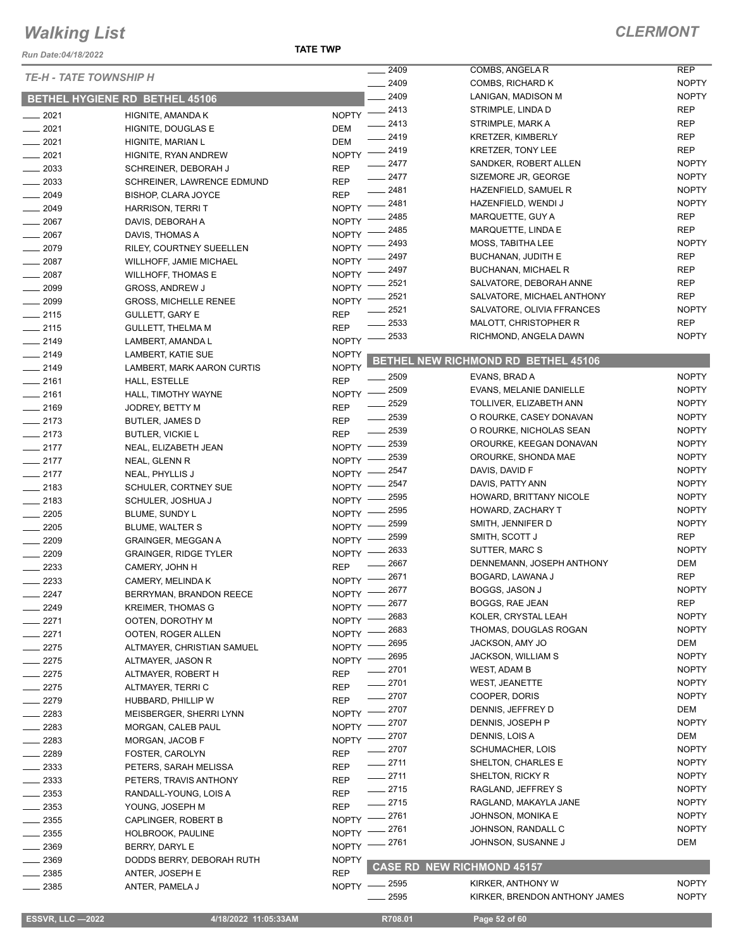**TATE TWP**

| Run Date:04/18/2022           |                                | TATE TWP     |                    |                                        |                              |
|-------------------------------|--------------------------------|--------------|--------------------|----------------------------------------|------------------------------|
| <b>TE-H - TATE TOWNSHIP H</b> |                                |              | 2409               | COMBS, ANGELA R                        | <b>REP</b>                   |
|                               |                                |              | 2409               | COMBS, RICHARD K                       | <b>NOPTY</b>                 |
|                               | BETHEL HYGIENE RD BETHEL 45106 |              | 2409               | LANIGAN, MADISON M                     | <b>NOPTY</b>                 |
| $-2021$                       | HIGNITE, AMANDA K              | <b>NOPTY</b> | $-2413$            | STRIMPLE, LINDA D                      | <b>REP</b>                   |
| 2021<br>$\frac{1}{2}$         | HIGNITE, DOUGLAS E             | <b>DEM</b>   | $-2413$            | STRIMPLE, MARK A                       | <b>REP</b>                   |
| $-2021$                       | HIGNITE, MARIAN L              | <b>DEM</b>   | 2419               | <b>KRETZER, KIMBERLY</b>               | <b>REP</b>                   |
| $-2021$                       | HIGNITE, RYAN ANDREW           | <b>NOPTY</b> | $-2419$            | <b>KRETZER, TONY LEE</b>               | <b>REP</b>                   |
| $\frac{1}{2033}$              | SCHREINER, DEBORAH J           | <b>REP</b>   | 2477               | SANDKER, ROBERT ALLEN                  | <b>NOPTY</b>                 |
| 2033                          | SCHREINER, LAWRENCE EDMUND     | <b>REP</b>   | $-2477$            | SIZEMORE JR, GEORGE                    | <b>NOPTY</b>                 |
| $-2049$                       | <b>BISHOP, CLARA JOYCE</b>     | <b>REP</b>   | 2481               | HAZENFIELD, SAMUEL R                   | <b>NOPTY</b>                 |
| 2049                          | <b>HARRISON, TERRIT</b>        | <b>NOPTY</b> | 2481               | HAZENFIELD, WENDI J                    | <b>NOPTY</b>                 |
| 2067                          | DAVIS, DEBORAH A               | <b>NOPTY</b> | 2485               | MARQUETTE, GUY A                       | <b>REP</b>                   |
| $-2067$                       | DAVIS, THOMAS A                | <b>NOPTY</b> | 2485               | MARQUETTE, LINDA E                     | <b>REP</b>                   |
| 2079                          | RILEY, COURTNEY SUEELLEN       | <b>NOPTY</b> | 2493               | MOSS, TABITHA LEE                      | <b>NOPTY</b>                 |
| $-2087$                       | WILLHOFF, JAMIE MICHAEL        | <b>NOPTY</b> | 2497               | <b>BUCHANAN, JUDITH E</b>              | <b>REP</b>                   |
| 2087                          | <b>WILLHOFF, THOMAS E</b>      | <b>NOPTY</b> | 2497               | <b>BUCHANAN, MICHAEL R</b>             | <b>REP</b>                   |
| 2099                          | <b>GROSS, ANDREW J</b>         | <b>NOPTY</b> | 2521               | SALVATORE, DEBORAH ANNE                | <b>REP</b>                   |
| $- 2099$                      | <b>GROSS, MICHELLE RENEE</b>   | <b>NOPTY</b> | 2521               | SALVATORE, MICHAEL ANTHONY             | <b>REP</b>                   |
| $-2115$                       | <b>GULLETT, GARY E</b>         | <b>REP</b>   | 2521               | SALVATORE, OLIVIA FFRANCES             | <b>NOPTY</b>                 |
| $-2115$                       | <b>GULLETT, THELMA M</b>       | <b>REP</b>   | 2533               | MALOTT, CHRISTOPHER R                  | <b>REP</b>                   |
| $-2149$                       | LAMBERT, AMANDA L              | <b>NOPTY</b> | 2533               | RICHMOND, ANGELA DAWN                  | <b>NOPTY</b>                 |
| $-2149$                       | LAMBERT, KATIE SUE             | <b>NOPTY</b> |                    | BETHEL NEW RICHMOND RD BETHEL 45106    |                              |
| $-2149$                       | LAMBERT, MARK AARON CURTIS     | <b>NOPTY</b> |                    |                                        |                              |
| $-2161$                       | HALL, ESTELLE                  | <b>REP</b>   | 2509               | EVANS, BRAD A                          | <b>NOPTY</b>                 |
| $-2161$                       | HALL, TIMOTHY WAYNE            | <b>NOPTY</b> | . 2509             | EVANS, MELANIE DANIELLE                | <b>NOPTY</b>                 |
| $-2169$                       | JODREY, BETTY M                | <b>REP</b>   | 2529               | TOLLIVER, ELIZABETH ANN                | <b>NOPTY</b>                 |
| $-2173$                       | <b>BUTLER, JAMES D</b>         | <b>REP</b>   | $-2539$            | O ROURKE, CASEY DONAVAN                | <b>NOPTY</b>                 |
| $-2173$                       | <b>BUTLER, VICKIE L</b>        | <b>REP</b>   | 2539               | O ROURKE, NICHOLAS SEAN                | <b>NOPTY</b>                 |
| $-2177$                       | NEAL, ELIZABETH JEAN           | <b>NOPTY</b> | 2539               | OROURKE, KEEGAN DONAVAN                | <b>NOPTY</b>                 |
| $-2177$                       | NEAL, GLENN R                  | <b>NOPTY</b> | 2539               | OROURKE, SHONDA MAE                    | <b>NOPTY</b>                 |
| $-2177$                       | NEAL, PHYLLIS J                | <b>NOPTY</b> | 2547               | DAVIS, DAVID F                         | <b>NOPTY</b>                 |
| $-2183$                       | SCHULER, CORTNEY SUE           | <b>NOPTY</b> | 2547               | DAVIS, PATTY ANN                       | <b>NOPTY</b>                 |
| $-2183$                       | SCHULER, JOSHUA J              | <b>NOPTY</b> | 2595               | HOWARD, BRITTANY NICOLE                | <b>NOPTY</b>                 |
| 2205                          | BLUME, SUNDY L                 | <b>NOPTY</b> | 2595               | HOWARD, ZACHARY T                      | <b>NOPTY</b>                 |
| 2205                          | BLUME, WALTER S                | <b>NOPTY</b> | 2599               | SMITH, JENNIFER D                      | <b>NOPTY</b>                 |
| 2209                          | <b>GRAINGER, MEGGAN A</b>      | <b>NOPTY</b> | 2599               | SMITH, SCOTT J                         | <b>REP</b>                   |
| 2209                          | <b>GRAINGER, RIDGE TYLER</b>   | <b>NOPTY</b> | 2633               | SUTTER, MARC S                         | <b>NOPTY</b>                 |
| 2233                          | CAMERY, JOHN H                 | <b>REP</b>   | 2667               | DENNEMANN, JOSEPH ANTHONY              | DEM<br><b>REP</b>            |
| 2233                          | CAMERY, MELINDA K              | $NOPTY =$    | 2671               | BOGARD, LAWANA J                       |                              |
| 2247                          | BERRYMAN, BRANDON REECE        | NOPTY -      | $-2677$            | BOGGS, JASON J                         | <b>NOPTY</b>                 |
| 2249                          | <b>KREIMER, THOMAS G</b>       | <b>NOPTY</b> | 2677               | BOGGS, RAE JEAN                        | <b>REP</b>                   |
| 2271                          | OOTEN, DOROTHY M               | <b>NOPTY</b> | 2683               | KOLER, CRYSTAL LEAH                    | <b>NOPTY</b>                 |
| 2271                          | OOTEN, ROGER ALLEN             | <b>NOPTY</b> | 2683               | THOMAS, DOUGLAS ROGAN                  | <b>NOPTY</b>                 |
| 2275                          | ALTMAYER, CHRISTIAN SAMUEL     | <b>NOPTY</b> | 2695               | JACKSON, AMY JO                        | DEM                          |
| 2275                          | ALTMAYER, JASON R              | <b>NOPTY</b> | 2695               | <b>JACKSON, WILLIAM S</b>              | <b>NOPTY</b>                 |
| $-2275$                       | ALTMAYER, ROBERT H             | <b>REP</b>   | 2701               | WEST, ADAM B                           | <b>NOPTY</b>                 |
| $-2275$                       | ALTMAYER, TERRI C              | <b>REP</b>   | $-2701$            | <b>WEST, JEANETTE</b>                  | <b>NOPTY</b>                 |
| 2279                          | HUBBARD, PHILLIP W             | <b>REP</b>   | ____ 2707          | COOPER, DORIS                          | <b>NOPTY</b>                 |
| 2283                          | MEISBERGER, SHERRI LYNN        | <b>NOPTY</b> | 2707               | DENNIS, JEFFREY D                      | DEM                          |
| 2283                          | MORGAN, CALEB PAUL             | <b>NOPTY</b> | 2707               | DENNIS, JOSEPH P                       | <b>NOPTY</b><br>DEM          |
| 2283                          | MORGAN, JACOB F                | <b>NOPTY</b> | 2707               | DENNIS, LOIS A                         |                              |
| 2289                          | FOSTER, CAROLYN                | <b>REP</b>   | 2707               | SCHUMACHER, LOIS                       | <b>NOPTY</b><br><b>NOPTY</b> |
| 2333                          | PETERS, SARAH MELISSA          | <b>REP</b>   | $-2711$            | SHELTON, CHARLES E                     |                              |
| 2333                          | PETERS, TRAVIS ANTHONY         | <b>REP</b>   | $-2711$<br>$=2715$ | SHELTON, RICKY R<br>RAGLAND, JEFFREY S | <b>NOPTY</b><br><b>NOPTY</b> |
| 2353                          | RANDALL-YOUNG, LOIS A          | <b>REP</b>   |                    |                                        |                              |
| 2353                          | YOUNG, JOSEPH M                | <b>REP</b>   | $-2715$            | RAGLAND, MAKAYLA JANE                  | <b>NOPTY</b>                 |
| 2355                          | CAPLINGER, ROBERT B            | <b>NOPTY</b> | 2761               | JOHNSON, MONIKA E                      | <b>NOPTY</b>                 |
| 2355                          | <b>HOLBROOK, PAULINE</b>       | <b>NOPTY</b> | 2761               | JOHNSON, RANDALL C                     | <b>NOPTY</b>                 |
| 2369                          | BERRY, DARYL E                 | <b>NOPTY</b> | 2761               | JOHNSON, SUSANNE J                     | DEM                          |
| 2369                          | DODDS BERRY, DEBORAH RUTH      | <b>NOPTY</b> | <b>CASE RD</b>     | <b>NEW RICHMOND 45157</b>              |                              |
| 2385                          | ANTER, JOSEPH E                | <b>REP</b>   |                    |                                        |                              |
| 2385                          | ANTER, PAMELA J                |              | NOPTY -2595        | KIRKER, ANTHONY W                      | <b>NOPTY</b>                 |
|                               |                                |              | 2595               | KIRKER, BRENDON ANTHONY JAMES          | <b>NOPTY</b>                 |

**ESSVR, LLC -2022** 4/18/2022 11:05:33AM R708.01 Page 52 of 60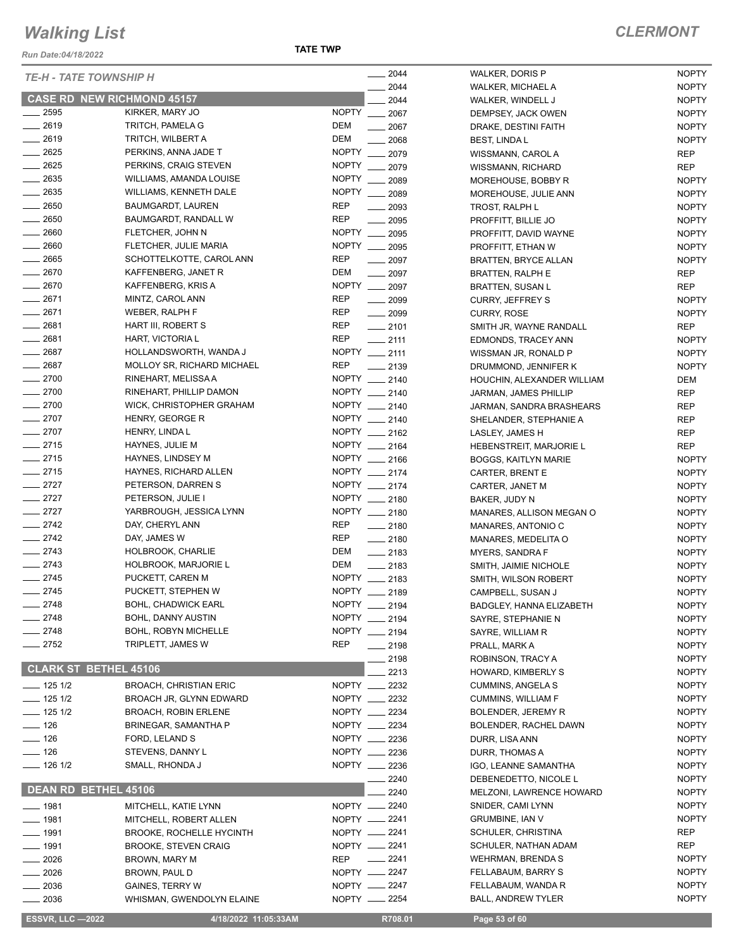*Run Date:04/18/2022*

**TATE TWP**

| <b>TE-H - TATE TOWNSHIP H</b> |                                   | $- 2044$                       | WALKER, DORIS P             | <b>NOPTY</b> |
|-------------------------------|-----------------------------------|--------------------------------|-----------------------------|--------------|
|                               |                                   | $-2044$                        | WALKER, MICHAEL A           | <b>NOPTY</b> |
|                               | <b>CASE RD NEW RICHMOND 45157</b> | 2044                           | WALKER, WINDELL J           | <b>NOPTY</b> |
| 2595                          | KIRKER, MARY JO                   | NOPTY __ 2067                  | DEMPSEY, JACK OWEN          | <b>NOPTY</b> |
| $-2619$                       | TRITCH, PAMELA G                  | DEM<br>2067                    | DRAKE, DESTINI FAITH        | <b>NOPTY</b> |
| $-2619$                       | TRITCH, WILBERT A                 | DEM<br>2068                    | <b>BEST, LINDAL</b>         | <b>NOPTY</b> |
| $-2625$                       | PERKINS, ANNA JADE T              | NOPTY 2079                     | WISSMANN, CAROL A           | REP          |
| $-2625$                       | PERKINS, CRAIG STEVEN             | NOPTY __ 2079                  | WISSMANN, RICHARD           | <b>REP</b>   |
| $-2635$                       | WILLIAMS, AMANDA LOUISE           | NOPTY __ 2089                  | MOREHOUSE, BOBBY R          | <b>NOPTY</b> |
| $\frac{1}{2635}$              | WILLIAMS, KENNETH DALE            | NOPTY __ 2089                  | MOREHOUSE, JULIE ANN        | <b>NOPTY</b> |
| $- 2650$                      | <b>BAUMGARDT, LAUREN</b>          | <b>REP</b><br>$-2093$          | TROST, RALPH L              | <b>NOPTY</b> |
| $\frac{1}{2650}$              | BAUMGARDT, RANDALL W              | <b>REP</b><br>2095             | PROFFITT, BILLIE JO         | <b>NOPTY</b> |
| $- 2660$                      | FLETCHER, JOHN N                  | NOPTY __ 2095                  | PROFFITT, DAVID WAYNE       | <b>NOPTY</b> |
| $\frac{1}{2660}$              | FLETCHER, JULIE MARIA             | NOPTY __ 2095                  | PROFFITT, ETHAN W           | <b>NOPTY</b> |
| $-2665$                       | SCHOTTELKOTTE, CAROL ANN          | <b>REP</b><br>$-2097$          | <b>BRATTEN, BRYCE ALLAN</b> | <b>NOPTY</b> |
| $-2670$                       | KAFFENBERG, JANET R               | DEM<br>$-2097$                 | <b>BRATTEN, RALPH E</b>     | REP          |
| $-2670$                       | KAFFENBERG, KRIS A                | NOPTY __ 2097                  | <b>BRATTEN, SUSAN L</b>     | REP          |
| $-2671$                       | MINTZ, CAROL ANN                  | <b>REP</b><br>$\frac{1}{2099}$ | <b>CURRY, JEFFREY S</b>     | <b>NOPTY</b> |
| $-2671$                       | WEBER, RALPH F                    | <b>REP</b><br>$\frac{1}{2099}$ | <b>CURRY, ROSE</b>          | <b>NOPTY</b> |
| $-2681$                       | HART III, ROBERT S                | <b>REP</b><br>$-2101$          | SMITH JR, WAYNE RANDALL     | <b>REP</b>   |
| $-2681$                       | HART, VICTORIA L                  | <b>REP</b><br>$-2111$          | EDMONDS, TRACEY ANN         | <b>NOPTY</b> |
| $-2687$                       | HOLLANDSWORTH, WANDA J            | NOPTY __ 2111                  | WISSMAN JR, RONALD P        | <b>NOPTY</b> |
| $-2687$                       | MOLLOY SR, RICHARD MICHAEL        | <b>REP</b><br>$-2139$          | DRUMMOND, JENNIFER K        | <b>NOPTY</b> |
| $-2700$                       | RINEHART, MELISSA A               | NOPTY __ 2140                  | HOUCHIN, ALEXANDER WILLIAM  | DEM          |
| $-2700$                       | RINEHART, PHILLIP DAMON           | NOPTY __ 2140                  | JARMAN, JAMES PHILLIP       | <b>REP</b>   |
| $-2700$                       | WICK, CHRISTOPHER GRAHAM          | NOPTY __ 2140                  | JARMAN, SANDRA BRASHEARS    | <b>REP</b>   |
| $-2707$                       | HENRY, GEORGE R                   | NOPTY __ 2140                  | SHELANDER, STEPHANIE A      | <b>REP</b>   |
| $-2707$                       | HENRY, LINDA L                    | NOPTY __ 2162                  | LASLEY, JAMES H             | REP          |
| $-2715$                       | HAYNES, JULIE M                   | NOPTY __ 2164                  | HEBENSTREIT, MARJORIE L     | REP          |
| $-2715$                       | HAYNES, LINDSEY M                 | NOPTY __ 2166                  |                             |              |
| $-2715$                       | HAYNES, RICHARD ALLEN             | NOPTY __ 2174                  | <b>BOGGS, KAITLYN MARIE</b> | <b>NOPTY</b> |
| $-2727$                       | PETERSON, DARREN S                | NOPTY __ 2174                  | CARTER, BRENT E             | <b>NOPTY</b> |
| $-2727$                       |                                   | NOPTY __ 2180                  | CARTER, JANET M             | <b>NOPTY</b> |
|                               | PETERSON, JULIE I                 | NOPTY __ 2180                  | BAKER, JUDY N               | <b>NOPTY</b> |
| $-2727$                       | YARBROUGH, JESSICA LYNN           |                                | MANARES, ALLISON MEGAN O    | <b>NOPTY</b> |
| $-2742$                       | DAY, CHERYL ANN                   | <b>REP</b><br>$-2180$          | MANARES, ANTONIO C          | <b>NOPTY</b> |
| $\frac{1}{2742}$              | DAY, JAMES W                      | REP<br>$-2180$                 | MANARES, MEDELITA O         | <b>NOPTY</b> |
| $-2743$                       | HOLBROOK, CHARLIE                 | DEM<br>$-2183$                 | MYERS, SANDRA F             | <b>NOPTY</b> |
| $-2743$                       | <b>HOLBROOK, MARJORIE L</b>       | DEM<br>$-2183$                 | SMITH, JAIMIE NICHOLE       | <b>NOPTY</b> |
| $-2745$                       | PUCKETT, CAREN M                  | NOPTY __ 2183                  | SMITH, WILSON ROBERT        | <b>NOPTY</b> |
| $-2745$                       | PUCKETT, STEPHEN W                | NOPTY __ 2189                  | CAMPBELL, SUSAN J           | <b>NOPTY</b> |
| $-2748$                       | <b>BOHL, CHADWICK EARL</b>        | NOPTY __ 2194                  | BADGLEY, HANNA ELIZABETH    | <b>NOPTY</b> |
| $-2748$                       | <b>BOHL, DANNY AUSTIN</b>         | NOPTY __ 2194                  | SAYRE, STEPHANIE N          | <b>NOPTY</b> |
| $-2748$                       | <b>BOHL, ROBYN MICHELLE</b>       | NOPTY __ 2194                  | SAYRE, WILLIAM R            | <b>NOPTY</b> |
| $\frac{2752}{ }$              | TRIPLETT, JAMES W                 | <b>REP</b><br>$-2198$          | PRALL, MARK A               | <b>NOPTY</b> |
|                               |                                   | 2198                           | ROBINSON, TRACY A           | <b>NOPTY</b> |
| <b>CLARK ST BETHEL 45106</b>  |                                   | 2213                           | HOWARD, KIMBERLY S          | <b>NOPTY</b> |
| $- 1251/2$                    | <b>BROACH, CHRISTIAN ERIC</b>     | NOPTY __ 2232                  | <b>CUMMINS, ANGELA S</b>    | <b>NOPTY</b> |
| $- 1251/2$                    | BROACH JR, GLYNN EDWARD           | NOPTY __ 2232                  | <b>CUMMINS, WILLIAM F</b>   | <b>NOPTY</b> |
| $- 1251/2$                    | <b>BROACH, ROBIN ERLENE</b>       | NOPTY __ 2234                  | <b>BOLENDER, JEREMY R</b>   | <b>NOPTY</b> |
| $\frac{1}{2}$ 126             | BRINEGAR, SAMANTHA P              | NOPTY __ 2234                  | BOLENDER, RACHEL DAWN       | <b>NOPTY</b> |
| $\frac{1}{2}$ 126             | FORD, LELAND S                    | NOPTY __ 2236                  | DURR, LISA ANN              | <b>NOPTY</b> |
| $\frac{1}{2}$ 126             | STEVENS, DANNY L                  | NOPTY __ 2236                  | DURR, THOMAS A              | <b>NOPTY</b> |
| $- 126$ 1/2                   | SMALL, RHONDA J                   | NOPTY __ 2236                  | IGO, LEANNE SAMANTHA        | <b>NOPTY</b> |
|                               |                                   | 2240                           | DEBENEDETTO, NICOLE L       | <b>NOPTY</b> |
| DEAN RD BETHEL 45106          |                                   | 2240                           | MELZONI, LAWRENCE HOWARD    | <b>NOPTY</b> |
| $- 1981$                      | MITCHELL, KATIE LYNN              | NOPTY __ 2240                  | SNIDER, CAMI LYNN           | <b>NOPTY</b> |
| $- 1981$                      | MITCHELL, ROBERT ALLEN            | NOPTY __ 2241                  | <b>GRUMBINE, IAN V</b>      | <b>NOPTY</b> |
| $- 1991$                      | <b>BROOKE, ROCHELLE HYCINTH</b>   | NOPTY __ 2241                  | SCHULER, CHRISTINA          | REP          |
| $- 1991$                      | <b>BROOKE, STEVEN CRAIG</b>       | NOPTY __ 2241                  | SCHULER, NATHAN ADAM        | REP          |
| $-2026$                       | BROWN, MARY M                     | REP<br>$-2241$                 | WEHRMAN, BRENDA S           | <b>NOPTY</b> |
| $-2026$                       | BROWN, PAUL D                     | NOPTY __ 2247                  | FELLABAUM, BARRY S          | <b>NOPTY</b> |
| $= 2036$                      | <b>GAINES, TERRY W</b>            | NOPTY __ 2247                  | FELLABAUM, WANDA R          | <b>NOPTY</b> |
| $= 2036$                      | WHISMAN, GWENDOLYN ELAINE         | NOPTY __ 2254                  | <b>BALL, ANDREW TYLER</b>   | <b>NOPTY</b> |
|                               |                                   |                                |                             |              |

 **ESSVR, LLC —2022 4/18/2022 11:05:33AM R708.01 Page 53 of 60**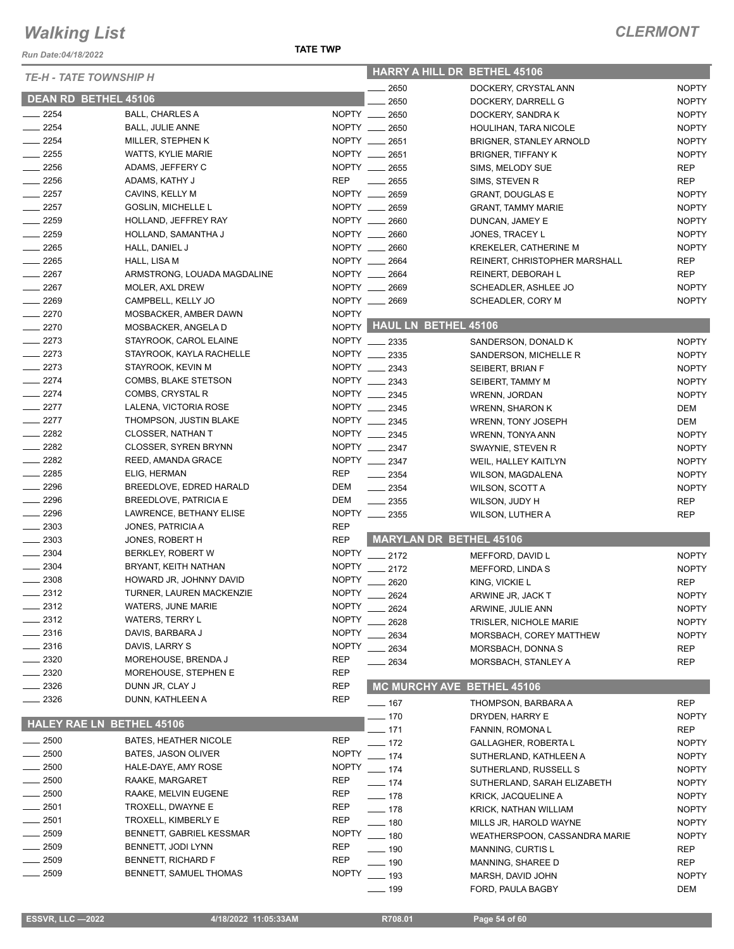*Run Date:04/18/2022*

| <b>TE-H - TATE TOWNSHIP H</b> |                              |              |                                  | <b>HARRY A HILL DR BETHEL 45106</b> |              |
|-------------------------------|------------------------------|--------------|----------------------------------|-------------------------------------|--------------|
|                               |                              |              | 2650                             | DOCKERY, CRYSTAL ANN                | <b>NOPTY</b> |
| DEAN RD BETHEL 45106          |                              |              | 2650                             | DOCKERY, DARRELL G                  | <b>NOPTY</b> |
| $-2254$                       | <b>BALL, CHARLES A</b>       | NOPTY __     | 2650                             | DOCKERY, SANDRAK                    | <b>NOPTY</b> |
| $-2254$                       | <b>BALL, JULIE ANNE</b>      |              | NOPTY __ 2650                    | HOULIHAN, TARA NICOLE               | <b>NOPTY</b> |
| $-2254$                       | MILLER, STEPHEN K            |              | NOPTY __ 2651                    | BRIGNER, STANLEY ARNOLD             | <b>NOPTY</b> |
| $\sim$ 2255                   | <b>WATTS, KYLIE MARIE</b>    |              | NOPTY __ 2651                    | <b>BRIGNER, TIFFANY K</b>           | <b>NOPTY</b> |
| $\equiv$ 2256                 | ADAMS, JEFFERY C             |              | NOPTY __ 2655                    | SIMS, MELODY SUE                    | <b>REP</b>   |
| $-2256$                       | ADAMS, KATHY J               | <b>REP</b>   | 2655                             | SIMS, STEVEN R                      | <b>REP</b>   |
| $-2257$                       | CAVINS, KELLY M              |              | NOPTY __ 2659                    | <b>GRANT, DOUGLAS E</b>             | <b>NOPTY</b> |
| $-2257$                       | <b>GOSLIN, MICHELLE L</b>    | NOPTY __     | 2659                             | <b>GRANT, TAMMY MARIE</b>           | <b>NOPTY</b> |
| $-2259$                       | HOLLAND, JEFFREY RAY         | NOPTY ___    | 2660                             | DUNCAN, JAMEY E                     | <b>NOPTY</b> |
| 2259                          | HOLLAND, SAMANTHA J          |              | NOPTY __ 2660                    | JONES, TRACEY L                     | <b>NOPTY</b> |
| $-2265$                       | HALL, DANIEL J               |              | NOPTY __ 2660                    | <b>KREKELER, CATHERINE M</b>        | <b>NOPTY</b> |
| $\sim$ 2265                   | HALL, LISA M                 |              | NOPTY __ 2664                    | REINERT, CHRISTOPHER MARSHALL       | REP          |
| $-2267$                       | ARMSTRONG, LOUADA MAGDALINE  |              | NOPTY __ 2664                    | REINERT, DEBORAH L                  | <b>REP</b>   |
| $\frac{2267}{2}$              | MOLER, AXL DREW              |              | NOPTY __ 2669                    | SCHEADLER, ASHLEE JO                | <b>NOPTY</b> |
| ____ 2269                     | CAMPBELL, KELLY JO           |              | NOPTY __ 2669                    | SCHEADLER, CORY M                   | <b>NOPTY</b> |
| $-2270$                       | MOSBACKER, AMBER DAWN        | <b>NOPTY</b> |                                  |                                     |              |
| $-2270$                       | MOSBACKER, ANGELA D          |              | NOPTY HAUL LN BETHEL 45106       |                                     |              |
| $-2273$                       | STAYROOK, CAROL ELAINE       |              | NOPTY __ 2335                    | SANDERSON, DONALD K                 | <b>NOPTY</b> |
| $-2273$                       | STAYROOK, KAYLA RACHELLE     | <b>NOPTY</b> | $\frac{1}{2}$ 2335               |                                     |              |
| $-2273$                       | STAYROOK, KEVIN M            | <b>NOPTY</b> |                                  | SANDERSON, MICHELLE R               | <b>NOPTY</b> |
| $\frac{2274}{ }$              |                              |              | 2343                             | SEIBERT, BRIAN F                    | <b>NOPTY</b> |
|                               | COMBS, BLAKE STETSON         |              | NOPTY __ 2343                    | SEIBERT, TAMMY M                    | <b>NOPTY</b> |
| $-2274$                       | COMBS, CRYSTAL R             |              | NOPTY __ 2345                    | WRENN, JORDAN                       | <b>NOPTY</b> |
| $-2277$                       | LALENA, VICTORIA ROSE        |              | NOPTY __ 2345                    | <b>WRENN, SHARON K</b>              | DEM          |
| $\sim$ 2277                   | THOMPSON, JUSTIN BLAKE       |              | NOPTY __ 2345                    | WRENN, TONY JOSEPH                  | DEM          |
| $-2282$                       | CLOSSER, NATHAN T            | NOPTY __     | 2345                             | WRENN, TONYA ANN                    | <b>NOPTY</b> |
| $-2282$                       | <b>CLOSSER, SYREN BRYNN</b>  |              | NOPTY __ 2347                    | SWAYNIE, STEVEN R                   | <b>NOPTY</b> |
| $-2282$                       | REED, AMANDA GRACE           |              | NOPTY __ 2347                    | WEIL, HALLEY KAITLYN                | <b>NOPTY</b> |
| $-2285$                       | ELIG, HERMAN                 | <b>REP</b>   | $\frac{1}{2}$ 2354               | <b>WILSON, MAGDALENA</b>            | <b>NOPTY</b> |
| 2296                          | BREEDLOVE, EDRED HARALD      | <b>DEM</b>   | 2354<br>$\overline{\phantom{a}}$ | WILSON, SCOTT A                     | <b>NOPTY</b> |
| 2296                          | <b>BREEDLOVE, PATRICIA E</b> | DEM          | 2355                             | WILSON, JUDY H                      | <b>REP</b>   |
| $-2296$                       | LAWRENCE, BETHANY ELISE      |              | NOPTY __ 2355                    | WILSON, LUTHER A                    | <b>REP</b>   |
| $-2303$                       | JONES, PATRICIA A            | <b>REP</b>   |                                  |                                     |              |
| $-2303$                       | JONES, ROBERT H              | <b>REP</b>   |                                  | MARYLAN DR BETHEL 45106             |              |
| . 2304                        | BERKLEY, ROBERT W            | <b>NOPTY</b> | $-2172$                          | MEFFORD, DAVID L                    | <b>NOPTY</b> |
| 2304                          | BRYANT, KEITH NATHAN         | <b>NOPTY</b> | $-2172$                          | MEFFORD, LINDA S                    | <b>NOPTY</b> |
| 2308                          | HOWARD JR, JOHNNY DAVID      | <b>NOPTY</b> | 2620                             | KING, VICKIE L                      | <b>REP</b>   |
| $-2312$                       | TURNER, LAUREN MACKENZIE     | <b>NOPTY</b> | ____ 2624                        | ARWINE JR, JACK T                   | <b>NOPTY</b> |
| ____ 2312                     | <b>WATERS, JUNE MARIE</b>    | <b>NOPTY</b> | 2624                             | ARWINE, JULIE ANN                   | <b>NOPTY</b> |
| $-2312$                       | <b>WATERS, TERRY L</b>       | <b>NOPTY</b> | 2628                             | TRISLER, NICHOLE MARIE              | <b>NOPTY</b> |
| $\frac{1}{2316}$              | DAVIS, BARBARA J             | <b>NOPTY</b> | 2634                             | MORSBACH, COREY MATTHEW             | <b>NOPTY</b> |
| $-2316$                       | DAVIS, LARRY S               | <b>NOPTY</b> | 2634                             | MORSBACH, DONNA S                   | <b>REP</b>   |
| . 2320                        | MOREHOUSE, BRENDA J          | <b>REP</b>   |                                  |                                     |              |
| - 2320                        | MOREHOUSE, STEPHEN E         | <b>REP</b>   | 2634                             | MORSBACH, STANLEY A                 | REP          |
| 2326                          | DUNN JR, CLAY J              | <b>REP</b>   |                                  | MC MURCHY AVE BETHEL 45106          |              |
| _ 2326                        | DUNN, KATHLEEN A             | <b>REP</b>   |                                  |                                     |              |
|                               |                              |              | $- 167$                          | THOMPSON, BARBARA A                 | <b>REP</b>   |
|                               | HALEY RAE LN BETHEL 45106    |              | $-170$                           | DRYDEN, HARRY E                     | <b>NOPTY</b> |
|                               |                              |              | 171                              | FANNIN, ROMONA L                    | REP          |
| $- 2500$                      | <b>BATES, HEATHER NICOLE</b> | <b>REP</b>   | $-$ 172                          | <b>GALLAGHER, ROBERTA L</b>         | <b>NOPTY</b> |
| $-2500$                       | <b>BATES, JASON OLIVER</b>   | <b>NOPTY</b> | $-174$                           | SUTHERLAND, KATHLEEN A              | <b>NOPTY</b> |
| $-2500$                       | HALE-DAYE, AMY ROSE          | <b>NOPTY</b> | $- 174$                          | SUTHERLAND, RUSSELL S               | <b>NOPTY</b> |
| . 2500                        | RAAKE, MARGARET              | REP          | $- 174$                          | SUTHERLAND, SARAH ELIZABETH         | <b>NOPTY</b> |
| $-2500$                       | RAAKE, MELVIN EUGENE         | <b>REP</b>   | —— 178                           | <b>KRICK, JACQUELINE A</b>          | <b>NOPTY</b> |
| $-2501$                       | TROXELL, DWAYNE E            | <b>REP</b>   | ___ 178                          | KRICK, NATHAN WILLIAM               | <b>NOPTY</b> |
| _ 2501                        | TROXELL, KIMBERLY E          | <b>REP</b>   | $- 180$                          | MILLS JR, HAROLD WAYNE              | <b>NOPTY</b> |
| 2509                          | BENNETT, GABRIEL KESSMAR     | <b>NOPTY</b> | $- 180$                          | WEATHERSPOON, CASSANDRA MARIE       | <b>NOPTY</b> |
| 2509                          | BENNETT, JODI LYNN           | REP          | ___ 190                          | MANNING, CURTIS L                   | REP          |
| 2509                          | BENNETT, RICHARD F           | <b>REP</b>   | —— 190                           | MANNING, SHAREE D                   | REP          |
| 2509                          | BENNETT, SAMUEL THOMAS       | <b>NOPTY</b> | ___ 193                          | MARSH, DAVID JOHN                   | <b>NOPTY</b> |
|                               |                              |              | $-$ 199                          | FORD, PAULA BAGBY                   | DEM          |
|                               |                              |              |                                  |                                     |              |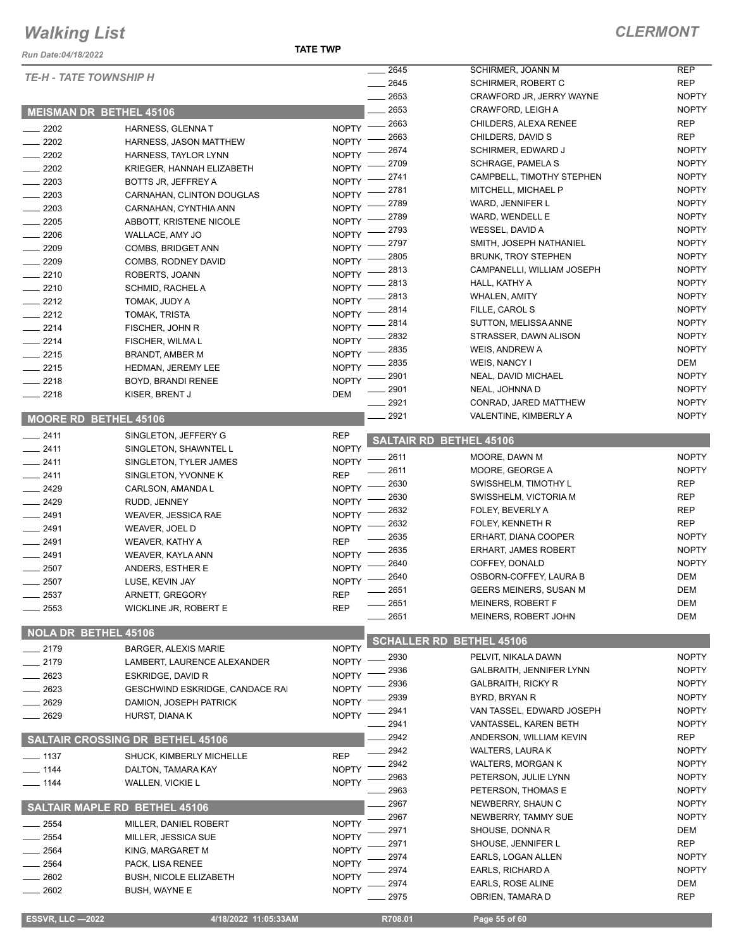#### *Run Date:04/18/2022*

#### **TATE TWP**

| <b>TE-H - TATE TOWNSHIP H</b> |                                         |              | 2645 | SCHIRMER, JOANN M               | <b>REP</b>   |
|-------------------------------|-----------------------------------------|--------------|------|---------------------------------|--------------|
|                               |                                         |              | 2645 | <b>SCHIRMER, ROBERT C</b>       | <b>REP</b>   |
|                               |                                         |              | 2653 | CRAWFORD JR, JERRY WAYNE        | <b>NOPTY</b> |
|                               | <b>MEISMAN DR BETHEL 45106</b>          |              | 2653 | CRAWFORD, LEIGH A               | <b>NOPTY</b> |
| $-2202$                       | HARNESS, GLENNAT                        | <b>NOPTY</b> | 2663 | CHILDERS, ALEXA RENEE           | <b>REP</b>   |
| $-2202$                       | HARNESS, JASON MATTHEW                  | <b>NOPTY</b> | 2663 | CHILDERS, DAVID S               | <b>REP</b>   |
| 2202                          | HARNESS, TAYLOR LYNN                    | <b>NOPTY</b> | 2674 | <b>SCHIRMER, EDWARD J</b>       | <b>NOPTY</b> |
| $-2202$                       | KRIEGER, HANNAH ELIZABETH               | <b>NOPTY</b> | 2709 | <b>SCHRAGE, PAMELA S</b>        | <b>NOPTY</b> |
| $-2203$                       | BOTTS JR, JEFFREY A                     | <b>NOPTY</b> | 2741 | CAMPBELL, TIMOTHY STEPHEN       | <b>NOPTY</b> |
| $-2203$                       | CARNAHAN, CLINTON DOUGLAS               | <b>NOPTY</b> | 2781 | MITCHELL, MICHAEL P             | <b>NOPTY</b> |
| $-2203$                       | CARNAHAN, CYNTHIA ANN                   | <b>NOPTY</b> | 2789 | WARD, JENNIFER L                | <b>NOPTY</b> |
| 2205                          | ABBOTT, KRISTENE NICOLE                 | <b>NOPTY</b> | 2789 | WARD, WENDELL E                 | <b>NOPTY</b> |
|                               |                                         | <b>NOPTY</b> | 2793 | WESSEL, DAVID A                 | <b>NOPTY</b> |
| $-2206$                       | WALLACE, AMY JO                         | <b>NOPTY</b> | 2797 | SMITH, JOSEPH NATHANIEL         | <b>NOPTY</b> |
| 2209                          | COMBS, BRIDGET ANN                      |              | 2805 | <b>BRUNK, TROY STEPHEN</b>      | <b>NOPTY</b> |
| $-2209$                       | COMBS, RODNEY DAVID                     | <b>NOPTY</b> | 2813 | CAMPANELLI, WILLIAM JOSEPH      | <b>NOPTY</b> |
| $-2210$                       | ROBERTS, JOANN                          | <b>NOPTY</b> | 2813 | HALL, KATHY A                   | <b>NOPTY</b> |
| $-2210$                       | SCHMID, RACHEL A                        | <b>NOPTY</b> | 2813 | <b>WHALEN, AMITY</b>            | <b>NOPTY</b> |
| $\frac{1}{2212}$              | TOMAK, JUDY A                           | <b>NOPTY</b> | 2814 | FILLE, CAROL S                  | <b>NOPTY</b> |
| $\frac{2212}{2}$              | TOMAK, TRISTA                           | <b>NOPTY</b> | 2814 | SUTTON, MELISSA ANNE            | <b>NOPTY</b> |
| $-2214$                       | FISCHER, JOHN R                         | <b>NOPTY</b> | 2832 | STRASSER, DAWN ALISON           | <b>NOPTY</b> |
| $-2214$                       | FISCHER, WILMA L                        | <b>NOPTY</b> | 2835 | WEIS, ANDREW A                  | <b>NOPTY</b> |
| $-2215$                       | BRANDT, AMBER M                         | <b>NOPTY</b> | 2835 |                                 |              |
| $-2215$                       | HEDMAN, JEREMY LEE                      | <b>NOPTY</b> |      | WEIS, NANCY I                   | DEM          |
| $-2218$                       | BOYD, BRANDI RENEE                      | <b>NOPTY</b> | 2901 | NEAL, DAVID MICHAEL             | <b>NOPTY</b> |
| $-2218$                       | KISER, BRENT J                          | DEM          | 2901 | NEAL, JOHNNA D                  | <b>NOPTY</b> |
|                               |                                         |              | 2921 | CONRAD, JARED MATTHEW           | <b>NOPTY</b> |
| <b>MOORE RD BETHEL 45106</b>  |                                         |              | 2921 | VALENTINE, KIMBERLY A           | <b>NOPTY</b> |
| $-2411$                       | SINGLETON, JEFFERY G                    | <b>REP</b>   |      |                                 |              |
| $-2411$                       | SINGLETON, SHAWNTEL L                   | <b>NOPTY</b> |      | <b>SALTAIR RD BETHEL 45106</b>  |              |
| $-2411$                       | SINGLETON, TYLER JAMES                  | <b>NOPTY</b> | 2611 | MOORE, DAWN M                   | <b>NOPTY</b> |
| $-2411$                       | SINGLETON, YVONNE K                     | <b>REP</b>   | 2611 | MOORE, GEORGE A                 | <b>NOPTY</b> |
| $-2429$                       | CARLSON, AMANDA L                       | <b>NOPTY</b> | 2630 | SWISSHELM, TIMOTHY L            | <b>REP</b>   |
| $-2429$                       | RUDD, JENNEY                            | <b>NOPTY</b> | 2630 | SWISSHELM, VICTORIA M           | <b>REP</b>   |
| $-2491$                       | WEAVER, JESSICA RAE                     | <b>NOPTY</b> | 2632 | FOLEY, BEVERLY A                | <b>REP</b>   |
| $-2491$                       | WEAVER, JOEL D                          | <b>NOPTY</b> | 2632 | FOLEY, KENNETH R                | <b>REP</b>   |
| $-2491$                       | <b>WEAVER, KATHY A</b>                  | <b>REP</b>   | 2635 | ERHART, DIANA COOPER            | <b>NOPTY</b> |
| $-2491$                       |                                         | <b>NOPTY</b> | 2635 | <b>ERHART, JAMES ROBERT</b>     | <b>NOPTY</b> |
|                               | WEAVER, KAYLA ANN                       |              | 2640 | COFFEY, DONALD                  | <b>NOPTY</b> |
| 2507                          | ANDERS, ESTHER E                        | <b>NOPTY</b> | 2640 | OSBORN-COFFEY, LAURA B          | DEM          |
| 2507                          | LUSE, KEVIN JAY                         | <b>NOPTY</b> | 2651 | GEERS MEINERS, SUSAN M          | DEM          |
| 2537                          | ARNETT, GREGORY                         | <b>REP</b>   | 2651 | MEINERS, ROBERT F               | DEM          |
| $-2553$                       | <b>WICKLINE JR, ROBERT E</b>            | <b>REP</b>   | 2651 | MEINERS, ROBERT JOHN            | DEM          |
|                               |                                         |              |      |                                 |              |
| <b>NOLA DR BETHEL 45106</b>   |                                         |              |      | <b>SCHALLER RD BETHEL 45106</b> |              |
| $-2179$                       | <b>BARGER, ALEXIS MARIE</b>             | <b>NOPTY</b> | 2930 |                                 | <b>NOPTY</b> |
| $-2179$                       | LAMBERT, LAURENCE ALEXANDER             | <b>NOPTY</b> |      | PELVIT, NIKALA DAWN             |              |
| $-2623$                       | ESKRIDGE, DAVID R                       | <b>NOPTY</b> | 2936 | GALBRAITH, JENNIFER LYNN        | <b>NOPTY</b> |
| 2623                          | GESCHWIND ESKRIDGE, CANDACE RAI         | <b>NOPTY</b> | 2936 | <b>GALBRAITH, RICKY R</b>       | <b>NOPTY</b> |
| 2629                          | DAMION, JOSEPH PATRICK                  | <b>NOPTY</b> | 2939 | BYRD, BRYAN R                   | <b>NOPTY</b> |
| 2629                          | HURST, DIANA K                          | <b>NOPTY</b> | 2941 | VAN TASSEL, EDWARD JOSEPH       | <b>NOPTY</b> |
|                               |                                         |              | 2941 | VANTASSEL, KAREN BETH           | <b>NOPTY</b> |
|                               | <b>SALTAIR CROSSING DR BETHEL 45106</b> |              | 2942 | ANDERSON, WILLIAM KEVIN         | <b>REP</b>   |
| $- 1137$                      | SHUCK, KIMBERLY MICHELLE                | <b>REP</b>   | 2942 | <b>WALTERS, LAURA K</b>         | <b>NOPTY</b> |
| $- 1144$                      | DALTON, TAMARA KAY                      | <b>NOPTY</b> | 2942 | <b>WALTERS, MORGAN K</b>        | <b>NOPTY</b> |
| $- 1144$                      | <b>WALLEN, VICKIE L</b>                 | <b>NOPTY</b> | 2963 | PETERSON, JULIE LYNN            | <b>NOPTY</b> |
|                               |                                         |              | 2963 | PETERSON, THOMAS E              | <b>NOPTY</b> |
|                               | <b>SALTAIR MAPLE RD BETHEL 45106</b>    |              | 2967 | NEWBERRY, SHAUN C               | <b>NOPTY</b> |
|                               |                                         |              | 2967 | NEWBERRY, TAMMY SUE             | <b>NOPTY</b> |
| _ 2554                        | MILLER, DANIEL ROBERT                   | <b>NOPTY</b> | 2971 | SHOUSE, DONNA R                 | DEM          |
| 2554                          | MILLER, JESSICA SUE                     | <b>NOPTY</b> | 2971 | SHOUSE, JENNIFER L              | <b>REP</b>   |
| 2564                          | KING, MARGARET M                        | <b>NOPTY</b> | 2974 | EARLS, LOGAN ALLEN              | <b>NOPTY</b> |
| 2564                          | PACK, LISA RENEE                        | <b>NOPTY</b> | 2974 | EARLS, RICHARD A                | <b>NOPTY</b> |
| 2602                          | <b>BUSH, NICOLE ELIZABETH</b>           | <b>NOPTY</b> | 2974 | EARLS, ROSE ALINE               | DEM          |
| 2602                          | <b>BUSH, WAYNE E</b>                    | <b>NOPTY</b> | 2975 | OBRIEN, TAMARA D                | <b>REP</b>   |
|                               |                                         |              |      |                                 |              |

**ESSVR, LLC -2022 4/18/2022 11:05:33AM** R708.01 **Page 55 of 60**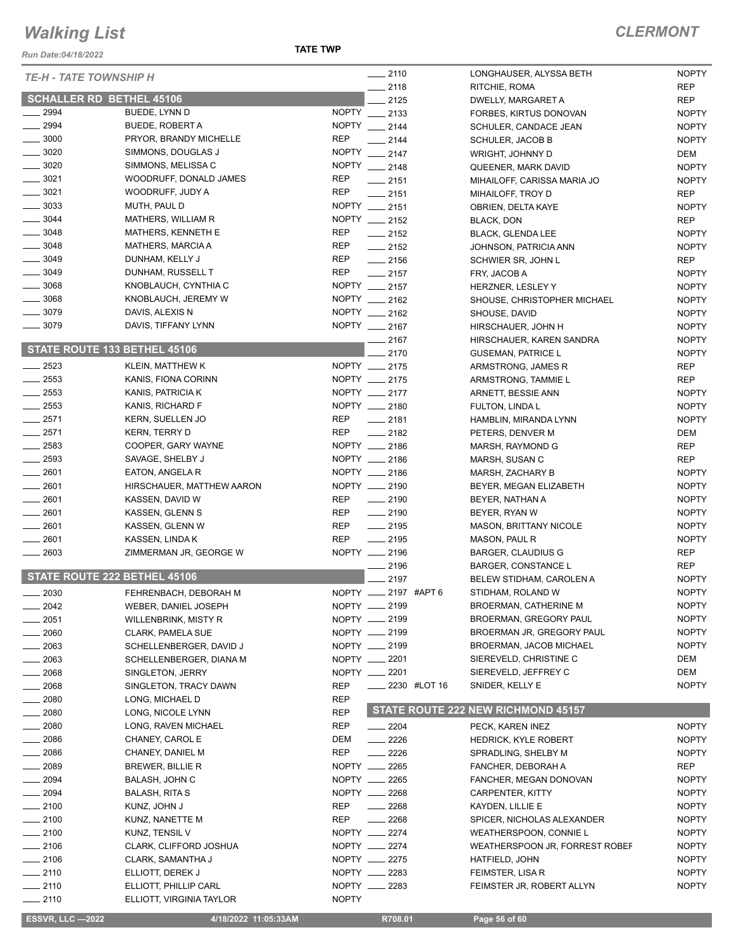*Run Date:04/18/2022*

| <b>TE-H - TATE TOWNSHIP H</b>       |                           |              | $-2110$                 |              | LONGHAUSER, ALYSSA BETH                       | <b>NOPTY</b> |
|-------------------------------------|---------------------------|--------------|-------------------------|--------------|-----------------------------------------------|--------------|
|                                     |                           |              | $-2118$                 |              | RITCHIE, ROMA                                 | <b>REP</b>   |
| <b>SCHALLER RD BETHEL 45106</b>     |                           |              | 2125                    |              | DWELLY, MARGARET A                            | <b>REP</b>   |
| 2994                                | BUEDE, LYNN D             |              | NOPTY __ 2133           |              | FORBES, KIRTUS DONOVAN                        | <b>NOPTY</b> |
| $\frac{1}{2994}$                    | <b>BUEDE, ROBERT A</b>    |              | NOPTY __ 2144           |              | SCHULER, CANDACE JEAN                         | <b>NOPTY</b> |
| $\frac{1}{2}$ 3000                  | PRYOR, BRANDY MICHELLE    | <b>REP</b>   | $-2144$                 |              | <b>SCHULER, JACOB B</b>                       | <b>NOPTY</b> |
| $\frac{1}{2}$ 3020                  | SIMMONS, DOUGLAS J        |              | NOPTY __ 2147           |              | WRIGHT, JOHNNY D                              | DEM          |
| $- 3020$                            | SIMMONS, MELISSA C        |              | NOPTY __ 2148           |              | QUEENER, MARK DAVID                           | <b>NOPTY</b> |
| $\frac{1}{2}$ 3021                  | WOODRUFF, DONALD JAMES    | <b>REP</b>   | $-2151$                 |              | MIHAILOFF, CARISSA MARIA JO                   | <b>NOPTY</b> |
| $- 3021$                            | WOODRUFF, JUDY A          | <b>REP</b>   | $-2151$                 |              | MIHAILOFF, TROY D                             | <b>REP</b>   |
| $\frac{1}{2}$ 3033                  | MUTH, PAUL D              |              | NOPTY __ 2151           |              | OBRIEN, DELTA KAYE                            | <b>NOPTY</b> |
| $\frac{1}{2}$ 3044                  | MATHERS, WILLIAM R        |              | NOPTY __ 2152           |              | BLACK, DON                                    | <b>REP</b>   |
| $- 3048$                            | MATHERS, KENNETH E        | <b>REP</b>   | $-2152$                 |              | <b>BLACK, GLENDA LEE</b>                      | <b>NOPTY</b> |
| $\frac{1}{2}$ 3048                  | <b>MATHERS, MARCIA A</b>  | <b>REP</b>   | $-2152$                 |              | JOHNSON, PATRICIA ANN                         | <b>NOPTY</b> |
| $\frac{1}{2}$ 3049                  | DUNHAM, KELLY J           | <b>REP</b>   | $-2156$                 |              | SCHWIER SR, JOHN L                            | <b>REP</b>   |
| $- 3049$                            | DUNHAM, RUSSELL T         | <b>REP</b>   | $-2157$                 |              | FRY, JACOB A                                  | <b>NOPTY</b> |
| $\frac{1}{2}$ 3068                  | KNOBLAUCH, CYNTHIA C      |              | NOPTY __ 2157           |              | HERZNER, LESLEY Y                             | <b>NOPTY</b> |
| $\frac{1}{2}$ 3068                  | KNOBLAUCH, JEREMY W       |              | NOPTY __ 2162           |              | SHOUSE, CHRISTOPHER MICHAEL                   | <b>NOPTY</b> |
| $-3079$                             | DAVIS, ALEXIS N           |              | NOPTY __ 2162           |              | SHOUSE, DAVID                                 | <b>NOPTY</b> |
| $\frac{1}{2}$ 3079                  | DAVIS, TIFFANY LYNN       |              | NOPTY __ 2167           |              | HIRSCHAUER, JOHN H                            | <b>NOPTY</b> |
|                                     |                           |              | $-2167$                 |              | HIRSCHAUER, KAREN SANDRA                      | <b>NOPTY</b> |
| STATE ROUTE 133 BETHEL 45106        |                           |              | 2170                    |              | <b>GUSEMAN, PATRICE L</b>                     | <b>NOPTY</b> |
| $-2523$                             | <b>KLEIN, MATTHEW K</b>   |              | NOPTY __ 2175           |              | ARMSTRONG, JAMES R                            | <b>REP</b>   |
| $\frac{1}{2553}$                    | KANIS, FIONA CORINN       |              | NOPTY __ 2175           |              | ARMSTRONG, TAMMIE L                           | REP          |
| $\frac{2553}{2553}$                 | KANIS, PATRICIA K         |              | NOPTY __ 2177           |              | ARNETT, BESSIE ANN                            | <b>NOPTY</b> |
| $-2553$                             | KANIS, RICHARD F          |              | NOPTY __ 2180           |              | <b>FULTON, LINDA L</b>                        | <b>NOPTY</b> |
| $-2571$                             | KERN, SUELLEN JO          | REP          | $-2181$                 |              | HAMBLIN, MIRANDA LYNN                         | <b>NOPTY</b> |
| $-2571$                             | <b>KERN, TERRY D</b>      | <b>REP</b>   | $-2182$                 |              | PETERS, DENVER M                              | DEM          |
| $-2583$                             | COOPER, GARY WAYNE        |              | NOPTY __ 2186           |              | MARSH, RAYMOND G                              | <b>REP</b>   |
| $\frac{2593}{2593}$                 | SAVAGE, SHELBY J          |              | NOPTY __ 2186           |              | MARSH, SUSAN C                                | REP          |
| $-2601$                             | EATON, ANGELA R           |              | NOPTY __ 2186           |              | MARSH, ZACHARY B                              | <b>NOPTY</b> |
| $-2601$                             | HIRSCHAUER, MATTHEW AARON |              | NOPTY __ 2190           |              | BEYER, MEGAN ELIZABETH                        | <b>NOPTY</b> |
| $\frac{1}{2601}$                    | KASSEN, DAVID W           | <b>REP</b>   | $-2190$                 |              | BEYER, NATHAN A                               | <b>NOPTY</b> |
| $- 2601$                            | KASSEN, GLENN S           | REP          | $-2190$                 |              | BEYER, RYAN W                                 | <b>NOPTY</b> |
| $\frac{1}{2601}$                    | KASSEN, GLENN W           | REP          | $-2195$                 |              | <b>MASON, BRITTANY NICOLE</b>                 | <b>NOPTY</b> |
| $-2601$                             | KASSEN, LINDA K           | <b>REP</b>   | $-2195$                 |              | MASON, PAUL R                                 | <b>NOPTY</b> |
| $\frac{1}{2603}$                    | ZIMMERMAN JR, GEORGE W    |              | NOPTY __ 2196           |              | BARGER, CLAUDIUS G                            | <b>REP</b>   |
|                                     |                           |              | $- 2196$                |              | <b>BARGER, CONSTANCE L</b>                    | REP          |
| <b>STATE ROUTE 222 BETHEL 45106</b> |                           |              | 2197                    |              | BELEW STIDHAM, CAROLEN A                      | <b>NOPTY</b> |
| $\frac{1}{2030}$                    | FEHRENBACH, DEBORAH M     |              | NOPTY _____ 2197 #APT 6 |              | STIDHAM, ROLAND W                             | <b>NOPTY</b> |
| _ 2042                              | WEBER, DANIEL JOSEPH      |              | NOPTY __ 2199           |              | BROERMAN, CATHERINE M                         | <b>NOPTY</b> |
| _ 2051                              | WILLENBRINK, MISTY R      |              | NOPTY __ 2199           |              | BROERMAN, GREGORY PAUL                        | <b>NOPTY</b> |
| $\frac{1}{2060}$                    | CLARK, PAMELA SUE         |              | NOPTY __ 2199           |              | BROERMAN JR, GREGORY PAUL                     | <b>NOPTY</b> |
| $= 2063$                            | SCHELLENBERGER, DAVID J   |              | NOPTY __ 2199           |              | BROERMAN, JACOB MICHAEL                       | <b>NOPTY</b> |
| $\frac{1}{2063}$                    | SCHELLENBERGER, DIANA M   |              | NOPTY __ 2201           |              | SIEREVELD, CHRISTINE C                        | DEM          |
| $-2068$                             | SINGLETON, JERRY          |              | NOPTY __ 2201           |              | SIEREVELD, JEFFREY C                          | DEM          |
| $- 2068$                            | SINGLETON, TRACY DAWN     | <b>REP</b>   |                         | 2230 #LOT 16 | SNIDER, KELLY E                               | <b>NOPTY</b> |
| $\frac{1}{2080}$                    | LONG, MICHAEL D           | <b>REP</b>   |                         |              |                                               |              |
| $-2080$                             | LONG, NICOLE LYNN         | <b>REP</b>   |                         |              | STATE ROUTE 222 NEW RICHMOND 45157            |              |
| $\frac{1}{2080}$                    | LONG, RAVEN MICHAEL       | <b>REP</b>   | $\frac{2204}{ }$        |              | PECK, KAREN INEZ                              | <b>NOPTY</b> |
| $-2086$                             | CHANEY, CAROL E           | DEM          | $-2226$                 |              | <b>HEDRICK, KYLE ROBERT</b>                   | <b>NOPTY</b> |
| $- 2086$                            | CHANEY, DANIEL M          | <b>REP</b>   | $\frac{2226}{5}$        |              | SPRADLING, SHELBY M                           | <b>NOPTY</b> |
| $-2089$                             | BREWER, BILLIE R          |              | NOPTY __ 2265           |              | FANCHER, DEBORAH A                            | <b>REP</b>   |
| $= 2094$                            | BALASH, JOHN C            |              | NOPTY __ 2265           |              | FANCHER, MEGAN DONOVAN                        | <b>NOPTY</b> |
| $- 2094$                            | <b>BALASH, RITA S</b>     |              | NOPTY __ 2268           |              | CARPENTER, KITTY                              | <b>NOPTY</b> |
| $-2100$                             | KUNZ, JOHN J              | REP          | $- 2268$                |              | KAYDEN, LILLIE E                              | <b>NOPTY</b> |
| $-2100$                             | KUNZ, NANETTE M           | <b>REP</b>   | $-2268$                 |              | SPICER, NICHOLAS ALEXANDER                    | <b>NOPTY</b> |
| $-2100$                             | KUNZ, TENSIL V            |              | NOPTY __ 2274           |              | WEATHERSPOON, CONNIE L                        | <b>NOPTY</b> |
| $-2106$                             | CLARK, CLIFFORD JOSHUA    |              | NOPTY __ 2274           |              | WEATHERSPOON JR, FORREST ROBEF                | <b>NOPTY</b> |
| $-2106$                             | CLARK, SAMANTHA J         |              | NOPTY __ 2275           |              | HATFIELD, JOHN                                | <b>NOPTY</b> |
| $-2110$                             | ELLIOTT, DEREK J          |              | NOPTY __ 2283           |              |                                               | <b>NOPTY</b> |
| $-2110$                             | ELLIOTT, PHILLIP CARL     |              | NOPTY __ 2283           |              | FEIMSTER, LISA R<br>FEIMSTER JR, ROBERT ALLYN | <b>NOPTY</b> |
| $-2110$                             | ELLIOTT, VIRGINIA TAYLOR  | <b>NOPTY</b> |                         |              |                                               |              |
|                                     |                           |              |                         |              |                                               |              |
| <b>ESSVR, LLC -2022</b>             | 4/18/2022 11:05:33AM      |              | R708.01                 |              | Page 56 of 60                                 |              |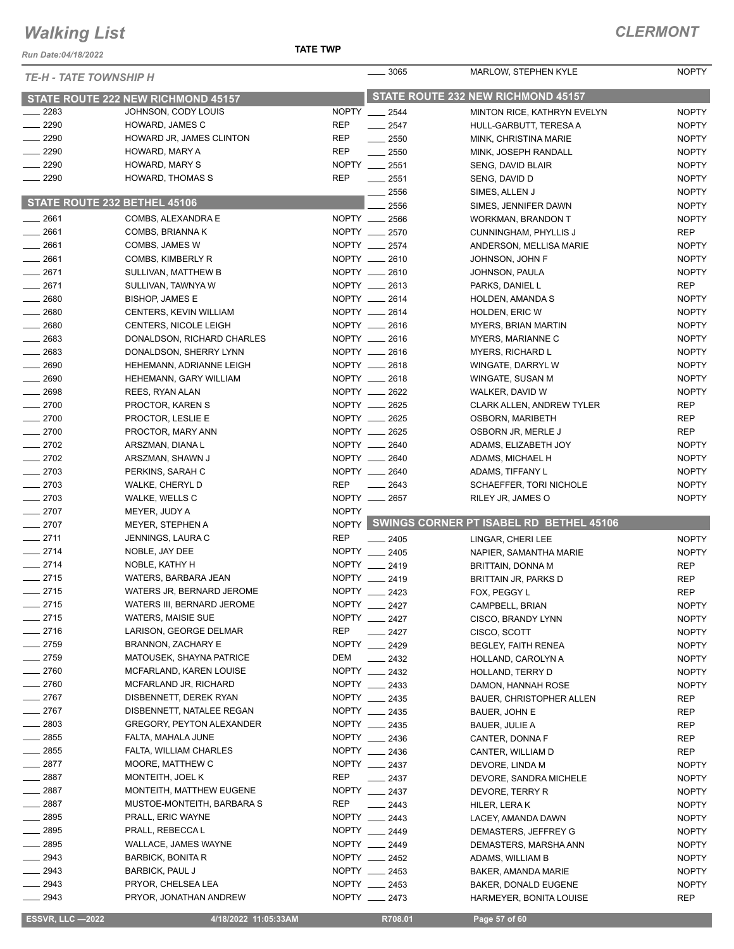*Run Date:04/18/2022*

#### **TATE TWP**

| <b>TE-H - TATE TOWNSHIP H</b>       |                                        |              | $\frac{1}{2}$ 3065                 | MARLOW, STEPHEN KYLE                    | <b>NOPTY</b>                 |
|-------------------------------------|----------------------------------------|--------------|------------------------------------|-----------------------------------------|------------------------------|
| STATE ROUTE 222 NEW RICHMOND 45157  |                                        |              | STATE ROUTE 232 NEW RICHMOND 45157 |                                         |                              |
| 2283                                | JOHNSON, CODY LOUIS                    |              | NOPTY __ 2544                      | MINTON RICE, KATHRYN EVELYN             | <b>NOPTY</b>                 |
| $-2290$                             | HOWARD, JAMES C                        | <b>REP</b>   | $-2547$                            | HULL-GARBUTT, TERESA A                  | <b>NOPTY</b>                 |
| $\sim$ 2290                         | HOWARD JR, JAMES CLINTON               | <b>REP</b>   | $\frac{1}{2550}$                   | MINK, CHRISTINA MARIE                   | <b>NOPTY</b>                 |
| $-2290$                             | HOWARD, MARY A                         | <b>REP</b>   | $\frac{1}{2550}$                   | MINK, JOSEPH RANDALL                    | <b>NOPTY</b>                 |
| $- 2290$                            | HOWARD, MARY S                         |              | NOPTY __ 2551                      | SENG, DAVID BLAIR                       | <b>NOPTY</b>                 |
| $-2290$                             | HOWARD, THOMAS S                       | <b>REP</b>   | $\frac{1}{2551}$                   | SENG, DAVID D                           | <b>NOPTY</b>                 |
|                                     |                                        |              | $-2556$                            | SIMES, ALLEN J                          | <b>NOPTY</b>                 |
| <b>STATE ROUTE 232 BETHEL 45106</b> |                                        |              | 2556                               | SIMES, JENNIFER DAWN                    | <b>NOPTY</b>                 |
| $-2661$                             | COMBS, ALEXANDRA E                     |              | NOPTY __ 2566                      | WORKMAN, BRANDON T                      | <b>NOPTY</b>                 |
| $-2661$                             | COMBS, BRIANNA K                       |              | NOPTY __ 2570                      | <b>CUNNINGHAM, PHYLLIS J</b>            | <b>REP</b>                   |
| $-2661$                             | COMBS, JAMES W                         |              | NOPTY __ 2574                      | ANDERSON, MELLISA MARIE                 | <b>NOPTY</b>                 |
| $-2661$                             | COMBS, KIMBERLY R                      |              | NOPTY __ 2610                      | JOHNSON, JOHN F                         | <b>NOPTY</b>                 |
| $-2671$                             | SULLIVAN, MATTHEW B                    |              | NOPTY __ 2610                      | JOHNSON, PAULA                          | <b>NOPTY</b>                 |
| $-2671$                             | SULLIVAN, TAWNYA W                     |              | NOPTY __ 2613                      | PARKS, DANIEL L                         | <b>REP</b>                   |
| $- 2680$                            | <b>BISHOP, JAMES E</b>                 |              | NOPTY __ 2614                      | <b>HOLDEN, AMANDA S</b>                 | <b>NOPTY</b>                 |
| $-2680$                             | CENTERS, KEVIN WILLIAM                 |              | NOPTY __ 2614                      | HOLDEN, ERIC W                          | <b>NOPTY</b>                 |
| $- 2680$                            | <b>CENTERS, NICOLE LEIGH</b>           |              | NOPTY __ 2616                      | <b>MYERS, BRIAN MARTIN</b>              | <b>NOPTY</b>                 |
| $- 2683$                            | DONALDSON, RICHARD CHARLES             |              | NOPTY __ 2616                      | MYERS, MARIANNE C                       | <b>NOPTY</b>                 |
| $-2683$                             | DONALDSON, SHERRY LYNN                 |              | NOPTY __ 2616                      | <b>MYERS, RICHARD L</b>                 | <b>NOPTY</b>                 |
| $- 2690$                            | HEHEMANN, ADRIANNE LEIGH               |              | NOPTY __ 2618                      | WINGATE, DARRYL W                       | <b>NOPTY</b>                 |
| $-2690$                             | HEHEMANN, GARY WILLIAM                 |              | NOPTY __ 2618                      | WINGATE, SUSAN M                        | <b>NOPTY</b>                 |
| $- 2698$                            | REES, RYAN ALAN                        |              | NOPTY __ 2622                      | WALKER, DAVID W                         | <b>NOPTY</b>                 |
| $-2700$                             | PROCTOR, KAREN S                       |              | NOPTY __ 2625                      | <b>CLARK ALLEN, ANDREW TYLER</b>        | <b>REP</b>                   |
| $-2700$                             | PROCTOR, LESLIE E                      |              | NOPTY __ 2625                      | OSBORN, MARIBETH                        | <b>REP</b>                   |
| $- 2700$                            | PROCTOR, MARY ANN                      |              | NOPTY __ 2625                      | OSBORN JR, MERLE J                      | <b>REP</b>                   |
| $-2702$                             | ARSZMAN, DIANA L                       |              | NOPTY __ 2640                      | ADAMS, ELIZABETH JOY                    | <b>NOPTY</b>                 |
| $-2702$                             | ARSZMAN, SHAWN J                       |              | NOPTY __ 2640                      | ADAMS, MICHAEL H                        | <b>NOPTY</b>                 |
| $-2703$                             | PERKINS, SARAH C                       |              | NOPTY __ 2640                      | ADAMS, TIFFANY L                        | <b>NOPTY</b>                 |
| $-2703$                             | WALKE, CHERYL D                        | <b>REP</b>   | $\frac{1}{2643}$                   | SCHAEFFER, TORI NICHOLE                 | <b>NOPTY</b>                 |
| $-2703$                             | WALKE, WELLS C                         |              | NOPTY __ 2657                      | RILEY JR, JAMES O                       | <b>NOPTY</b>                 |
| $-2707$                             | MEYER, JUDY A                          | <b>NOPTY</b> |                                    | SWINGS CORNER PT ISABEL RD BETHEL 45106 |                              |
| $-2707$                             | MEYER, STEPHEN A                       | NOPTY        |                                    |                                         |                              |
| $-2711$                             | JENNINGS, LAURA C                      | <b>REP</b>   | $-2405$                            | LINGAR, CHERI LEE                       | <b>NOPTY</b>                 |
| $-2714$<br>$-2714$                  | NOBLE, JAY DEE                         | NOPTY __     | 2405<br>NOPTY __ 2419              | NAPIER, SAMANTHA MARIE                  | <b>NOPTY</b>                 |
| $-2715$                             | NOBLE, KATHY H<br>WATERS, BARBARA JEAN |              | NOPTY __ 2419                      | BRITTAIN, DONNA M                       | <b>REP</b>                   |
| $-2715$                             | WATERS JR, BERNARD JEROME              |              | NOPTY __ 2423                      | BRITTAIN JR, PARKS D<br>FOX, PEGGY L    | <b>REP</b><br><b>REP</b>     |
| —— 2715                             | WATERS III, BERNARD JEROME             |              |                                    |                                         |                              |
| $-2715$                             | <b>WATERS, MAISIE SUE</b>              |              | NOPTY __ 2427<br>NOPTY __ 2427     | CAMPBELL, BRIAN<br>CISCO, BRANDY LYNN   | <b>NOPTY</b><br><b>NOPTY</b> |
| $-2716$                             | LARISON, GEORGE DELMAR                 | REP          | $-2427$                            | CISCO, SCOTT                            | <b>NOPTY</b>                 |
| $-2759$                             | <b>BRANNON, ZACHARY E</b>              |              | NOPTY __ 2429                      | BEGLEY, FAITH RENEA                     | <b>NOPTY</b>                 |
| $-2759$                             | MATOUSEK, SHAYNA PATRICE               | DEM          | $-2432$                            | HOLLAND, CAROLYN A                      | <b>NOPTY</b>                 |
| $-2760$                             | MCFARLAND, KAREN LOUISE                |              | NOPTY __ 2432                      | HOLLAND, TERRY D                        | <b>NOPTY</b>                 |
| $-2760$                             | MCFARLAND JR, RICHARD                  |              | NOPTY __ 2433                      | DAMON, HANNAH ROSE                      | <b>NOPTY</b>                 |
| $-2767$                             | DISBENNETT, DEREK RYAN                 |              | NOPTY __ 2435                      | <b>BAUER, CHRISTOPHER ALLEN</b>         | REP                          |
| $-2767$                             | DISBENNETT, NATALEE REGAN              |              | NOPTY __ 2435                      | BAUER, JOHN E                           | REP                          |
| $-2803$                             | <b>GREGORY, PEYTON ALEXANDER</b>       |              | NOPTY __ 2435                      | <b>BAUER, JULIE A</b>                   | REP                          |
| $-2855$                             | FALTA, MAHALA JUNE                     |              | NOPTY __ 2436                      | CANTER, DONNA F                         | <b>REP</b>                   |
| $-2855$                             | FALTA, WILLIAM CHARLES                 |              | NOPTY __ 2436                      | CANTER, WILLIAM D                       | <b>REP</b>                   |
| $-2877$                             | MOORE, MATTHEW C                       |              | NOPTY __ 2437                      | DEVORE, LINDA M                         | <b>NOPTY</b>                 |
| $-2887$                             | MONTEITH, JOEL K                       | REP          | $\frac{1}{2437}$                   | DEVORE, SANDRA MICHELE                  | <b>NOPTY</b>                 |
| $-2887$                             | MONTEITH, MATTHEW EUGENE               |              | NOPTY __ 2437                      | DEVORE, TERRY R                         | <b>NOPTY</b>                 |
| $-2887$                             | MUSTOE-MONTEITH, BARBARA S             | REP          | $\equiv$ 2443                      | HILER, LERAK                            | <b>NOPTY</b>                 |
| $\frac{1}{2895}$                    | PRALL, ERIC WAYNE                      |              | NOPTY __ 2443                      | LACEY, AMANDA DAWN                      | <b>NOPTY</b>                 |
| $- 2895$                            | PRALL, REBECCA L                       |              | NOPTY __ 2449                      | DEMASTERS, JEFFREY G                    | <b>NOPTY</b>                 |
| $-2895$                             | WALLACE, JAMES WAYNE                   |              | NOPTY __ 2449                      | DEMASTERS, MARSHA ANN                   | <b>NOPTY</b>                 |
| $-2943$                             | <b>BARBICK, BONITA R</b>               |              | NOPTY __ 2452                      | ADAMS, WILLIAM B                        | <b>NOPTY</b>                 |
| $-2943$                             | <b>BARBICK, PAUL J</b>                 |              | NOPTY __ 2453                      | BAKER, AMANDA MARIE                     | <b>NOPTY</b>                 |
| $-2943$                             | PRYOR, CHELSEA LEA                     |              | NOPTY __ 2453                      | BAKER, DONALD EUGENE                    | <b>NOPTY</b>                 |
| $\sim$ 2943                         | PRYOR, JONATHAN ANDREW                 |              | NOPTY __ 2473                      | HARMEYER, BONITA LOUISE                 | REP                          |

**ESSVR, LLC -2022 4/18/2022 11:05:33AM** R708.01 **Page 57 of 60**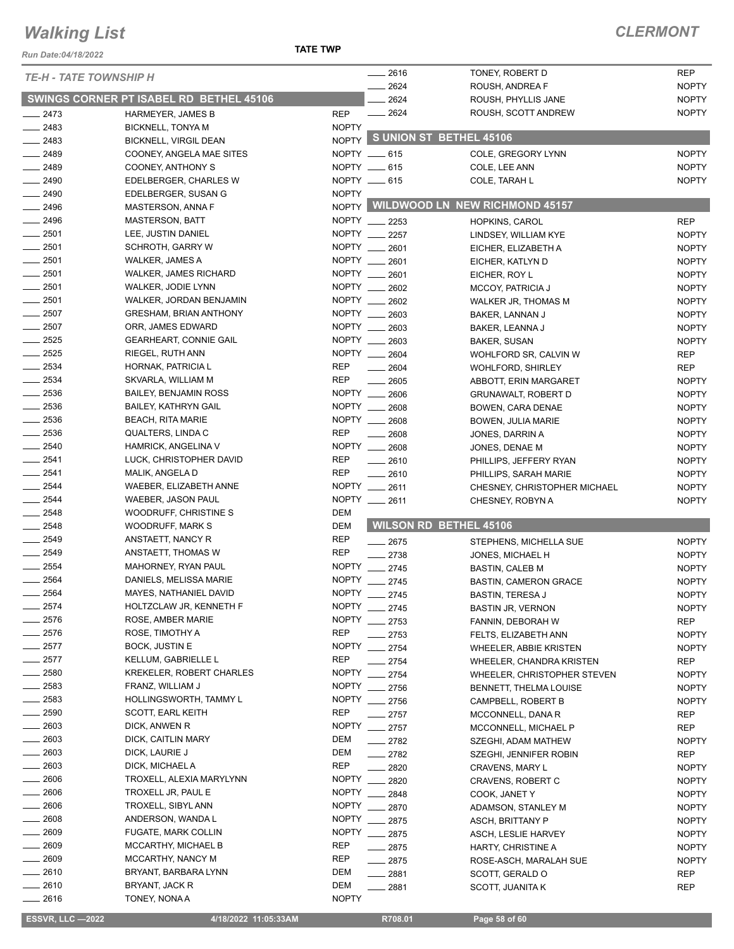#### **TATE TWP**

#### *CLERMONT*

| Run Date:04/18/2022           |                                                   | <b>TATE TWP</b>               |              |                                                   |                              |
|-------------------------------|---------------------------------------------------|-------------------------------|--------------|---------------------------------------------------|------------------------------|
| <b>TE-H - TATE TOWNSHIP H</b> |                                                   |                               | $-2616$      | TONEY, ROBERT D                                   | <b>REP</b>                   |
|                               |                                                   |                               | 2624         | ROUSH, ANDREA F                                   | <b>NOPTY</b>                 |
|                               | SWINGS CORNER PT ISABEL RD BETHEL 45106           |                               | 2624         | ROUSH, PHYLLIS JANE                               | <b>NOPTY</b>                 |
| $-2473$                       | HARMEYER, JAMES B                                 | <b>REP</b>                    | 2624         | ROUSH, SCOTT ANDREW                               | <b>NOPTY</b>                 |
| 2483                          | <b>BICKNELL, TONYA M</b>                          | <b>NOPTY</b>                  |              |                                                   |                              |
| 2483                          | <b>BICKNELL, VIRGIL DEAN</b>                      | NOPTY                         |              | S UNION ST BETHEL 45106                           |                              |
| $-2489$                       | COONEY, ANGELA MAE SITES                          | NOPTY __ 615                  |              | COLE, GREGORY LYNN                                | <b>NOPTY</b>                 |
| 2489                          | COONEY, ANTHONY S                                 | NOPTY __ 615                  |              | COLE, LEE ANN                                     | <b>NOPTY</b>                 |
| $-2490$                       | EDELBERGER, CHARLES W                             | NOPTY __ 615                  |              | COLE, TARAH L                                     | <b>NOPTY</b>                 |
| $-2490$                       | EDELBERGER, SUSAN G                               | <b>NOPTY</b>                  |              |                                                   |                              |
| $-2496$                       | MASTERSON, ANNA F                                 |                               |              | NOPTY WILDWOOD LN NEW RICHMOND 45157              |                              |
| $\frac{1}{2496}$              | <b>MASTERSON, BATT</b>                            | NOPTY __ 2253                 |              | HOPKINS, CAROL                                    | <b>REP</b>                   |
| 2501                          | LEE, JUSTIN DANIEL                                | NOPTY 2257                    |              | LINDSEY, WILLIAM KYE                              | <b>NOPTY</b>                 |
| $-2501$                       | <b>SCHROTH, GARRY W</b>                           | NOPTY ___                     | 2601         | EICHER, ELIZABETH A                               | <b>NOPTY</b>                 |
| $\frac{1}{2501}$              | WALKER, JAMES A                                   | NOPTY __ 2601                 |              | EICHER, KATLYN D                                  | <b>NOPTY</b>                 |
| $\frac{1}{2501}$              | <b>WALKER, JAMES RICHARD</b>                      | NOPTY __                      | 2601         | EICHER, ROY L                                     | <b>NOPTY</b>                 |
| $\frac{1}{2501}$              | WALKER, JODIE LYNN                                | NOPTY __ 2602                 |              | MCCOY, PATRICIA J                                 | <b>NOPTY</b>                 |
| 2501                          | WALKER, JORDAN BENJAMIN                           | NOPTY __ 2602                 |              | WALKER JR, THOMAS M                               | <b>NOPTY</b>                 |
| $\frac{1}{2507}$              | <b>GRESHAM, BRIAN ANTHONY</b>                     | NOPTY __ 2603<br><b>NOPTY</b> |              | BAKER, LANNAN J                                   | <b>NOPTY</b>                 |
| $-2507$<br>$-2525$            | ORR, JAMES EDWARD                                 |                               | 2603         | BAKER, LEANNA J                                   | <b>NOPTY</b>                 |
| $-2525$                       | <b>GEARHEART, CONNIE GAIL</b><br>RIEGEL, RUTH ANN | NOPTY __<br>NOPTY __ 2604     | 2603         | <b>BAKER, SUSAN</b>                               | <b>NOPTY</b>                 |
| 2534                          | HORNAK, PATRICIA L                                | <b>REP</b>                    | 2604         | WOHLFORD SR, CALVIN W                             | <b>REP</b><br><b>REP</b>     |
| $\frac{1}{2534}$              | SKVARLA, WILLIAM M                                | <b>REP</b>                    | 2605         | <b>WOHLFORD, SHIRLEY</b><br>ABBOTT, ERIN MARGARET | <b>NOPTY</b>                 |
| 2536                          | <b>BAILEY, BENJAMIN ROSS</b>                      | NOPTY __ 2606                 |              | <b>GRUNAWALT, ROBERT D</b>                        | <b>NOPTY</b>                 |
| $\frac{1}{2536}$              | <b>BAILEY, KATHRYN GAIL</b>                       | NOPTY __                      | 2608         | BOWEN, CARA DENAE                                 | <b>NOPTY</b>                 |
| $\frac{1}{2536}$              | <b>BEACH, RITA MARIE</b>                          | NOPTY __                      | 2608         | <b>BOWEN, JULIA MARIE</b>                         | <b>NOPTY</b>                 |
| 2536                          | QUALTERS, LINDA C                                 | <b>REP</b>                    | 2608         | JONES, DARRIN A                                   | <b>NOPTY</b>                 |
| $-2540$                       | HAMRICK, ANGELINA V                               | NOPTY ___                     | 2608         | JONES, DENAE M                                    | <b>NOPTY</b>                 |
| $-2541$                       | LUCK, CHRISTOPHER DAVID                           | <b>REP</b>                    | 2610         | PHILLIPS, JEFFERY RYAN                            | <b>NOPTY</b>                 |
| $-2541$                       | MALIK, ANGELA D                                   | <b>REP</b>                    | 2610         | PHILLIPS, SARAH MARIE                             | <b>NOPTY</b>                 |
| $-2544$                       | WAEBER, ELIZABETH ANNE                            | NOPTY __ 2611                 |              | CHESNEY, CHRISTOPHER MICHAEL                      | <b>NOPTY</b>                 |
| 2544                          | WAEBER, JASON PAUL                                | NOPTY __ 2611                 |              | CHESNEY, ROBYN A                                  | <b>NOPTY</b>                 |
| $-2548$                       | WOODRUFF, CHRISTINE S                             | DEM                           |              |                                                   |                              |
| 2548                          | WOODRUFF, MARK S                                  | DEM                           |              | <b>WILSON RD BETHEL 45106</b>                     |                              |
| 2549                          | ANSTAETT, NANCY R                                 | <b>REP</b>                    | $-2675$      | STEPHENS, MICHELLA SUE                            | <b>NOPTY</b>                 |
| $-2549$                       | ANSTAETT, THOMAS W                                | <b>REP</b>                    | $-2738$      | JONES, MICHAEL H                                  | <b>NOPTY</b>                 |
| 2554                          | MAHORNEY, RYAN PAUL                               | <b>NOPTY</b>                  | 2745         | <b>BASTIN, CALEB M</b>                            | <b>NOPTY</b>                 |
| 2564                          | DANIELS, MELISSA MARIE                            | <b>NOPTY</b>                  | 2745         | <b>BASTIN, CAMERON GRACE</b>                      | <b>NOPTY</b>                 |
| 2564                          | MAYES, NATHANIEL DAVID                            | NOPTY __ 2745                 |              | <b>BASTIN, TERESA J</b>                           | <b>NOPTY</b>                 |
| 2574                          | HOLTZCLAW JR, KENNETH F                           | <b>NOPTY</b>                  | $-2745$      | <b>BASTIN JR, VERNON</b>                          | <b>NOPTY</b>                 |
| 2576                          | ROSE, AMBER MARIE                                 | <b>NOPTY</b>                  | $-2753$      | FANNIN, DEBORAH W                                 | REP                          |
| 2576                          | ROSE, TIMOTHY A                                   | <b>REP</b>                    | 2753         | FELTS, ELIZABETH ANN                              | <b>NOPTY</b>                 |
| 2577                          | <b>BOCK, JUSTIN E</b>                             | <b>NOPTY</b>                  | 2754         | <b>WHEELER, ABBIE KRISTEN</b>                     | <b>NOPTY</b>                 |
| 2577                          | KELLUM, GABRIELLE L                               | <b>REP</b>                    | 2754         | <b>WHEELER, CHANDRA KRISTEN</b>                   | <b>REP</b>                   |
| $=2580$                       | <b>KREKELER, ROBERT CHARLES</b>                   | <b>NOPTY</b>                  | 2754         | WHEELER, CHRISTOPHER STEVEN                       | <b>NOPTY</b>                 |
| $-2583$                       | FRANZ, WILLIAM J                                  | <b>NOPTY</b>                  | $-2756$      | BENNETT, THELMA LOUISE                            | <b>NOPTY</b>                 |
| $-2583$                       | HOLLINGSWORTH, TAMMY L                            | <b>NOPTY</b>                  | 2756         | CAMPBELL, ROBERT B                                | <b>NOPTY</b>                 |
| $\frac{1}{2590}$<br>$-2603$   | SCOTT, EARL KEITH<br>DICK, ANWEN R                | <b>REP</b><br><b>NOPTY</b>    | 2757         | MCCONNELL, DANA R                                 | <b>REP</b>                   |
| $-2603$                       | DICK, CAITLIN MARY                                | DEM                           | $-2757$      | MCCONNELL, MICHAEL P                              | REP                          |
| 2603                          | DICK, LAURIE J                                    | DEM                           | $-2782$      | SZEGHI, ADAM MATHEW                               | <b>NOPTY</b>                 |
| 2603                          | DICK, MICHAEL A                                   | <b>REP</b>                    | $-2782$      | SZEGHI, JENNIFER ROBIN                            | <b>REP</b>                   |
| - 2606                        | TROXELL, ALEXIA MARYLYNN                          | <b>NOPTY</b>                  | 2820         | <b>CRAVENS, MARY L</b>                            | <b>NOPTY</b>                 |
| 2606                          | TROXELL JR, PAUL E                                | <b>NOPTY</b>                  | 2820<br>2848 | CRAVENS, ROBERT C                                 | <b>NOPTY</b>                 |
| 2606                          | TROXELL, SIBYL ANN                                | <b>NOPTY</b>                  | 2870         | COOK, JANET Y<br>ADAMSON, STANLEY M               | <b>NOPTY</b><br><b>NOPTY</b> |
| 2608                          | ANDERSON, WANDA L                                 | <b>NOPTY</b>                  | 2875         | ASCH, BRITTANY P                                  | <b>NOPTY</b>                 |
| 2609                          | <b>FUGATE, MARK COLLIN</b>                        | <b>NOPTY</b>                  | 2875         | ASCH, LESLIE HARVEY                               | <b>NOPTY</b>                 |
| $-2609$                       | MCCARTHY, MICHAEL B                               | REP                           | $-2875$      | HARTY, CHRISTINE A                                | <b>NOPTY</b>                 |
| 2609                          | MCCARTHY, NANCY M                                 | REP                           | $-2875$      | ROSE-ASCH, MARALAH SUE                            | <b>NOPTY</b>                 |
| $-2610$                       | BRYANT, BARBARA LYNN                              | DEM                           | $-2881$      | SCOTT, GERALD O                                   | REP                          |
| $-2610$                       | BRYANT, JACK R                                    | DEM                           | $-2881$      | SCOTT, JUANITA K                                  | <b>REP</b>                   |
| 2616                          | TONEY, NONA A                                     | <b>NOPTY</b>                  |              |                                                   |                              |

 **ESSVR, LLC —2022 4/18/2022 11:05:33AM R708.01 Page 58 of 60**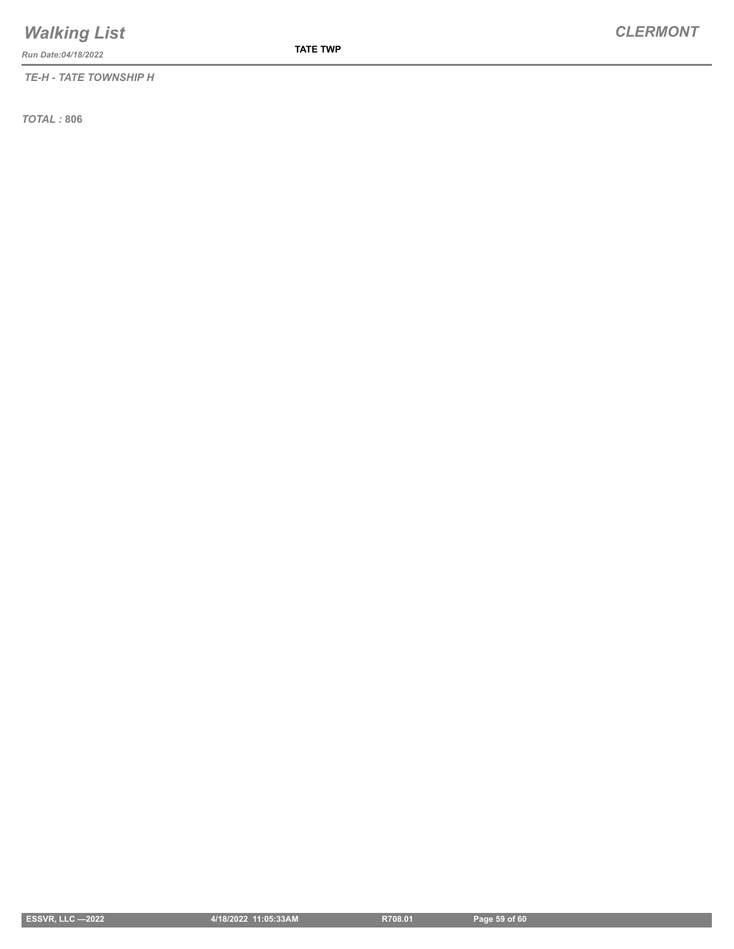*Run Date:04/18/2022*

*TE-H - TATE TOWNSHIP H*

**TATE TWP**

*TOTAL :* **806**